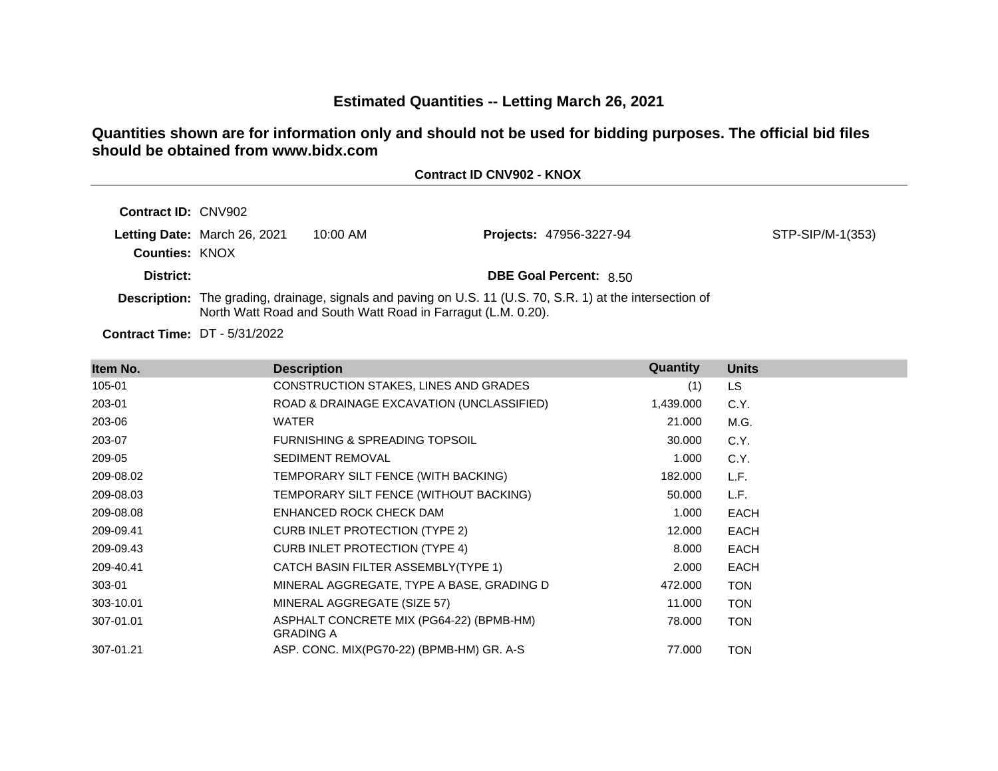# **Estimated Quantities -- Letting March 26, 2021**

# **Quantities shown are for information only and should not be used for bidding purposes. The official bid files should be obtained from www.bidx.com**

| <b>Contract ID CNV902 - KNOX</b> |  |  |  |  |
|----------------------------------|--|--|--|--|
|----------------------------------|--|--|--|--|

| <b>Contract ID: CNV902</b> |                              |                                                              |                                                                                                                   |                  |
|----------------------------|------------------------------|--------------------------------------------------------------|-------------------------------------------------------------------------------------------------------------------|------------------|
| <b>Counties: KNOX</b>      | Letting Date: March 26, 2021 | $10:00$ AM                                                   | <b>Projects: 47956-3227-94</b>                                                                                    | STP-SIP/M-1(353) |
| District:                  |                              |                                                              | <b>DBE Goal Percent: 8.50</b>                                                                                     |                  |
|                            |                              | North Watt Road and South Watt Road in Farragut (L.M. 0.20). | <b>Description:</b> The grading, drainage, signals and paving on U.S. 11 (U.S. 70, S.R. 1) at the intersection of |                  |

**Contract Time:** DT - 5/31/2022

| Item No.  | <b>Description</b>                                           | Quantity  | <b>Units</b> |
|-----------|--------------------------------------------------------------|-----------|--------------|
| 105-01    | CONSTRUCTION STAKES, LINES AND GRADES                        | (1)       | LS.          |
| 203-01    | ROAD & DRAINAGE EXCAVATION (UNCLASSIFIED)                    | 1,439.000 | C.Y.         |
| 203-06    | <b>WATER</b>                                                 | 21.000    | M.G.         |
| 203-07    | <b>FURNISHING &amp; SPREADING TOPSOIL</b>                    | 30.000    | C.Y.         |
| 209-05    | <b>SEDIMENT REMOVAL</b>                                      | 1.000     | C.Y.         |
| 209-08.02 | TEMPORARY SILT FENCE (WITH BACKING)                          | 182.000   | L.F.         |
| 209-08.03 | TEMPORARY SILT FENCE (WITHOUT BACKING)                       | 50.000    | L.F.         |
| 209-08.08 | ENHANCED ROCK CHECK DAM                                      | 1.000     | <b>EACH</b>  |
| 209-09.41 | <b>CURB INLET PROTECTION (TYPE 2)</b>                        | 12.000    | <b>EACH</b>  |
| 209-09.43 | <b>CURB INLET PROTECTION (TYPE 4)</b>                        | 8.000     | <b>EACH</b>  |
| 209-40.41 | CATCH BASIN FILTER ASSEMBLY(TYPE 1)                          | 2.000     | <b>EACH</b>  |
| 303-01    | MINERAL AGGREGATE, TYPE A BASE, GRADING D                    | 472.000   | <b>TON</b>   |
| 303-10.01 | MINERAL AGGREGATE (SIZE 57)                                  | 11.000    | <b>TON</b>   |
| 307-01.01 | ASPHALT CONCRETE MIX (PG64-22) (BPMB-HM)<br><b>GRADING A</b> | 78.000    | <b>TON</b>   |
| 307-01.21 | ASP. CONC. MIX(PG70-22) (BPMB-HM) GR. A-S                    | 77.000    | <b>TON</b>   |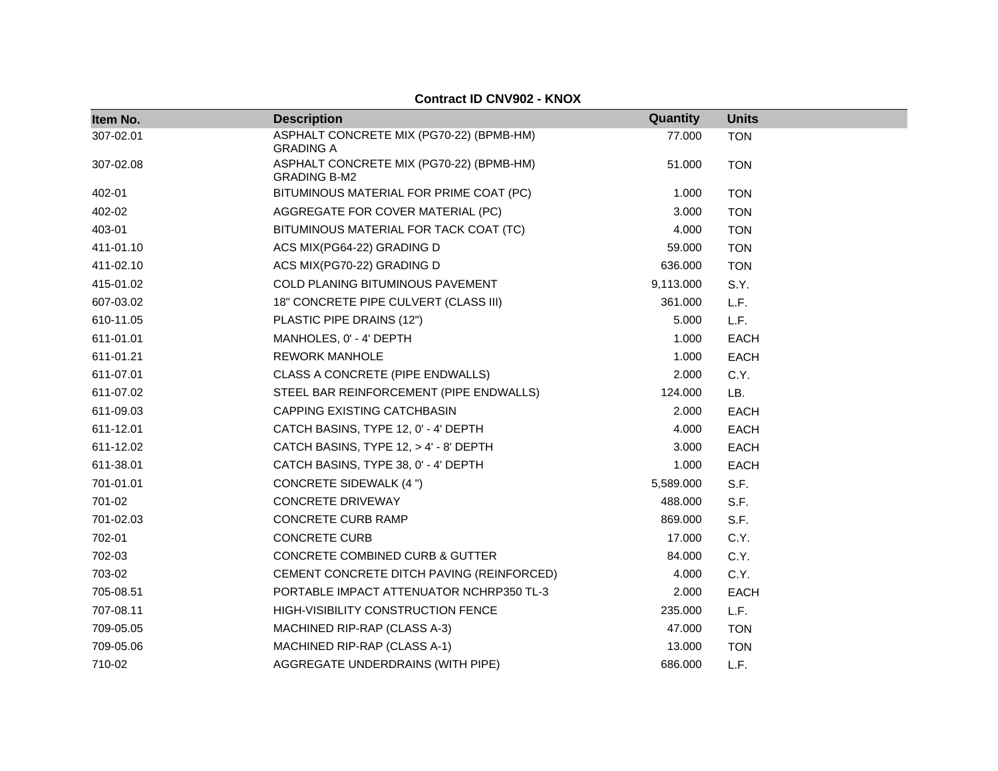| Item No.  | <b>Description</b>                                              | Quantity  | <b>Units</b> |
|-----------|-----------------------------------------------------------------|-----------|--------------|
| 307-02.01 | ASPHALT CONCRETE MIX (PG70-22) (BPMB-HM)<br><b>GRADING A</b>    | 77.000    | <b>TON</b>   |
| 307-02.08 | ASPHALT CONCRETE MIX (PG70-22) (BPMB-HM)<br><b>GRADING B-M2</b> | 51.000    | <b>TON</b>   |
| 402-01    | BITUMINOUS MATERIAL FOR PRIME COAT (PC)                         | 1.000     | <b>TON</b>   |
| 402-02    | AGGREGATE FOR COVER MATERIAL (PC)                               | 3.000     | <b>TON</b>   |
| 403-01    | BITUMINOUS MATERIAL FOR TACK COAT (TC)                          | 4.000     | <b>TON</b>   |
| 411-01.10 | ACS MIX(PG64-22) GRADING D                                      | 59.000    | <b>TON</b>   |
| 411-02.10 | ACS MIX(PG70-22) GRADING D                                      | 636.000   | <b>TON</b>   |
| 415-01.02 | COLD PLANING BITUMINOUS PAVEMENT                                | 9,113.000 | S.Y.         |
| 607-03.02 | 18" CONCRETE PIPE CULVERT (CLASS III)                           | 361.000   | L.F.         |
| 610-11.05 | PLASTIC PIPE DRAINS (12")                                       | 5.000     | L.F.         |
| 611-01.01 | MANHOLES, 0' - 4' DEPTH                                         | 1.000     | <b>EACH</b>  |
| 611-01.21 | <b>REWORK MANHOLE</b>                                           | 1.000     | <b>EACH</b>  |
| 611-07.01 | CLASS A CONCRETE (PIPE ENDWALLS)                                | 2.000     | C.Y.         |
| 611-07.02 | STEEL BAR REINFORCEMENT (PIPE ENDWALLS)                         | 124.000   | LB.          |
| 611-09.03 | <b>CAPPING EXISTING CATCHBASIN</b>                              | 2.000     | <b>EACH</b>  |
| 611-12.01 | CATCH BASINS, TYPE 12, 0' - 4' DEPTH                            | 4.000     | EACH         |
| 611-12.02 | CATCH BASINS, TYPE 12, > 4' - 8' DEPTH                          | 3.000     | <b>EACH</b>  |
| 611-38.01 | CATCH BASINS, TYPE 38, 0' - 4' DEPTH                            | 1.000     | <b>EACH</b>  |
| 701-01.01 | <b>CONCRETE SIDEWALK (4 ")</b>                                  | 5,589.000 | S.F.         |
| 701-02    | <b>CONCRETE DRIVEWAY</b>                                        | 488.000   | S.F.         |
| 701-02.03 | <b>CONCRETE CURB RAMP</b>                                       | 869.000   | S.F.         |
| 702-01    | <b>CONCRETE CURB</b>                                            | 17.000    | C.Y.         |
| 702-03    | CONCRETE COMBINED CURB & GUTTER                                 | 84.000    | C.Y.         |
| 703-02    | CEMENT CONCRETE DITCH PAVING (REINFORCED)                       | 4.000     | C.Y.         |
| 705-08.51 | PORTABLE IMPACT ATTENUATOR NCHRP350 TL-3                        | 2.000     | <b>EACH</b>  |
| 707-08.11 | HIGH-VISIBILITY CONSTRUCTION FENCE                              | 235.000   | L.F.         |
| 709-05.05 | MACHINED RIP-RAP (CLASS A-3)                                    | 47.000    | <b>TON</b>   |
| 709-05.06 | MACHINED RIP-RAP (CLASS A-1)                                    | 13.000    | <b>TON</b>   |
| 710-02    | <b>AGGREGATE UNDERDRAINS (WITH PIPE)</b>                        | 686.000   | L.F.         |

#### **Contract ID CNV902 - KNOX**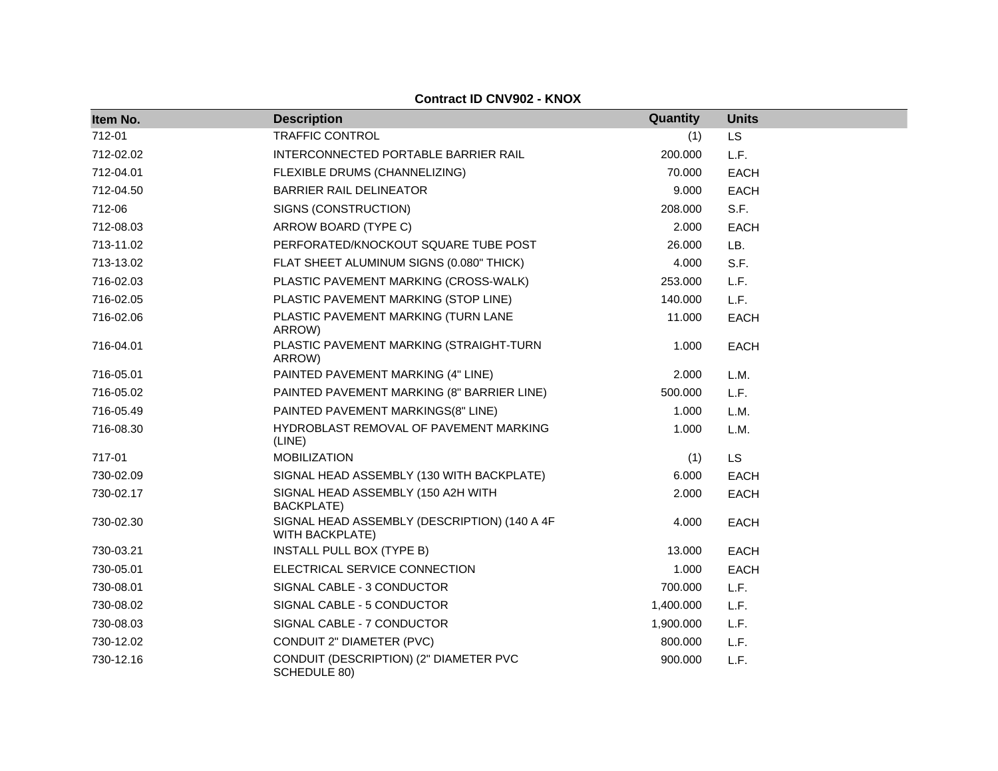| Item No.  | <b>Description</b>                                                     | Quantity  | <b>Units</b> |
|-----------|------------------------------------------------------------------------|-----------|--------------|
| 712-01    | <b>TRAFFIC CONTROL</b>                                                 | (1)       | <b>LS</b>    |
| 712-02.02 | INTERCONNECTED PORTABLE BARRIER RAIL                                   | 200.000   | L.F.         |
| 712-04.01 | FLEXIBLE DRUMS (CHANNELIZING)                                          | 70.000    | EACH         |
| 712-04.50 | <b>BARRIER RAIL DELINEATOR</b>                                         | 9.000     | <b>EACH</b>  |
| 712-06    | SIGNS (CONSTRUCTION)                                                   | 208.000   | S.F.         |
| 712-08.03 | ARROW BOARD (TYPE C)                                                   | 2.000     | <b>EACH</b>  |
| 713-11.02 | PERFORATED/KNOCKOUT SQUARE TUBE POST                                   | 26.000    | LB.          |
| 713-13.02 | FLAT SHEET ALUMINUM SIGNS (0.080" THICK)                               | 4.000     | S.F.         |
| 716-02.03 | PLASTIC PAVEMENT MARKING (CROSS-WALK)                                  | 253.000   | L.F.         |
| 716-02.05 | PLASTIC PAVEMENT MARKING (STOP LINE)                                   | 140.000   | L.F.         |
| 716-02.06 | PLASTIC PAVEMENT MARKING (TURN LANE<br>ARROW)                          | 11.000    | <b>EACH</b>  |
| 716-04.01 | PLASTIC PAVEMENT MARKING (STRAIGHT-TURN<br>ARROW)                      | 1.000     | <b>EACH</b>  |
| 716-05.01 | PAINTED PAVEMENT MARKING (4" LINE)                                     | 2.000     | L.M.         |
| 716-05.02 | PAINTED PAVEMENT MARKING (8" BARRIER LINE)                             | 500.000   | L.F.         |
| 716-05.49 | PAINTED PAVEMENT MARKINGS(8" LINE)                                     | 1.000     | L.M.         |
| 716-08.30 | HYDROBLAST REMOVAL OF PAVEMENT MARKING<br>(LINE)                       | 1.000     | L.M.         |
| 717-01    | <b>MOBILIZATION</b>                                                    | (1)       | <b>LS</b>    |
| 730-02.09 | SIGNAL HEAD ASSEMBLY (130 WITH BACKPLATE)                              | 6.000     | <b>EACH</b>  |
| 730-02.17 | SIGNAL HEAD ASSEMBLY (150 A2H WITH<br><b>BACKPLATE)</b>                | 2.000     | <b>EACH</b>  |
| 730-02.30 | SIGNAL HEAD ASSEMBLY (DESCRIPTION) (140 A 4F<br><b>WITH BACKPLATE)</b> | 4.000     | <b>EACH</b>  |
| 730-03.21 | INSTALL PULL BOX (TYPE B)                                              | 13.000    | <b>EACH</b>  |
| 730-05.01 | ELECTRICAL SERVICE CONNECTION                                          | 1.000     | <b>EACH</b>  |
| 730-08.01 | SIGNAL CABLE - 3 CONDUCTOR                                             | 700.000   | L.F.         |
| 730-08.02 | SIGNAL CABLE - 5 CONDUCTOR                                             | 1,400.000 | L.F.         |
| 730-08.03 | SIGNAL CABLE - 7 CONDUCTOR                                             | 1,900.000 | L.F.         |
| 730-12.02 | CONDUIT 2" DIAMETER (PVC)                                              | 800.000   | L.F.         |
| 730-12.16 | CONDUIT (DESCRIPTION) (2" DIAMETER PVC<br>SCHEDULE 80)                 | 900.000   | L.F.         |

**Contract ID CNV902 - KNOX**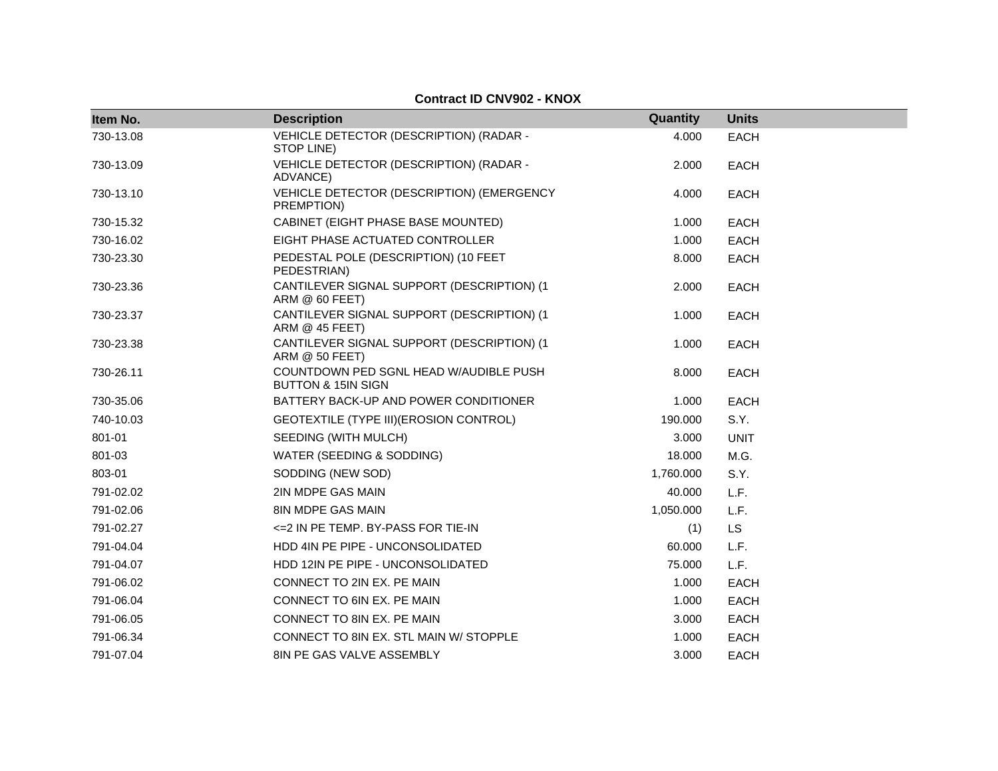| Item No.  | <b>Description</b>                                                      | Quantity  | <b>Units</b> |  |
|-----------|-------------------------------------------------------------------------|-----------|--------------|--|
| 730-13.08 | VEHICLE DETECTOR (DESCRIPTION) (RADAR -<br>STOP LINE)                   | 4.000     | <b>EACH</b>  |  |
| 730-13.09 | VEHICLE DETECTOR (DESCRIPTION) (RADAR -<br>ADVANCE)                     | 2.000     | <b>EACH</b>  |  |
| 730-13.10 | VEHICLE DETECTOR (DESCRIPTION) (EMERGENCY<br>PREMPTION)                 | 4.000     | <b>EACH</b>  |  |
| 730-15.32 | CABINET (EIGHT PHASE BASE MOUNTED)                                      | 1.000     | <b>EACH</b>  |  |
| 730-16.02 | EIGHT PHASE ACTUATED CONTROLLER                                         | 1.000     | <b>EACH</b>  |  |
| 730-23.30 | PEDESTAL POLE (DESCRIPTION) (10 FEET<br>PEDESTRIAN)                     | 8.000     | <b>EACH</b>  |  |
| 730-23.36 | CANTILEVER SIGNAL SUPPORT (DESCRIPTION) (1<br>ARM @ 60 FEET)            | 2.000     | <b>EACH</b>  |  |
| 730-23.37 | CANTILEVER SIGNAL SUPPORT (DESCRIPTION) (1<br>ARM @ 45 FEET)            | 1.000     | <b>EACH</b>  |  |
| 730-23.38 | CANTILEVER SIGNAL SUPPORT (DESCRIPTION) (1<br>ARM @ 50 FEET)            | 1.000     | <b>EACH</b>  |  |
| 730-26.11 | COUNTDOWN PED SGNL HEAD W/AUDIBLE PUSH<br><b>BUTTON &amp; 15IN SIGN</b> | 8.000     | <b>EACH</b>  |  |
| 730-35.06 | BATTERY BACK-UP AND POWER CONDITIONER                                   | 1.000     | <b>EACH</b>  |  |
| 740-10.03 | GEOTEXTILE (TYPE III) (EROSION CONTROL)                                 | 190.000   | S.Y.         |  |
| 801-01    | SEEDING (WITH MULCH)                                                    | 3.000     | <b>UNIT</b>  |  |
| 801-03    | WATER (SEEDING & SODDING)                                               | 18.000    | M.G.         |  |
| 803-01    | SODDING (NEW SOD)                                                       | 1,760.000 | S.Y.         |  |
| 791-02.02 | 2IN MDPE GAS MAIN                                                       | 40.000    | L.F.         |  |
| 791-02.06 | 8IN MDPE GAS MAIN                                                       | 1,050.000 | L.F.         |  |
| 791-02.27 | <= 2 IN PE TEMP. BY-PASS FOR TIE-IN                                     | (1)       | LS           |  |
| 791-04.04 | HDD 4IN PE PIPE - UNCONSOLIDATED                                        | 60.000    | L.F.         |  |
| 791-04.07 | HDD 12IN PE PIPE - UNCONSOLIDATED                                       | 75.000    | L.F.         |  |
| 791-06.02 | CONNECT TO 2IN EX. PE MAIN                                              | 1.000     | <b>EACH</b>  |  |
| 791-06.04 | CONNECT TO 6IN EX. PE MAIN                                              | 1.000     | <b>EACH</b>  |  |
| 791-06.05 | CONNECT TO 8IN EX. PE MAIN                                              | 3.000     | <b>EACH</b>  |  |
| 791-06.34 | CONNECT TO 8IN EX. STL MAIN W/ STOPPLE                                  | 1.000     | <b>EACH</b>  |  |
| 791-07.04 | 8IN PE GAS VALVE ASSEMBLY                                               | 3.000     | <b>EACH</b>  |  |

#### **Contract ID CNV902 - KNOX**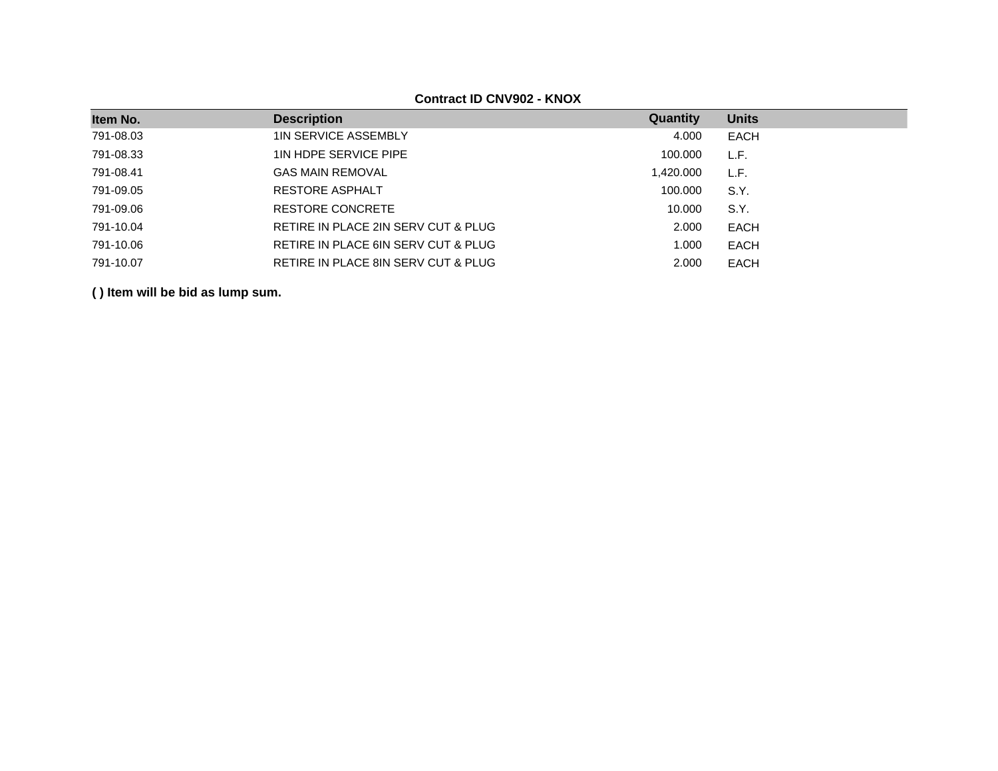**Contract ID CNV902 - KNOX**

| Item No.  | <b>Description</b>                  | Quantity  | <b>Units</b> |
|-----------|-------------------------------------|-----------|--------------|
| 791-08.03 | <b>1IN SERVICE ASSEMBLY</b>         | 4.000     | <b>EACH</b>  |
| 791-08.33 | 1IN HDPE SERVICE PIPE               | 100.000   | L.F.         |
| 791-08.41 | <b>GAS MAIN REMOVAL</b>             | 1,420.000 | L.F.         |
| 791-09.05 | <b>RESTORE ASPHALT</b>              | 100,000   | S.Y.         |
| 791-09.06 | RESTORE CONCRETE                    | 10.000    | S.Y.         |
| 791-10.04 | RETIRE IN PLACE 2IN SERV CUT & PLUG | 2.000     | <b>EACH</b>  |
| 791-10.06 | RETIRE IN PLACE 6IN SERV CUT & PLUG | 1.000     | EACH         |
| 791-10.07 | RETIRE IN PLACE 8IN SERV CUT & PLUG | 2.000     | <b>EACH</b>  |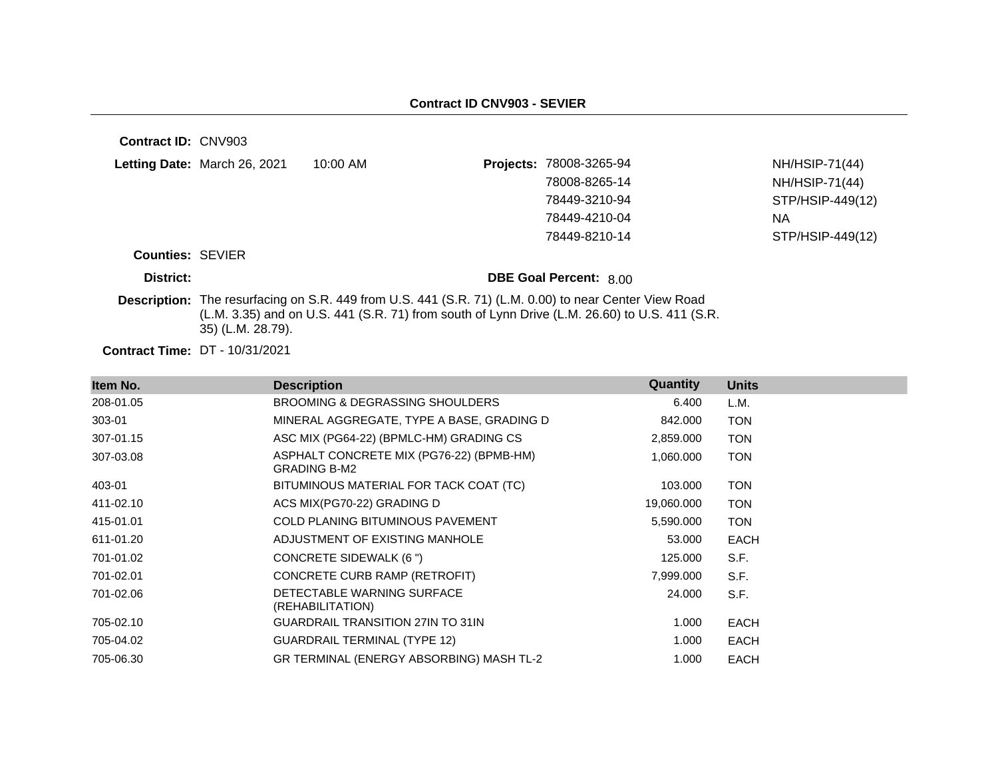| <b>Contract ID: CNV903</b> |                                                                                                                                                                                                                             |            |  |                               |                  |  |
|----------------------------|-----------------------------------------------------------------------------------------------------------------------------------------------------------------------------------------------------------------------------|------------|--|-------------------------------|------------------|--|
|                            | Letting Date: March 26, 2021                                                                                                                                                                                                | $10:00$ AM |  | Projects: 78008-3265-94       | NH/HSIP-71(44)   |  |
|                            |                                                                                                                                                                                                                             |            |  | 78008-8265-14                 | NH/HSIP-71(44)   |  |
|                            |                                                                                                                                                                                                                             |            |  | 78449-3210-94                 | STP/HSIP-449(12) |  |
|                            |                                                                                                                                                                                                                             |            |  | 78449-4210-04                 | <b>NA</b>        |  |
|                            |                                                                                                                                                                                                                             |            |  | 78449-8210-14                 | STP/HSIP-449(12) |  |
| <b>Counties: SEVIER</b>    |                                                                                                                                                                                                                             |            |  |                               |                  |  |
| District:                  |                                                                                                                                                                                                                             |            |  | <b>DBE Goal Percent: 8.00</b> |                  |  |
|                            | Description: The resurfacing on S.R. 449 from U.S. 441 (S.R. 71) (L.M. 0.00) to near Center View Road<br>(L.M. 3.35) and on U.S. 441 (S.R. 71) from south of Lynn Drive (L.M. 26.60) to U.S. 411 (S.R.<br>35) (L.M. 28.79). |            |  |                               |                  |  |
|                            |                                                                                                                                                                                                                             |            |  |                               |                  |  |

**Contract Time:** DT - 10/31/2021

| Item No.  | <b>Description</b>                                              | Quantity   | <b>Units</b> |
|-----------|-----------------------------------------------------------------|------------|--------------|
| 208-01.05 | <b>BROOMING &amp; DEGRASSING SHOULDERS</b>                      | 6.400      | L.M.         |
| 303-01    | MINERAL AGGREGATE, TYPE A BASE, GRADING D                       | 842.000    | <b>TON</b>   |
| 307-01.15 | ASC MIX (PG64-22) (BPMLC-HM) GRADING CS                         | 2,859.000  | <b>TON</b>   |
| 307-03.08 | ASPHALT CONCRETE MIX (PG76-22) (BPMB-HM)<br><b>GRADING B-M2</b> | 1,060.000  | <b>TON</b>   |
| 403-01    | BITUMINOUS MATERIAL FOR TACK COAT (TC)                          | 103.000    | <b>TON</b>   |
| 411-02.10 | ACS MIX(PG70-22) GRADING D                                      | 19,060.000 | <b>TON</b>   |
| 415-01.01 | <b>COLD PLANING BITUMINOUS PAVEMENT</b>                         | 5,590.000  | <b>TON</b>   |
| 611-01.20 | ADJUSTMENT OF EXISTING MANHOLE                                  | 53.000     | <b>EACH</b>  |
| 701-01.02 | CONCRETE SIDEWALK (6 ")                                         | 125.000    | S.F.         |
| 701-02.01 | CONCRETE CURB RAMP (RETROFIT)                                   | 7,999.000  | S.F.         |
| 701-02.06 | DETECTABLE WARNING SURFACE<br>(REHABILITATION)                  | 24.000     | S.F.         |
| 705-02.10 | <b>GUARDRAIL TRANSITION 27IN TO 31IN</b>                        | 1.000      | <b>EACH</b>  |
| 705-04.02 | <b>GUARDRAIL TERMINAL (TYPE 12)</b>                             | 1.000      | <b>EACH</b>  |
| 705-06.30 | GR TERMINAL (ENERGY ABSORBING) MASH TL-2                        | 1.000      | <b>EACH</b>  |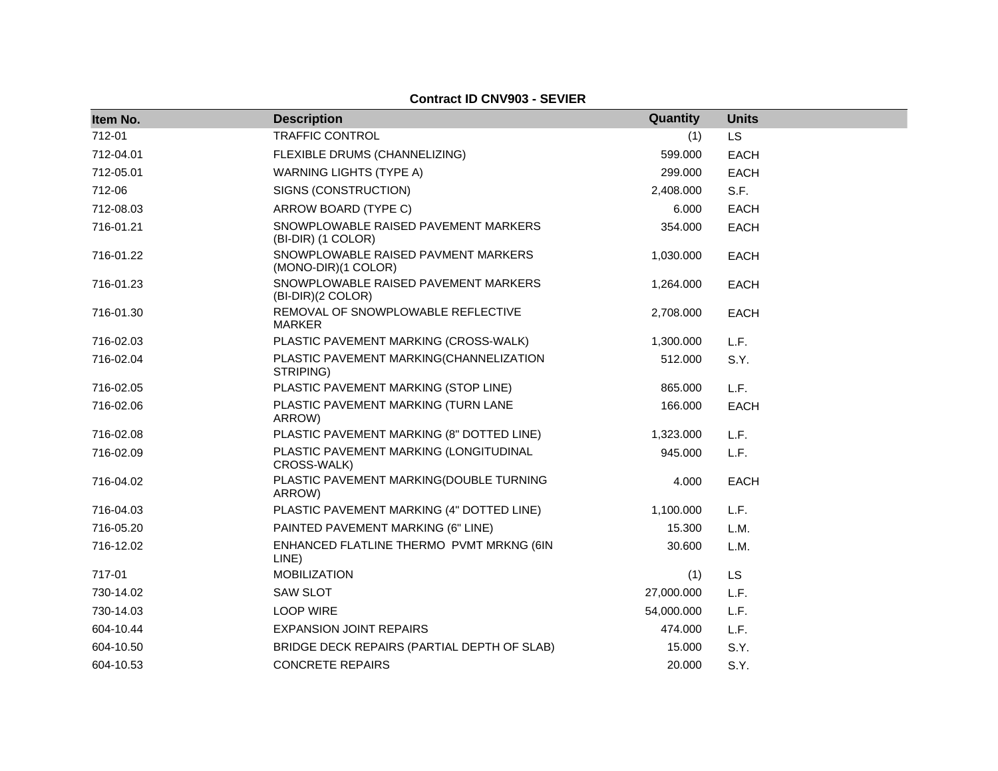**Contract ID CNV903 - SEVIER**

| Item No.  | <b>Description</b>                                         | Quantity   | <b>Units</b> |
|-----------|------------------------------------------------------------|------------|--------------|
| 712-01    | <b>TRAFFIC CONTROL</b>                                     | (1)        | <b>LS</b>    |
| 712-04.01 | FLEXIBLE DRUMS (CHANNELIZING)                              | 599.000    | <b>EACH</b>  |
| 712-05.01 | <b>WARNING LIGHTS (TYPE A)</b>                             | 299.000    | <b>EACH</b>  |
| 712-06    | SIGNS (CONSTRUCTION)                                       | 2,408.000  | S.F.         |
| 712-08.03 | ARROW BOARD (TYPE C)                                       | 6.000      | <b>EACH</b>  |
| 716-01.21 | SNOWPLOWABLE RAISED PAVEMENT MARKERS<br>(BI-DIR) (1 COLOR) | 354.000    | <b>EACH</b>  |
| 716-01.22 | SNOWPLOWABLE RAISED PAVMENT MARKERS<br>(MONO-DIR)(1 COLOR) | 1,030.000  | <b>EACH</b>  |
| 716-01.23 | SNOWPLOWABLE RAISED PAVEMENT MARKERS<br>(BI-DIR)(2 COLOR)  | 1,264.000  | <b>EACH</b>  |
| 716-01.30 | REMOVAL OF SNOWPLOWABLE REFLECTIVE<br><b>MARKER</b>        | 2,708.000  | <b>EACH</b>  |
| 716-02.03 | PLASTIC PAVEMENT MARKING (CROSS-WALK)                      | 1,300.000  | L.F.         |
| 716-02.04 | PLASTIC PAVEMENT MARKING(CHANNELIZATION<br>STRIPING)       | 512.000    | S.Y.         |
| 716-02.05 | PLASTIC PAVEMENT MARKING (STOP LINE)                       | 865.000    | L.F.         |
| 716-02.06 | PLASTIC PAVEMENT MARKING (TURN LANE<br>ARROW)              | 166.000    | <b>EACH</b>  |
| 716-02.08 | PLASTIC PAVEMENT MARKING (8" DOTTED LINE)                  | 1,323.000  | L.F.         |
| 716-02.09 | PLASTIC PAVEMENT MARKING (LONGITUDINAL<br>CROSS-WALK)      | 945.000    | L.F.         |
| 716-04.02 | PLASTIC PAVEMENT MARKING(DOUBLE TURNING<br>ARROW)          | 4.000      | <b>EACH</b>  |
| 716-04.03 | PLASTIC PAVEMENT MARKING (4" DOTTED LINE)                  | 1,100.000  | L.F.         |
| 716-05.20 | PAINTED PAVEMENT MARKING (6" LINE)                         | 15.300     | L.M.         |
| 716-12.02 | ENHANCED FLATLINE THERMO PVMT MRKNG (6IN<br>LINE)          | 30.600     | L.M.         |
| 717-01    | <b>MOBILIZATION</b>                                        | (1)        | <b>LS</b>    |
| 730-14.02 | <b>SAW SLOT</b>                                            | 27,000.000 | L.F.         |
| 730-14.03 | <b>LOOP WIRE</b>                                           | 54,000.000 | L.F.         |
| 604-10.44 | <b>EXPANSION JOINT REPAIRS</b>                             | 474.000    | L.F.         |
| 604-10.50 | BRIDGE DECK REPAIRS (PARTIAL DEPTH OF SLAB)                | 15.000     | S.Y.         |
| 604-10.53 | <b>CONCRETE REPAIRS</b>                                    | 20,000     | S.Y.         |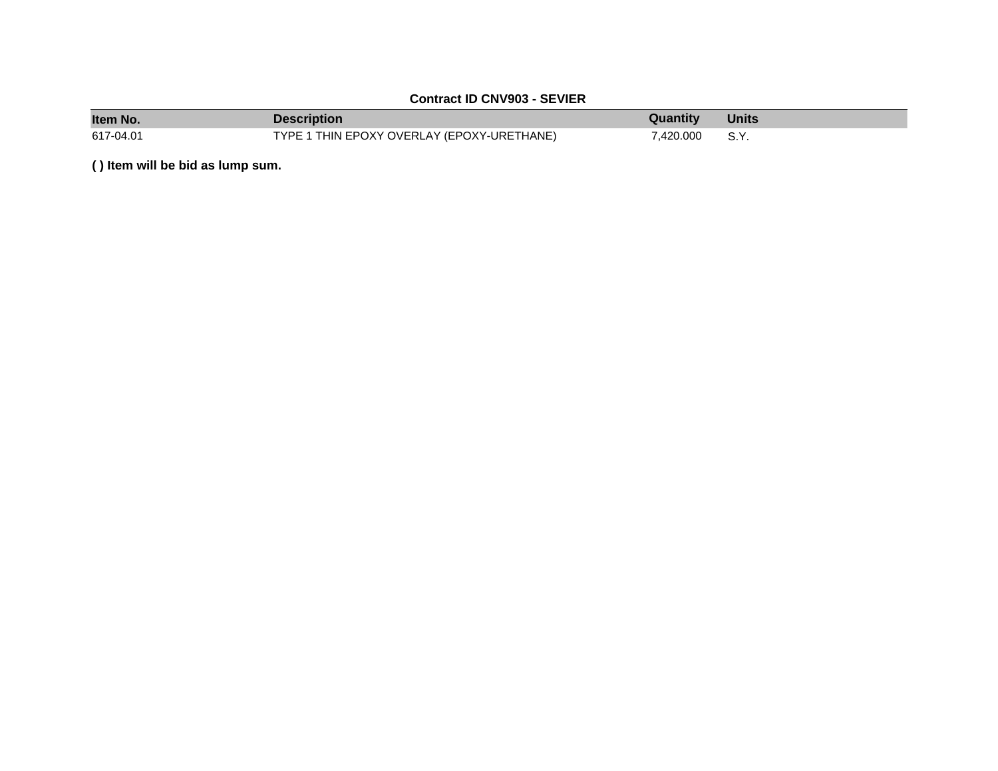#### **Contract ID CNV903 - SEVIER**

| <b>Item No</b> | Description                                | Quantity  | <b>Units</b> |
|----------------|--------------------------------------------|-----------|--------------|
| 617-04.01      | TYPE 1 THIN EPOXY OVERLAY (EPOXY-URETHANE) | 7.420.000 | S.Y.         |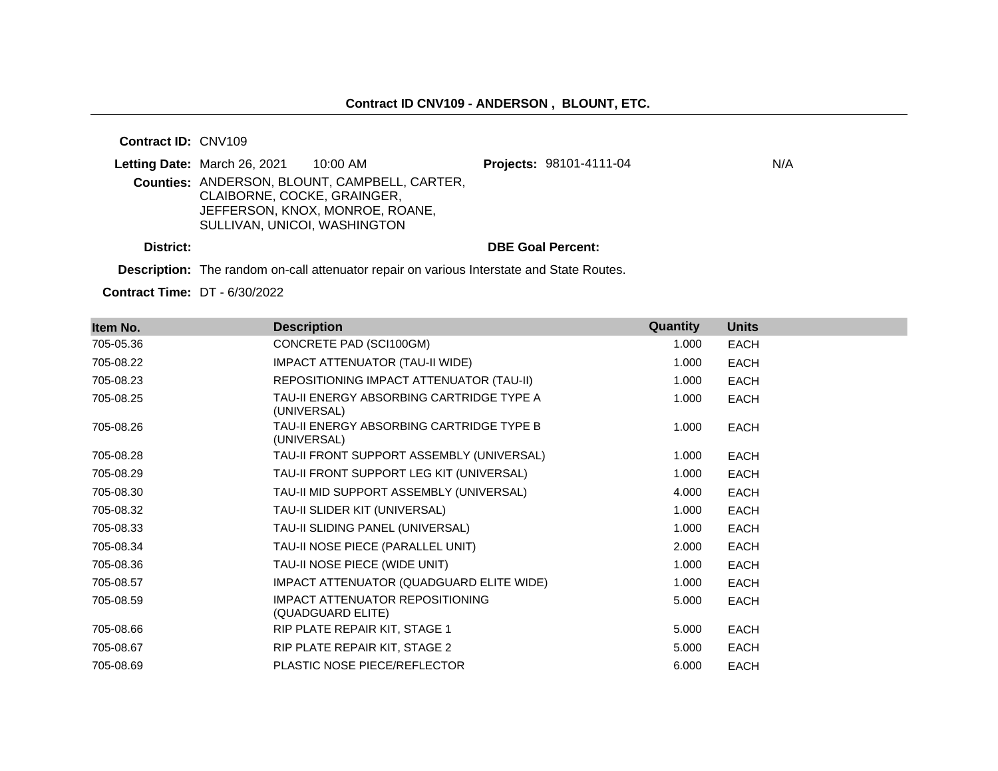**Contract ID:** CNV109

|           | Letting Date: March 26, 2021 | 10:00 AM                                             | <b>Projects: 98101-4111-04</b> | N/A |
|-----------|------------------------------|------------------------------------------------------|--------------------------------|-----|
|           | CLAIBORNE, COCKE, GRAINGER,  | <b>Counties: ANDERSON, BLOUNT, CAMPBELL, CARTER,</b> |                                |     |
|           |                              | JEFFERSON, KNOX, MONROE, ROANE,                      |                                |     |
|           | SULLIVAN, UNICOI, WASHINGTON |                                                      |                                |     |
| District: |                              |                                                      | <b>DBE Goal Percent:</b>       |     |

**Description:** The random on-call attenuator repair on various Interstate and State Routes.

**Contract Time:** DT - 6/30/2022

| Item No.  | <b>Description</b>                                          | Quantity | <b>Units</b> |
|-----------|-------------------------------------------------------------|----------|--------------|
| 705-05.36 | CONCRETE PAD (SCI100GM)                                     | 1.000    | <b>EACH</b>  |
| 705-08.22 | IMPACT ATTENUATOR (TAU-II WIDE)                             | 1.000    | <b>EACH</b>  |
| 705-08.23 | REPOSITIONING IMPACT ATTENUATOR (TAU-II)                    | 1.000    | <b>EACH</b>  |
| 705-08.25 | TAU-II ENERGY ABSORBING CARTRIDGE TYPE A<br>(UNIVERSAL)     | 1.000    | <b>EACH</b>  |
| 705-08.26 | TAU-II ENERGY ABSORBING CARTRIDGE TYPE B<br>(UNIVERSAL)     | 1.000    | <b>EACH</b>  |
| 705-08.28 | TAU-II FRONT SUPPORT ASSEMBLY (UNIVERSAL)                   | 1.000    | <b>EACH</b>  |
| 705-08.29 | TAU-II FRONT SUPPORT LEG KIT (UNIVERSAL)                    | 1.000    | <b>EACH</b>  |
| 705-08.30 | TAU-II MID SUPPORT ASSEMBLY (UNIVERSAL)                     | 4.000    | <b>EACH</b>  |
| 705-08.32 | TAU-II SLIDER KIT (UNIVERSAL)                               | 1.000    | <b>EACH</b>  |
| 705-08.33 | TAU-II SLIDING PANEL (UNIVERSAL)                            | 1.000    | <b>EACH</b>  |
| 705-08.34 | TAU-II NOSE PIECE (PARALLEL UNIT)                           | 2.000    | <b>EACH</b>  |
| 705-08.36 | TAU-II NOSE PIECE (WIDE UNIT)                               | 1.000    | <b>EACH</b>  |
| 705-08.57 | IMPACT ATTENUATOR (QUADGUARD ELITE WIDE)                    | 1.000    | <b>EACH</b>  |
| 705-08.59 | <b>IMPACT ATTENUATOR REPOSITIONING</b><br>(QUADGUARD ELITE) | 5.000    | <b>EACH</b>  |
| 705-08.66 | RIP PLATE REPAIR KIT, STAGE 1                               | 5.000    | <b>EACH</b>  |
| 705-08.67 | RIP PLATE REPAIR KIT, STAGE 2                               | 5.000    | <b>EACH</b>  |
| 705-08.69 | <b>PLASTIC NOSE PIECE/REFLECTOR</b>                         | 6.000    | <b>EACH</b>  |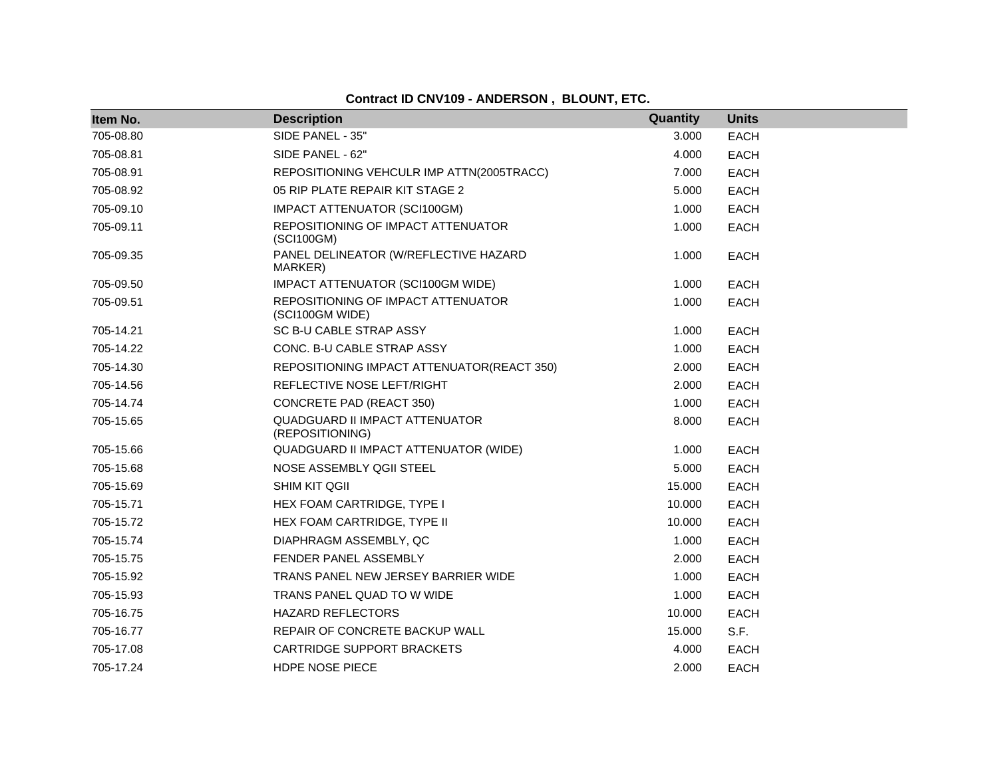| Item No.  | <b>Description</b>                                    | Quantity | <b>Units</b> |
|-----------|-------------------------------------------------------|----------|--------------|
| 705-08.80 | SIDE PANEL - 35"                                      | 3.000    | <b>EACH</b>  |
| 705-08.81 | SIDE PANEL - 62"                                      | 4.000    | <b>EACH</b>  |
| 705-08.91 | REPOSITIONING VEHCULR IMP ATTN(2005TRACC)             | 7.000    | <b>EACH</b>  |
| 705-08.92 | 05 RIP PLATE REPAIR KIT STAGE 2                       | 5.000    | <b>EACH</b>  |
| 705-09.10 | IMPACT ATTENUATOR (SCI100GM)                          | 1.000    | <b>EACH</b>  |
| 705-09.11 | REPOSITIONING OF IMPACT ATTENUATOR<br>(SCI100GM)      | 1.000    | <b>EACH</b>  |
| 705-09.35 | PANEL DELINEATOR (W/REFLECTIVE HAZARD<br>MARKER)      | 1.000    | <b>EACH</b>  |
| 705-09.50 | IMPACT ATTENUATOR (SCI100GM WIDE)                     | 1.000    | <b>EACH</b>  |
| 705-09.51 | REPOSITIONING OF IMPACT ATTENUATOR<br>(SCI100GM WIDE) | 1.000    | <b>EACH</b>  |
| 705-14.21 | SC B-U CABLE STRAP ASSY                               | 1.000    | <b>EACH</b>  |
| 705-14.22 | CONC. B-U CABLE STRAP ASSY                            | 1.000    | <b>EACH</b>  |
| 705-14.30 | REPOSITIONING IMPACT ATTENUATOR(REACT 350)            | 2.000    | <b>EACH</b>  |
| 705-14.56 | REFLECTIVE NOSE LEFT/RIGHT                            | 2.000    | EACH         |
| 705-14.74 | <b>CONCRETE PAD (REACT 350)</b>                       | 1.000    | <b>EACH</b>  |
| 705-15.65 | QUADGUARD II IMPACT ATTENUATOR<br>(REPOSITIONING)     | 8.000    | <b>EACH</b>  |
| 705-15.66 | QUADGUARD II IMPACT ATTENUATOR (WIDE)                 | 1.000    | <b>EACH</b>  |
| 705-15.68 | NOSE ASSEMBLY QGII STEEL                              | 5.000    | <b>EACH</b>  |
| 705-15.69 | <b>SHIM KIT QGII</b>                                  | 15.000   | <b>EACH</b>  |
| 705-15.71 | HEX FOAM CARTRIDGE, TYPE I                            | 10.000   | <b>EACH</b>  |
| 705-15.72 | HEX FOAM CARTRIDGE, TYPE II                           | 10.000   | <b>EACH</b>  |
| 705-15.74 | DIAPHRAGM ASSEMBLY, QC                                | 1.000    | <b>EACH</b>  |
| 705-15.75 | FENDER PANEL ASSEMBLY                                 | 2.000    | <b>EACH</b>  |
| 705-15.92 | TRANS PANEL NEW JERSEY BARRIER WIDE                   | 1.000    | <b>EACH</b>  |
| 705-15.93 | TRANS PANEL QUAD TO W WIDE                            | 1.000    | <b>EACH</b>  |
| 705-16.75 | <b>HAZARD REFLECTORS</b>                              | 10.000   | <b>EACH</b>  |
| 705-16.77 | REPAIR OF CONCRETE BACKUP WALL                        | 15.000   | S.F.         |
| 705-17.08 | <b>CARTRIDGE SUPPORT BRACKETS</b>                     | 4.000    | <b>EACH</b>  |
| 705-17.24 | <b>HDPE NOSE PIECE</b>                                | 2.000    | <b>EACH</b>  |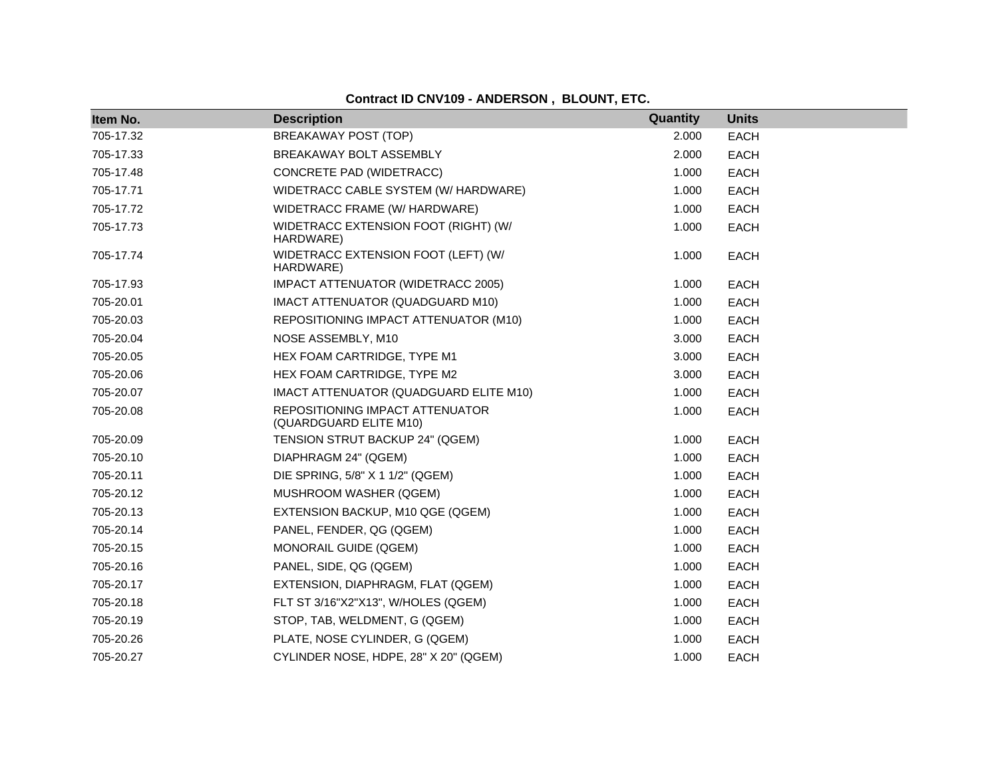| Item No.  | <b>Description</b>                                        | Quantity | <b>Units</b> |
|-----------|-----------------------------------------------------------|----------|--------------|
| 705-17.32 | BREAKAWAY POST (TOP)                                      | 2.000    | <b>EACH</b>  |
| 705-17.33 | BREAKAWAY BOLT ASSEMBLY                                   | 2.000    | <b>EACH</b>  |
| 705-17.48 | CONCRETE PAD (WIDETRACC)                                  | 1.000    | <b>EACH</b>  |
| 705-17.71 | WIDETRACC CABLE SYSTEM (W/ HARDWARE)                      | 1.000    | <b>EACH</b>  |
| 705-17.72 | WIDETRACC FRAME (W/ HARDWARE)                             | 1.000    | <b>EACH</b>  |
| 705-17.73 | WIDETRACC EXTENSION FOOT (RIGHT) (W/<br>HARDWARE)         | 1.000    | <b>EACH</b>  |
| 705-17.74 | WIDETRACC EXTENSION FOOT (LEFT) (W/<br>HARDWARE)          | 1.000    | <b>EACH</b>  |
| 705-17.93 | IMPACT ATTENUATOR (WIDETRACC 2005)                        | 1.000    | <b>EACH</b>  |
| 705-20.01 | IMACT ATTENUATOR (QUADGUARD M10)                          | 1.000    | <b>EACH</b>  |
| 705-20.03 | REPOSITIONING IMPACT ATTENUATOR (M10)                     | 1.000    | <b>EACH</b>  |
| 705-20.04 | NOSE ASSEMBLY, M10                                        | 3.000    | <b>EACH</b>  |
| 705-20.05 | HEX FOAM CARTRIDGE, TYPE M1                               | 3.000    | <b>EACH</b>  |
| 705-20.06 | HEX FOAM CARTRIDGE, TYPE M2                               | 3.000    | <b>EACH</b>  |
| 705-20.07 | IMACT ATTENUATOR (QUADGUARD ELITE M10)                    | 1.000    | <b>EACH</b>  |
| 705-20.08 | REPOSITIONING IMPACT ATTENUATOR<br>(QUARDGUARD ELITE M10) | 1.000    | <b>EACH</b>  |
| 705-20.09 | TENSION STRUT BACKUP 24" (QGEM)                           | 1.000    | <b>EACH</b>  |
| 705-20.10 | DIAPHRAGM 24" (QGEM)                                      | 1.000    | <b>EACH</b>  |
| 705-20.11 | DIE SPRING, 5/8" X 1 1/2" (QGEM)                          | 1.000    | <b>EACH</b>  |
| 705-20.12 | MUSHROOM WASHER (QGEM)                                    | 1.000    | <b>EACH</b>  |
| 705-20.13 | EXTENSION BACKUP, M10 QGE (QGEM)                          | 1.000    | <b>EACH</b>  |
| 705-20.14 | PANEL, FENDER, QG (QGEM)                                  | 1.000    | <b>EACH</b>  |
| 705-20.15 | <b>MONORAIL GUIDE (QGEM)</b>                              | 1.000    | <b>EACH</b>  |
| 705-20.16 | PANEL, SIDE, QG (QGEM)                                    | 1.000    | <b>EACH</b>  |
| 705-20.17 | EXTENSION, DIAPHRAGM, FLAT (QGEM)                         | 1.000    | <b>EACH</b>  |
| 705-20.18 | FLT ST 3/16"X2"X13", W/HOLES (QGEM)                       | 1.000    | <b>EACH</b>  |
| 705-20.19 | STOP, TAB, WELDMENT, G (QGEM)                             | 1.000    | <b>EACH</b>  |
| 705-20.26 | PLATE, NOSE CYLINDER, G (QGEM)                            | 1.000    | <b>EACH</b>  |
| 705-20.27 | CYLINDER NOSE, HDPE, 28" X 20" (QGEM)                     | 1.000    | <b>EACH</b>  |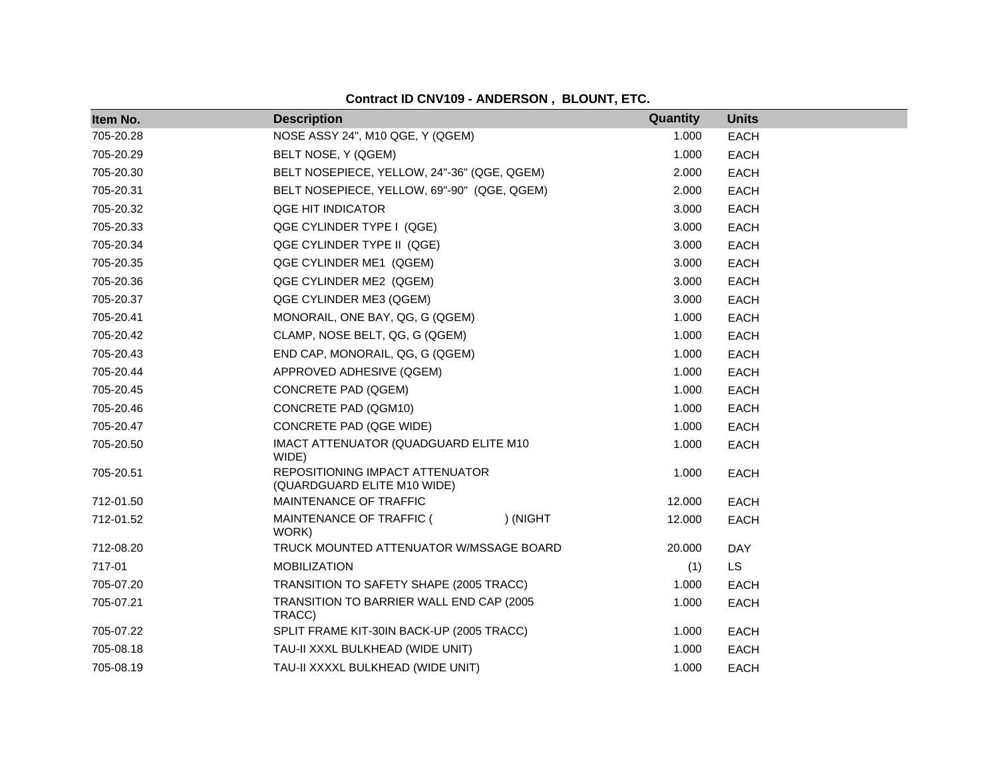| Item No.  | <b>Description</b>                                             |          | Quantity | <b>Units</b> |
|-----------|----------------------------------------------------------------|----------|----------|--------------|
| 705-20.28 | NOSE ASSY 24", M10 QGE, Y (QGEM)                               |          | 1.000    | <b>EACH</b>  |
| 705-20.29 | BELT NOSE, Y (QGEM)                                            |          | 1.000    | <b>EACH</b>  |
| 705-20.30 | BELT NOSEPIECE, YELLOW, 24"-36" (QGE, QGEM)                    |          | 2.000    | <b>EACH</b>  |
| 705-20.31 | BELT NOSEPIECE, YELLOW, 69"-90" (QGE, QGEM)                    |          | 2.000    | <b>EACH</b>  |
| 705-20.32 | QGE HIT INDICATOR                                              |          | 3.000    | <b>EACH</b>  |
| 705-20.33 | QGE CYLINDER TYPE I (QGE)                                      |          | 3.000    | <b>EACH</b>  |
| 705-20.34 | QGE CYLINDER TYPE II (QGE)                                     |          | 3.000    | <b>EACH</b>  |
| 705-20.35 | QGE CYLINDER ME1 (QGEM)                                        |          | 3.000    | <b>EACH</b>  |
| 705-20.36 | QGE CYLINDER ME2 (QGEM)                                        |          | 3.000    | EACH         |
| 705-20.37 | QGE CYLINDER ME3 (QGEM)                                        |          | 3.000    | <b>EACH</b>  |
| 705-20.41 | MONORAIL, ONE BAY, QG, G (QGEM)                                |          | 1.000    | EACH         |
| 705-20.42 | CLAMP, NOSE BELT, QG, G (QGEM)                                 |          | 1.000    | <b>EACH</b>  |
| 705-20.43 | END CAP, MONORAIL, QG, G (QGEM)                                |          | 1.000    | <b>EACH</b>  |
| 705-20.44 | APPROVED ADHESIVE (QGEM)                                       |          | 1.000    | <b>EACH</b>  |
| 705-20.45 | <b>CONCRETE PAD (QGEM)</b>                                     |          | 1.000    | <b>EACH</b>  |
| 705-20.46 | CONCRETE PAD (QGM10)                                           |          | 1.000    | <b>EACH</b>  |
| 705-20.47 | CONCRETE PAD (QGE WIDE)                                        |          | 1.000    | <b>EACH</b>  |
| 705-20.50 | IMACT ATTENUATOR (QUADGUARD ELITE M10<br>WIDE)                 |          | 1.000    | <b>EACH</b>  |
| 705-20.51 | REPOSITIONING IMPACT ATTENUATOR<br>(QUARDGUARD ELITE M10 WIDE) |          | 1.000    | <b>EACH</b>  |
| 712-01.50 | MAINTENANCE OF TRAFFIC                                         |          | 12.000   | <b>EACH</b>  |
| 712-01.52 | MAINTENANCE OF TRAFFIC (<br>WORK)                              | ) (NIGHT | 12.000   | <b>EACH</b>  |
| 712-08.20 | TRUCK MOUNTED ATTENUATOR W/MSSAGE BOARD                        |          | 20.000   | DAY          |
| 717-01    | <b>MOBILIZATION</b>                                            |          | (1)      | <b>LS</b>    |
| 705-07.20 | TRANSITION TO SAFETY SHAPE (2005 TRACC)                        |          | 1.000    | <b>EACH</b>  |
| 705-07.21 | TRANSITION TO BARRIER WALL END CAP (2005<br>TRACC)             |          | 1.000    | <b>EACH</b>  |
| 705-07.22 | SPLIT FRAME KIT-30IN BACK-UP (2005 TRACC)                      |          | 1.000    | <b>EACH</b>  |
| 705-08.18 | TAU-II XXXL BULKHEAD (WIDE UNIT)                               |          | 1.000    | <b>EACH</b>  |
| 705-08.19 | TAU-II XXXXL BULKHEAD (WIDE UNIT)                              |          | 1.000    | <b>EACH</b>  |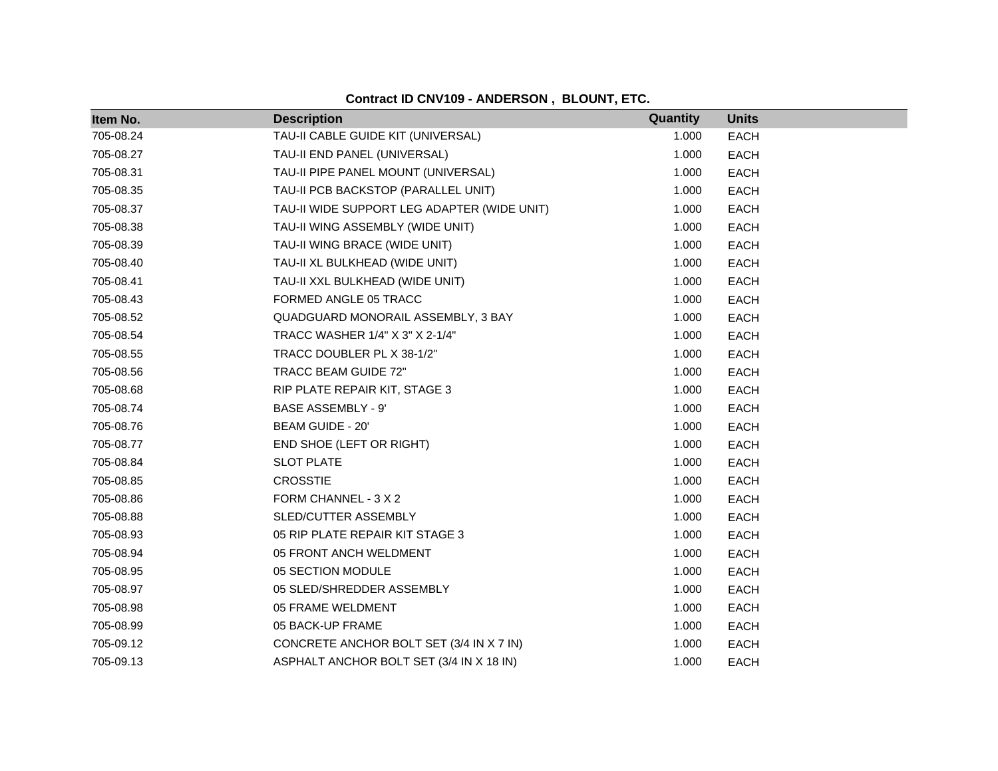| Item No.  | <b>Description</b>                          | Quantity | <b>Units</b> |
|-----------|---------------------------------------------|----------|--------------|
| 705-08.24 | TAU-II CABLE GUIDE KIT (UNIVERSAL)          | 1.000    | <b>EACH</b>  |
| 705-08.27 | TAU-II END PANEL (UNIVERSAL)                | 1.000    | <b>EACH</b>  |
| 705-08.31 | TAU-II PIPE PANEL MOUNT (UNIVERSAL)         | 1.000    | <b>EACH</b>  |
| 705-08.35 | TAU-II PCB BACKSTOP (PARALLEL UNIT)         | 1.000    | <b>EACH</b>  |
| 705-08.37 | TAU-II WIDE SUPPORT LEG ADAPTER (WIDE UNIT) | 1.000    | <b>EACH</b>  |
| 705-08.38 | TAU-II WING ASSEMBLY (WIDE UNIT)            | 1.000    | <b>EACH</b>  |
| 705-08.39 | TAU-II WING BRACE (WIDE UNIT)               | 1.000    | <b>EACH</b>  |
| 705-08.40 | TAU-II XL BULKHEAD (WIDE UNIT)              | 1.000    | <b>EACH</b>  |
| 705-08.41 | TAU-II XXL BULKHEAD (WIDE UNIT)             | 1.000    | EACH         |
| 705-08.43 | FORMED ANGLE 05 TRACC                       | 1.000    | EACH         |
| 705-08.52 | QUADGUARD MONORAIL ASSEMBLY, 3 BAY          | 1.000    | <b>EACH</b>  |
| 705-08.54 | TRACC WASHER 1/4" X 3" X 2-1/4"             | 1.000    | EACH         |
| 705-08.55 | TRACC DOUBLER PL X 38-1/2"                  | 1.000    | <b>EACH</b>  |
| 705-08.56 | TRACC BEAM GUIDE 72"                        | 1.000    | <b>EACH</b>  |
| 705-08.68 | RIP PLATE REPAIR KIT, STAGE 3               | 1.000    | <b>EACH</b>  |
| 705-08.74 | <b>BASE ASSEMBLY - 9'</b>                   | 1.000    | <b>EACH</b>  |
| 705-08.76 | BEAM GUIDE - 20'                            | 1.000    | <b>EACH</b>  |
| 705-08.77 | END SHOE (LEFT OR RIGHT)                    | 1.000    | <b>EACH</b>  |
| 705-08.84 | <b>SLOT PLATE</b>                           | 1.000    | <b>EACH</b>  |
| 705-08.85 | <b>CROSSTIE</b>                             | 1.000    | <b>EACH</b>  |
| 705-08.86 | FORM CHANNEL - 3 X 2                        | 1.000    | <b>EACH</b>  |
| 705-08.88 | SLED/CUTTER ASSEMBLY                        | 1.000    | <b>EACH</b>  |
| 705-08.93 | 05 RIP PLATE REPAIR KIT STAGE 3             | 1.000    | <b>EACH</b>  |
| 705-08.94 | 05 FRONT ANCH WELDMENT                      | 1.000    | <b>EACH</b>  |
| 705-08.95 | 05 SECTION MODULE                           | 1.000    | <b>EACH</b>  |
| 705-08.97 | 05 SLED/SHREDDER ASSEMBLY                   | 1.000    | <b>EACH</b>  |
| 705-08.98 | 05 FRAME WELDMENT                           | 1.000    | <b>EACH</b>  |
| 705-08.99 | 05 BACK-UP FRAME                            | 1.000    | <b>EACH</b>  |
| 705-09.12 | CONCRETE ANCHOR BOLT SET (3/4 IN X 7 IN)    | 1.000    | <b>EACH</b>  |
| 705-09.13 | ASPHALT ANCHOR BOLT SET (3/4 IN X 18 IN)    | 1.000    | <b>EACH</b>  |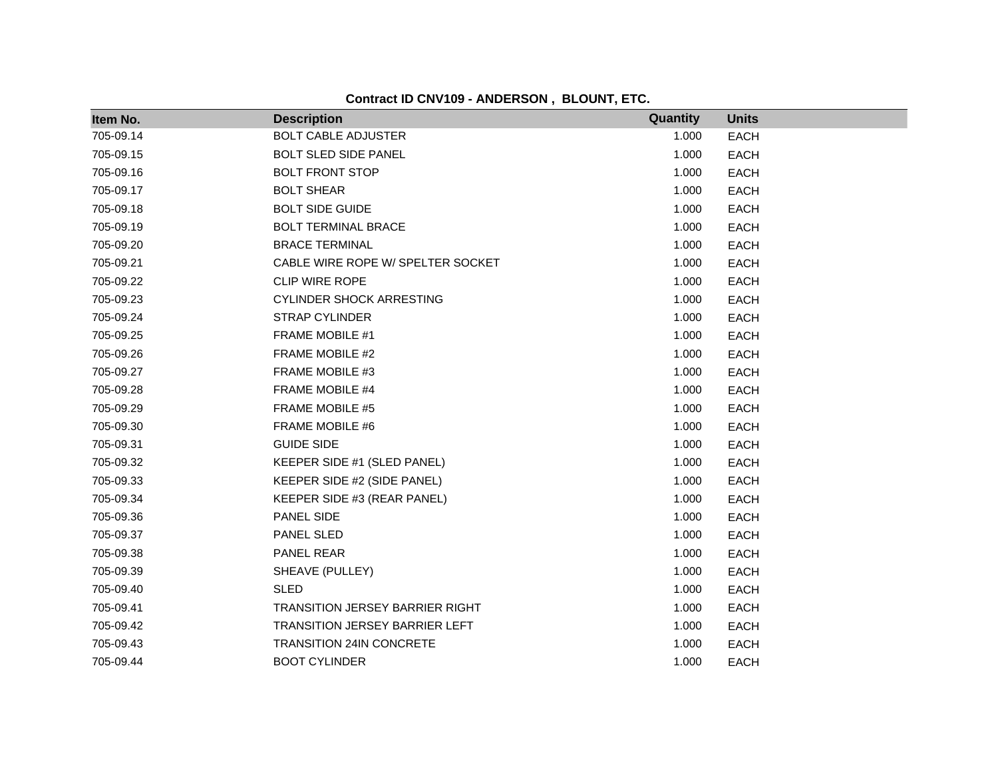| Item No.  | <b>Description</b>                     | Quantity | <b>Units</b> |
|-----------|----------------------------------------|----------|--------------|
| 705-09.14 | <b>BOLT CABLE ADJUSTER</b>             | 1.000    | <b>EACH</b>  |
| 705-09.15 | <b>BOLT SLED SIDE PANEL</b>            | 1.000    | <b>EACH</b>  |
| 705-09.16 | <b>BOLT FRONT STOP</b>                 | 1.000    | <b>EACH</b>  |
| 705-09.17 | <b>BOLT SHEAR</b>                      | 1.000    | <b>EACH</b>  |
| 705-09.18 | <b>BOLT SIDE GUIDE</b>                 | 1.000    | <b>EACH</b>  |
| 705-09.19 | <b>BOLT TERMINAL BRACE</b>             | 1.000    | <b>EACH</b>  |
| 705-09.20 | <b>BRACE TERMINAL</b>                  | 1.000    | <b>EACH</b>  |
| 705-09.21 | CABLE WIRE ROPE W/ SPELTER SOCKET      | 1.000    | <b>EACH</b>  |
| 705-09.22 | <b>CLIP WIRE ROPE</b>                  | 1.000    | <b>EACH</b>  |
| 705-09.23 | <b>CYLINDER SHOCK ARRESTING</b>        | 1.000    | <b>EACH</b>  |
| 705-09.24 | <b>STRAP CYLINDER</b>                  | 1.000    | EACH         |
| 705-09.25 | FRAME MOBILE #1                        | 1.000    | <b>EACH</b>  |
| 705-09.26 | FRAME MOBILE #2                        | 1.000    | <b>EACH</b>  |
| 705-09.27 | FRAME MOBILE #3                        | 1.000    | EACH         |
| 705-09.28 | FRAME MOBILE #4                        | 1.000    | EACH         |
| 705-09.29 | FRAME MOBILE #5                        | 1.000    | EACH         |
| 705-09.30 | FRAME MOBILE #6                        | 1.000    | EACH         |
| 705-09.31 | <b>GUIDE SIDE</b>                      | 1.000    | <b>EACH</b>  |
| 705-09.32 | KEEPER SIDE #1 (SLED PANEL)            | 1.000    | EACH         |
| 705-09.33 | KEEPER SIDE #2 (SIDE PANEL)            | 1.000    | EACH         |
| 705-09.34 | KEEPER SIDE #3 (REAR PANEL)            | 1.000    | EACH         |
| 705-09.36 | PANEL SIDE                             | 1.000    | EACH         |
| 705-09.37 | PANEL SLED                             | 1.000    | <b>EACH</b>  |
| 705-09.38 | PANEL REAR                             | 1.000    | EACH         |
| 705-09.39 | SHEAVE (PULLEY)                        | 1.000    | EACH         |
| 705-09.40 | <b>SLED</b>                            | 1.000    | <b>EACH</b>  |
| 705-09.41 | <b>TRANSITION JERSEY BARRIER RIGHT</b> | 1.000    | <b>EACH</b>  |
| 705-09.42 | <b>TRANSITION JERSEY BARRIER LEFT</b>  | 1.000    | <b>EACH</b>  |
| 705-09.43 | <b>TRANSITION 24IN CONCRETE</b>        | 1.000    | <b>EACH</b>  |
| 705-09.44 | <b>BOOT CYLINDER</b>                   | 1.000    | <b>EACH</b>  |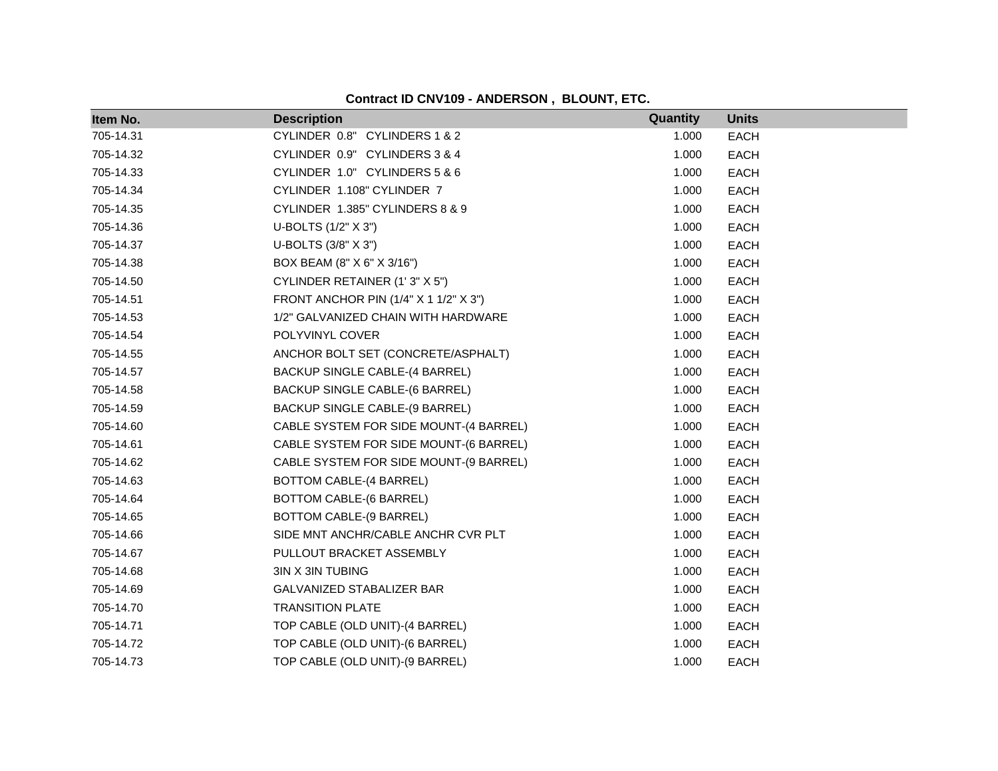|  |  |  | Contract ID CNV109 - ANDERSON, BLOUNT, ETC. |  |  |
|--|--|--|---------------------------------------------|--|--|
|--|--|--|---------------------------------------------|--|--|

| Item No.  | <b>Description</b>                     | Quantity | <b>Units</b> |
|-----------|----------------------------------------|----------|--------------|
| 705-14.31 | CYLINDER 0.8" CYLINDERS 1 & 2          | 1.000    | <b>EACH</b>  |
| 705-14.32 | CYLINDER 0.9" CYLINDERS 3 & 4          | 1.000    | <b>EACH</b>  |
| 705-14.33 | CYLINDER 1.0" CYLINDERS 5 & 6          | 1.000    | <b>EACH</b>  |
| 705-14.34 | CYLINDER 1.108" CYLINDER 7             | 1.000    | <b>EACH</b>  |
| 705-14.35 | CYLINDER 1.385" CYLINDERS 8 & 9        | 1.000    | <b>EACH</b>  |
| 705-14.36 | U-BOLTS (1/2" X 3")                    | 1.000    | <b>EACH</b>  |
| 705-14.37 | U-BOLTS (3/8" X 3")                    | 1.000    | <b>EACH</b>  |
| 705-14.38 | BOX BEAM (8" X 6" X 3/16")             | 1.000    | <b>EACH</b>  |
| 705-14.50 | CYLINDER RETAINER (1'3" X 5")          | 1.000    | <b>EACH</b>  |
| 705-14.51 | FRONT ANCHOR PIN (1/4" X 1 1/2" X 3")  | 1.000    | <b>EACH</b>  |
| 705-14.53 | 1/2" GALVANIZED CHAIN WITH HARDWARE    | 1.000    | <b>EACH</b>  |
| 705-14.54 | POLYVINYL COVER                        | 1.000    | <b>EACH</b>  |
| 705-14.55 | ANCHOR BOLT SET (CONCRETE/ASPHALT)     | 1.000    | <b>EACH</b>  |
| 705-14.57 | BACKUP SINGLE CABLE-(4 BARREL)         | 1.000    | <b>EACH</b>  |
| 705-14.58 | BACKUP SINGLE CABLE-(6 BARREL)         | 1.000    | <b>EACH</b>  |
| 705-14.59 | BACKUP SINGLE CABLE-(9 BARREL)         | 1.000    | <b>EACH</b>  |
| 705-14.60 | CABLE SYSTEM FOR SIDE MOUNT-(4 BARREL) | 1.000    | <b>EACH</b>  |
| 705-14.61 | CABLE SYSTEM FOR SIDE MOUNT-(6 BARREL) | 1.000    | <b>EACH</b>  |
| 705-14.62 | CABLE SYSTEM FOR SIDE MOUNT-(9 BARREL) | 1.000    | <b>EACH</b>  |
| 705-14.63 | BOTTOM CABLE-(4 BARREL)                | 1.000    | <b>EACH</b>  |
| 705-14.64 | <b>BOTTOM CABLE-(6 BARREL)</b>         | 1.000    | <b>EACH</b>  |
| 705-14.65 | BOTTOM CABLE-(9 BARREL)                | 1.000    | <b>EACH</b>  |
| 705-14.66 | SIDE MNT ANCHR/CABLE ANCHR CVR PLT     | 1.000    | <b>EACH</b>  |
| 705-14.67 | PULLOUT BRACKET ASSEMBLY               | 1.000    | <b>EACH</b>  |
| 705-14.68 | 3IN X 3IN TUBING                       | 1.000    | <b>EACH</b>  |
| 705-14.69 | GALVANIZED STABALIZER BAR              | 1.000    | <b>EACH</b>  |
| 705-14.70 | <b>TRANSITION PLATE</b>                | 1.000    | <b>EACH</b>  |
| 705-14.71 | TOP CABLE (OLD UNIT)-(4 BARREL)        | 1.000    | <b>EACH</b>  |
| 705-14.72 | TOP CABLE (OLD UNIT)-(6 BARREL)        | 1.000    | <b>EACH</b>  |
| 705-14.73 | TOP CABLE (OLD UNIT)-(9 BARREL)        | 1.000    | <b>EACH</b>  |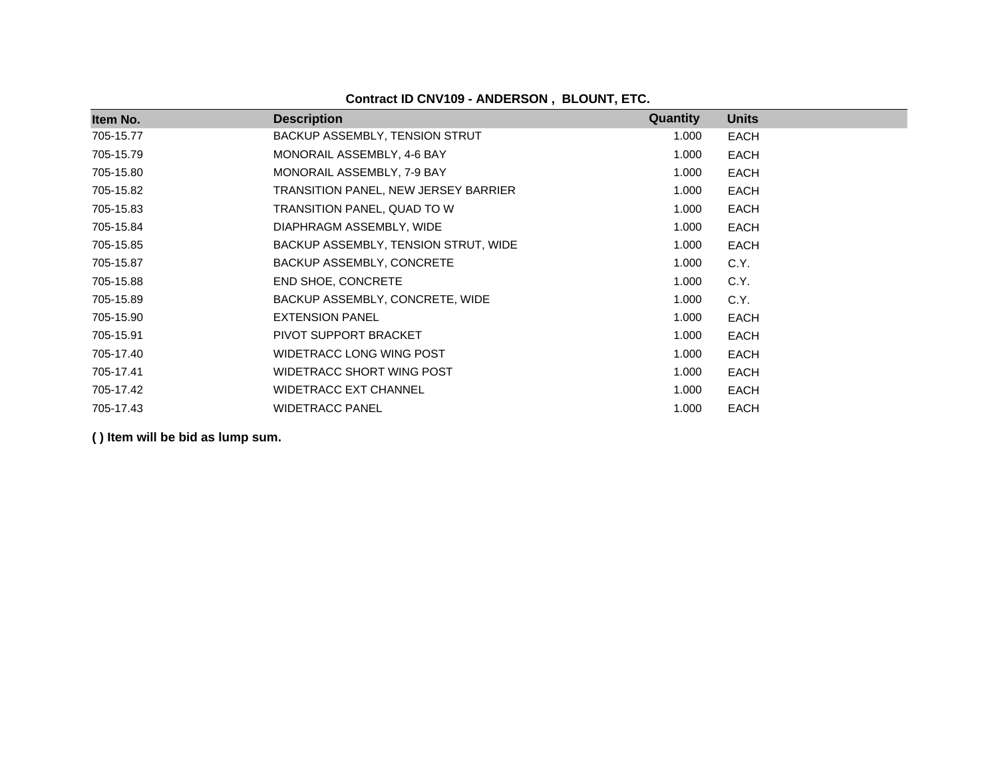| Item No.  | <b>Description</b>                   | Quantity | <b>Units</b> |
|-----------|--------------------------------------|----------|--------------|
| 705-15.77 | BACKUP ASSEMBLY, TENSION STRUT       | 1.000    | EACH         |
| 705-15.79 | MONORAIL ASSEMBLY, 4-6 BAY           | 1.000    | <b>EACH</b>  |
| 705-15.80 | MONORAIL ASSEMBLY, 7-9 BAY           | 1.000    | <b>EACH</b>  |
| 705-15.82 | TRANSITION PANEL, NEW JERSEY BARRIER | 1.000    | <b>EACH</b>  |
| 705-15.83 | TRANSITION PANEL, QUAD TO W          | 1.000    | <b>EACH</b>  |
| 705-15.84 | DIAPHRAGM ASSEMBLY, WIDE             | 1.000    | EACH         |
| 705-15.85 | BACKUP ASSEMBLY, TENSION STRUT, WIDE | 1.000    | EACH         |
| 705-15.87 | BACKUP ASSEMBLY, CONCRETE            | 1.000    | C.Y.         |
| 705-15.88 | <b>END SHOE, CONCRETE</b>            | 1.000    | C.Y.         |
| 705-15.89 | BACKUP ASSEMBLY, CONCRETE, WIDE      | 1.000    | C.Y.         |
| 705-15.90 | <b>EXTENSION PANEL</b>               | 1.000    | EACH         |
| 705-15.91 | PIVOT SUPPORT BRACKET                | 1.000    | EACH         |
| 705-17.40 | WIDETRACC LONG WING POST             | 1.000    | EACH         |
| 705-17.41 | WIDETRACC SHORT WING POST            | 1.000    | EACH         |
| 705-17.42 | <b>WIDETRACC EXT CHANNEL</b>         | 1.000    | EACH         |
| 705-17.43 | <b>WIDETRACC PANEL</b>               | 1.000    | <b>EACH</b>  |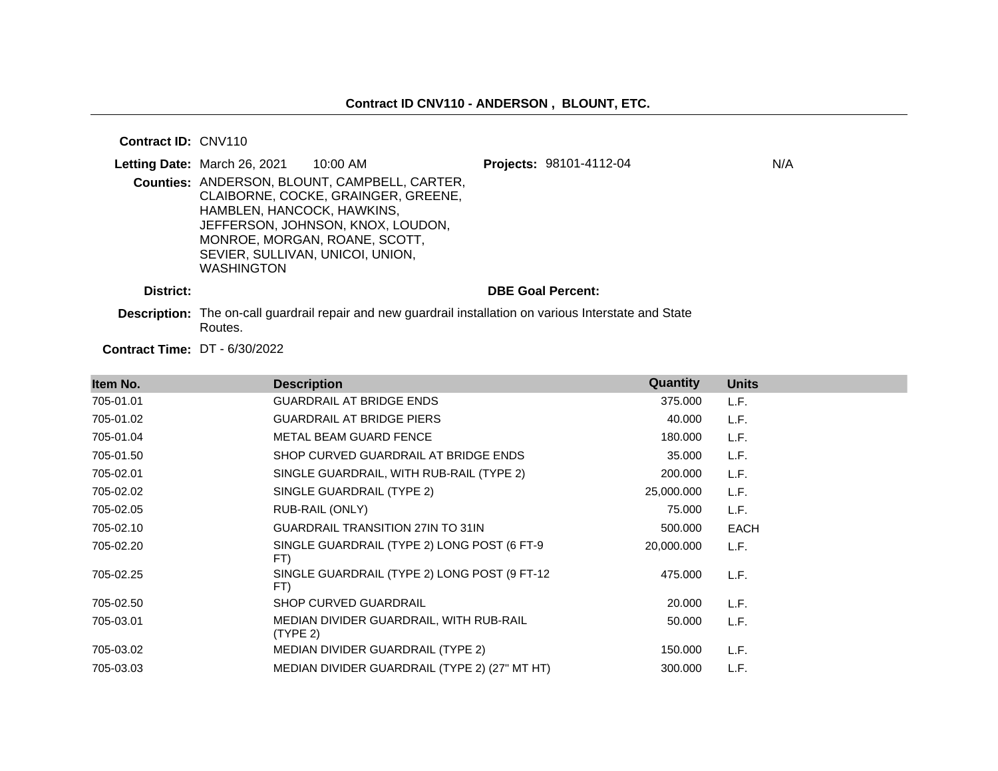#### **Contract ID:** CNV110

|           | <b>Letting Date: March 26, 2021 10:00 AM</b>                                        |                                                                                                                                                            | Projects: 98101-4112-04  | N/A |
|-----------|-------------------------------------------------------------------------------------|------------------------------------------------------------------------------------------------------------------------------------------------------------|--------------------------|-----|
|           | HAMBLEN, HANCOCK, HAWKINS,<br>SEVIER, SULLIVAN, UNICOI, UNION,<br><b>WASHINGTON</b> | Counties: ANDERSON, BLOUNT, CAMPBELL, CARTER,<br>CLAIBORNE, COCKE, GRAINGER, GREENE,<br>JEFFERSON, JOHNSON, KNOX, LOUDON,<br>MONROE, MORGAN, ROANE, SCOTT, |                          |     |
| District: |                                                                                     | De la contrata de Tillo de la contrata de la contrata de la contrata de la contrata de la contrata de la Origin                                            | <b>DBE Goal Percent:</b> |     |

**Description:** The on-call guardrail repair and new guardrail installation on various Interstate and State Routes.

**Contract Time:** DT - 6/30/2022

| Item No.  | <b>Description</b>                                  | Quantity   | <b>Units</b> |
|-----------|-----------------------------------------------------|------------|--------------|
| 705-01.01 | <b>GUARDRAIL AT BRIDGE ENDS</b>                     | 375.000    | L.F.         |
| 705-01.02 | <b>GUARDRAIL AT BRIDGE PIERS</b>                    | 40.000     | L.F.         |
| 705-01.04 | METAL BEAM GUARD FENCE                              | 180.000    | L.F.         |
| 705-01.50 | SHOP CURVED GUARDRAIL AT BRIDGE ENDS                | 35.000     | L.F.         |
| 705-02.01 | SINGLE GUARDRAIL, WITH RUB-RAIL (TYPE 2)            | 200.000    | L.F.         |
| 705-02.02 | SINGLE GUARDRAIL (TYPE 2)                           | 25,000.000 | L.F.         |
| 705-02.05 | RUB-RAIL (ONLY)                                     | 75.000     | L.F.         |
| 705-02.10 | <b>GUARDRAIL TRANSITION 27IN TO 31IN</b>            | 500.000    | <b>EACH</b>  |
| 705-02.20 | SINGLE GUARDRAIL (TYPE 2) LONG POST (6 FT-9<br>FT)  | 20,000.000 | L.F.         |
| 705-02.25 | SINGLE GUARDRAIL (TYPE 2) LONG POST (9 FT-12<br>FT) | 475.000    | L.F.         |
| 705-02.50 | <b>SHOP CURVED GUARDRAIL</b>                        | 20.000     | L.F.         |
| 705-03.01 | MEDIAN DIVIDER GUARDRAIL, WITH RUB-RAIL<br>(TYPE 2) | 50.000     | L.F.         |
| 705-03.02 | <b>MEDIAN DIVIDER GUARDRAIL (TYPE 2)</b>            | 150.000    | L.F.         |
| 705-03.03 | MEDIAN DIVIDER GUARDRAIL (TYPE 2) (27" MT HT)       | 300,000    | L.F.         |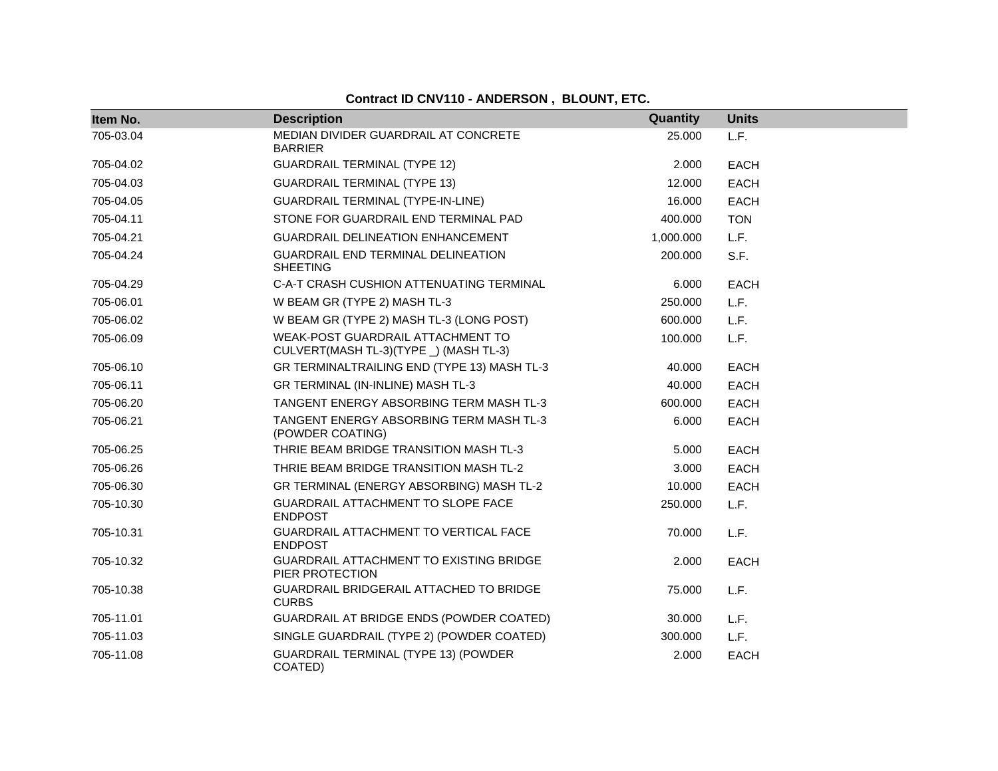| Item No.  | <b>Description</b>                                                          | Quantity  | <b>Units</b> |
|-----------|-----------------------------------------------------------------------------|-----------|--------------|
| 705-03.04 | MEDIAN DIVIDER GUARDRAIL AT CONCRETE<br><b>BARRIER</b>                      | 25.000    | L.F.         |
| 705-04.02 | <b>GUARDRAIL TERMINAL (TYPE 12)</b>                                         | 2.000     | EACH         |
| 705-04.03 | <b>GUARDRAIL TERMINAL (TYPE 13)</b>                                         | 12.000    | <b>EACH</b>  |
| 705-04.05 | <b>GUARDRAIL TERMINAL (TYPE-IN-LINE)</b>                                    | 16.000    | <b>EACH</b>  |
| 705-04.11 | STONE FOR GUARDRAIL END TERMINAL PAD                                        | 400.000   | <b>TON</b>   |
| 705-04.21 | <b>GUARDRAIL DELINEATION ENHANCEMENT</b>                                    | 1,000.000 | L.F.         |
| 705-04.24 | GUARDRAIL END TERMINAL DELINEATION<br><b>SHEETING</b>                       | 200.000   | S.F.         |
| 705-04.29 | C-A-T CRASH CUSHION ATTENUATING TERMINAL                                    | 6.000     | <b>EACH</b>  |
| 705-06.01 | W BEAM GR (TYPE 2) MASH TL-3                                                | 250.000   | L.F.         |
| 705-06.02 | W BEAM GR (TYPE 2) MASH TL-3 (LONG POST)                                    | 600.000   | L.F.         |
| 705-06.09 | WEAK-POST GUARDRAIL ATTACHMENT TO<br>CULVERT(MASH TL-3)(TYPE _) (MASH TL-3) | 100.000   | L.F.         |
| 705-06.10 | GR TERMINALTRAILING END (TYPE 13) MASH TL-3                                 | 40.000    | <b>EACH</b>  |
| 705-06.11 | GR TERMINAL (IN-INLINE) MASH TL-3                                           | 40.000    | <b>EACH</b>  |
| 705-06.20 | TANGENT ENERGY ABSORBING TERM MASH TL-3                                     | 600.000   | <b>EACH</b>  |
| 705-06.21 | TANGENT ENERGY ABSORBING TERM MASH TL-3<br>(POWDER COATING)                 | 6.000     | <b>EACH</b>  |
| 705-06.25 | THRIE BEAM BRIDGE TRANSITION MASH TL-3                                      | 5.000     | <b>EACH</b>  |
| 705-06.26 | THRIE BEAM BRIDGE TRANSITION MASH TL-2                                      | 3.000     | <b>EACH</b>  |
| 705-06.30 | GR TERMINAL (ENERGY ABSORBING) MASH TL-2                                    | 10.000    | <b>EACH</b>  |
| 705-10.30 | GUARDRAIL ATTACHMENT TO SLOPE FACE<br><b>ENDPOST</b>                        | 250.000   | L.F.         |
| 705-10.31 | GUARDRAIL ATTACHMENT TO VERTICAL FACE<br><b>ENDPOST</b>                     | 70.000    | L.F.         |
| 705-10.32 | GUARDRAIL ATTACHMENT TO EXISTING BRIDGE<br>PIER PROTECTION                  | 2.000     | <b>EACH</b>  |
| 705-10.38 | <b>GUARDRAIL BRIDGERAIL ATTACHED TO BRIDGE</b><br><b>CURBS</b>              | 75.000    | L.F.         |
| 705-11.01 | GUARDRAIL AT BRIDGE ENDS (POWDER COATED)                                    | 30.000    | L.F.         |
| 705-11.03 | SINGLE GUARDRAIL (TYPE 2) (POWDER COATED)                                   | 300.000   | L.F.         |
| 705-11.08 | <b>GUARDRAIL TERMINAL (TYPE 13) (POWDER</b><br>COATED)                      | 2.000     | <b>EACH</b>  |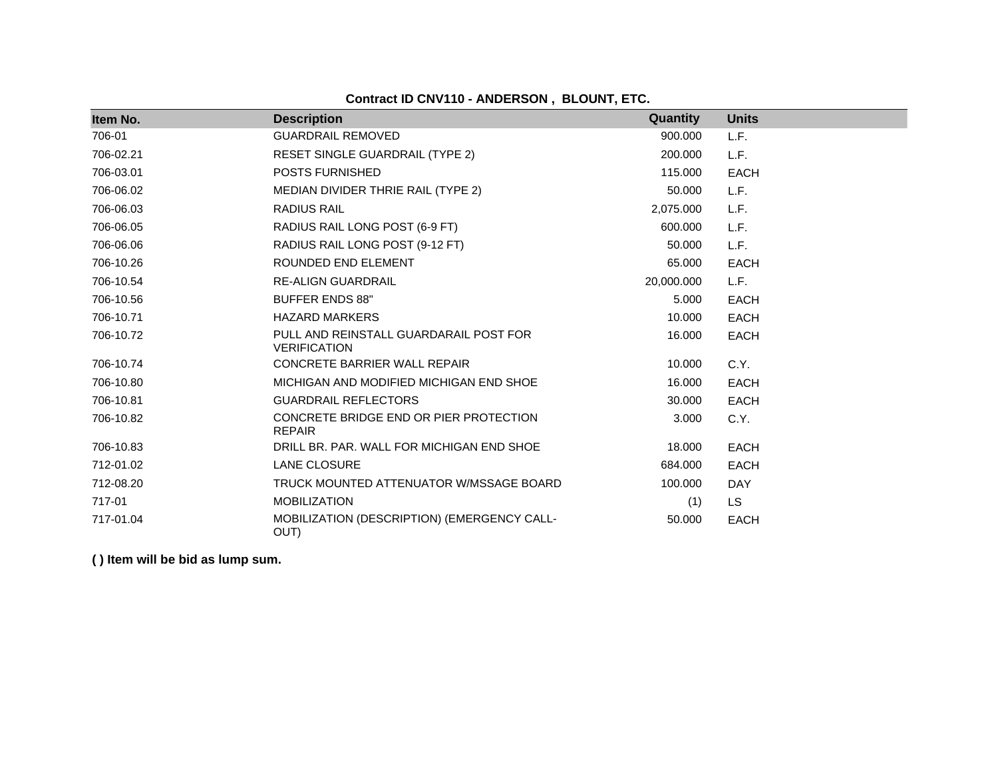**Contract ID CNV110 - ANDERSON , BLOUNT, ETC.**

| Item No.  | <b>Description</b>                                            | Quantity   | <b>Units</b> |
|-----------|---------------------------------------------------------------|------------|--------------|
| 706-01    | <b>GUARDRAIL REMOVED</b>                                      | 900.000    | L.F.         |
| 706-02.21 | <b>RESET SINGLE GUARDRAIL (TYPE 2)</b>                        | 200.000    | L.F.         |
| 706-03.01 | POSTS FURNISHED                                               | 115.000    | <b>EACH</b>  |
| 706-06.02 | MEDIAN DIVIDER THRIE RAIL (TYPE 2)                            | 50.000     | L.F.         |
| 706-06.03 | <b>RADIUS RAIL</b>                                            | 2,075.000  | L.F.         |
| 706-06.05 | RADIUS RAIL LONG POST (6-9 FT)                                | 600.000    | L.F.         |
| 706-06.06 | RADIUS RAIL LONG POST (9-12 FT)                               | 50,000     | L.F.         |
| 706-10.26 | ROUNDED END ELEMENT                                           | 65.000     | <b>EACH</b>  |
| 706-10.54 | <b>RE-ALIGN GUARDRAIL</b>                                     | 20,000.000 | L.F.         |
| 706-10.56 | <b>BUFFER ENDS 88"</b>                                        | 5.000      | <b>EACH</b>  |
| 706-10.71 | <b>HAZARD MARKERS</b>                                         | 10.000     | <b>EACH</b>  |
| 706-10.72 | PULL AND REINSTALL GUARDARAIL POST FOR<br><b>VERIFICATION</b> | 16.000     | <b>EACH</b>  |
| 706-10.74 | CONCRETE BARRIER WALL REPAIR                                  | 10.000     | C.Y.         |
| 706-10.80 | MICHIGAN AND MODIFIED MICHIGAN END SHOE                       | 16.000     | <b>EACH</b>  |
| 706-10.81 | <b>GUARDRAIL REFLECTORS</b>                                   | 30,000     | <b>EACH</b>  |
| 706-10.82 | CONCRETE BRIDGE END OR PIER PROTECTION<br><b>REPAIR</b>       | 3.000      | C.Y.         |
| 706-10.83 | DRILL BR. PAR. WALL FOR MICHIGAN END SHOE                     | 18.000     | <b>EACH</b>  |
| 712-01.02 | <b>LANE CLOSURE</b>                                           | 684.000    | <b>EACH</b>  |
| 712-08.20 | TRUCK MOUNTED ATTENUATOR W/MSSAGE BOARD                       | 100.000    | <b>DAY</b>   |
| 717-01    | <b>MOBILIZATION</b>                                           | (1)        | LS.          |
| 717-01.04 | MOBILIZATION (DESCRIPTION) (EMERGENCY CALL-<br>OUT)           | 50.000     | <b>EACH</b>  |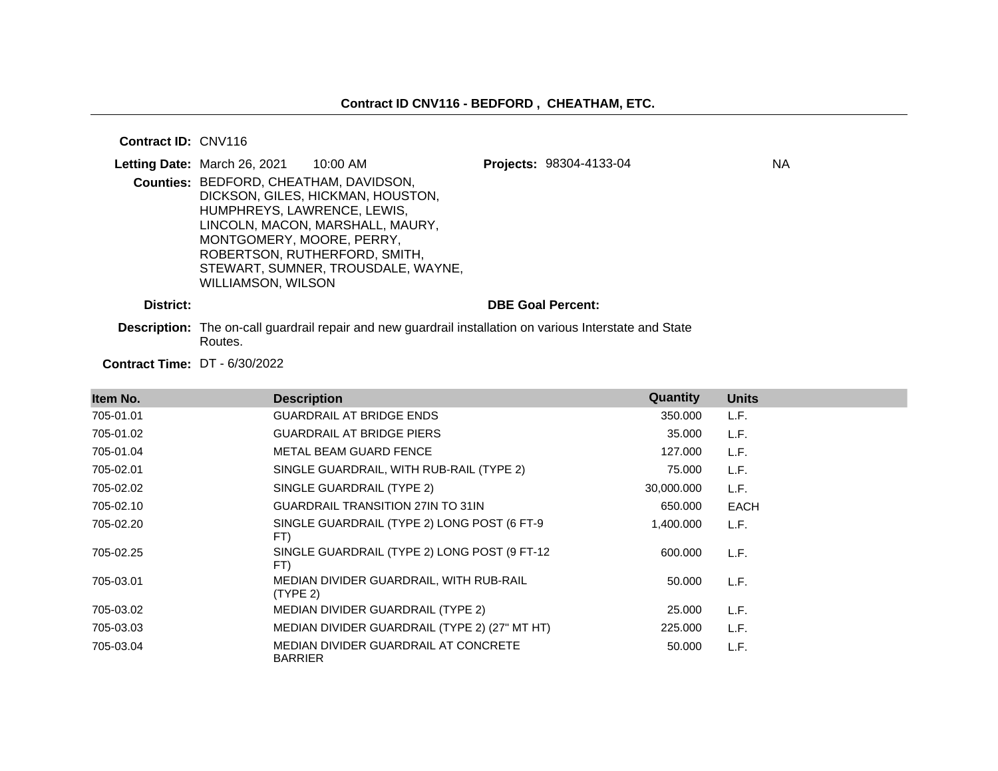**Contract ID:** CNV116

|           | Letting Date: March 26, 2021                                                                       | 10:00 AM                                                                                                                                     | Projects: 98304-4133-04  | ΝA |
|-----------|----------------------------------------------------------------------------------------------------|----------------------------------------------------------------------------------------------------------------------------------------------|--------------------------|----|
|           | Counties: BEDFORD, CHEATHAM, DAVIDSON,<br>HUMPHREYS, LAWRENCE, LEWIS,<br>MONTGOMERY, MOORE, PERRY, | DICKSON, GILES, HICKMAN, HOUSTON,<br>LINCOLN, MACON, MARSHALL, MAURY,<br>ROBERTSON, RUTHERFORD, SMITH,<br>STEWART, SUMNER, TROUSDALE, WAYNE, |                          |    |
|           | WILLIAMSON, WILSON                                                                                 |                                                                                                                                              |                          |    |
| District: |                                                                                                    |                                                                                                                                              | <b>DBE Goal Percent:</b> |    |

**Description:** The on-call guardrail repair and new guardrail installation on various Interstate and State Routes.

**Contract Time:** DT - 6/30/2022

| Item No.  | <b>Description</b>                                     | <b>Quantity</b> | <b>Units</b> |
|-----------|--------------------------------------------------------|-----------------|--------------|
| 705-01.01 | <b>GUARDRAIL AT BRIDGE ENDS</b>                        | 350,000         | L.F.         |
| 705-01.02 | <b>GUARDRAIL AT BRIDGE PIERS</b>                       | 35.000          | L.F.         |
| 705-01.04 | METAL BEAM GUARD FENCE                                 | 127.000         | L.F.         |
| 705-02.01 | SINGLE GUARDRAIL, WITH RUB-RAIL (TYPE 2)               | 75.000          | L.F.         |
| 705-02.02 | SINGLE GUARDRAIL (TYPE 2)                              | 30,000.000      | L.F.         |
| 705-02.10 | <b>GUARDRAIL TRANSITION 27IN TO 31IN</b>               | 650.000         | <b>EACH</b>  |
| 705-02.20 | SINGLE GUARDRAIL (TYPE 2) LONG POST (6 FT-9<br>FT)     | 1,400.000       | L.F.         |
| 705-02.25 | SINGLE GUARDRAIL (TYPE 2) LONG POST (9 FT-12<br>FT)    | 600,000         | L.F.         |
| 705-03.01 | MEDIAN DIVIDER GUARDRAIL, WITH RUB-RAIL<br>(TYPE 2)    | 50.000          | L.F.         |
| 705-03.02 | MEDIAN DIVIDER GUARDRAIL (TYPE 2)                      | 25,000          | L.F.         |
| 705-03.03 | MEDIAN DIVIDER GUARDRAIL (TYPE 2) (27" MT HT)          | 225,000         | L.F.         |
| 705-03.04 | MEDIAN DIVIDER GUARDRAIL AT CONCRETE<br><b>BARRIER</b> | 50.000          | L.F.         |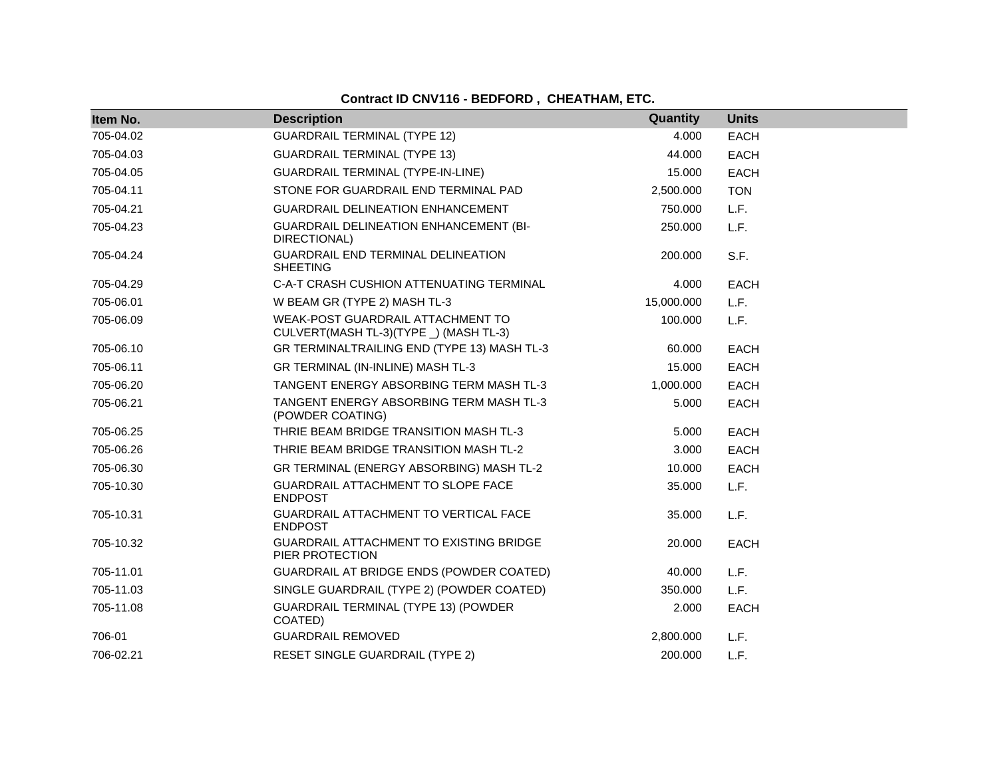# **Contract ID CNV116 - BEDFORD , CHEATHAM, ETC.**

| Item No.  | <b>Description</b>                                                          | Quantity   | <b>Units</b> |
|-----------|-----------------------------------------------------------------------------|------------|--------------|
| 705-04.02 | <b>GUARDRAIL TERMINAL (TYPE 12)</b>                                         | 4.000      | <b>EACH</b>  |
| 705-04.03 | <b>GUARDRAIL TERMINAL (TYPE 13)</b>                                         | 44.000     | <b>EACH</b>  |
| 705-04.05 | GUARDRAIL TERMINAL (TYPE-IN-LINE)                                           | 15.000     | <b>EACH</b>  |
| 705-04.11 | STONE FOR GUARDRAIL END TERMINAL PAD                                        | 2,500.000  | <b>TON</b>   |
| 705-04.21 | <b>GUARDRAIL DELINEATION ENHANCEMENT</b>                                    | 750.000    | L.F.         |
| 705-04.23 | GUARDRAIL DELINEATION ENHANCEMENT (BI-<br>DIRECTIONAL)                      | 250.000    | L.F.         |
| 705-04.24 | GUARDRAIL END TERMINAL DELINEATION<br><b>SHEETING</b>                       | 200.000    | S.F.         |
| 705-04.29 | C-A-T CRASH CUSHION ATTENUATING TERMINAL                                    | 4.000      | <b>EACH</b>  |
| 705-06.01 | W BEAM GR (TYPE 2) MASH TL-3                                                | 15,000.000 | L.F.         |
| 705-06.09 | WEAK-POST GUARDRAIL ATTACHMENT TO<br>CULVERT(MASH TL-3)(TYPE _) (MASH TL-3) | 100.000    | L.F.         |
| 705-06.10 | GR TERMINALTRAILING END (TYPE 13) MASH TL-3                                 | 60.000     | EACH         |
| 705-06.11 | GR TERMINAL (IN-INLINE) MASH TL-3                                           | 15.000     | <b>EACH</b>  |
| 705-06.20 | TANGENT ENERGY ABSORBING TERM MASH TL-3                                     | 1,000.000  | <b>EACH</b>  |
| 705-06.21 | TANGENT ENERGY ABSORBING TERM MASH TL-3<br>(POWDER COATING)                 | 5.000      | <b>EACH</b>  |
| 705-06.25 | THRIE BEAM BRIDGE TRANSITION MASH TL-3                                      | 5.000      | EACH         |
| 705-06.26 | THRIE BEAM BRIDGE TRANSITION MASH TL-2                                      | 3.000      | <b>EACH</b>  |
| 705-06.30 | GR TERMINAL (ENERGY ABSORBING) MASH TL-2                                    | 10.000     | <b>EACH</b>  |
| 705-10.30 | GUARDRAIL ATTACHMENT TO SLOPE FACE<br><b>ENDPOST</b>                        | 35.000     | L.F.         |
| 705-10.31 | GUARDRAIL ATTACHMENT TO VERTICAL FACE<br><b>ENDPOST</b>                     | 35.000     | L.F.         |
| 705-10.32 | GUARDRAIL ATTACHMENT TO EXISTING BRIDGE<br>PIER PROTECTION                  | 20.000     | <b>EACH</b>  |
| 705-11.01 | GUARDRAIL AT BRIDGE ENDS (POWDER COATED)                                    | 40.000     | L.F.         |
| 705-11.03 | SINGLE GUARDRAIL (TYPE 2) (POWDER COATED)                                   | 350.000    | L.F.         |
| 705-11.08 | <b>GUARDRAIL TERMINAL (TYPE 13) (POWDER</b><br>COATED)                      | 2.000      | <b>EACH</b>  |
| 706-01    | <b>GUARDRAIL REMOVED</b>                                                    | 2,800.000  | L.F.         |
| 706-02.21 | <b>RESET SINGLE GUARDRAIL (TYPE 2)</b>                                      | 200.000    | L.F.         |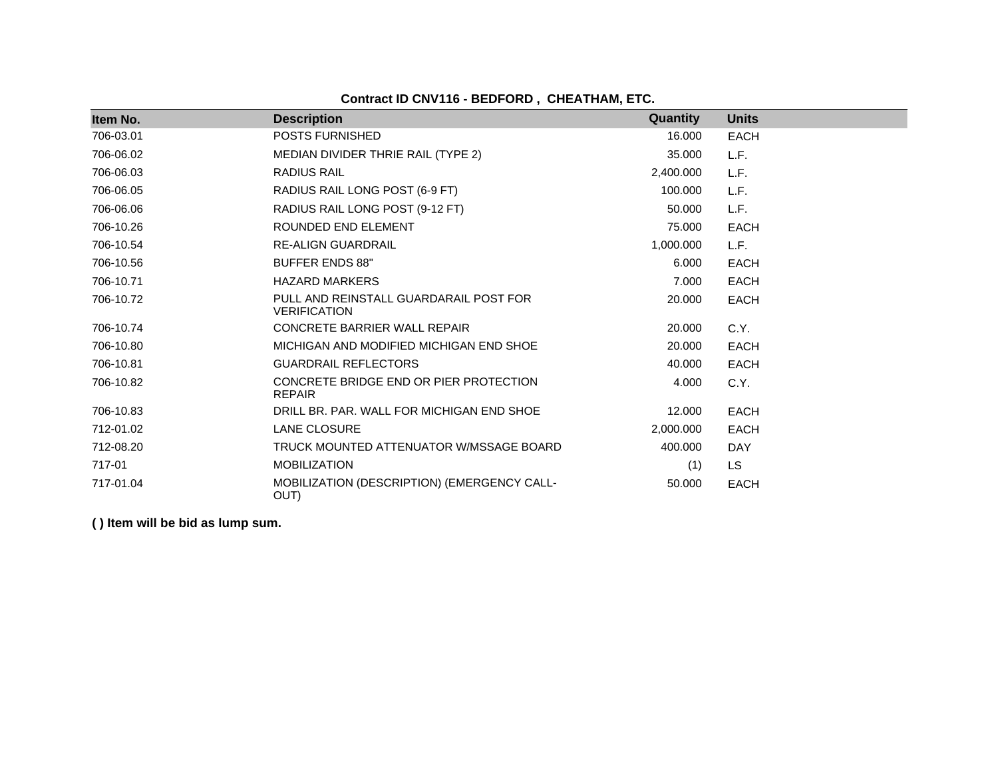**Contract ID CNV116 - BEDFORD , CHEATHAM, ETC.**

| Item No.  | <b>Description</b>                                            | Quantity  | <b>Units</b> |
|-----------|---------------------------------------------------------------|-----------|--------------|
| 706-03.01 | POSTS FURNISHED                                               | 16.000    | EACH         |
| 706-06.02 | MEDIAN DIVIDER THRIE RAIL (TYPE 2)                            | 35.000    | L.F.         |
| 706-06.03 | <b>RADIUS RAIL</b>                                            | 2,400.000 | L.F.         |
| 706-06.05 | RADIUS RAIL LONG POST (6-9 FT)                                | 100.000   | L.F.         |
| 706-06.06 | RADIUS RAIL LONG POST (9-12 FT)                               | 50.000    | L.F.         |
| 706-10.26 | ROUNDED END ELEMENT                                           | 75.000    | <b>EACH</b>  |
| 706-10.54 | <b>RE-ALIGN GUARDRAIL</b>                                     | 1,000.000 | L.F.         |
| 706-10.56 | <b>BUFFER ENDS 88"</b>                                        | 6.000     | <b>EACH</b>  |
| 706-10.71 | <b>HAZARD MARKERS</b>                                         | 7.000     | <b>EACH</b>  |
| 706-10.72 | PULL AND REINSTALL GUARDARAIL POST FOR<br><b>VERIFICATION</b> | 20,000    | <b>EACH</b>  |
| 706-10.74 | <b>CONCRETE BARRIER WALL REPAIR</b>                           | 20,000    | C.Y.         |
| 706-10.80 | MICHIGAN AND MODIFIED MICHIGAN END SHOE                       | 20,000    | <b>EACH</b>  |
| 706-10.81 | <b>GUARDRAIL REFLECTORS</b>                                   | 40.000    | <b>EACH</b>  |
| 706-10.82 | CONCRETE BRIDGE END OR PIER PROTECTION<br><b>REPAIR</b>       | 4.000     | C.Y.         |
| 706-10.83 | DRILL BR. PAR. WALL FOR MICHIGAN END SHOE                     | 12.000    | <b>EACH</b>  |
| 712-01.02 | <b>LANE CLOSURE</b>                                           | 2,000.000 | <b>EACH</b>  |
| 712-08.20 | TRUCK MOUNTED ATTENUATOR W/MSSAGE BOARD                       | 400.000   | <b>DAY</b>   |
| 717-01    | <b>MOBILIZATION</b>                                           | (1)       | LS.          |
| 717-01.04 | MOBILIZATION (DESCRIPTION) (EMERGENCY CALL-<br>OUT)           | 50.000    | <b>EACH</b>  |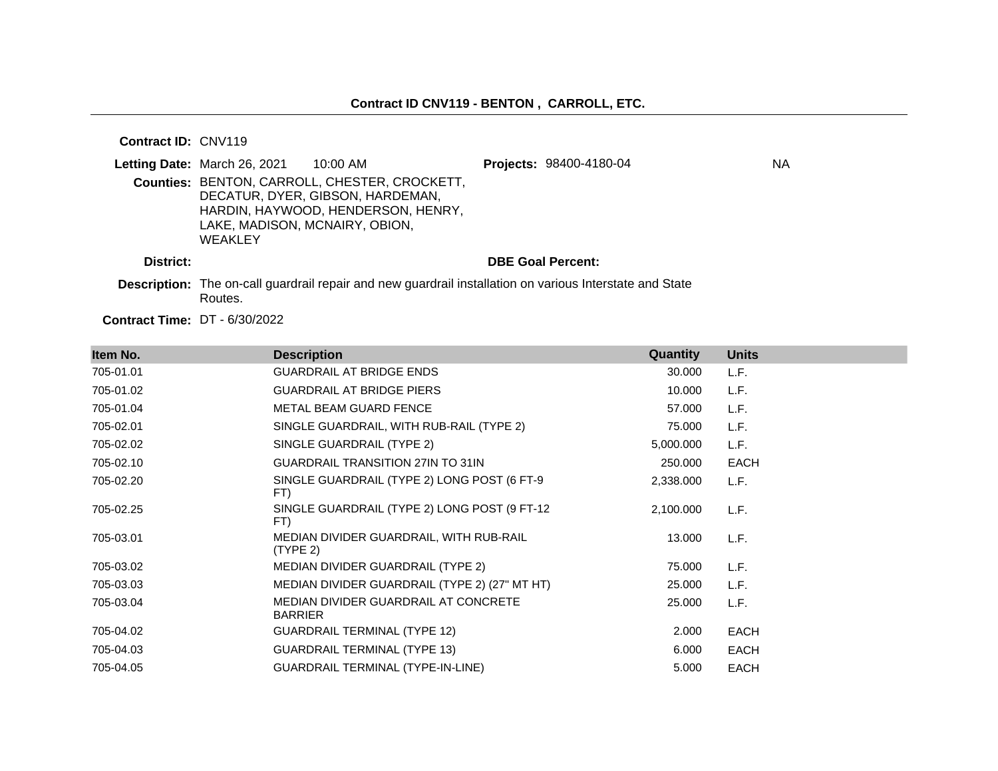**Contract ID:** CNV119

|           | Letting Date: March 26, 2021              | 10:00 AM                                                                                                                | Projects: 98400-4180-04  | ΝA |
|-----------|-------------------------------------------|-------------------------------------------------------------------------------------------------------------------------|--------------------------|----|
|           | LAKE, MADISON, MCNAIRY, OBION,<br>WEAKLEY | Counties: BENTON, CARROLL, CHESTER, CROCKETT,<br>DECATUR, DYER, GIBSON, HARDEMAN,<br>HARDIN, HAYWOOD, HENDERSON, HENRY, |                          |    |
| District: |                                           |                                                                                                                         | <b>DBE Goal Percent:</b> |    |
|           | Routes.                                   | <b>Description:</b> The on-call guardrail repair and new guardrail installation on various Interstate and State         |                          |    |

**Contract Time:** DT - 6/30/2022

| Item No.  | <b>Description</b>                                     | Quantity  | <b>Units</b> |
|-----------|--------------------------------------------------------|-----------|--------------|
| 705-01.01 | <b>GUARDRAIL AT BRIDGE ENDS</b>                        | 30.000    | L.F.         |
| 705-01.02 | <b>GUARDRAIL AT BRIDGE PIERS</b>                       | 10.000    | L.F.         |
| 705-01.04 | METAL BEAM GUARD FENCE                                 | 57.000    | L.F.         |
| 705-02.01 | SINGLE GUARDRAIL, WITH RUB-RAIL (TYPE 2)               | 75.000    | L.F.         |
| 705-02.02 | SINGLE GUARDRAIL (TYPE 2)                              | 5,000.000 | L.F.         |
| 705-02.10 | <b>GUARDRAIL TRANSITION 27IN TO 31IN</b>               | 250.000   | <b>EACH</b>  |
| 705-02.20 | SINGLE GUARDRAIL (TYPE 2) LONG POST (6 FT-9<br>FT)     | 2,338.000 | L.F.         |
| 705-02.25 | SINGLE GUARDRAIL (TYPE 2) LONG POST (9 FT-12<br>FT)    | 2,100.000 | L.F.         |
| 705-03.01 | MEDIAN DIVIDER GUARDRAIL, WITH RUB-RAIL<br>(TYPE 2)    | 13.000    | L.F.         |
| 705-03.02 | MEDIAN DIVIDER GUARDRAIL (TYPE 2)                      | 75.000    | L.F.         |
| 705-03.03 | MEDIAN DIVIDER GUARDRAIL (TYPE 2) (27" MT HT)          | 25.000    | L.F.         |
| 705-03.04 | MEDIAN DIVIDER GUARDRAIL AT CONCRETE<br><b>BARRIER</b> | 25.000    | L.F.         |
| 705-04.02 | <b>GUARDRAIL TERMINAL (TYPE 12)</b>                    | 2.000     | <b>EACH</b>  |
| 705-04.03 | <b>GUARDRAIL TERMINAL (TYPE 13)</b>                    | 6.000     | <b>EACH</b>  |
| 705-04.05 | <b>GUARDRAIL TERMINAL (TYPE-IN-LINE)</b>               | 5.000     | <b>EACH</b>  |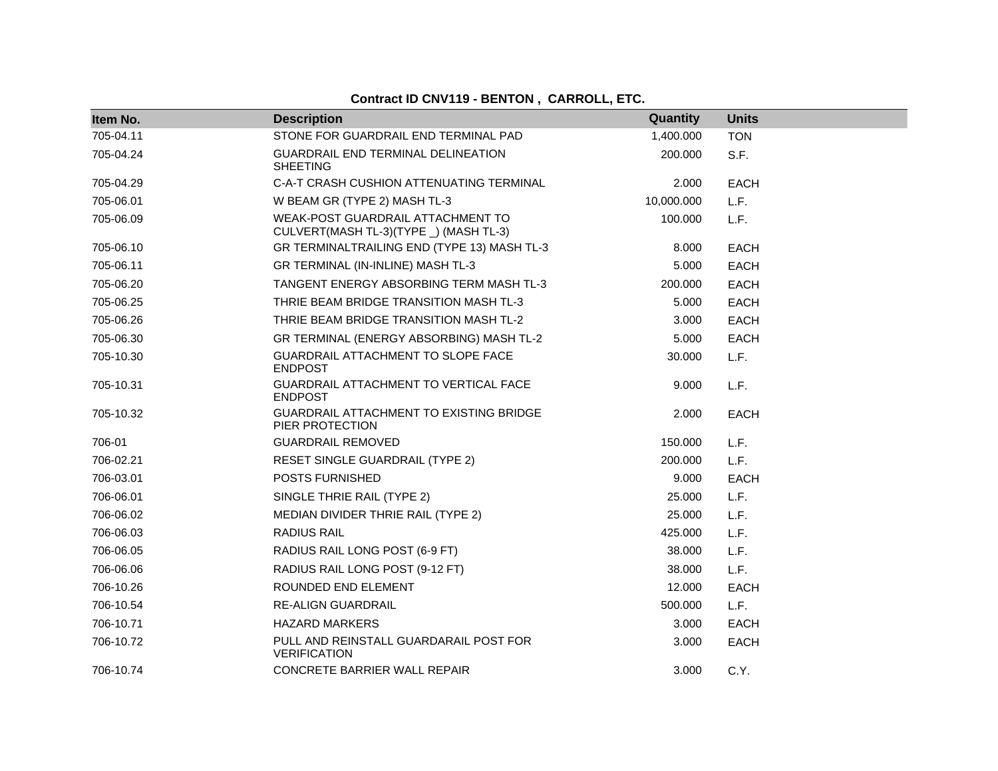| Item No.  | <b>Description</b>                                                          | Quantity   | <b>Units</b> |
|-----------|-----------------------------------------------------------------------------|------------|--------------|
| 705-04.11 | STONE FOR GUARDRAIL END TERMINAL PAD                                        | 1,400.000  | <b>TON</b>   |
| 705-04.24 | GUARDRAIL END TERMINAL DELINEATION<br><b>SHEETING</b>                       | 200.000    | S.F.         |
| 705-04.29 | C-A-T CRASH CUSHION ATTENUATING TERMINAL                                    | 2.000      | <b>EACH</b>  |
| 705-06.01 | W BEAM GR (TYPE 2) MASH TL-3                                                | 10,000.000 | L.F.         |
| 705-06.09 | WEAK-POST GUARDRAIL ATTACHMENT TO<br>CULVERT(MASH TL-3)(TYPE _) (MASH TL-3) | 100.000    | L.F.         |
| 705-06.10 | GR TERMINALTRAILING END (TYPE 13) MASH TL-3                                 | 8.000      | <b>EACH</b>  |
| 705-06.11 | GR TERMINAL (IN-INLINE) MASH TL-3                                           | 5.000      | <b>EACH</b>  |
| 705-06.20 | TANGENT ENERGY ABSORBING TERM MASH TL-3                                     | 200.000    | <b>EACH</b>  |
| 705-06.25 | THRIE BEAM BRIDGE TRANSITION MASH TL-3                                      | 5.000      | EACH         |
| 705-06.26 | THRIE BEAM BRIDGE TRANSITION MASH TL-2                                      | 3.000      | EACH         |
| 705-06.30 | GR TERMINAL (ENERGY ABSORBING) MASH TL-2                                    | 5.000      | <b>EACH</b>  |
| 705-10.30 | GUARDRAIL ATTACHMENT TO SLOPE FACE<br><b>ENDPOST</b>                        | 30.000     | L.F.         |
| 705-10.31 | GUARDRAIL ATTACHMENT TO VERTICAL FACE<br><b>ENDPOST</b>                     | 9.000      | L.F.         |
| 705-10.32 | <b>GUARDRAIL ATTACHMENT TO EXISTING BRIDGE</b><br>PIER PROTECTION           | 2.000      | <b>EACH</b>  |
| 706-01    | <b>GUARDRAIL REMOVED</b>                                                    | 150.000    | L.F.         |
| 706-02.21 | RESET SINGLE GUARDRAIL (TYPE 2)                                             | 200.000    | L.F.         |
| 706-03.01 | POSTS FURNISHED                                                             | 9.000      | <b>EACH</b>  |
| 706-06.01 | SINGLE THRIE RAIL (TYPE 2)                                                  | 25.000     | L.F.         |
| 706-06.02 | MEDIAN DIVIDER THRIE RAIL (TYPE 2)                                          | 25.000     | L.F.         |
| 706-06.03 | <b>RADIUS RAIL</b>                                                          | 425.000    | L.F.         |
| 706-06.05 | RADIUS RAIL LONG POST (6-9 FT)                                              | 38.000     | L.F.         |
| 706-06.06 | RADIUS RAIL LONG POST (9-12 FT)                                             | 38.000     | L.F.         |
| 706-10.26 | ROUNDED END ELEMENT                                                         | 12.000     | <b>EACH</b>  |
| 706-10.54 | <b>RE-ALIGN GUARDRAIL</b>                                                   | 500.000    | L.F.         |
| 706-10.71 | <b>HAZARD MARKERS</b>                                                       | 3.000      | <b>EACH</b>  |
| 706-10.72 | PULL AND REINSTALL GUARDARAIL POST FOR<br><b>VERIFICATION</b>               | 3.000      | <b>EACH</b>  |
| 706-10.74 | <b>CONCRETE BARRIER WALL REPAIR</b>                                         | 3.000      | C.Y.         |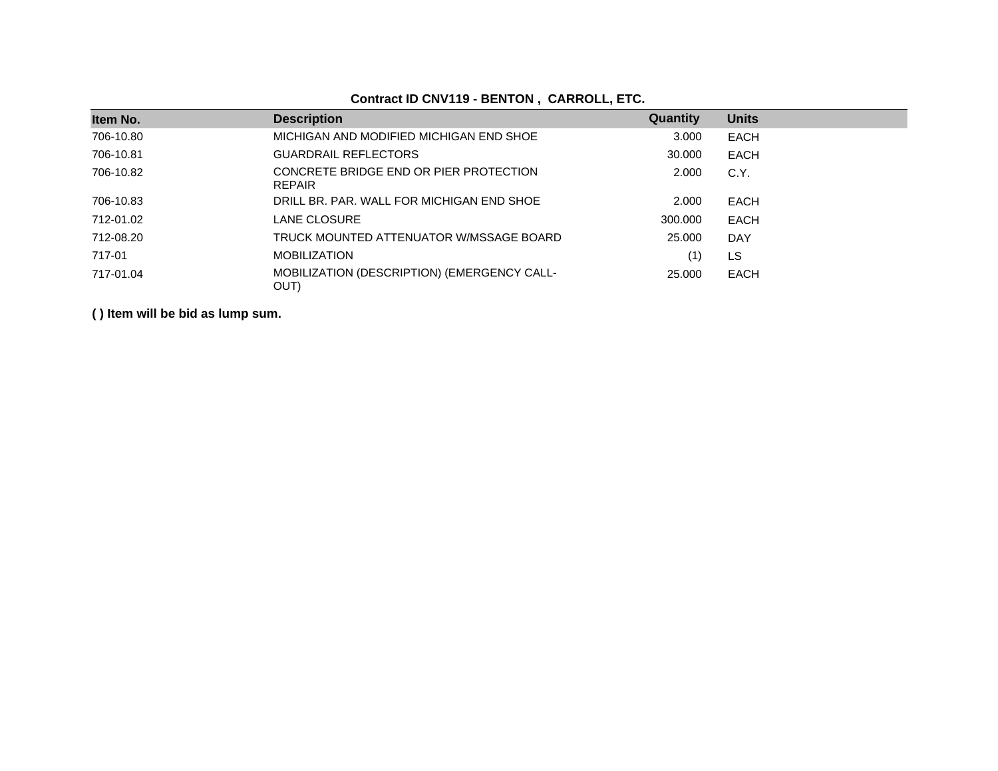| Item No.  | <b>Description</b>                                      | Quantity | <b>Units</b> |  |
|-----------|---------------------------------------------------------|----------|--------------|--|
| 706-10.80 | MICHIGAN AND MODIFIED MICHIGAN END SHOE                 | 3.000    | <b>EACH</b>  |  |
| 706-10.81 | <b>GUARDRAIL REFLECTORS</b>                             | 30,000   | <b>EACH</b>  |  |
| 706-10.82 | CONCRETE BRIDGE END OR PIER PROTECTION<br><b>REPAIR</b> | 2.000    | C.Y.         |  |
| 706-10.83 | DRILL BR. PAR. WALL FOR MICHIGAN END SHOE               | 2.000    | EACH         |  |
| 712-01.02 | LANE CLOSURE                                            | 300,000  | EACH         |  |
| 712-08.20 | TRUCK MOUNTED ATTENUATOR W/MSSAGE BOARD                 | 25,000   | <b>DAY</b>   |  |
| 717-01    | <b>MOBILIZATION</b>                                     | (1)      | LS           |  |
| 717-01.04 | MOBILIZATION (DESCRIPTION) (EMERGENCY CALL-<br>OUT)     | 25,000   | <b>EACH</b>  |  |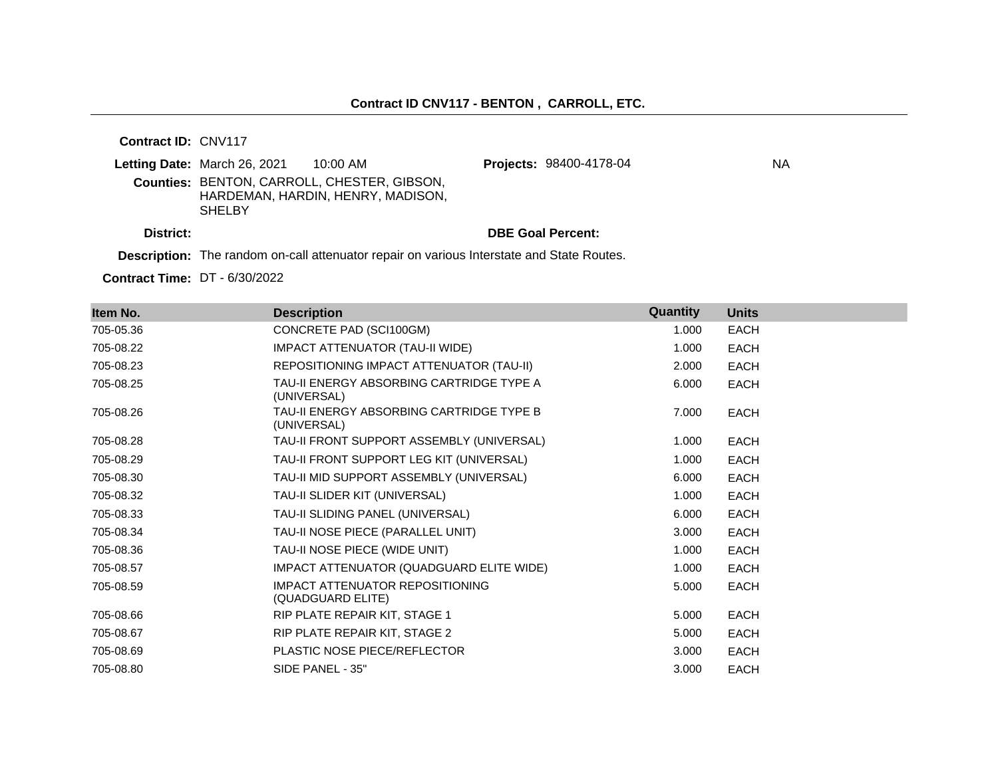**Contract ID:** CNV117

|           | Letting Date: March 26, 2021<br>10:00 AM                                                                                    | <b>Projects: 98400-4178-04</b> | ΝA |
|-----------|-----------------------------------------------------------------------------------------------------------------------------|--------------------------------|----|
|           | <b>Counties: BENTON, CARROLL, CHESTER, GIBSON,</b><br>HARDEMAN, HARDIN, HENRY, MADISON,<br><b>SHELBY</b>                    |                                |    |
| District: |                                                                                                                             | <b>DBE Goal Percent:</b>       |    |
|           | The second contract the Higher contract of the state of the second contract $\bigcap_{i=1}^n A_i$ and $\bigcap_{i=1}^n A_i$ |                                |    |

**Description:** The random on-call attenuator repair on various Interstate and State Routes.

**Contract Time:** DT - 6/30/2022

| Item No.  | <b>Description</b>                                          | Quantity | <b>Units</b> |
|-----------|-------------------------------------------------------------|----------|--------------|
| 705-05.36 | CONCRETE PAD (SCI100GM)                                     | 1.000    | <b>EACH</b>  |
| 705-08.22 | IMPACT ATTENUATOR (TAU-II WIDE)                             | 1.000    | <b>EACH</b>  |
| 705-08.23 | REPOSITIONING IMPACT ATTENUATOR (TAU-II)                    | 2.000    | <b>EACH</b>  |
| 705-08.25 | TAU-II ENERGY ABSORBING CARTRIDGE TYPE A<br>(UNIVERSAL)     | 6.000    | <b>EACH</b>  |
| 705-08.26 | TAU-II ENERGY ABSORBING CARTRIDGE TYPE B<br>(UNIVERSAL)     | 7.000    | <b>EACH</b>  |
| 705-08.28 | TAU-II FRONT SUPPORT ASSEMBLY (UNIVERSAL)                   | 1.000    | <b>EACH</b>  |
| 705-08.29 | TAU-II FRONT SUPPORT LEG KIT (UNIVERSAL)                    | 1.000    | <b>EACH</b>  |
| 705-08.30 | TAU-II MID SUPPORT ASSEMBLY (UNIVERSAL)                     | 6.000    | <b>EACH</b>  |
| 705-08.32 | TAU-II SLIDER KIT (UNIVERSAL)                               | 1.000    | <b>EACH</b>  |
| 705-08.33 | TAU-II SLIDING PANEL (UNIVERSAL)                            | 6.000    | <b>EACH</b>  |
| 705-08.34 | TAU-II NOSE PIECE (PARALLEL UNIT)                           | 3.000    | <b>EACH</b>  |
| 705-08.36 | TAU-II NOSE PIECE (WIDE UNIT)                               | 1.000    | <b>EACH</b>  |
| 705-08.57 | IMPACT ATTENUATOR (QUADGUARD ELITE WIDE)                    | 1.000    | <b>EACH</b>  |
| 705-08.59 | <b>IMPACT ATTENUATOR REPOSITIONING</b><br>(QUADGUARD ELITE) | 5.000    | <b>EACH</b>  |
| 705-08.66 | RIP PLATE REPAIR KIT, STAGE 1                               | 5.000    | <b>EACH</b>  |
| 705-08.67 | RIP PLATE REPAIR KIT, STAGE 2                               | 5.000    | <b>EACH</b>  |
| 705-08.69 | PLASTIC NOSE PIECE/REFLECTOR                                | 3.000    | <b>EACH</b>  |
| 705-08.80 | SIDE PANEL - 35"                                            | 3.000    | <b>EACH</b>  |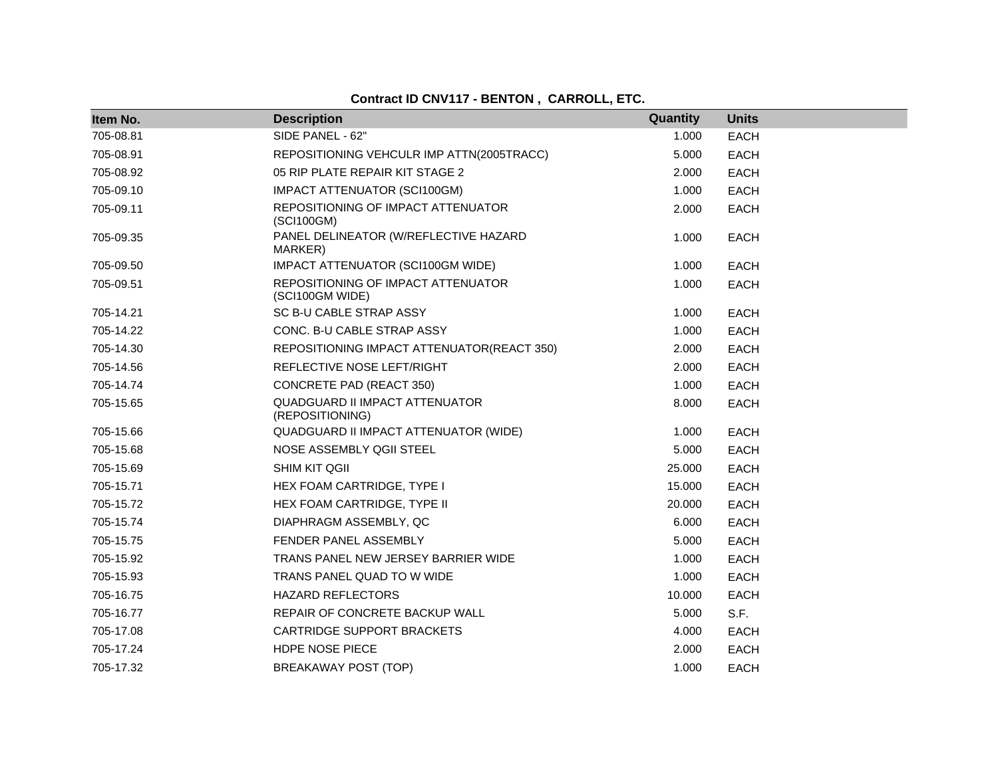| Item No.  | <b>Description</b>                                       | Quantity | <b>Units</b> |
|-----------|----------------------------------------------------------|----------|--------------|
| 705-08.81 | SIDE PANEL - 62"                                         | 1.000    | <b>EACH</b>  |
| 705-08.91 | REPOSITIONING VEHCULR IMP ATTN(2005TRACC)                | 5.000    | <b>EACH</b>  |
| 705-08.92 | 05 RIP PLATE REPAIR KIT STAGE 2                          | 2.000    | <b>EACH</b>  |
| 705-09.10 | <b>IMPACT ATTENUATOR (SCI100GM)</b>                      | 1.000    | <b>EACH</b>  |
| 705-09.11 | REPOSITIONING OF IMPACT ATTENUATOR<br>(SCI100GM)         | 2.000    | <b>EACH</b>  |
| 705-09.35 | PANEL DELINEATOR (W/REFLECTIVE HAZARD<br>MARKER)         | 1.000    | <b>EACH</b>  |
| 705-09.50 | IMPACT ATTENUATOR (SCI100GM WIDE)                        | 1.000    | <b>EACH</b>  |
| 705-09.51 | REPOSITIONING OF IMPACT ATTENUATOR<br>(SCI100GM WIDE)    | 1.000    | <b>EACH</b>  |
| 705-14.21 | SC B-U CABLE STRAP ASSY                                  | 1.000    | <b>EACH</b>  |
| 705-14.22 | CONC. B-U CABLE STRAP ASSY                               | 1.000    | <b>EACH</b>  |
| 705-14.30 | REPOSITIONING IMPACT ATTENUATOR(REACT 350)               | 2.000    | <b>EACH</b>  |
| 705-14.56 | REFLECTIVE NOSE LEFT/RIGHT                               | 2.000    | <b>EACH</b>  |
| 705-14.74 | <b>CONCRETE PAD (REACT 350)</b>                          | 1.000    | <b>EACH</b>  |
| 705-15.65 | <b>QUADGUARD II IMPACT ATTENUATOR</b><br>(REPOSITIONING) | 8.000    | <b>EACH</b>  |
| 705-15.66 | QUADGUARD II IMPACT ATTENUATOR (WIDE)                    | 1.000    | <b>EACH</b>  |
| 705-15.68 | NOSE ASSEMBLY QGII STEEL                                 | 5.000    | <b>EACH</b>  |
| 705-15.69 | SHIM KIT QGII                                            | 25.000   | <b>EACH</b>  |
| 705-15.71 | HEX FOAM CARTRIDGE, TYPE I                               | 15.000   | <b>EACH</b>  |
| 705-15.72 | HEX FOAM CARTRIDGE, TYPE II                              | 20,000   | <b>EACH</b>  |
| 705-15.74 | DIAPHRAGM ASSEMBLY, QC                                   | 6.000    | <b>EACH</b>  |
| 705-15.75 | FENDER PANEL ASSEMBLY                                    | 5.000    | <b>EACH</b>  |
| 705-15.92 | TRANS PANEL NEW JERSEY BARRIER WIDE                      | 1.000    | <b>EACH</b>  |
| 705-15.93 | TRANS PANEL QUAD TO W WIDE                               | 1.000    | <b>EACH</b>  |
| 705-16.75 | <b>HAZARD REFLECTORS</b>                                 | 10.000   | <b>EACH</b>  |
| 705-16.77 | REPAIR OF CONCRETE BACKUP WALL                           | 5.000    | S.F.         |
| 705-17.08 | CARTRIDGE SUPPORT BRACKETS                               | 4.000    | <b>EACH</b>  |
| 705-17.24 | HDPE NOSE PIECE                                          | 2.000    | <b>EACH</b>  |
| 705-17.32 | BREAKAWAY POST (TOP)                                     | 1.000    | <b>EACH</b>  |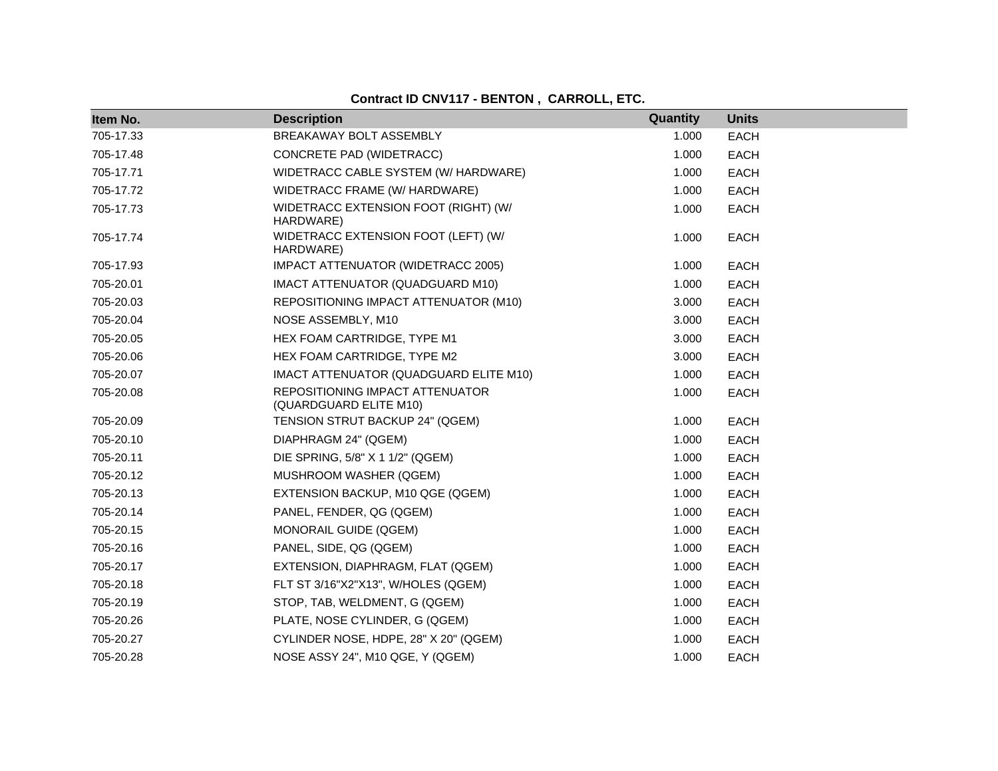| Item No.  | <b>Description</b>                                        | Quantity | <b>Units</b> |
|-----------|-----------------------------------------------------------|----------|--------------|
| 705-17.33 | BREAKAWAY BOLT ASSEMBLY                                   | 1.000    | <b>EACH</b>  |
| 705-17.48 | CONCRETE PAD (WIDETRACC)                                  | 1.000    | <b>EACH</b>  |
| 705-17.71 | WIDETRACC CABLE SYSTEM (W/ HARDWARE)                      | 1.000    | <b>EACH</b>  |
| 705-17.72 | WIDETRACC FRAME (W/ HARDWARE)                             | 1.000    | <b>EACH</b>  |
| 705-17.73 | WIDETRACC EXTENSION FOOT (RIGHT) (W/<br>HARDWARE)         | 1.000    | <b>EACH</b>  |
| 705-17.74 | WIDETRACC EXTENSION FOOT (LEFT) (W/<br>HARDWARE)          | 1.000    | <b>EACH</b>  |
| 705-17.93 | IMPACT ATTENUATOR (WIDETRACC 2005)                        | 1.000    | <b>EACH</b>  |
| 705-20.01 | IMACT ATTENUATOR (QUADGUARD M10)                          | 1.000    | <b>EACH</b>  |
| 705-20.03 | REPOSITIONING IMPACT ATTENUATOR (M10)                     | 3.000    | <b>EACH</b>  |
| 705-20.04 | NOSE ASSEMBLY, M10                                        | 3.000    | EACH         |
| 705-20.05 | HEX FOAM CARTRIDGE, TYPE M1                               | 3.000    | <b>EACH</b>  |
| 705-20.06 | HEX FOAM CARTRIDGE, TYPE M2                               | 3.000    | <b>EACH</b>  |
| 705-20.07 | IMACT ATTENUATOR (QUADGUARD ELITE M10)                    | 1.000    | <b>EACH</b>  |
| 705-20.08 | REPOSITIONING IMPACT ATTENUATOR<br>(QUARDGUARD ELITE M10) | 1.000    | <b>EACH</b>  |
| 705-20.09 | TENSION STRUT BACKUP 24" (QGEM)                           | 1.000    | <b>EACH</b>  |
| 705-20.10 | DIAPHRAGM 24" (QGEM)                                      | 1.000    | EACH         |
| 705-20.11 | DIE SPRING, 5/8" X 1 1/2" (QGEM)                          | 1.000    | <b>EACH</b>  |
| 705-20.12 | MUSHROOM WASHER (QGEM)                                    | 1.000    | <b>EACH</b>  |
| 705-20.13 | EXTENSION BACKUP, M10 QGE (QGEM)                          | 1.000    | <b>EACH</b>  |
| 705-20.14 | PANEL, FENDER, QG (QGEM)                                  | 1.000    | <b>EACH</b>  |
| 705-20.15 | MONORAIL GUIDE (QGEM)                                     | 1.000    | <b>EACH</b>  |
| 705-20.16 | PANEL, SIDE, QG (QGEM)                                    | 1.000    | <b>EACH</b>  |
| 705-20.17 | EXTENSION, DIAPHRAGM, FLAT (QGEM)                         | 1.000    | <b>EACH</b>  |
| 705-20.18 | FLT ST 3/16"X2"X13", W/HOLES (QGEM)                       | 1.000    | <b>EACH</b>  |
| 705-20.19 | STOP, TAB, WELDMENT, G (QGEM)                             | 1.000    | <b>EACH</b>  |
| 705-20.26 | PLATE, NOSE CYLINDER, G (QGEM)                            | 1.000    | <b>EACH</b>  |
| 705-20.27 | CYLINDER NOSE, HDPE, 28" X 20" (QGEM)                     | 1.000    | <b>EACH</b>  |
| 705-20.28 | NOSE ASSY 24", M10 QGE, Y (QGEM)                          | 1.000    | <b>EACH</b>  |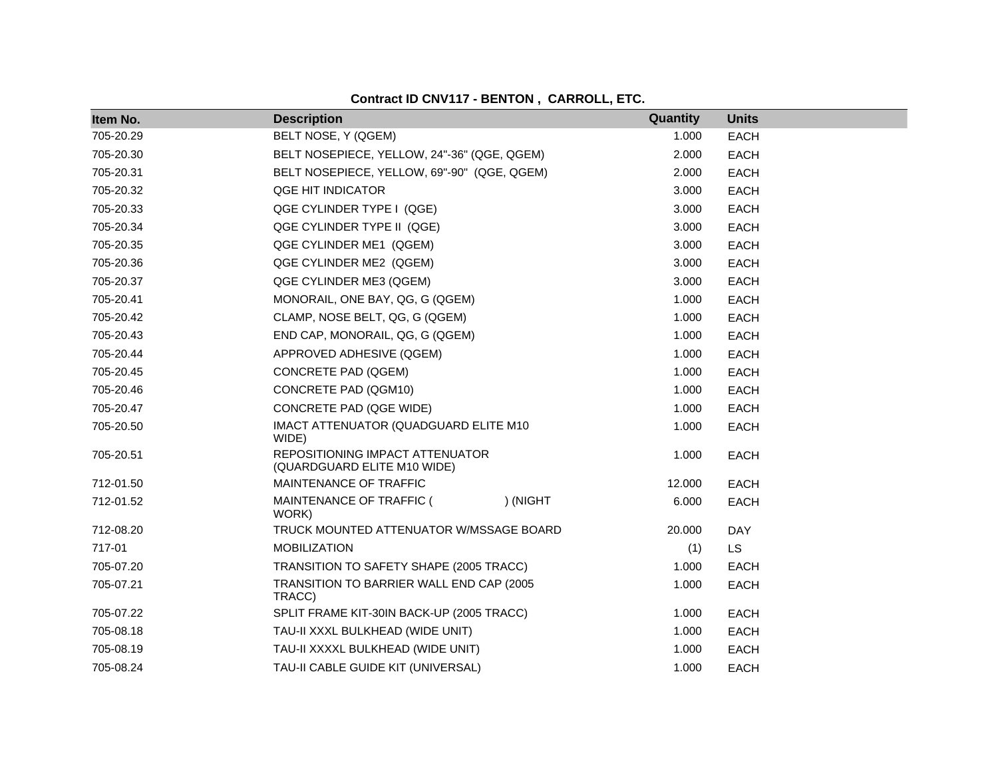| Item No.  | <b>Description</b>                                             | Quantity | <b>Units</b> |
|-----------|----------------------------------------------------------------|----------|--------------|
| 705-20.29 | BELT NOSE, Y (QGEM)                                            | 1.000    | <b>EACH</b>  |
| 705-20.30 | BELT NOSEPIECE, YELLOW, 24"-36" (QGE, QGEM)                    | 2.000    | <b>EACH</b>  |
| 705-20.31 | BELT NOSEPIECE, YELLOW, 69"-90" (QGE, QGEM)                    | 2.000    | <b>EACH</b>  |
| 705-20.32 | QGE HIT INDICATOR                                              | 3.000    | <b>EACH</b>  |
| 705-20.33 | QGE CYLINDER TYPE I (QGE)                                      | 3.000    | <b>EACH</b>  |
| 705-20.34 | QGE CYLINDER TYPE II (QGE)                                     | 3.000    | <b>EACH</b>  |
| 705-20.35 | QGE CYLINDER ME1 (QGEM)                                        | 3.000    | <b>EACH</b>  |
| 705-20.36 | QGE CYLINDER ME2 (QGEM)                                        | 3.000    | <b>EACH</b>  |
| 705-20.37 | QGE CYLINDER ME3 (QGEM)                                        | 3.000    | <b>EACH</b>  |
| 705-20.41 | MONORAIL, ONE BAY, QG, G (QGEM)                                | 1.000    | <b>EACH</b>  |
| 705-20.42 | CLAMP, NOSE BELT, QG, G (QGEM)                                 | 1.000    | EACH         |
| 705-20.43 | END CAP, MONORAIL, QG, G (QGEM)                                | 1.000    | <b>EACH</b>  |
| 705-20.44 | APPROVED ADHESIVE (QGEM)                                       | 1.000    | <b>EACH</b>  |
| 705-20.45 | <b>CONCRETE PAD (QGEM)</b>                                     | 1.000    | <b>EACH</b>  |
| 705-20.46 | CONCRETE PAD (QGM10)                                           | 1.000    | <b>EACH</b>  |
| 705-20.47 | CONCRETE PAD (QGE WIDE)                                        | 1.000    | <b>EACH</b>  |
| 705-20.50 | IMACT ATTENUATOR (QUADGUARD ELITE M10<br>WIDE)                 | 1.000    | <b>EACH</b>  |
| 705-20.51 | REPOSITIONING IMPACT ATTENUATOR<br>(QUARDGUARD ELITE M10 WIDE) | 1.000    | <b>EACH</b>  |
| 712-01.50 | MAINTENANCE OF TRAFFIC                                         | 12.000   | <b>EACH</b>  |
| 712-01.52 | MAINTENANCE OF TRAFFIC (<br>) (NIGHT<br>WORK)                  | 6.000    | <b>EACH</b>  |
| 712-08.20 | TRUCK MOUNTED ATTENUATOR W/MSSAGE BOARD                        | 20.000   | <b>DAY</b>   |
| 717-01    | <b>MOBILIZATION</b>                                            | (1)      | <b>LS</b>    |
| 705-07.20 | TRANSITION TO SAFETY SHAPE (2005 TRACC)                        | 1.000    | <b>EACH</b>  |
| 705-07.21 | TRANSITION TO BARRIER WALL END CAP (2005<br>TRACC)             | 1.000    | <b>EACH</b>  |
| 705-07.22 | SPLIT FRAME KIT-30IN BACK-UP (2005 TRACC)                      | 1.000    | <b>EACH</b>  |
| 705-08.18 | TAU-II XXXL BULKHEAD (WIDE UNIT)                               | 1.000    | <b>EACH</b>  |
| 705-08.19 | TAU-II XXXXL BULKHEAD (WIDE UNIT)                              | 1.000    | <b>EACH</b>  |
| 705-08.24 | TAU-II CABLE GUIDE KIT (UNIVERSAL)                             | 1.000    | <b>EACH</b>  |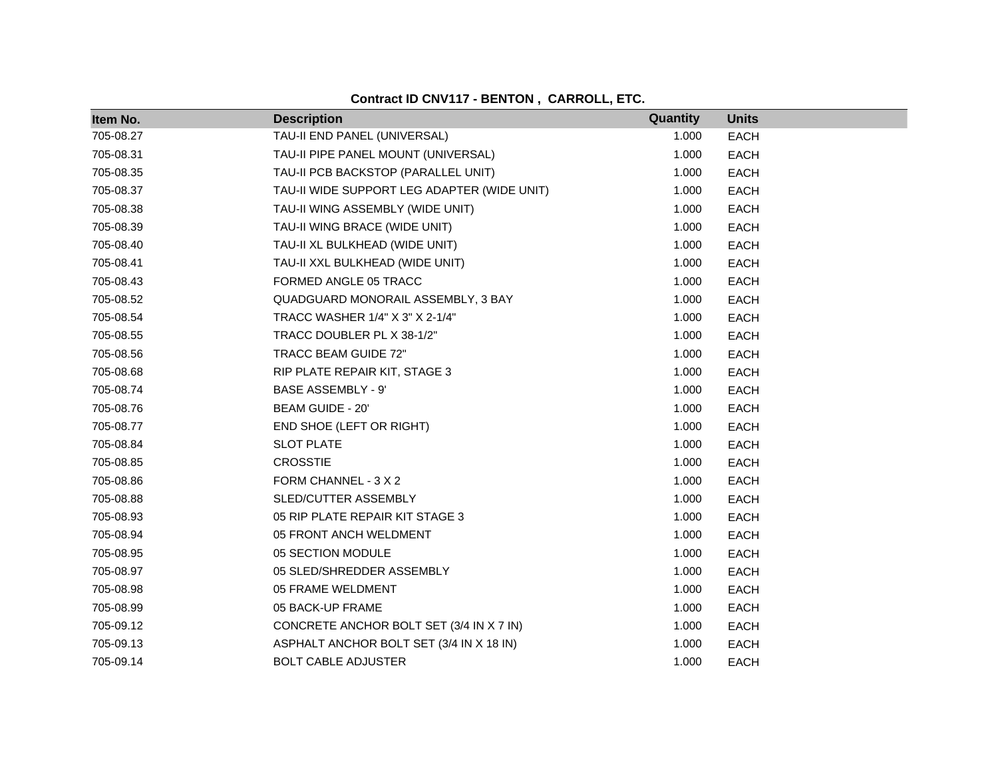| Item No.  | <b>Description</b>                          | Quantity | <b>Units</b> |
|-----------|---------------------------------------------|----------|--------------|
| 705-08.27 | TAU-II END PANEL (UNIVERSAL)                | 1.000    | <b>EACH</b>  |
| 705-08.31 | TAU-II PIPE PANEL MOUNT (UNIVERSAL)         | 1.000    | <b>EACH</b>  |
| 705-08.35 | TAU-II PCB BACKSTOP (PARALLEL UNIT)         | 1.000    | <b>EACH</b>  |
| 705-08.37 | TAU-II WIDE SUPPORT LEG ADAPTER (WIDE UNIT) | 1.000    | <b>EACH</b>  |
| 705-08.38 | TAU-II WING ASSEMBLY (WIDE UNIT)            | 1.000    | <b>EACH</b>  |
| 705-08.39 | TAU-II WING BRACE (WIDE UNIT)               | 1.000    | <b>EACH</b>  |
| 705-08.40 | TAU-II XL BULKHEAD (WIDE UNIT)              | 1.000    | <b>EACH</b>  |
| 705-08.41 | TAU-II XXL BULKHEAD (WIDE UNIT)             | 1.000    | <b>EACH</b>  |
| 705-08.43 | FORMED ANGLE 05 TRACC                       | 1.000    | EACH         |
| 705-08.52 | QUADGUARD MONORAIL ASSEMBLY, 3 BAY          | 1.000    | EACH         |
| 705-08.54 | TRACC WASHER 1/4" X 3" X 2-1/4"             | 1.000    | <b>EACH</b>  |
| 705-08.55 | TRACC DOUBLER PL X 38-1/2"                  | 1.000    | EACH         |
| 705-08.56 | TRACC BEAM GUIDE 72"                        | 1.000    | <b>EACH</b>  |
| 705-08.68 | RIP PLATE REPAIR KIT, STAGE 3               | 1.000    | <b>EACH</b>  |
| 705-08.74 | <b>BASE ASSEMBLY - 9'</b>                   | 1.000    | <b>EACH</b>  |
| 705-08.76 | BEAM GUIDE - 20'                            | 1.000    | <b>EACH</b>  |
| 705-08.77 | END SHOE (LEFT OR RIGHT)                    | 1.000    | <b>EACH</b>  |
| 705-08.84 | <b>SLOT PLATE</b>                           | 1.000    | <b>EACH</b>  |
| 705-08.85 | <b>CROSSTIE</b>                             | 1.000    | <b>EACH</b>  |
| 705-08.86 | FORM CHANNEL - 3 X 2                        | 1.000    | <b>EACH</b>  |
| 705-08.88 | SLED/CUTTER ASSEMBLY                        | 1.000    | <b>EACH</b>  |
| 705-08.93 | 05 RIP PLATE REPAIR KIT STAGE 3             | 1.000    | <b>EACH</b>  |
| 705-08.94 | 05 FRONT ANCH WELDMENT                      | 1.000    | <b>EACH</b>  |
| 705-08.95 | 05 SECTION MODULE                           | 1.000    | <b>EACH</b>  |
| 705-08.97 | 05 SLED/SHREDDER ASSEMBLY                   | 1.000    | <b>EACH</b>  |
| 705-08.98 | 05 FRAME WELDMENT                           | 1.000    | <b>EACH</b>  |
| 705-08.99 | 05 BACK-UP FRAME                            | 1.000    | <b>EACH</b>  |
| 705-09.12 | CONCRETE ANCHOR BOLT SET (3/4 IN X 7 IN)    | 1.000    | <b>EACH</b>  |
| 705-09.13 | ASPHALT ANCHOR BOLT SET (3/4 IN X 18 IN)    | 1.000    | <b>EACH</b>  |
| 705-09.14 | <b>BOLT CABLE ADJUSTER</b>                  | 1.000    | <b>EACH</b>  |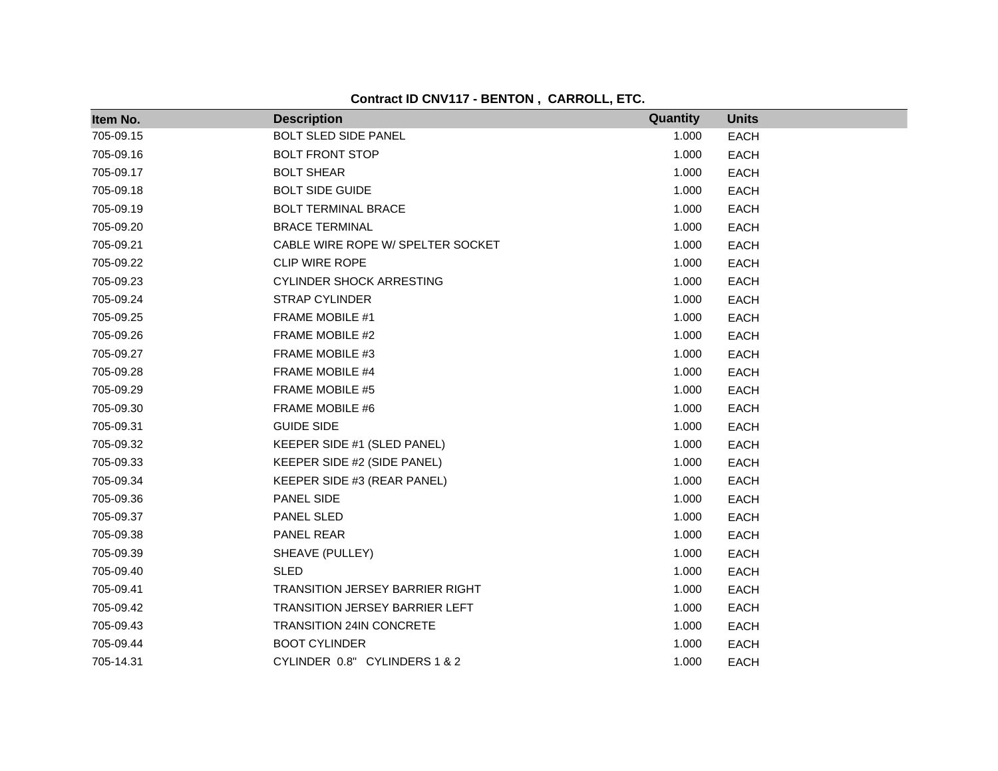| Item No.  | <b>Description</b>                     | Quantity | <b>Units</b> |
|-----------|----------------------------------------|----------|--------------|
| 705-09.15 | <b>BOLT SLED SIDE PANEL</b>            | 1.000    | <b>EACH</b>  |
| 705-09.16 | <b>BOLT FRONT STOP</b>                 | 1.000    | <b>EACH</b>  |
| 705-09.17 | <b>BOLT SHEAR</b>                      | 1.000    | <b>EACH</b>  |
| 705-09.18 | <b>BOLT SIDE GUIDE</b>                 | 1.000    | <b>EACH</b>  |
| 705-09.19 | <b>BOLT TERMINAL BRACE</b>             | 1.000    | <b>EACH</b>  |
| 705-09.20 | <b>BRACE TERMINAL</b>                  | 1.000    | <b>EACH</b>  |
| 705-09.21 | CABLE WIRE ROPE W/ SPELTER SOCKET      | 1.000    | <b>EACH</b>  |
| 705-09.22 | <b>CLIP WIRE ROPE</b>                  | 1.000    | <b>EACH</b>  |
| 705-09.23 | <b>CYLINDER SHOCK ARRESTING</b>        | 1.000    | <b>EACH</b>  |
| 705-09.24 | <b>STRAP CYLINDER</b>                  | 1.000    | <b>EACH</b>  |
| 705-09.25 | FRAME MOBILE #1                        | 1.000    | <b>EACH</b>  |
| 705-09.26 | FRAME MOBILE #2                        | 1.000    | <b>EACH</b>  |
| 705-09.27 | FRAME MOBILE #3                        | 1.000    | <b>EACH</b>  |
| 705-09.28 | FRAME MOBILE #4                        | 1.000    | <b>EACH</b>  |
| 705-09.29 | FRAME MOBILE #5                        | 1.000    | <b>EACH</b>  |
| 705-09.30 | FRAME MOBILE #6                        | 1.000    | <b>EACH</b>  |
| 705-09.31 | <b>GUIDE SIDE</b>                      | 1.000    | <b>EACH</b>  |
| 705-09.32 | KEEPER SIDE #1 (SLED PANEL)            | 1.000    | <b>EACH</b>  |
| 705-09.33 | KEEPER SIDE #2 (SIDE PANEL)            | 1.000    | <b>EACH</b>  |
| 705-09.34 | KEEPER SIDE #3 (REAR PANEL)            | 1.000    | <b>EACH</b>  |
| 705-09.36 | PANEL SIDE                             | 1.000    | <b>EACH</b>  |
| 705-09.37 | PANEL SLED                             | 1.000    | <b>EACH</b>  |
| 705-09.38 | PANEL REAR                             | 1.000    | <b>EACH</b>  |
| 705-09.39 | SHEAVE (PULLEY)                        | 1.000    | <b>EACH</b>  |
| 705-09.40 | <b>SLED</b>                            | 1.000    | <b>EACH</b>  |
| 705-09.41 | <b>TRANSITION JERSEY BARRIER RIGHT</b> | 1.000    | <b>EACH</b>  |
| 705-09.42 | <b>TRANSITION JERSEY BARRIER LEFT</b>  | 1.000    | <b>EACH</b>  |
| 705-09.43 | <b>TRANSITION 24IN CONCRETE</b>        | 1.000    | <b>EACH</b>  |
| 705-09.44 | <b>BOOT CYLINDER</b>                   | 1.000    | <b>EACH</b>  |
| 705-14.31 | CYLINDER 0.8" CYLINDERS 1 & 2          | 1.000    | <b>EACH</b>  |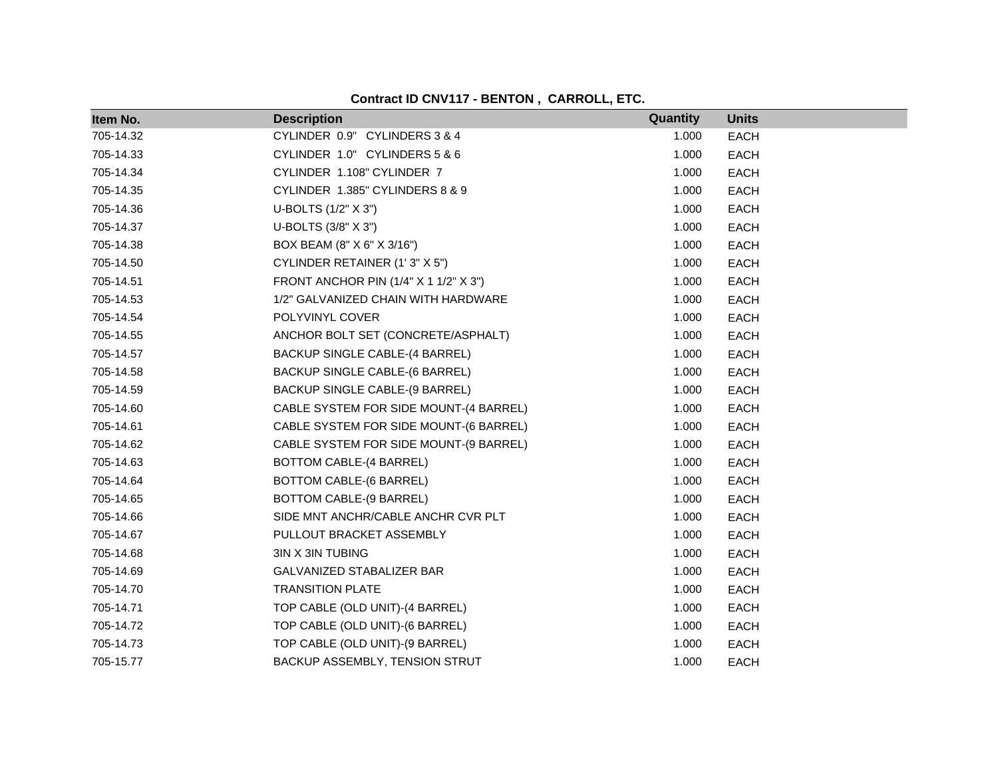| Item No.  | <b>Description</b>                     | Quantity | <b>Units</b> |
|-----------|----------------------------------------|----------|--------------|
| 705-14.32 | CYLINDER 0.9" CYLINDERS 3 & 4          | 1.000    | <b>EACH</b>  |
| 705-14.33 | CYLINDER 1.0" CYLINDERS 5 & 6          | 1.000    | <b>EACH</b>  |
| 705-14.34 | CYLINDER 1.108" CYLINDER 7             | 1.000    | <b>EACH</b>  |
| 705-14.35 | CYLINDER 1.385" CYLINDERS 8 & 9        | 1.000    | <b>EACH</b>  |
| 705-14.36 | U-BOLTS (1/2" X 3")                    | 1.000    | <b>EACH</b>  |
| 705-14.37 | U-BOLTS (3/8" X 3")                    | 1.000    | <b>EACH</b>  |
| 705-14.38 | BOX BEAM (8" X 6" X 3/16")             | 1.000    | <b>EACH</b>  |
| 705-14.50 | CYLINDER RETAINER (1'3" X 5")          | 1.000    | <b>EACH</b>  |
| 705-14.51 | FRONT ANCHOR PIN (1/4" X 1 1/2" X 3")  | 1.000    | <b>EACH</b>  |
| 705-14.53 | 1/2" GALVANIZED CHAIN WITH HARDWARE    | 1.000    | <b>EACH</b>  |
| 705-14.54 | POLYVINYL COVER                        | 1.000    | <b>EACH</b>  |
| 705-14.55 | ANCHOR BOLT SET (CONCRETE/ASPHALT)     | 1.000    | <b>EACH</b>  |
| 705-14.57 | BACKUP SINGLE CABLE-(4 BARREL)         | 1.000    | <b>EACH</b>  |
| 705-14.58 | BACKUP SINGLE CABLE-(6 BARREL)         | 1.000    | <b>EACH</b>  |
| 705-14.59 | BACKUP SINGLE CABLE-(9 BARREL)         | 1.000    | <b>EACH</b>  |
| 705-14.60 | CABLE SYSTEM FOR SIDE MOUNT-(4 BARREL) | 1.000    | <b>EACH</b>  |
| 705-14.61 | CABLE SYSTEM FOR SIDE MOUNT-(6 BARREL) | 1.000    | <b>EACH</b>  |
| 705-14.62 | CABLE SYSTEM FOR SIDE MOUNT-(9 BARREL) | 1.000    | <b>EACH</b>  |
| 705-14.63 | BOTTOM CABLE-(4 BARREL)                | 1.000    | <b>EACH</b>  |
| 705-14.64 | BOTTOM CABLE-(6 BARREL)                | 1.000    | <b>EACH</b>  |
| 705-14.65 | BOTTOM CABLE-(9 BARREL)                | 1.000    | <b>EACH</b>  |
| 705-14.66 | SIDE MNT ANCHR/CABLE ANCHR CVR PLT     | 1.000    | <b>EACH</b>  |
| 705-14.67 | PULLOUT BRACKET ASSEMBLY               | 1.000    | <b>EACH</b>  |
| 705-14.68 | 3IN X 3IN TUBING                       | 1.000    | <b>EACH</b>  |
| 705-14.69 | GALVANIZED STABALIZER BAR              | 1.000    | <b>EACH</b>  |
| 705-14.70 | <b>TRANSITION PLATE</b>                | 1.000    | <b>EACH</b>  |
| 705-14.71 | TOP CABLE (OLD UNIT)-(4 BARREL)        | 1.000    | EACH         |
| 705-14.72 | TOP CABLE (OLD UNIT)-(6 BARREL)        | 1.000    | <b>EACH</b>  |
| 705-14.73 | TOP CABLE (OLD UNIT)-(9 BARREL)        | 1.000    | <b>EACH</b>  |
| 705-15.77 | BACKUP ASSEMBLY, TENSION STRUT         | 1.000    | <b>EACH</b>  |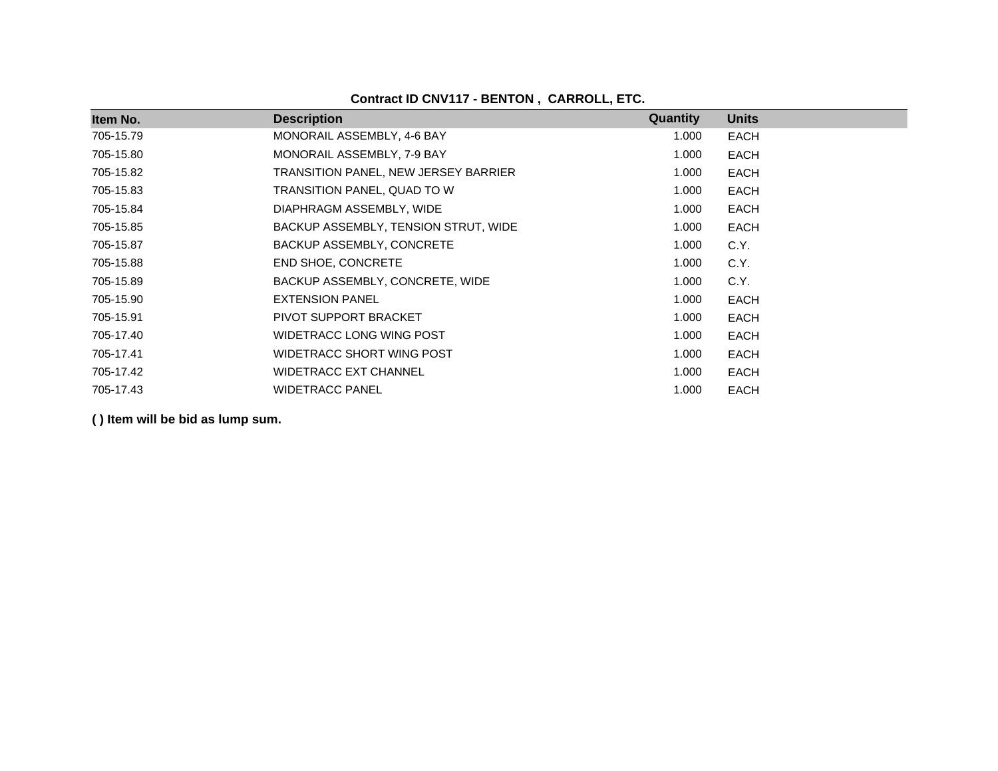| Item No.  | <b>Description</b>                   | Quantity | <b>Units</b> |
|-----------|--------------------------------------|----------|--------------|
| 705-15.79 | MONORAIL ASSEMBLY, 4-6 BAY           | 1.000    | <b>EACH</b>  |
| 705-15.80 | MONORAIL ASSEMBLY, 7-9 BAY           | 1.000    | <b>EACH</b>  |
| 705-15.82 | TRANSITION PANEL, NEW JERSEY BARRIER | 1.000    | <b>EACH</b>  |
| 705-15.83 | TRANSITION PANEL, QUAD TO W          | 1.000    | <b>EACH</b>  |
| 705-15.84 | DIAPHRAGM ASSEMBLY, WIDE             | 1.000    | <b>EACH</b>  |
| 705-15.85 | BACKUP ASSEMBLY, TENSION STRUT, WIDE | 1.000    | <b>EACH</b>  |
| 705-15.87 | BACKUP ASSEMBLY, CONCRETE            | 1.000    | C.Y.         |
| 705-15.88 | <b>END SHOE, CONCRETE</b>            | 1.000    | C.Y.         |
| 705-15.89 | BACKUP ASSEMBLY, CONCRETE, WIDE      | 1.000    | C.Y.         |
| 705-15.90 | <b>EXTENSION PANEL</b>               | 1.000    | <b>EACH</b>  |
| 705-15.91 | PIVOT SUPPORT BRACKET                | 1.000    | <b>EACH</b>  |
| 705-17.40 | WIDETRACC LONG WING POST             | 1.000    | <b>EACH</b>  |
| 705-17.41 | WIDETRACC SHORT WING POST            | 1.000    | <b>EACH</b>  |
| 705-17.42 | <b>WIDETRACC EXT CHANNEL</b>         | 1.000    | <b>EACH</b>  |
| 705-17.43 | <b>WIDETRACC PANEL</b>               | 1.000    | <b>EACH</b>  |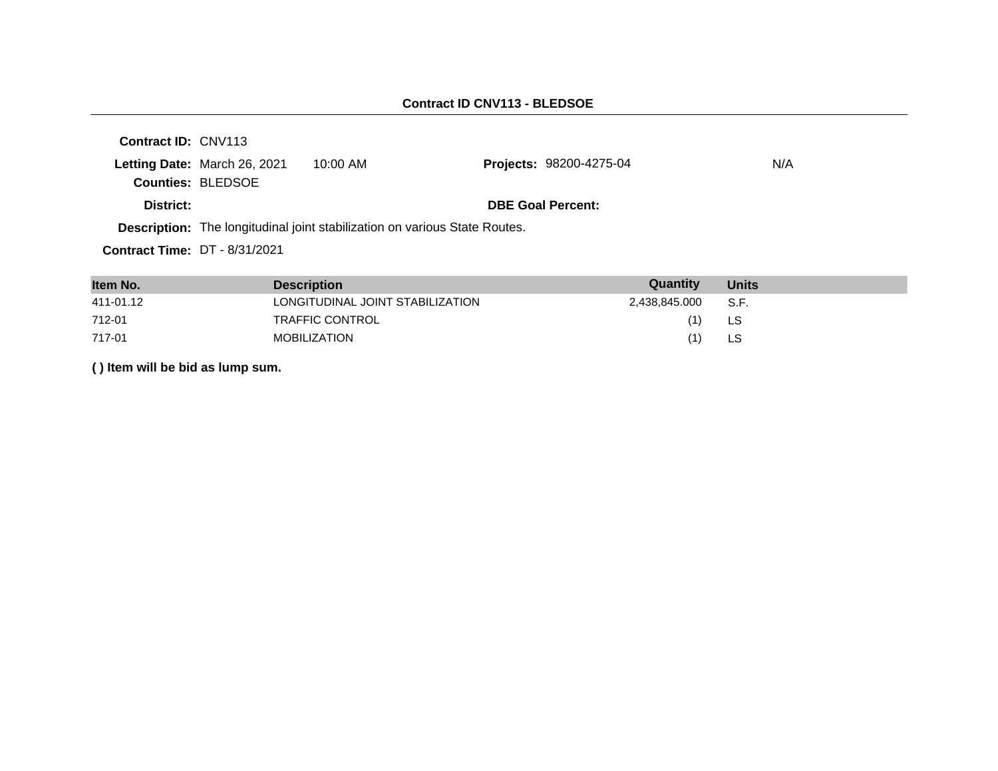| <b>Contract ID: CNV113</b>           |                              |                                                                                   |                                |     |
|--------------------------------------|------------------------------|-----------------------------------------------------------------------------------|--------------------------------|-----|
|                                      | Letting Date: March 26, 2021 | $10:00$ AM                                                                        | <b>Projects: 98200-4275-04</b> | N/A |
|                                      | <b>Counties: BLEDSOE</b>     |                                                                                   |                                |     |
| District:                            |                              |                                                                                   | <b>DBE Goal Percent:</b>       |     |
|                                      |                              | <b>Description:</b> The longitudinal joint stabilization on various State Routes. |                                |     |
| <b>Contract Time: DT - 8/31/2021</b> |                              |                                                                                   |                                |     |
|                                      |                              |                                                                                   |                                |     |

| Item No.  | <b>Description</b>               | Quantity           | <b>Units</b> |
|-----------|----------------------------------|--------------------|--------------|
| 411-01.12 | LONGITUDINAL JOINT STABILIZATION | 2,438,845.000 S.F. |              |
| 712-01    | TRAFFIC CONTROL                  | (1)                | LS.          |
| 717-01    | <b>MOBILIZATION</b>              | (1)                | LS           |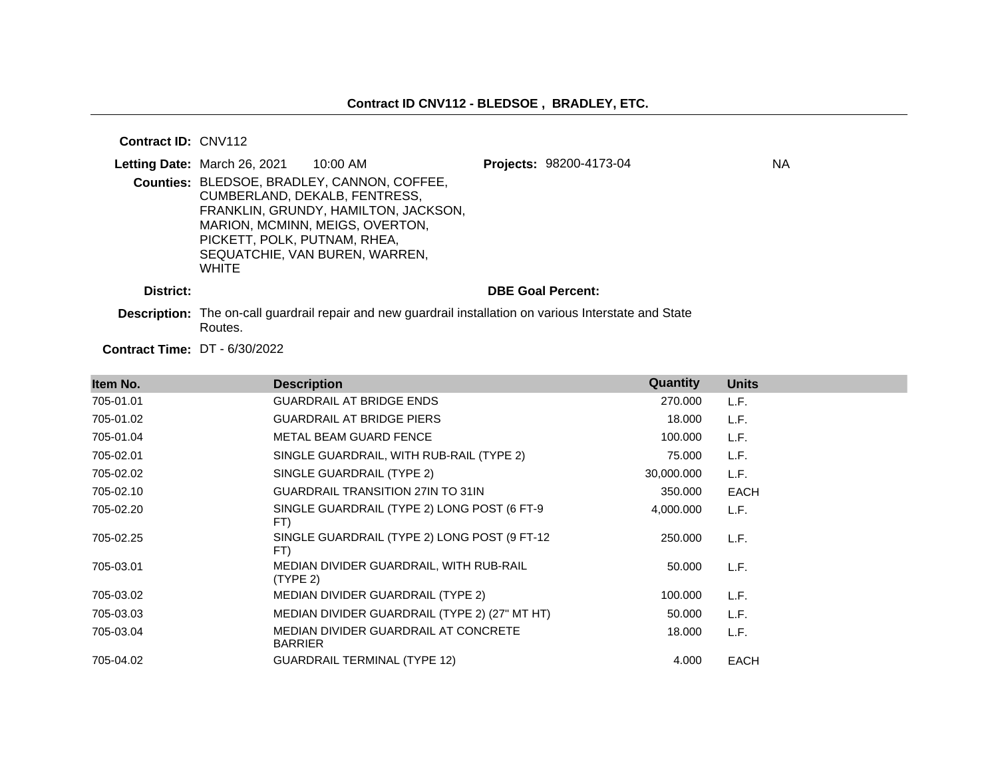#### **Contract ID:** CNV112

|           | <b>Letting Date: March 26, 2021 10:00 AM</b>                                                                                                                                                                                              | Projects: 98200-4173-04  | <b>NA</b> |
|-----------|-------------------------------------------------------------------------------------------------------------------------------------------------------------------------------------------------------------------------------------------|--------------------------|-----------|
|           | Counties: BLEDSOE, BRADLEY, CANNON, COFFEE,<br>CUMBERLAND, DEKALB, FENTRESS,<br>FRANKLIN, GRUNDY, HAMILTON, JACKSON,<br>MARION, MCMINN, MEIGS, OVERTON,<br>PICKETT, POLK, PUTNAM, RHEA,<br>SEQUATCHIE, VAN BUREN, WARREN,<br><b>WHITE</b> |                          |           |
| District: |                                                                                                                                                                                                                                           | <b>DBE Goal Percent:</b> |           |
|           |                                                                                                                                                                                                                                           |                          |           |

**Description:** The on-call guardrail repair and new guardrail installation on various Interstate and State Routes.

**Contract Time:** DT - 6/30/2022

| Item No.  | <b>Description</b>                                     | Quantity   | <b>Units</b> |
|-----------|--------------------------------------------------------|------------|--------------|
| 705-01.01 | <b>GUARDRAIL AT BRIDGE ENDS</b>                        | 270.000    | L.F.         |
| 705-01.02 | <b>GUARDRAIL AT BRIDGE PIERS</b>                       | 18.000     | L.F.         |
| 705-01.04 | METAL BEAM GUARD FENCE                                 | 100.000    | L.F.         |
| 705-02.01 | SINGLE GUARDRAIL, WITH RUB-RAIL (TYPE 2)               | 75.000     | L.F.         |
| 705-02.02 | SINGLE GUARDRAIL (TYPE 2)                              | 30,000.000 | L.F.         |
| 705-02.10 | <b>GUARDRAIL TRANSITION 27IN TO 31IN</b>               | 350.000    | <b>EACH</b>  |
| 705-02.20 | SINGLE GUARDRAIL (TYPE 2) LONG POST (6 FT-9<br>FT)     | 4,000.000  | L.F.         |
| 705-02.25 | SINGLE GUARDRAIL (TYPE 2) LONG POST (9 FT-12<br>FT)    | 250.000    | L.F.         |
| 705-03.01 | MEDIAN DIVIDER GUARDRAIL, WITH RUB-RAIL<br>(TYPE 2)    | 50.000     | L.F.         |
| 705-03.02 | MEDIAN DIVIDER GUARDRAIL (TYPE 2)                      | 100.000    | L.F.         |
| 705-03.03 | MEDIAN DIVIDER GUARDRAIL (TYPE 2) (27" MT HT)          | 50.000     | L.F.         |
| 705-03.04 | MEDIAN DIVIDER GUARDRAIL AT CONCRETE<br><b>BARRIER</b> | 18.000     | L.F.         |
| 705-04.02 | <b>GUARDRAIL TERMINAL (TYPE 12)</b>                    | 4.000      | <b>EACH</b>  |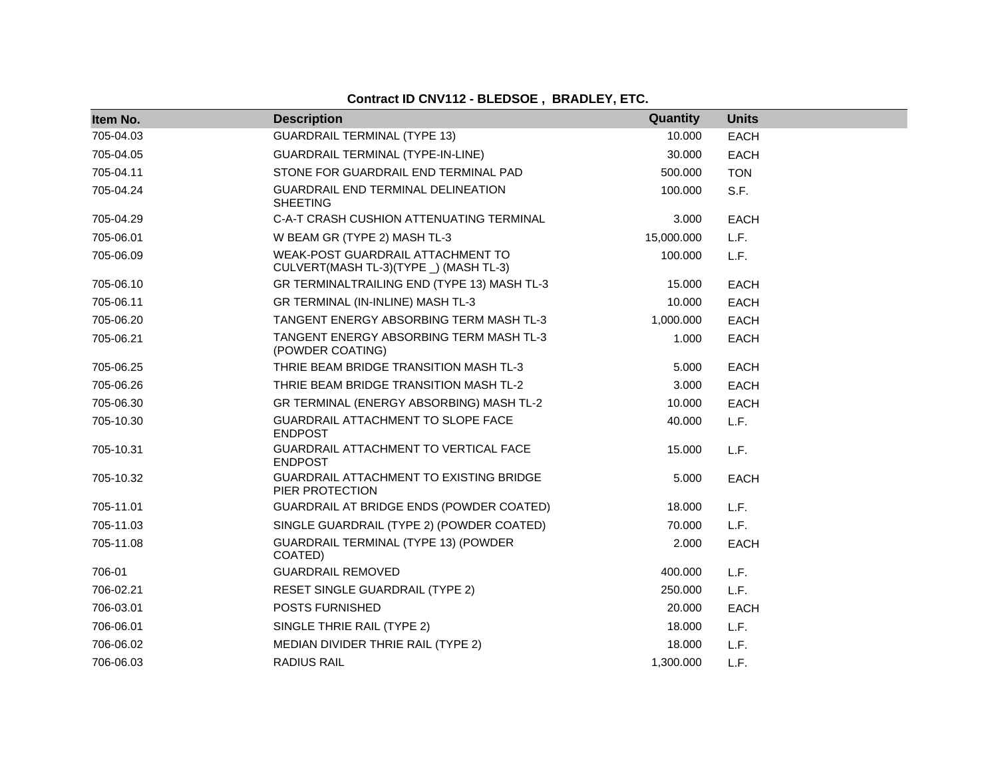# **Contract ID CNV112 - BLEDSOE , BRADLEY, ETC.**

| Item No.  | <b>Description</b>                                                          | Quantity   | <b>Units</b> |
|-----------|-----------------------------------------------------------------------------|------------|--------------|
| 705-04.03 | <b>GUARDRAIL TERMINAL (TYPE 13)</b>                                         | 10.000     | <b>EACH</b>  |
| 705-04.05 | <b>GUARDRAIL TERMINAL (TYPE-IN-LINE)</b>                                    | 30.000     | <b>EACH</b>  |
| 705-04.11 | STONE FOR GUARDRAIL END TERMINAL PAD                                        | 500.000    | <b>TON</b>   |
| 705-04.24 | GUARDRAIL END TERMINAL DELINEATION<br><b>SHEETING</b>                       | 100.000    | S.F.         |
| 705-04.29 | C-A-T CRASH CUSHION ATTENUATING TERMINAL                                    | 3.000      | <b>EACH</b>  |
| 705-06.01 | W BEAM GR (TYPE 2) MASH TL-3                                                | 15,000.000 | L.F.         |
| 705-06.09 | WEAK-POST GUARDRAIL ATTACHMENT TO<br>CULVERT(MASH TL-3)(TYPE _) (MASH TL-3) | 100.000    | L.F.         |
| 705-06.10 | GR TERMINALTRAILING END (TYPE 13) MASH TL-3                                 | 15.000     | <b>EACH</b>  |
| 705-06.11 | GR TERMINAL (IN-INLINE) MASH TL-3                                           | 10.000     | <b>EACH</b>  |
| 705-06.20 | TANGENT ENERGY ABSORBING TERM MASH TL-3                                     | 1,000.000  | <b>EACH</b>  |
| 705-06.21 | TANGENT ENERGY ABSORBING TERM MASH TL-3<br>(POWDER COATING)                 | 1.000      | <b>EACH</b>  |
| 705-06.25 | THRIE BEAM BRIDGE TRANSITION MASH TL-3                                      | 5.000      | <b>EACH</b>  |
| 705-06.26 | THRIE BEAM BRIDGE TRANSITION MASH TL-2                                      | 3.000      | <b>EACH</b>  |
| 705-06.30 | GR TERMINAL (ENERGY ABSORBING) MASH TL-2                                    | 10.000     | <b>EACH</b>  |
| 705-10.30 | GUARDRAIL ATTACHMENT TO SLOPE FACE<br><b>ENDPOST</b>                        | 40.000     | L.F.         |
| 705-10.31 | GUARDRAIL ATTACHMENT TO VERTICAL FACE<br><b>ENDPOST</b>                     | 15.000     | L.F.         |
| 705-10.32 | <b>GUARDRAIL ATTACHMENT TO EXISTING BRIDGE</b><br>PIER PROTECTION           | 5.000      | <b>EACH</b>  |
| 705-11.01 | GUARDRAIL AT BRIDGE ENDS (POWDER COATED)                                    | 18.000     | L.F.         |
| 705-11.03 | SINGLE GUARDRAIL (TYPE 2) (POWDER COATED)                                   | 70.000     | L.F.         |
| 705-11.08 | GUARDRAIL TERMINAL (TYPE 13) (POWDER<br>COATED)                             | 2.000      | <b>EACH</b>  |
| 706-01    | <b>GUARDRAIL REMOVED</b>                                                    | 400.000    | L.F.         |
| 706-02.21 | <b>RESET SINGLE GUARDRAIL (TYPE 2)</b>                                      | 250.000    | L.F.         |
| 706-03.01 | POSTS FURNISHED                                                             | 20.000     | <b>EACH</b>  |
| 706-06.01 | SINGLE THRIE RAIL (TYPE 2)                                                  | 18.000     | L.F.         |
| 706-06.02 | MEDIAN DIVIDER THRIE RAIL (TYPE 2)                                          | 18.000     | L.F.         |
| 706-06.03 | <b>RADIUS RAIL</b>                                                          | 1,300.000  | L.F.         |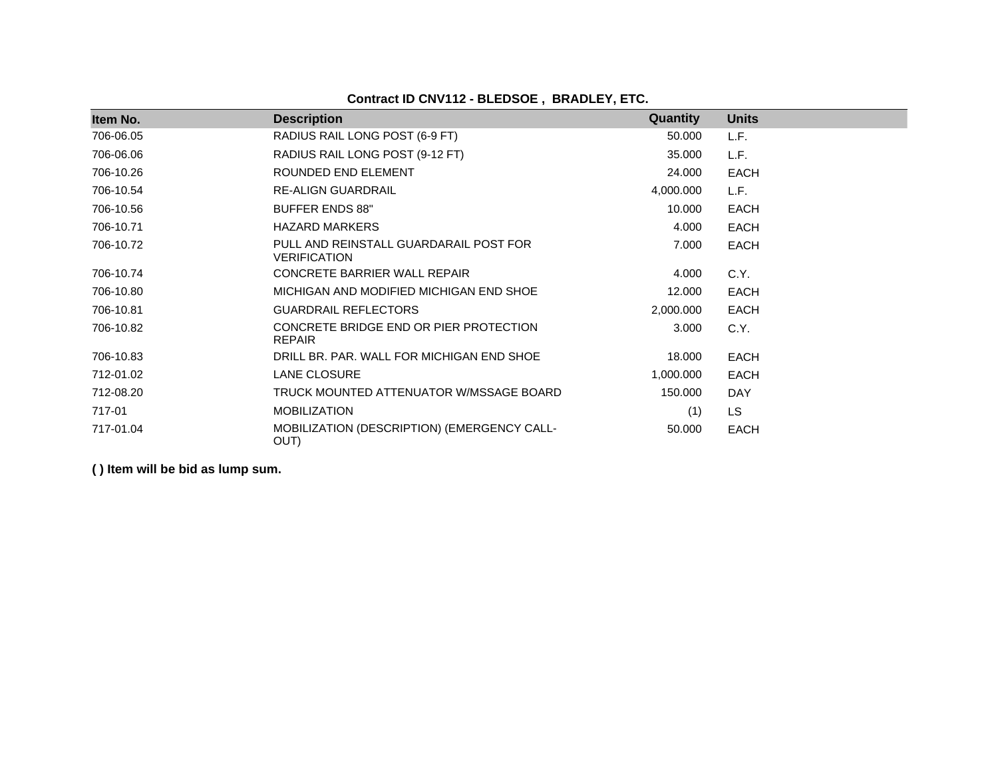**Contract ID CNV112 - BLEDSOE , BRADLEY, ETC.**

| Item No.  | <b>Description</b>                                            | <b>Quantity</b> | <b>Units</b> |
|-----------|---------------------------------------------------------------|-----------------|--------------|
| 706-06.05 | RADIUS RAIL LONG POST (6-9 FT)                                | 50.000          | L.F.         |
| 706-06.06 | RADIUS RAIL LONG POST (9-12 FT)                               | 35.000          | L.F.         |
| 706-10.26 | ROUNDED END ELEMENT                                           | 24.000          | <b>EACH</b>  |
| 706-10.54 | <b>RE-ALIGN GUARDRAIL</b>                                     | 4,000.000       | L.F.         |
| 706-10.56 | <b>BUFFER ENDS 88"</b>                                        | 10.000          | <b>EACH</b>  |
| 706-10.71 | <b>HAZARD MARKERS</b>                                         | 4.000           | <b>EACH</b>  |
| 706-10.72 | PULL AND REINSTALL GUARDARAIL POST FOR<br><b>VERIFICATION</b> | 7.000           | <b>EACH</b>  |
| 706-10.74 | CONCRETE BARRIER WALL REPAIR                                  | 4.000           | C.Y.         |
| 706-10.80 | MICHIGAN AND MODIFIED MICHIGAN END SHOE                       | 12.000          | <b>EACH</b>  |
| 706-10.81 | <b>GUARDRAIL REFLECTORS</b>                                   | 2,000.000       | <b>EACH</b>  |
| 706-10.82 | CONCRETE BRIDGE END OR PIER PROTECTION<br><b>REPAIR</b>       | 3.000           | C.Y.         |
| 706-10.83 | DRILL BR. PAR. WALL FOR MICHIGAN END SHOE                     | 18.000          | <b>EACH</b>  |
| 712-01.02 | LANE CLOSURE                                                  | 1,000.000       | <b>EACH</b>  |
| 712-08.20 | TRUCK MOUNTED ATTENUATOR W/MSSAGE BOARD                       | 150.000         | <b>DAY</b>   |
| 717-01    | <b>MOBILIZATION</b>                                           | (1)             | <b>LS</b>    |
| 717-01.04 | MOBILIZATION (DESCRIPTION) (EMERGENCY CALL-<br>OUT)           | 50.000          | <b>EACH</b>  |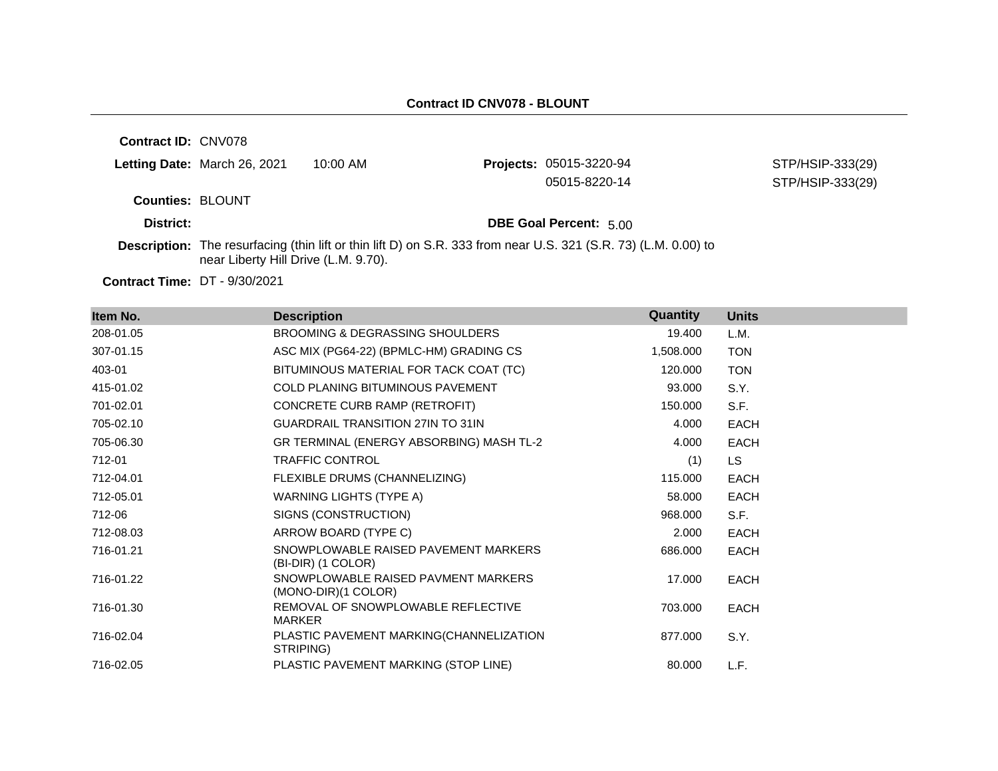**Contract ID:** CNV078

|                         | Letting Date: March 26, 2021 | 10:00 AM | <b>Projects: 05015-3220-94</b> | STP/HSIP-333(29) |
|-------------------------|------------------------------|----------|--------------------------------|------------------|
|                         |                              |          | 05015-8220-14                  | STP/HSIP-333(29) |
| <b>Counties: BLOUNT</b> |                              |          |                                |                  |

**District: District: DBE Goal Percent:** 5.00

**Description:** The resurfacing (thin lift or thin lift D) on S.R. 333 from near U.S. 321 (S.R. 73) (L.M. 0.00) to near Liberty Hill Drive (L.M. 9.70).

**Contract Time:** DT - 9/30/2021

| Item No.  | <b>Description</b>                                         | Quantity  | <b>Units</b> |
|-----------|------------------------------------------------------------|-----------|--------------|
| 208-01.05 | <b>BROOMING &amp; DEGRASSING SHOULDERS</b>                 | 19.400    | L.M.         |
| 307-01.15 | ASC MIX (PG64-22) (BPMLC-HM) GRADING CS                    | 1,508.000 | <b>TON</b>   |
| 403-01    | BITUMINOUS MATERIAL FOR TACK COAT (TC)                     | 120.000   | <b>TON</b>   |
| 415-01.02 | <b>COLD PLANING BITUMINOUS PAVEMENT</b>                    | 93.000    | S.Y.         |
| 701-02.01 | CONCRETE CURB RAMP (RETROFIT)                              | 150.000   | S.F.         |
| 705-02.10 | <b>GUARDRAIL TRANSITION 27IN TO 31IN</b>                   | 4.000     | <b>EACH</b>  |
| 705-06.30 | GR TERMINAL (ENERGY ABSORBING) MASH TL-2                   | 4.000     | EACH         |
| 712-01    | <b>TRAFFIC CONTROL</b>                                     | (1)       | LS.          |
| 712-04.01 | FLEXIBLE DRUMS (CHANNELIZING)                              | 115.000   | <b>EACH</b>  |
| 712-05.01 | WARNING LIGHTS (TYPE A)                                    | 58.000    | <b>EACH</b>  |
| 712-06    | SIGNS (CONSTRUCTION)                                       | 968.000   | S.F.         |
| 712-08.03 | ARROW BOARD (TYPE C)                                       | 2.000     | <b>EACH</b>  |
| 716-01.21 | SNOWPLOWABLE RAISED PAVEMENT MARKERS<br>(BI-DIR) (1 COLOR) | 686.000   | <b>EACH</b>  |
| 716-01.22 | SNOWPLOWABLE RAISED PAVMENT MARKERS<br>(MONO-DIR)(1 COLOR) | 17.000    | <b>EACH</b>  |
| 716-01.30 | REMOVAL OF SNOWPLOWABLE REFLECTIVE<br><b>MARKER</b>        | 703.000   | EACH         |
| 716-02.04 | PLASTIC PAVEMENT MARKING(CHANNELIZATION<br>STRIPING)       | 877.000   | S.Y.         |
| 716-02.05 | PLASTIC PAVEMENT MARKING (STOP LINE)                       | 80.000    | L.F.         |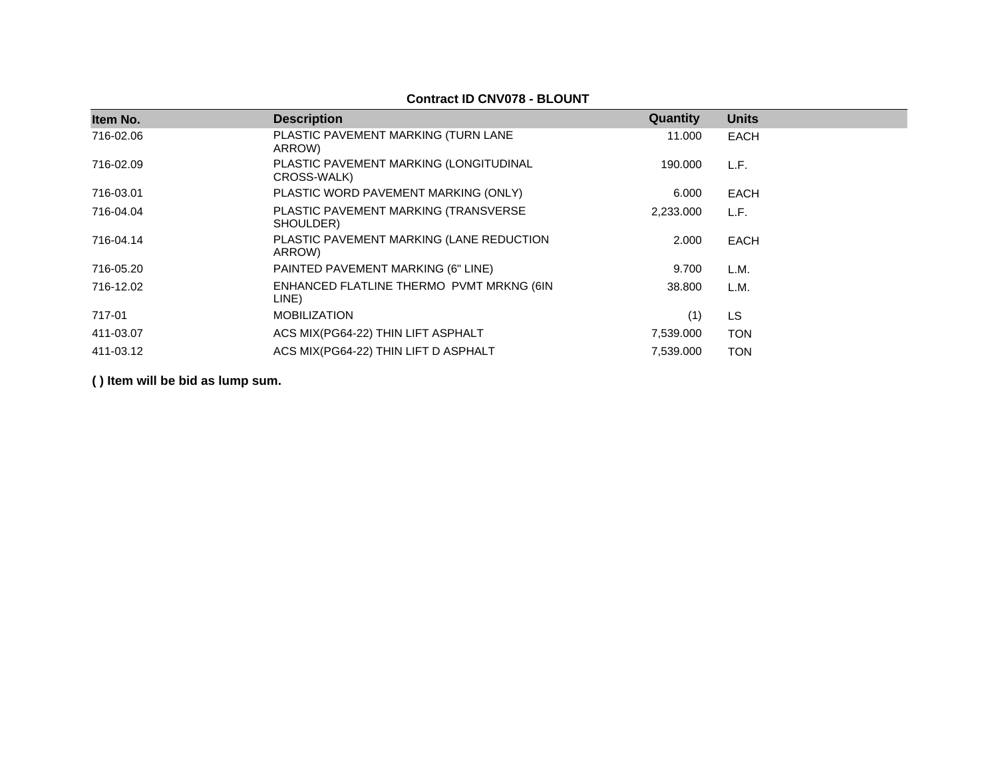## **Contract ID CNV078 - BLOUNT**

| Item No.  | <b>Description</b>                                    | Quantity  | <b>Units</b> |
|-----------|-------------------------------------------------------|-----------|--------------|
| 716-02.06 | PLASTIC PAVEMENT MARKING (TURN LANE<br>ARROW)         | 11.000    | EACH         |
| 716-02.09 | PLASTIC PAVEMENT MARKING (LONGITUDINAL<br>CROSS-WALK) | 190.000   | L.F.         |
| 716-03.01 | PLASTIC WORD PAVEMENT MARKING (ONLY)                  | 6.000     | <b>EACH</b>  |
| 716-04.04 | PLASTIC PAVEMENT MARKING (TRANSVERSE<br>SHOULDER)     | 2,233.000 | L.F.         |
| 716-04.14 | PLASTIC PAVEMENT MARKING (LANE REDUCTION<br>ARROW)    | 2.000     | EACH         |
| 716-05.20 | PAINTED PAVEMENT MARKING (6" LINE)                    | 9.700     | L.M.         |
| 716-12.02 | ENHANCED FLATLINE THERMO PVMT MRKNG (6IN<br>LINE)     | 38,800    | L.M.         |
| 717-01    | <b>MOBILIZATION</b>                                   | (1)       | <b>LS</b>    |
| 411-03.07 | ACS MIX(PG64-22) THIN LIFT ASPHALT                    | 7,539.000 | <b>TON</b>   |
| 411-03.12 | ACS MIX(PG64-22) THIN LIFT D ASPHALT                  | 7,539.000 | <b>TON</b>   |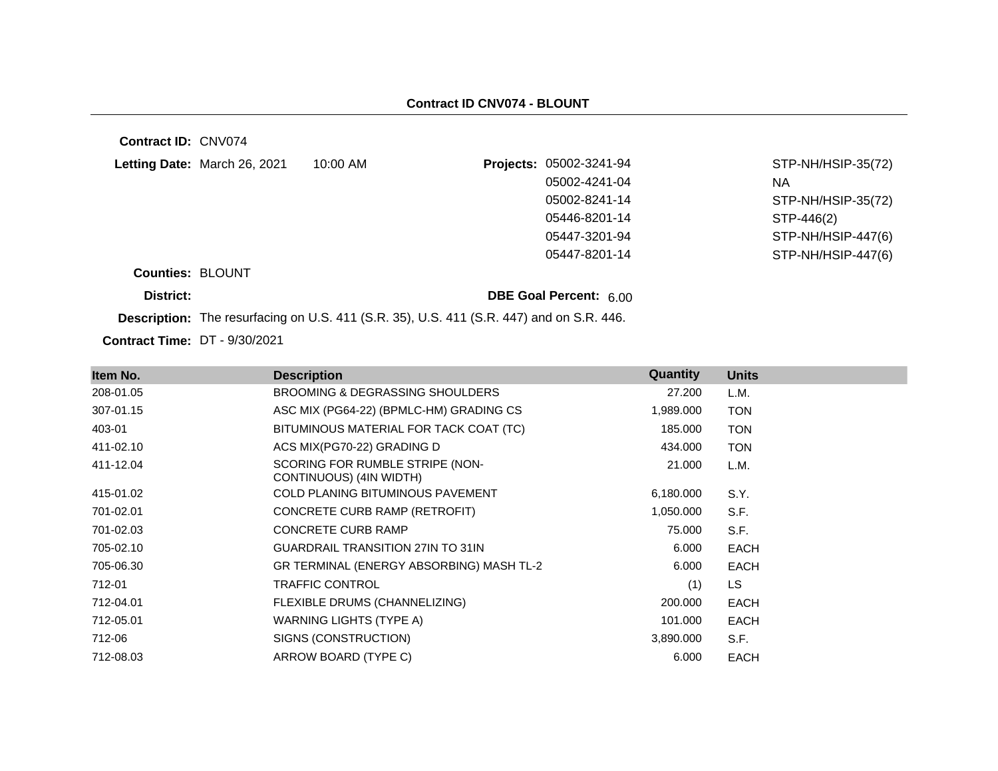| Contract ID: CNV074                  |                              |            |                                                                                                 |                    |
|--------------------------------------|------------------------------|------------|-------------------------------------------------------------------------------------------------|--------------------|
|                                      | Letting Date: March 26, 2021 | $10:00$ AM | Projects: 05002-3241-94                                                                         | STP-NH/HSIP-35(72) |
|                                      |                              |            | 05002-4241-04                                                                                   | NA.                |
|                                      |                              |            | 05002-8241-14                                                                                   | STP-NH/HSIP-35(72) |
|                                      |                              |            | 05446-8201-14                                                                                   | STP-446(2)         |
|                                      |                              |            | 05447-3201-94                                                                                   | STP-NH/HSIP-447(6) |
|                                      |                              |            | 05447-8201-14                                                                                   | STP-NH/HSIP-447(6) |
| <b>Counties: BLOUNT</b>              |                              |            |                                                                                                 |                    |
| District:                            |                              |            | DBE Goal Percent: 6.00                                                                          |                    |
|                                      |                              |            | <b>Description:</b> The resurfacing on U.S. 411 (S.R. 35), U.S. 411 (S.R. 447) and on S.R. 446. |                    |
| <b>Contract Time: DT - 9/30/2021</b> |                              |            |                                                                                                 |                    |

| Item No.  | <b>Description</b>                                         | Quantity  | <b>Units</b> |
|-----------|------------------------------------------------------------|-----------|--------------|
| 208-01.05 | <b>BROOMING &amp; DEGRASSING SHOULDERS</b>                 | 27.200    | L.M.         |
| 307-01.15 | ASC MIX (PG64-22) (BPMLC-HM) GRADING CS                    | 1,989.000 | <b>TON</b>   |
| 403-01    | BITUMINOUS MATERIAL FOR TACK COAT (TC)                     | 185.000   | <b>TON</b>   |
| 411-02.10 | ACS MIX(PG70-22) GRADING D                                 | 434.000   | <b>TON</b>   |
| 411-12.04 | SCORING FOR RUMBLE STRIPE (NON-<br>CONTINUOUS) (4IN WIDTH) | 21.000    | L.M.         |
| 415-01.02 | <b>COLD PLANING BITUMINOUS PAVEMENT</b>                    | 6,180.000 | S.Y.         |
| 701-02.01 | CONCRETE CURB RAMP (RETROFIT)                              | 1,050.000 | S.F.         |
| 701-02.03 | <b>CONCRETE CURB RAMP</b>                                  | 75.000    | S.F.         |
| 705-02.10 | <b>GUARDRAIL TRANSITION 27IN TO 31IN</b>                   | 6.000     | <b>EACH</b>  |
| 705-06.30 | GR TERMINAL (ENERGY ABSORBING) MASH TL-2                   | 6.000     | <b>EACH</b>  |
| 712-01    | <b>TRAFFIC CONTROL</b>                                     | (1)       | LS.          |
| 712-04.01 | FLEXIBLE DRUMS (CHANNELIZING)                              | 200.000   | <b>EACH</b>  |
| 712-05.01 | WARNING LIGHTS (TYPE A)                                    | 101.000   | <b>EACH</b>  |
| 712-06    | SIGNS (CONSTRUCTION)                                       | 3,890.000 | S.F.         |
| 712-08.03 | ARROW BOARD (TYPE C)                                       | 6.000     | <b>EACH</b>  |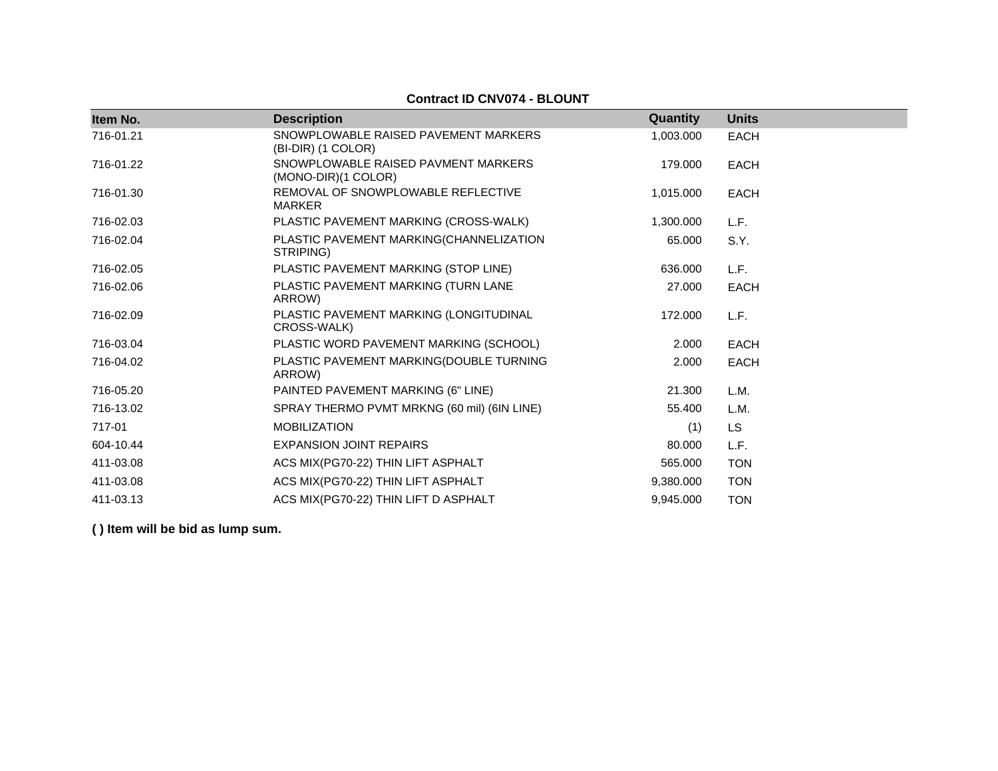## **Contract ID CNV074 - BLOUNT**

| Item No.  | <b>Description</b>                                         | Quantity  | <b>Units</b> |
|-----------|------------------------------------------------------------|-----------|--------------|
| 716-01.21 | SNOWPLOWABLE RAISED PAVEMENT MARKERS<br>(BI-DIR) (1 COLOR) | 1,003.000 | EACH         |
| 716-01.22 | SNOWPLOWABLE RAISED PAVMENT MARKERS<br>(MONO-DIR)(1 COLOR) | 179.000   | <b>EACH</b>  |
| 716-01.30 | REMOVAL OF SNOWPLOWABLE REFLECTIVE<br><b>MARKER</b>        | 1,015.000 | <b>EACH</b>  |
| 716-02.03 | PLASTIC PAVEMENT MARKING (CROSS-WALK)                      | 1,300.000 | L.F.         |
| 716-02.04 | PLASTIC PAVEMENT MARKING(CHANNELIZATION<br>STRIPING)       | 65.000    | S.Y.         |
| 716-02.05 | PLASTIC PAVEMENT MARKING (STOP LINE)                       | 636.000   | L.F.         |
| 716-02.06 | PLASTIC PAVEMENT MARKING (TURN LANE<br>ARROW)              | 27,000    | <b>EACH</b>  |
| 716-02.09 | PLASTIC PAVEMENT MARKING (LONGITUDINAL<br>CROSS-WALK)      | 172.000   | L.F.         |
| 716-03.04 | PLASTIC WORD PAVEMENT MARKING (SCHOOL)                     | 2.000     | <b>EACH</b>  |
| 716-04.02 | PLASTIC PAVEMENT MARKING(DOUBLE TURNING<br>ARROW)          | 2.000     | <b>EACH</b>  |
| 716-05.20 | PAINTED PAVEMENT MARKING (6" LINE)                         | 21.300    | L.M.         |
| 716-13.02 | SPRAY THERMO PVMT MRKNG (60 mil) (6IN LINE)                | 55.400    | L.M.         |
| 717-01    | <b>MOBILIZATION</b>                                        | (1)       | LS.          |
| 604-10.44 | <b>EXPANSION JOINT REPAIRS</b>                             | 80.000    | L.F.         |
| 411-03.08 | ACS MIX(PG70-22) THIN LIFT ASPHALT                         | 565.000   | <b>TON</b>   |
| 411-03.08 | ACS MIX(PG70-22) THIN LIFT ASPHALT                         | 9,380.000 | <b>TON</b>   |
| 411-03.13 | ACS MIX(PG70-22) THIN LIFT D ASPHALT                       | 9,945.000 | <b>TON</b>   |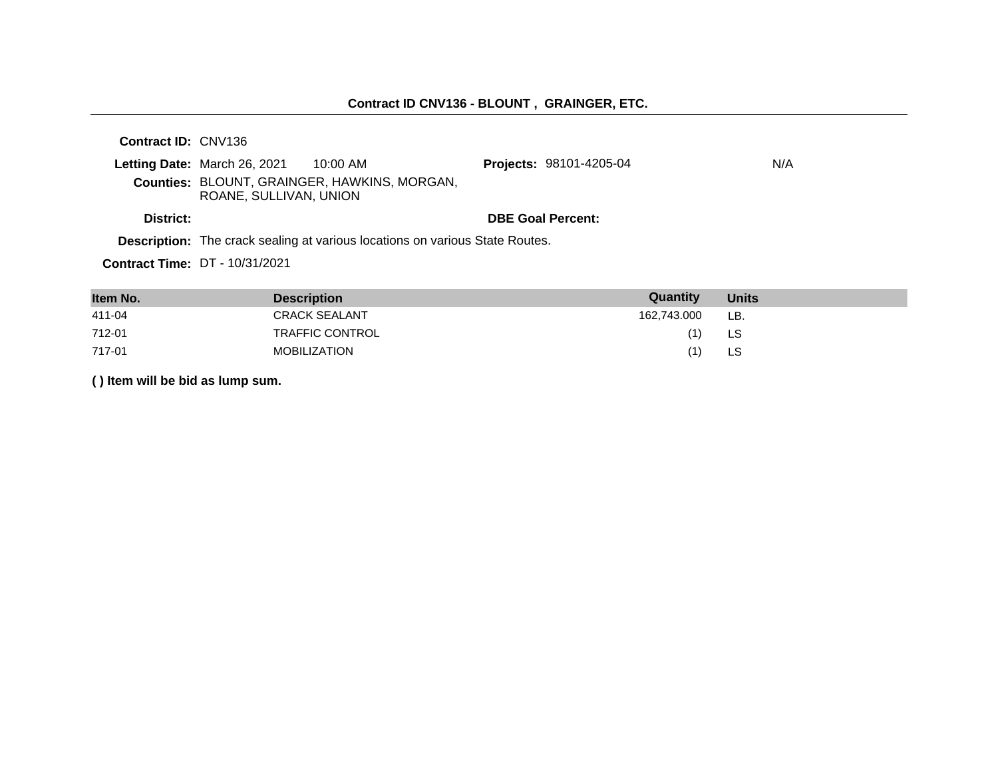## **Contract ID CNV136 - BLOUNT , GRAINGER, ETC.**

**Contract ID:** CNV136

|           | Letting Date: March 26, 2021 | 10:00 AM                                            | <b>Projects: 98101-4205-04</b> | N/A |
|-----------|------------------------------|-----------------------------------------------------|--------------------------------|-----|
|           | ROANE, SULLIVAN, UNION       | <b>Counties: BLOUNT, GRAINGER, HAWKINS, MORGAN,</b> |                                |     |
| District: |                              |                                                     | <b>DBE Goal Percent:</b>       |     |

**Description:** The crack sealing at various locations on various State Routes.

**Contract Time:** DT - 10/31/2021

| Item No. | <b>Description</b>     | Quantity    | <b>Units</b> |
|----------|------------------------|-------------|--------------|
| 411-04   | <b>CRACK SEALANT</b>   | 162,743.000 | LB.          |
| 712-01   | <b>TRAFFIC CONTROL</b> |             | LS           |
| 717-01   | MOBILIZATION           |             | LS           |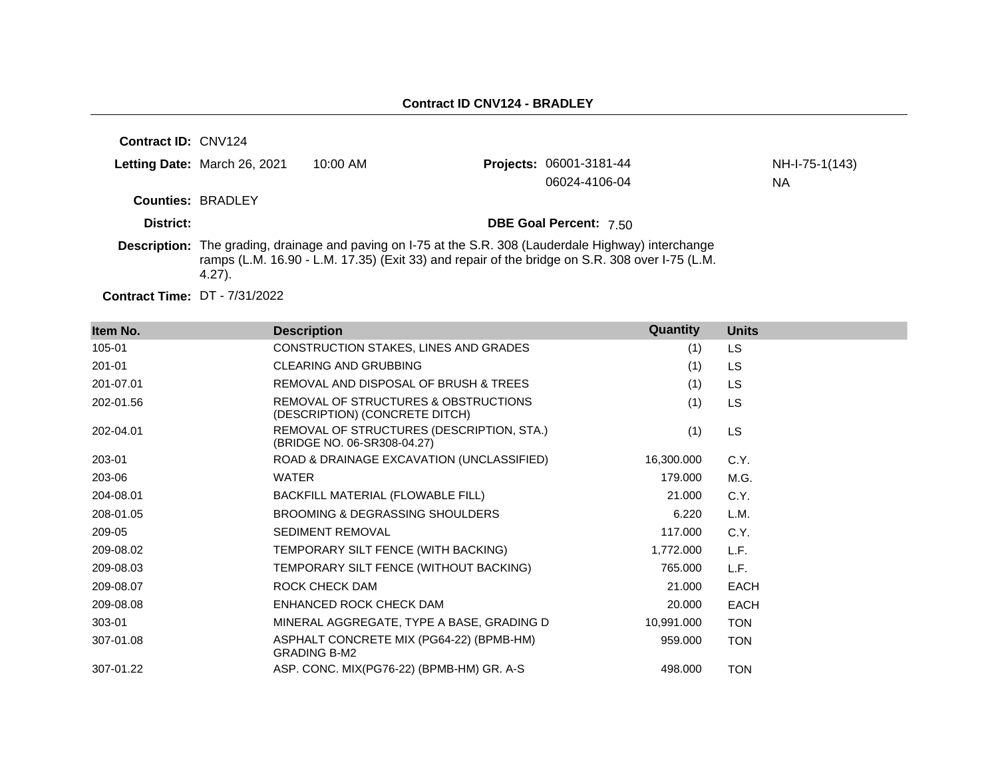| <b>Contract ID: CNV124</b> |                              |            |                                                                                                                                                                                                          |                |
|----------------------------|------------------------------|------------|----------------------------------------------------------------------------------------------------------------------------------------------------------------------------------------------------------|----------------|
|                            | Letting Date: March 26, 2021 | $10:00$ AM | <b>Projects: 06001-3181-44</b>                                                                                                                                                                           | NH-I-75-1(143) |
|                            |                              |            | 06024-4106-04                                                                                                                                                                                            | NA             |
| <b>Counties: BRADLEY</b>   |                              |            |                                                                                                                                                                                                          |                |
| District:                  |                              |            | <b>DBE Goal Percent: 7.50</b>                                                                                                                                                                            |                |
|                            | $4.27$ ).                    |            | Description: The grading, drainage and paving on I-75 at the S.R. 308 (Lauderdale Highway) interchange<br>ramps (L.M. 16.90 - L.M. 17.35) (Exit 33) and repair of the bridge on S.R. 308 over I-75 (L.M. |                |

**Contract Time:** DT - 7/31/2022

| Item No.  | <b>Description</b>                                                       | Quantity   | <b>Units</b> |
|-----------|--------------------------------------------------------------------------|------------|--------------|
| 105-01    | CONSTRUCTION STAKES, LINES AND GRADES                                    | (1)        | <b>LS</b>    |
| 201-01    | <b>CLEARING AND GRUBBING</b>                                             | (1)        | <b>LS</b>    |
| 201-07.01 | REMOVAL AND DISPOSAL OF BRUSH & TREES                                    | (1)        | <b>LS</b>    |
| 202-01.56 | REMOVAL OF STRUCTURES & OBSTRUCTIONS<br>(DESCRIPTION) (CONCRETE DITCH)   | (1)        | <b>LS</b>    |
| 202-04.01 | REMOVAL OF STRUCTURES (DESCRIPTION, STA.)<br>(BRIDGE NO. 06-SR308-04.27) | (1)        | <b>LS</b>    |
| 203-01    | ROAD & DRAINAGE EXCAVATION (UNCLASSIFIED)                                | 16,300.000 | C.Y.         |
| 203-06    | <b>WATER</b>                                                             | 179.000    | M.G.         |
| 204-08.01 | BACKFILL MATERIAL (FLOWABLE FILL)                                        | 21.000     | C.Y.         |
| 208-01.05 | BROOMING & DEGRASSING SHOULDERS                                          | 6.220      | L.M.         |
| 209-05    | <b>SEDIMENT REMOVAL</b>                                                  | 117.000    | C.Y.         |
| 209-08.02 | TEMPORARY SILT FENCE (WITH BACKING)                                      | 1,772.000  | L.F.         |
| 209-08.03 | TEMPORARY SILT FENCE (WITHOUT BACKING)                                   | 765.000    | L.F.         |
| 209-08.07 | ROCK CHECK DAM                                                           | 21.000     | <b>EACH</b>  |
| 209-08.08 | ENHANCED ROCK CHECK DAM                                                  | 20.000     | <b>EACH</b>  |
| 303-01    | MINERAL AGGREGATE, TYPE A BASE, GRADING D                                | 10,991.000 | <b>TON</b>   |
| 307-01.08 | ASPHALT CONCRETE MIX (PG64-22) (BPMB-HM)<br><b>GRADING B-M2</b>          | 959.000    | <b>TON</b>   |
| 307-01.22 | ASP. CONC. MIX(PG76-22) (BPMB-HM) GR. A-S                                | 498.000    | <b>TON</b>   |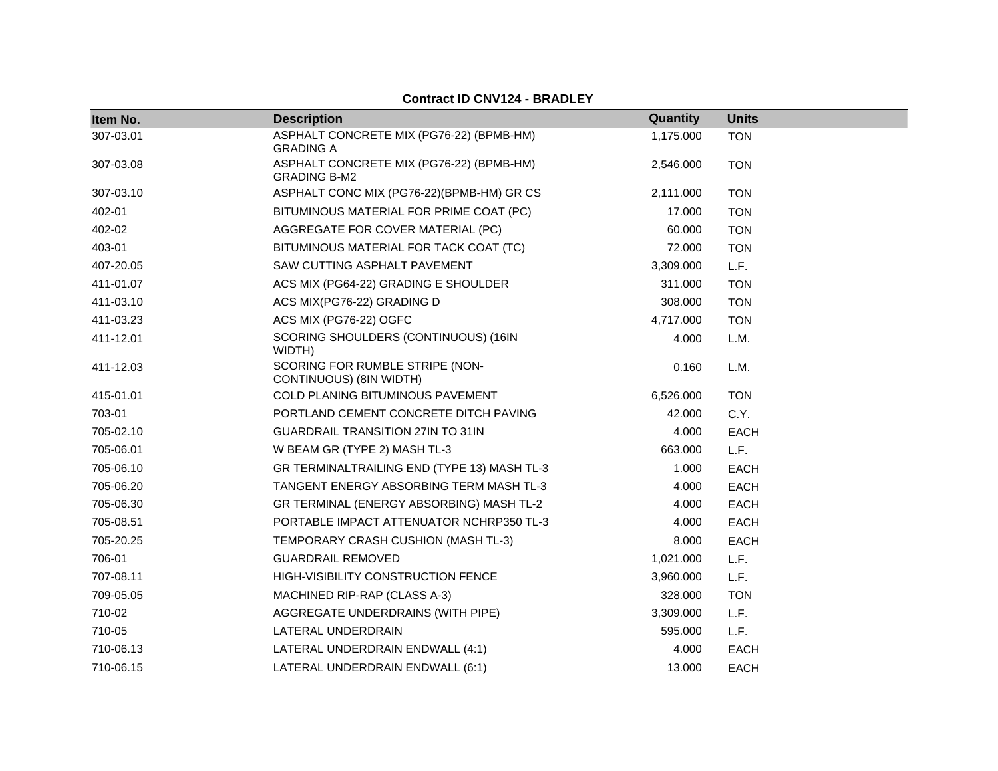| Item No.  | <b>Description</b>                                              | Quantity  | <b>Units</b> |
|-----------|-----------------------------------------------------------------|-----------|--------------|
| 307-03.01 | ASPHALT CONCRETE MIX (PG76-22) (BPMB-HM)<br><b>GRADING A</b>    | 1,175.000 | <b>TON</b>   |
| 307-03.08 | ASPHALT CONCRETE MIX (PG76-22) (BPMB-HM)<br><b>GRADING B-M2</b> | 2,546.000 | <b>TON</b>   |
| 307-03.10 | ASPHALT CONC MIX (PG76-22)(BPMB-HM) GR CS                       | 2,111.000 | <b>TON</b>   |
| 402-01    | BITUMINOUS MATERIAL FOR PRIME COAT (PC)                         | 17.000    | <b>TON</b>   |
| 402-02    | AGGREGATE FOR COVER MATERIAL (PC)                               | 60.000    | <b>TON</b>   |
| 403-01    | BITUMINOUS MATERIAL FOR TACK COAT (TC)                          | 72.000    | <b>TON</b>   |
| 407-20.05 | SAW CUTTING ASPHALT PAVEMENT                                    | 3,309.000 | L.F.         |
| 411-01.07 | ACS MIX (PG64-22) GRADING E SHOULDER                            | 311.000   | <b>TON</b>   |
| 411-03.10 | ACS MIX(PG76-22) GRADING D                                      | 308.000   | <b>TON</b>   |
| 411-03.23 | ACS MIX (PG76-22) OGFC                                          | 4,717.000 | <b>TON</b>   |
| 411-12.01 | SCORING SHOULDERS (CONTINUOUS) (16IN<br>WIDTH)                  | 4.000     | L.M.         |
| 411-12.03 | SCORING FOR RUMBLE STRIPE (NON-<br>CONTINUOUS) (8IN WIDTH)      | 0.160     | L.M.         |
| 415-01.01 | COLD PLANING BITUMINOUS PAVEMENT                                | 6,526.000 | <b>TON</b>   |
| 703-01    | PORTLAND CEMENT CONCRETE DITCH PAVING                           | 42.000    | C.Y.         |
| 705-02.10 | <b>GUARDRAIL TRANSITION 27IN TO 31IN</b>                        | 4.000     | <b>EACH</b>  |
| 705-06.01 | W BEAM GR (TYPE 2) MASH TL-3                                    | 663.000   | L.F.         |
| 705-06.10 | GR TERMINALTRAILING END (TYPE 13) MASH TL-3                     | 1.000     | <b>EACH</b>  |
| 705-06.20 | TANGENT ENERGY ABSORBING TERM MASH TL-3                         | 4.000     | <b>EACH</b>  |
| 705-06.30 | GR TERMINAL (ENERGY ABSORBING) MASH TL-2                        | 4.000     | <b>EACH</b>  |
| 705-08.51 | PORTABLE IMPACT ATTENUATOR NCHRP350 TL-3                        | 4.000     | <b>EACH</b>  |
| 705-20.25 | TEMPORARY CRASH CUSHION (MASH TL-3)                             | 8.000     | <b>EACH</b>  |
| 706-01    | <b>GUARDRAIL REMOVED</b>                                        | 1,021.000 | L.F.         |
| 707-08.11 | HIGH-VISIBILITY CONSTRUCTION FENCE                              | 3,960.000 | L.F.         |
| 709-05.05 | MACHINED RIP-RAP (CLASS A-3)                                    | 328,000   | <b>TON</b>   |
| 710-02    | AGGREGATE UNDERDRAINS (WITH PIPE)                               | 3,309.000 | L.F.         |
| 710-05    | LATERAL UNDERDRAIN                                              | 595.000   | L.F.         |
| 710-06.13 | LATERAL UNDERDRAIN ENDWALL (4:1)                                | 4.000     | <b>EACH</b>  |
| 710-06.15 | LATERAL UNDERDRAIN ENDWALL (6:1)                                | 13.000    | <b>EACH</b>  |

## **Contract ID CNV124 - BRADLEY**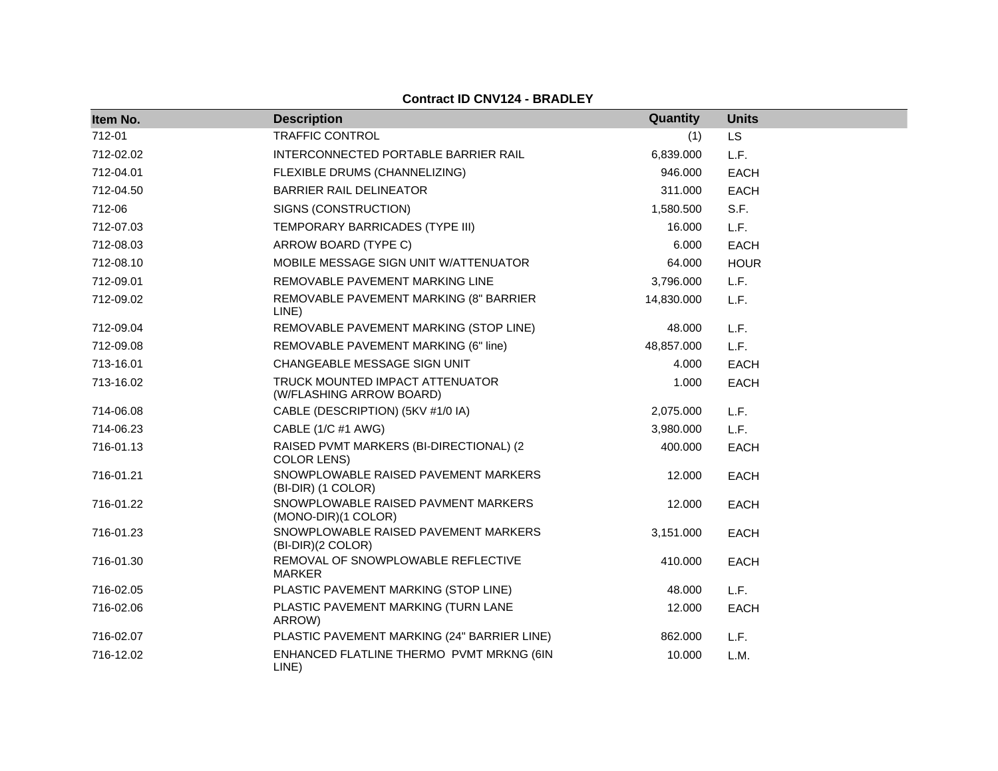| Item No.  | <b>Description</b>                                            | Quantity   | <b>Units</b> |
|-----------|---------------------------------------------------------------|------------|--------------|
| 712-01    | <b>TRAFFIC CONTROL</b>                                        | (1)        | <b>LS</b>    |
| 712-02.02 | INTERCONNECTED PORTABLE BARRIER RAIL                          | 6,839.000  | L.F.         |
| 712-04.01 | FLEXIBLE DRUMS (CHANNELIZING)                                 | 946.000    | <b>EACH</b>  |
| 712-04.50 | <b>BARRIER RAIL DELINEATOR</b>                                | 311.000    | <b>EACH</b>  |
| 712-06    | SIGNS (CONSTRUCTION)                                          | 1,580.500  | S.F.         |
| 712-07.03 | TEMPORARY BARRICADES (TYPE III)                               | 16.000     | L.F.         |
| 712-08.03 | ARROW BOARD (TYPE C)                                          | 6.000      | <b>EACH</b>  |
| 712-08.10 | MOBILE MESSAGE SIGN UNIT W/ATTENUATOR                         | 64.000     | <b>HOUR</b>  |
| 712-09.01 | REMOVABLE PAVEMENT MARKING LINE                               | 3,796.000  | L.F.         |
| 712-09.02 | REMOVABLE PAVEMENT MARKING (8" BARRIER<br>LINE)               | 14,830.000 | L.F.         |
| 712-09.04 | REMOVABLE PAVEMENT MARKING (STOP LINE)                        | 48.000     | L.F.         |
| 712-09.08 | REMOVABLE PAVEMENT MARKING (6" line)                          | 48,857.000 | L.F.         |
| 713-16.01 | CHANGEABLE MESSAGE SIGN UNIT                                  | 4.000      | <b>EACH</b>  |
| 713-16.02 | TRUCK MOUNTED IMPACT ATTENUATOR<br>(W/FLASHING ARROW BOARD)   | 1.000      | <b>EACH</b>  |
| 714-06.08 | CABLE (DESCRIPTION) (5KV #1/0 IA)                             | 2,075.000  | L.F.         |
| 714-06.23 | CABLE (1/C #1 AWG)                                            | 3,980.000  | L.F.         |
| 716-01.13 | RAISED PVMT MARKERS (BI-DIRECTIONAL) (2<br><b>COLOR LENS)</b> | 400.000    | <b>EACH</b>  |
| 716-01.21 | SNOWPLOWABLE RAISED PAVEMENT MARKERS<br>(BI-DIR) (1 COLOR)    | 12.000     | <b>EACH</b>  |
| 716-01.22 | SNOWPLOWABLE RAISED PAVMENT MARKERS<br>(MONO-DIR)(1 COLOR)    | 12.000     | <b>EACH</b>  |
| 716-01.23 | SNOWPLOWABLE RAISED PAVEMENT MARKERS<br>(BI-DIR)(2 COLOR)     | 3,151.000  | <b>EACH</b>  |
| 716-01.30 | REMOVAL OF SNOWPLOWABLE REFLECTIVE<br><b>MARKER</b>           | 410.000    | <b>EACH</b>  |
| 716-02.05 | PLASTIC PAVEMENT MARKING (STOP LINE)                          | 48.000     | L.F.         |
| 716-02.06 | PLASTIC PAVEMENT MARKING (TURN LANE<br>ARROW)                 | 12.000     | <b>EACH</b>  |
| 716-02.07 | PLASTIC PAVEMENT MARKING (24" BARRIER LINE)                   | 862.000    | L.F.         |
| 716-12.02 | ENHANCED FLATLINE THERMO PVMT MRKNG (6IN<br>LINE)             | 10.000     | L.M.         |

**Contract ID CNV124 - BRADLEY**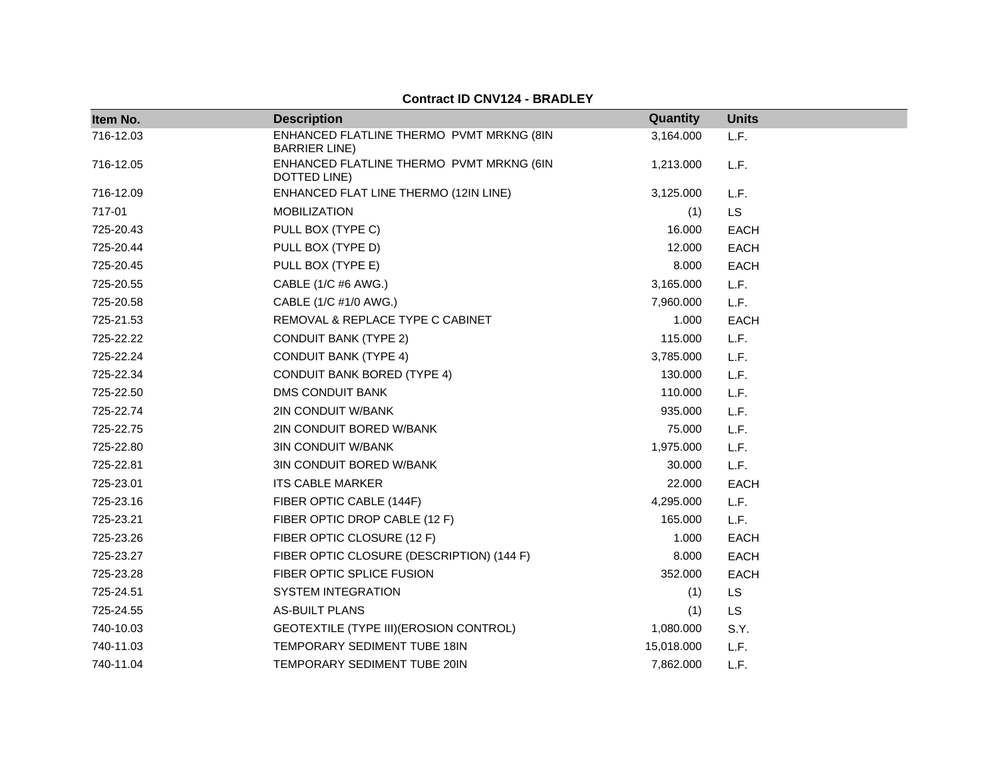#### **Contract ID CNV124 - BRADLEY**

| Item No.  | <b>Description</b>                                                | Quantity   | <b>Units</b> |
|-----------|-------------------------------------------------------------------|------------|--------------|
| 716-12.03 | ENHANCED FLATLINE THERMO PVMT MRKNG (8IN<br><b>BARRIER LINE</b> ) | 3,164.000  | L.F.         |
| 716-12.05 | ENHANCED FLATLINE THERMO PVMT MRKNG (6IN<br>DOTTED LINE)          | 1,213.000  | L.F.         |
| 716-12.09 | ENHANCED FLAT LINE THERMO (12IN LINE)                             | 3,125.000  | L.F.         |
| 717-01    | <b>MOBILIZATION</b>                                               | (1)        | LS           |
| 725-20.43 | PULL BOX (TYPE C)                                                 | 16.000     | <b>EACH</b>  |
| 725-20.44 | PULL BOX (TYPE D)                                                 | 12.000     | <b>EACH</b>  |
| 725-20.45 | PULL BOX (TYPE E)                                                 | 8.000      | <b>EACH</b>  |
| 725-20.55 | CABLE (1/C #6 AWG.)                                               | 3,165.000  | L.F.         |
| 725-20.58 | CABLE (1/C #1/0 AWG.)                                             | 7,960.000  | L.F.         |
| 725-21.53 | REMOVAL & REPLACE TYPE C CABINET                                  | 1.000      | <b>EACH</b>  |
| 725-22.22 | <b>CONDUIT BANK (TYPE 2)</b>                                      | 115.000    | L.F.         |
| 725-22.24 | <b>CONDUIT BANK (TYPE 4)</b>                                      | 3,785.000  | L.F.         |
| 725-22.34 | <b>CONDUIT BANK BORED (TYPE 4)</b>                                | 130.000    | L.F.         |
| 725-22.50 | <b>DMS CONDUIT BANK</b>                                           | 110.000    | L.F.         |
| 725-22.74 | 2IN CONDUIT W/BANK                                                | 935.000    | L.F.         |
| 725-22.75 | 2IN CONDUIT BORED W/BANK                                          | 75.000     | L.F.         |
| 725-22.80 | <b>3IN CONDUIT W/BANK</b>                                         | 1,975.000  | L.F.         |
| 725-22.81 | 3IN CONDUIT BORED W/BANK                                          | 30.000     | L.F.         |
| 725-23.01 | <b>ITS CABLE MARKER</b>                                           | 22.000     | <b>EACH</b>  |
| 725-23.16 | FIBER OPTIC CABLE (144F)                                          | 4,295.000  | L.F.         |
| 725-23.21 | FIBER OPTIC DROP CABLE (12 F)                                     | 165.000    | L.F.         |
| 725-23.26 | FIBER OPTIC CLOSURE (12 F)                                        | 1.000      | <b>EACH</b>  |
| 725-23.27 | FIBER OPTIC CLOSURE (DESCRIPTION) (144 F)                         | 8.000      | <b>EACH</b>  |
| 725-23.28 | FIBER OPTIC SPLICE FUSION                                         | 352.000    | <b>EACH</b>  |
| 725-24.51 | <b>SYSTEM INTEGRATION</b>                                         | (1)        | LS           |
| 725-24.55 | <b>AS-BUILT PLANS</b>                                             | (1)        | LS           |
| 740-10.03 | GEOTEXTILE (TYPE III) (EROSION CONTROL)                           | 1,080.000  | S.Y.         |
| 740-11.03 | TEMPORARY SEDIMENT TUBE 18IN                                      | 15,018.000 | L.F.         |
| 740-11.04 | TEMPORARY SEDIMENT TUBE 20IN                                      | 7,862.000  | L.F.         |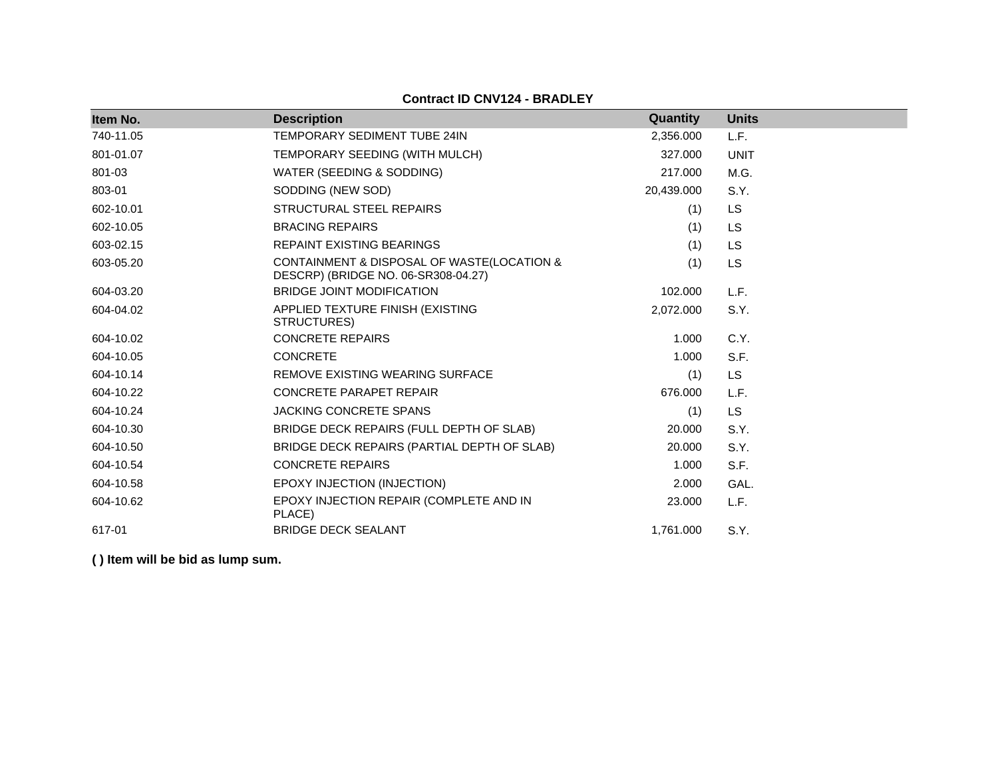**Contract ID CNV124 - BRADLEY**

| Item No.  | <b>Description</b>                                                                | Quantity   | <b>Units</b> |
|-----------|-----------------------------------------------------------------------------------|------------|--------------|
| 740-11.05 | TEMPORARY SEDIMENT TUBE 24IN                                                      | 2,356.000  | L.F.         |
| 801-01.07 | TEMPORARY SEEDING (WITH MULCH)                                                    | 327.000    | <b>UNIT</b>  |
| 801-03    | WATER (SEEDING & SODDING)                                                         | 217.000    | M.G.         |
| 803-01    | SODDING (NEW SOD)                                                                 | 20,439.000 | S.Y.         |
| 602-10.01 | STRUCTURAL STEEL REPAIRS                                                          | (1)        | <b>LS</b>    |
| 602-10.05 | <b>BRACING REPAIRS</b>                                                            | (1)        | <b>LS</b>    |
| 603-02.15 | <b>REPAINT EXISTING BEARINGS</b>                                                  | (1)        | <b>LS</b>    |
| 603-05.20 | CONTAINMENT & DISPOSAL OF WASTE(LOCATION &<br>DESCRP) (BRIDGE NO. 06-SR308-04.27) | (1)        | <b>LS</b>    |
| 604-03.20 | <b>BRIDGE JOINT MODIFICATION</b>                                                  | 102.000    | L.F.         |
| 604-04.02 | APPLIED TEXTURE FINISH (EXISTING<br>STRUCTURES)                                   | 2,072.000  | S.Y.         |
| 604-10.02 | <b>CONCRETE REPAIRS</b>                                                           | 1.000      | C.Y.         |
| 604-10.05 | <b>CONCRETE</b>                                                                   | 1.000      | S.F.         |
| 604-10.14 | REMOVE EXISTING WEARING SURFACE                                                   | (1)        | LS           |
| 604-10.22 | <b>CONCRETE PARAPET REPAIR</b>                                                    | 676.000    | L.F.         |
| 604-10.24 | <b>JACKING CONCRETE SPANS</b>                                                     | (1)        | <b>LS</b>    |
| 604-10.30 | BRIDGE DECK REPAIRS (FULL DEPTH OF SLAB)                                          | 20.000     | S.Y.         |
| 604-10.50 | BRIDGE DECK REPAIRS (PARTIAL DEPTH OF SLAB)                                       | 20,000     | S.Y.         |
| 604-10.54 | <b>CONCRETE REPAIRS</b>                                                           | 1.000      | S.F.         |
| 604-10.58 | EPOXY INJECTION (INJECTION)                                                       | 2.000      | GAL.         |
| 604-10.62 | EPOXY INJECTION REPAIR (COMPLETE AND IN<br>PLACE)                                 | 23.000     | L.F.         |
| 617-01    | <b>BRIDGE DECK SEALANT</b>                                                        | 1,761.000  | S.Y.         |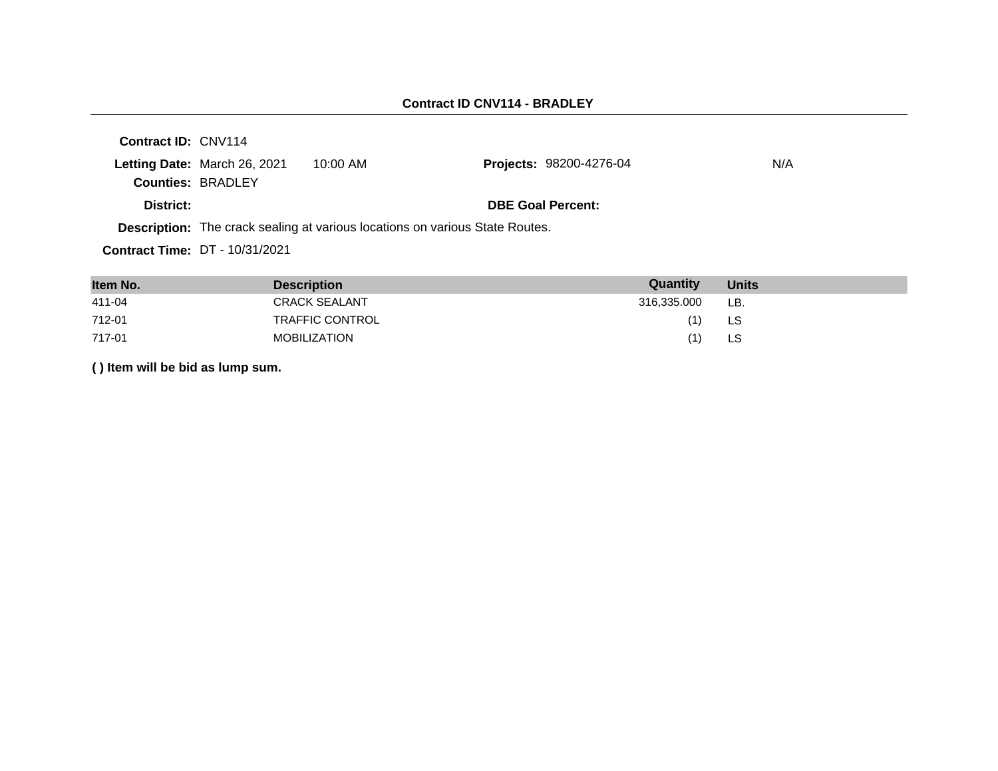| Contract ID: CNV114 |                                                          |                                                                                     |                                |     |
|---------------------|----------------------------------------------------------|-------------------------------------------------------------------------------------|--------------------------------|-----|
|                     | Letting Date: March 26, 2021<br><b>Counties: BRADLEY</b> | 10:00 AM                                                                            | <b>Projects: 98200-4276-04</b> | N/A |
| District:           |                                                          |                                                                                     | <b>DBE Goal Percent:</b>       |     |
|                     |                                                          | <b>Description:</b> The crack sealing at various locations on various State Routes. |                                |     |
|                     | <b>Contract Time: DT - 10/31/2021</b>                    |                                                                                     |                                |     |

| Item No. | <b>Description</b>     | Quantity    | <b>Units</b> |
|----------|------------------------|-------------|--------------|
| 411-04   | <b>CRACK SEALANT</b>   | 316,335.000 | LB.          |
| 712-01   | <b>TRAFFIC CONTROL</b> | (1)         | LS           |
| 717-01   | <b>MOBILIZATION</b>    | (1)         | LS.          |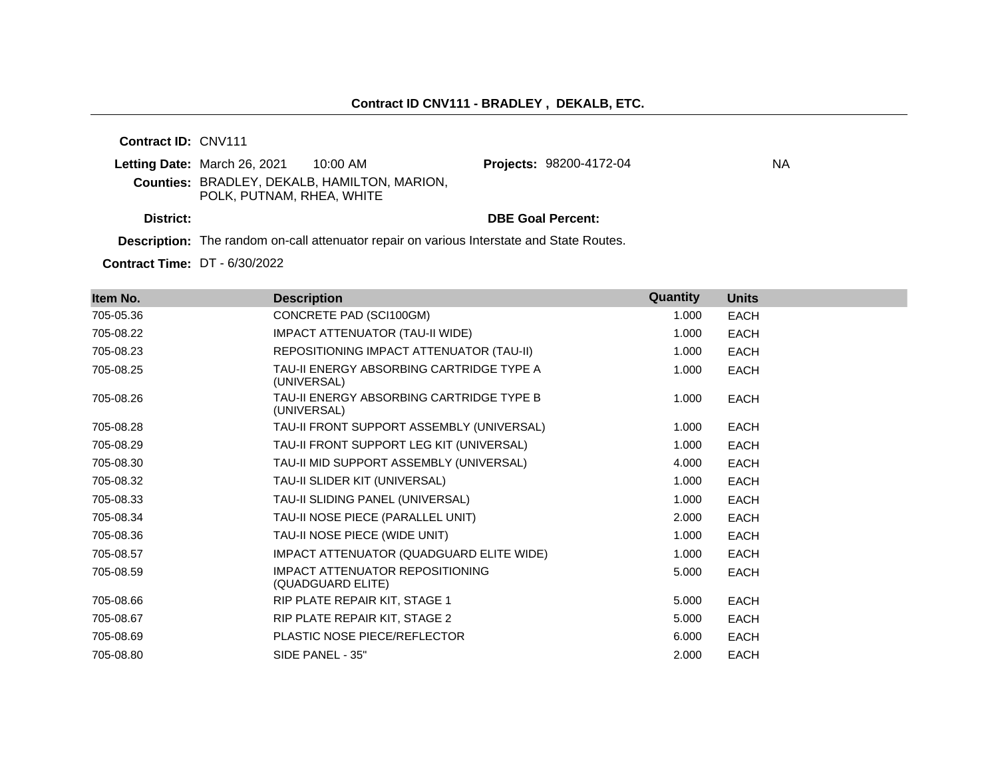**Contract ID:** CNV111

|           | <b>Letting Date: March 26, 2021</b><br>10:00 AM                                  | <b>Projects: 98200-4172-04</b> | NA |
|-----------|----------------------------------------------------------------------------------|--------------------------------|----|
|           | <b>Counties: BRADLEY, DEKALB, HAMILTON, MARION,</b><br>POLK, PUTNAM, RHEA, WHITE |                                |    |
| District: |                                                                                  | <b>DBE Goal Percent:</b>       |    |

**Description:** The random on-call attenuator repair on various Interstate and State Routes.

**Contract Time:** DT - 6/30/2022

| Item No.  | <b>Description</b>                                          | <b>Quantity</b> | <b>Units</b> |
|-----------|-------------------------------------------------------------|-----------------|--------------|
| 705-05.36 | CONCRETE PAD (SCI100GM)                                     | 1.000           | <b>EACH</b>  |
| 705-08.22 | <b>IMPACT ATTENUATOR (TAU-II WIDE)</b>                      | 1.000           | <b>EACH</b>  |
| 705-08.23 | REPOSITIONING IMPACT ATTENUATOR (TAU-II)                    | 1.000           | <b>EACH</b>  |
| 705-08.25 | TAU-II ENERGY ABSORBING CARTRIDGE TYPE A<br>(UNIVERSAL)     | 1.000           | <b>EACH</b>  |
| 705-08.26 | TAU-II ENERGY ABSORBING CARTRIDGE TYPE B<br>(UNIVERSAL)     | 1.000           | <b>EACH</b>  |
| 705-08.28 | TAU-II FRONT SUPPORT ASSEMBLY (UNIVERSAL)                   | 1.000           | EACH         |
| 705-08.29 | TAU-II FRONT SUPPORT LEG KIT (UNIVERSAL)                    | 1.000           | EACH         |
| 705-08.30 | TAU-II MID SUPPORT ASSEMBLY (UNIVERSAL)                     | 4.000           | <b>EACH</b>  |
| 705-08.32 | TAU-II SLIDER KIT (UNIVERSAL)                               | 1.000           | <b>EACH</b>  |
| 705-08.33 | TAU-II SLIDING PANEL (UNIVERSAL)                            | 1.000           | <b>EACH</b>  |
| 705-08.34 | TAU-II NOSE PIECE (PARALLEL UNIT)                           | 2.000           | <b>EACH</b>  |
| 705-08.36 | TAU-II NOSE PIECE (WIDE UNIT)                               | 1.000           | <b>EACH</b>  |
| 705-08.57 | IMPACT ATTENUATOR (QUADGUARD ELITE WIDE)                    | 1.000           | <b>EACH</b>  |
| 705-08.59 | <b>IMPACT ATTENUATOR REPOSITIONING</b><br>(QUADGUARD ELITE) | 5.000           | <b>EACH</b>  |
| 705-08.66 | RIP PLATE REPAIR KIT, STAGE 1                               | 5.000           | <b>EACH</b>  |
| 705-08.67 | RIP PLATE REPAIR KIT, STAGE 2                               | 5.000           | <b>EACH</b>  |
| 705-08.69 | PLASTIC NOSE PIECE/REFLECTOR                                | 6.000           | <b>EACH</b>  |
| 705-08.80 | SIDE PANEL - 35"                                            | 2.000           | <b>EACH</b>  |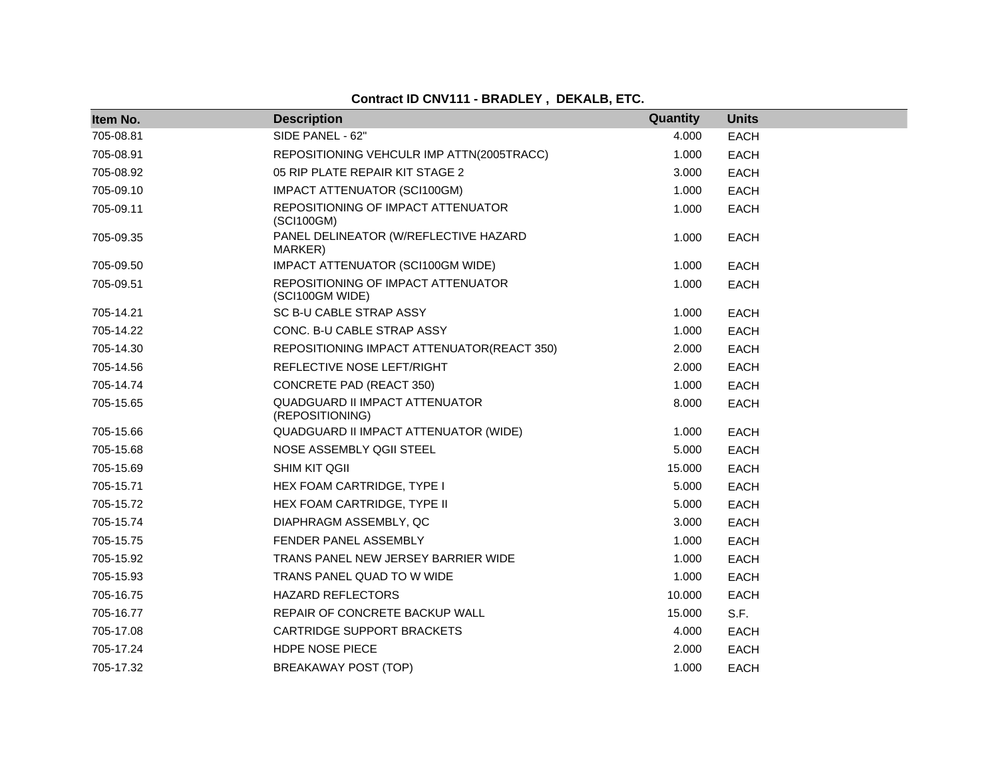**Contract ID CNV111 - BRADLEY , DEKALB, ETC.**

| Item No.  | <b>Description</b>                                       | Quantity | <b>Units</b> |
|-----------|----------------------------------------------------------|----------|--------------|
| 705-08.81 | SIDE PANEL - 62"                                         | 4.000    | <b>EACH</b>  |
| 705-08.91 | REPOSITIONING VEHCULR IMP ATTN(2005TRACC)                | 1.000    | <b>EACH</b>  |
| 705-08.92 | 05 RIP PLATE REPAIR KIT STAGE 2                          | 3.000    | <b>EACH</b>  |
| 705-09.10 | IMPACT ATTENUATOR (SCI100GM)                             | 1.000    | <b>EACH</b>  |
| 705-09.11 | REPOSITIONING OF IMPACT ATTENUATOR<br>(SCI100GM)         | 1.000    | <b>EACH</b>  |
| 705-09.35 | PANEL DELINEATOR (W/REFLECTIVE HAZARD<br>MARKER)         | 1.000    | <b>EACH</b>  |
| 705-09.50 | IMPACT ATTENUATOR (SCI100GM WIDE)                        | 1.000    | <b>EACH</b>  |
| 705-09.51 | REPOSITIONING OF IMPACT ATTENUATOR<br>(SCI100GM WIDE)    | 1.000    | <b>EACH</b>  |
| 705-14.21 | SC B-U CABLE STRAP ASSY                                  | 1.000    | EACH         |
| 705-14.22 | CONC. B-U CABLE STRAP ASSY                               | 1.000    | <b>EACH</b>  |
| 705-14.30 | REPOSITIONING IMPACT ATTENUATOR(REACT 350)               | 2.000    | <b>EACH</b>  |
| 705-14.56 | REFLECTIVE NOSE LEFT/RIGHT                               | 2.000    | <b>EACH</b>  |
| 705-14.74 | CONCRETE PAD (REACT 350)                                 | 1.000    | <b>EACH</b>  |
| 705-15.65 | <b>QUADGUARD II IMPACT ATTENUATOR</b><br>(REPOSITIONING) | 8.000    | <b>EACH</b>  |
| 705-15.66 | QUADGUARD II IMPACT ATTENUATOR (WIDE)                    | 1.000    | <b>EACH</b>  |
| 705-15.68 | NOSE ASSEMBLY QGII STEEL                                 | 5.000    | <b>EACH</b>  |
| 705-15.69 | SHIM KIT QGII                                            | 15.000   | <b>EACH</b>  |
| 705-15.71 | HEX FOAM CARTRIDGE, TYPE I                               | 5.000    | EACH         |
| 705-15.72 | HEX FOAM CARTRIDGE, TYPE II                              | 5.000    | <b>EACH</b>  |
| 705-15.74 | DIAPHRAGM ASSEMBLY, QC                                   | 3.000    | <b>EACH</b>  |
| 705-15.75 | FENDER PANEL ASSEMBLY                                    | 1.000    | <b>EACH</b>  |
| 705-15.92 | TRANS PANEL NEW JERSEY BARRIER WIDE                      | 1.000    | <b>EACH</b>  |
| 705-15.93 | TRANS PANEL QUAD TO W WIDE                               | 1.000    | <b>EACH</b>  |
| 705-16.75 | <b>HAZARD REFLECTORS</b>                                 | 10.000   | <b>EACH</b>  |
| 705-16.77 | REPAIR OF CONCRETE BACKUP WALL                           | 15.000   | S.F.         |
| 705-17.08 | CARTRIDGE SUPPORT BRACKETS                               | 4.000    | <b>EACH</b>  |
| 705-17.24 | <b>HDPE NOSE PIECE</b>                                   | 2.000    | <b>EACH</b>  |
| 705-17.32 | BREAKAWAY POST (TOP)                                     | 1.000    | <b>EACH</b>  |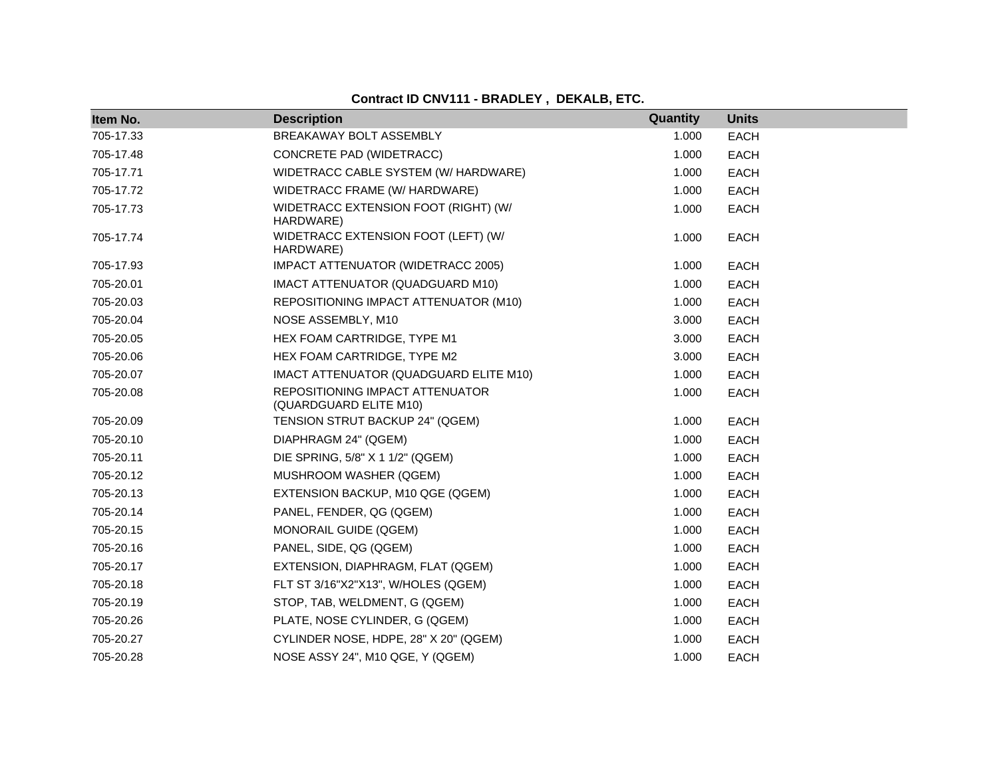| Item No.  | <b>Description</b>                                        | Quantity | <b>Units</b> |
|-----------|-----------------------------------------------------------|----------|--------------|
| 705-17.33 | BREAKAWAY BOLT ASSEMBLY                                   | 1.000    | <b>EACH</b>  |
| 705-17.48 | CONCRETE PAD (WIDETRACC)                                  | 1.000    | <b>EACH</b>  |
| 705-17.71 | WIDETRACC CABLE SYSTEM (W/ HARDWARE)                      | 1.000    | <b>EACH</b>  |
| 705-17.72 | WIDETRACC FRAME (W/ HARDWARE)                             | 1.000    | <b>EACH</b>  |
| 705-17.73 | WIDETRACC EXTENSION FOOT (RIGHT) (W/<br>HARDWARE)         | 1.000    | <b>EACH</b>  |
| 705-17.74 | WIDETRACC EXTENSION FOOT (LEFT) (W/<br>HARDWARE)          | 1.000    | <b>EACH</b>  |
| 705-17.93 | IMPACT ATTENUATOR (WIDETRACC 2005)                        | 1.000    | <b>EACH</b>  |
| 705-20.01 | IMACT ATTENUATOR (QUADGUARD M10)                          | 1.000    | <b>EACH</b>  |
| 705-20.03 | REPOSITIONING IMPACT ATTENUATOR (M10)                     | 1.000    | <b>EACH</b>  |
| 705-20.04 | NOSE ASSEMBLY, M10                                        | 3.000    | EACH         |
| 705-20.05 | HEX FOAM CARTRIDGE, TYPE M1                               | 3.000    | <b>EACH</b>  |
| 705-20.06 | HEX FOAM CARTRIDGE, TYPE M2                               | 3.000    | <b>EACH</b>  |
| 705-20.07 | IMACT ATTENUATOR (QUADGUARD ELITE M10)                    | 1.000    | <b>EACH</b>  |
| 705-20.08 | REPOSITIONING IMPACT ATTENUATOR<br>(QUARDGUARD ELITE M10) | 1.000    | <b>EACH</b>  |
| 705-20.09 | TENSION STRUT BACKUP 24" (QGEM)                           | 1.000    | <b>EACH</b>  |
| 705-20.10 | DIAPHRAGM 24" (QGEM)                                      | 1.000    | EACH         |
| 705-20.11 | DIE SPRING, 5/8" X 1 1/2" (QGEM)                          | 1.000    | <b>EACH</b>  |
| 705-20.12 | MUSHROOM WASHER (QGEM)                                    | 1.000    | <b>EACH</b>  |
| 705-20.13 | EXTENSION BACKUP, M10 QGE (QGEM)                          | 1.000    | <b>EACH</b>  |
| 705-20.14 | PANEL, FENDER, QG (QGEM)                                  | 1.000    | <b>EACH</b>  |
| 705-20.15 | MONORAIL GUIDE (QGEM)                                     | 1.000    | <b>EACH</b>  |
| 705-20.16 | PANEL, SIDE, QG (QGEM)                                    | 1.000    | <b>EACH</b>  |
| 705-20.17 | EXTENSION, DIAPHRAGM, FLAT (QGEM)                         | 1.000    | <b>EACH</b>  |
| 705-20.18 | FLT ST 3/16"X2"X13", W/HOLES (QGEM)                       | 1.000    | <b>EACH</b>  |
| 705-20.19 | STOP, TAB, WELDMENT, G (QGEM)                             | 1.000    | <b>EACH</b>  |
| 705-20.26 | PLATE, NOSE CYLINDER, G (QGEM)                            | 1.000    | <b>EACH</b>  |
| 705-20.27 | CYLINDER NOSE, HDPE, 28" X 20" (QGEM)                     | 1.000    | <b>EACH</b>  |
| 705-20.28 | NOSE ASSY 24", M10 QGE, Y (QGEM)                          | 1.000    | <b>EACH</b>  |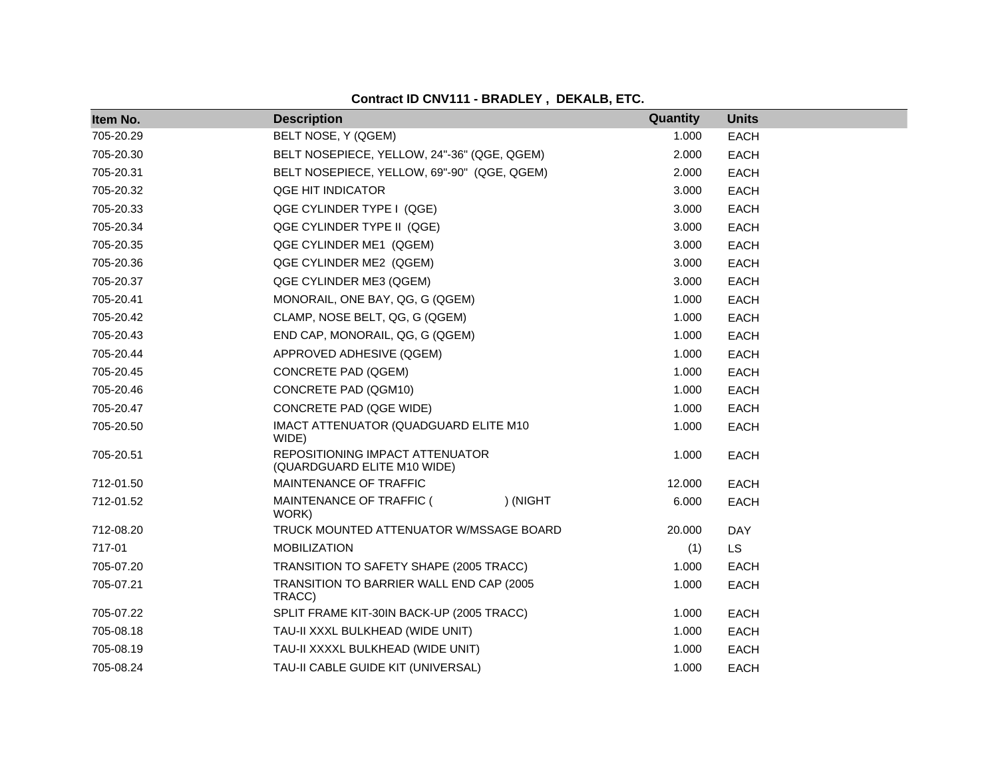| Item No.  | <b>Description</b>                                             | Quantity | <b>Units</b> |
|-----------|----------------------------------------------------------------|----------|--------------|
| 705-20.29 | BELT NOSE, Y (QGEM)                                            | 1.000    | <b>EACH</b>  |
| 705-20.30 | BELT NOSEPIECE, YELLOW, 24"-36" (QGE, QGEM)                    | 2.000    | <b>EACH</b>  |
| 705-20.31 | BELT NOSEPIECE, YELLOW, 69"-90" (QGE, QGEM)                    | 2.000    | <b>EACH</b>  |
| 705-20.32 | QGE HIT INDICATOR                                              | 3.000    | <b>EACH</b>  |
| 705-20.33 | QGE CYLINDER TYPE I (QGE)                                      | 3.000    | <b>EACH</b>  |
| 705-20.34 | QGE CYLINDER TYPE II (QGE)                                     | 3.000    | <b>EACH</b>  |
| 705-20.35 | QGE CYLINDER ME1 (QGEM)                                        | 3.000    | <b>EACH</b>  |
| 705-20.36 | QGE CYLINDER ME2 (QGEM)                                        | 3.000    | <b>EACH</b>  |
| 705-20.37 | QGE CYLINDER ME3 (QGEM)                                        | 3.000    | <b>EACH</b>  |
| 705-20.41 | MONORAIL, ONE BAY, QG, G (QGEM)                                | 1.000    | <b>EACH</b>  |
| 705-20.42 | CLAMP, NOSE BELT, QG, G (QGEM)                                 | 1.000    | <b>EACH</b>  |
| 705-20.43 | END CAP, MONORAIL, QG, G (QGEM)                                | 1.000    | <b>EACH</b>  |
| 705-20.44 | APPROVED ADHESIVE (QGEM)                                       | 1.000    | <b>EACH</b>  |
| 705-20.45 | CONCRETE PAD (QGEM)                                            | 1.000    | <b>EACH</b>  |
| 705-20.46 | CONCRETE PAD (QGM10)                                           | 1.000    | <b>EACH</b>  |
| 705-20.47 | CONCRETE PAD (QGE WIDE)                                        | 1.000    | <b>EACH</b>  |
| 705-20.50 | IMACT ATTENUATOR (QUADGUARD ELITE M10<br>WIDE)                 | 1.000    | <b>EACH</b>  |
| 705-20.51 | REPOSITIONING IMPACT ATTENUATOR<br>(QUARDGUARD ELITE M10 WIDE) | 1.000    | <b>EACH</b>  |
| 712-01.50 | MAINTENANCE OF TRAFFIC                                         | 12.000   | <b>EACH</b>  |
| 712-01.52 | MAINTENANCE OF TRAFFIC (<br>) (NIGHT<br>WORK)                  | 6.000    | <b>EACH</b>  |
| 712-08.20 | TRUCK MOUNTED ATTENUATOR W/MSSAGE BOARD                        | 20.000   | <b>DAY</b>   |
| 717-01    | <b>MOBILIZATION</b>                                            | (1)      | <b>LS</b>    |
| 705-07.20 | TRANSITION TO SAFETY SHAPE (2005 TRACC)                        | 1.000    | <b>EACH</b>  |
| 705-07.21 | TRANSITION TO BARRIER WALL END CAP (2005<br>TRACC)             | 1.000    | <b>EACH</b>  |
| 705-07.22 | SPLIT FRAME KIT-30IN BACK-UP (2005 TRACC)                      | 1.000    | <b>EACH</b>  |
| 705-08.18 | TAU-II XXXL BULKHEAD (WIDE UNIT)                               | 1.000    | <b>EACH</b>  |
| 705-08.19 | TAU-II XXXXL BULKHEAD (WIDE UNIT)                              | 1.000    | <b>EACH</b>  |
| 705-08.24 | TAU-II CABLE GUIDE KIT (UNIVERSAL)                             | 1.000    | <b>EACH</b>  |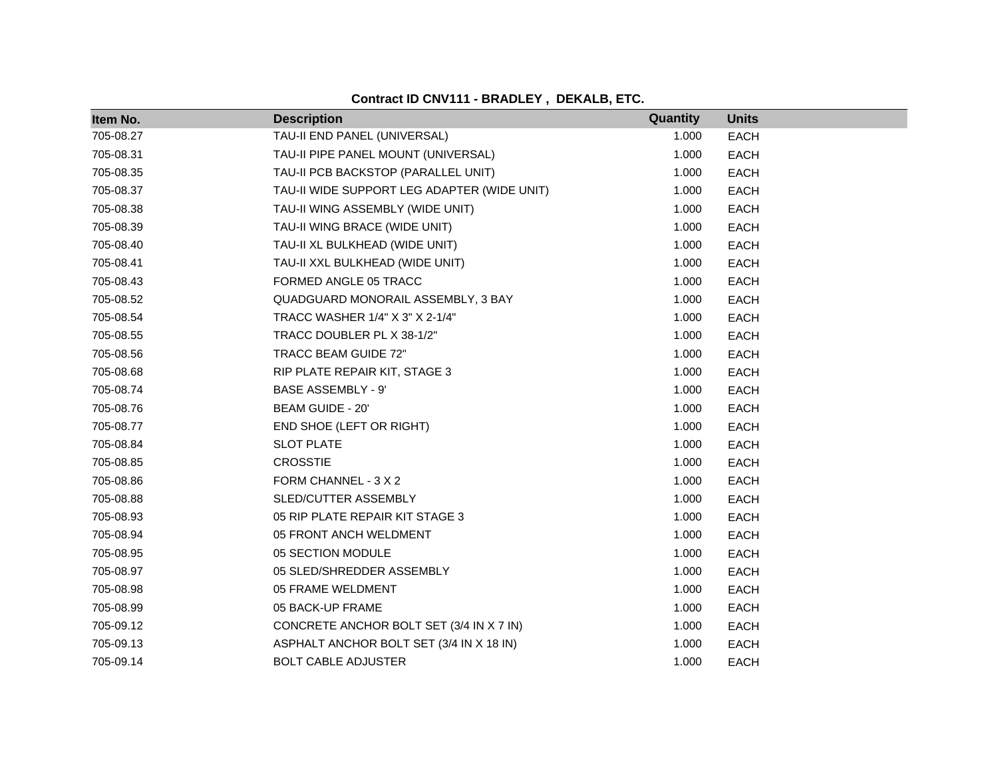| Item No.  | <b>Description</b>                          | Quantity | <b>Units</b> |
|-----------|---------------------------------------------|----------|--------------|
| 705-08.27 | TAU-II END PANEL (UNIVERSAL)                | 1.000    | <b>EACH</b>  |
| 705-08.31 | TAU-II PIPE PANEL MOUNT (UNIVERSAL)         | 1.000    | <b>EACH</b>  |
| 705-08.35 | TAU-II PCB BACKSTOP (PARALLEL UNIT)         | 1.000    | <b>EACH</b>  |
| 705-08.37 | TAU-II WIDE SUPPORT LEG ADAPTER (WIDE UNIT) | 1.000    | <b>EACH</b>  |
| 705-08.38 | TAU-II WING ASSEMBLY (WIDE UNIT)            | 1.000    | <b>EACH</b>  |
| 705-08.39 | TAU-II WING BRACE (WIDE UNIT)               | 1.000    | <b>EACH</b>  |
| 705-08.40 | TAU-II XL BULKHEAD (WIDE UNIT)              | 1.000    | <b>EACH</b>  |
| 705-08.41 | TAU-II XXL BULKHEAD (WIDE UNIT)             | 1.000    | <b>EACH</b>  |
| 705-08.43 | FORMED ANGLE 05 TRACC                       | 1.000    | <b>EACH</b>  |
| 705-08.52 | QUADGUARD MONORAIL ASSEMBLY, 3 BAY          | 1.000    | <b>EACH</b>  |
| 705-08.54 | TRACC WASHER 1/4" X 3" X 2-1/4"             | 1.000    | <b>EACH</b>  |
| 705-08.55 | TRACC DOUBLER PL X 38-1/2"                  | 1.000    | <b>EACH</b>  |
| 705-08.56 | TRACC BEAM GUIDE 72"                        | 1.000    | <b>EACH</b>  |
| 705-08.68 | RIP PLATE REPAIR KIT, STAGE 3               | 1.000    | <b>EACH</b>  |
| 705-08.74 | <b>BASE ASSEMBLY - 9'</b>                   | 1.000    | <b>EACH</b>  |
| 705-08.76 | BEAM GUIDE - 20'                            | 1.000    | <b>EACH</b>  |
| 705-08.77 | END SHOE (LEFT OR RIGHT)                    | 1.000    | <b>EACH</b>  |
| 705-08.84 | <b>SLOT PLATE</b>                           | 1.000    | <b>EACH</b>  |
| 705-08.85 | <b>CROSSTIE</b>                             | 1.000    | <b>EACH</b>  |
| 705-08.86 | FORM CHANNEL - 3 X 2                        | 1.000    | <b>EACH</b>  |
| 705-08.88 | SLED/CUTTER ASSEMBLY                        | 1.000    | <b>EACH</b>  |
| 705-08.93 | 05 RIP PLATE REPAIR KIT STAGE 3             | 1.000    | <b>EACH</b>  |
| 705-08.94 | 05 FRONT ANCH WELDMENT                      | 1.000    | <b>EACH</b>  |
| 705-08.95 | 05 SECTION MODULE                           | 1.000    | <b>EACH</b>  |
| 705-08.97 | 05 SLED/SHREDDER ASSEMBLY                   | 1.000    | <b>EACH</b>  |
| 705-08.98 | 05 FRAME WELDMENT                           | 1.000    | <b>EACH</b>  |
| 705-08.99 | 05 BACK-UP FRAME                            | 1.000    | <b>EACH</b>  |
| 705-09.12 | CONCRETE ANCHOR BOLT SET (3/4 IN X 7 IN)    | 1.000    | <b>EACH</b>  |
| 705-09.13 | ASPHALT ANCHOR BOLT SET (3/4 IN X 18 IN)    | 1.000    | <b>EACH</b>  |
| 705-09.14 | <b>BOLT CABLE ADJUSTER</b>                  | 1.000    | <b>EACH</b>  |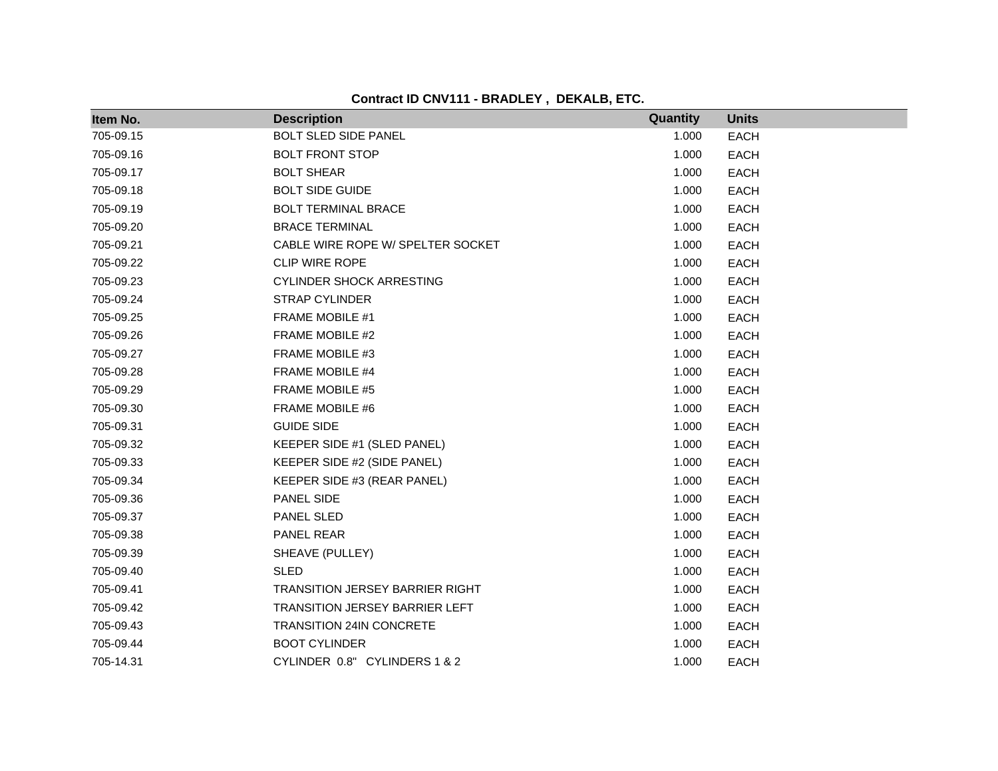**Contract ID CNV111 - BRADLEY , DEKALB, ETC.**

| Item No.  | <b>Description</b>                     | Quantity | <b>Units</b> |
|-----------|----------------------------------------|----------|--------------|
| 705-09.15 | <b>BOLT SLED SIDE PANEL</b>            | 1.000    | <b>EACH</b>  |
| 705-09.16 | <b>BOLT FRONT STOP</b>                 | 1.000    | <b>EACH</b>  |
| 705-09.17 | <b>BOLT SHEAR</b>                      | 1.000    | <b>EACH</b>  |
| 705-09.18 | <b>BOLT SIDE GUIDE</b>                 | 1.000    | <b>EACH</b>  |
| 705-09.19 | <b>BOLT TERMINAL BRACE</b>             | 1.000    | EACH         |
| 705-09.20 | <b>BRACE TERMINAL</b>                  | 1.000    | <b>EACH</b>  |
| 705-09.21 | CABLE WIRE ROPE W/ SPELTER SOCKET      | 1.000    | EACH         |
| 705-09.22 | <b>CLIP WIRE ROPE</b>                  | 1.000    | <b>EACH</b>  |
| 705-09.23 | <b>CYLINDER SHOCK ARRESTING</b>        | 1.000    | <b>EACH</b>  |
| 705-09.24 | <b>STRAP CYLINDER</b>                  | 1.000    | <b>EACH</b>  |
| 705-09.25 | FRAME MOBILE #1                        | 1.000    | <b>EACH</b>  |
| 705-09.26 | FRAME MOBILE #2                        | 1.000    | <b>EACH</b>  |
| 705-09.27 | FRAME MOBILE #3                        | 1.000    | <b>EACH</b>  |
| 705-09.28 | FRAME MOBILE #4                        | 1.000    | <b>EACH</b>  |
| 705-09.29 | FRAME MOBILE #5                        | 1.000    | <b>EACH</b>  |
| 705-09.30 | FRAME MOBILE #6                        | 1.000    | EACH         |
| 705-09.31 | <b>GUIDE SIDE</b>                      | 1.000    | <b>EACH</b>  |
| 705-09.32 | KEEPER SIDE #1 (SLED PANEL)            | 1.000    | <b>EACH</b>  |
| 705-09.33 | KEEPER SIDE #2 (SIDE PANEL)            | 1.000    | <b>EACH</b>  |
| 705-09.34 | KEEPER SIDE #3 (REAR PANEL)            | 1.000    | <b>EACH</b>  |
| 705-09.36 | PANEL SIDE                             | 1.000    | <b>EACH</b>  |
| 705-09.37 | PANEL SLED                             | 1.000    | <b>EACH</b>  |
| 705-09.38 | PANEL REAR                             | 1.000    | EACH         |
| 705-09.39 | SHEAVE (PULLEY)                        | 1.000    | <b>EACH</b>  |
| 705-09.40 | <b>SLED</b>                            | 1.000    | <b>EACH</b>  |
| 705-09.41 | <b>TRANSITION JERSEY BARRIER RIGHT</b> | 1.000    | EACH         |
| 705-09.42 | <b>TRANSITION JERSEY BARRIER LEFT</b>  | 1.000    | <b>EACH</b>  |
| 705-09.43 | <b>TRANSITION 24IN CONCRETE</b>        | 1.000    | EACH         |
| 705-09.44 | <b>BOOT CYLINDER</b>                   | 1.000    | <b>EACH</b>  |
| 705-14.31 | CYLINDER 0.8" CYLINDERS 1 & 2          | 1.000    | <b>EACH</b>  |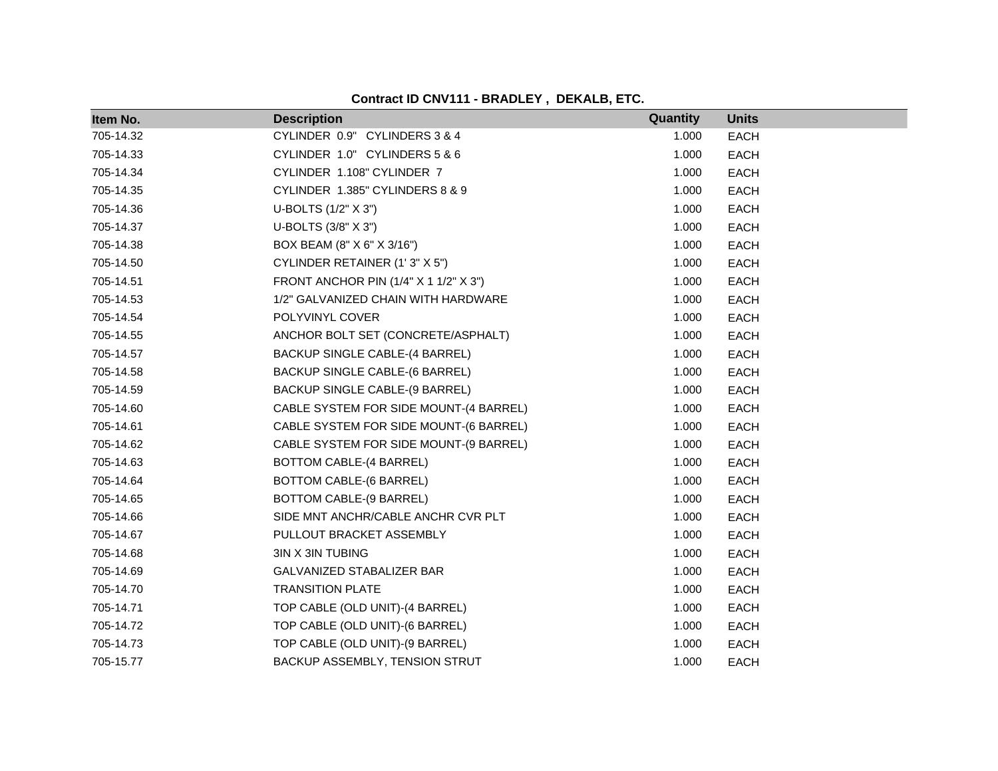| Item No.  | <b>Description</b>                     | Quantity | <b>Units</b> |
|-----------|----------------------------------------|----------|--------------|
| 705-14.32 | CYLINDER 0.9" CYLINDERS 3 & 4          | 1.000    | <b>EACH</b>  |
| 705-14.33 | CYLINDER 1.0" CYLINDERS 5 & 6          | 1.000    | <b>EACH</b>  |
| 705-14.34 | CYLINDER 1.108" CYLINDER 7             | 1.000    | <b>EACH</b>  |
| 705-14.35 | CYLINDER 1.385" CYLINDERS 8 & 9        | 1.000    | <b>EACH</b>  |
| 705-14.36 | U-BOLTS (1/2" X 3")                    | 1.000    | <b>EACH</b>  |
| 705-14.37 | U-BOLTS (3/8" X 3")                    | 1.000    | <b>EACH</b>  |
| 705-14.38 | BOX BEAM (8" X 6" X 3/16")             | 1.000    | <b>EACH</b>  |
| 705-14.50 | CYLINDER RETAINER (1'3" X 5")          | 1.000    | <b>EACH</b>  |
| 705-14.51 | FRONT ANCHOR PIN (1/4" X 1 1/2" X 3")  | 1.000    | <b>EACH</b>  |
| 705-14.53 | 1/2" GALVANIZED CHAIN WITH HARDWARE    | 1.000    | EACH         |
| 705-14.54 | POLYVINYL COVER                        | 1.000    | <b>EACH</b>  |
| 705-14.55 | ANCHOR BOLT SET (CONCRETE/ASPHALT)     | 1.000    | <b>EACH</b>  |
| 705-14.57 | BACKUP SINGLE CABLE-(4 BARREL)         | 1.000    | <b>EACH</b>  |
| 705-14.58 | BACKUP SINGLE CABLE-(6 BARREL)         | 1.000    | <b>EACH</b>  |
| 705-14.59 | BACKUP SINGLE CABLE-(9 BARREL)         | 1.000    | <b>EACH</b>  |
| 705-14.60 | CABLE SYSTEM FOR SIDE MOUNT-(4 BARREL) | 1.000    | <b>EACH</b>  |
| 705-14.61 | CABLE SYSTEM FOR SIDE MOUNT-(6 BARREL) | 1.000    | <b>EACH</b>  |
| 705-14.62 | CABLE SYSTEM FOR SIDE MOUNT-(9 BARREL) | 1.000    | <b>EACH</b>  |
| 705-14.63 | BOTTOM CABLE-(4 BARREL)                | 1.000    | <b>EACH</b>  |
| 705-14.64 | BOTTOM CABLE-(6 BARREL)                | 1.000    | <b>EACH</b>  |
| 705-14.65 | BOTTOM CABLE-(9 BARREL)                | 1.000    | <b>EACH</b>  |
| 705-14.66 | SIDE MNT ANCHR/CABLE ANCHR CVR PLT     | 1.000    | <b>EACH</b>  |
| 705-14.67 | PULLOUT BRACKET ASSEMBLY               | 1.000    | <b>EACH</b>  |
| 705-14.68 | 3IN X 3IN TUBING                       | 1.000    | <b>EACH</b>  |
| 705-14.69 | GALVANIZED STABALIZER BAR              | 1.000    | <b>EACH</b>  |
| 705-14.70 | <b>TRANSITION PLATE</b>                | 1.000    | <b>EACH</b>  |
| 705-14.71 | TOP CABLE (OLD UNIT)-(4 BARREL)        | 1.000    | EACH         |
| 705-14.72 | TOP CABLE (OLD UNIT)-(6 BARREL)        | 1.000    | <b>EACH</b>  |
| 705-14.73 | TOP CABLE (OLD UNIT)-(9 BARREL)        | 1.000    | <b>EACH</b>  |
| 705-15.77 | BACKUP ASSEMBLY, TENSION STRUT         | 1.000    | <b>EACH</b>  |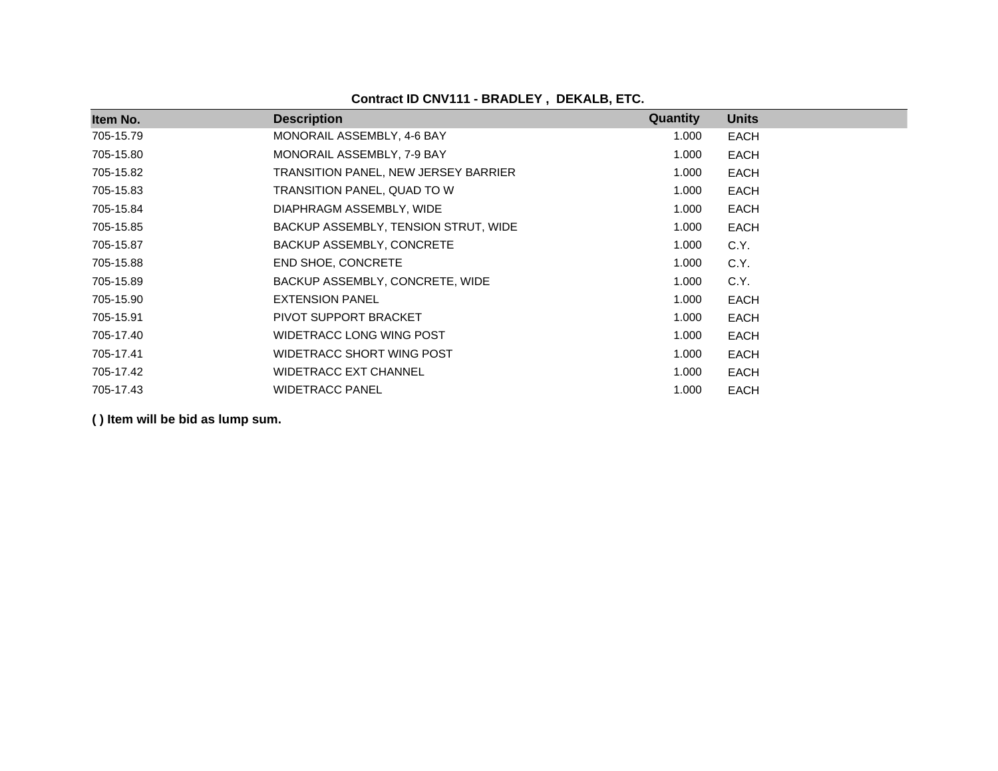| Item No.  | <b>Description</b>                   | Quantity | <b>Units</b> |
|-----------|--------------------------------------|----------|--------------|
| 705-15.79 | MONORAIL ASSEMBLY, 4-6 BAY           | 1.000    | EACH         |
| 705-15.80 | MONORAIL ASSEMBLY, 7-9 BAY           | 1.000    | <b>EACH</b>  |
| 705-15.82 | TRANSITION PANEL, NEW JERSEY BARRIER | 1.000    | EACH         |
| 705-15.83 | TRANSITION PANEL, QUAD TO W          | 1.000    | <b>EACH</b>  |
| 705-15.84 | DIAPHRAGM ASSEMBLY, WIDE             | 1.000    | <b>EACH</b>  |
| 705-15.85 | BACKUP ASSEMBLY, TENSION STRUT, WIDE | 1.000    | EACH         |
| 705-15.87 | BACKUP ASSEMBLY, CONCRETE            | 1.000    | C.Y.         |
| 705-15.88 | <b>END SHOE, CONCRETE</b>            | 1.000    | C.Y.         |
| 705-15.89 | BACKUP ASSEMBLY, CONCRETE, WIDE      | 1.000    | C.Y.         |
| 705-15.90 | <b>EXTENSION PANEL</b>               | 1.000    | <b>EACH</b>  |
| 705-15.91 | PIVOT SUPPORT BRACKET                | 1.000    | EACH         |
| 705-17.40 | WIDETRACC LONG WING POST             | 1.000    | <b>EACH</b>  |
| 705-17.41 | WIDETRACC SHORT WING POST            | 1.000    | <b>EACH</b>  |
| 705-17.42 | <b>WIDETRACC EXT CHANNEL</b>         | 1.000    | <b>EACH</b>  |
| 705-17.43 | <b>WIDETRACC PANEL</b>               | 1.000    | <b>EACH</b>  |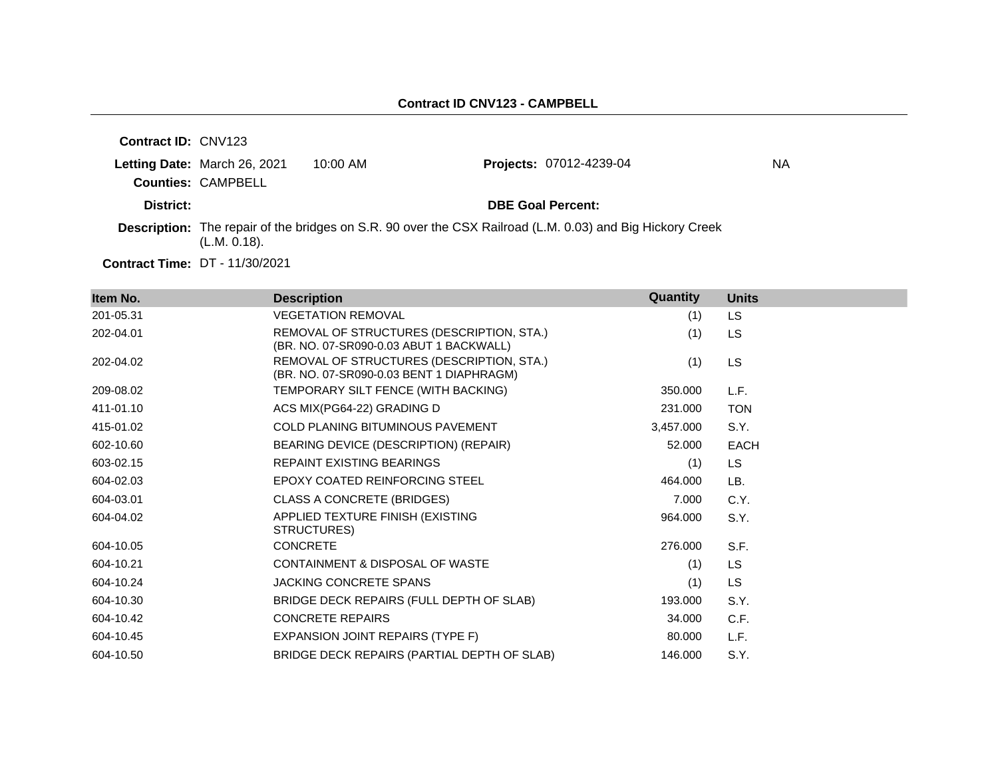| <b>Contract ID: CNV123</b> |                              |            |                                                                                                                  |    |
|----------------------------|------------------------------|------------|------------------------------------------------------------------------------------------------------------------|----|
|                            | Letting Date: March 26, 2021 | $10:00$ AM | <b>Projects: 07012-4239-04</b>                                                                                   | NА |
|                            | <b>Counties: CAMPBELL</b>    |            |                                                                                                                  |    |
| District:                  |                              |            | <b>DBE Goal Percent:</b>                                                                                         |    |
|                            | (L.M. 0.18).                 |            | <b>Description:</b> The repair of the bridges on S.R. 90 over the CSX Railroad (L.M. 0.03) and Big Hickory Creek |    |
|                            |                              |            |                                                                                                                  |    |

**Contract Time:** DT - 11/30/2021

| Item No.  | <b>Description</b>                                                                    | Quantity  | <b>Units</b> |
|-----------|---------------------------------------------------------------------------------------|-----------|--------------|
| 201-05.31 | <b>VEGETATION REMOVAL</b>                                                             | (1)       | LS           |
| 202-04.01 | REMOVAL OF STRUCTURES (DESCRIPTION, STA.)<br>(BR. NO. 07-SR090-0.03 ABUT 1 BACKWALL)  | (1)       | LS           |
| 202-04.02 | REMOVAL OF STRUCTURES (DESCRIPTION, STA.)<br>(BR. NO. 07-SR090-0.03 BENT 1 DIAPHRAGM) | (1)       | LS           |
| 209-08.02 | TEMPORARY SILT FENCE (WITH BACKING)                                                   | 350.000   | L.F.         |
| 411-01.10 | ACS MIX(PG64-22) GRADING D                                                            | 231.000   | <b>TON</b>   |
| 415-01.02 | COLD PLANING BITUMINOUS PAVEMENT                                                      | 3,457.000 | S.Y.         |
| 602-10.60 | BEARING DEVICE (DESCRIPTION) (REPAIR)                                                 | 52.000    | <b>EACH</b>  |
| 603-02.15 | <b>REPAINT EXISTING BEARINGS</b>                                                      | (1)       | LS.          |
| 604-02.03 | <b>EPOXY COATED REINFORCING STEEL</b>                                                 | 464.000   | LB.          |
| 604-03.01 | <b>CLASS A CONCRETE (BRIDGES)</b>                                                     | 7.000     | C.Y.         |
| 604-04.02 | APPLIED TEXTURE FINISH (EXISTING<br>STRUCTURES)                                       | 964.000   | S.Y.         |
| 604-10.05 | <b>CONCRETE</b>                                                                       | 276,000   | S.F.         |
| 604-10.21 | CONTAINMENT & DISPOSAL OF WASTE                                                       | (1)       | <b>LS</b>    |
| 604-10.24 | <b>JACKING CONCRETE SPANS</b>                                                         | (1)       | <b>LS</b>    |
| 604-10.30 | BRIDGE DECK REPAIRS (FULL DEPTH OF SLAB)                                              | 193.000   | S.Y.         |
| 604-10.42 | <b>CONCRETE REPAIRS</b>                                                               | 34.000    | C.F.         |
| 604-10.45 | EXPANSION JOINT REPAIRS (TYPE F)                                                      | 80.000    | L.F.         |
| 604-10.50 | BRIDGE DECK REPAIRS (PARTIAL DEPTH OF SLAB)                                           | 146.000   | S.Y.         |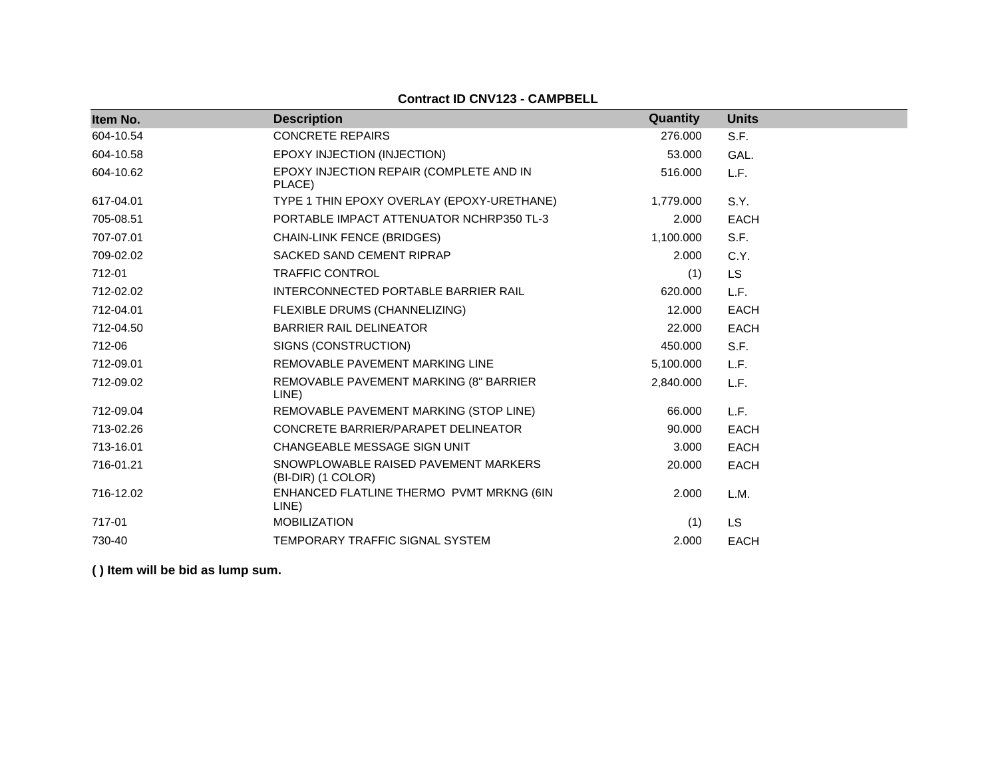## **Contract ID CNV123 - CAMPBELL**

| Item No.  | <b>Description</b>                                         | Quantity  | <b>Units</b> |
|-----------|------------------------------------------------------------|-----------|--------------|
| 604-10.54 | <b>CONCRETE REPAIRS</b>                                    | 276.000   | S.F.         |
| 604-10.58 | EPOXY INJECTION (INJECTION)                                | 53,000    | GAL.         |
| 604-10.62 | EPOXY INJECTION REPAIR (COMPLETE AND IN<br>PLACE)          | 516.000   | L.F.         |
| 617-04.01 | TYPE 1 THIN EPOXY OVERLAY (EPOXY-URETHANE)                 | 1,779.000 | S.Y.         |
| 705-08.51 | PORTABLE IMPACT ATTENUATOR NCHRP350 TL-3                   | 2.000     | <b>EACH</b>  |
| 707-07.01 | <b>CHAIN-LINK FENCE (BRIDGES)</b>                          | 1,100.000 | S.F.         |
| 709-02.02 | SACKED SAND CEMENT RIPRAP                                  | 2.000     | C.Y.         |
| 712-01    | <b>TRAFFIC CONTROL</b>                                     | (1)       | <b>LS</b>    |
| 712-02.02 | INTERCONNECTED PORTABLE BARRIER RAIL                       | 620,000   | L.F.         |
| 712-04.01 | FLEXIBLE DRUMS (CHANNELIZING)                              | 12.000    | <b>EACH</b>  |
| 712-04.50 | <b>BARRIER RAIL DELINEATOR</b>                             | 22.000    | <b>EACH</b>  |
| 712-06    | SIGNS (CONSTRUCTION)                                       | 450.000   | S.F.         |
| 712-09.01 | REMOVABLE PAVEMENT MARKING LINE                            | 5,100.000 | L.F.         |
| 712-09.02 | REMOVABLE PAVEMENT MARKING (8" BARRIER<br>LINE)            | 2,840.000 | L.F.         |
| 712-09.04 | REMOVABLE PAVEMENT MARKING (STOP LINE)                     | 66.000    | L.F.         |
| 713-02.26 | CONCRETE BARRIER/PARAPET DELINEATOR                        | 90.000    | <b>EACH</b>  |
| 713-16.01 | CHANGEABLE MESSAGE SIGN UNIT                               | 3.000     | <b>EACH</b>  |
| 716-01.21 | SNOWPLOWABLE RAISED PAVEMENT MARKERS<br>(BI-DIR) (1 COLOR) | 20,000    | <b>EACH</b>  |
| 716-12.02 | ENHANCED FLATLINE THERMO PVMT MRKNG (6IN<br>LINE)          | 2.000     | L.M.         |
| 717-01    | <b>MOBILIZATION</b>                                        | (1)       | <b>LS</b>    |
| 730-40    | TEMPORARY TRAFFIC SIGNAL SYSTEM                            | 2.000     | <b>EACH</b>  |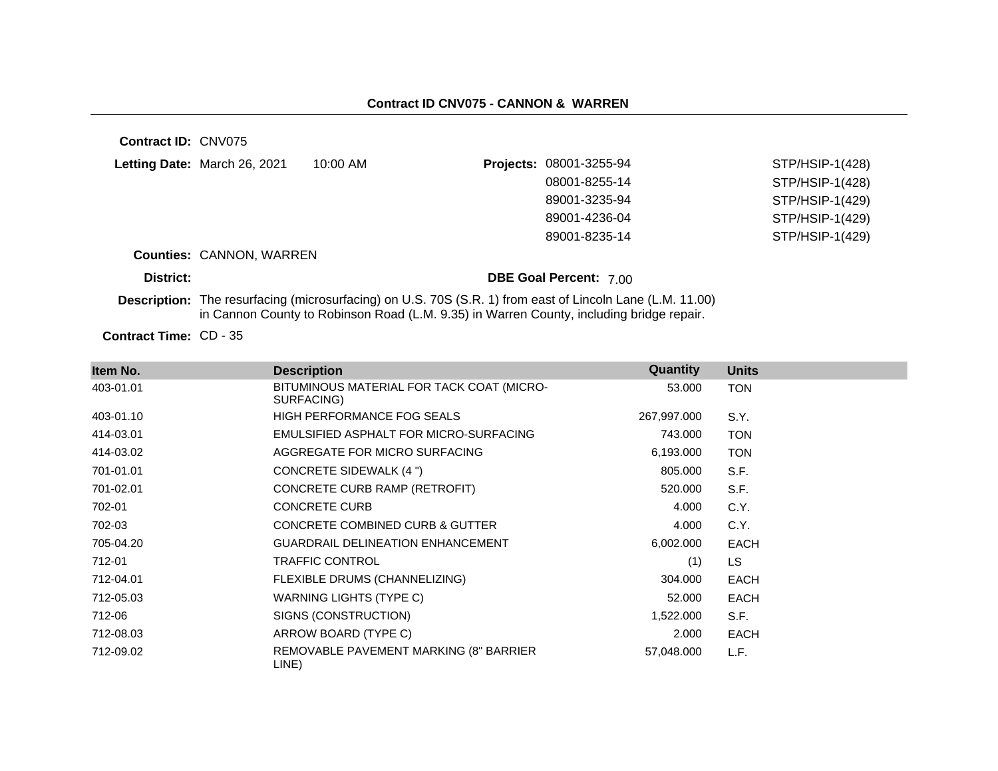**Contract ID:** CNV075 **Letting Date:** March 26, 2021 10:00 AM **Projects:** 08001-3255-94 **Counties:** CANNON, WARREN **District: District: DBE Goal Percent:** 7.00 **Description:** The resurfacing (microsurfacing) on U.S. 70S (S.R. 1) from east of Lincoln Lane (L.M. 11.00) in Cannon County to Robinson Road (L.M. 9.35) in Warren County, including bridge repair. STP/HSIP-1(428) 08001-8255-14 STP/HSIP-1(428) 89001-3235-94 STP/HSIP-1(429) 89001-4236-04 STP/HSIP-1(429) 89001-8235-14 STP/HSIP-1(429)

Contract Time: CD - 35

| Item No.  | <b>Description</b>                                      | Quantity    | <b>Units</b> |
|-----------|---------------------------------------------------------|-------------|--------------|
| 403-01.01 | BITUMINOUS MATERIAL FOR TACK COAT (MICRO-<br>SURFACING) | 53.000      | <b>TON</b>   |
| 403-01.10 | <b>HIGH PERFORMANCE FOG SEALS</b>                       | 267,997.000 | S.Y.         |
| 414-03.01 | EMULSIFIED ASPHALT FOR MICRO-SURFACING                  | 743.000     | <b>TON</b>   |
| 414-03.02 | AGGREGATE FOR MICRO SURFACING                           | 6,193,000   | <b>TON</b>   |
| 701-01.01 | <b>CONCRETE SIDEWALK (4 ")</b>                          | 805.000     | S.F.         |
| 701-02.01 | CONCRETE CURB RAMP (RETROFIT)                           | 520.000     | S.F.         |
| 702-01    | <b>CONCRETE CURB</b>                                    | 4.000       | C.Y.         |
| 702-03    | <b>CONCRETE COMBINED CURB &amp; GUTTER</b>              | 4.000       | C.Y.         |
| 705-04.20 | <b>GUARDRAIL DELINEATION ENHANCEMENT</b>                | 6,002.000   | <b>EACH</b>  |
| 712-01    | <b>TRAFFIC CONTROL</b>                                  | (1)         | <b>LS</b>    |
| 712-04.01 | FLEXIBLE DRUMS (CHANNELIZING)                           | 304.000     | <b>EACH</b>  |
| 712-05.03 | WARNING LIGHTS (TYPE C)                                 | 52.000      | <b>EACH</b>  |
| 712-06    | SIGNS (CONSTRUCTION)                                    | 1,522.000   | S.F.         |
| 712-08.03 | ARROW BOARD (TYPE C)                                    | 2.000       | <b>EACH</b>  |
| 712-09.02 | REMOVABLE PAVEMENT MARKING (8" BARRIER<br>LINE)         | 57,048.000  | L.F.         |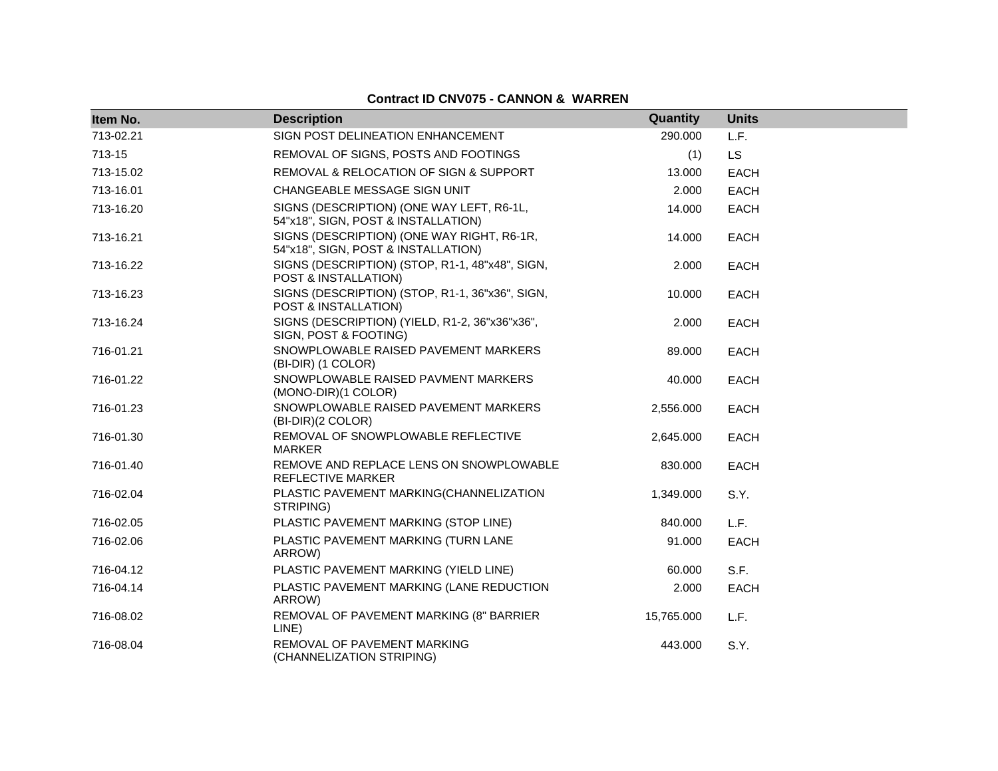## **Contract ID CNV075 - CANNON & WARREN**

| Item No.  | <b>Description</b>                                                                | Quantity   | <b>Units</b> |
|-----------|-----------------------------------------------------------------------------------|------------|--------------|
| 713-02.21 | SIGN POST DELINEATION ENHANCEMENT                                                 | 290.000    | L.F.         |
| 713-15    | REMOVAL OF SIGNS, POSTS AND FOOTINGS                                              | (1)        | <b>LS</b>    |
| 713-15.02 | REMOVAL & RELOCATION OF SIGN & SUPPORT                                            | 13.000     | <b>EACH</b>  |
| 713-16.01 | CHANGEABLE MESSAGE SIGN UNIT                                                      | 2.000      | <b>EACH</b>  |
| 713-16.20 | SIGNS (DESCRIPTION) (ONE WAY LEFT, R6-1L,<br>54"x18", SIGN, POST & INSTALLATION)  | 14.000     | EACH         |
| 713-16.21 | SIGNS (DESCRIPTION) (ONE WAY RIGHT, R6-1R,<br>54"x18", SIGN, POST & INSTALLATION) | 14.000     | EACH         |
| 713-16.22 | SIGNS (DESCRIPTION) (STOP, R1-1, 48"x48", SIGN,<br>POST & INSTALLATION)           | 2.000      | <b>EACH</b>  |
| 713-16.23 | SIGNS (DESCRIPTION) (STOP, R1-1, 36"x36", SIGN,<br>POST & INSTALLATION)           | 10.000     | <b>EACH</b>  |
| 713-16.24 | SIGNS (DESCRIPTION) (YIELD, R1-2, 36"x36"x36",<br>SIGN, POST & FOOTING)           | 2.000      | EACH         |
| 716-01.21 | SNOWPLOWABLE RAISED PAVEMENT MARKERS<br>(BI-DIR) (1 COLOR)                        | 89.000     | EACH         |
| 716-01.22 | SNOWPLOWABLE RAISED PAVMENT MARKERS<br>(MONO-DIR)(1 COLOR)                        | 40.000     | EACH         |
| 716-01.23 | SNOWPLOWABLE RAISED PAVEMENT MARKERS<br>(BI-DIR)(2 COLOR)                         | 2,556.000  | <b>EACH</b>  |
| 716-01.30 | REMOVAL OF SNOWPLOWABLE REFLECTIVE<br>MARKER                                      | 2,645.000  | EACH         |
| 716-01.40 | REMOVE AND REPLACE LENS ON SNOWPLOWABLE<br>REFLECTIVE MARKER                      | 830.000    | <b>EACH</b>  |
| 716-02.04 | PLASTIC PAVEMENT MARKING(CHANNELIZATION<br>STRIPING)                              | 1,349.000  | S.Y.         |
| 716-02.05 | PLASTIC PAVEMENT MARKING (STOP LINE)                                              | 840.000    | L.F.         |
| 716-02.06 | PLASTIC PAVEMENT MARKING (TURN LANE<br>ARROW)                                     | 91.000     | EACH         |
| 716-04.12 | PLASTIC PAVEMENT MARKING (YIELD LINE)                                             | 60.000     | S.F.         |
| 716-04.14 | PLASTIC PAVEMENT MARKING (LANE REDUCTION<br>ARROW)                                | 2.000      | EACH         |
| 716-08.02 | REMOVAL OF PAVEMENT MARKING (8" BARRIER<br>LINE)                                  | 15,765.000 | L.F.         |
| 716-08.04 | REMOVAL OF PAVEMENT MARKING<br>(CHANNELIZATION STRIPING)                          | 443.000    | S.Y.         |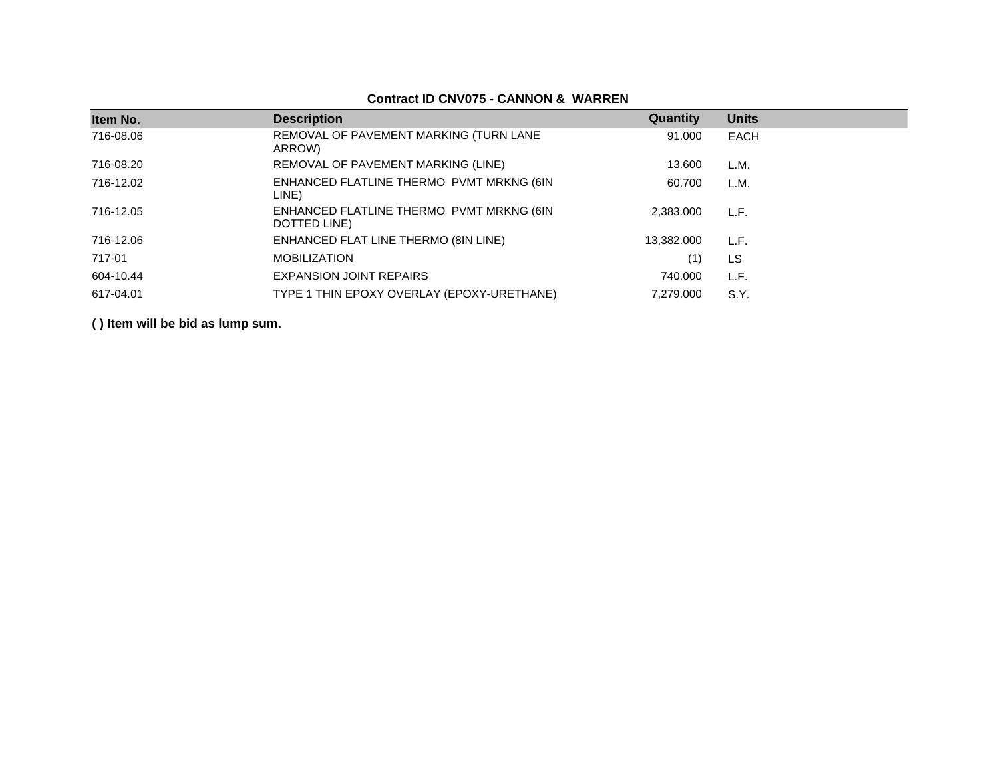| Item No.  | <b>Description</b>                                       | Quantity   | <b>Units</b> |
|-----------|----------------------------------------------------------|------------|--------------|
| 716-08.06 | REMOVAL OF PAVEMENT MARKING (TURN LANE<br>ARROW)         | 91.000     | <b>EACH</b>  |
| 716-08.20 | REMOVAL OF PAVEMENT MARKING (LINE)                       | 13.600     | L.M.         |
| 716-12.02 | ENHANCED FLATLINE THERMO PVMT MRKNG (6IN<br>LINE)        | 60.700     | L.M.         |
| 716-12.05 | ENHANCED FLATLINE THERMO PVMT MRKNG (6IN<br>DOTTED LINE) | 2.383.000  | L.F.         |
| 716-12.06 | ENHANCED FLAT LINE THERMO (8IN LINE)                     | 13,382.000 | L.F.         |
| 717-01    | <b>MOBILIZATION</b>                                      | (1)        | LS           |
| 604-10.44 | <b>EXPANSION JOINT REPAIRS</b>                           | 740.000    | L.F.         |
| 617-04.01 | TYPE 1 THIN EPOXY OVERLAY (EPOXY-URETHANE)               | 7.279.000  | S.Y.         |
|           |                                                          |            |              |

## **Contract ID CNV075 - CANNON & WARREN**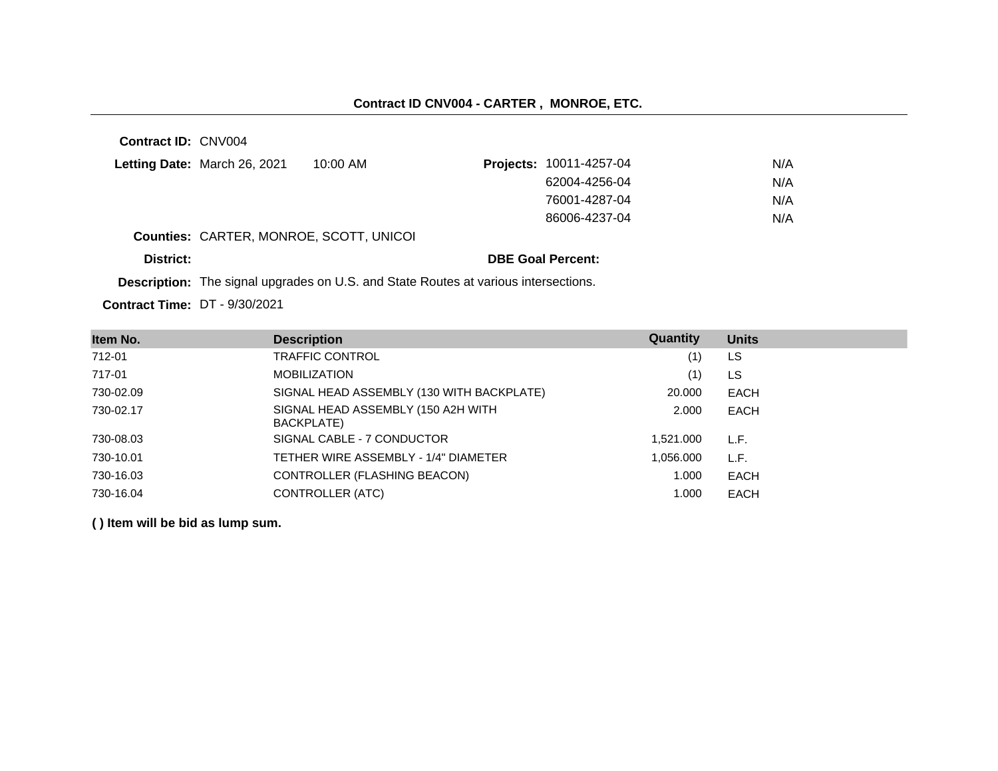# **Contract ID CNV004 - CARTER , MONROE, ETC.**

| <b>Contract ID: CNV004</b> |                                         |                                                                                            |                                |     |  |
|----------------------------|-----------------------------------------|--------------------------------------------------------------------------------------------|--------------------------------|-----|--|
|                            | Letting Date: March 26, 2021            | $10:00$ AM                                                                                 | <b>Projects: 10011-4257-04</b> | N/A |  |
|                            |                                         |                                                                                            | 62004-4256-04                  | N/A |  |
|                            |                                         |                                                                                            | 76001-4287-04                  | N/A |  |
|                            |                                         |                                                                                            | 86006-4237-04                  | N/A |  |
|                            | Counties: CARTER, MONROE, SCOTT, UNICOI |                                                                                            |                                |     |  |
| District:                  |                                         |                                                                                            | <b>DBE Goal Percent:</b>       |     |  |
|                            |                                         | <b>Description:</b> The signal upgrades on U.S. and State Routes at various intersections. |                                |     |  |

**Contract Time:** DT - 9/30/2021

| Item No.  | <b>Description</b>                               | <b>Quantity</b> | <b>Units</b> |
|-----------|--------------------------------------------------|-----------------|--------------|
| 712-01    | TRAFFIC CONTROL                                  | (1)             | LS           |
| 717-01    | <b>MOBILIZATION</b>                              | (1)             | LS           |
| 730-02.09 | SIGNAL HEAD ASSEMBLY (130 WITH BACKPLATE)        | 20.000          | EACH         |
| 730-02.17 | SIGNAL HEAD ASSEMBLY (150 A2H WITH<br>BACKPLATE) | 2.000           | EACH         |
| 730-08.03 | SIGNAL CABLE - 7 CONDUCTOR                       | 1,521.000       | L.F.         |
| 730-10.01 | TETHER WIRE ASSEMBLY - 1/4" DIAMETER             | 1,056.000       | L.F.         |
| 730-16.03 | CONTROLLER (FLASHING BEACON)                     | 1.000           | <b>EACH</b>  |
| 730-16.04 | CONTROLLER (ATC)                                 | 1.000           | <b>EACH</b>  |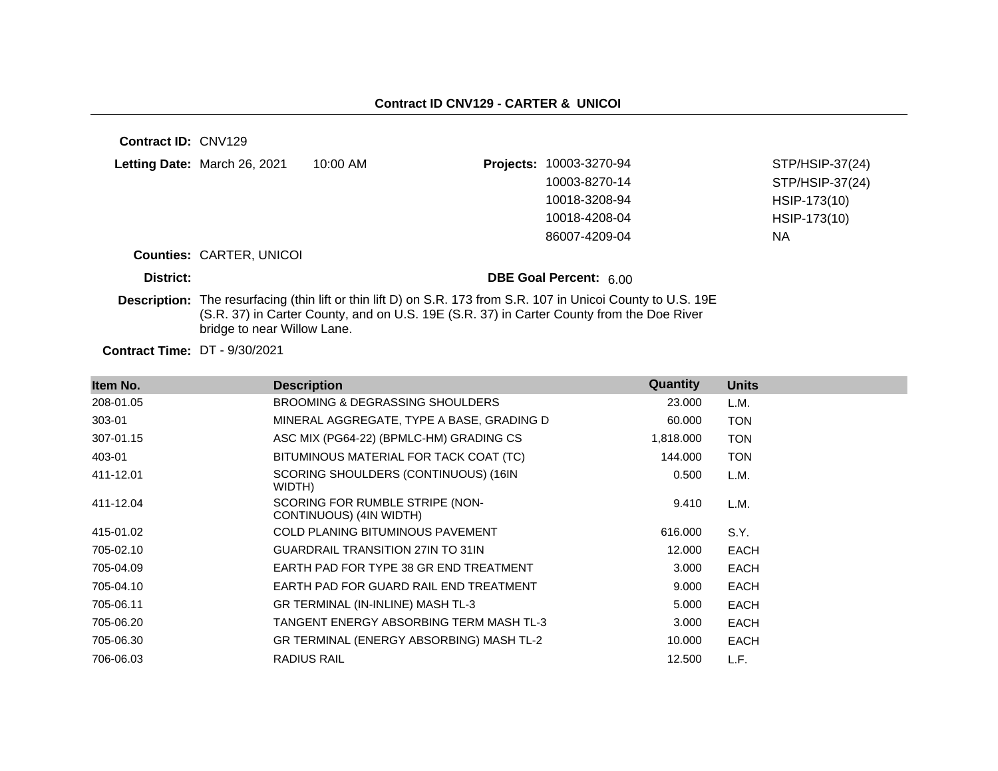| Contract ID: CNV129                  |                                 |                                                                                           |                                                                                                                       |                 |
|--------------------------------------|---------------------------------|-------------------------------------------------------------------------------------------|-----------------------------------------------------------------------------------------------------------------------|-----------------|
|                                      | Letting Date: March 26, 2021    | $10:00$ AM                                                                                | Projects: 10003-3270-94                                                                                               | STP/HSIP-37(24) |
|                                      |                                 |                                                                                           | 10003-8270-14                                                                                                         | STP/HSIP-37(24) |
|                                      |                                 |                                                                                           | 10018-3208-94                                                                                                         | HSIP-173(10)    |
|                                      |                                 |                                                                                           | 10018-4208-04                                                                                                         | HSIP-173(10)    |
|                                      |                                 |                                                                                           | 86007-4209-04                                                                                                         | <b>NA</b>       |
|                                      | <b>Counties: CARTER, UNICOI</b> |                                                                                           |                                                                                                                       |                 |
| District:                            |                                 |                                                                                           | <b>DBE Goal Percent: 6.00</b>                                                                                         |                 |
|                                      | bridge to near Willow Lane.     | (S.R. 37) in Carter County, and on U.S. 19E (S.R. 37) in Carter County from the Doe River | <b>Description:</b> The resurfacing (thin lift or thin lift D) on S.R. 173 from S.R. 107 in Unicoi County to U.S. 19E |                 |
| <b>Contract Time: DT - 9/30/2021</b> |                                 |                                                                                           |                                                                                                                       |                 |

| Item No.  | <b>Description</b>                                         | Quantity  | <b>Units</b> |  |
|-----------|------------------------------------------------------------|-----------|--------------|--|
| 208-01.05 | <b>BROOMING &amp; DEGRASSING SHOULDERS</b>                 | 23,000    | L.M.         |  |
| 303-01    | MINERAL AGGREGATE, TYPE A BASE, GRADING D                  | 60.000    | <b>TON</b>   |  |
| 307-01.15 | ASC MIX (PG64-22) (BPMLC-HM) GRADING CS                    | 1,818.000 | <b>TON</b>   |  |
| 403-01    | BITUMINOUS MATERIAL FOR TACK COAT (TC)                     | 144.000   | <b>TON</b>   |  |
| 411-12.01 | SCORING SHOULDERS (CONTINUOUS) (16IN<br>WIDTH)             | 0.500     | L.M.         |  |
| 411-12.04 | SCORING FOR RUMBLE STRIPE (NON-<br>CONTINUOUS) (4IN WIDTH) | 9.410     | L.M.         |  |
| 415-01.02 | <b>COLD PLANING BITUMINOUS PAVEMENT</b>                    | 616.000   | S.Y.         |  |
| 705-02.10 | <b>GUARDRAIL TRANSITION 27IN TO 31IN</b>                   | 12.000    | EACH         |  |
| 705-04.09 | EARTH PAD FOR TYPE 38 GR END TREATMENT                     | 3.000     | EACH         |  |
| 705-04.10 | EARTH PAD FOR GUARD RAIL END TREATMENT                     | 9.000     | EACH         |  |
| 705-06.11 | GR TERMINAL (IN-INLINE) MASH TL-3                          | 5.000     | EACH         |  |
| 705-06.20 | TANGENT ENERGY ABSORBING TERM MASH TL-3                    | 3.000     | EACH         |  |
| 705-06.30 | GR TERMINAL (ENERGY ABSORBING) MASH TL-2                   | 10.000    | EACH         |  |
| 706-06.03 | <b>RADIUS RAIL</b>                                         | 12.500    | L.F.         |  |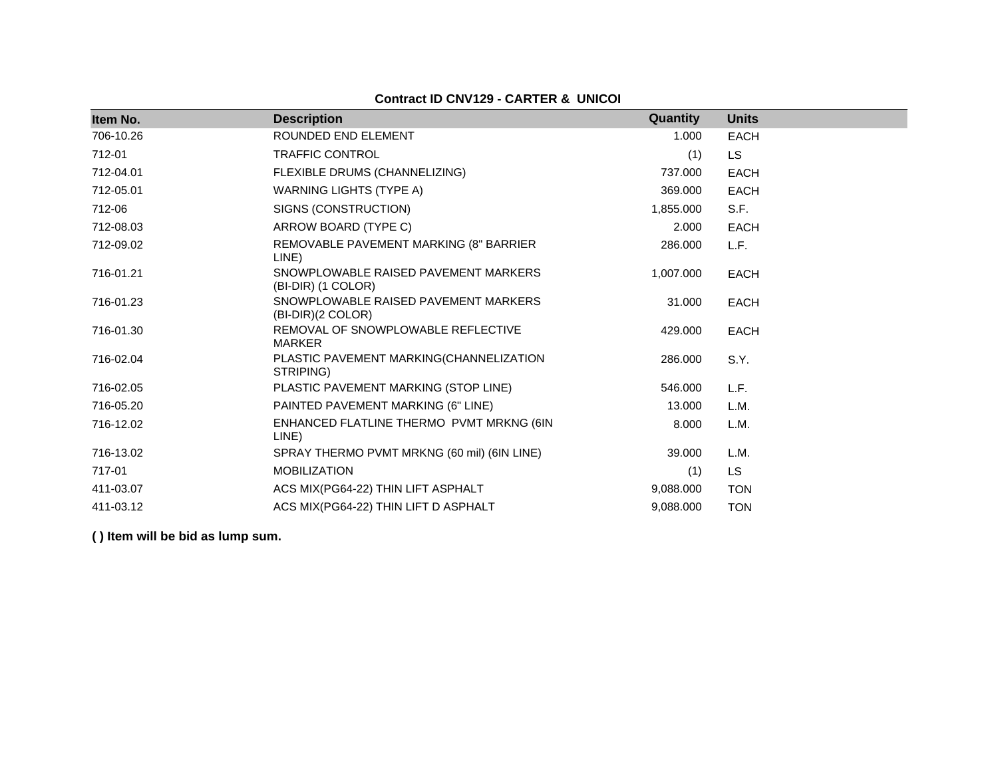## **Contract ID CNV129 - CARTER & UNICOI**

| Item No.  | <b>Description</b>                                         | Quantity  | <b>Units</b> |
|-----------|------------------------------------------------------------|-----------|--------------|
| 706-10.26 | ROUNDED END ELEMENT                                        | 1.000     | <b>EACH</b>  |
| 712-01    | <b>TRAFFIC CONTROL</b>                                     | (1)       | <b>LS</b>    |
| 712-04.01 | FLEXIBLE DRUMS (CHANNELIZING)                              | 737.000   | <b>EACH</b>  |
| 712-05.01 | <b>WARNING LIGHTS (TYPE A)</b>                             | 369.000   | <b>EACH</b>  |
| 712-06    | SIGNS (CONSTRUCTION)                                       | 1,855.000 | S.F.         |
| 712-08.03 | ARROW BOARD (TYPE C)                                       | 2.000     | <b>EACH</b>  |
| 712-09.02 | REMOVABLE PAVEMENT MARKING (8" BARRIER<br>LINE)            | 286.000   | L.F.         |
| 716-01.21 | SNOWPLOWABLE RAISED PAVEMENT MARKERS<br>(BI-DIR) (1 COLOR) | 1,007.000 | <b>EACH</b>  |
| 716-01.23 | SNOWPLOWABLE RAISED PAVEMENT MARKERS<br>(BI-DIR)(2 COLOR)  | 31.000    | <b>EACH</b>  |
| 716-01.30 | REMOVAL OF SNOWPLOWABLE REFLECTIVE<br><b>MARKER</b>        | 429.000   | <b>EACH</b>  |
| 716-02.04 | PLASTIC PAVEMENT MARKING(CHANNELIZATION<br>STRIPING)       | 286.000   | S.Y.         |
| 716-02.05 | PLASTIC PAVEMENT MARKING (STOP LINE)                       | 546.000   | L.F.         |
| 716-05.20 | PAINTED PAVEMENT MARKING (6" LINE)                         | 13.000    | L.M.         |
| 716-12.02 | ENHANCED FLATLINE THERMO PVMT MRKNG (6IN<br>LINE)          | 8.000     | L.M.         |
| 716-13.02 | SPRAY THERMO PVMT MRKNG (60 mil) (6IN LINE)                | 39.000    | L.M.         |
| 717-01    | <b>MOBILIZATION</b>                                        | (1)       | LS.          |
| 411-03.07 | ACS MIX(PG64-22) THIN LIFT ASPHALT                         | 9,088.000 | <b>TON</b>   |
| 411-03.12 | ACS MIX(PG64-22) THIN LIFT D ASPHALT                       | 9,088.000 | <b>TON</b>   |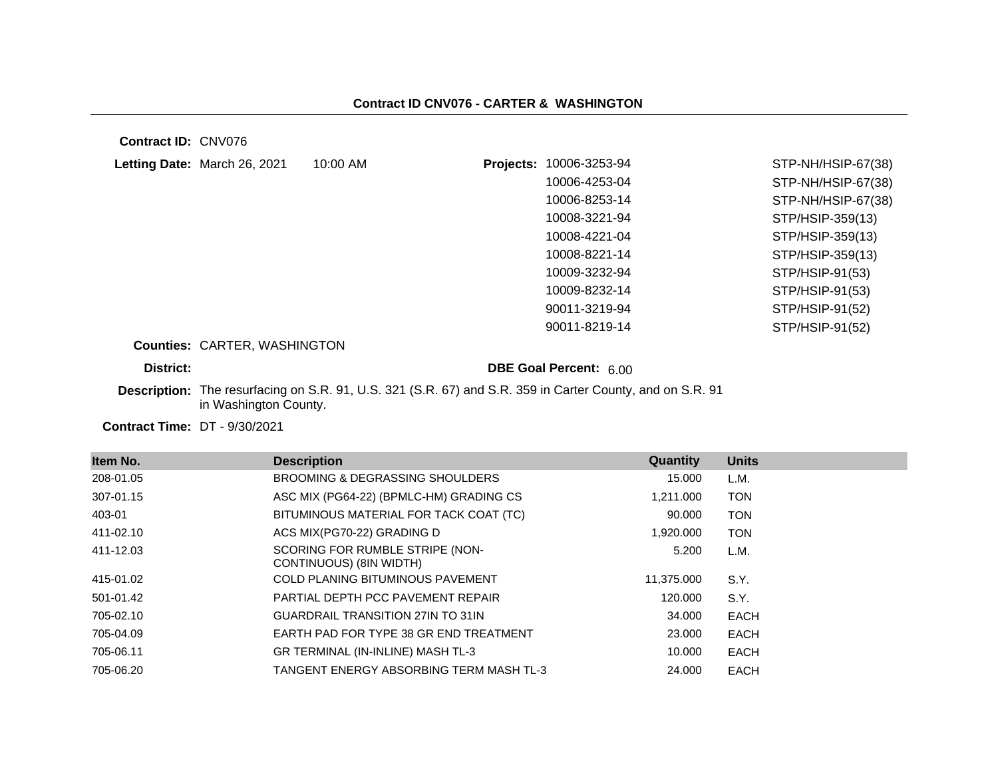**Contract ID:** CNV076

| Letting Date: March 26, 2021        | 10:00 AM | 10006-3253-94<br>Projects: | STP-NH/HSIP-67(38) |
|-------------------------------------|----------|----------------------------|--------------------|
|                                     |          | 10006-4253-04              | STP-NH/HSIP-67(38) |
|                                     |          | 10006-8253-14              | STP-NH/HSIP-67(38) |
|                                     |          | 10008-3221-94              | STP/HSIP-359(13)   |
|                                     |          | 10008-4221-04              | STP/HSIP-359(13)   |
|                                     |          | 10008-8221-14              | STP/HSIP-359(13)   |
|                                     |          | 10009-3232-94              | STP/HSIP-91(53)    |
|                                     |          | 10009-8232-14              | STP/HSIP-91(53)    |
|                                     |          | 90011-3219-94              | STP/HSIP-91(52)    |
|                                     |          | 90011-8219-14              | STP/HSIP-91(52)    |
| <b>Counties: CARTER, WASHINGTON</b> |          |                            |                    |
| District:                           |          | DBE Goal Percent: 6.00     |                    |

**Description:** The resurfacing on S.R. 91, U.S. 321 (S.R. 67) and S.R. 359 in Carter County, and on S.R. 91 in Washington County.

**Contract Time:** DT - 9/30/2021

| Item No.  | <b>Description</b>                                         | <b>Quantity</b> | <b>Units</b> |
|-----------|------------------------------------------------------------|-----------------|--------------|
| 208-01.05 | <b>BROOMING &amp; DEGRASSING SHOULDERS</b>                 | 15.000          | L.M.         |
| 307-01.15 | ASC MIX (PG64-22) (BPMLC-HM) GRADING CS                    | 1,211.000       | <b>TON</b>   |
| 403-01    | BITUMINOUS MATERIAL FOR TACK COAT (TC)                     | 90.000          | <b>TON</b>   |
| 411-02.10 | ACS MIX(PG70-22) GRADING D                                 | .920.000 ا      | <b>TON</b>   |
| 411-12.03 | SCORING FOR RUMBLE STRIPE (NON-<br>CONTINUOUS) (8IN WIDTH) | 5.200           | L.M.         |
| 415-01.02 | <b>COLD PLANING BITUMINOUS PAVEMENT</b>                    | 11,375.000      | S.Y.         |
| 501-01.42 | PARTIAL DEPTH PCC PAVEMENT REPAIR                          | 120.000         | S.Y.         |
| 705-02.10 | <b>GUARDRAIL TRANSITION 27IN TO 31IN</b>                   | 34.000          | EACH         |
| 705-04.09 | EARTH PAD FOR TYPE 38 GR END TREATMENT                     | 23.000          | EACH         |
| 705-06.11 | GR TERMINAL (IN-INLINE) MASH TL-3                          | 10.000          | EACH         |
| 705-06.20 | TANGENT ENERGY ABSORBING TERM MASH TL-3                    | 24.000          | EACH         |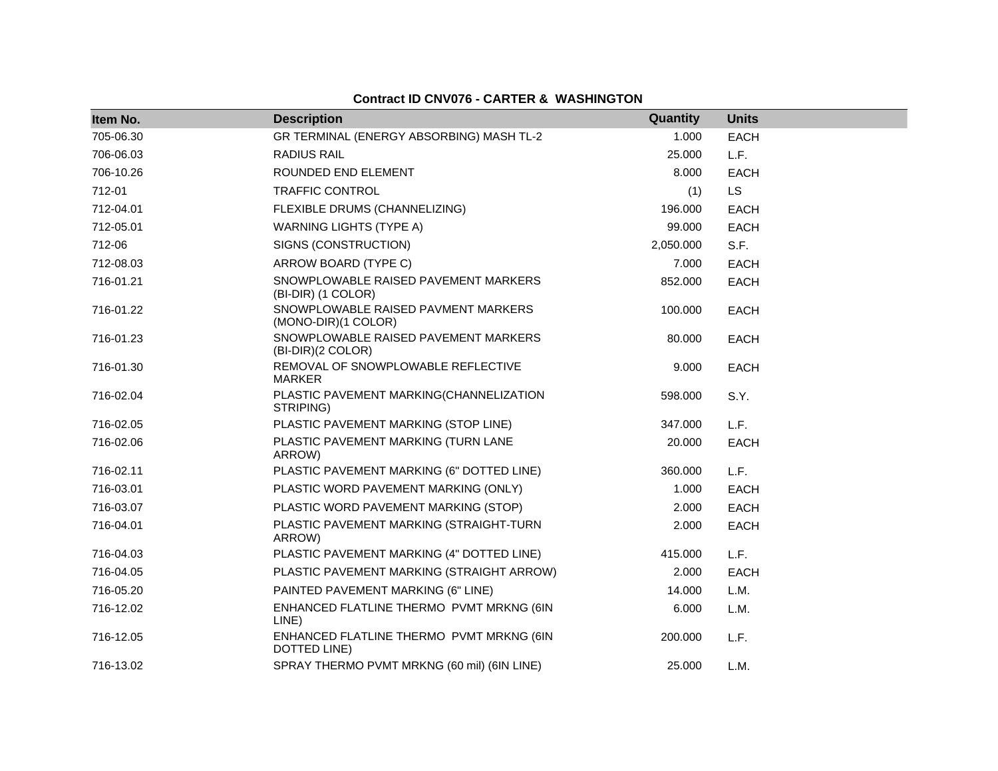## **Contract ID CNV076 - CARTER & WASHINGTON**

| Item No.  | <b>Description</b>                                         | Quantity  | <b>Units</b> |
|-----------|------------------------------------------------------------|-----------|--------------|
| 705-06.30 | GR TERMINAL (ENERGY ABSORBING) MASH TL-2                   | 1.000     | <b>EACH</b>  |
| 706-06.03 | RADIUS RAIL                                                | 25.000    | L.F.         |
| 706-10.26 | ROUNDED END ELEMENT                                        | 8.000     | <b>EACH</b>  |
| 712-01    | <b>TRAFFIC CONTROL</b>                                     | (1)       | <b>LS</b>    |
| 712-04.01 | FLEXIBLE DRUMS (CHANNELIZING)                              | 196.000   | <b>EACH</b>  |
| 712-05.01 | <b>WARNING LIGHTS (TYPE A)</b>                             | 99.000    | <b>EACH</b>  |
| 712-06    | SIGNS (CONSTRUCTION)                                       | 2,050.000 | S.F.         |
| 712-08.03 | ARROW BOARD (TYPE C)                                       | 7.000     | <b>EACH</b>  |
| 716-01.21 | SNOWPLOWABLE RAISED PAVEMENT MARKERS<br>(BI-DIR) (1 COLOR) | 852.000   | <b>EACH</b>  |
| 716-01.22 | SNOWPLOWABLE RAISED PAVMENT MARKERS<br>(MONO-DIR)(1 COLOR) | 100.000   | <b>EACH</b>  |
| 716-01.23 | SNOWPLOWABLE RAISED PAVEMENT MARKERS<br>(BI-DIR)(2 COLOR)  | 80.000    | <b>EACH</b>  |
| 716-01.30 | REMOVAL OF SNOWPLOWABLE REFLECTIVE<br><b>MARKER</b>        | 9.000     | <b>EACH</b>  |
| 716-02.04 | PLASTIC PAVEMENT MARKING(CHANNELIZATION<br>STRIPING)       | 598.000   | S.Y.         |
| 716-02.05 | PLASTIC PAVEMENT MARKING (STOP LINE)                       | 347.000   | L.F.         |
| 716-02.06 | PLASTIC PAVEMENT MARKING (TURN LANE<br>ARROW)              | 20.000    | <b>EACH</b>  |
| 716-02.11 | PLASTIC PAVEMENT MARKING (6" DOTTED LINE)                  | 360.000   | L.F.         |
| 716-03.01 | PLASTIC WORD PAVEMENT MARKING (ONLY)                       | 1.000     | EACH         |
| 716-03.07 | PLASTIC WORD PAVEMENT MARKING (STOP)                       | 2.000     | <b>EACH</b>  |
| 716-04.01 | PLASTIC PAVEMENT MARKING (STRAIGHT-TURN<br>ARROW)          | 2.000     | <b>EACH</b>  |
| 716-04.03 | PLASTIC PAVEMENT MARKING (4" DOTTED LINE)                  | 415.000   | L.F.         |
| 716-04.05 | PLASTIC PAVEMENT MARKING (STRAIGHT ARROW)                  | 2.000     | EACH         |
| 716-05.20 | PAINTED PAVEMENT MARKING (6" LINE)                         | 14.000    | L.M.         |
| 716-12.02 | ENHANCED FLATLINE THERMO PVMT MRKNG (6IN<br>LINE)          | 6.000     | L.M.         |
| 716-12.05 | ENHANCED FLATLINE THERMO PVMT MRKNG (6IN<br>DOTTED LINE)   | 200,000   | L.F.         |
| 716-13.02 | SPRAY THERMO PVMT MRKNG (60 mil) (6IN LINE)                | 25,000    | L.M.         |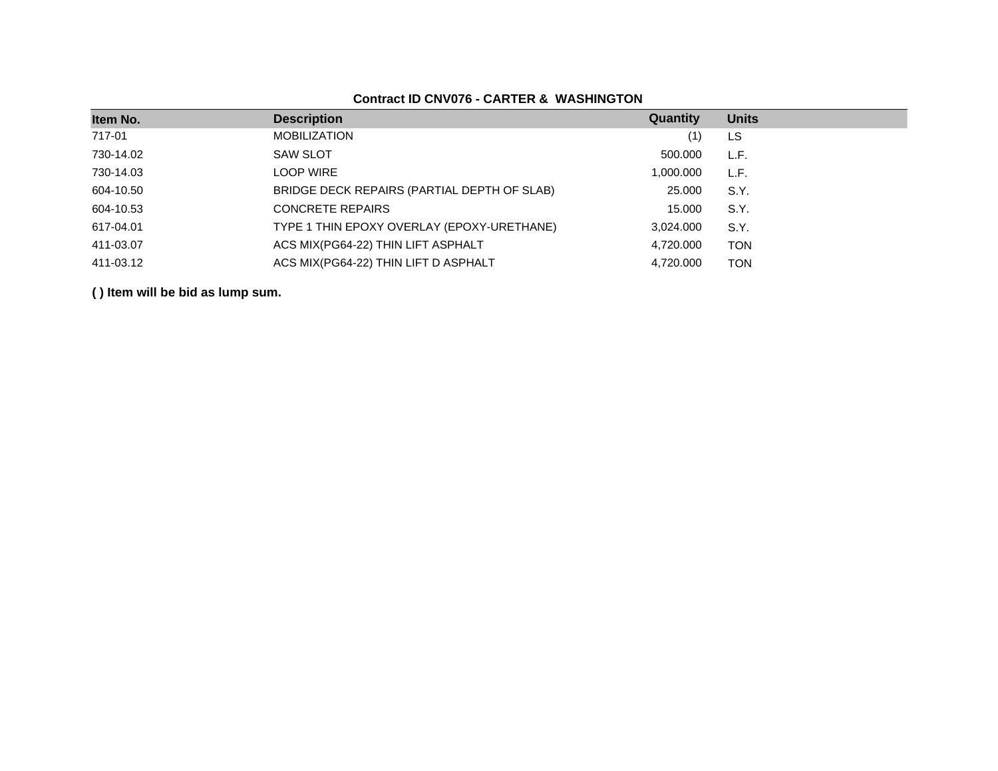## **Contract ID CNV076 - CARTER & WASHINGTON**

| Item No.  | <b>Description</b>                          | Quantity  | <b>Units</b> |
|-----------|---------------------------------------------|-----------|--------------|
| 717-01    | <b>MOBILIZATION</b>                         | (1)       | LS           |
| 730-14.02 | <b>SAW SLOT</b>                             | 500.000   | L.F.         |
| 730-14.03 | <b>LOOP WIRE</b>                            | 1,000.000 | L.F.         |
| 604-10.50 | BRIDGE DECK REPAIRS (PARTIAL DEPTH OF SLAB) | 25.000    | S.Y.         |
| 604-10.53 | <b>CONCRETE REPAIRS</b>                     | 15.000    | S.Y.         |
| 617-04.01 | TYPE 1 THIN EPOXY OVERLAY (EPOXY-URETHANE)  | 3,024.000 | S.Y.         |
| 411-03.07 | ACS MIX(PG64-22) THIN LIFT ASPHALT          | 4,720.000 | <b>TON</b>   |
| 411-03.12 | ACS MIX(PG64-22) THIN LIFT D ASPHALT        | 4,720.000 | <b>TON</b>   |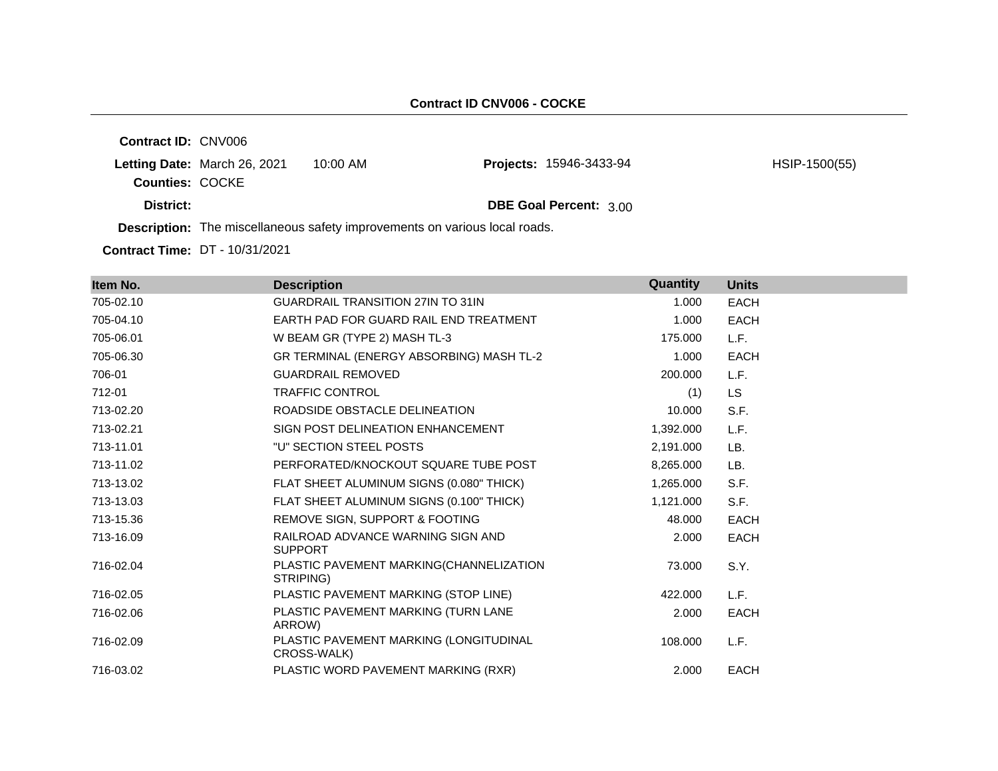|                            |                              |          | <b>B</b> a control of the <b>The problems and a control of the control of the control of the control and the selection of the control of the control of the control of the control of the control of the control of the control of th</b> |               |
|----------------------------|------------------------------|----------|-------------------------------------------------------------------------------------------------------------------------------------------------------------------------------------------------------------------------------------------|---------------|
| District:                  |                              |          | DBE Goal Percent: 3.00                                                                                                                                                                                                                    |               |
| <b>Counties: COCKE</b>     | Letting Date: March 26, 2021 | 10:00 AM | <b>Projects: 15946-3433-94</b>                                                                                                                                                                                                            | HSIP-1500(55) |
| <b>Contract ID: CNV006</b> |                              |          |                                                                                                                                                                                                                                           |               |

**Description:** The miscellaneous safety improvements on various local roads.

**Contract Time:** DT - 10/31/2021

| Item No.  | <b>Description</b>                                    | Quantity  | <b>Units</b> |
|-----------|-------------------------------------------------------|-----------|--------------|
| 705-02.10 | <b>GUARDRAIL TRANSITION 27IN TO 31IN</b>              | 1.000     | <b>EACH</b>  |
| 705-04.10 | EARTH PAD FOR GUARD RAIL END TREATMENT                | 1.000     | <b>EACH</b>  |
| 705-06.01 | W BEAM GR (TYPE 2) MASH TL-3                          | 175.000   | L.F.         |
| 705-06.30 | GR TERMINAL (ENERGY ABSORBING) MASH TL-2              | 1.000     | <b>EACH</b>  |
| 706-01    | <b>GUARDRAIL REMOVED</b>                              | 200.000   | L.F.         |
| 712-01    | <b>TRAFFIC CONTROL</b>                                | (1)       | LS           |
| 713-02.20 | ROADSIDE OBSTACLE DELINEATION                         | 10.000    | S.F.         |
| 713-02.21 | SIGN POST DELINEATION ENHANCEMENT                     | 1,392.000 | L.F.         |
| 713-11.01 | "U" SECTION STEEL POSTS                               | 2,191.000 | LB.          |
| 713-11.02 | PERFORATED/KNOCKOUT SQUARE TUBE POST                  | 8,265.000 | LB.          |
| 713-13.02 | FLAT SHEET ALUMINUM SIGNS (0.080" THICK)              | 1,265.000 | S.F.         |
| 713-13.03 | FLAT SHEET ALUMINUM SIGNS (0.100" THICK)              | 1,121.000 | S.F.         |
| 713-15.36 | REMOVE SIGN, SUPPORT & FOOTING                        | 48.000    | <b>EACH</b>  |
| 713-16.09 | RAILROAD ADVANCE WARNING SIGN AND<br><b>SUPPORT</b>   | 2.000     | <b>EACH</b>  |
| 716-02.04 | PLASTIC PAVEMENT MARKING(CHANNELIZATION<br>STRIPING)  | 73,000    | S.Y.         |
| 716-02.05 | PLASTIC PAVEMENT MARKING (STOP LINE)                  | 422.000   | L.F.         |
| 716-02.06 | PLASTIC PAVEMENT MARKING (TURN LANE<br>ARROW)         | 2.000     | <b>EACH</b>  |
| 716-02.09 | PLASTIC PAVEMENT MARKING (LONGITUDINAL<br>CROSS-WALK) | 108.000   | L.F.         |
| 716-03.02 | PLASTIC WORD PAVEMENT MARKING (RXR)                   | 2.000     | <b>EACH</b>  |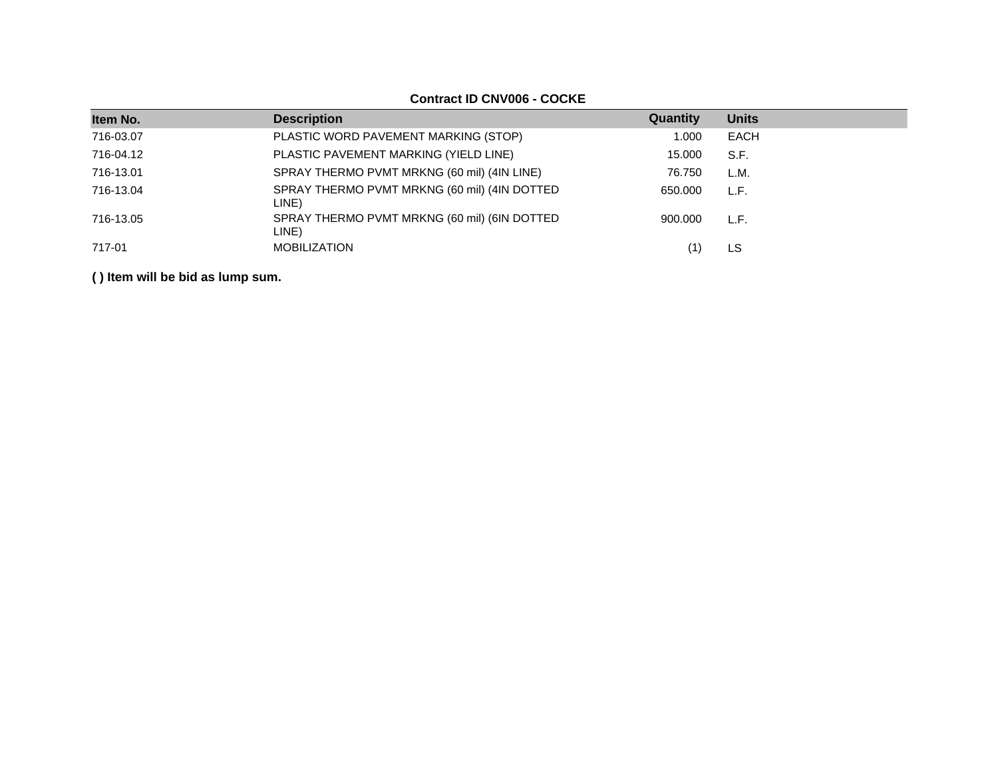#### **Item No. Description Description CONS Quantity Quantity Units** 716-03.07 PLASTIC WORD PAVEMENT MARKING (STOP) 1.000 EACH 716-04.12 PLASTIC PAVEMENT MARKING (YIELD LINE) 15.000 S.F. 716-13.01 SPRAY THERMO PVMT MRKNG (60 mil) (4IN LINE) 76.750 L.M. 716-13.04 SPRAY THERMO PVMT MRKNG (60 mil) (4IN DOTTED LINE) 650.000 L.F. 716-13.05 SPRAY THERMO PVMT MRKNG (60 mil) (6IN DOTTED LINE) 900.000 L.F. 717-01 MOBILIZATION (1) LS

**( ) Item will be bid as lump sum.**

#### **Contract ID CNV006 - COCKE**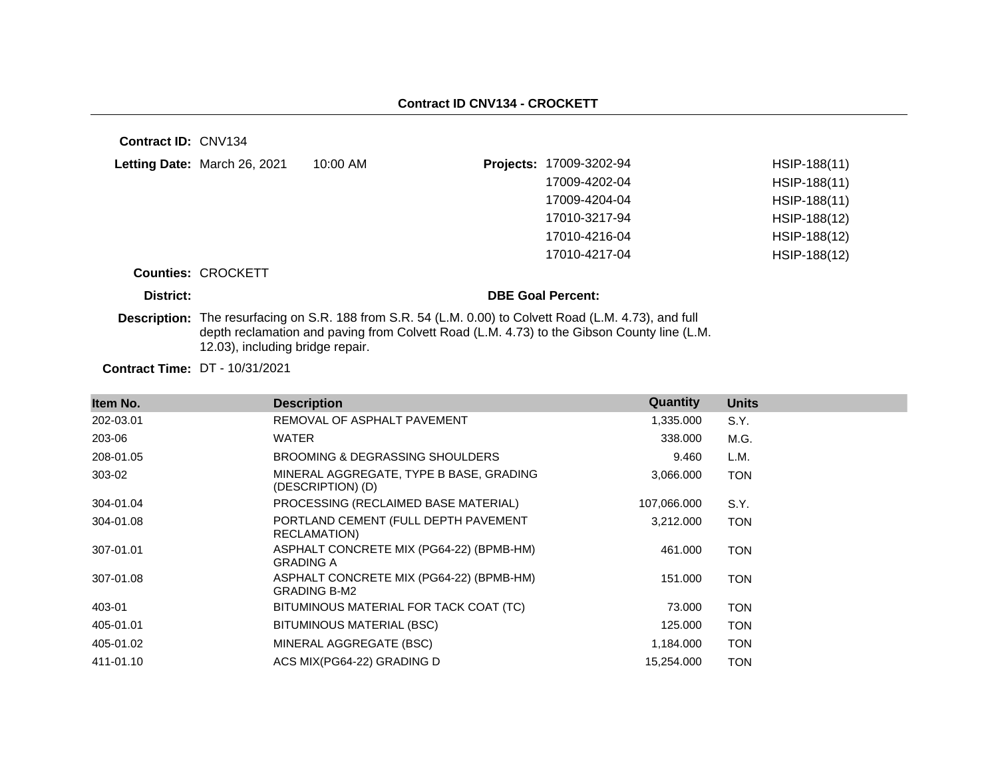**Contract ID:** CNV134

| Letting Date: March 26, 2021 | 10:00 AM | <b>Projects: 17009-3202-94</b> | HSIP-188(11)   |
|------------------------------|----------|--------------------------------|----------------|
|                              |          | 17009-4202-04                  | HSIP-188(11)   |
|                              |          | 17009-4204-04                  | $HSIP-188(11)$ |
|                              |          | 17010-3217-94                  | HSIP-188(12)   |
|                              |          | 17010-4216-04                  | HSIP-188(12)   |
|                              |          | 17010-4217-04                  | HSIP-188(12)   |

#### **Counties:** CROCKETT

#### **District: District: DBE Goal Percent:**

**Description:** The resurfacing on S.R. 188 from S.R. 54 (L.M. 0.00) to Colvett Road (L.M. 4.73), and full depth reclamation and paving from Colvett Road (L.M. 4.73) to the Gibson County line (L.M. 12.03), including bridge repair.

**Contract Time:** DT - 10/31/2021

| Item No.  | <b>Description</b>                                              | Quantity    | <b>Units</b> |
|-----------|-----------------------------------------------------------------|-------------|--------------|
| 202-03.01 | REMOVAL OF ASPHALT PAVEMENT                                     | 1,335.000   | S.Y.         |
| 203-06    | <b>WATER</b>                                                    | 338,000     | M.G.         |
| 208-01.05 | BROOMING & DEGRASSING SHOULDERS                                 | 9.460       | L.M.         |
| 303-02    | MINERAL AGGREGATE, TYPE B BASE, GRADING<br>(DESCRIPTION) (D)    | 3,066.000   | <b>TON</b>   |
| 304-01.04 | PROCESSING (RECLAIMED BASE MATERIAL)                            | 107,066.000 | S.Y.         |
| 304-01.08 | PORTLAND CEMENT (FULL DEPTH PAVEMENT<br>RECLAMATION)            | 3,212.000   | <b>TON</b>   |
| 307-01.01 | ASPHALT CONCRETE MIX (PG64-22) (BPMB-HM)<br><b>GRADING A</b>    | 461.000     | <b>TON</b>   |
| 307-01.08 | ASPHALT CONCRETE MIX (PG64-22) (BPMB-HM)<br><b>GRADING B-M2</b> | 151.000     | <b>TON</b>   |
| 403-01    | BITUMINOUS MATERIAL FOR TACK COAT (TC)                          | 73,000      | <b>TON</b>   |
| 405-01.01 | BITUMINOUS MATERIAL (BSC)                                       | 125.000     | <b>TON</b>   |
| 405-01.02 | MINERAL AGGREGATE (BSC)                                         | 1,184.000   | <b>TON</b>   |
| 411-01.10 | ACS MIX(PG64-22) GRADING D                                      | 15,254.000  | <b>TON</b>   |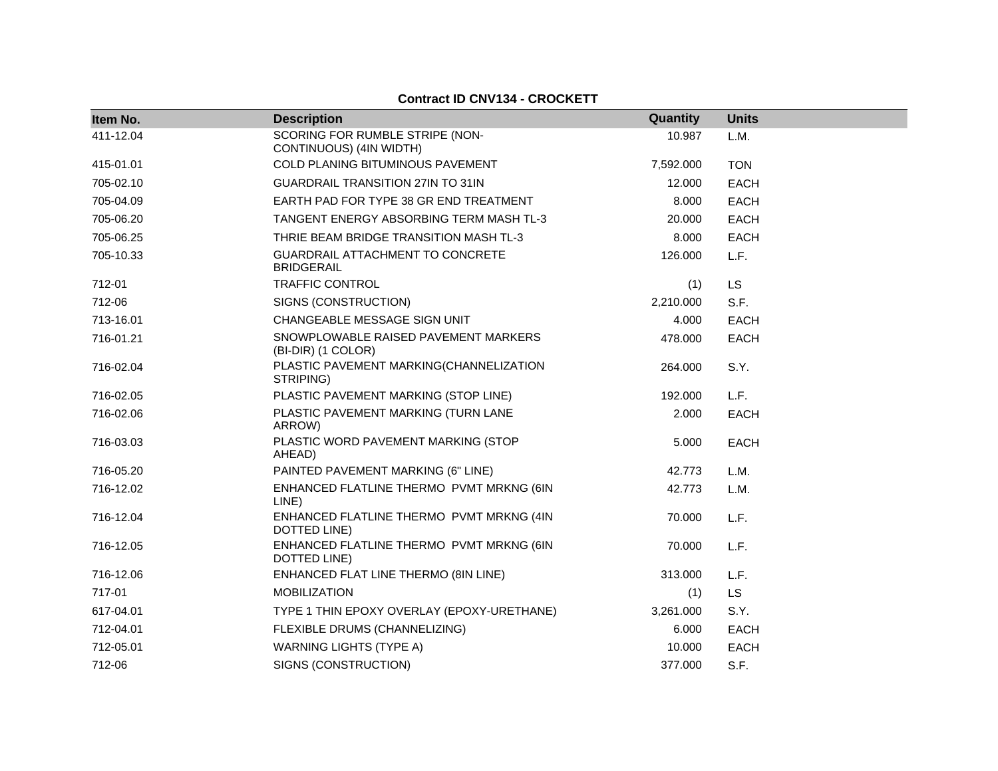#### **Contract ID CNV134 - CROCKETT**

| Item No.  | <b>Description</b>                                         | Quantity  | <b>Units</b> |
|-----------|------------------------------------------------------------|-----------|--------------|
| 411-12.04 | SCORING FOR RUMBLE STRIPE (NON-<br>CONTINUOUS) (4IN WIDTH) | 10.987    | L.M.         |
| 415-01.01 | <b>COLD PLANING BITUMINOUS PAVEMENT</b>                    | 7,592.000 | <b>TON</b>   |
| 705-02.10 | GUARDRAIL TRANSITION 27IN TO 31IN                          | 12.000    | <b>EACH</b>  |
| 705-04.09 | EARTH PAD FOR TYPE 38 GR END TREATMENT                     | 8.000     | <b>EACH</b>  |
| 705-06.20 | TANGENT ENERGY ABSORBING TERM MASH TL-3                    | 20.000    | <b>EACH</b>  |
| 705-06.25 | THRIE BEAM BRIDGE TRANSITION MASH TL-3                     | 8.000     | <b>EACH</b>  |
| 705-10.33 | GUARDRAIL ATTACHMENT TO CONCRETE<br><b>BRIDGERAIL</b>      | 126.000   | L.F.         |
| 712-01    | <b>TRAFFIC CONTROL</b>                                     | (1)       | <b>LS</b>    |
| 712-06    | SIGNS (CONSTRUCTION)                                       | 2,210.000 | S.F.         |
| 713-16.01 | CHANGEABLE MESSAGE SIGN UNIT                               | 4.000     | <b>EACH</b>  |
| 716-01.21 | SNOWPLOWABLE RAISED PAVEMENT MARKERS<br>(BI-DIR) (1 COLOR) | 478.000   | <b>EACH</b>  |
| 716-02.04 | PLASTIC PAVEMENT MARKING(CHANNELIZATION<br>STRIPING)       | 264.000   | S.Y.         |
| 716-02.05 | PLASTIC PAVEMENT MARKING (STOP LINE)                       | 192.000   | L.F.         |
| 716-02.06 | PLASTIC PAVEMENT MARKING (TURN LANE<br>ARROW)              | 2.000     | <b>EACH</b>  |
| 716-03.03 | PLASTIC WORD PAVEMENT MARKING (STOP<br>AHEAD)              | 5.000     | <b>EACH</b>  |
| 716-05.20 | PAINTED PAVEMENT MARKING (6" LINE)                         | 42.773    | L.M.         |
| 716-12.02 | ENHANCED FLATLINE THERMO PVMT MRKNG (6IN<br>LINE)          | 42.773    | L.M.         |
| 716-12.04 | ENHANCED FLATLINE THERMO PVMT MRKNG (4IN<br>DOTTED LINE)   | 70.000    | L.F.         |
| 716-12.05 | ENHANCED FLATLINE THERMO PVMT MRKNG (6IN<br>DOTTED LINE)   | 70.000    | L.F.         |
| 716-12.06 | ENHANCED FLAT LINE THERMO (8IN LINE)                       | 313.000   | L.F.         |
| 717-01    | <b>MOBILIZATION</b>                                        | (1)       | <b>LS</b>    |
| 617-04.01 | TYPE 1 THIN EPOXY OVERLAY (EPOXY-URETHANE)                 | 3,261.000 | S.Y.         |
| 712-04.01 | FLEXIBLE DRUMS (CHANNELIZING)                              | 6.000     | <b>EACH</b>  |
| 712-05.01 | <b>WARNING LIGHTS (TYPE A)</b>                             | 10.000    | <b>EACH</b>  |
| 712-06    | SIGNS (CONSTRUCTION)                                       | 377.000   | S.F.         |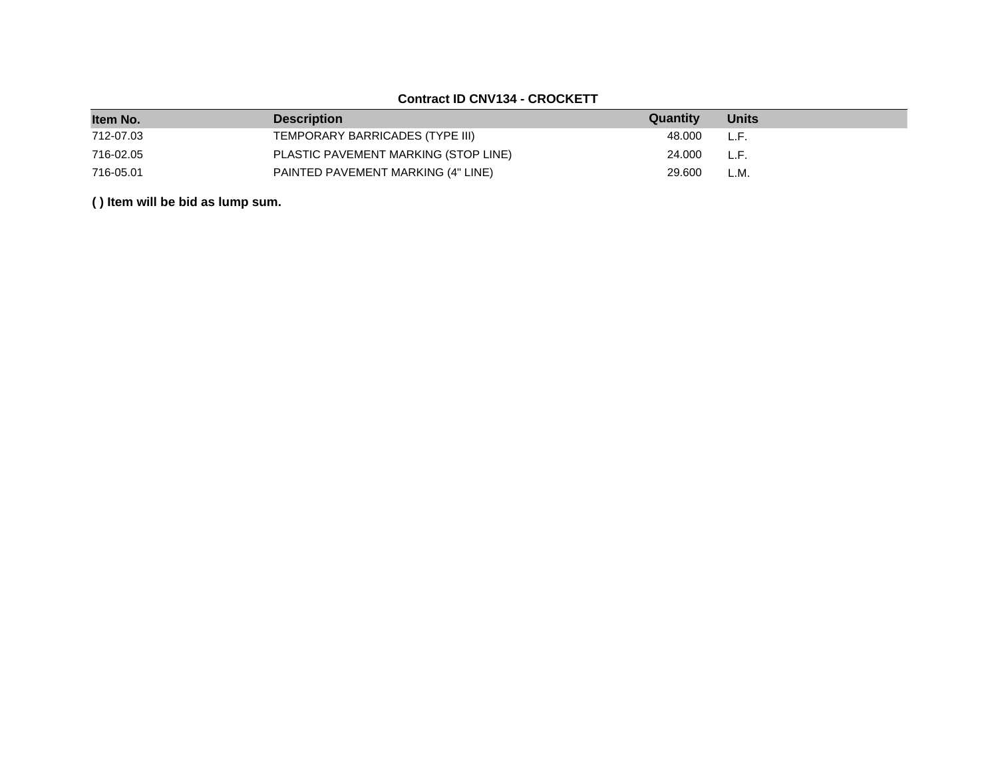## **Contract ID CNV134 - CROCKETT**

| Item No.  | <b>Description</b>                   | Quantity | <b>Units</b> |
|-----------|--------------------------------------|----------|--------------|
| 712-07.03 | TEMPORARY BARRICADES (TYPE III)      | 48.000   | L.F.         |
| 716-02.05 | PLASTIC PAVEMENT MARKING (STOP LINE) | 24.000   | L.F.         |
| 716-05.01 | PAINTED PAVEMENT MARKING (4" LINE)   | 29,600   | L.M.         |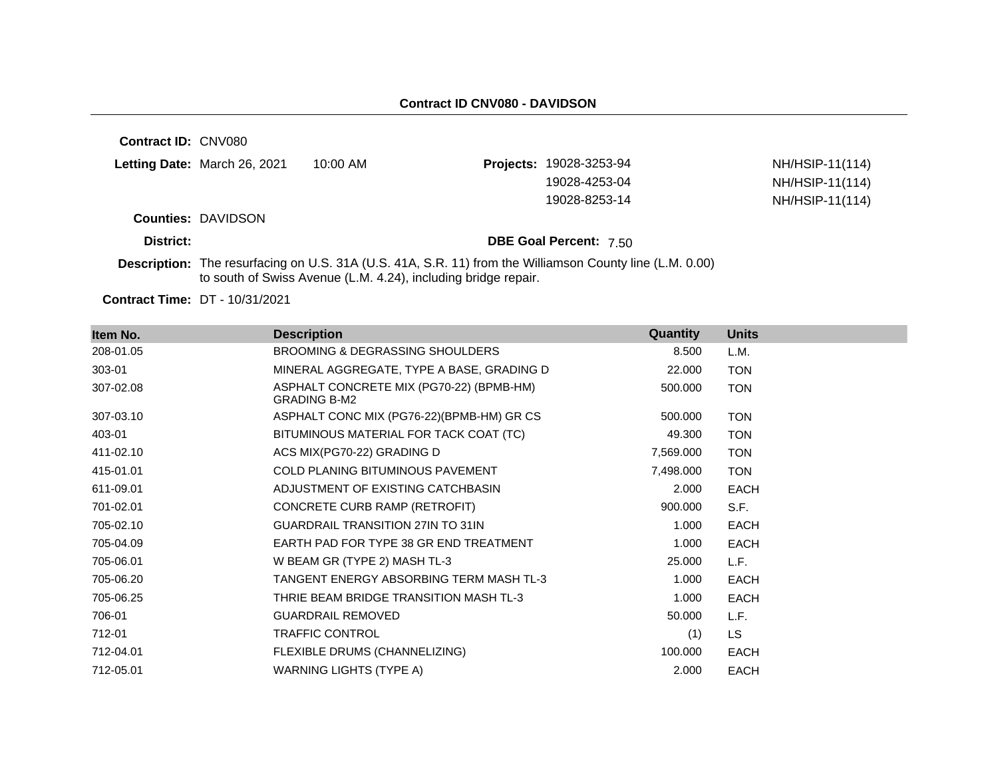**Contract ID:** CNV080

| Letting Date: March 26, 2021 | 10:00 AM | <b>Projects: 19028-3253-94</b> | NH/HSIP-11(114) |
|------------------------------|----------|--------------------------------|-----------------|
|                              |          | 19028-4253-04                  | NH/HSIP-11(114) |
|                              |          | 19028-8253-14                  | NH/HSIP-11(114) |
| <b>Counties: DAVIDSON</b>    |          |                                |                 |

**District: District: DBE Goal Percent:** 7.50

**Description:** The resurfacing on U.S. 31A (U.S. 41A, S.R. 11) from the Williamson County line (L.M. 0.00) to south of Swiss Avenue (L.M. 4.24), including bridge repair.

**Contract Time:** DT - 10/31/2021

| Item No.  | <b>Description</b>                                              | Quantity  | <b>Units</b> |
|-----------|-----------------------------------------------------------------|-----------|--------------|
| 208-01.05 | BROOMING & DEGRASSING SHOULDERS                                 | 8.500     | L.M.         |
| 303-01    | MINERAL AGGREGATE, TYPE A BASE, GRADING D                       | 22.000    | <b>TON</b>   |
| 307-02.08 | ASPHALT CONCRETE MIX (PG70-22) (BPMB-HM)<br><b>GRADING B-M2</b> | 500.000   | <b>TON</b>   |
| 307-03.10 | ASPHALT CONC MIX (PG76-22)(BPMB-HM) GR CS                       | 500.000   | <b>TON</b>   |
| 403-01    | BITUMINOUS MATERIAL FOR TACK COAT (TC)                          | 49.300    | <b>TON</b>   |
| 411-02.10 | ACS MIX(PG70-22) GRADING D                                      | 7,569.000 | <b>TON</b>   |
| 415-01.01 | COLD PLANING BITUMINOUS PAVEMENT                                | 7,498.000 | <b>TON</b>   |
| 611-09.01 | ADJUSTMENT OF EXISTING CATCHBASIN                               | 2.000     | <b>EACH</b>  |
| 701-02.01 | CONCRETE CURB RAMP (RETROFIT)                                   | 900.000   | S.F.         |
| 705-02.10 | <b>GUARDRAIL TRANSITION 27IN TO 31IN</b>                        | 1.000     | <b>EACH</b>  |
| 705-04.09 | EARTH PAD FOR TYPE 38 GR END TREATMENT                          | 1.000     | <b>EACH</b>  |
| 705-06.01 | W BEAM GR (TYPE 2) MASH TL-3                                    | 25.000    | L.F.         |
| 705-06.20 | TANGENT ENERGY ABSORBING TERM MASH TL-3                         | 1.000     | EACH         |
| 705-06.25 | THRIE BEAM BRIDGE TRANSITION MASH TL-3                          | 1.000     | EACH         |
| 706-01    | <b>GUARDRAIL REMOVED</b>                                        | 50.000    | L.F.         |
| 712-01    | <b>TRAFFIC CONTROL</b>                                          | (1)       | <b>LS</b>    |
| 712-04.01 | FLEXIBLE DRUMS (CHANNELIZING)                                   | 100.000   | <b>EACH</b>  |
| 712-05.01 | <b>WARNING LIGHTS (TYPE A)</b>                                  | 2.000     | <b>EACH</b>  |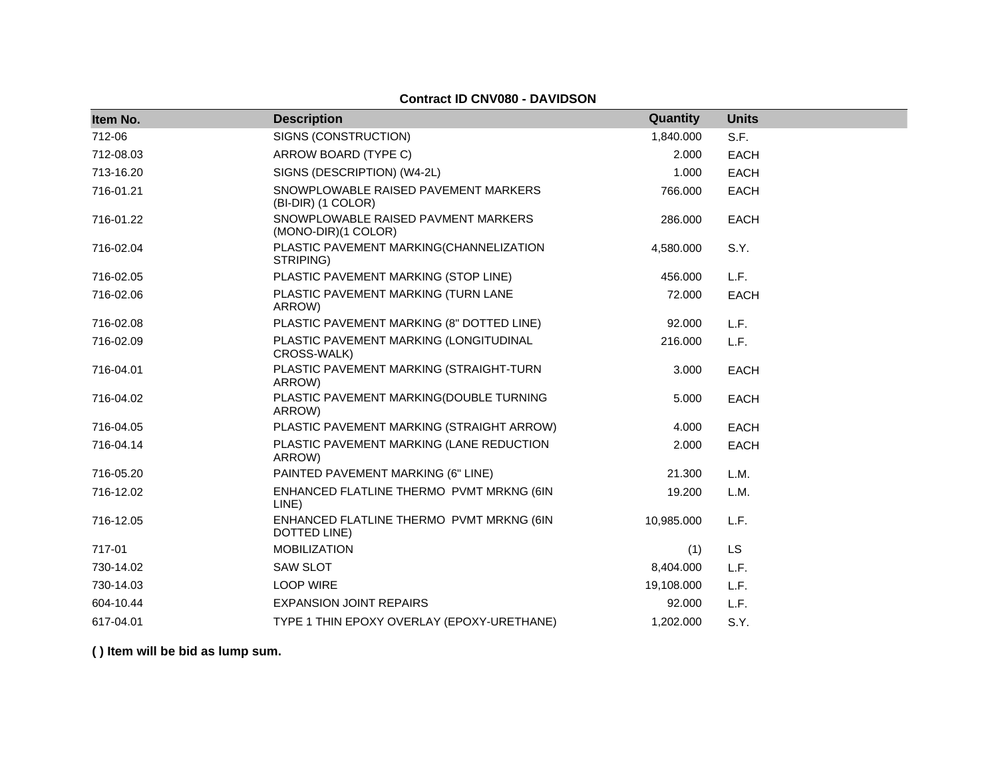**Contract ID CNV080 - DAVIDSON**

| Item No.  | <b>Description</b>                                         | Quantity   | <b>Units</b> |
|-----------|------------------------------------------------------------|------------|--------------|
| 712-06    | SIGNS (CONSTRUCTION)                                       | 1,840.000  | S.F.         |
| 712-08.03 | ARROW BOARD (TYPE C)                                       | 2.000      | <b>EACH</b>  |
| 713-16.20 | SIGNS (DESCRIPTION) (W4-2L)                                | 1.000      | <b>EACH</b>  |
| 716-01.21 | SNOWPLOWABLE RAISED PAVEMENT MARKERS<br>(BI-DIR) (1 COLOR) | 766.000    | <b>EACH</b>  |
| 716-01.22 | SNOWPLOWABLE RAISED PAVMENT MARKERS<br>(MONO-DIR)(1 COLOR) | 286.000    | <b>EACH</b>  |
| 716-02.04 | PLASTIC PAVEMENT MARKING(CHANNELIZATION<br>STRIPING)       | 4,580.000  | S.Y.         |
| 716-02.05 | PLASTIC PAVEMENT MARKING (STOP LINE)                       | 456.000    | L.F.         |
| 716-02.06 | PLASTIC PAVEMENT MARKING (TURN LANE<br>ARROW)              | 72.000     | <b>EACH</b>  |
| 716-02.08 | PLASTIC PAVEMENT MARKING (8" DOTTED LINE)                  | 92.000     | L.F.         |
| 716-02.09 | PLASTIC PAVEMENT MARKING (LONGITUDINAL<br>CROSS-WALK)      | 216,000    | L.F.         |
| 716-04.01 | PLASTIC PAVEMENT MARKING (STRAIGHT-TURN<br>ARROW)          | 3.000      | <b>EACH</b>  |
| 716-04.02 | PLASTIC PAVEMENT MARKING(DOUBLE TURNING<br>ARROW)          | 5.000      | <b>EACH</b>  |
| 716-04.05 | PLASTIC PAVEMENT MARKING (STRAIGHT ARROW)                  | 4.000      | <b>EACH</b>  |
| 716-04.14 | PLASTIC PAVEMENT MARKING (LANE REDUCTION<br>ARROW)         | 2.000      | <b>EACH</b>  |
| 716-05.20 | PAINTED PAVEMENT MARKING (6" LINE)                         | 21.300     | L.M.         |
| 716-12.02 | ENHANCED FLATLINE THERMO PVMT MRKNG (6IN<br>LINE)          | 19.200     | L.M.         |
| 716-12.05 | ENHANCED FLATLINE THERMO PVMT MRKNG (6IN<br>DOTTED LINE)   | 10,985.000 | L.F.         |
| 717-01    | <b>MOBILIZATION</b>                                        | (1)        | <b>LS</b>    |
| 730-14.02 | <b>SAW SLOT</b>                                            | 8,404.000  | L.F.         |
| 730-14.03 | <b>LOOP WIRE</b>                                           | 19,108.000 | L.F.         |
| 604-10.44 | <b>EXPANSION JOINT REPAIRS</b>                             | 92.000     | L.F.         |
| 617-04.01 | TYPE 1 THIN EPOXY OVERLAY (EPOXY-URETHANE)                 | 1,202.000  | S.Y.         |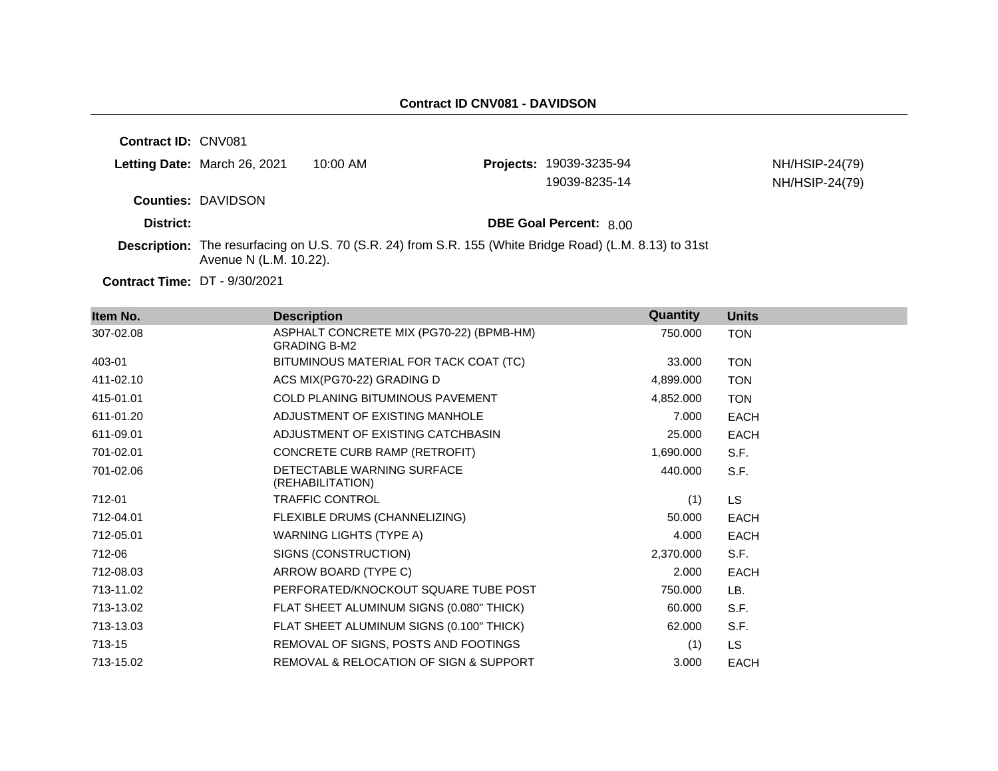**Contract ID:** CNV081

| <b>Letting Date: March 26, 2021</b> | 10:00 AM | <b>Projects: 19039-3235-94</b> | NH/HSIP-24(79) |
|-------------------------------------|----------|--------------------------------|----------------|
|                                     |          | 19039-8235-14                  | NH/HSIP-24(79) |
| <b>Counties: DAVIDSON</b>           |          |                                |                |
| District:                           |          | DBE Goal Percent: 8.00         |                |

**Description:** The resurfacing on U.S. 70 (S.R. 24) from S.R. 155 (White Bridge Road) (L.M. 8.13) to 31st Avenue N (L.M. 10.22).

**Contract Time:** DT - 9/30/2021

| Item No.  | <b>Description</b>                                              | Quantity  | <b>Units</b> |
|-----------|-----------------------------------------------------------------|-----------|--------------|
| 307-02.08 | ASPHALT CONCRETE MIX (PG70-22) (BPMB-HM)<br><b>GRADING B-M2</b> | 750.000   | <b>TON</b>   |
| 403-01    | BITUMINOUS MATERIAL FOR TACK COAT (TC)                          | 33.000    | <b>TON</b>   |
| 411-02.10 | ACS MIX(PG70-22) GRADING D                                      | 4,899.000 | <b>TON</b>   |
| 415-01.01 | <b>COLD PLANING BITUMINOUS PAVEMENT</b>                         | 4,852.000 | <b>TON</b>   |
| 611-01.20 | ADJUSTMENT OF EXISTING MANHOLE                                  | 7.000     | <b>EACH</b>  |
| 611-09.01 | ADJUSTMENT OF EXISTING CATCHBASIN                               | 25.000    | <b>EACH</b>  |
| 701-02.01 | CONCRETE CURB RAMP (RETROFIT)                                   | 1,690.000 | S.F.         |
| 701-02.06 | DETECTABLE WARNING SURFACE<br>(REHABILITATION)                  | 440.000   | S.F.         |
| 712-01    | TRAFFIC CONTROL                                                 | (1)       | LS.          |
| 712-04.01 | FLEXIBLE DRUMS (CHANNELIZING)                                   | 50,000    | <b>EACH</b>  |
| 712-05.01 | WARNING LIGHTS (TYPE A)                                         | 4.000     | <b>EACH</b>  |
| 712-06    | SIGNS (CONSTRUCTION)                                            | 2,370.000 | S.F.         |
| 712-08.03 | ARROW BOARD (TYPE C)                                            | 2.000     | <b>EACH</b>  |
| 713-11.02 | PERFORATED/KNOCKOUT SQUARE TUBE POST                            | 750.000   | LB.          |
| 713-13.02 | FLAT SHEET ALUMINUM SIGNS (0.080" THICK)                        | 60.000    | S.F.         |
| 713-13.03 | FLAT SHEET ALUMINUM SIGNS (0.100" THICK)                        | 62.000    | S.F.         |
| 713-15    | REMOVAL OF SIGNS, POSTS AND FOOTINGS                            | (1)       | LS.          |
| 713-15.02 | REMOVAL & RELOCATION OF SIGN & SUPPORT                          | 3.000     | <b>EACH</b>  |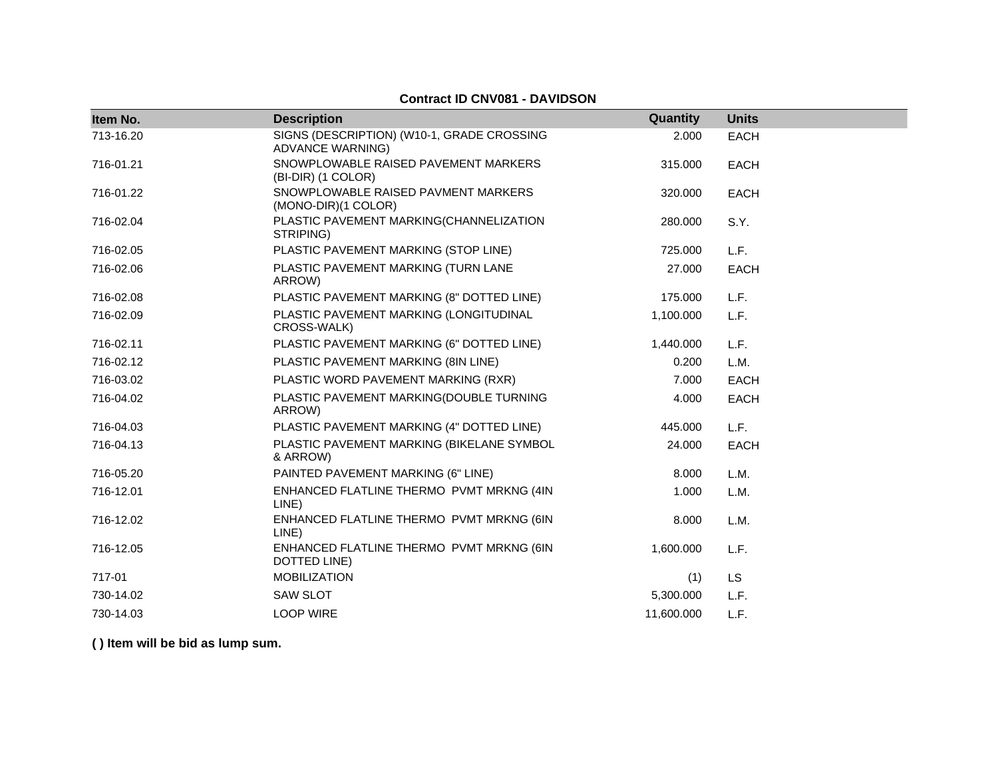### **Contract ID CNV081 - DAVIDSON**

| Item No.  | <b>Description</b>                                                    | Quantity   | <b>Units</b> |
|-----------|-----------------------------------------------------------------------|------------|--------------|
| 713-16.20 | SIGNS (DESCRIPTION) (W10-1, GRADE CROSSING<br><b>ADVANCE WARNING)</b> | 2.000      | <b>EACH</b>  |
| 716-01.21 | SNOWPLOWABLE RAISED PAVEMENT MARKERS<br>(BI-DIR) (1 COLOR)            | 315,000    | <b>EACH</b>  |
| 716-01.22 | SNOWPLOWABLE RAISED PAVMENT MARKERS<br>(MONO-DIR)(1 COLOR)            | 320.000    | <b>EACH</b>  |
| 716-02.04 | PLASTIC PAVEMENT MARKING(CHANNELIZATION<br>STRIPING)                  | 280.000    | S.Y.         |
| 716-02.05 | PLASTIC PAVEMENT MARKING (STOP LINE)                                  | 725.000    | L.F.         |
| 716-02.06 | PLASTIC PAVEMENT MARKING (TURN LANE<br>ARROW)                         | 27,000     | <b>EACH</b>  |
| 716-02.08 | PLASTIC PAVEMENT MARKING (8" DOTTED LINE)                             | 175.000    | L.F.         |
| 716-02.09 | PLASTIC PAVEMENT MARKING (LONGITUDINAL<br>CROSS-WALK)                 | 1,100.000  | L.F.         |
| 716-02.11 | PLASTIC PAVEMENT MARKING (6" DOTTED LINE)                             | 1,440.000  | L.F.         |
| 716-02.12 | PLASTIC PAVEMENT MARKING (8IN LINE)                                   | 0.200      | L.M.         |
| 716-03.02 | PLASTIC WORD PAVEMENT MARKING (RXR)                                   | 7.000      | <b>EACH</b>  |
| 716-04.02 | PLASTIC PAVEMENT MARKING(DOUBLE TURNING<br>ARROW)                     | 4.000      | <b>EACH</b>  |
| 716-04.03 | PLASTIC PAVEMENT MARKING (4" DOTTED LINE)                             | 445.000    | L.F.         |
| 716-04.13 | PLASTIC PAVEMENT MARKING (BIKELANE SYMBOL<br>& ARROW)                 | 24.000     | <b>EACH</b>  |
| 716-05.20 | PAINTED PAVEMENT MARKING (6" LINE)                                    | 8.000      | L.M.         |
| 716-12.01 | ENHANCED FLATLINE THERMO PVMT MRKNG (4IN<br>LINE)                     | 1.000      | L.M.         |
| 716-12.02 | ENHANCED FLATLINE THERMO PVMT MRKNG (6IN<br>LINE)                     | 8.000      | L.M.         |
| 716-12.05 | ENHANCED FLATLINE THERMO PVMT MRKNG (6IN<br>DOTTED LINE)              | 1,600.000  | L.F.         |
| 717-01    | <b>MOBILIZATION</b>                                                   | (1)        | <b>LS</b>    |
| 730-14.02 | <b>SAW SLOT</b>                                                       | 5,300.000  | L.F.         |
| 730-14.03 | <b>LOOP WIRE</b>                                                      | 11,600.000 | L.F.         |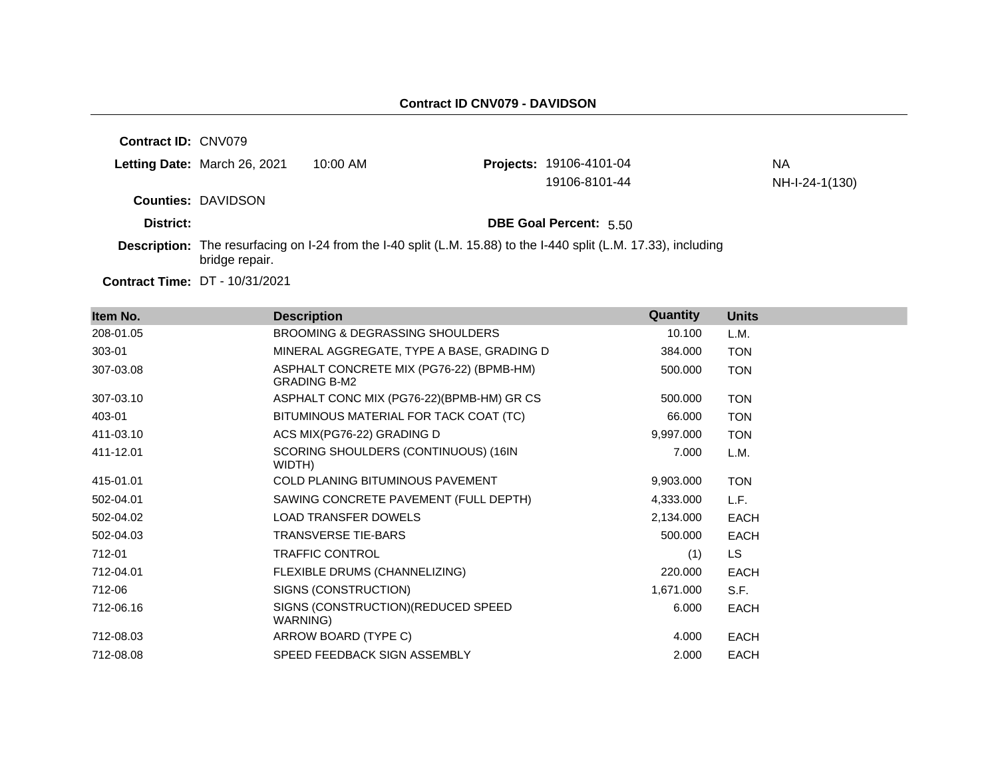| <b>Contract ID: CNV079</b> |                                       |          |                                                                                                                         |                |
|----------------------------|---------------------------------------|----------|-------------------------------------------------------------------------------------------------------------------------|----------------|
|                            | Letting Date: March 26, 2021          | 10:00 AM | Projects: 19106-4101-04                                                                                                 | NА             |
|                            |                                       |          | 19106-8101-44                                                                                                           | NH-I-24-1(130) |
|                            | <b>Counties: DAVIDSON</b>             |          |                                                                                                                         |                |
| District:                  |                                       |          | <b>DBE Goal Percent: 5.50</b>                                                                                           |                |
|                            | bridge repair.                        |          | <b>Description:</b> The resurfacing on I-24 from the I-40 split (L.M. 15.88) to the I-440 split (L.M. 17.33), including |                |
|                            | <b>Contract Time: DT - 10/31/2021</b> |          |                                                                                                                         |                |

| Item No.  | <b>Description</b>                                              | Quantity  | <b>Units</b> |
|-----------|-----------------------------------------------------------------|-----------|--------------|
| 208-01.05 | BROOMING & DEGRASSING SHOULDERS                                 | 10.100    | L.M.         |
| 303-01    | MINERAL AGGREGATE, TYPE A BASE, GRADING D                       | 384.000   | <b>TON</b>   |
| 307-03.08 | ASPHALT CONCRETE MIX (PG76-22) (BPMB-HM)<br><b>GRADING B-M2</b> | 500.000   | <b>TON</b>   |
| 307-03.10 | ASPHALT CONC MIX (PG76-22)(BPMB-HM) GR CS                       | 500.000   | <b>TON</b>   |
| 403-01    | BITUMINOUS MATERIAL FOR TACK COAT (TC)                          | 66.000    | <b>TON</b>   |
| 411-03.10 | ACS MIX(PG76-22) GRADING D                                      | 9,997.000 | <b>TON</b>   |
| 411-12.01 | SCORING SHOULDERS (CONTINUOUS) (16IN<br>WIDTH)                  | 7.000     | L.M.         |
| 415-01.01 | <b>COLD PLANING BITUMINOUS PAVEMENT</b>                         | 9,903.000 | <b>TON</b>   |
| 502-04.01 | SAWING CONCRETE PAVEMENT (FULL DEPTH)                           | 4,333.000 | L.F.         |
| 502-04.02 | <b>LOAD TRANSFER DOWELS</b>                                     | 2,134.000 | <b>EACH</b>  |
| 502-04.03 | <b>TRANSVERSE TIE-BARS</b>                                      | 500.000   | <b>EACH</b>  |
| 712-01    | <b>TRAFFIC CONTROL</b>                                          | (1)       | LS.          |
| 712-04.01 | FLEXIBLE DRUMS (CHANNELIZING)                                   | 220.000   | <b>EACH</b>  |
| 712-06    | SIGNS (CONSTRUCTION)                                            | 1,671.000 | S.F.         |
| 712-06.16 | SIGNS (CONSTRUCTION) (REDUCED SPEED<br>WARNING)                 | 6.000     | <b>EACH</b>  |
| 712-08.03 | ARROW BOARD (TYPE C)                                            | 4.000     | <b>EACH</b>  |
| 712-08.08 | SPEED FEEDBACK SIGN ASSEMBLY                                    | 2.000     | <b>EACH</b>  |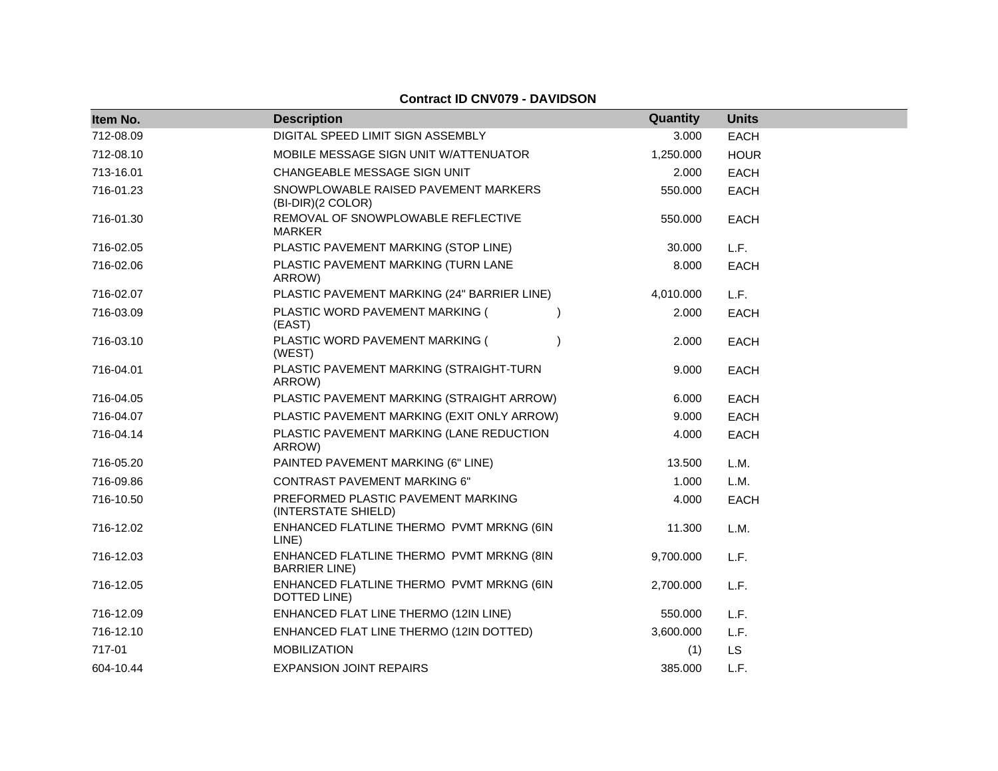#### **Contract ID CNV079 - DAVIDSON**

| Item No.  | <b>Description</b>                                               | Quantity  | <b>Units</b> |
|-----------|------------------------------------------------------------------|-----------|--------------|
| 712-08.09 | DIGITAL SPEED LIMIT SIGN ASSEMBLY                                | 3.000     | <b>EACH</b>  |
| 712-08.10 | MOBILE MESSAGE SIGN UNIT W/ATTENUATOR                            | 1,250.000 | <b>HOUR</b>  |
| 713-16.01 | CHANGEABLE MESSAGE SIGN UNIT                                     | 2.000     | <b>EACH</b>  |
| 716-01.23 | SNOWPLOWABLE RAISED PAVEMENT MARKERS<br>(BI-DIR)(2 COLOR)        | 550.000   | <b>EACH</b>  |
| 716-01.30 | REMOVAL OF SNOWPLOWABLE REFLECTIVE<br><b>MARKER</b>              | 550.000   | <b>EACH</b>  |
| 716-02.05 | PLASTIC PAVEMENT MARKING (STOP LINE)                             | 30.000    | L.F.         |
| 716-02.06 | PLASTIC PAVEMENT MARKING (TURN LANE<br>ARROW)                    | 8.000     | <b>EACH</b>  |
| 716-02.07 | PLASTIC PAVEMENT MARKING (24" BARRIER LINE)                      | 4,010.000 | L.F.         |
| 716-03.09 | PLASTIC WORD PAVEMENT MARKING (<br>(EAST)                        | 2.000     | <b>EACH</b>  |
| 716-03.10 | PLASTIC WORD PAVEMENT MARKING (<br>(WEST)                        | 2.000     | <b>EACH</b>  |
| 716-04.01 | PLASTIC PAVEMENT MARKING (STRAIGHT-TURN<br>ARROW)                | 9.000     | <b>EACH</b>  |
| 716-04.05 | PLASTIC PAVEMENT MARKING (STRAIGHT ARROW)                        | 6.000     | <b>EACH</b>  |
| 716-04.07 | PLASTIC PAVEMENT MARKING (EXIT ONLY ARROW)                       | 9.000     | <b>EACH</b>  |
| 716-04.14 | PLASTIC PAVEMENT MARKING (LANE REDUCTION<br>ARROW)               | 4.000     | <b>EACH</b>  |
| 716-05.20 | PAINTED PAVEMENT MARKING (6" LINE)                               | 13.500    | L.M.         |
| 716-09.86 | <b>CONTRAST PAVEMENT MARKING 6"</b>                              | 1.000     | L.M.         |
| 716-10.50 | PREFORMED PLASTIC PAVEMENT MARKING<br>(INTERSTATE SHIELD)        | 4.000     | <b>EACH</b>  |
| 716-12.02 | ENHANCED FLATLINE THERMO PVMT MRKNG (6IN<br>LINE)                | 11.300    | L.M.         |
| 716-12.03 | ENHANCED FLATLINE THERMO PVMT MRKNG (8IN<br><b>BARRIER LINE)</b> | 9,700.000 | L.F.         |
| 716-12.05 | ENHANCED FLATLINE THERMO PVMT MRKNG (6IN<br>DOTTED LINE)         | 2,700.000 | L.F.         |
| 716-12.09 | ENHANCED FLAT LINE THERMO (12IN LINE)                            | 550.000   | L.F.         |
| 716-12.10 | ENHANCED FLAT LINE THERMO (12IN DOTTED)                          | 3,600.000 | L.F.         |
| 717-01    | <b>MOBILIZATION</b>                                              | (1)       | LS           |
| 604-10.44 | <b>EXPANSION JOINT REPAIRS</b>                                   | 385.000   | L.F.         |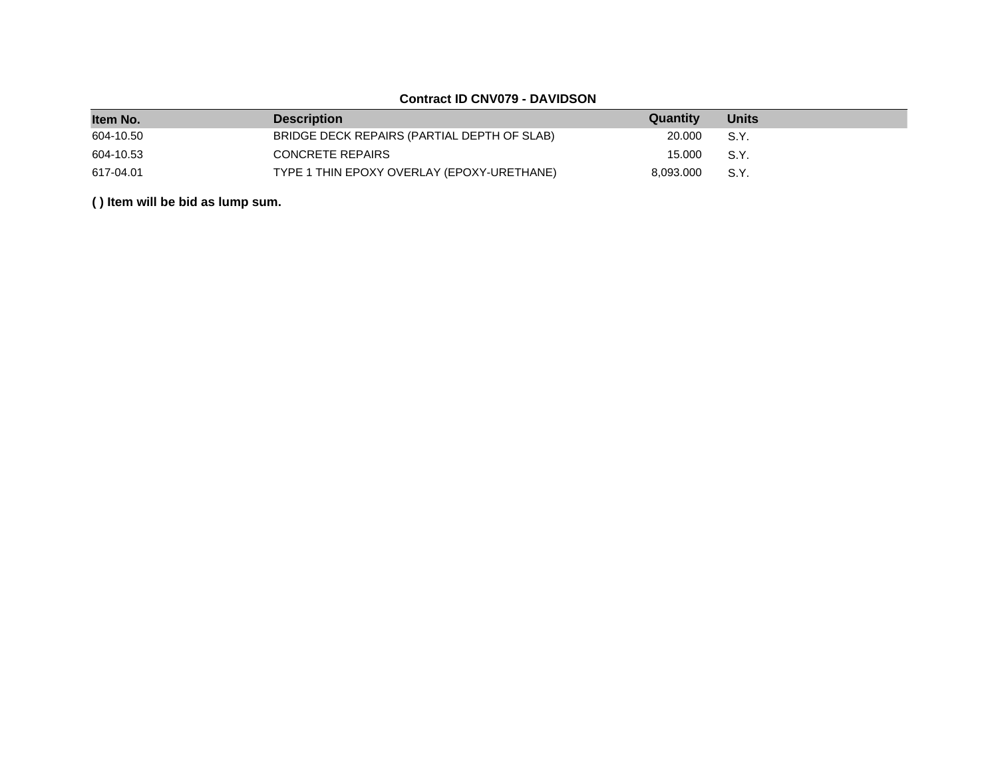## **Contract ID CNV079 - DAVIDSON**

| Item No.  | <b>Description</b>                          | Quantity  | <b>Units</b> |
|-----------|---------------------------------------------|-----------|--------------|
| 604-10.50 | BRIDGE DECK REPAIRS (PARTIAL DEPTH OF SLAB) | 20,000    | S.Y.         |
| 604-10.53 | CONCRETE REPAIRS                            | 15.000    | S.Y.         |
| 617-04.01 | TYPE 1 THIN EPOXY OVERLAY (EPOXY-URETHANE)  | 8,093.000 | S.Y.         |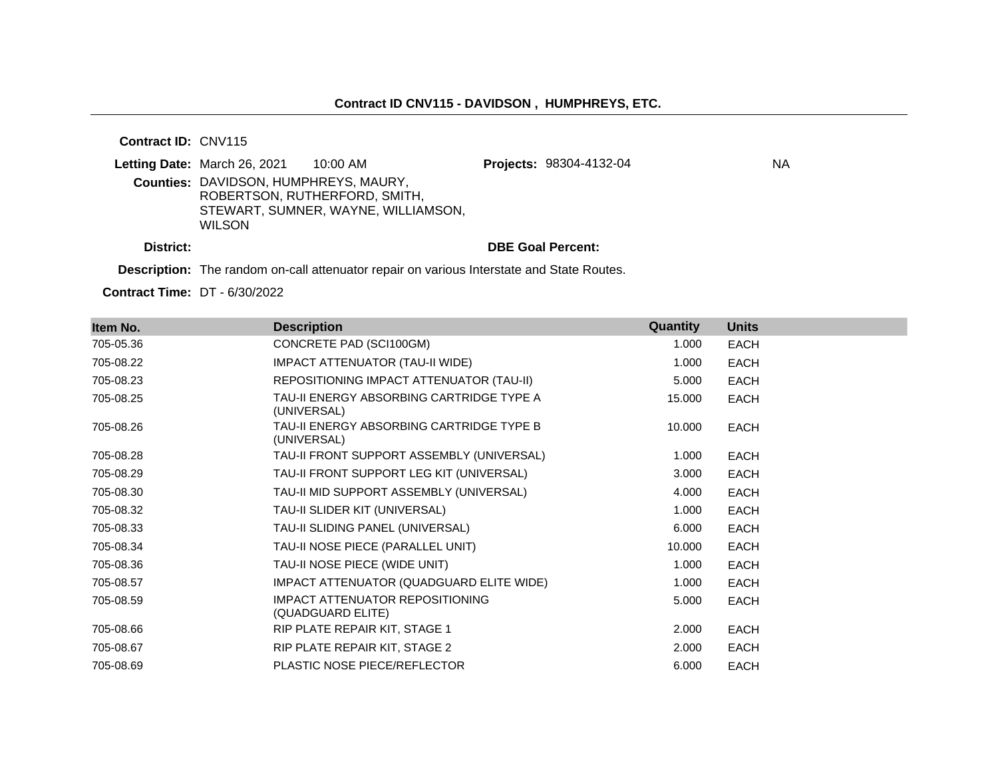**Contract ID:** CNV115

|           | Letting Date: March 26, 2021                 | 10:00 AM                            | <b>Projects: 98304-4132-04</b> | ΝA |
|-----------|----------------------------------------------|-------------------------------------|--------------------------------|----|
|           | <b>Counties: DAVIDSON, HUMPHREYS, MAURY,</b> |                                     |                                |    |
|           |                                              | ROBERTSON, RUTHERFORD, SMITH.       |                                |    |
|           |                                              | STEWART, SUMNER, WAYNE, WILLIAMSON, |                                |    |
|           | <b>WILSON</b>                                |                                     |                                |    |
| District: |                                              |                                     | <b>DBE Goal Percent:</b>       |    |

**Description:** The random on-call attenuator repair on various Interstate and State Routes.

**Contract Time:** DT - 6/30/2022

| Item No.  | <b>Description</b>                                          | Quantity | <b>Units</b> |
|-----------|-------------------------------------------------------------|----------|--------------|
| 705-05.36 | CONCRETE PAD (SCI100GM)                                     | 1.000    | <b>EACH</b>  |
| 705-08.22 | <b>IMPACT ATTENUATOR (TAU-II WIDE)</b>                      | 1.000    | EACH         |
| 705-08.23 | REPOSITIONING IMPACT ATTENUATOR (TAU-II)                    | 5.000    | <b>EACH</b>  |
| 705-08.25 | TAU-II ENERGY ABSORBING CARTRIDGE TYPE A<br>(UNIVERSAL)     | 15.000   | <b>EACH</b>  |
| 705-08.26 | TAU-II ENERGY ABSORBING CARTRIDGE TYPE B<br>(UNIVERSAL)     | 10.000   | <b>EACH</b>  |
| 705-08.28 | TAU-II FRONT SUPPORT ASSEMBLY (UNIVERSAL)                   | 1.000    | EACH         |
| 705-08.29 | TAU-II FRONT SUPPORT LEG KIT (UNIVERSAL)                    | 3.000    | EACH         |
| 705-08.30 | TAU-II MID SUPPORT ASSEMBLY (UNIVERSAL)                     | 4.000    | EACH         |
| 705-08.32 | TAU-II SLIDER KIT (UNIVERSAL)                               | 1.000    | <b>EACH</b>  |
| 705-08.33 | TAU-II SLIDING PANEL (UNIVERSAL)                            | 6.000    | EACH         |
| 705-08.34 | TAU-II NOSE PIECE (PARALLEL UNIT)                           | 10.000   | <b>EACH</b>  |
| 705-08.36 | TAU-II NOSE PIECE (WIDE UNIT)                               | 1.000    | <b>EACH</b>  |
| 705-08.57 | IMPACT ATTENUATOR (QUADGUARD ELITE WIDE)                    | 1.000    | <b>EACH</b>  |
| 705-08.59 | <b>IMPACT ATTENUATOR REPOSITIONING</b><br>(QUADGUARD ELITE) | 5.000    | EACH         |
| 705-08.66 | RIP PLATE REPAIR KIT, STAGE 1                               | 2.000    | <b>EACH</b>  |
| 705-08.67 | RIP PLATE REPAIR KIT, STAGE 2                               | 2.000    | <b>EACH</b>  |
| 705-08.69 | <b>PLASTIC NOSE PIECE/REFLECTOR</b>                         | 6.000    | <b>EACH</b>  |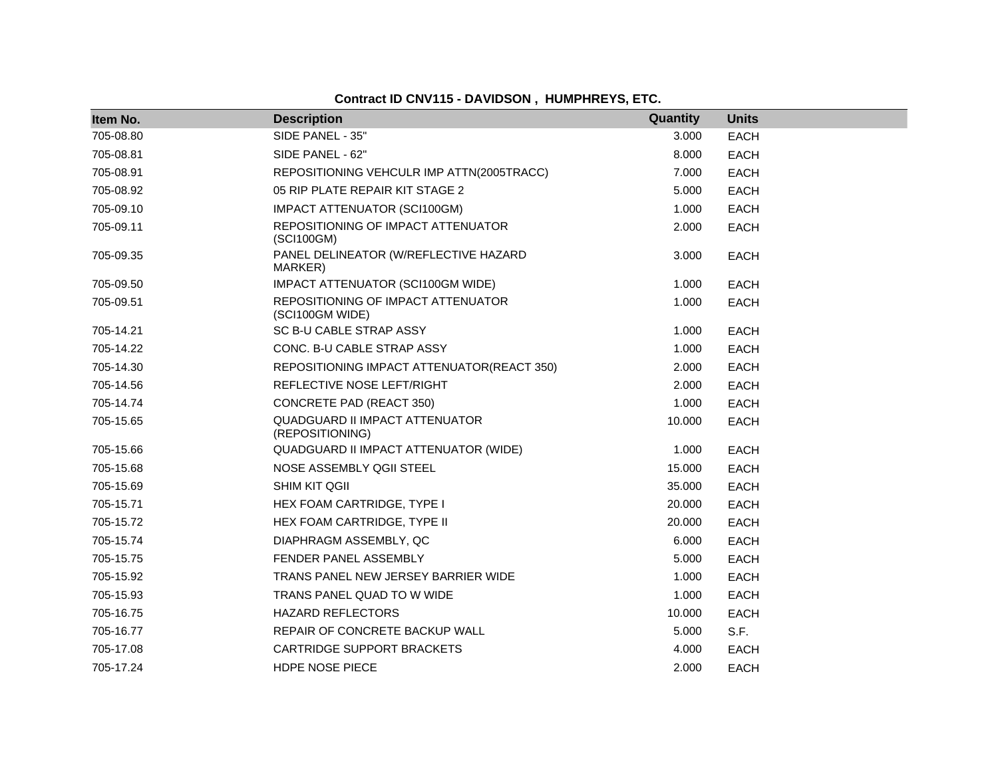**Contract ID CNV115 - DAVIDSON , HUMPHREYS, ETC.**

| Item No.  | <b>Description</b>                                       | Quantity | <b>Units</b> |
|-----------|----------------------------------------------------------|----------|--------------|
| 705-08.80 | SIDE PANEL - 35"                                         | 3.000    | <b>EACH</b>  |
| 705-08.81 | SIDE PANEL - 62"                                         | 8.000    | <b>EACH</b>  |
| 705-08.91 | REPOSITIONING VEHCULR IMP ATTN(2005TRACC)                | 7.000    | EACH         |
| 705-08.92 | 05 RIP PLATE REPAIR KIT STAGE 2                          | 5.000    | <b>EACH</b>  |
| 705-09.10 | IMPACT ATTENUATOR (SCI100GM)                             | 1.000    | <b>EACH</b>  |
| 705-09.11 | REPOSITIONING OF IMPACT ATTENUATOR<br>(SCI100GM)         | 2.000    | <b>EACH</b>  |
| 705-09.35 | PANEL DELINEATOR (W/REFLECTIVE HAZARD<br>MARKER)         | 3.000    | <b>EACH</b>  |
| 705-09.50 | IMPACT ATTENUATOR (SCI100GM WIDE)                        | 1.000    | <b>EACH</b>  |
| 705-09.51 | REPOSITIONING OF IMPACT ATTENUATOR<br>(SCI100GM WIDE)    | 1.000    | <b>EACH</b>  |
| 705-14.21 | SC B-U CABLE STRAP ASSY                                  | 1.000    | <b>EACH</b>  |
| 705-14.22 | CONC. B-U CABLE STRAP ASSY                               | 1.000    | <b>EACH</b>  |
| 705-14.30 | REPOSITIONING IMPACT ATTENUATOR(REACT 350)               | 2.000    | <b>EACH</b>  |
| 705-14.56 | REFLECTIVE NOSE LEFT/RIGHT                               | 2.000    | EACH         |
| 705-14.74 | <b>CONCRETE PAD (REACT 350)</b>                          | 1.000    | <b>EACH</b>  |
| 705-15.65 | <b>QUADGUARD II IMPACT ATTENUATOR</b><br>(REPOSITIONING) | 10.000   | <b>EACH</b>  |
| 705-15.66 | QUADGUARD II IMPACT ATTENUATOR (WIDE)                    | 1.000    | <b>EACH</b>  |
| 705-15.68 | NOSE ASSEMBLY QGII STEEL                                 | 15.000   | EACH         |
| 705-15.69 | <b>SHIM KIT QGII</b>                                     | 35.000   | <b>EACH</b>  |
| 705-15.71 | HEX FOAM CARTRIDGE, TYPE I                               | 20,000   | <b>EACH</b>  |
| 705-15.72 | HEX FOAM CARTRIDGE, TYPE II                              | 20,000   | <b>EACH</b>  |
| 705-15.74 | DIAPHRAGM ASSEMBLY, QC                                   | 6.000    | <b>EACH</b>  |
| 705-15.75 | FENDER PANEL ASSEMBLY                                    | 5.000    | <b>EACH</b>  |
| 705-15.92 | TRANS PANEL NEW JERSEY BARRIER WIDE                      | 1.000    | <b>EACH</b>  |
| 705-15.93 | TRANS PANEL QUAD TO W WIDE                               | 1.000    | <b>EACH</b>  |
| 705-16.75 | <b>HAZARD REFLECTORS</b>                                 | 10.000   | EACH         |
| 705-16.77 | REPAIR OF CONCRETE BACKUP WALL                           | 5.000    | S.F.         |
| 705-17.08 | CARTRIDGE SUPPORT BRACKETS                               | 4.000    | <b>EACH</b>  |
| 705-17.24 | HDPE NOSE PIECE                                          | 2.000    | <b>EACH</b>  |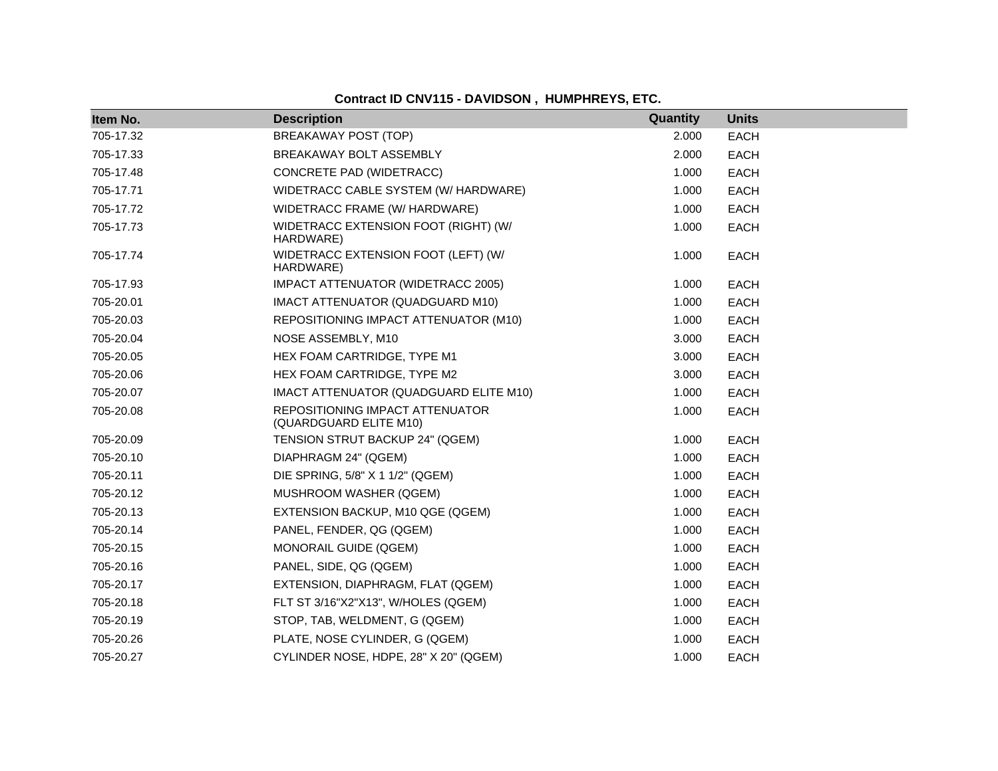| Item No.  | <b>Description</b>                                        | Quantity | <b>Units</b> |
|-----------|-----------------------------------------------------------|----------|--------------|
| 705-17.32 | <b>BREAKAWAY POST (TOP)</b>                               | 2.000    | <b>EACH</b>  |
| 705-17.33 | BREAKAWAY BOLT ASSEMBLY                                   | 2.000    | <b>EACH</b>  |
| 705-17.48 | CONCRETE PAD (WIDETRACC)                                  | 1.000    | <b>EACH</b>  |
| 705-17.71 | WIDETRACC CABLE SYSTEM (W/ HARDWARE)                      | 1.000    | <b>EACH</b>  |
| 705-17.72 | WIDETRACC FRAME (W/ HARDWARE)                             | 1.000    | <b>EACH</b>  |
| 705-17.73 | WIDETRACC EXTENSION FOOT (RIGHT) (W/<br>HARDWARE)         | 1.000    | <b>EACH</b>  |
| 705-17.74 | WIDETRACC EXTENSION FOOT (LEFT) (W/<br>HARDWARE)          | 1.000    | <b>EACH</b>  |
| 705-17.93 | IMPACT ATTENUATOR (WIDETRACC 2005)                        | 1.000    | <b>EACH</b>  |
| 705-20.01 | IMACT ATTENUATOR (QUADGUARD M10)                          | 1.000    | <b>EACH</b>  |
| 705-20.03 | REPOSITIONING IMPACT ATTENUATOR (M10)                     | 1.000    | <b>EACH</b>  |
| 705-20.04 | NOSE ASSEMBLY, M10                                        | 3.000    | <b>EACH</b>  |
| 705-20.05 | HEX FOAM CARTRIDGE, TYPE M1                               | 3.000    | <b>EACH</b>  |
| 705-20.06 | HEX FOAM CARTRIDGE, TYPE M2                               | 3.000    | <b>EACH</b>  |
| 705-20.07 | IMACT ATTENUATOR (QUADGUARD ELITE M10)                    | 1.000    | <b>EACH</b>  |
| 705-20.08 | REPOSITIONING IMPACT ATTENUATOR<br>(QUARDGUARD ELITE M10) | 1.000    | <b>EACH</b>  |
| 705-20.09 | TENSION STRUT BACKUP 24" (QGEM)                           | 1.000    | <b>EACH</b>  |
| 705-20.10 | DIAPHRAGM 24" (QGEM)                                      | 1.000    | <b>EACH</b>  |
| 705-20.11 | DIE SPRING, 5/8" X 1 1/2" (QGEM)                          | 1.000    | <b>EACH</b>  |
| 705-20.12 | MUSHROOM WASHER (QGEM)                                    | 1.000    | <b>EACH</b>  |
| 705-20.13 | EXTENSION BACKUP, M10 QGE (QGEM)                          | 1.000    | <b>EACH</b>  |
| 705-20.14 | PANEL, FENDER, QG (QGEM)                                  | 1.000    | <b>EACH</b>  |
| 705-20.15 | MONORAIL GUIDE (QGEM)                                     | 1.000    | <b>EACH</b>  |
| 705-20.16 | PANEL, SIDE, QG (QGEM)                                    | 1.000    | <b>EACH</b>  |
| 705-20.17 | EXTENSION, DIAPHRAGM, FLAT (QGEM)                         | 1.000    | <b>EACH</b>  |
| 705-20.18 | FLT ST 3/16"X2"X13", W/HOLES (QGEM)                       | 1.000    | <b>EACH</b>  |
| 705-20.19 | STOP, TAB, WELDMENT, G (QGEM)                             | 1.000    | <b>EACH</b>  |
| 705-20.26 | PLATE, NOSE CYLINDER, G (QGEM)                            | 1.000    | <b>EACH</b>  |
| 705-20.27 | CYLINDER NOSE, HDPE, 28" X 20" (QGEM)                     | 1.000    | <b>EACH</b>  |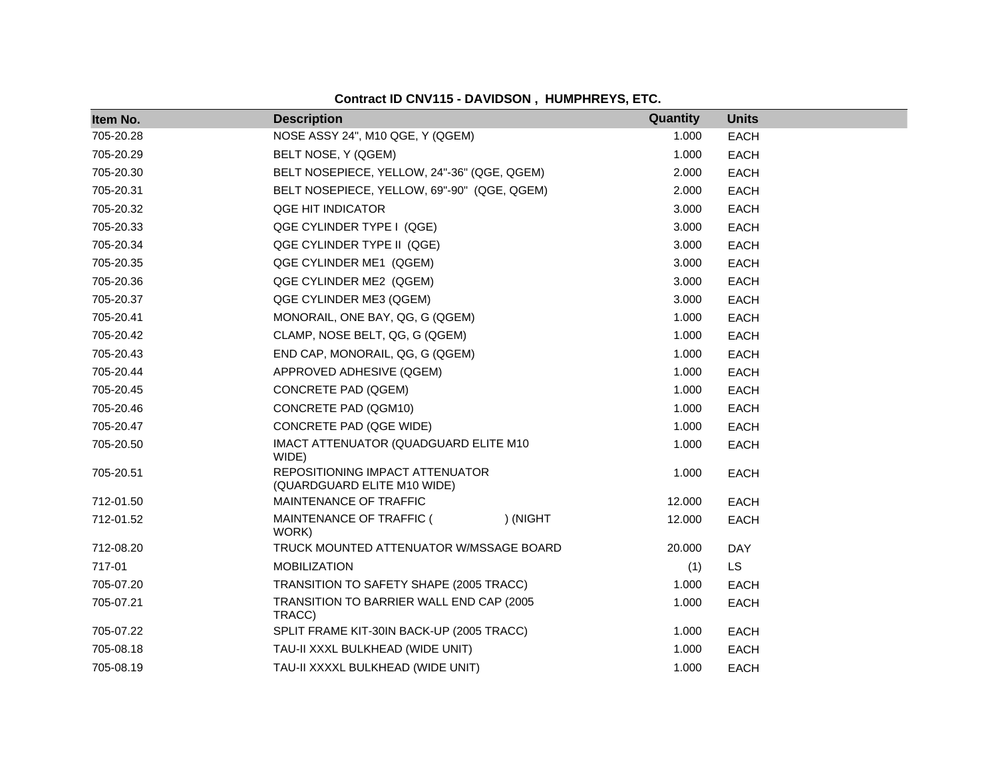**Contract ID CNV115 - DAVIDSON , HUMPHREYS, ETC.**

| Item No.  | <b>Description</b>                                             |          | Quantity | <b>Units</b> |
|-----------|----------------------------------------------------------------|----------|----------|--------------|
| 705-20.28 | NOSE ASSY 24", M10 QGE, Y (QGEM)                               |          | 1.000    | <b>EACH</b>  |
| 705-20.29 | BELT NOSE, Y (QGEM)                                            |          | 1.000    | <b>EACH</b>  |
| 705-20.30 | BELT NOSEPIECE, YELLOW, 24"-36" (QGE, QGEM)                    |          | 2.000    | <b>EACH</b>  |
| 705-20.31 | BELT NOSEPIECE, YELLOW, 69"-90" (QGE, QGEM)                    |          | 2.000    | <b>EACH</b>  |
| 705-20.32 | QGE HIT INDICATOR                                              |          | 3.000    | <b>EACH</b>  |
| 705-20.33 | QGE CYLINDER TYPE I (QGE)                                      |          | 3.000    | <b>EACH</b>  |
| 705-20.34 | QGE CYLINDER TYPE II (QGE)                                     |          | 3.000    | <b>EACH</b>  |
| 705-20.35 | QGE CYLINDER ME1 (QGEM)                                        |          | 3.000    | <b>EACH</b>  |
| 705-20.36 | QGE CYLINDER ME2 (QGEM)                                        |          | 3.000    | <b>EACH</b>  |
| 705-20.37 | QGE CYLINDER ME3 (QGEM)                                        |          | 3.000    | <b>EACH</b>  |
| 705-20.41 | MONORAIL, ONE BAY, QG, G (QGEM)                                |          | 1.000    | <b>EACH</b>  |
| 705-20.42 | CLAMP, NOSE BELT, QG, G (QGEM)                                 |          | 1.000    | <b>EACH</b>  |
| 705-20.43 | END CAP, MONORAIL, QG, G (QGEM)                                |          | 1.000    | <b>EACH</b>  |
| 705-20.44 | APPROVED ADHESIVE (QGEM)                                       |          | 1.000    | <b>EACH</b>  |
| 705-20.45 | <b>CONCRETE PAD (QGEM)</b>                                     |          | 1.000    | <b>EACH</b>  |
| 705-20.46 | CONCRETE PAD (QGM10)                                           |          | 1.000    | <b>EACH</b>  |
| 705-20.47 | CONCRETE PAD (QGE WIDE)                                        |          | 1.000    | <b>EACH</b>  |
| 705-20.50 | IMACT ATTENUATOR (QUADGUARD ELITE M10<br>WIDE)                 |          | 1.000    | <b>EACH</b>  |
| 705-20.51 | REPOSITIONING IMPACT ATTENUATOR<br>(QUARDGUARD ELITE M10 WIDE) |          | 1.000    | <b>EACH</b>  |
| 712-01.50 | MAINTENANCE OF TRAFFIC                                         |          | 12.000   | <b>EACH</b>  |
| 712-01.52 | MAINTENANCE OF TRAFFIC (<br>WORK)                              | ) (NIGHT | 12.000   | <b>EACH</b>  |
| 712-08.20 | TRUCK MOUNTED ATTENUATOR W/MSSAGE BOARD                        |          | 20.000   | DAY          |
| 717-01    | <b>MOBILIZATION</b>                                            |          | (1)      | <b>LS</b>    |
| 705-07.20 | TRANSITION TO SAFETY SHAPE (2005 TRACC)                        |          | 1.000    | <b>EACH</b>  |
| 705-07.21 | TRANSITION TO BARRIER WALL END CAP (2005<br>TRACC)             |          | 1.000    | <b>EACH</b>  |
| 705-07.22 | SPLIT FRAME KIT-30IN BACK-UP (2005 TRACC)                      |          | 1.000    | <b>EACH</b>  |
| 705-08.18 | TAU-II XXXL BULKHEAD (WIDE UNIT)                               |          | 1.000    | <b>EACH</b>  |
| 705-08.19 | TAU-II XXXXL BULKHEAD (WIDE UNIT)                              |          | 1.000    | <b>EACH</b>  |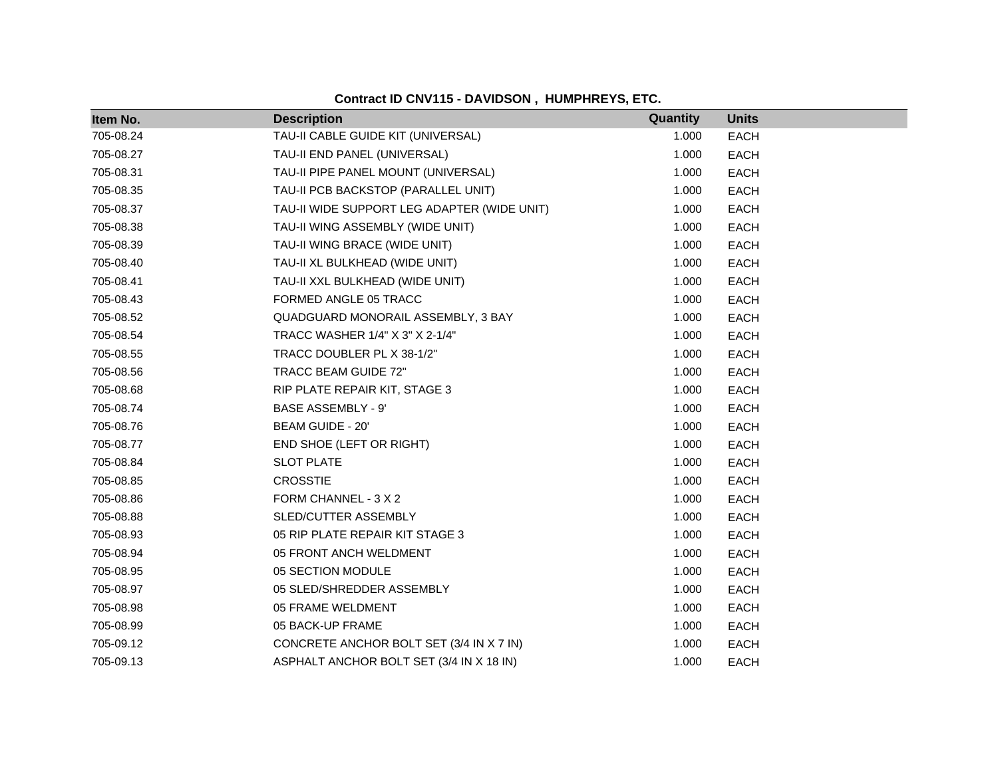| Item No.  | <b>Description</b>                          | Quantity | <b>Units</b> |
|-----------|---------------------------------------------|----------|--------------|
| 705-08.24 | TAU-II CABLE GUIDE KIT (UNIVERSAL)          | 1.000    | <b>EACH</b>  |
| 705-08.27 | TAU-II END PANEL (UNIVERSAL)                | 1.000    | <b>EACH</b>  |
| 705-08.31 | TAU-II PIPE PANEL MOUNT (UNIVERSAL)         | 1.000    | <b>EACH</b>  |
| 705-08.35 | TAU-II PCB BACKSTOP (PARALLEL UNIT)         | 1.000    | <b>EACH</b>  |
| 705-08.37 | TAU-II WIDE SUPPORT LEG ADAPTER (WIDE UNIT) | 1.000    | <b>EACH</b>  |
| 705-08.38 | TAU-II WING ASSEMBLY (WIDE UNIT)            | 1.000    | <b>EACH</b>  |
| 705-08.39 | TAU-II WING BRACE (WIDE UNIT)               | 1.000    | <b>EACH</b>  |
| 705-08.40 | TAU-II XL BULKHEAD (WIDE UNIT)              | 1.000    | <b>EACH</b>  |
| 705-08.41 | TAU-II XXL BULKHEAD (WIDE UNIT)             | 1.000    | <b>EACH</b>  |
| 705-08.43 | FORMED ANGLE 05 TRACC                       | 1.000    | <b>EACH</b>  |
| 705-08.52 | QUADGUARD MONORAIL ASSEMBLY, 3 BAY          | 1.000    | <b>EACH</b>  |
| 705-08.54 | TRACC WASHER 1/4" X 3" X 2-1/4"             | 1.000    | <b>EACH</b>  |
| 705-08.55 | TRACC DOUBLER PL X 38-1/2"                  | 1.000    | <b>EACH</b>  |
| 705-08.56 | TRACC BEAM GUIDE 72"                        | 1.000    | <b>EACH</b>  |
| 705-08.68 | RIP PLATE REPAIR KIT, STAGE 3               | 1.000    | <b>EACH</b>  |
| 705-08.74 | <b>BASE ASSEMBLY - 9'</b>                   | 1.000    | <b>EACH</b>  |
| 705-08.76 | BEAM GUIDE - 20'                            | 1.000    | <b>EACH</b>  |
| 705-08.77 | END SHOE (LEFT OR RIGHT)                    | 1.000    | <b>EACH</b>  |
| 705-08.84 | <b>SLOT PLATE</b>                           | 1.000    | <b>EACH</b>  |
| 705-08.85 | <b>CROSSTIE</b>                             | 1.000    | <b>EACH</b>  |
| 705-08.86 | FORM CHANNEL - 3 X 2                        | 1.000    | <b>EACH</b>  |
| 705-08.88 | SLED/CUTTER ASSEMBLY                        | 1.000    | <b>EACH</b>  |
| 705-08.93 | 05 RIP PLATE REPAIR KIT STAGE 3             | 1.000    | <b>EACH</b>  |
| 705-08.94 | 05 FRONT ANCH WELDMENT                      | 1.000    | <b>EACH</b>  |
| 705-08.95 | 05 SECTION MODULE                           | 1.000    | <b>EACH</b>  |
| 705-08.97 | 05 SLED/SHREDDER ASSEMBLY                   | 1.000    | <b>EACH</b>  |
| 705-08.98 | 05 FRAME WELDMENT                           | 1.000    | <b>EACH</b>  |
| 705-08.99 | 05 BACK-UP FRAME                            | 1.000    | <b>EACH</b>  |
| 705-09.12 | CONCRETE ANCHOR BOLT SET (3/4 IN X 7 IN)    | 1.000    | <b>EACH</b>  |
| 705-09.13 | ASPHALT ANCHOR BOLT SET (3/4 IN X 18 IN)    | 1.000    | <b>EACH</b>  |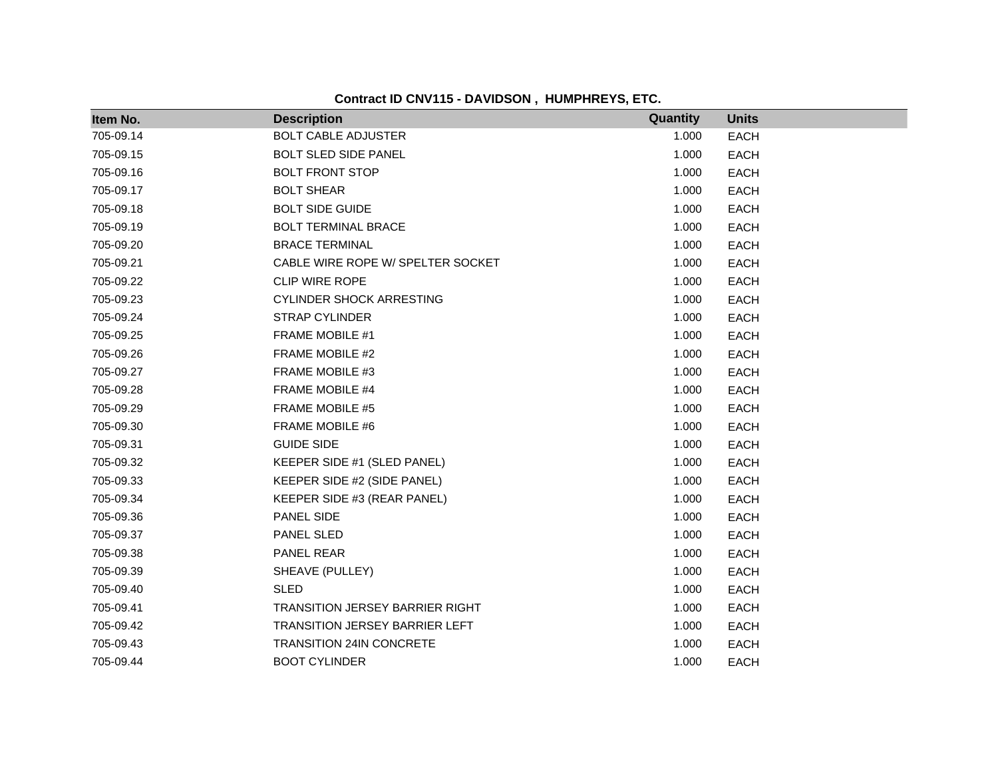**Contract ID CNV115 - DAVIDSON , HUMPHREYS, ETC.**

| Item No.  | <b>Description</b>                    | Quantity | <b>Units</b> |
|-----------|---------------------------------------|----------|--------------|
| 705-09.14 | <b>BOLT CABLE ADJUSTER</b>            | 1.000    | <b>EACH</b>  |
| 705-09.15 | <b>BOLT SLED SIDE PANEL</b>           | 1.000    | <b>EACH</b>  |
| 705-09.16 | <b>BOLT FRONT STOP</b>                | 1.000    | <b>EACH</b>  |
| 705-09.17 | <b>BOLT SHEAR</b>                     | 1.000    | <b>EACH</b>  |
| 705-09.18 | <b>BOLT SIDE GUIDE</b>                | 1.000    | <b>EACH</b>  |
| 705-09.19 | BOLT TERMINAL BRACE                   | 1.000    | <b>EACH</b>  |
| 705-09.20 | <b>BRACE TERMINAL</b>                 | 1.000    | <b>EACH</b>  |
| 705-09.21 | CABLE WIRE ROPE W/ SPELTER SOCKET     | 1.000    | <b>EACH</b>  |
| 705-09.22 | CLIP WIRE ROPE                        | 1.000    | <b>EACH</b>  |
| 705-09.23 | <b>CYLINDER SHOCK ARRESTING</b>       | 1.000    | <b>EACH</b>  |
| 705-09.24 | <b>STRAP CYLINDER</b>                 | 1.000    | <b>EACH</b>  |
| 705-09.25 | FRAME MOBILE #1                       | 1.000    | <b>EACH</b>  |
| 705-09.26 | FRAME MOBILE #2                       | 1.000    | <b>EACH</b>  |
| 705-09.27 | FRAME MOBILE #3                       | 1.000    | <b>EACH</b>  |
| 705-09.28 | FRAME MOBILE #4                       | 1.000    | <b>EACH</b>  |
| 705-09.29 | FRAME MOBILE #5                       | 1.000    | <b>EACH</b>  |
| 705-09.30 | FRAME MOBILE #6                       | 1.000    | <b>EACH</b>  |
| 705-09.31 | <b>GUIDE SIDE</b>                     | 1.000    | <b>EACH</b>  |
| 705-09.32 | KEEPER SIDE #1 (SLED PANEL)           | 1.000    | <b>EACH</b>  |
| 705-09.33 | KEEPER SIDE #2 (SIDE PANEL)           | 1.000    | <b>EACH</b>  |
| 705-09.34 | KEEPER SIDE #3 (REAR PANEL)           | 1.000    | <b>EACH</b>  |
| 705-09.36 | PANEL SIDE                            | 1.000    | <b>EACH</b>  |
| 705-09.37 | PANEL SLED                            | 1.000    | <b>EACH</b>  |
| 705-09.38 | PANEL REAR                            | 1.000    | <b>EACH</b>  |
| 705-09.39 | SHEAVE (PULLEY)                       | 1.000    | <b>EACH</b>  |
| 705-09.40 | <b>SLED</b>                           | 1.000    | <b>EACH</b>  |
| 705-09.41 | TRANSITION JERSEY BARRIER RIGHT       | 1.000    | <b>EACH</b>  |
| 705-09.42 | <b>TRANSITION JERSEY BARRIER LEFT</b> | 1.000    | <b>EACH</b>  |
| 705-09.43 | <b>TRANSITION 24IN CONCRETE</b>       | 1.000    | <b>EACH</b>  |
| 705-09.44 | <b>BOOT CYLINDER</b>                  | 1.000    | <b>EACH</b>  |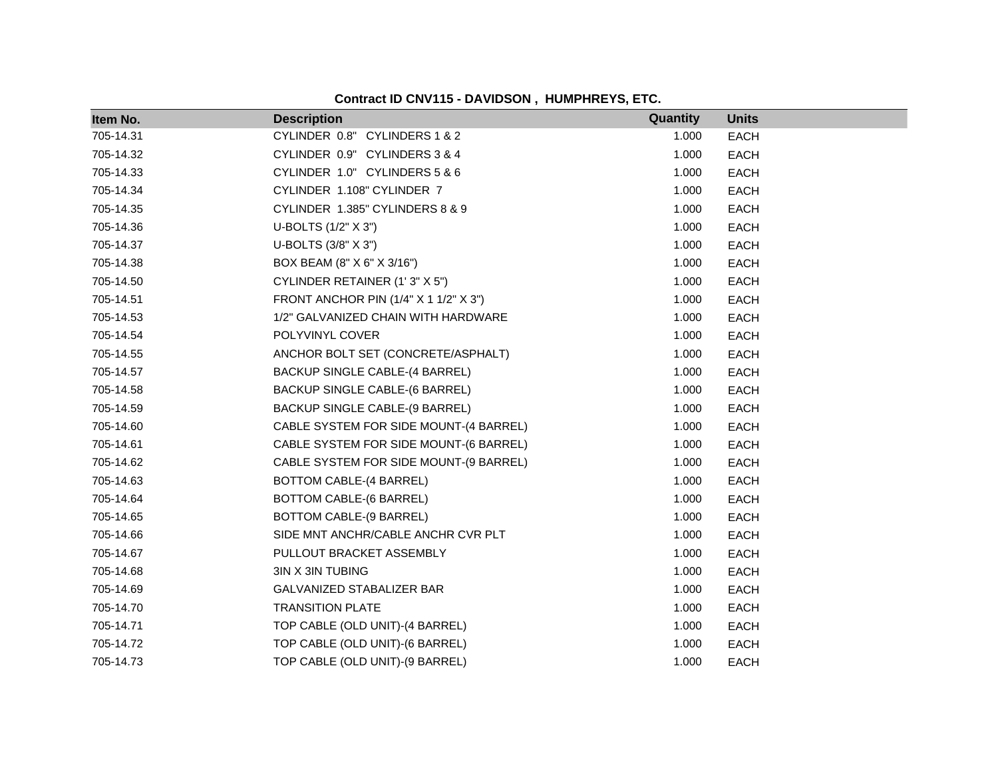| Item No.  | <b>Description</b>                     | Quantity | <b>Units</b> |
|-----------|----------------------------------------|----------|--------------|
| 705-14.31 | CYLINDER 0.8" CYLINDERS 1 & 2          | 1.000    | <b>EACH</b>  |
| 705-14.32 | CYLINDER 0.9" CYLINDERS 3 & 4          | 1.000    | <b>EACH</b>  |
| 705-14.33 | CYLINDER 1.0" CYLINDERS 5 & 6          | 1.000    | <b>EACH</b>  |
| 705-14.34 | CYLINDER 1.108" CYLINDER 7             | 1.000    | <b>EACH</b>  |
| 705-14.35 | CYLINDER 1.385" CYLINDERS 8 & 9        | 1.000    | EACH         |
| 705-14.36 | U-BOLTS (1/2" X 3")                    | 1.000    | <b>EACH</b>  |
| 705-14.37 | U-BOLTS (3/8" X 3")                    | 1.000    | <b>EACH</b>  |
| 705-14.38 | BOX BEAM (8" X 6" X 3/16")             | 1.000    | EACH         |
| 705-14.50 | CYLINDER RETAINER (1'3" X 5")          | 1.000    | <b>EACH</b>  |
| 705-14.51 | FRONT ANCHOR PIN (1/4" X 1 1/2" X 3")  | 1.000    | EACH         |
| 705-14.53 | 1/2" GALVANIZED CHAIN WITH HARDWARE    | 1.000    | <b>EACH</b>  |
| 705-14.54 | POLYVINYL COVER                        | 1.000    | <b>EACH</b>  |
| 705-14.55 | ANCHOR BOLT SET (CONCRETE/ASPHALT)     | 1.000    | EACH         |
| 705-14.57 | <b>BACKUP SINGLE CABLE-(4 BARREL)</b>  | 1.000    | <b>EACH</b>  |
| 705-14.58 | BACKUP SINGLE CABLE-(6 BARREL)         | 1.000    | EACH         |
| 705-14.59 | BACKUP SINGLE CABLE-(9 BARREL)         | 1.000    | <b>EACH</b>  |
| 705-14.60 | CABLE SYSTEM FOR SIDE MOUNT-(4 BARREL) | 1.000    | <b>EACH</b>  |
| 705-14.61 | CABLE SYSTEM FOR SIDE MOUNT-(6 BARREL) | 1.000    | <b>EACH</b>  |
| 705-14.62 | CABLE SYSTEM FOR SIDE MOUNT-(9 BARREL) | 1.000    | <b>EACH</b>  |
| 705-14.63 | BOTTOM CABLE-(4 BARREL)                | 1.000    | EACH         |
| 705-14.64 | BOTTOM CABLE-(6 BARREL)                | 1.000    | <b>EACH</b>  |
| 705-14.65 | BOTTOM CABLE-(9 BARREL)                | 1.000    | <b>EACH</b>  |
| 705-14.66 | SIDE MNT ANCHR/CABLE ANCHR CVR PLT     | 1.000    | <b>EACH</b>  |
| 705-14.67 | PULLOUT BRACKET ASSEMBLY               | 1.000    | EACH         |
| 705-14.68 | 3IN X 3IN TUBING                       | 1.000    | EACH         |
| 705-14.69 | GALVANIZED STABALIZER BAR              | 1.000    | <b>EACH</b>  |
| 705-14.70 | <b>TRANSITION PLATE</b>                | 1.000    | EACH         |
| 705-14.71 | TOP CABLE (OLD UNIT)-(4 BARREL)        | 1.000    | <b>EACH</b>  |
| 705-14.72 | TOP CABLE (OLD UNIT)-(6 BARREL)        | 1.000    | <b>EACH</b>  |
| 705-14.73 | TOP CABLE (OLD UNIT)-(9 BARREL)        | 1.000    | <b>EACH</b>  |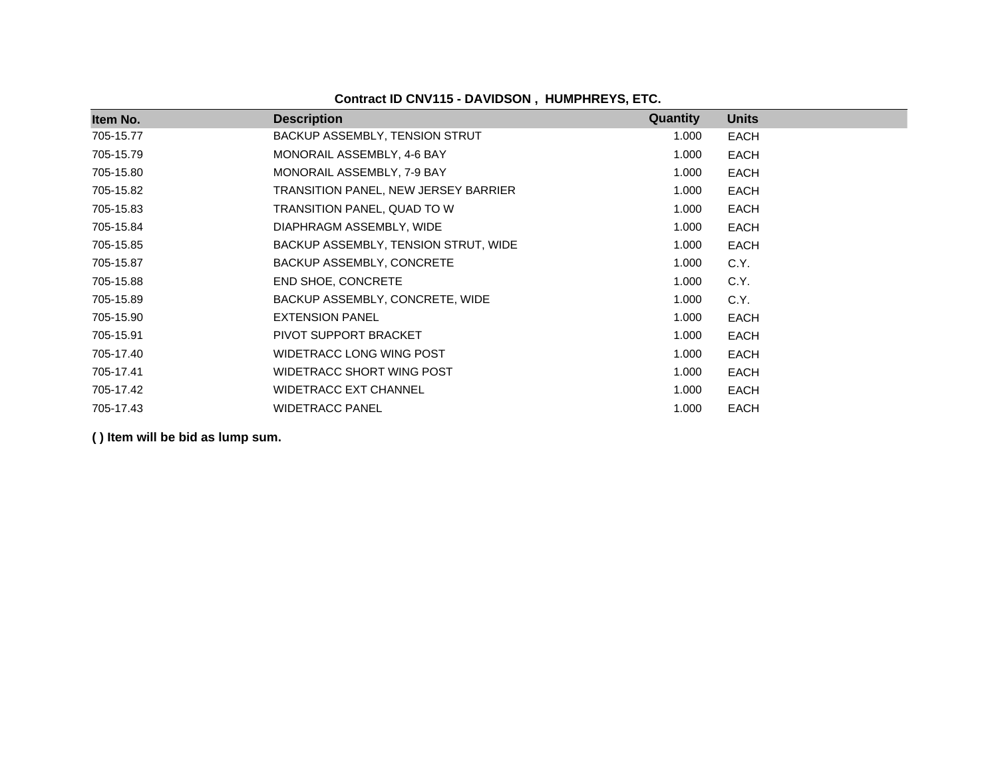| Item No.  | <b>Description</b>                   | Quantity | <b>Units</b> |
|-----------|--------------------------------------|----------|--------------|
| 705-15.77 | BACKUP ASSEMBLY, TENSION STRUT       | 1.000    | <b>EACH</b>  |
| 705-15.79 | MONORAIL ASSEMBLY, 4-6 BAY           | 1.000    | <b>EACH</b>  |
| 705-15.80 | MONORAIL ASSEMBLY, 7-9 BAY           | 1.000    | EACH         |
| 705-15.82 | TRANSITION PANEL, NEW JERSEY BARRIER | 1.000    | EACH         |
| 705-15.83 | TRANSITION PANEL, QUAD TO W          | 1.000    | EACH         |
| 705-15.84 | DIAPHRAGM ASSEMBLY, WIDE             | 1.000    | EACH         |
| 705-15.85 | BACKUP ASSEMBLY, TENSION STRUT, WIDE | 1.000    | <b>EACH</b>  |
| 705-15.87 | BACKUP ASSEMBLY, CONCRETE            | 1.000    | C.Y.         |
| 705-15.88 | <b>END SHOE, CONCRETE</b>            | 1.000    | C.Y.         |
| 705-15.89 | BACKUP ASSEMBLY, CONCRETE, WIDE      | 1.000    | C.Y.         |
| 705-15.90 | <b>EXTENSION PANEL</b>               | 1.000    | <b>EACH</b>  |
| 705-15.91 | PIVOT SUPPORT BRACKET                | 1.000    | EACH         |
| 705-17.40 | WIDETRACC LONG WING POST             | 1.000    | EACH         |
| 705-17.41 | WIDETRACC SHORT WING POST            | 1.000    | <b>EACH</b>  |
| 705-17.42 | <b>WIDETRACC EXT CHANNEL</b>         | 1.000    | <b>EACH</b>  |
| 705-17.43 | <b>WIDETRACC PANEL</b>               | 1.000    | <b>EACH</b>  |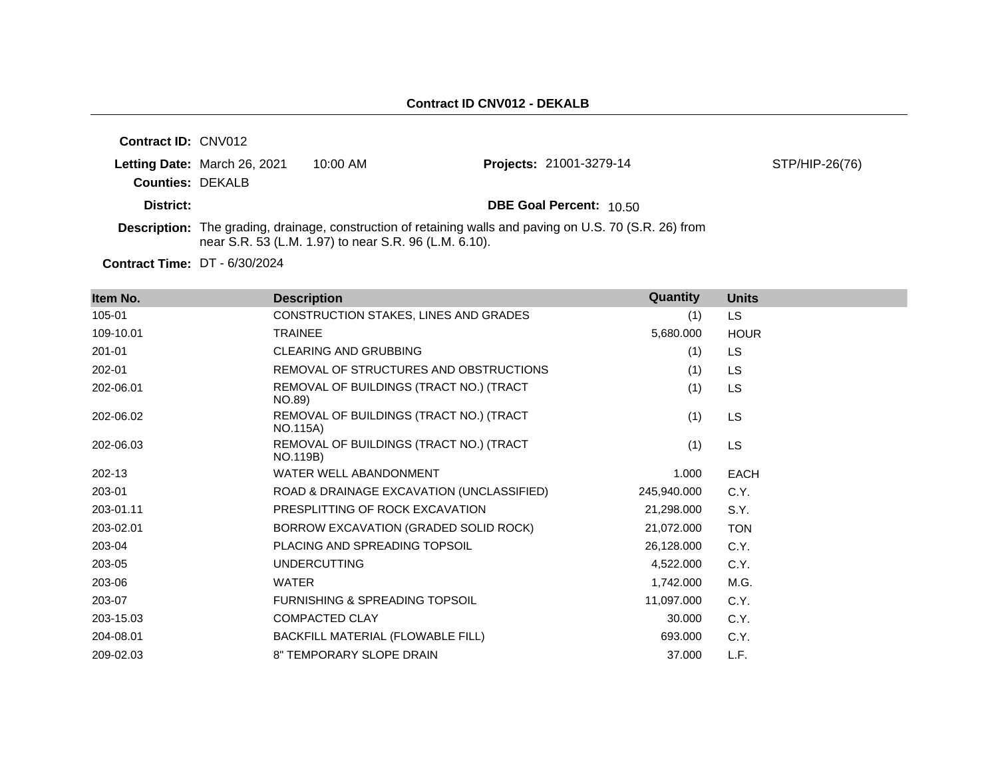| <b>Contract ID: CNV012</b> |                              |                                                       |                                                                                                                 |                |
|----------------------------|------------------------------|-------------------------------------------------------|-----------------------------------------------------------------------------------------------------------------|----------------|
| <b>Counties: DEKALB</b>    | Letting Date: March 26, 2021 | $10:00$ AM                                            | <b>Projects: 21001-3279-14</b>                                                                                  | STP/HIP-26(76) |
| District:                  |                              |                                                       | <b>DBE Goal Percent: 10.50</b>                                                                                  |                |
|                            |                              | near S.R. 53 (L.M. 1.97) to near S.R. 96 (L.M. 6.10). | <b>Description:</b> The grading, drainage, construction of retaining walls and paving on U.S. 70 (S.R. 26) from |                |

**Contract Time:** DT - 6/30/2024

| Item No.  | <b>Description</b>                                         | Quantity    | <b>Units</b> |
|-----------|------------------------------------------------------------|-------------|--------------|
| 105-01    | CONSTRUCTION STAKES, LINES AND GRADES                      | (1)         | LS.          |
| 109-10.01 | <b>TRAINEE</b>                                             | 5,680.000   | <b>HOUR</b>  |
| 201-01    | <b>CLEARING AND GRUBBING</b>                               | (1)         | LS           |
| 202-01    | REMOVAL OF STRUCTURES AND OBSTRUCTIONS                     | (1)         | LS           |
| 202-06.01 | REMOVAL OF BUILDINGS (TRACT NO.) (TRACT<br>NO.89)          | (1)         | LS           |
| 202-06.02 | REMOVAL OF BUILDINGS (TRACT NO.) (TRACT<br><b>NO.115A)</b> | (1)         | <b>LS</b>    |
| 202-06.03 | REMOVAL OF BUILDINGS (TRACT NO.) (TRACT<br>NO.119B)        | (1)         | LS           |
| 202-13    | WATER WELL ABANDONMENT                                     | 1.000       | <b>EACH</b>  |
| 203-01    | ROAD & DRAINAGE EXCAVATION (UNCLASSIFIED)                  | 245,940.000 | C.Y.         |
| 203-01.11 | PRESPLITTING OF ROCK EXCAVATION                            | 21,298.000  | S.Y.         |
| 203-02.01 | BORROW EXCAVATION (GRADED SOLID ROCK)                      | 21,072.000  | <b>TON</b>   |
| 203-04    | PLACING AND SPREADING TOPSOIL                              | 26,128.000  | C.Y.         |
| 203-05    | <b>UNDERCUTTING</b>                                        | 4,522.000   | C.Y.         |
| 203-06    | <b>WATER</b>                                               | 1,742.000   | M.G.         |
| 203-07    | FURNISHING & SPREADING TOPSOIL                             | 11,097.000  | C.Y.         |
| 203-15.03 | <b>COMPACTED CLAY</b>                                      | 30.000      | C.Y.         |
| 204-08.01 | BACKFILL MATERIAL (FLOWABLE FILL)                          | 693.000     | C.Y.         |
| 209-02.03 | 8" TEMPORARY SLOPE DRAIN                                   | 37.000      | L.F.         |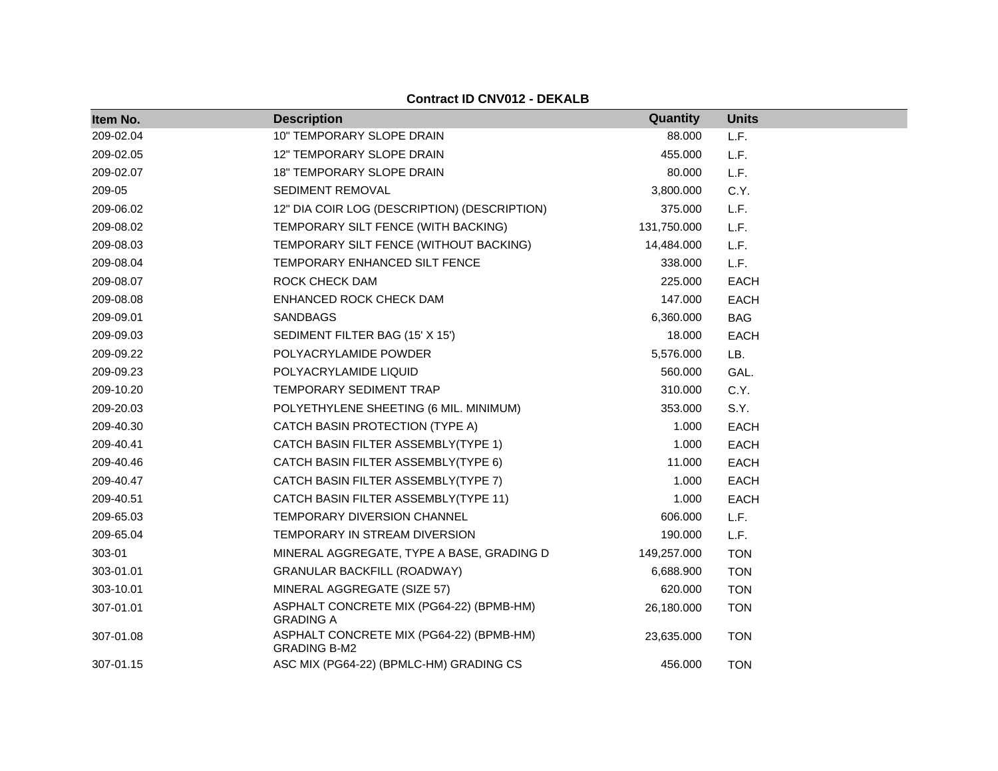| Item No.  | <b>Description</b>                                              | Quantity    | <b>Units</b> |
|-----------|-----------------------------------------------------------------|-------------|--------------|
| 209-02.04 | 10" TEMPORARY SLOPE DRAIN                                       | 88.000      | L.F.         |
| 209-02.05 | 12" TEMPORARY SLOPE DRAIN                                       | 455.000     | L.F.         |
| 209-02.07 | <b>18" TEMPORARY SLOPE DRAIN</b>                                | 80.000      | L.F.         |
| 209-05    | SEDIMENT REMOVAL                                                | 3,800.000   | C.Y.         |
| 209-06.02 | 12" DIA COIR LOG (DESCRIPTION) (DESCRIPTION)                    | 375.000     | L.F.         |
| 209-08.02 | TEMPORARY SILT FENCE (WITH BACKING)                             | 131,750.000 | L.F.         |
| 209-08.03 | TEMPORARY SILT FENCE (WITHOUT BACKING)                          | 14,484.000  | L.F.         |
| 209-08.04 | TEMPORARY ENHANCED SILT FENCE                                   | 338.000     | L.F.         |
| 209-08.07 | ROCK CHECK DAM                                                  | 225.000     | <b>EACH</b>  |
| 209-08.08 | ENHANCED ROCK CHECK DAM                                         | 147.000     | <b>EACH</b>  |
| 209-09.01 | <b>SANDBAGS</b>                                                 | 6,360.000   | <b>BAG</b>   |
| 209-09.03 | SEDIMENT FILTER BAG (15' X 15')                                 | 18.000      | <b>EACH</b>  |
| 209-09.22 | POLYACRYLAMIDE POWDER                                           | 5,576.000   | LB.          |
| 209-09.23 | POLYACRYLAMIDE LIQUID                                           | 560.000     | GAL.         |
| 209-10.20 | TEMPORARY SEDIMENT TRAP                                         | 310.000     | C.Y.         |
| 209-20.03 | POLYETHYLENE SHEETING (6 MIL. MINIMUM)                          | 353.000     | S.Y.         |
| 209-40.30 | CATCH BASIN PROTECTION (TYPE A)                                 | 1.000       | <b>EACH</b>  |
| 209-40.41 | CATCH BASIN FILTER ASSEMBLY(TYPE 1)                             | 1.000       | <b>EACH</b>  |
| 209-40.46 | CATCH BASIN FILTER ASSEMBLY(TYPE 6)                             | 11.000      | <b>EACH</b>  |
| 209-40.47 | CATCH BASIN FILTER ASSEMBLY(TYPE 7)                             | 1.000       | <b>EACH</b>  |
| 209-40.51 | CATCH BASIN FILTER ASSEMBLY(TYPE 11)                            | 1.000       | <b>EACH</b>  |
| 209-65.03 | TEMPORARY DIVERSION CHANNEL                                     | 606.000     | L.F.         |
| 209-65.04 | TEMPORARY IN STREAM DIVERSION                                   | 190.000     | L.F.         |
| 303-01    | MINERAL AGGREGATE, TYPE A BASE, GRADING D                       | 149,257.000 | <b>TON</b>   |
| 303-01.01 | <b>GRANULAR BACKFILL (ROADWAY)</b>                              | 6,688.900   | <b>TON</b>   |
| 303-10.01 | MINERAL AGGREGATE (SIZE 57)                                     | 620.000     | <b>TON</b>   |
| 307-01.01 | ASPHALT CONCRETE MIX (PG64-22) (BPMB-HM)<br><b>GRADING A</b>    | 26,180.000  | <b>TON</b>   |
| 307-01.08 | ASPHALT CONCRETE MIX (PG64-22) (BPMB-HM)<br><b>GRADING B-M2</b> | 23,635.000  | <b>TON</b>   |
| 307-01.15 | ASC MIX (PG64-22) (BPMLC-HM) GRADING CS                         | 456,000     | <b>TON</b>   |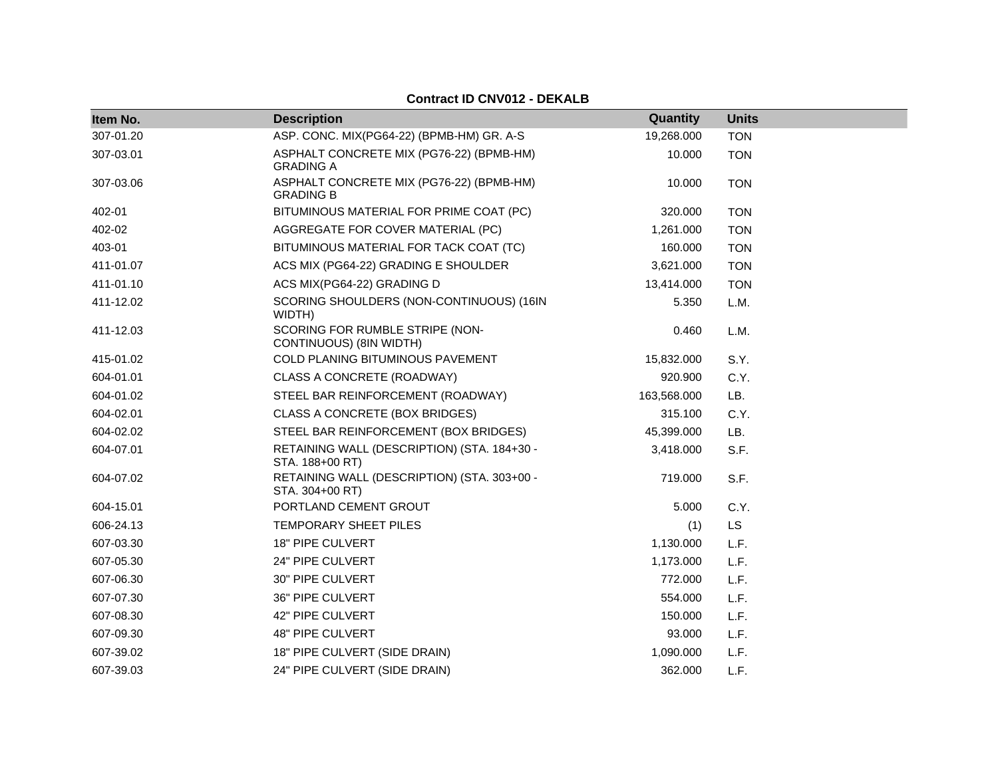| Item No.  | <b>Description</b>                                             | Quantity    | <b>Units</b> |  |
|-----------|----------------------------------------------------------------|-------------|--------------|--|
| 307-01.20 | ASP. CONC. MIX(PG64-22) (BPMB-HM) GR. A-S                      | 19,268.000  | <b>TON</b>   |  |
| 307-03.01 | ASPHALT CONCRETE MIX (PG76-22) (BPMB-HM)<br><b>GRADING A</b>   | 10.000      | <b>TON</b>   |  |
| 307-03.06 | ASPHALT CONCRETE MIX (PG76-22) (BPMB-HM)<br><b>GRADING B</b>   | 10.000      | <b>TON</b>   |  |
| 402-01    | BITUMINOUS MATERIAL FOR PRIME COAT (PC)                        | 320.000     | <b>TON</b>   |  |
| 402-02    | AGGREGATE FOR COVER MATERIAL (PC)                              | 1,261.000   | <b>TON</b>   |  |
| 403-01    | BITUMINOUS MATERIAL FOR TACK COAT (TC)                         | 160.000     | <b>TON</b>   |  |
| 411-01.07 | ACS MIX (PG64-22) GRADING E SHOULDER                           | 3,621.000   | <b>TON</b>   |  |
| 411-01.10 | ACS MIX(PG64-22) GRADING D                                     | 13,414.000  | <b>TON</b>   |  |
| 411-12.02 | SCORING SHOULDERS (NON-CONTINUOUS) (16IN<br>WIDTH)             | 5.350       | L.M.         |  |
| 411-12.03 | SCORING FOR RUMBLE STRIPE (NON-<br>CONTINUOUS) (8IN WIDTH)     | 0.460       | L.M.         |  |
| 415-01.02 | COLD PLANING BITUMINOUS PAVEMENT                               | 15,832.000  | S.Y.         |  |
| 604-01.01 | CLASS A CONCRETE (ROADWAY)                                     | 920.900     | C.Y.         |  |
| 604-01.02 | STEEL BAR REINFORCEMENT (ROADWAY)                              | 163,568.000 | LB.          |  |
| 604-02.01 | CLASS A CONCRETE (BOX BRIDGES)                                 | 315.100     | C.Y.         |  |
| 604-02.02 | STEEL BAR REINFORCEMENT (BOX BRIDGES)                          | 45,399.000  | LB.          |  |
| 604-07.01 | RETAINING WALL (DESCRIPTION) (STA. 184+30 -<br>STA. 188+00 RT) | 3,418.000   | S.F.         |  |
| 604-07.02 | RETAINING WALL (DESCRIPTION) (STA. 303+00 -<br>STA. 304+00 RT) | 719.000     | S.F.         |  |
| 604-15.01 | PORTLAND CEMENT GROUT                                          | 5.000       | C.Y.         |  |
| 606-24.13 | TEMPORARY SHEET PILES                                          | (1)         | <b>LS</b>    |  |
| 607-03.30 | 18" PIPE CULVERT                                               | 1,130.000   | L.F.         |  |
| 607-05.30 | 24" PIPE CULVERT                                               | 1,173.000   | L.F.         |  |
| 607-06.30 | 30" PIPE CULVERT                                               | 772.000     | L.F.         |  |
| 607-07.30 | 36" PIPE CULVERT                                               | 554.000     | L.F.         |  |
| 607-08.30 | 42" PIPE CULVERT                                               | 150.000     | L.F.         |  |
| 607-09.30 | 48" PIPE CULVERT                                               | 93.000      | L.F.         |  |
| 607-39.02 | 18" PIPE CULVERT (SIDE DRAIN)                                  | 1,090.000   | L.F.         |  |
| 607-39.03 | 24" PIPE CULVERT (SIDE DRAIN)                                  | 362,000     | L.F.         |  |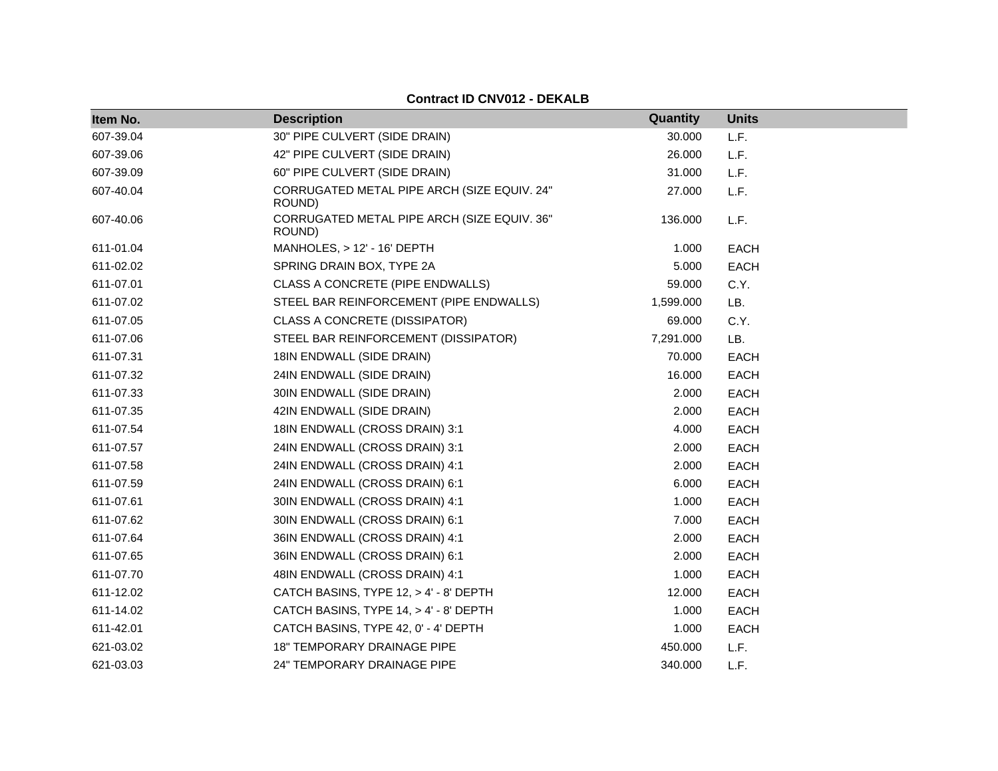| Item No.  | <b>Description</b>                                    | Quantity  | <b>Units</b> |
|-----------|-------------------------------------------------------|-----------|--------------|
| 607-39.04 | 30" PIPE CULVERT (SIDE DRAIN)                         | 30.000    | L.F.         |
| 607-39.06 | 42" PIPE CULVERT (SIDE DRAIN)                         | 26.000    | L.F.         |
| 607-39.09 | 60" PIPE CULVERT (SIDE DRAIN)                         | 31.000    | L.F.         |
| 607-40.04 | CORRUGATED METAL PIPE ARCH (SIZE EQUIV. 24"<br>ROUND) | 27.000    | L.F.         |
| 607-40.06 | CORRUGATED METAL PIPE ARCH (SIZE EQUIV. 36"<br>ROUND) | 136.000   | L.F.         |
| 611-01.04 | MANHOLES, > 12' - 16' DEPTH                           | 1.000     | <b>EACH</b>  |
| 611-02.02 | SPRING DRAIN BOX, TYPE 2A                             | 5.000     | <b>EACH</b>  |
| 611-07.01 | CLASS A CONCRETE (PIPE ENDWALLS)                      | 59.000    | C.Y.         |
| 611-07.02 | STEEL BAR REINFORCEMENT (PIPE ENDWALLS)               | 1,599.000 | LB.          |
| 611-07.05 | <b>CLASS A CONCRETE (DISSIPATOR)</b>                  | 69.000    | C.Y.         |
| 611-07.06 | STEEL BAR REINFORCEMENT (DISSIPATOR)                  | 7,291.000 | LB.          |
| 611-07.31 | 18IN ENDWALL (SIDE DRAIN)                             | 70.000    | <b>EACH</b>  |
| 611-07.32 | 24IN ENDWALL (SIDE DRAIN)                             | 16.000    | <b>EACH</b>  |
| 611-07.33 | 30IN ENDWALL (SIDE DRAIN)                             | 2.000     | <b>EACH</b>  |
| 611-07.35 | 42IN ENDWALL (SIDE DRAIN)                             | 2.000     | <b>EACH</b>  |
| 611-07.54 | 18IN ENDWALL (CROSS DRAIN) 3:1                        | 4.000     | EACH         |
| 611-07.57 | 24IN ENDWALL (CROSS DRAIN) 3:1                        | 2.000     | <b>EACH</b>  |
| 611-07.58 | 24IN ENDWALL (CROSS DRAIN) 4:1                        | 2.000     | <b>EACH</b>  |
| 611-07.59 | 24IN ENDWALL (CROSS DRAIN) 6:1                        | 6.000     | <b>EACH</b>  |
| 611-07.61 | 30IN ENDWALL (CROSS DRAIN) 4:1                        | 1.000     | <b>EACH</b>  |
| 611-07.62 | 30IN ENDWALL (CROSS DRAIN) 6:1                        | 7.000     | <b>EACH</b>  |
| 611-07.64 | 36IN ENDWALL (CROSS DRAIN) 4:1                        | 2.000     | <b>EACH</b>  |
| 611-07.65 | 36IN ENDWALL (CROSS DRAIN) 6:1                        | 2.000     | <b>EACH</b>  |
| 611-07.70 | 48IN ENDWALL (CROSS DRAIN) 4:1                        | 1.000     | <b>EACH</b>  |
| 611-12.02 | CATCH BASINS, TYPE 12, > 4' - 8' DEPTH                | 12.000    | <b>EACH</b>  |
| 611-14.02 | CATCH BASINS, TYPE 14, > 4' - 8' DEPTH                | 1.000     | <b>EACH</b>  |
| 611-42.01 | CATCH BASINS, TYPE 42, 0' - 4' DEPTH                  | 1.000     | <b>EACH</b>  |
| 621-03.02 | <b>18" TEMPORARY DRAINAGE PIPE</b>                    | 450.000   | L.F.         |
| 621-03.03 | <b>24" TEMPORARY DRAINAGE PIPE</b>                    | 340.000   | L.F.         |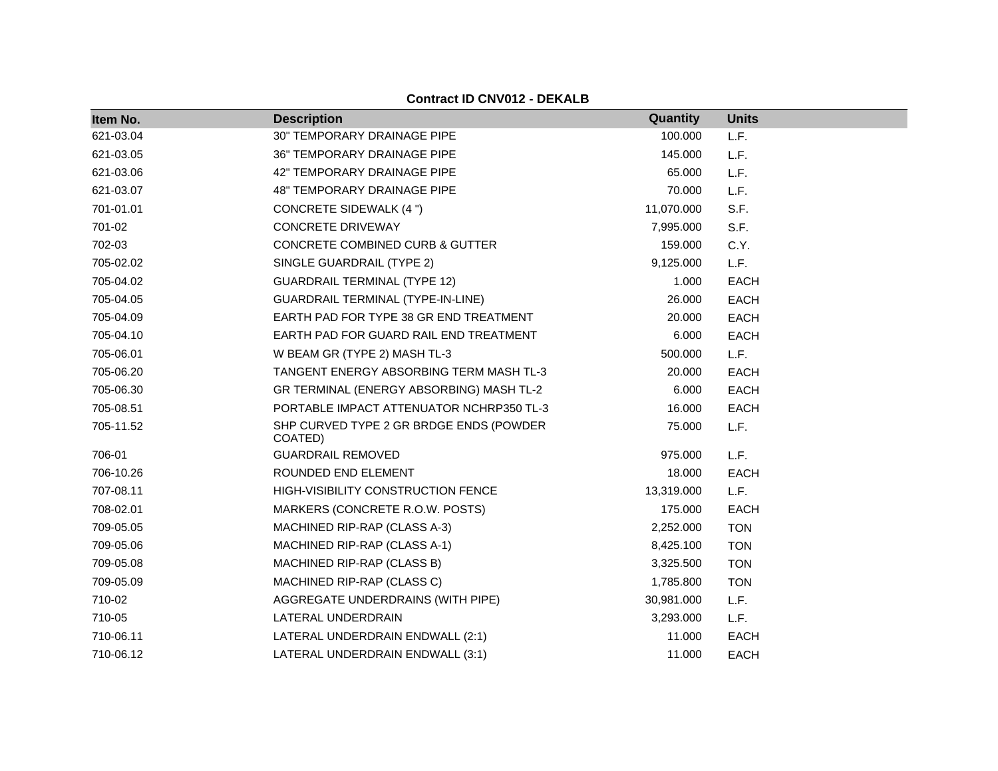|           |                                                          | Quantity   | <b>Units</b> |
|-----------|----------------------------------------------------------|------------|--------------|
| Item No.  | <b>Description</b><br><b>30" TEMPORARY DRAINAGE PIPE</b> |            |              |
| 621-03.04 |                                                          | 100.000    | L.F.         |
| 621-03.05 | 36" TEMPORARY DRAINAGE PIPE                              | 145.000    | L.F.         |
| 621-03.06 | 42" TEMPORARY DRAINAGE PIPE                              | 65.000     | L.F.         |
| 621-03.07 | 48" TEMPORARY DRAINAGE PIPE                              | 70.000     | L.F.         |
| 701-01.01 | <b>CONCRETE SIDEWALK (4 ")</b>                           | 11,070.000 | S.F.         |
| 701-02    | <b>CONCRETE DRIVEWAY</b>                                 | 7,995.000  | S.F.         |
| 702-03    | <b>CONCRETE COMBINED CURB &amp; GUTTER</b>               | 159.000    | C.Y.         |
| 705-02.02 | SINGLE GUARDRAIL (TYPE 2)                                | 9,125.000  | L.F.         |
| 705-04.02 | <b>GUARDRAIL TERMINAL (TYPE 12)</b>                      | 1.000      | <b>EACH</b>  |
| 705-04.05 | <b>GUARDRAIL TERMINAL (TYPE-IN-LINE)</b>                 | 26.000     | <b>EACH</b>  |
| 705-04.09 | EARTH PAD FOR TYPE 38 GR END TREATMENT                   | 20.000     | <b>EACH</b>  |
| 705-04.10 | EARTH PAD FOR GUARD RAIL END TREATMENT                   | 6.000      | <b>EACH</b>  |
| 705-06.01 | W BEAM GR (TYPE 2) MASH TL-3                             | 500.000    | L.F.         |
| 705-06.20 | TANGENT ENERGY ABSORBING TERM MASH TL-3                  | 20.000     | <b>EACH</b>  |
| 705-06.30 | GR TERMINAL (ENERGY ABSORBING) MASH TL-2                 | 6.000      | <b>EACH</b>  |
| 705-08.51 | PORTABLE IMPACT ATTENUATOR NCHRP350 TL-3                 | 16.000     | <b>EACH</b>  |
| 705-11.52 | SHP CURVED TYPE 2 GR BRDGE ENDS (POWDER<br>COATED)       | 75.000     | L.F.         |
| 706-01    | <b>GUARDRAIL REMOVED</b>                                 | 975.000    | L.F.         |
| 706-10.26 | ROUNDED END ELEMENT                                      | 18.000     | <b>EACH</b>  |
| 707-08.11 | HIGH-VISIBILITY CONSTRUCTION FENCE                       | 13,319.000 | L.F.         |
| 708-02.01 | MARKERS (CONCRETE R.O.W. POSTS)                          | 175.000    | <b>EACH</b>  |
| 709-05.05 | MACHINED RIP-RAP (CLASS A-3)                             | 2,252.000  | <b>TON</b>   |
| 709-05.06 | MACHINED RIP-RAP (CLASS A-1)                             | 8,425.100  | <b>TON</b>   |
| 709-05.08 | MACHINED RIP-RAP (CLASS B)                               | 3,325.500  | <b>TON</b>   |
| 709-05.09 | MACHINED RIP-RAP (CLASS C)                               | 1,785.800  | <b>TON</b>   |
| 710-02    | AGGREGATE UNDERDRAINS (WITH PIPE)                        | 30,981.000 | L.F.         |
| 710-05    | LATERAL UNDERDRAIN                                       | 3,293.000  | L.F.         |
| 710-06.11 | LATERAL UNDERDRAIN ENDWALL (2:1)                         | 11.000     | <b>EACH</b>  |
| 710-06.12 | LATERAL UNDERDRAIN ENDWALL (3:1)                         | 11.000     | <b>EACH</b>  |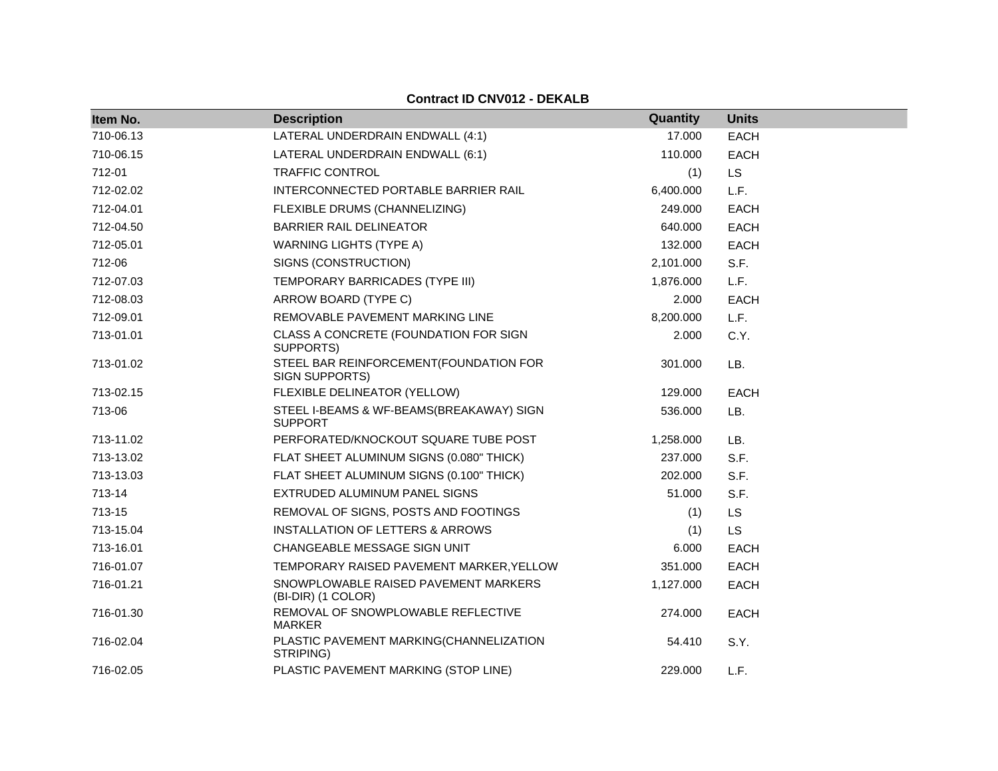| Item No.  | <b>Description</b>                                         | Quantity  | <b>Units</b> |
|-----------|------------------------------------------------------------|-----------|--------------|
| 710-06.13 | LATERAL UNDERDRAIN ENDWALL (4:1)                           | 17.000    | <b>EACH</b>  |
| 710-06.15 | LATERAL UNDERDRAIN ENDWALL (6:1)                           | 110.000   | <b>EACH</b>  |
| 712-01    | <b>TRAFFIC CONTROL</b>                                     | (1)       | <b>LS</b>    |
| 712-02.02 | INTERCONNECTED PORTABLE BARRIER RAIL                       | 6,400.000 | L.F.         |
| 712-04.01 | FLEXIBLE DRUMS (CHANNELIZING)                              | 249.000   | <b>EACH</b>  |
| 712-04.50 | <b>BARRIER RAIL DELINEATOR</b>                             | 640.000   | <b>EACH</b>  |
| 712-05.01 | <b>WARNING LIGHTS (TYPE A)</b>                             | 132.000   | <b>EACH</b>  |
| 712-06    | SIGNS (CONSTRUCTION)                                       | 2,101.000 | S.F.         |
| 712-07.03 | TEMPORARY BARRICADES (TYPE III)                            | 1,876.000 | L.F.         |
| 712-08.03 | ARROW BOARD (TYPE C)                                       | 2.000     | <b>EACH</b>  |
| 712-09.01 | REMOVABLE PAVEMENT MARKING LINE                            | 8,200.000 | L.F.         |
| 713-01.01 | CLASS A CONCRETE (FOUNDATION FOR SIGN<br>SUPPORTS)         | 2.000     | C.Y.         |
| 713-01.02 | STEEL BAR REINFORCEMENT(FOUNDATION FOR<br>SIGN SUPPORTS)   | 301.000   | LB.          |
| 713-02.15 | FLEXIBLE DELINEATOR (YELLOW)                               | 129.000   | <b>EACH</b>  |
| 713-06    | STEEL I-BEAMS & WF-BEAMS(BREAKAWAY) SIGN<br><b>SUPPORT</b> | 536.000   | LB.          |
| 713-11.02 | PERFORATED/KNOCKOUT SQUARE TUBE POST                       | 1,258.000 | LB.          |
| 713-13.02 | FLAT SHEET ALUMINUM SIGNS (0.080" THICK)                   | 237.000   | S.F.         |
| 713-13.03 | FLAT SHEET ALUMINUM SIGNS (0.100" THICK)                   | 202,000   | S.F.         |
| 713-14    | EXTRUDED ALUMINUM PANEL SIGNS                              | 51.000    | S.F.         |
| 713-15    | REMOVAL OF SIGNS, POSTS AND FOOTINGS                       | (1)       | LS           |
| 713-15.04 | <b>INSTALLATION OF LETTERS &amp; ARROWS</b>                | (1)       | <b>LS</b>    |
| 713-16.01 | CHANGEABLE MESSAGE SIGN UNIT                               | 6.000     | <b>EACH</b>  |
| 716-01.07 | TEMPORARY RAISED PAVEMENT MARKER, YELLOW                   | 351.000   | <b>EACH</b>  |
| 716-01.21 | SNOWPLOWABLE RAISED PAVEMENT MARKERS<br>(BI-DIR) (1 COLOR) | 1,127.000 | <b>EACH</b>  |
| 716-01.30 | REMOVAL OF SNOWPLOWABLE REFLECTIVE<br><b>MARKER</b>        | 274.000   | <b>EACH</b>  |
| 716-02.04 | PLASTIC PAVEMENT MARKING(CHANNELIZATION<br>STRIPING)       | 54.410    | S.Y.         |
| 716-02.05 | PLASTIC PAVEMENT MARKING (STOP LINE)                       | 229.000   | L.F.         |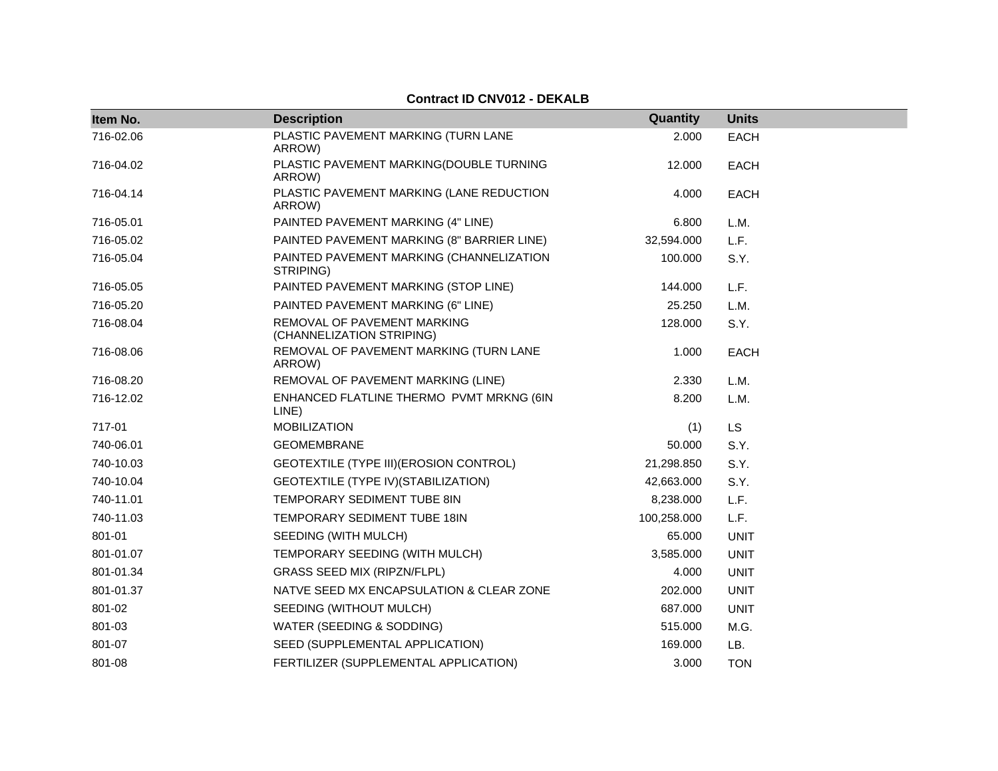| Item No.  | <b>Description</b>                                       | Quantity    | <b>Units</b> |
|-----------|----------------------------------------------------------|-------------|--------------|
| 716-02.06 | PLASTIC PAVEMENT MARKING (TURN LANE<br>ARROW)            | 2.000       | <b>EACH</b>  |
| 716-04.02 | PLASTIC PAVEMENT MARKING(DOUBLE TURNING<br>ARROW)        | 12.000      | <b>EACH</b>  |
| 716-04.14 | PLASTIC PAVEMENT MARKING (LANE REDUCTION<br>ARROW)       | 4.000       | <b>EACH</b>  |
| 716-05.01 | PAINTED PAVEMENT MARKING (4" LINE)                       | 6.800       | L.M.         |
| 716-05.02 | PAINTED PAVEMENT MARKING (8" BARRIER LINE)               | 32,594.000  | L.F.         |
| 716-05.04 | PAINTED PAVEMENT MARKING (CHANNELIZATION<br>STRIPING)    | 100.000     | S.Y.         |
| 716-05.05 | PAINTED PAVEMENT MARKING (STOP LINE)                     | 144.000     | L.F.         |
| 716-05.20 | PAINTED PAVEMENT MARKING (6" LINE)                       | 25.250      | L.M.         |
| 716-08.04 | REMOVAL OF PAVEMENT MARKING<br>(CHANNELIZATION STRIPING) | 128.000     | S.Y.         |
| 716-08.06 | REMOVAL OF PAVEMENT MARKING (TURN LANE<br>ARROW)         | 1.000       | <b>EACH</b>  |
| 716-08.20 | REMOVAL OF PAVEMENT MARKING (LINE)                       | 2.330       | L.M.         |
| 716-12.02 | ENHANCED FLATLINE THERMO PVMT MRKNG (6IN<br>LINE)        | 8.200       | L.M.         |
| 717-01    | <b>MOBILIZATION</b>                                      | (1)         | <b>LS</b>    |
| 740-06.01 | <b>GEOMEMBRANE</b>                                       | 50.000      | S.Y.         |
| 740-10.03 | GEOTEXTILE (TYPE III) (EROSION CONTROL)                  | 21,298.850  | S.Y.         |
| 740-10.04 | GEOTEXTILE (TYPE IV) (STABILIZATION)                     | 42,663.000  | S.Y.         |
| 740-11.01 | TEMPORARY SEDIMENT TUBE 8IN                              | 8,238.000   | L.F.         |
| 740-11.03 | TEMPORARY SEDIMENT TUBE 18IN                             | 100,258.000 | L.F.         |
| 801-01    | SEEDING (WITH MULCH)                                     | 65.000      | <b>UNIT</b>  |
| 801-01.07 | TEMPORARY SEEDING (WITH MULCH)                           | 3,585.000   | <b>UNIT</b>  |
| 801-01.34 | <b>GRASS SEED MIX (RIPZN/FLPL)</b>                       | 4.000       | <b>UNIT</b>  |
| 801-01.37 | NATVE SEED MX ENCAPSULATION & CLEAR ZONE                 | 202.000     | <b>UNIT</b>  |
| 801-02    | SEEDING (WITHOUT MULCH)                                  | 687.000     | <b>UNIT</b>  |
| 801-03    | WATER (SEEDING & SODDING)                                | 515.000     | M.G.         |
| 801-07    | SEED (SUPPLEMENTAL APPLICATION)                          | 169.000     | LB.          |
| 801-08    | FERTILIZER (SUPPLEMENTAL APPLICATION)                    | 3.000       | <b>TON</b>   |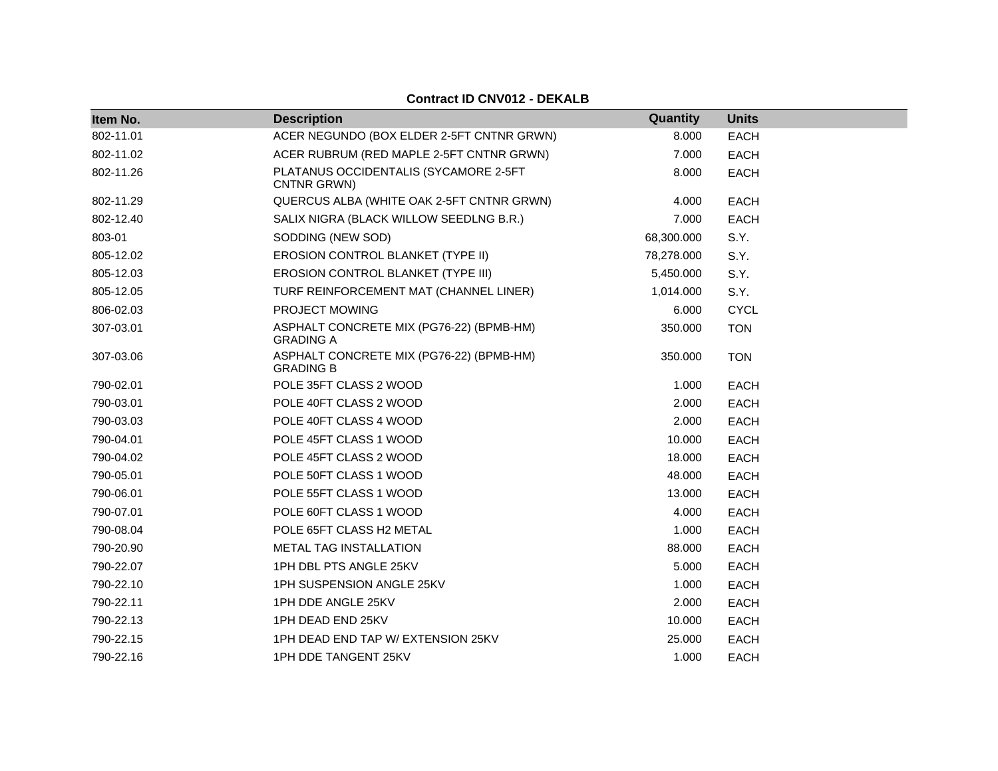| Item No.  | <b>Description</b>                                           | Quantity   | <b>Units</b> |
|-----------|--------------------------------------------------------------|------------|--------------|
| 802-11.01 | ACER NEGUNDO (BOX ELDER 2-5FT CNTNR GRWN)                    | 8.000      | <b>EACH</b>  |
| 802-11.02 | ACER RUBRUM (RED MAPLE 2-5FT CNTNR GRWN)                     | 7.000      | <b>EACH</b>  |
| 802-11.26 | PLATANUS OCCIDENTALIS (SYCAMORE 2-5FT<br>CNTNR GRWN)         | 8.000      | <b>EACH</b>  |
| 802-11.29 | QUERCUS ALBA (WHITE OAK 2-5FT CNTNR GRWN)                    | 4.000      | <b>EACH</b>  |
| 802-12.40 | SALIX NIGRA (BLACK WILLOW SEEDLNG B.R.)                      | 7.000      | <b>EACH</b>  |
| 803-01    | SODDING (NEW SOD)                                            | 68,300.000 | S.Y.         |
| 805-12.02 | EROSION CONTROL BLANKET (TYPE II)                            | 78,278.000 | S.Y.         |
| 805-12.03 | EROSION CONTROL BLANKET (TYPE III)                           | 5,450.000  | S.Y.         |
| 805-12.05 | TURF REINFORCEMENT MAT (CHANNEL LINER)                       | 1,014.000  | S.Y.         |
| 806-02.03 | PROJECT MOWING                                               | 6.000      | <b>CYCL</b>  |
| 307-03.01 | ASPHALT CONCRETE MIX (PG76-22) (BPMB-HM)<br><b>GRADING A</b> | 350.000    | <b>TON</b>   |
| 307-03.06 | ASPHALT CONCRETE MIX (PG76-22) (BPMB-HM)<br><b>GRADING B</b> | 350.000    | <b>TON</b>   |
| 790-02.01 | POLE 35FT CLASS 2 WOOD                                       | 1.000      | <b>EACH</b>  |
| 790-03.01 | POLE 40FT CLASS 2 WOOD                                       | 2.000      | <b>EACH</b>  |
| 790-03.03 | POLE 40FT CLASS 4 WOOD                                       | 2.000      | <b>EACH</b>  |
| 790-04.01 | POLE 45FT CLASS 1 WOOD                                       | 10.000     | <b>EACH</b>  |
| 790-04.02 | POLE 45FT CLASS 2 WOOD                                       | 18.000     | <b>EACH</b>  |
| 790-05.01 | POLE 50FT CLASS 1 WOOD                                       | 48.000     | <b>EACH</b>  |
| 790-06.01 | POLE 55FT CLASS 1 WOOD                                       | 13.000     | <b>EACH</b>  |
| 790-07.01 | POLE 60FT CLASS 1 WOOD                                       | 4.000      | <b>EACH</b>  |
| 790-08.04 | POLE 65FT CLASS H2 METAL                                     | 1.000      | <b>EACH</b>  |
| 790-20.90 | METAL TAG INSTALLATION                                       | 88.000     | <b>EACH</b>  |
| 790-22.07 | 1PH DBL PTS ANGLE 25KV                                       | 5.000      | <b>EACH</b>  |
| 790-22.10 | 1PH SUSPENSION ANGLE 25KV                                    | 1.000      | <b>EACH</b>  |
| 790-22.11 | 1PH DDE ANGLE 25KV                                           | 2.000      | <b>EACH</b>  |
| 790-22.13 | 1PH DEAD END 25KV                                            | 10.000     | <b>EACH</b>  |
| 790-22.15 | 1PH DEAD END TAP W/ EXTENSION 25KV                           | 25.000     | <b>EACH</b>  |
| 790-22.16 | 1PH DDE TANGENT 25KV                                         | 1.000      | <b>EACH</b>  |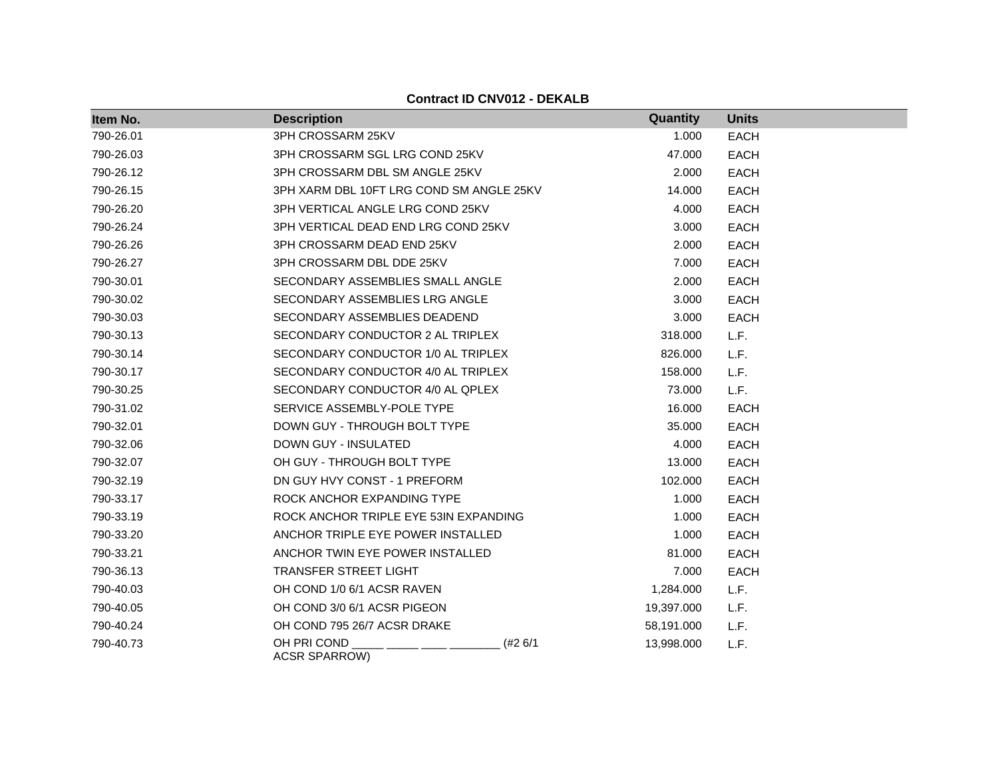| Item No.  | <b>Description</b>                               | Quantity   | <b>Units</b> |
|-----------|--------------------------------------------------|------------|--------------|
| 790-26.01 | 3PH CROSSARM 25KV                                | 1.000      | <b>EACH</b>  |
| 790-26.03 | 3PH CROSSARM SGL LRG COND 25KV                   | 47.000     | <b>EACH</b>  |
| 790-26.12 | 3PH CROSSARM DBL SM ANGLE 25KV                   | 2.000      | <b>EACH</b>  |
| 790-26.15 | 3PH XARM DBL 10FT LRG COND SM ANGLE 25KV         | 14.000     | <b>EACH</b>  |
| 790-26.20 | 3PH VERTICAL ANGLE LRG COND 25KV                 | 4.000      | <b>EACH</b>  |
| 790-26.24 | 3PH VERTICAL DEAD END LRG COND 25KV              | 3.000      | <b>EACH</b>  |
| 790-26.26 | 3PH CROSSARM DEAD END 25KV                       | 2.000      | <b>EACH</b>  |
| 790-26.27 | 3PH CROSSARM DBL DDE 25KV                        | 7.000      | <b>EACH</b>  |
| 790-30.01 | SECONDARY ASSEMBLIES SMALL ANGLE                 | 2.000      | <b>EACH</b>  |
| 790-30.02 | SECONDARY ASSEMBLIES LRG ANGLE                   | 3.000      | <b>EACH</b>  |
| 790-30.03 | SECONDARY ASSEMBLIES DEADEND                     | 3.000      | <b>EACH</b>  |
| 790-30.13 | SECONDARY CONDUCTOR 2 AL TRIPLEX                 | 318.000    | L.F.         |
| 790-30.14 | SECONDARY CONDUCTOR 1/0 AL TRIPLEX               | 826.000    | L.F.         |
| 790-30.17 | SECONDARY CONDUCTOR 4/0 AL TRIPLEX               | 158.000    | L.F.         |
| 790-30.25 | SECONDARY CONDUCTOR 4/0 AL QPLEX                 | 73.000     | L.F.         |
| 790-31.02 | SERVICE ASSEMBLY-POLE TYPE                       | 16.000     | <b>EACH</b>  |
| 790-32.01 | DOWN GUY - THROUGH BOLT TYPE                     | 35.000     | <b>EACH</b>  |
| 790-32.06 | DOWN GUY - INSULATED                             | 4.000      | <b>EACH</b>  |
| 790-32.07 | OH GUY - THROUGH BOLT TYPE                       | 13.000     | <b>EACH</b>  |
| 790-32.19 | DN GUY HVY CONST - 1 PREFORM                     | 102.000    | <b>EACH</b>  |
| 790-33.17 | ROCK ANCHOR EXPANDING TYPE                       | 1.000      | <b>EACH</b>  |
| 790-33.19 | ROCK ANCHOR TRIPLE EYE 53IN EXPANDING            | 1.000      | <b>EACH</b>  |
| 790-33.20 | ANCHOR TRIPLE EYE POWER INSTALLED                | 1.000      | <b>EACH</b>  |
| 790-33.21 | ANCHOR TWIN EYE POWER INSTALLED                  | 81.000     | <b>EACH</b>  |
| 790-36.13 | TRANSFER STREET LIGHT                            | 7.000      | <b>EACH</b>  |
| 790-40.03 | OH COND 1/0 6/1 ACSR RAVEN                       | 1,284.000  | L.F.         |
| 790-40.05 | OH COND 3/0 6/1 ACSR PIGEON                      | 19,397.000 | L.F.         |
| 790-40.24 | OH COND 795 26/7 ACSR DRAKE                      | 58,191.000 | L.F.         |
| 790-40.73 | OH PRI COND<br>$(+26/1)$<br><b>ACSR SPARROW)</b> | 13,998.000 | L.F.         |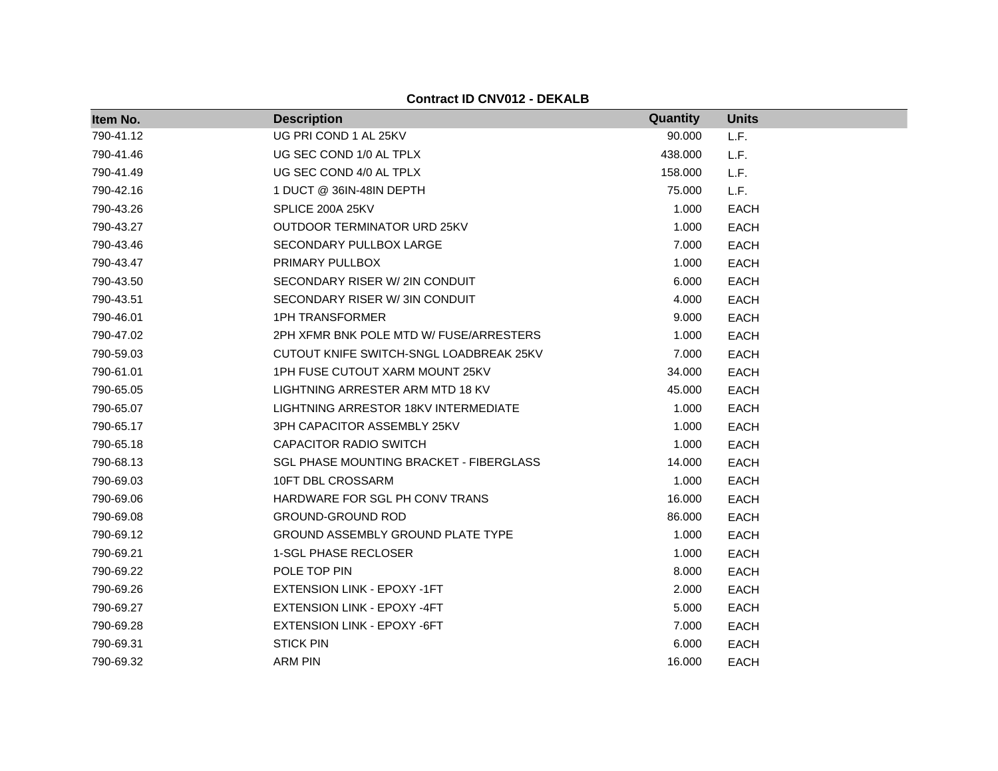| Item No.  | <b>Description</b>                             | Quantity | <b>Units</b> |
|-----------|------------------------------------------------|----------|--------------|
| 790-41.12 | UG PRI COND 1 AL 25KV                          | 90.000   | L.F.         |
| 790-41.46 | UG SEC COND 1/0 AL TPLX                        | 438.000  | L.F.         |
| 790-41.49 | UG SEC COND 4/0 AL TPLX                        | 158,000  | L.F.         |
| 790-42.16 | 1 DUCT @ 36IN-48IN DEPTH                       | 75.000   | L.F.         |
| 790-43.26 | SPLICE 200A 25KV                               | 1.000    | <b>EACH</b>  |
| 790-43.27 | OUTDOOR TERMINATOR URD 25KV                    | 1.000    | <b>EACH</b>  |
| 790-43.46 | SECONDARY PULLBOX LARGE                        | 7.000    | <b>EACH</b>  |
| 790-43.47 | PRIMARY PULLBOX                                | 1.000    | <b>EACH</b>  |
| 790-43.50 | SECONDARY RISER W/ 2IN CONDUIT                 | 6.000    | <b>EACH</b>  |
| 790-43.51 | SECONDARY RISER W/3IN CONDUIT                  | 4.000    | <b>EACH</b>  |
| 790-46.01 | <b>1PH TRANSFORMER</b>                         | 9.000    | <b>EACH</b>  |
| 790-47.02 | 2PH XFMR BNK POLE MTD W/ FUSE/ARRESTERS        | 1.000    | <b>EACH</b>  |
| 790-59.03 | CUTOUT KNIFE SWITCH-SNGL LOADBREAK 25KV        | 7.000    | <b>EACH</b>  |
| 790-61.01 | 1PH FUSE CUTOUT XARM MOUNT 25KV                | 34.000   | <b>EACH</b>  |
| 790-65.05 | LIGHTNING ARRESTER ARM MTD 18 KV               | 45.000   | <b>EACH</b>  |
| 790-65.07 | LIGHTNING ARRESTOR 18KV INTERMEDIATE           | 1.000    | <b>EACH</b>  |
| 790-65.17 | 3PH CAPACITOR ASSEMBLY 25KV                    | 1.000    | <b>EACH</b>  |
| 790-65.18 | <b>CAPACITOR RADIO SWITCH</b>                  | 1.000    | <b>EACH</b>  |
| 790-68.13 | <b>SGL PHASE MOUNTING BRACKET - FIBERGLASS</b> | 14.000   | <b>EACH</b>  |
| 790-69.03 | 10FT DBL CROSSARM                              | 1.000    | EACH         |
| 790-69.06 | HARDWARE FOR SGL PH CONV TRANS                 | 16.000   | <b>EACH</b>  |
| 790-69.08 | <b>GROUND-GROUND ROD</b>                       | 86.000   | <b>EACH</b>  |
| 790-69.12 | <b>GROUND ASSEMBLY GROUND PLATE TYPE</b>       | 1.000    | <b>EACH</b>  |
| 790-69.21 | 1-SGL PHASE RECLOSER                           | 1.000    | <b>EACH</b>  |
| 790-69.22 | POLE TOP PIN                                   | 8.000    | EACH         |
| 790-69.26 | EXTENSION LINK - EPOXY -1FT                    | 2.000    | <b>EACH</b>  |
| 790-69.27 | EXTENSION LINK - EPOXY -4FT                    | 5.000    | <b>EACH</b>  |
| 790-69.28 | EXTENSION LINK - EPOXY -6FT                    | 7.000    | <b>EACH</b>  |
| 790-69.31 | <b>STICK PIN</b>                               | 6.000    | <b>EACH</b>  |
| 790-69.32 | <b>ARM PIN</b>                                 | 16.000   | <b>EACH</b>  |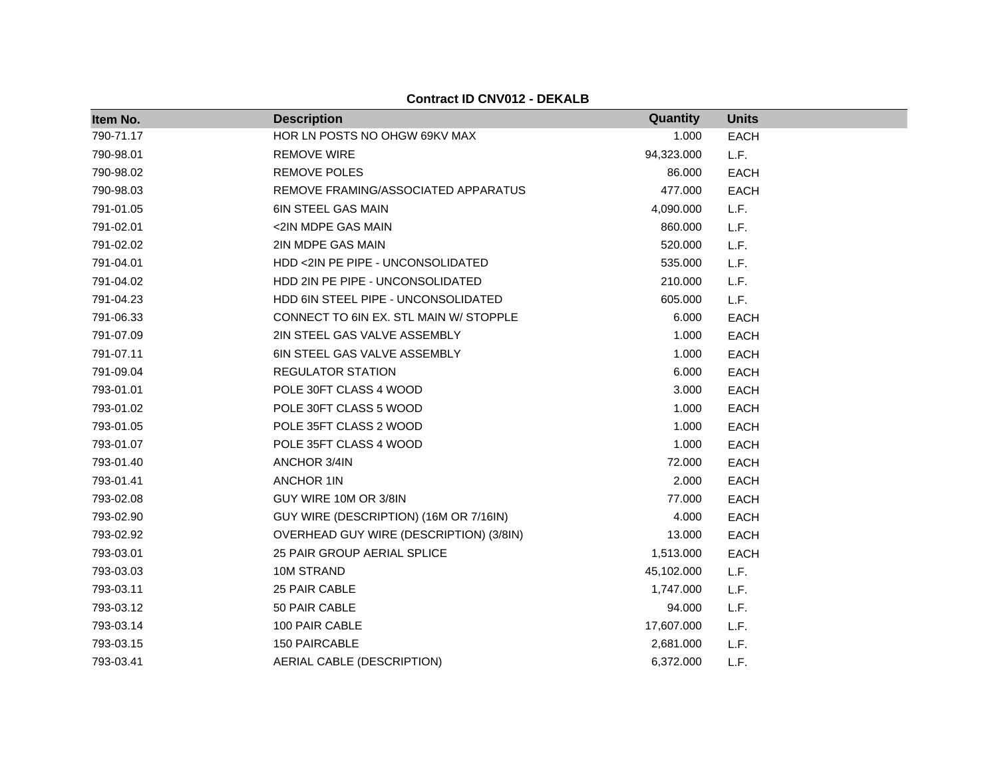| Item No.  | <b>Description</b>                      | Quantity   | <b>Units</b> |
|-----------|-----------------------------------------|------------|--------------|
| 790-71.17 | HOR LN POSTS NO OHGW 69KV MAX           | 1.000      | <b>EACH</b>  |
| 790-98.01 | <b>REMOVE WIRE</b>                      | 94,323.000 | L.F.         |
| 790-98.02 | <b>REMOVE POLES</b>                     | 86.000     | <b>EACH</b>  |
| 790-98.03 | REMOVE FRAMING/ASSOCIATED APPARATUS     | 477.000    | <b>EACH</b>  |
| 791-01.05 | 6IN STEEL GAS MAIN                      | 4,090.000  | L.F.         |
| 791-02.01 | <2IN MDPE GAS MAIN                      | 860.000    | L.F.         |
| 791-02.02 | 2IN MDPE GAS MAIN                       | 520.000    | L.F.         |
| 791-04.01 | HDD <2IN PE PIPE - UNCONSOLIDATED       | 535.000    | L.F.         |
| 791-04.02 | HDD 2IN PE PIPE - UNCONSOLIDATED        | 210.000    | L.F.         |
| 791-04.23 | HDD 6IN STEEL PIPE - UNCONSOLIDATED     | 605.000    | L.F.         |
| 791-06.33 | CONNECT TO 6IN EX. STL MAIN W/ STOPPLE  | 6.000      | <b>EACH</b>  |
| 791-07.09 | 2IN STEEL GAS VALVE ASSEMBLY            | 1.000      | <b>EACH</b>  |
| 791-07.11 | 6IN STEEL GAS VALVE ASSEMBLY            | 1.000      | <b>EACH</b>  |
| 791-09.04 | <b>REGULATOR STATION</b>                | 6.000      | <b>EACH</b>  |
| 793-01.01 | POLE 30FT CLASS 4 WOOD                  | 3.000      | <b>EACH</b>  |
| 793-01.02 | POLE 30FT CLASS 5 WOOD                  | 1.000      | <b>EACH</b>  |
| 793-01.05 | POLE 35FT CLASS 2 WOOD                  | 1.000      | <b>EACH</b>  |
| 793-01.07 | POLE 35FT CLASS 4 WOOD                  | 1.000      | <b>EACH</b>  |
| 793-01.40 | ANCHOR 3/4IN                            | 72.000     | <b>EACH</b>  |
| 793-01.41 | <b>ANCHOR 1IN</b>                       | 2.000      | <b>EACH</b>  |
| 793-02.08 | GUY WIRE 10M OR 3/8IN                   | 77.000     | <b>EACH</b>  |
| 793-02.90 | GUY WIRE (DESCRIPTION) (16M OR 7/16IN)  | 4.000      | <b>EACH</b>  |
| 793-02.92 | OVERHEAD GUY WIRE (DESCRIPTION) (3/8IN) | 13.000     | <b>EACH</b>  |
| 793-03.01 | 25 PAIR GROUP AERIAL SPLICE             | 1,513.000  | <b>EACH</b>  |
| 793-03.03 | 10M STRAND                              | 45,102.000 | L.F.         |
| 793-03.11 | 25 PAIR CABLE                           | 1,747.000  | L.F.         |
| 793-03.12 | 50 PAIR CABLE                           | 94.000     | L.F.         |
| 793-03.14 | 100 PAIR CABLE                          | 17,607.000 | L.F.         |
| 793-03.15 | 150 PAIRCABLE                           | 2,681.000  | L.F.         |
| 793-03.41 | AERIAL CABLE (DESCRIPTION)              | 6,372.000  | L.F.         |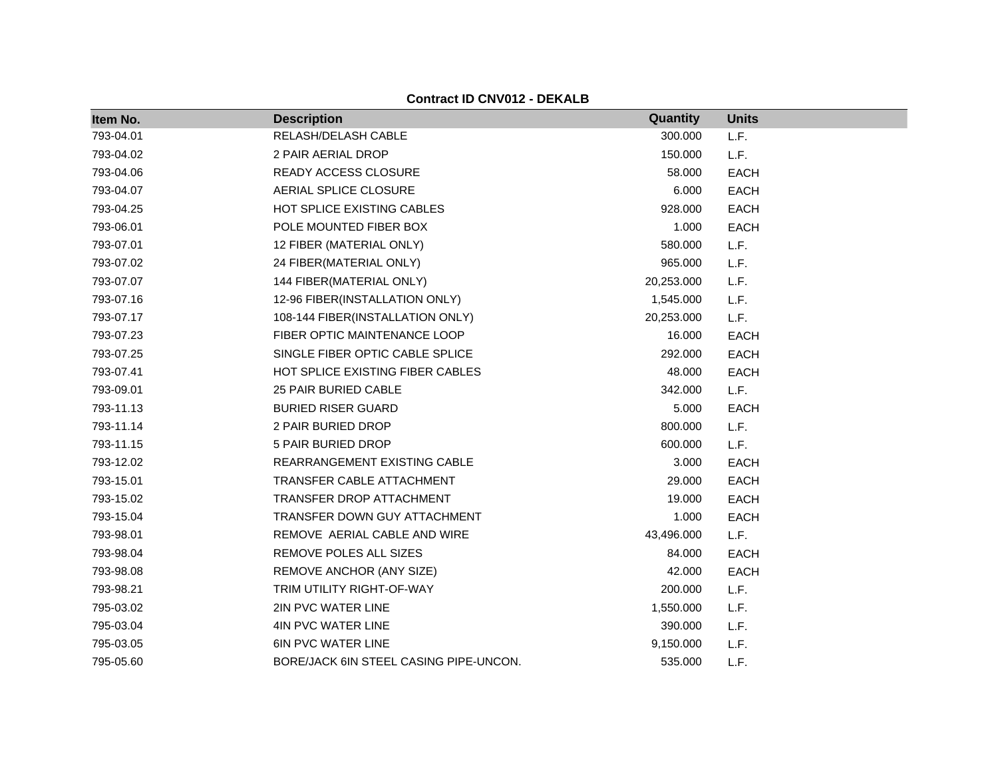| Item No.  | <b>Description</b>                     | Quantity   | <b>Units</b> |
|-----------|----------------------------------------|------------|--------------|
| 793-04.01 | RELASH/DELASH CABLE                    | 300.000    | L.F.         |
| 793-04.02 | 2 PAIR AERIAL DROP                     | 150.000    | L.F.         |
| 793-04.06 | READY ACCESS CLOSURE                   | 58.000     | <b>EACH</b>  |
| 793-04.07 | AERIAL SPLICE CLOSURE                  | 6.000      | <b>EACH</b>  |
| 793-04.25 | HOT SPLICE EXISTING CABLES             | 928.000    | <b>EACH</b>  |
| 793-06.01 | POLE MOUNTED FIBER BOX                 | 1.000      | <b>EACH</b>  |
| 793-07.01 | 12 FIBER (MATERIAL ONLY)               | 580.000    | L.F.         |
| 793-07.02 | 24 FIBER(MATERIAL ONLY)                | 965.000    | L.F.         |
| 793-07.07 | 144 FIBER(MATERIAL ONLY)               | 20,253.000 | L.F.         |
| 793-07.16 | 12-96 FIBER(INSTALLATION ONLY)         | 1,545.000  | L.F.         |
| 793-07.17 | 108-144 FIBER(INSTALLATION ONLY)       | 20,253.000 | L.F.         |
| 793-07.23 | FIBER OPTIC MAINTENANCE LOOP           | 16.000     | <b>EACH</b>  |
| 793-07.25 | SINGLE FIBER OPTIC CABLE SPLICE        | 292.000    | <b>EACH</b>  |
| 793-07.41 | HOT SPLICE EXISTING FIBER CABLES       | 48.000     | <b>EACH</b>  |
| 793-09.01 | <b>25 PAIR BURIED CABLE</b>            | 342.000    | L.F.         |
| 793-11.13 | <b>BURIED RISER GUARD</b>              | 5.000      | <b>EACH</b>  |
| 793-11.14 | 2 PAIR BURIED DROP                     | 800.000    | L.F.         |
| 793-11.15 | 5 PAIR BURIED DROP                     | 600.000    | L.F.         |
| 793-12.02 | REARRANGEMENT EXISTING CABLE           | 3.000      | <b>EACH</b>  |
| 793-15.01 | <b>TRANSFER CABLE ATTACHMENT</b>       | 29.000     | <b>EACH</b>  |
| 793-15.02 | <b>TRANSFER DROP ATTACHMENT</b>        | 19.000     | <b>EACH</b>  |
| 793-15.04 | TRANSFER DOWN GUY ATTACHMENT           | 1.000      | <b>EACH</b>  |
| 793-98.01 | REMOVE AERIAL CABLE AND WIRE           | 43,496.000 | L.F.         |
| 793-98.04 | REMOVE POLES ALL SIZES                 | 84.000     | <b>EACH</b>  |
| 793-98.08 | REMOVE ANCHOR (ANY SIZE)               | 42.000     | <b>EACH</b>  |
| 793-98.21 | TRIM UTILITY RIGHT-OF-WAY              | 200.000    | L.F.         |
| 795-03.02 | 2IN PVC WATER LINE                     | 1,550.000  | L.F.         |
| 795-03.04 | 4IN PVC WATER LINE                     | 390.000    | L.F.         |
| 795-03.05 | <b>6IN PVC WATER LINE</b>              | 9,150.000  | L.F.         |
| 795-05.60 | BORE/JACK 6IN STEEL CASING PIPE-UNCON. | 535.000    | L.F.         |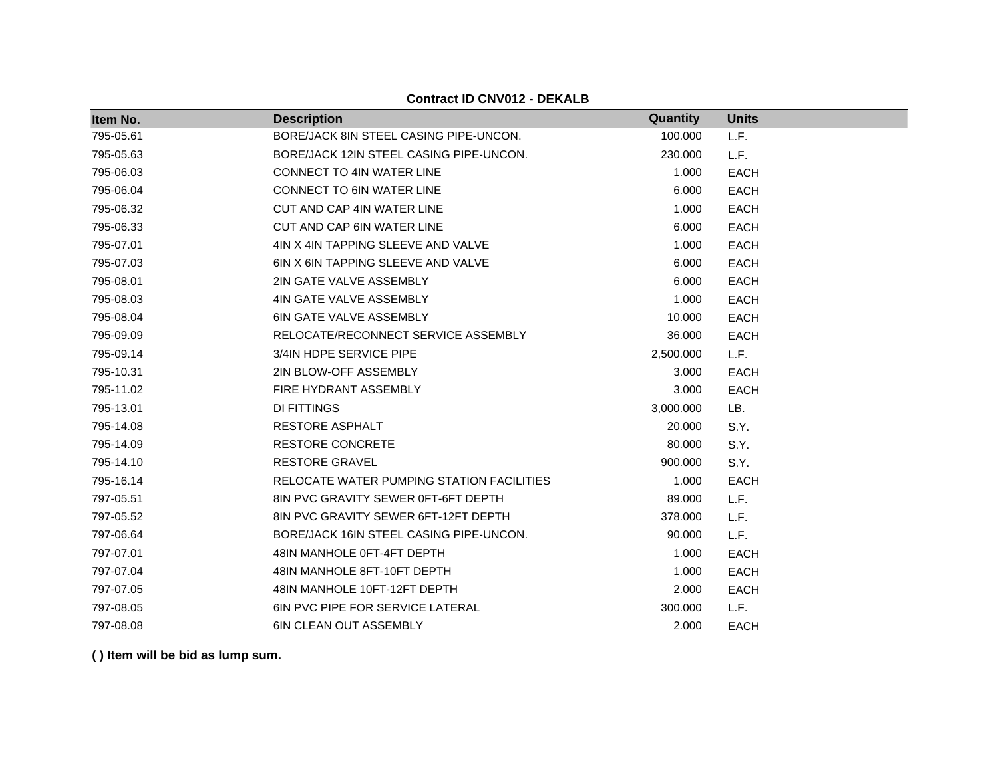| Item No.  | <b>Description</b>                        | Quantity  | <b>Units</b> |
|-----------|-------------------------------------------|-----------|--------------|
| 795-05.61 | BORE/JACK 8IN STEEL CASING PIPE-UNCON.    | 100.000   | L.F.         |
| 795-05.63 | BORE/JACK 12IN STEEL CASING PIPE-UNCON.   | 230.000   | L.F.         |
| 795-06.03 | <b>CONNECT TO 4IN WATER LINE</b>          | 1.000     | <b>EACH</b>  |
| 795-06.04 | CONNECT TO 6IN WATER LINE                 | 6.000     | <b>EACH</b>  |
| 795-06.32 | CUT AND CAP 4IN WATER LINE                | 1.000     | <b>EACH</b>  |
| 795-06.33 | CUT AND CAP 6IN WATER LINE                | 6.000     | <b>EACH</b>  |
| 795-07.01 | 4IN X 4IN TAPPING SLEEVE AND VALVE        | 1.000     | <b>EACH</b>  |
| 795-07.03 | 6IN X 6IN TAPPING SLEEVE AND VALVE        | 6.000     | <b>EACH</b>  |
| 795-08.01 | 2IN GATE VALVE ASSEMBLY                   | 6.000     | <b>EACH</b>  |
| 795-08.03 | 4IN GATE VALVE ASSEMBLY                   | 1.000     | <b>EACH</b>  |
| 795-08.04 | <b>6IN GATE VALVE ASSEMBLY</b>            | 10.000    | <b>EACH</b>  |
| 795-09.09 | RELOCATE/RECONNECT SERVICE ASSEMBLY       | 36.000    | <b>EACH</b>  |
| 795-09.14 | 3/4IN HDPE SERVICE PIPE                   | 2,500.000 | L.F.         |
| 795-10.31 | 2IN BLOW-OFF ASSEMBLY                     | 3.000     | <b>EACH</b>  |
| 795-11.02 | FIRE HYDRANT ASSEMBLY                     | 3.000     | <b>EACH</b>  |
| 795-13.01 | <b>DI FITTINGS</b>                        | 3,000.000 | LB.          |
| 795-14.08 | <b>RESTORE ASPHALT</b>                    | 20.000    | S.Y.         |
| 795-14.09 | <b>RESTORE CONCRETE</b>                   | 80.000    | S.Y.         |
| 795-14.10 | <b>RESTORE GRAVEL</b>                     | 900.000   | S.Y.         |
| 795-16.14 | RELOCATE WATER PUMPING STATION FACILITIES | 1.000     | <b>EACH</b>  |
| 797-05.51 | 8IN PVC GRAVITY SEWER 0FT-6FT DEPTH       | 89.000    | L.F.         |
| 797-05.52 | 8IN PVC GRAVITY SEWER 6FT-12FT DEPTH      | 378.000   | L.F.         |
| 797-06.64 | BORE/JACK 16IN STEEL CASING PIPE-UNCON.   | 90.000    | L.F.         |
| 797-07.01 | 48IN MANHOLE 0FT-4FT DEPTH                | 1.000     | <b>EACH</b>  |
| 797-07.04 | 48IN MANHOLE 8FT-10FT DEPTH               | 1.000     | <b>EACH</b>  |
| 797-07.05 | 48IN MANHOLE 10FT-12FT DEPTH              | 2.000     | <b>EACH</b>  |
| 797-08.05 | <b>6IN PVC PIPE FOR SERVICE LATERAL</b>   | 300.000   | L.F.         |
| 797-08.08 | <b>6IN CLEAN OUT ASSEMBLY</b>             | 2.000     | <b>EACH</b>  |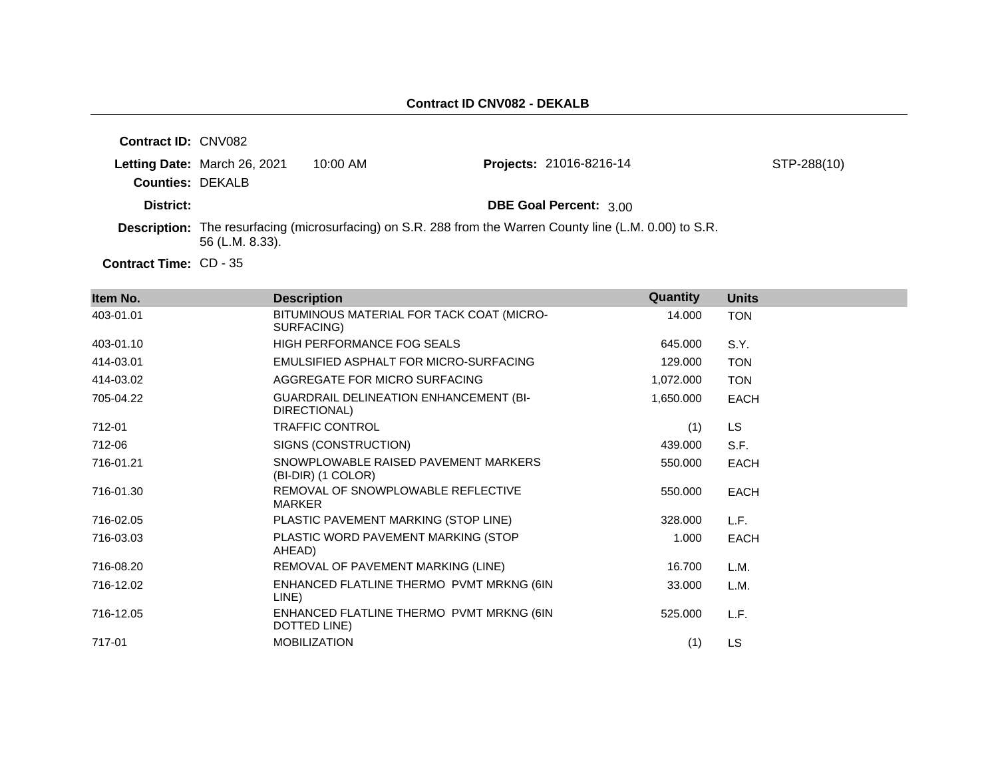| <b>Contract ID: CNV082</b> |                              |            |                                                                                                                  |             |
|----------------------------|------------------------------|------------|------------------------------------------------------------------------------------------------------------------|-------------|
| <b>Counties: DEKALB</b>    | Letting Date: March 26, 2021 | $10:00$ AM | <b>Projects: 21016-8216-14</b>                                                                                   | STP-288(10) |
| District:                  |                              |            | <b>DBE Goal Percent: 3.00</b>                                                                                    |             |
|                            | 56 (L.M. 8.33).              |            | <b>Description:</b> The resurfacing (microsurfacing) on S.R. 288 from the Warren County line (L.M. 0.00) to S.R. |             |

Contract Time: CD - 35

| Item No.  | <b>Description</b>                                            | Quantity  | <b>Units</b> |
|-----------|---------------------------------------------------------------|-----------|--------------|
| 403-01.01 | BITUMINOUS MATERIAL FOR TACK COAT (MICRO-<br>SURFACING)       | 14.000    | <b>TON</b>   |
| 403-01.10 | HIGH PERFORMANCE FOG SEALS                                    | 645.000   | S.Y.         |
| 414-03.01 | EMULSIFIED ASPHALT FOR MICRO-SURFACING                        | 129.000   | <b>TON</b>   |
| 414-03.02 | AGGREGATE FOR MICRO SURFACING                                 | 1,072.000 | <b>TON</b>   |
| 705-04.22 | <b>GUARDRAIL DELINEATION ENHANCEMENT (BI-</b><br>DIRECTIONAL) | 1,650.000 | <b>EACH</b>  |
| 712-01    | <b>TRAFFIC CONTROL</b>                                        | (1)       | <b>LS</b>    |
| 712-06    | SIGNS (CONSTRUCTION)                                          | 439.000   | S.F.         |
| 716-01.21 | SNOWPLOWABLE RAISED PAVEMENT MARKERS<br>(BI-DIR) (1 COLOR)    | 550.000   | <b>EACH</b>  |
| 716-01.30 | REMOVAL OF SNOWPLOWABLE REFLECTIVE<br><b>MARKER</b>           | 550.000   | <b>EACH</b>  |
| 716-02.05 | PLASTIC PAVEMENT MARKING (STOP LINE)                          | 328.000   | L.F.         |
| 716-03.03 | PLASTIC WORD PAVEMENT MARKING (STOP<br>AHEAD)                 | 1.000     | <b>EACH</b>  |
| 716-08.20 | REMOVAL OF PAVEMENT MARKING (LINE)                            | 16.700    | L.M.         |
| 716-12.02 | ENHANCED FLATLINE THERMO PVMT MRKNG (6IN<br>LINE)             | 33.000    | L.M.         |
| 716-12.05 | ENHANCED FLATLINE THERMO PVMT MRKNG (6IN<br>DOTTED LINE)      | 525.000   | L.F.         |
| 717-01    | <b>MOBILIZATION</b>                                           | (1)       | <b>LS</b>    |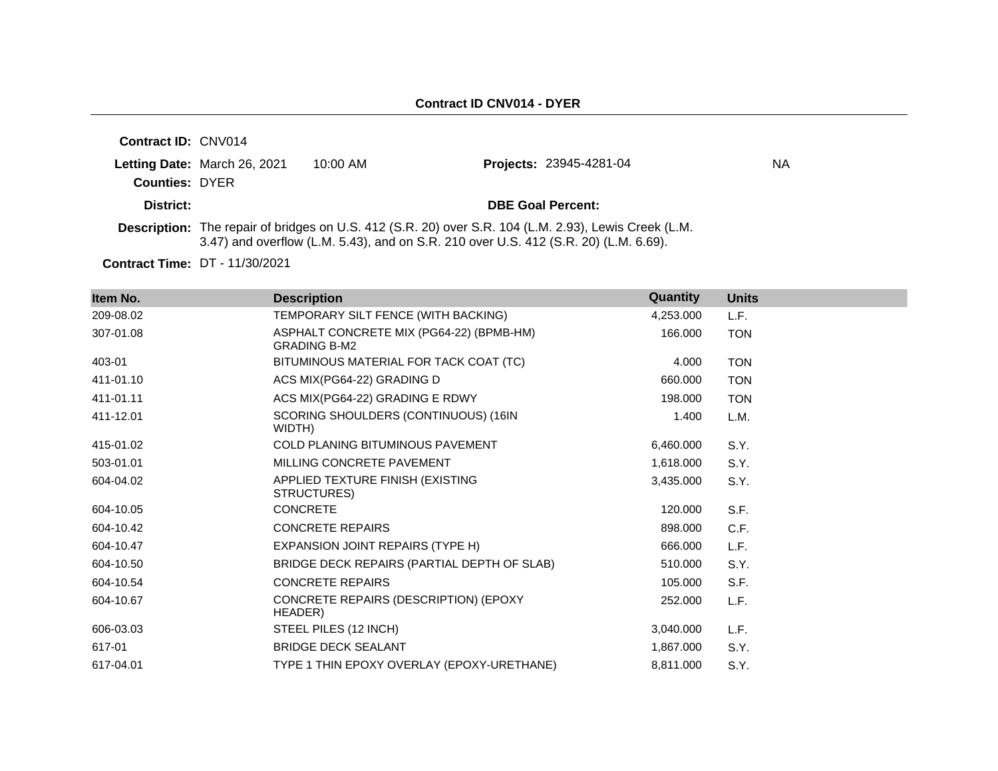| <b>Contract ID: CNV014</b> |                              |            |                                                                                                                                                                                               |     |
|----------------------------|------------------------------|------------|-----------------------------------------------------------------------------------------------------------------------------------------------------------------------------------------------|-----|
|                            | Letting Date: March 26, 2021 | $10:00$ AM | <b>Projects: 23945-4281-04</b>                                                                                                                                                                | NA. |
| <b>Counties: DYER</b>      |                              |            |                                                                                                                                                                                               |     |
| District:                  |                              |            | <b>DBE Goal Percent:</b>                                                                                                                                                                      |     |
|                            |                              |            | Description: The repair of bridges on U.S. 412 (S.R. 20) over S.R. 104 (L.M. 2.93), Lewis Creek (L.M.<br>3.47) and overflow (L.M. 5.43), and on S.R. 210 over U.S. 412 (S.R. 20) (L.M. 6.69). |     |

**Contract Time:** DT - 11/30/2021

| Item No.  | <b>Description</b>                                              | Quantity  | <b>Units</b> |
|-----------|-----------------------------------------------------------------|-----------|--------------|
| 209-08.02 | TEMPORARY SILT FENCE (WITH BACKING)                             | 4,253.000 | L.F.         |
| 307-01.08 | ASPHALT CONCRETE MIX (PG64-22) (BPMB-HM)<br><b>GRADING B-M2</b> | 166.000   | <b>TON</b>   |
| 403-01    | BITUMINOUS MATERIAL FOR TACK COAT (TC)                          | 4.000     | <b>TON</b>   |
| 411-01.10 | ACS MIX(PG64-22) GRADING D                                      | 660,000   | <b>TON</b>   |
| 411-01.11 | ACS MIX(PG64-22) GRADING E RDWY                                 | 198.000   | <b>TON</b>   |
| 411-12.01 | SCORING SHOULDERS (CONTINUOUS) (16IN<br>WIDTH)                  | 1.400     | L.M.         |
| 415-01.02 | COLD PLANING BITUMINOUS PAVEMENT                                | 6,460.000 | S.Y.         |
| 503-01.01 | MILLING CONCRETE PAVEMENT                                       | 1,618.000 | S.Y.         |
| 604-04.02 | APPLIED TEXTURE FINISH (EXISTING<br>STRUCTURES)                 | 3,435.000 | S.Y.         |
| 604-10.05 | <b>CONCRETE</b>                                                 | 120.000   | S.F.         |
| 604-10.42 | <b>CONCRETE REPAIRS</b>                                         | 898.000   | C.F.         |
| 604-10.47 | EXPANSION JOINT REPAIRS (TYPE H)                                | 666.000   | L.F.         |
| 604-10.50 | BRIDGE DECK REPAIRS (PARTIAL DEPTH OF SLAB)                     | 510.000   | S.Y.         |
| 604-10.54 | <b>CONCRETE REPAIRS</b>                                         | 105.000   | S.F.         |
| 604-10.67 | CONCRETE REPAIRS (DESCRIPTION) (EPOXY<br>HEADER)                | 252.000   | L.F.         |
| 606-03.03 | STEEL PILES (12 INCH)                                           | 3,040.000 | L.F.         |
| 617-01    | <b>BRIDGE DECK SEALANT</b>                                      | 1,867.000 | S.Y.         |
| 617-04.01 | TYPE 1 THIN EPOXY OVERLAY (EPOXY-URETHANE)                      | 8,811.000 | S.Y.         |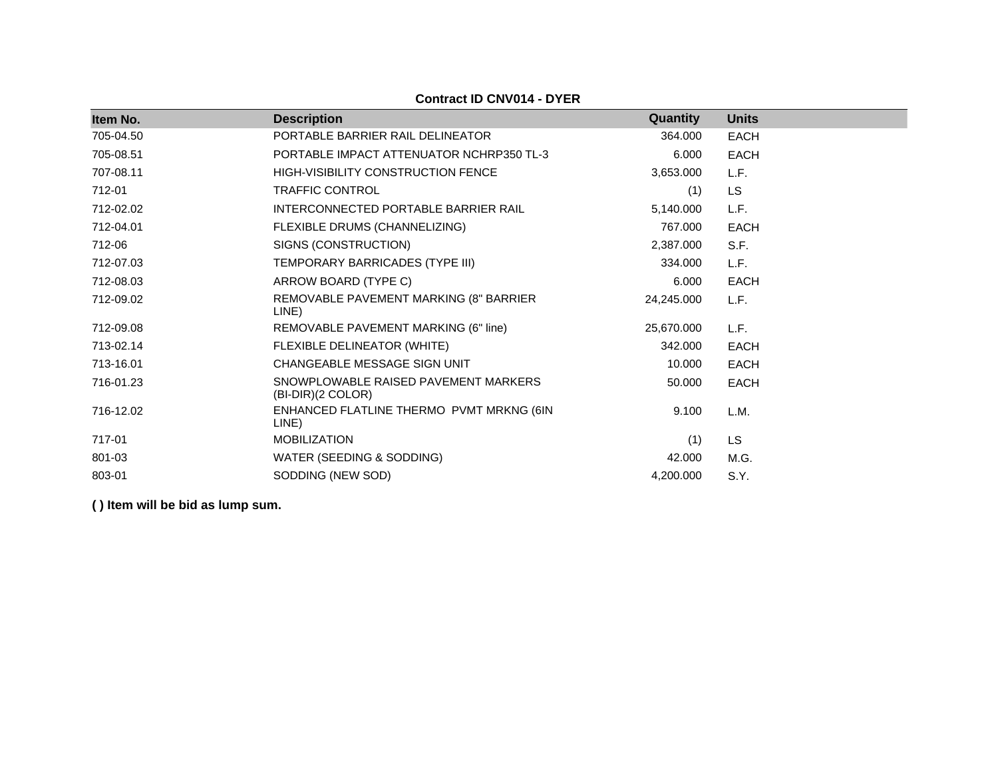| Item No.  | <b>Description</b>                                        | Quantity   | <b>Units</b> |
|-----------|-----------------------------------------------------------|------------|--------------|
| 705-04.50 | PORTABLE BARRIER RAIL DELINEATOR                          | 364.000    | <b>EACH</b>  |
| 705-08.51 | PORTABLE IMPACT ATTENUATOR NCHRP350 TL-3                  | 6.000      | <b>EACH</b>  |
| 707-08.11 | <b>HIGH-VISIBILITY CONSTRUCTION FENCE</b>                 | 3,653.000  | L.F.         |
| 712-01    | <b>TRAFFIC CONTROL</b>                                    | (1)        | <b>LS</b>    |
| 712-02.02 | INTERCONNECTED PORTABLE BARRIER RAIL                      | 5,140.000  | L.F.         |
| 712-04.01 | FLEXIBLE DRUMS (CHANNELIZING)                             | 767.000    | <b>EACH</b>  |
| 712-06    | SIGNS (CONSTRUCTION)                                      | 2,387.000  | S.F.         |
| 712-07.03 | TEMPORARY BARRICADES (TYPE III)                           | 334.000    | L.F.         |
| 712-08.03 | ARROW BOARD (TYPE C)                                      | 6.000      | <b>EACH</b>  |
| 712-09.02 | REMOVABLE PAVEMENT MARKING (8" BARRIER<br>LINE)           | 24,245.000 | L.F.         |
| 712-09.08 | REMOVABLE PAVEMENT MARKING (6" line)                      | 25,670.000 | L.F.         |
| 713-02.14 | FLEXIBLE DELINEATOR (WHITE)                               | 342.000    | <b>EACH</b>  |
| 713-16.01 | CHANGEABLE MESSAGE SIGN UNIT                              | 10.000     | <b>EACH</b>  |
| 716-01.23 | SNOWPLOWABLE RAISED PAVEMENT MARKERS<br>(BI-DIR)(2 COLOR) | 50.000     | <b>EACH</b>  |
| 716-12.02 | ENHANCED FLATLINE THERMO PVMT MRKNG (6IN<br>LINE)         | 9.100      | L.M.         |
| 717-01    | <b>MOBILIZATION</b>                                       | (1)        | <b>LS</b>    |
| 801-03    | WATER (SEEDING & SODDING)                                 | 42.000     | M.G.         |
| 803-01    | SODDING (NEW SOD)                                         | 4,200.000  | S.Y.         |

**Contract ID CNV014 - DYER**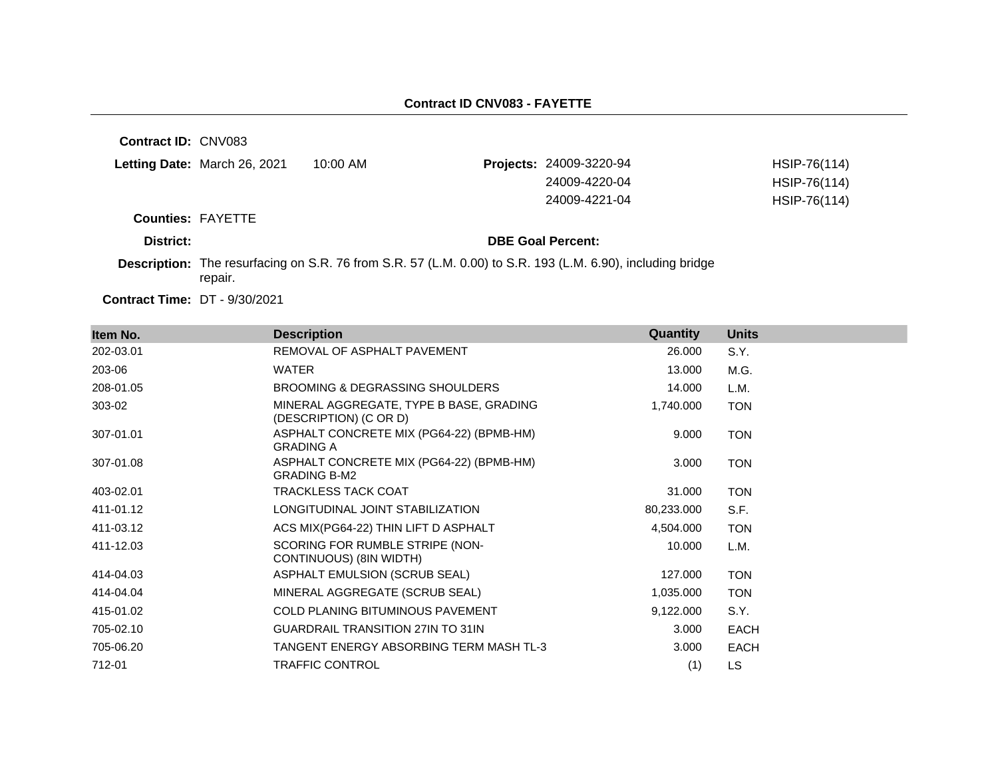**Contract ID:** CNV083

| Letting Date: March 26, 2021 | 10:00 AM | <b>Projects: 24009-3220-94</b> | HSIP-76(114) |
|------------------------------|----------|--------------------------------|--------------|
|                              |          | 24009-4220-04                  | HSIP-76(114) |
|                              |          | 24009-4221-04                  | HSIP-76(114) |

**Counties:** FAYETTE

#### **District: District: DBE Goal Percent:**

**Description:** The resurfacing on S.R. 76 from S.R. 57 (L.M. 0.00) to S.R. 193 (L.M. 6.90), including bridge repair.

**Contract Time:** DT - 9/30/2021

| Item No.  | <b>Description</b>                                                | Quantity   | <b>Units</b> |
|-----------|-------------------------------------------------------------------|------------|--------------|
| 202-03.01 | REMOVAL OF ASPHALT PAVEMENT                                       | 26.000     | S.Y.         |
| 203-06    | <b>WATER</b>                                                      | 13.000     | M.G.         |
| 208-01.05 | BROOMING & DEGRASSING SHOULDERS                                   | 14.000     | L.M.         |
| 303-02    | MINERAL AGGREGATE, TYPE B BASE, GRADING<br>(DESCRIPTION) (C OR D) | 1,740.000  | <b>TON</b>   |
| 307-01.01 | ASPHALT CONCRETE MIX (PG64-22) (BPMB-HM)<br><b>GRADING A</b>      | 9.000      | <b>TON</b>   |
| 307-01.08 | ASPHALT CONCRETE MIX (PG64-22) (BPMB-HM)<br><b>GRADING B-M2</b>   | 3.000      | <b>TON</b>   |
| 403-02.01 | <b>TRACKLESS TACK COAT</b>                                        | 31.000     | <b>TON</b>   |
| 411-01.12 | LONGITUDINAL JOINT STABILIZATION                                  | 80,233.000 | S.F.         |
| 411-03.12 | ACS MIX(PG64-22) THIN LIFT D ASPHALT                              | 4,504.000  | <b>TON</b>   |
| 411-12.03 | SCORING FOR RUMBLE STRIPE (NON-<br>CONTINUOUS) (8IN WIDTH)        | 10.000     | L.M.         |
| 414-04.03 | ASPHALT EMULSION (SCRUB SEAL)                                     | 127.000    | <b>TON</b>   |
| 414-04.04 | MINERAL AGGREGATE (SCRUB SEAL)                                    | 1,035.000  | <b>TON</b>   |
| 415-01.02 | <b>COLD PLANING BITUMINOUS PAVEMENT</b>                           | 9,122.000  | S.Y.         |
| 705-02.10 | <b>GUARDRAIL TRANSITION 27IN TO 31IN</b>                          | 3.000      | <b>EACH</b>  |
| 705-06.20 | TANGENT ENERGY ABSORBING TERM MASH TL-3                           | 3.000      | <b>EACH</b>  |
| 712-01    | <b>TRAFFIC CONTROL</b>                                            | (1)        | LS           |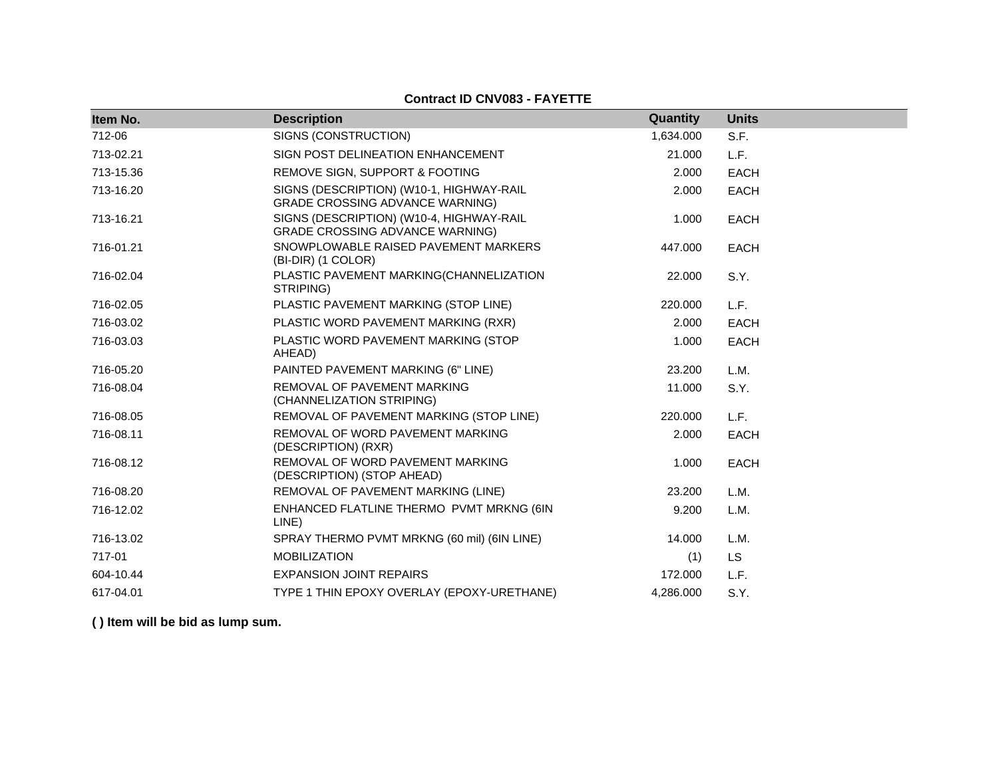## **Contract ID CNV083 - FAYETTE**

| Item No.  | <b>Description</b>                                                                 | Quantity  | <b>Units</b> |
|-----------|------------------------------------------------------------------------------------|-----------|--------------|
| 712-06    | SIGNS (CONSTRUCTION)                                                               | 1,634.000 | S.F.         |
| 713-02.21 | SIGN POST DELINEATION ENHANCEMENT                                                  | 21.000    | L.F.         |
| 713-15.36 | REMOVE SIGN, SUPPORT & FOOTING                                                     | 2.000     | <b>EACH</b>  |
| 713-16.20 | SIGNS (DESCRIPTION) (W10-1, HIGHWAY-RAIL<br><b>GRADE CROSSING ADVANCE WARNING)</b> | 2.000     | <b>EACH</b>  |
| 713-16.21 | SIGNS (DESCRIPTION) (W10-4, HIGHWAY-RAIL<br><b>GRADE CROSSING ADVANCE WARNING)</b> | 1.000     | <b>EACH</b>  |
| 716-01.21 | SNOWPLOWABLE RAISED PAVEMENT MARKERS<br>(BI-DIR) (1 COLOR)                         | 447.000   | <b>EACH</b>  |
| 716-02.04 | PLASTIC PAVEMENT MARKING(CHANNELIZATION<br>STRIPING)                               | 22.000    | S.Y.         |
| 716-02.05 | PLASTIC PAVEMENT MARKING (STOP LINE)                                               | 220.000   | L.F.         |
| 716-03.02 | PLASTIC WORD PAVEMENT MARKING (RXR)                                                | 2.000     | <b>EACH</b>  |
| 716-03.03 | PLASTIC WORD PAVEMENT MARKING (STOP<br>AHEAD)                                      | 1.000     | <b>EACH</b>  |
| 716-05.20 | PAINTED PAVEMENT MARKING (6" LINE)                                                 | 23.200    | L.M.         |
| 716-08.04 | REMOVAL OF PAVEMENT MARKING<br>(CHANNELIZATION STRIPING)                           | 11.000    | S.Y.         |
| 716-08.05 | REMOVAL OF PAVEMENT MARKING (STOP LINE)                                            | 220.000   | L.F.         |
| 716-08.11 | REMOVAL OF WORD PAVEMENT MARKING<br>(DESCRIPTION) (RXR)                            | 2.000     | <b>EACH</b>  |
| 716-08.12 | REMOVAL OF WORD PAVEMENT MARKING<br>(DESCRIPTION) (STOP AHEAD)                     | 1.000     | <b>EACH</b>  |
| 716-08.20 | REMOVAL OF PAVEMENT MARKING (LINE)                                                 | 23.200    | L.M.         |
| 716-12.02 | ENHANCED FLATLINE THERMO PVMT MRKNG (6IN<br>LINE)                                  | 9.200     | L.M.         |
| 716-13.02 | SPRAY THERMO PVMT MRKNG (60 mil) (6IN LINE)                                        | 14.000    | L.M.         |
| 717-01    | <b>MOBILIZATION</b>                                                                | (1)       | <b>LS</b>    |
| 604-10.44 | <b>EXPANSION JOINT REPAIRS</b>                                                     | 172,000   | L.F.         |
| 617-04.01 | TYPE 1 THIN EPOXY OVERLAY (EPOXY-URETHANE)                                         | 4,286.000 | S.Y.         |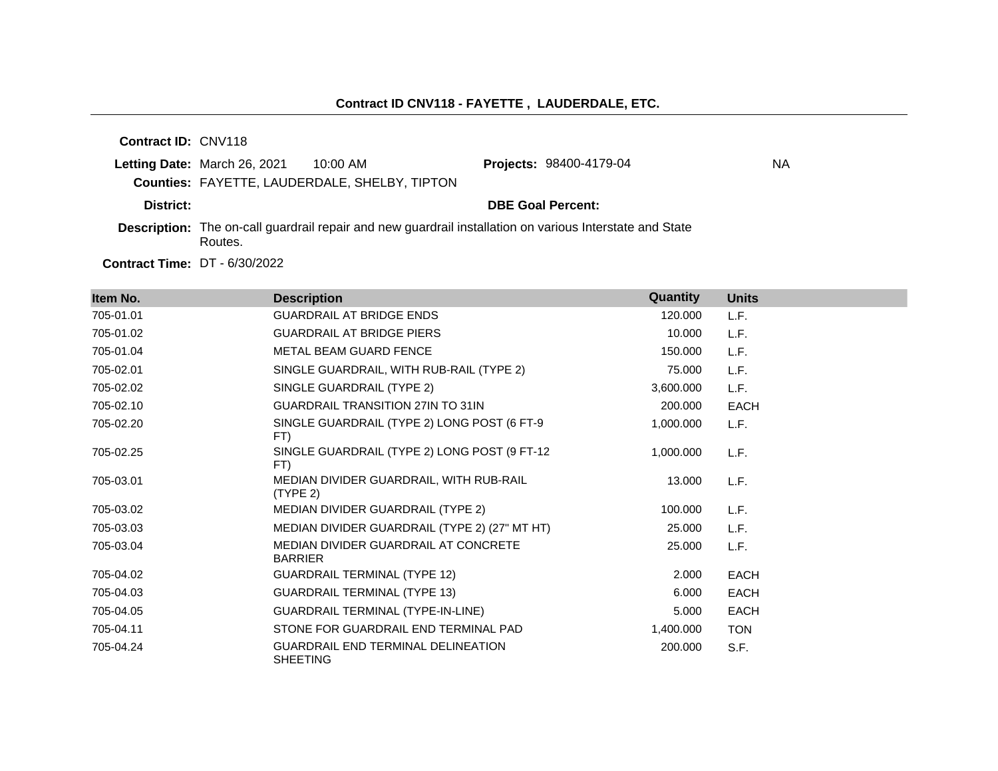**Contract ID:** CNV118

|           | <b>Letting Date:</b> March 26, 2021 10:00 AM                                                                        |                                               | <b>Projects: 98400-4179-04</b> | <b>NA</b> |
|-----------|---------------------------------------------------------------------------------------------------------------------|-----------------------------------------------|--------------------------------|-----------|
|           |                                                                                                                     | Counties: FAYETTE, LAUDERDALE, SHELBY, TIPTON |                                |           |
| District: |                                                                                                                     |                                               | <b>DBE Goal Percent:</b>       |           |
|           | Description: The on-call guardrail repair and new guardrail installation on various Interstate and State<br>Routes. |                                               |                                |           |

**Contract Time:** DT - 6/30/2022

| Item No.  | <b>Description</b>                                           | Quantity  | <b>Units</b> |
|-----------|--------------------------------------------------------------|-----------|--------------|
| 705-01.01 | <b>GUARDRAIL AT BRIDGE ENDS</b>                              | 120,000   | L.F.         |
| 705-01.02 | <b>GUARDRAIL AT BRIDGE PIERS</b>                             | 10.000    | L.F.         |
| 705-01.04 | METAL BEAM GUARD FENCE                                       | 150,000   | L.F.         |
| 705-02.01 | SINGLE GUARDRAIL, WITH RUB-RAIL (TYPE 2)                     | 75.000    | L.F.         |
| 705-02.02 | SINGLE GUARDRAIL (TYPE 2)                                    | 3,600.000 | L.F.         |
| 705-02.10 | GUARDRAIL TRANSITION 27IN TO 31IN                            | 200.000   | <b>EACH</b>  |
| 705-02.20 | SINGLE GUARDRAIL (TYPE 2) LONG POST (6 FT-9<br>FT)           | 1,000.000 | L.F.         |
| 705-02.25 | SINGLE GUARDRAIL (TYPE 2) LONG POST (9 FT-12<br>FT)          | 1,000.000 | L.F.         |
| 705-03.01 | MEDIAN DIVIDER GUARDRAIL, WITH RUB-RAIL<br>(TYPE 2)          | 13.000    | L.F.         |
| 705-03.02 | MEDIAN DIVIDER GUARDRAIL (TYPE 2)                            | 100.000   | L.F.         |
| 705-03.03 | MEDIAN DIVIDER GUARDRAIL (TYPE 2) (27" MT HT)                | 25.000    | L.F.         |
| 705-03.04 | MEDIAN DIVIDER GUARDRAIL AT CONCRETE<br><b>BARRIER</b>       | 25,000    | L.F.         |
| 705-04.02 | <b>GUARDRAIL TERMINAL (TYPE 12)</b>                          | 2.000     | <b>EACH</b>  |
| 705-04.03 | <b>GUARDRAIL TERMINAL (TYPE 13)</b>                          | 6.000     | <b>EACH</b>  |
| 705-04.05 | GUARDRAIL TERMINAL (TYPE-IN-LINE)                            | 5.000     | <b>EACH</b>  |
| 705-04.11 | STONE FOR GUARDRAIL END TERMINAL PAD                         | 1,400.000 | <b>TON</b>   |
| 705-04.24 | <b>GUARDRAIL END TERMINAL DELINEATION</b><br><b>SHEETING</b> | 200.000   | S.F.         |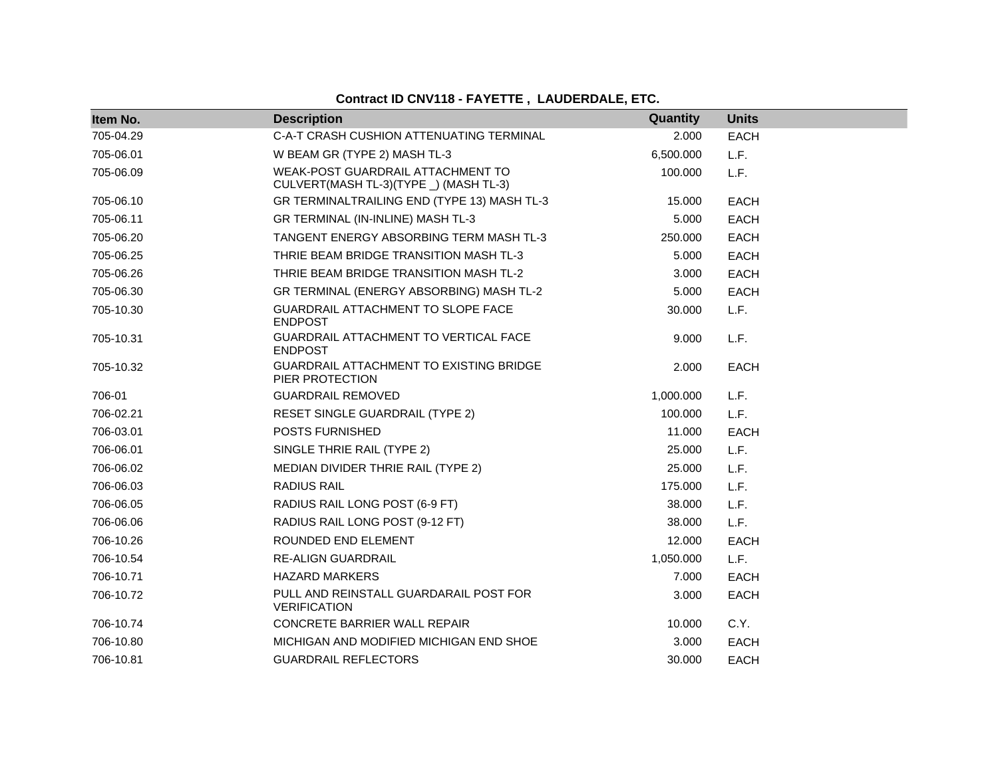# **Contract ID CNV118 - FAYETTE , LAUDERDALE, ETC.**

| Item No.  | <b>Description</b>                                                          | Quantity  | <b>Units</b> |
|-----------|-----------------------------------------------------------------------------|-----------|--------------|
| 705-04.29 | C-A-T CRASH CUSHION ATTENUATING TERMINAL                                    | 2.000     | <b>EACH</b>  |
| 705-06.01 | W BEAM GR (TYPE 2) MASH TL-3                                                | 6,500.000 | L.F.         |
| 705-06.09 | WEAK-POST GUARDRAIL ATTACHMENT TO<br>CULVERT(MASH TL-3)(TYPE _) (MASH TL-3) | 100.000   | L.F.         |
| 705-06.10 | GR TERMINALTRAILING END (TYPE 13) MASH TL-3                                 | 15.000    | <b>EACH</b>  |
| 705-06.11 | GR TERMINAL (IN-INLINE) MASH TL-3                                           | 5.000     | <b>EACH</b>  |
| 705-06.20 | TANGENT ENERGY ABSORBING TERM MASH TL-3                                     | 250.000   | <b>EACH</b>  |
| 705-06.25 | THRIE BEAM BRIDGE TRANSITION MASH TL-3                                      | 5.000     | <b>EACH</b>  |
| 705-06.26 | THRIE BEAM BRIDGE TRANSITION MASH TL-2                                      | 3.000     | <b>EACH</b>  |
| 705-06.30 | GR TERMINAL (ENERGY ABSORBING) MASH TL-2                                    | 5.000     | <b>EACH</b>  |
| 705-10.30 | GUARDRAIL ATTACHMENT TO SLOPE FACE<br><b>ENDPOST</b>                        | 30.000    | L.F.         |
| 705-10.31 | GUARDRAIL ATTACHMENT TO VERTICAL FACE<br><b>ENDPOST</b>                     | 9.000     | L.F.         |
| 705-10.32 | <b>GUARDRAIL ATTACHMENT TO EXISTING BRIDGE</b><br>PIER PROTECTION           | 2.000     | <b>EACH</b>  |
| 706-01    | <b>GUARDRAIL REMOVED</b>                                                    | 1,000.000 | L.F.         |
| 706-02.21 | <b>RESET SINGLE GUARDRAIL (TYPE 2)</b>                                      | 100.000   | L.F.         |
| 706-03.01 | POSTS FURNISHED                                                             | 11.000    | <b>EACH</b>  |
| 706-06.01 | SINGLE THRIE RAIL (TYPE 2)                                                  | 25.000    | L.F.         |
| 706-06.02 | MEDIAN DIVIDER THRIE RAIL (TYPE 2)                                          | 25,000    | L.F.         |
| 706-06.03 | <b>RADIUS RAIL</b>                                                          | 175.000   | L.F.         |
| 706-06.05 | RADIUS RAIL LONG POST (6-9 FT)                                              | 38,000    | L.F.         |
| 706-06.06 | RADIUS RAIL LONG POST (9-12 FT)                                             | 38.000    | L.F.         |
| 706-10.26 | ROUNDED END ELEMENT                                                         | 12.000    | <b>EACH</b>  |
| 706-10.54 | <b>RE-ALIGN GUARDRAIL</b>                                                   | 1,050.000 | L.F.         |
| 706-10.71 | <b>HAZARD MARKERS</b>                                                       | 7.000     | <b>EACH</b>  |
| 706-10.72 | PULL AND REINSTALL GUARDARAIL POST FOR<br><b>VERIFICATION</b>               | 3.000     | <b>EACH</b>  |
| 706-10.74 | <b>CONCRETE BARRIER WALL REPAIR</b>                                         | 10.000    | C.Y.         |
| 706-10.80 | MICHIGAN AND MODIFIED MICHIGAN END SHOE                                     | 3.000     | <b>EACH</b>  |
| 706-10.81 | <b>GUARDRAIL REFLECTORS</b>                                                 | 30.000    | <b>EACH</b>  |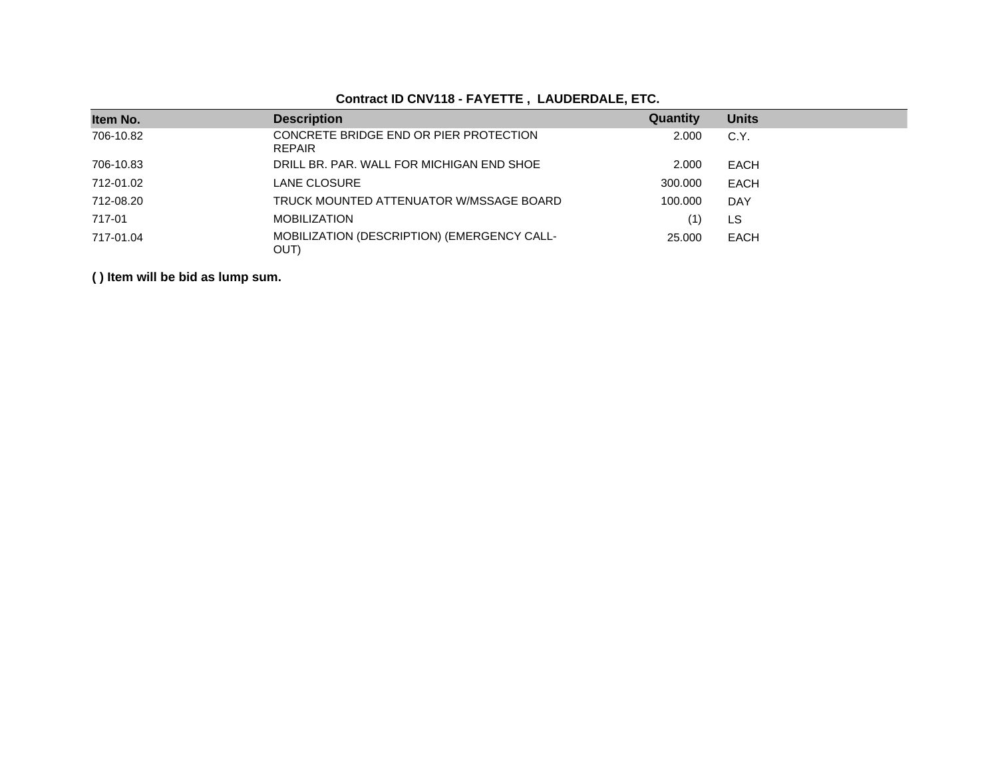# **Contract ID CNV118 - FAYETTE , LAUDERDALE, ETC.**

| Item No.  | <b>Description</b>                                      | Quantity | <b>Units</b> |
|-----------|---------------------------------------------------------|----------|--------------|
| 706-10.82 | CONCRETE BRIDGE END OR PIER PROTECTION<br><b>REPAIR</b> | 2.000    | C.Y.         |
| 706-10.83 | DRILL BR. PAR. WALL FOR MICHIGAN END SHOE               | 2.000    | EACH         |
| 712-01.02 | LANE CLOSURE                                            | 300,000  | <b>EACH</b>  |
| 712-08.20 | TRUCK MOUNTED ATTENUATOR W/MSSAGE BOARD                 | 100.000  | <b>DAY</b>   |
| 717-01    | <b>MOBILIZATION</b>                                     |          | LS           |
| 717-01.04 | MOBILIZATION (DESCRIPTION) (EMERGENCY CALL-<br>OUT)     | 25,000   | <b>EACH</b>  |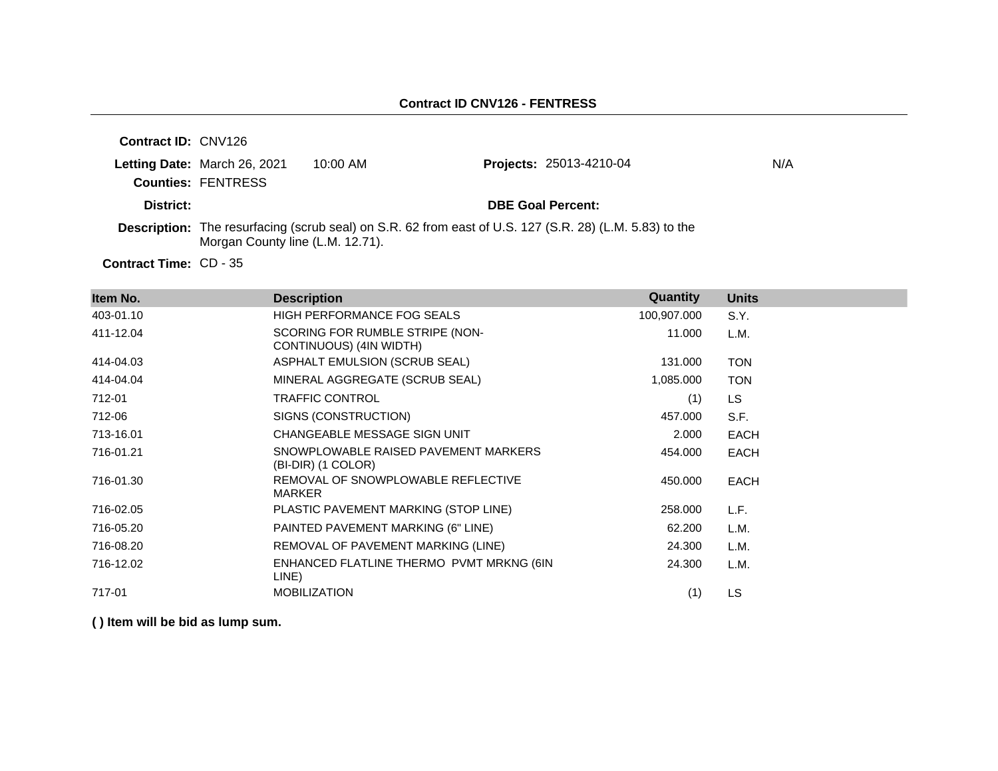| <b>Contract ID: CNV126</b> |                                                           |          |                                                                                                                |     |
|----------------------------|-----------------------------------------------------------|----------|----------------------------------------------------------------------------------------------------------------|-----|
|                            | Letting Date: March 26, 2021<br><b>Counties: FENTRESS</b> | 10:00 AM | <b>Projects: 25013-4210-04</b>                                                                                 | N/A |
| District:                  |                                                           |          | <b>DBE Goal Percent:</b>                                                                                       |     |
|                            | Morgan County line (L.M. 12.71).                          |          | <b>Description:</b> The resurfacing (scrub seal) on S.R. 62 from east of U.S. 127 (S.R. 28) (L.M. 5.83) to the |     |
|                            |                                                           |          |                                                                                                                |     |

Contract Time: CD - 35

| Item No.  | <b>Description</b>                                         | Quantity    | <b>Units</b> |
|-----------|------------------------------------------------------------|-------------|--------------|
| 403-01.10 | HIGH PERFORMANCE FOG SEALS                                 | 100,907.000 | S.Y.         |
| 411-12.04 | SCORING FOR RUMBLE STRIPE (NON-<br>CONTINUOUS) (4IN WIDTH) | 11.000      | L.M.         |
| 414-04.03 | ASPHALT EMULSION (SCRUB SEAL)                              | 131.000     | <b>TON</b>   |
| 414-04.04 | MINERAL AGGREGATE (SCRUB SEAL)                             | 1,085.000   | <b>TON</b>   |
| 712-01    | <b>TRAFFIC CONTROL</b>                                     | (1)         | LS.          |
| 712-06    | SIGNS (CONSTRUCTION)                                       | 457.000     | S.F.         |
| 713-16.01 | CHANGEABLE MESSAGE SIGN UNIT                               | 2.000       | <b>EACH</b>  |
| 716-01.21 | SNOWPLOWABLE RAISED PAVEMENT MARKERS<br>(BI-DIR) (1 COLOR) | 454.000     | <b>EACH</b>  |
| 716-01.30 | REMOVAL OF SNOWPLOWABLE REFLECTIVE<br>MARKER               | 450.000     | <b>EACH</b>  |
| 716-02.05 | PLASTIC PAVEMENT MARKING (STOP LINE)                       | 258.000     | L.F.         |
| 716-05.20 | PAINTED PAVEMENT MARKING (6" LINE)                         | 62.200      | L.M.         |
| 716-08.20 | REMOVAL OF PAVEMENT MARKING (LINE)                         | 24.300      | L.M.         |
| 716-12.02 | ENHANCED FLATLINE THERMO PVMT MRKNG (6IN<br>LINE)          | 24.300      | L.M.         |
| 717-01    | <b>MOBILIZATION</b>                                        | (1)         | LS           |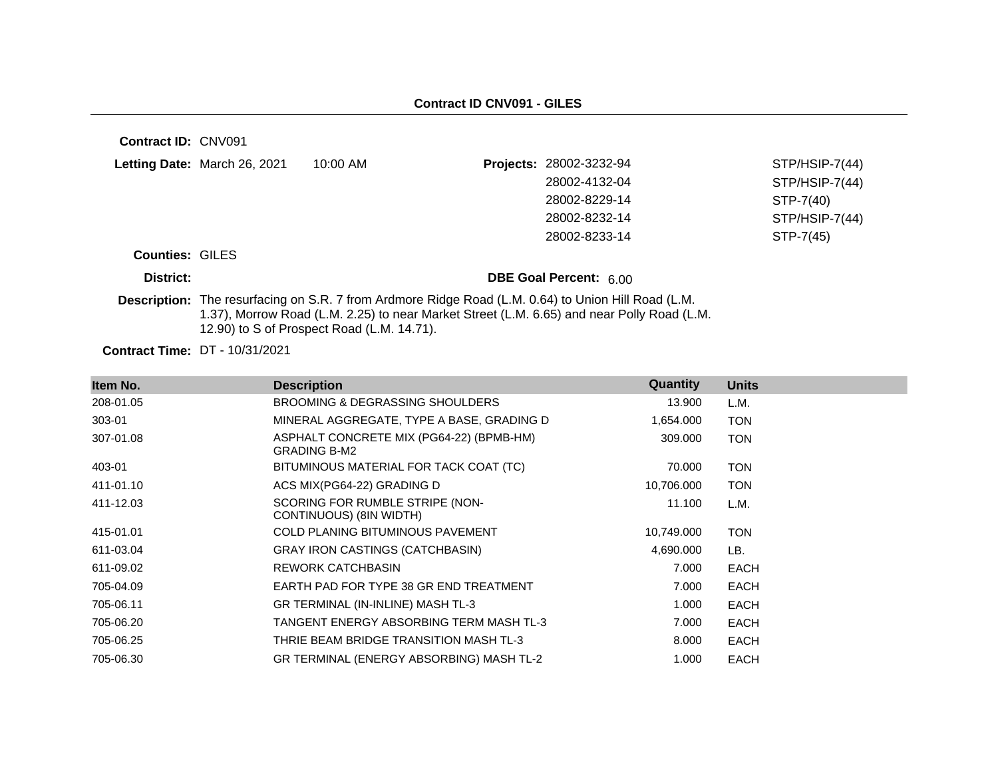| <b>Contract ID: CNV091</b> |                              |                                                                                                                                                                                                                                                 |                         |                  |
|----------------------------|------------------------------|-------------------------------------------------------------------------------------------------------------------------------------------------------------------------------------------------------------------------------------------------|-------------------------|------------------|
|                            | Letting Date: March 26, 2021 | $10:00$ AM                                                                                                                                                                                                                                      | Projects: 28002-3232-94 | $STP/HSIP-7(44)$ |
|                            |                              |                                                                                                                                                                                                                                                 | 28002-4132-04           | STP/HSIP-7(44)   |
|                            |                              |                                                                                                                                                                                                                                                 | 28002-8229-14           | STP-7(40)        |
|                            |                              |                                                                                                                                                                                                                                                 | 28002-8232-14           | STP/HSIP-7(44)   |
|                            |                              |                                                                                                                                                                                                                                                 | 28002-8233-14           | STP-7(45)        |
| <b>Counties: GILES</b>     |                              |                                                                                                                                                                                                                                                 |                         |                  |
| District:                  |                              |                                                                                                                                                                                                                                                 | DBE Goal Percent: 6.00  |                  |
|                            |                              | Description: The resurfacing on S.R. 7 from Ardmore Ridge Road (L.M. 0.64) to Union Hill Road (L.M.<br>1.37), Morrow Road (L.M. 2.25) to near Market Street (L.M. 6.65) and near Polly Road (L.M.<br>12.90) to S of Prospect Road (L.M. 14.71). |                         |                  |
|                            | -- ---------                 |                                                                                                                                                                                                                                                 |                         |                  |

**Contract Time:** DT - 10/31/2021

| Item No.  | <b>Description</b>                                              | Quantity   | <b>Units</b> |
|-----------|-----------------------------------------------------------------|------------|--------------|
| 208-01.05 | <b>BROOMING &amp; DEGRASSING SHOULDERS</b>                      | 13.900     | L.M.         |
| 303-01    | MINERAL AGGREGATE, TYPE A BASE, GRADING D                       | 1,654.000  | <b>TON</b>   |
| 307-01.08 | ASPHALT CONCRETE MIX (PG64-22) (BPMB-HM)<br><b>GRADING B-M2</b> | 309.000    | <b>TON</b>   |
| 403-01    | BITUMINOUS MATERIAL FOR TACK COAT (TC)                          | 70.000     | <b>TON</b>   |
| 411-01.10 | ACS MIX(PG64-22) GRADING D                                      | 10,706.000 | <b>TON</b>   |
| 411-12.03 | SCORING FOR RUMBLE STRIPE (NON-<br>CONTINUOUS) (8IN WIDTH)      | 11.100     | L.M.         |
| 415-01.01 | <b>COLD PLANING BITUMINOUS PAVEMENT</b>                         | 10,749.000 | <b>TON</b>   |
| 611-03.04 | GRAY IRON CASTINGS (CATCHBASIN)                                 | 4,690.000  | LB.          |
| 611-09.02 | <b>REWORK CATCHBASIN</b>                                        | 7.000      | EACH         |
| 705-04.09 | EARTH PAD FOR TYPE 38 GR END TREATMENT                          | 7.000      | <b>EACH</b>  |
| 705-06.11 | GR TERMINAL (IN-INLINE) MASH TL-3                               | 1.000      | <b>EACH</b>  |
| 705-06.20 | TANGENT ENERGY ABSORBING TERM MASH TL-3                         | 7.000      | <b>EACH</b>  |
| 705-06.25 | THRIE BEAM BRIDGE TRANSITION MASH TL-3                          | 8.000      | <b>EACH</b>  |
| 705-06.30 | GR TERMINAL (ENERGY ABSORBING) MASH TL-2                        | 1.000      | <b>EACH</b>  |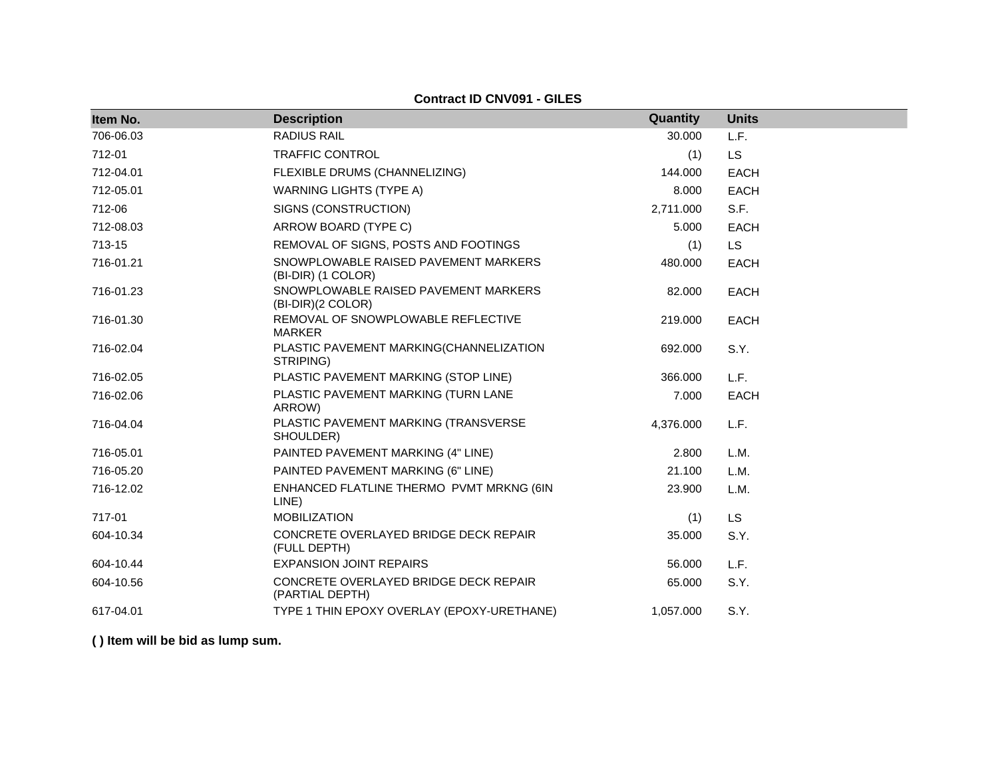**Contract ID CNV091 - GILES**

| Item No.  | <b>Description</b>                                         | Quantity  | <b>Units</b> |
|-----------|------------------------------------------------------------|-----------|--------------|
| 706-06.03 | <b>RADIUS RAIL</b>                                         | 30.000    | L.F.         |
| 712-01    | <b>TRAFFIC CONTROL</b>                                     | (1)       | <b>LS</b>    |
| 712-04.01 | FLEXIBLE DRUMS (CHANNELIZING)                              | 144.000   | EACH         |
| 712-05.01 | <b>WARNING LIGHTS (TYPE A)</b>                             | 8.000     | <b>EACH</b>  |
| 712-06    | SIGNS (CONSTRUCTION)                                       | 2,711.000 | S.F.         |
| 712-08.03 | ARROW BOARD (TYPE C)                                       | 5.000     | <b>EACH</b>  |
| 713-15    | REMOVAL OF SIGNS, POSTS AND FOOTINGS                       | (1)       | <b>LS</b>    |
| 716-01.21 | SNOWPLOWABLE RAISED PAVEMENT MARKERS<br>(BI-DIR) (1 COLOR) | 480.000   | <b>EACH</b>  |
| 716-01.23 | SNOWPLOWABLE RAISED PAVEMENT MARKERS<br>(BI-DIR)(2 COLOR)  | 82.000    | <b>EACH</b>  |
| 716-01.30 | REMOVAL OF SNOWPLOWABLE REFLECTIVE<br><b>MARKER</b>        | 219,000   | <b>EACH</b>  |
| 716-02.04 | PLASTIC PAVEMENT MARKING(CHANNELIZATION<br>STRIPING)       | 692.000   | S.Y.         |
| 716-02.05 | PLASTIC PAVEMENT MARKING (STOP LINE)                       | 366.000   | L.F.         |
| 716-02.06 | PLASTIC PAVEMENT MARKING (TURN LANE<br>ARROW)              | 7.000     | <b>EACH</b>  |
| 716-04.04 | PLASTIC PAVEMENT MARKING (TRANSVERSE<br>SHOULDER)          | 4,376.000 | L.F.         |
| 716-05.01 | PAINTED PAVEMENT MARKING (4" LINE)                         | 2.800     | L.M.         |
| 716-05.20 | PAINTED PAVEMENT MARKING (6" LINE)                         | 21.100    | L.M.         |
| 716-12.02 | ENHANCED FLATLINE THERMO PVMT MRKNG (6IN<br>LINE)          | 23.900    | L.M.         |
| 717-01    | <b>MOBILIZATION</b>                                        | (1)       | <b>LS</b>    |
| 604-10.34 | CONCRETE OVERLAYED BRIDGE DECK REPAIR<br>(FULL DEPTH)      | 35.000    | S.Y.         |
| 604-10.44 | <b>EXPANSION JOINT REPAIRS</b>                             | 56.000    | L.F.         |
| 604-10.56 | CONCRETE OVERLAYED BRIDGE DECK REPAIR<br>(PARTIAL DEPTH)   | 65.000    | S.Y.         |
| 617-04.01 | TYPE 1 THIN EPOXY OVERLAY (EPOXY-URETHANE)                 | 1,057.000 | S.Y.         |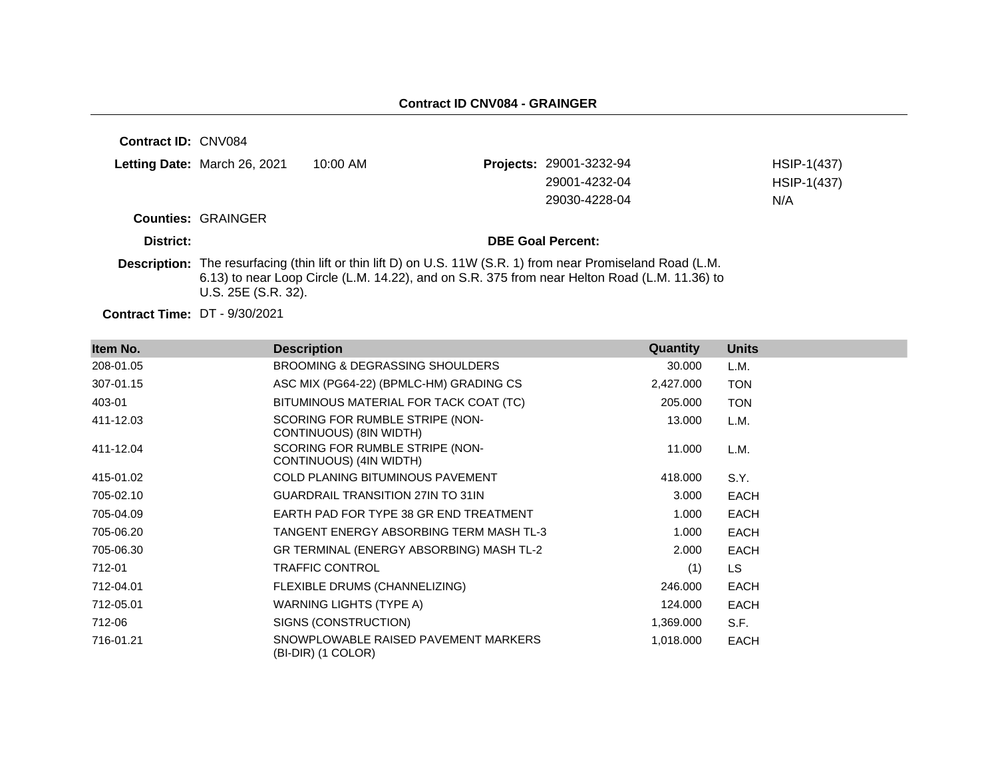**Contract ID:** CNV084 **Letting Date:** March 26, 2021 10:00 AM **Counties:** GRAINGER **District: DBE Goal Percent: Projects:** 29001-3232-94 HSIP-1(437) 29001-4232-04 HSIP-1(437) 29030-4228-04 N/A

**Description:** The resurfacing (thin lift or thin lift D) on U.S. 11W (S.R. 1) from near Promiseland Road (L.M. 6.13) to near Loop Circle (L.M. 14.22), and on S.R. 375 from near Helton Road (L.M. 11.36) to U.S. 25E (S.R. 32).

**Contract Time:** DT - 9/30/2021

| Item No.  | <b>Description</b>                                         | <b>Quantity</b> | <b>Units</b> |
|-----------|------------------------------------------------------------|-----------------|--------------|
| 208-01.05 | <b>BROOMING &amp; DEGRASSING SHOULDERS</b>                 | 30.000          | L.M.         |
| 307-01.15 | ASC MIX (PG64-22) (BPMLC-HM) GRADING CS                    | 2,427.000       | <b>TON</b>   |
| 403-01    | BITUMINOUS MATERIAL FOR TACK COAT (TC)                     | 205.000         | <b>TON</b>   |
| 411-12.03 | SCORING FOR RUMBLE STRIPE (NON-<br>CONTINUOUS) (8IN WIDTH) | 13.000          | L.M.         |
| 411-12.04 | SCORING FOR RUMBLE STRIPE (NON-<br>CONTINUOUS) (4IN WIDTH) | 11.000          | L.M.         |
| 415-01.02 | <b>COLD PLANING BITUMINOUS PAVEMENT</b>                    | 418.000         | S.Y.         |
| 705-02.10 | <b>GUARDRAIL TRANSITION 27IN TO 31IN</b>                   | 3.000           | <b>EACH</b>  |
| 705-04.09 | EARTH PAD FOR TYPE 38 GR END TREATMENT                     | 1.000           | <b>EACH</b>  |
| 705-06.20 | TANGENT ENERGY ABSORBING TERM MASH TL-3                    | 1.000           | EACH         |
| 705-06.30 | GR TERMINAL (ENERGY ABSORBING) MASH TL-2                   | 2.000           | <b>EACH</b>  |
| 712-01    | <b>TRAFFIC CONTROL</b>                                     | (1)             | LS.          |
| 712-04.01 | FLEXIBLE DRUMS (CHANNELIZING)                              | 246.000         | <b>EACH</b>  |
| 712-05.01 | WARNING LIGHTS (TYPE A)                                    | 124.000         | EACH         |
| 712-06    | SIGNS (CONSTRUCTION)                                       | 1,369.000       | S.F.         |
| 716-01.21 | SNOWPLOWABLE RAISED PAVEMENT MARKERS<br>(BI-DIR) (1 COLOR) | 1,018.000       | EACH         |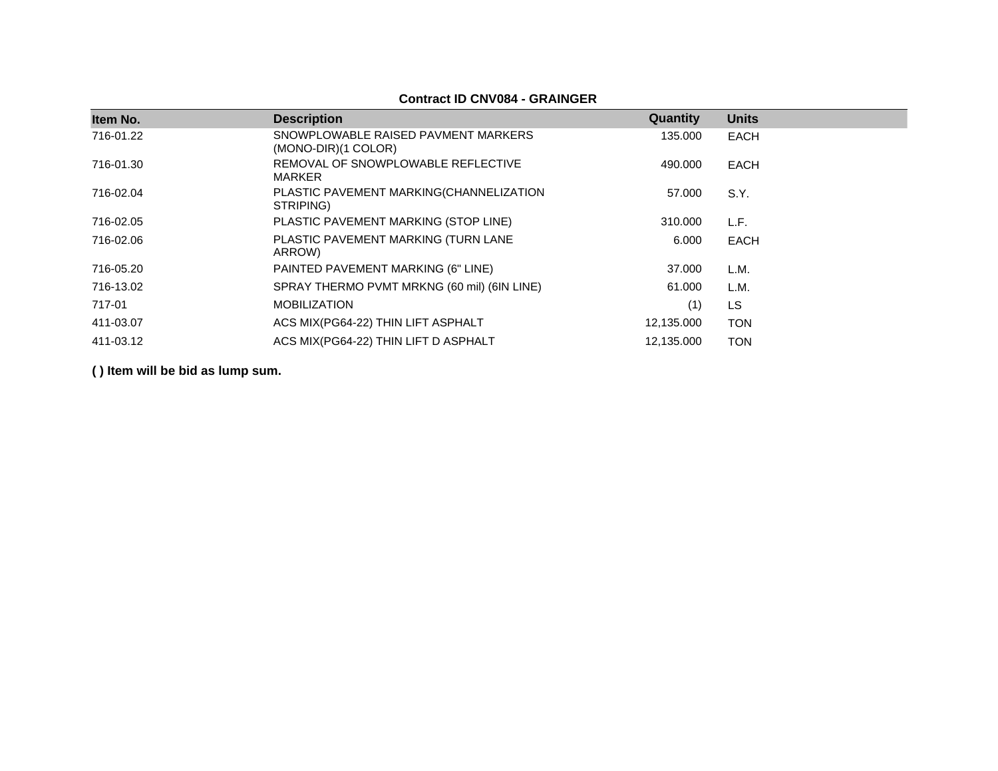### **Contract ID CNV084 - GRAINGER**

| Item No.  | <b>Description</b>                                         | Quantity   | <b>Units</b> |
|-----------|------------------------------------------------------------|------------|--------------|
| 716-01.22 | SNOWPLOWABLE RAISED PAVMENT MARKERS<br>(MONO-DIR)(1 COLOR) | 135,000    | EACH         |
| 716-01.30 | REMOVAL OF SNOWPLOWABLE REFLECTIVE<br><b>MARKER</b>        | 490.000    | <b>EACH</b>  |
| 716-02.04 | PLASTIC PAVEMENT MARKING(CHANNELIZATION<br>STRIPING)       | 57.000     | S.Y.         |
| 716-02.05 | PLASTIC PAVEMENT MARKING (STOP LINE)                       | 310,000    | L.F.         |
| 716-02.06 | PLASTIC PAVEMENT MARKING (TURN LANE<br>ARROW)              | 6.000      | EACH         |
| 716-05.20 | PAINTED PAVEMENT MARKING (6" LINE)                         | 37,000     | L.M.         |
| 716-13.02 | SPRAY THERMO PVMT MRKNG (60 mil) (6IN LINE)                | 61.000     | L.M.         |
| 717-01    | <b>MOBILIZATION</b>                                        | (1)        | LS           |
| 411-03.07 | ACS MIX(PG64-22) THIN LIFT ASPHALT                         | 12,135.000 | <b>TON</b>   |
| 411-03.12 | ACS MIX(PG64-22) THIN LIFT D ASPHALT                       | 12,135.000 | <b>TON</b>   |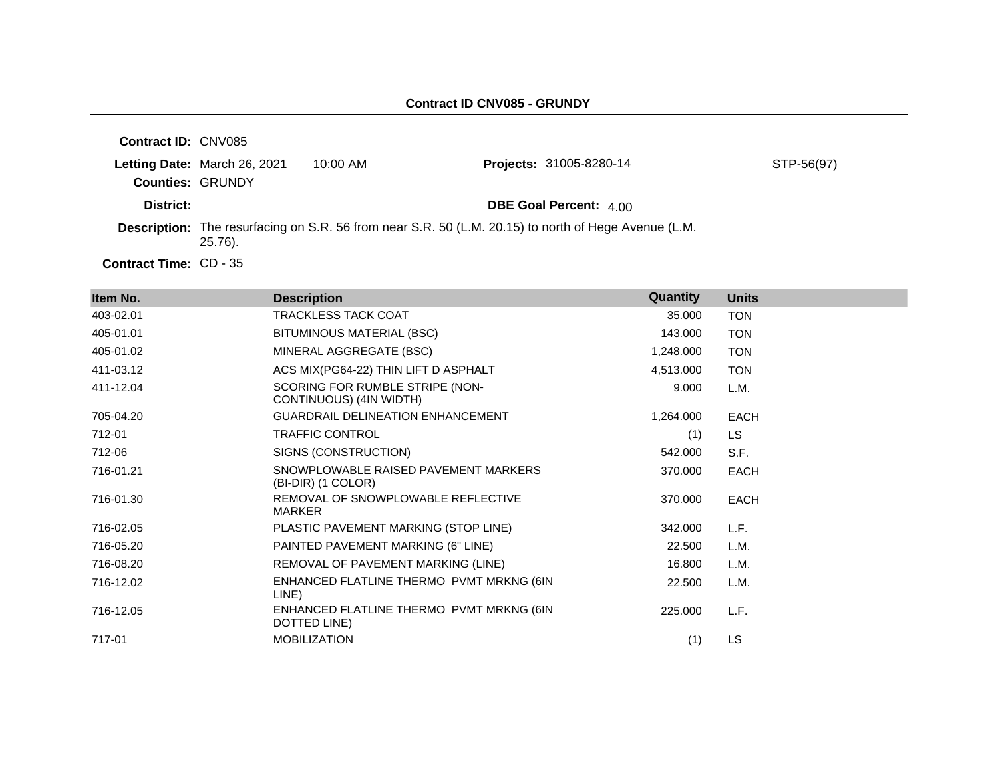| <b>Contract ID: CNV085</b>    |                              |            |                                                                                                      |            |
|-------------------------------|------------------------------|------------|------------------------------------------------------------------------------------------------------|------------|
| <b>Counties: GRUNDY</b>       | Letting Date: March 26, 2021 | $10:00$ AM | <b>Projects: 31005-8280-14</b>                                                                       | STP-56(97) |
| District:                     |                              |            | <b>DBE Goal Percent: 4.00</b>                                                                        |            |
|                               | $25.76$ ).                   |            | Description: The resurfacing on S.R. 56 from near S.R. 50 (L.M. 20.15) to north of Hege Avenue (L.M. |            |
| <b>Contract Time: CD - 35</b> |                              |            |                                                                                                      |            |

| Item No.  | <b>Description</b>                                         | Quantity  | <b>Units</b> |
|-----------|------------------------------------------------------------|-----------|--------------|
| 403-02.01 | <b>TRACKLESS TACK COAT</b>                                 | 35.000    | <b>TON</b>   |
| 405-01.01 | BITUMINOUS MATERIAL (BSC)                                  | 143.000   | <b>TON</b>   |
| 405-01.02 | MINERAL AGGREGATE (BSC)                                    | 1,248.000 | <b>TON</b>   |
| 411-03.12 | ACS MIX(PG64-22) THIN LIFT D ASPHALT                       | 4,513.000 | <b>TON</b>   |
| 411-12.04 | SCORING FOR RUMBLE STRIPE (NON-<br>CONTINUOUS) (4IN WIDTH) | 9.000     | L.M.         |
| 705-04.20 | <b>GUARDRAIL DELINEATION ENHANCEMENT</b>                   | 1,264.000 | <b>EACH</b>  |
| 712-01    | <b>TRAFFIC CONTROL</b>                                     | (1)       | LS.          |
| 712-06    | SIGNS (CONSTRUCTION)                                       | 542.000   | S.F.         |
| 716-01.21 | SNOWPLOWABLE RAISED PAVEMENT MARKERS<br>(BI-DIR) (1 COLOR) | 370.000   | <b>EACH</b>  |
| 716-01.30 | REMOVAL OF SNOWPLOWABLE REFLECTIVE<br><b>MARKER</b>        | 370.000   | <b>EACH</b>  |
| 716-02.05 | PLASTIC PAVEMENT MARKING (STOP LINE)                       | 342.000   | L.F.         |
| 716-05.20 | PAINTED PAVEMENT MARKING (6" LINE)                         | 22.500    | L.M.         |
| 716-08.20 | REMOVAL OF PAVEMENT MARKING (LINE)                         | 16.800    | L.M.         |
| 716-12.02 | ENHANCED FLATLINE THERMO PVMT MRKNG (6IN<br>LINE)          | 22.500    | L.M.         |
| 716-12.05 | ENHANCED FLATLINE THERMO PVMT MRKNG (6IN<br>DOTTED LINE)   | 225.000   | L.F.         |
| 717-01    | <b>MOBILIZATION</b>                                        | (1)       | LS           |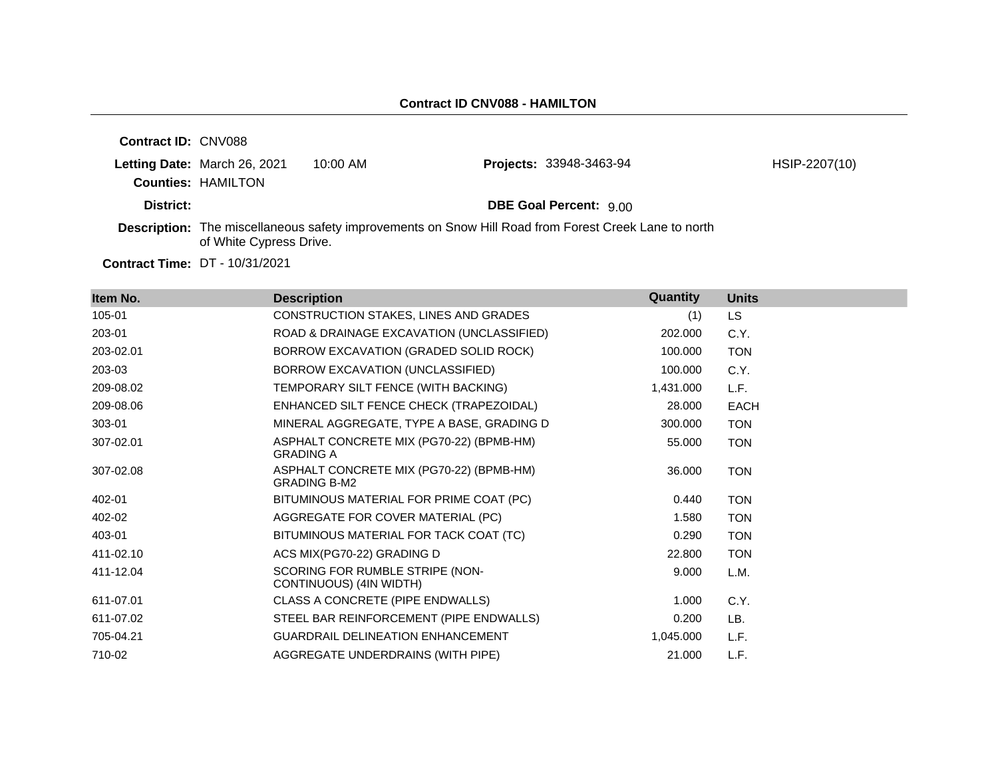| <b>Contract ID: CNV088</b> |                                                           |            |                                                                                                      |               |
|----------------------------|-----------------------------------------------------------|------------|------------------------------------------------------------------------------------------------------|---------------|
|                            | Letting Date: March 26, 2021<br><b>Counties: HAMILTON</b> | $10:00$ AM | <b>Projects: 33948-3463-94</b>                                                                       | HSIP-2207(10) |
| District:                  |                                                           |            | <b>DBE Goal Percent: 9.00</b>                                                                        |               |
|                            | of White Cypress Drive.                                   |            | Description: The miscellaneous safety improvements on Snow Hill Road from Forest Creek Lane to north |               |
|                            |                                                           |            |                                                                                                      |               |

**Contract Time:** DT - 10/31/2021

| Item No.  | <b>Description</b>                                              | Quantity  | <b>Units</b> |
|-----------|-----------------------------------------------------------------|-----------|--------------|
| 105-01    | CONSTRUCTION STAKES, LINES AND GRADES                           | (1)       | LS.          |
| 203-01    | ROAD & DRAINAGE EXCAVATION (UNCLASSIFIED)                       | 202.000   | C.Y.         |
| 203-02.01 | BORROW EXCAVATION (GRADED SOLID ROCK)                           | 100.000   | <b>TON</b>   |
| 203-03    | BORROW EXCAVATION (UNCLASSIFIED)                                | 100.000   | C.Y.         |
| 209-08.02 | TEMPORARY SILT FENCE (WITH BACKING)                             | 1,431.000 | L.F.         |
| 209-08.06 | ENHANCED SILT FENCE CHECK (TRAPEZOIDAL)                         | 28.000    | EACH         |
| 303-01    | MINERAL AGGREGATE, TYPE A BASE, GRADING D                       | 300,000   | <b>TON</b>   |
| 307-02.01 | ASPHALT CONCRETE MIX (PG70-22) (BPMB-HM)<br><b>GRADING A</b>    | 55.000    | <b>TON</b>   |
| 307-02.08 | ASPHALT CONCRETE MIX (PG70-22) (BPMB-HM)<br><b>GRADING B-M2</b> | 36,000    | <b>TON</b>   |
| 402-01    | BITUMINOUS MATERIAL FOR PRIME COAT (PC)                         | 0.440     | <b>TON</b>   |
| 402-02    | AGGREGATE FOR COVER MATERIAL (PC)                               | 1.580     | <b>TON</b>   |
| 403-01    | BITUMINOUS MATERIAL FOR TACK COAT (TC)                          | 0.290     | <b>TON</b>   |
| 411-02.10 | ACS MIX(PG70-22) GRADING D                                      | 22.800    | <b>TON</b>   |
| 411-12.04 | SCORING FOR RUMBLE STRIPE (NON-<br>CONTINUOUS) (4IN WIDTH)      | 9.000     | L.M.         |
| 611-07.01 | CLASS A CONCRETE (PIPE ENDWALLS)                                | 1.000     | C.Y.         |
| 611-07.02 | STEEL BAR REINFORCEMENT (PIPE ENDWALLS)                         | 0.200     | LB.          |
| 705-04.21 | GUARDRAIL DELINEATION ENHANCEMENT                               | 1,045.000 | L.F.         |
| 710-02    | AGGREGATE UNDERDRAINS (WITH PIPE)                               | 21.000    | L.F.         |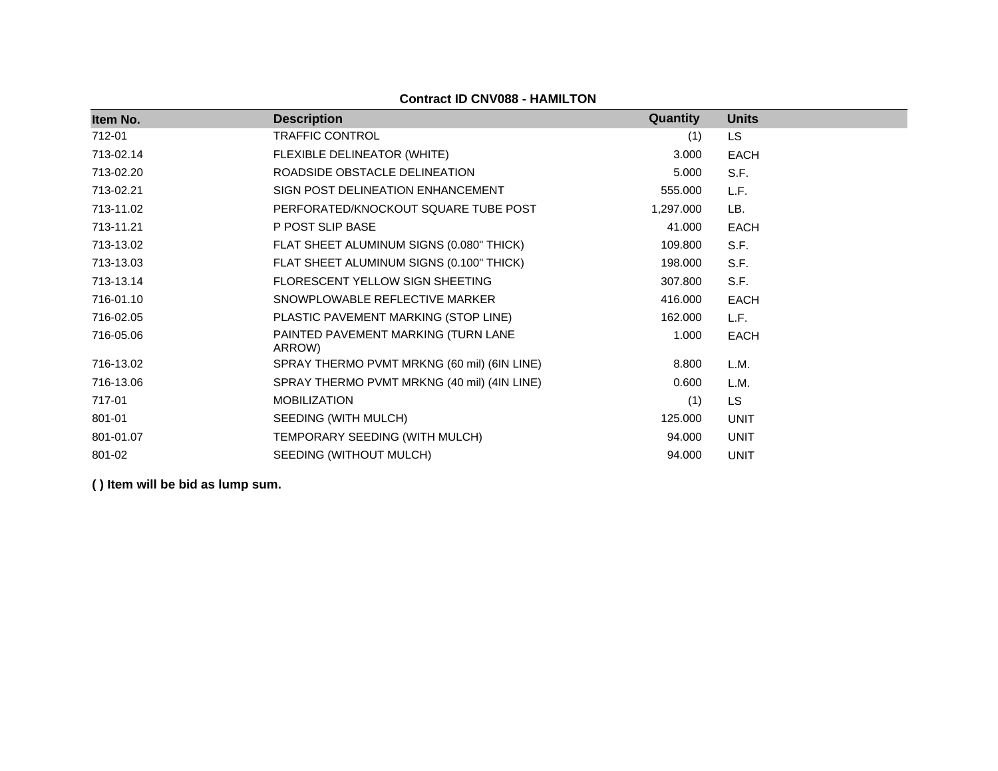| Item No.  | <b>Description</b>                            | Quantity  | <b>Units</b> |
|-----------|-----------------------------------------------|-----------|--------------|
| 712-01    | TRAFFIC CONTROL                               | (1)       | LS           |
| 713-02.14 | FLEXIBLE DELINEATOR (WHITE)                   | 3.000     | <b>EACH</b>  |
| 713-02.20 | ROADSIDE OBSTACLE DELINEATION                 | 5.000     | S.F.         |
| 713-02.21 | SIGN POST DELINEATION ENHANCEMENT             | 555.000   | L.F.         |
| 713-11.02 | PERFORATED/KNOCKOUT SQUARE TUBE POST          | 1,297.000 | LB.          |
| 713-11.21 | P POST SLIP BASE                              | 41.000    | <b>EACH</b>  |
| 713-13.02 | FLAT SHEET ALUMINUM SIGNS (0.080" THICK)      | 109.800   | S.F.         |
| 713-13.03 | FLAT SHEET ALUMINUM SIGNS (0.100" THICK)      | 198.000   | S.F.         |
| 713-13.14 | FLORESCENT YELLOW SIGN SHEETING               | 307.800   | S.F.         |
| 716-01.10 | SNOWPLOWABLE REFLECTIVE MARKER                | 416.000   | <b>EACH</b>  |
| 716-02.05 | PLASTIC PAVEMENT MARKING (STOP LINE)          | 162.000   | L.F.         |
| 716-05.06 | PAINTED PAVEMENT MARKING (TURN LANE<br>ARROW) | 1.000     | <b>EACH</b>  |
| 716-13.02 | SPRAY THERMO PVMT MRKNG (60 mil) (6IN LINE)   | 8.800     | L.M.         |
| 716-13.06 | SPRAY THERMO PVMT MRKNG (40 mil) (4IN LINE)   | 0.600     | L.M.         |
| 717-01    | <b>MOBILIZATION</b>                           | (1)       | <b>LS</b>    |
| 801-01    | SEEDING (WITH MULCH)                          | 125.000   | <b>UNIT</b>  |
| 801-01.07 | TEMPORARY SEEDING (WITH MULCH)                | 94.000    | <b>UNIT</b>  |
| 801-02    | SEEDING (WITHOUT MULCH)                       | 94.000    | <b>UNIT</b>  |

### **Contract ID CNV088 - HAMILTON**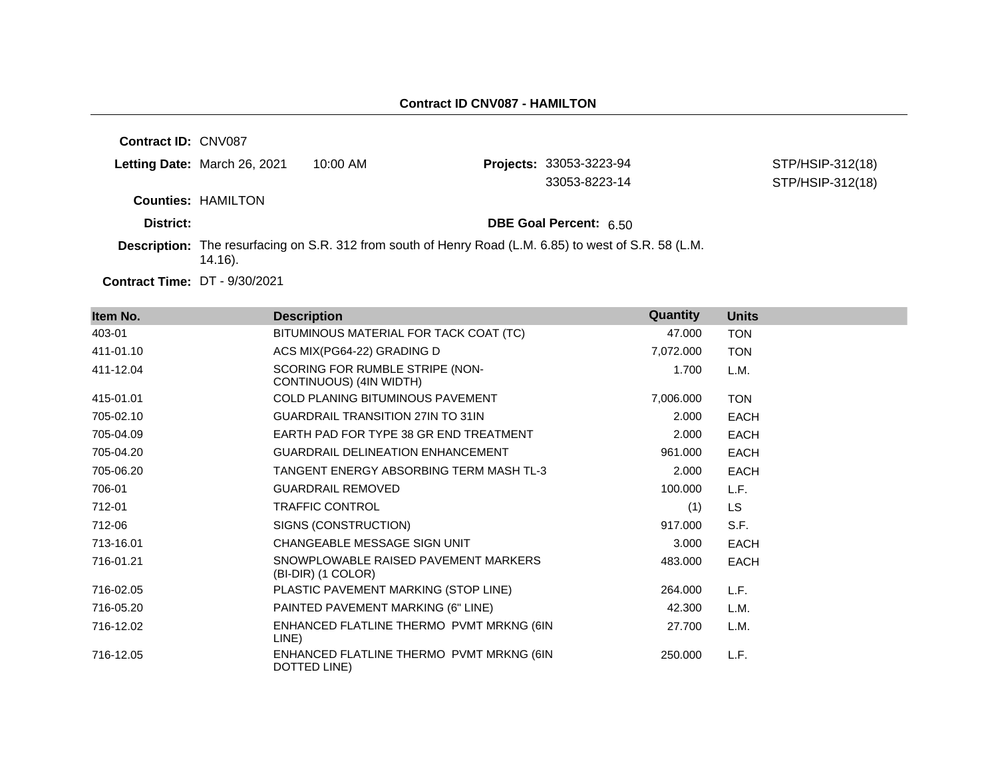| Contract ID: CNV087 |                              |            |                                                                                                        |                                      |
|---------------------|------------------------------|------------|--------------------------------------------------------------------------------------------------------|--------------------------------------|
|                     | Letting Date: March 26, 2021 | $10:00$ AM | <b>Projects: 33053-3223-94</b><br>33053-8223-14                                                        | STP/HSIP-312(18)<br>STP/HSIP-312(18) |
|                     | <b>Counties: HAMILTON</b>    |            |                                                                                                        |                                      |
| District:           |                              |            | <b>DBE Goal Percent: 6.50</b>                                                                          |                                      |
|                     | 14.16).                      |            | Description: The resurfacing on S.R. 312 from south of Henry Road (L.M. 6.85) to west of S.R. 58 (L.M. |                                      |

**Contract Time:** DT - 9/30/2021

| Item No.  | <b>Description</b>                                         | Quantity  | <b>Units</b> |
|-----------|------------------------------------------------------------|-----------|--------------|
| 403-01    | BITUMINOUS MATERIAL FOR TACK COAT (TC)                     | 47.000    | <b>TON</b>   |
| 411-01.10 | ACS MIX(PG64-22) GRADING D                                 | 7,072.000 | <b>TON</b>   |
| 411-12.04 | SCORING FOR RUMBLE STRIPE (NON-<br>CONTINUOUS) (4IN WIDTH) | 1.700     | L.M.         |
| 415-01.01 | <b>COLD PLANING BITUMINOUS PAVEMENT</b>                    | 7,006.000 | <b>TON</b>   |
| 705-02.10 | <b>GUARDRAIL TRANSITION 27IN TO 31IN</b>                   | 2.000     | <b>EACH</b>  |
| 705-04.09 | EARTH PAD FOR TYPE 38 GR END TREATMENT                     | 2.000     | <b>EACH</b>  |
| 705-04.20 | <b>GUARDRAIL DELINEATION ENHANCEMENT</b>                   | 961.000   | <b>EACH</b>  |
| 705-06.20 | TANGENT ENERGY ABSORBING TERM MASH TL-3                    | 2.000     | <b>EACH</b>  |
| 706-01    | <b>GUARDRAIL REMOVED</b>                                   | 100.000   | L.F.         |
| 712-01    | <b>TRAFFIC CONTROL</b>                                     | (1)       | LS.          |
| 712-06    | SIGNS (CONSTRUCTION)                                       | 917.000   | S.F.         |
| 713-16.01 | CHANGEABLE MESSAGE SIGN UNIT                               | 3.000     | <b>EACH</b>  |
| 716-01.21 | SNOWPLOWABLE RAISED PAVEMENT MARKERS<br>(BI-DIR) (1 COLOR) | 483.000   | <b>EACH</b>  |
| 716-02.05 | PLASTIC PAVEMENT MARKING (STOP LINE)                       | 264.000   | L.F.         |
| 716-05.20 | PAINTED PAVEMENT MARKING (6" LINE)                         | 42.300    | L.M.         |
| 716-12.02 | ENHANCED FLATLINE THERMO PVMT MRKNG (6IN<br>LINE)          | 27.700    | L.M.         |
| 716-12.05 | ENHANCED FLATLINE THERMO PVMT MRKNG (6IN<br>DOTTED LINE)   | 250,000   | L.F.         |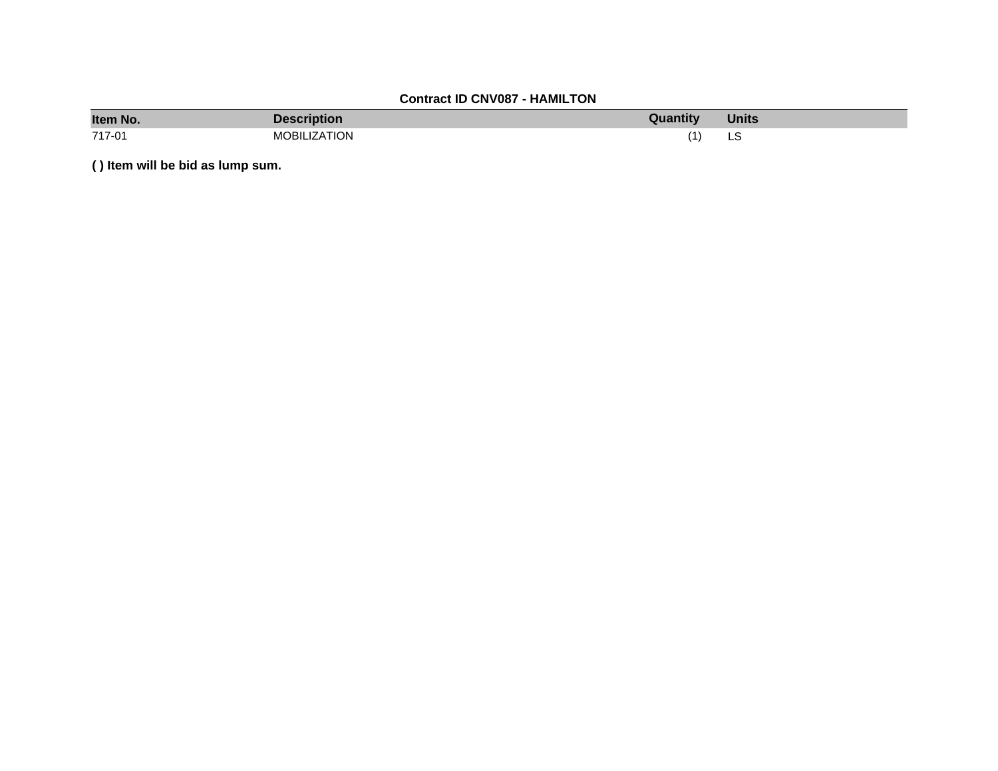# **Contract ID CNV087 - HAMILTON**

| Item No. | <b>Description</b>  | Quantity | <b>Units</b> |
|----------|---------------------|----------|--------------|
| 717-01   | <b>MOBILIZATION</b> |          | ᅛ<br>$\sim$  |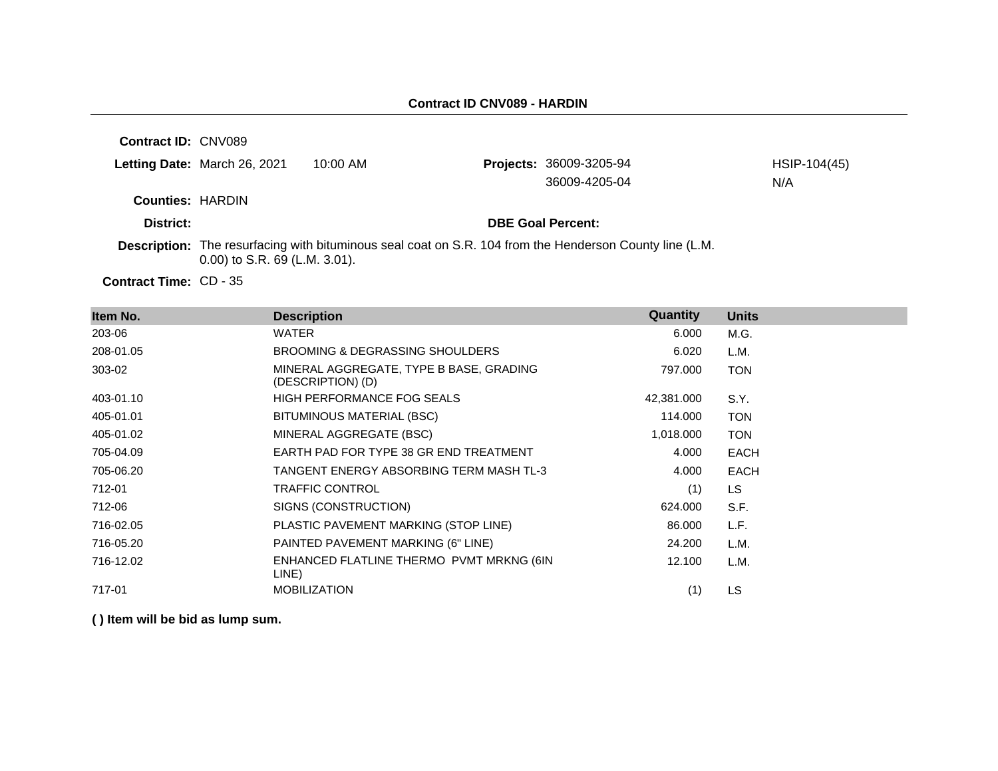**Contract ID:** CNV089

|                         | Letting Date: March 26, 2021 | 10:00 AM | <b>Projects: 36009-3205-94</b><br>36009-4205-04 | HSIP-104(45)<br>N/A |
|-------------------------|------------------------------|----------|-------------------------------------------------|---------------------|
| <b>Counties: HARDIN</b> |                              |          |                                                 |                     |
| District:               |                              |          | <b>DBE Goal Percent:</b>                        |                     |

**Description:** The resurfacing with bituminous seal coat on S.R. 104 from the Henderson County line (L.M. 0.00) to S.R. 69 (L.M. 3.01).

Contract Time: CD - 35

| Item No.  | <b>Description</b>                                           | Quantity   | <b>Units</b> |
|-----------|--------------------------------------------------------------|------------|--------------|
| 203-06    | WATER                                                        | 6.000      | M.G.         |
| 208-01.05 | BROOMING & DEGRASSING SHOULDERS                              | 6.020      | L.M.         |
| 303-02    | MINERAL AGGREGATE, TYPE B BASE, GRADING<br>(DESCRIPTION) (D) | 797.000    | <b>TON</b>   |
| 403-01.10 | HIGH PERFORMANCE FOG SEALS                                   | 42,381.000 | S.Y.         |
| 405-01.01 | BITUMINOUS MATERIAL (BSC)                                    | 114.000    | <b>TON</b>   |
| 405-01.02 | MINERAL AGGREGATE (BSC)                                      | 1,018.000  | <b>TON</b>   |
| 705-04.09 | EARTH PAD FOR TYPE 38 GR END TREATMENT                       | 4.000      | <b>EACH</b>  |
| 705-06.20 | TANGENT ENERGY ABSORBING TERM MASH TL-3                      | 4.000      | <b>EACH</b>  |
| 712-01    | <b>TRAFFIC CONTROL</b>                                       | (1)        | <b>LS</b>    |
| 712-06    | SIGNS (CONSTRUCTION)                                         | 624.000    | S.F.         |
| 716-02.05 | PLASTIC PAVEMENT MARKING (STOP LINE)                         | 86.000     | L.F.         |
| 716-05.20 | PAINTED PAVEMENT MARKING (6" LINE)                           | 24.200     | L.M.         |
| 716-12.02 | ENHANCED FLATLINE THERMO PVMT MRKNG (6IN<br>LINE)            | 12.100     | L.M.         |
| 717-01    | <b>MOBILIZATION</b>                                          | (1)        | LS           |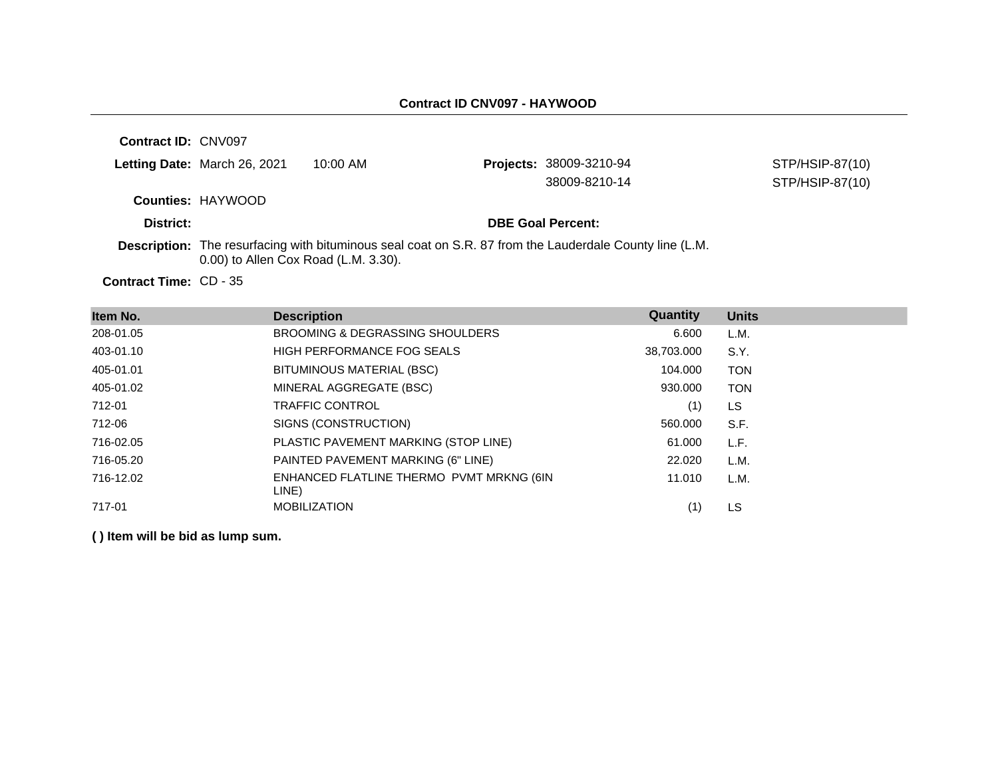**Contract ID:** CNV097 **Letting Date:** March 26, 2021 10:00 AM **Projects:** 38009-3210-94 **Counties:** HAYWOOD **District: DBE Goal Percent:** Contract Time: CD - 35 **Description:** The resurfacing with bituminous seal coat on S.R. 87 from the Lauderdale County line (L.M. 0.00) to Allen Cox Road (L.M. 3.30). STP/HSIP-87(10) 38009-8210-14 STP/HSIP-87(10)

**Item No. Description Quantity Units** 208-01.05 BROOMING & DEGRASSING SHOULDERS 6.600 L.M. 403-01.10 HIGH PERFORMANCE FOG SEALS 38,703.000 S.Y. 405-01.01 BITUMINOUS MATERIAL (BSC) 104.000 TON 405-01.02 MINERAL AGGREGATE (BSC) 930.000 TON 712-01 TRAFFIC CONTROL (1) LS 712-06 SIGNS (CONSTRUCTION) 560.000 S.F. 716-02.05 PLASTIC PAVEMENT MARKING (STOP LINE) 61.000 L.F. 716-05.20 PAINTED PAVEMENT MARKING (6" LINE) 22.020 L.M. 716-12.02 ENHANCED FLATLINE THERMO PVMT MRKNG (6IN LINE) 11.010 L.M. 717-01 MOBILIZATION (1) LS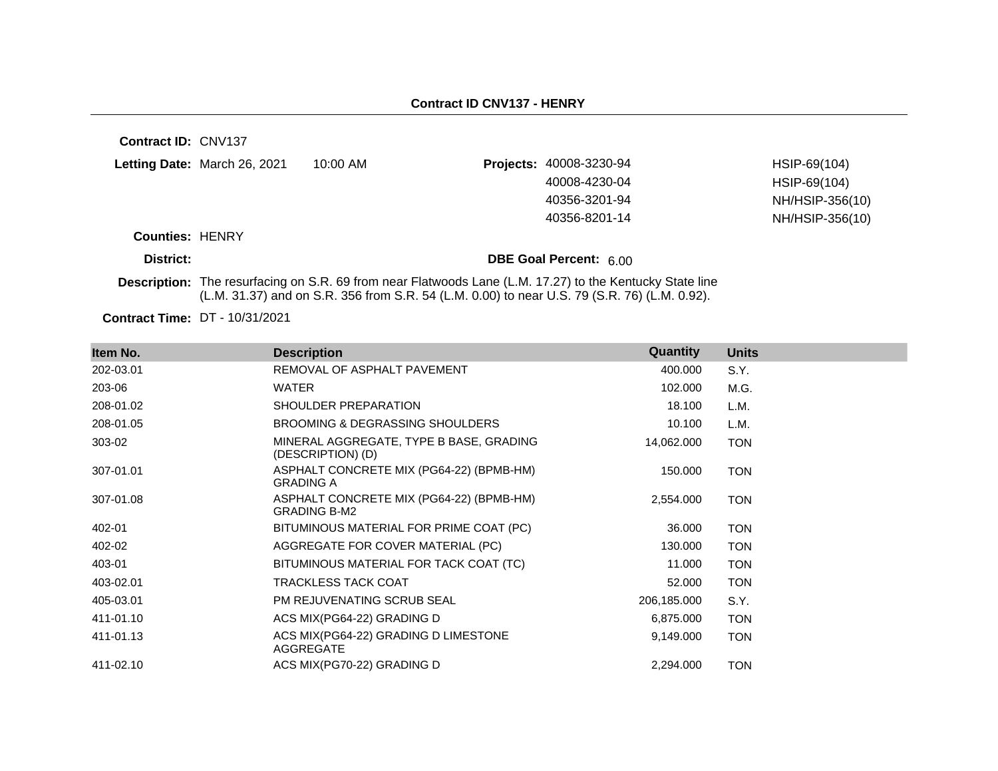| <b>Contract ID: CNV137</b> |                              |                                                                                              |                                                                                                                 |                 |
|----------------------------|------------------------------|----------------------------------------------------------------------------------------------|-----------------------------------------------------------------------------------------------------------------|-----------------|
|                            | Letting Date: March 26, 2021 | 10:00 AM                                                                                     | <b>Projects: 40008-3230-94</b>                                                                                  | HSIP-69(104)    |
|                            |                              |                                                                                              | 40008-4230-04                                                                                                   | HSIP-69(104)    |
|                            |                              |                                                                                              | 40356-3201-94                                                                                                   | NH/HSIP-356(10) |
|                            |                              |                                                                                              | 40356-8201-14                                                                                                   | NH/HSIP-356(10) |
| <b>Counties: HENRY</b>     |                              |                                                                                              |                                                                                                                 |                 |
| District:                  |                              |                                                                                              | DBE Goal Percent: 6.00                                                                                          |                 |
|                            |                              | (L.M. 31.37) and on S.R. 356 from S.R. 54 (L.M. 0.00) to near U.S. 79 (S.R. 76) (L.M. 0.92). | <b>Description:</b> The resurfacing on S.R. 69 from near Flatwoods Lane (L.M. 17.27) to the Kentucky State line |                 |

**Contract Time:** DT - 10/31/2021

| Item No.  | <b>Description</b>                                              | Quantity    | <b>Units</b> |
|-----------|-----------------------------------------------------------------|-------------|--------------|
| 202-03.01 | REMOVAL OF ASPHALT PAVEMENT                                     | 400.000     | S.Y.         |
| 203-06    | <b>WATER</b>                                                    | 102.000     | M.G.         |
| 208-01.02 | SHOULDER PREPARATION                                            | 18.100      | L.M.         |
| 208-01.05 | BROOMING & DEGRASSING SHOULDERS                                 | 10.100      | L.M.         |
| 303-02    | MINERAL AGGREGATE, TYPE B BASE, GRADING<br>(DESCRIPTION) (D)    | 14,062.000  | <b>TON</b>   |
| 307-01.01 | ASPHALT CONCRETE MIX (PG64-22) (BPMB-HM)<br><b>GRADING A</b>    | 150.000     | <b>TON</b>   |
| 307-01.08 | ASPHALT CONCRETE MIX (PG64-22) (BPMB-HM)<br><b>GRADING B-M2</b> | 2,554.000   | <b>TON</b>   |
| 402-01    | BITUMINOUS MATERIAL FOR PRIME COAT (PC)                         | 36.000      | <b>TON</b>   |
| 402-02    | AGGREGATE FOR COVER MATERIAL (PC)                               | 130.000     | <b>TON</b>   |
| 403-01    | BITUMINOUS MATERIAL FOR TACK COAT (TC)                          | 11.000      | <b>TON</b>   |
| 403-02.01 | TRACKLESS TACK COAT                                             | 52.000      | <b>TON</b>   |
| 405-03.01 | <b>PM REJUVENATING SCRUB SEAL</b>                               | 206,185.000 | S.Y.         |
| 411-01.10 | ACS MIX(PG64-22) GRADING D                                      | 6,875,000   | <b>TON</b>   |
| 411-01.13 | ACS MIX(PG64-22) GRADING D LIMESTONE<br>AGGREGATE               | 9,149.000   | <b>TON</b>   |
| 411-02.10 | ACS MIX(PG70-22) GRADING D                                      | 2,294.000   | <b>TON</b>   |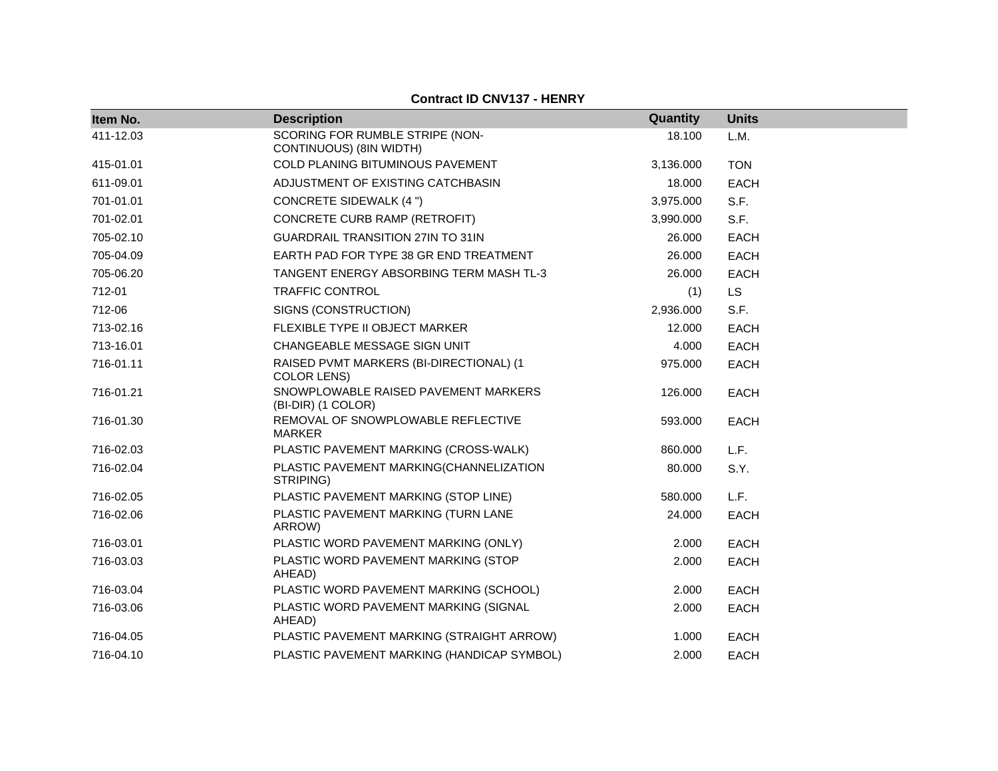**Contract ID CNV137 - HENRY**

| Item No.  | <b>Description</b>                                            | Quantity  | <b>Units</b> |
|-----------|---------------------------------------------------------------|-----------|--------------|
| 411-12.03 | SCORING FOR RUMBLE STRIPE (NON-<br>CONTINUOUS) (8IN WIDTH)    | 18.100    | L.M.         |
| 415-01.01 | COLD PLANING BITUMINOUS PAVEMENT                              | 3,136.000 | <b>TON</b>   |
| 611-09.01 | ADJUSTMENT OF EXISTING CATCHBASIN                             | 18.000    | <b>EACH</b>  |
| 701-01.01 | <b>CONCRETE SIDEWALK (4 ")</b>                                | 3,975.000 | S.F.         |
| 701-02.01 | CONCRETE CURB RAMP (RETROFIT)                                 | 3,990.000 | S.F.         |
| 705-02.10 | <b>GUARDRAIL TRANSITION 27IN TO 31IN</b>                      | 26,000    | <b>EACH</b>  |
| 705-04.09 | EARTH PAD FOR TYPE 38 GR END TREATMENT                        | 26.000    | <b>EACH</b>  |
| 705-06.20 | TANGENT ENERGY ABSORBING TERM MASH TL-3                       | 26.000    | <b>EACH</b>  |
| 712-01    | <b>TRAFFIC CONTROL</b>                                        | (1)       | <b>LS</b>    |
| 712-06    | SIGNS (CONSTRUCTION)                                          | 2,936.000 | S.F.         |
| 713-02.16 | FLEXIBLE TYPE II OBJECT MARKER                                | 12.000    | <b>EACH</b>  |
| 713-16.01 | CHANGEABLE MESSAGE SIGN UNIT                                  | 4.000     | <b>EACH</b>  |
| 716-01.11 | RAISED PVMT MARKERS (BI-DIRECTIONAL) (1<br><b>COLOR LENS)</b> | 975.000   | <b>EACH</b>  |
| 716-01.21 | SNOWPLOWABLE RAISED PAVEMENT MARKERS<br>(BI-DIR) (1 COLOR)    | 126,000   | <b>EACH</b>  |
| 716-01.30 | REMOVAL OF SNOWPLOWABLE REFLECTIVE<br><b>MARKER</b>           | 593.000   | <b>EACH</b>  |
| 716-02.03 | PLASTIC PAVEMENT MARKING (CROSS-WALK)                         | 860,000   | L.F.         |
| 716-02.04 | PLASTIC PAVEMENT MARKING(CHANNELIZATION<br>STRIPING)          | 80.000    | S.Y.         |
| 716-02.05 | PLASTIC PAVEMENT MARKING (STOP LINE)                          | 580.000   | L.F.         |
| 716-02.06 | PLASTIC PAVEMENT MARKING (TURN LANE<br>ARROW)                 | 24.000    | <b>EACH</b>  |
| 716-03.01 | PLASTIC WORD PAVEMENT MARKING (ONLY)                          | 2.000     | <b>EACH</b>  |
| 716-03.03 | PLASTIC WORD PAVEMENT MARKING (STOP<br>AHEAD)                 | 2.000     | <b>EACH</b>  |
| 716-03.04 | PLASTIC WORD PAVEMENT MARKING (SCHOOL)                        | 2.000     | <b>EACH</b>  |
| 716-03.06 | PLASTIC WORD PAVEMENT MARKING (SIGNAL<br>AHEAD)               | 2.000     | <b>EACH</b>  |
| 716-04.05 | PLASTIC PAVEMENT MARKING (STRAIGHT ARROW)                     | 1.000     | <b>EACH</b>  |
| 716-04.10 | PLASTIC PAVEMENT MARKING (HANDICAP SYMBOL)                    | 2.000     | <b>EACH</b>  |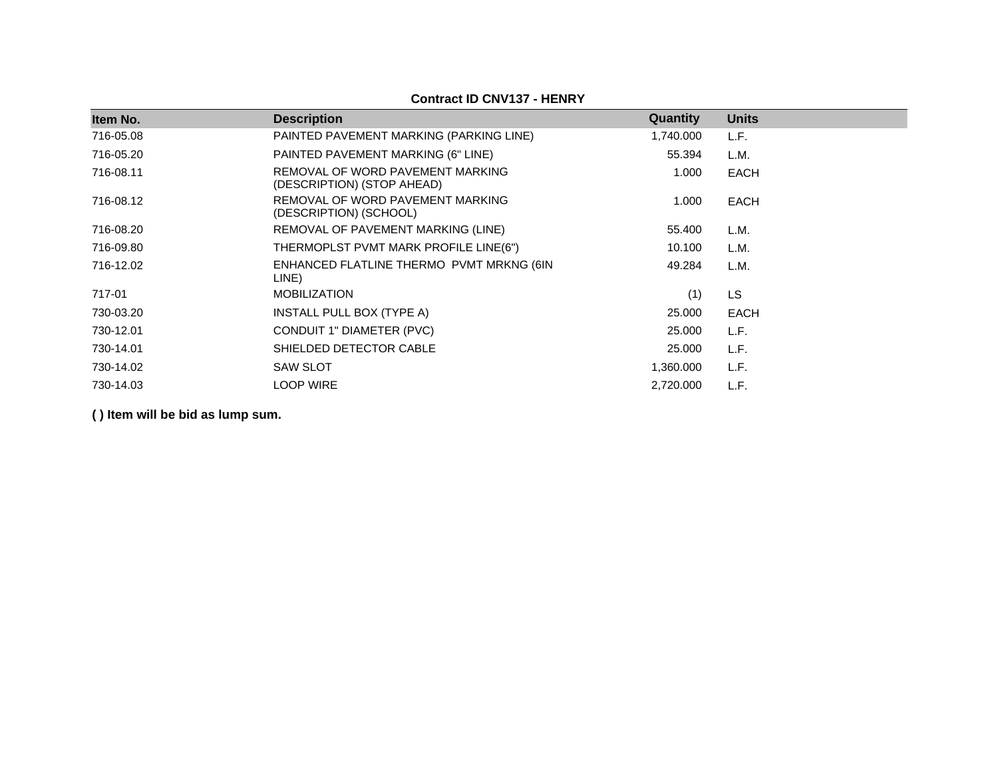# **Contract ID CNV137 - HENRY**

| Item No.  | <b>Description</b>                                             | Quantity  | <b>Units</b> |
|-----------|----------------------------------------------------------------|-----------|--------------|
| 716-05.08 | PAINTED PAVEMENT MARKING (PARKING LINE)                        | 1,740.000 | L.F.         |
| 716-05.20 | PAINTED PAVEMENT MARKING (6" LINE)                             | 55.394    | L.M.         |
| 716-08.11 | REMOVAL OF WORD PAVEMENT MARKING<br>(DESCRIPTION) (STOP AHEAD) | 1.000     | <b>EACH</b>  |
| 716-08.12 | REMOVAL OF WORD PAVEMENT MARKING<br>(DESCRIPTION) (SCHOOL)     | 1.000     | <b>EACH</b>  |
| 716-08.20 | REMOVAL OF PAVEMENT MARKING (LINE)                             | 55.400    | L.M.         |
| 716-09.80 | THERMOPLST PVMT MARK PROFILE LINE(6")                          | 10.100    | L.M.         |
| 716-12.02 | ENHANCED FLATLINE THERMO PVMT MRKNG (6IN<br>LINE)              | 49.284    | L.M.         |
| 717-01    | <b>MOBILIZATION</b>                                            | (1)       | <b>LS</b>    |
| 730-03.20 | INSTALL PULL BOX (TYPE A)                                      | 25.000    | <b>EACH</b>  |
| 730-12.01 | CONDUIT 1" DIAMETER (PVC)                                      | 25,000    | L.F.         |
| 730-14.01 | SHIELDED DETECTOR CABLE                                        | 25.000    | L.F.         |
| 730-14.02 | <b>SAW SLOT</b>                                                | 1,360.000 | L.F.         |
| 730-14.03 | <b>LOOP WIRE</b>                                               | 2,720.000 | L.F.         |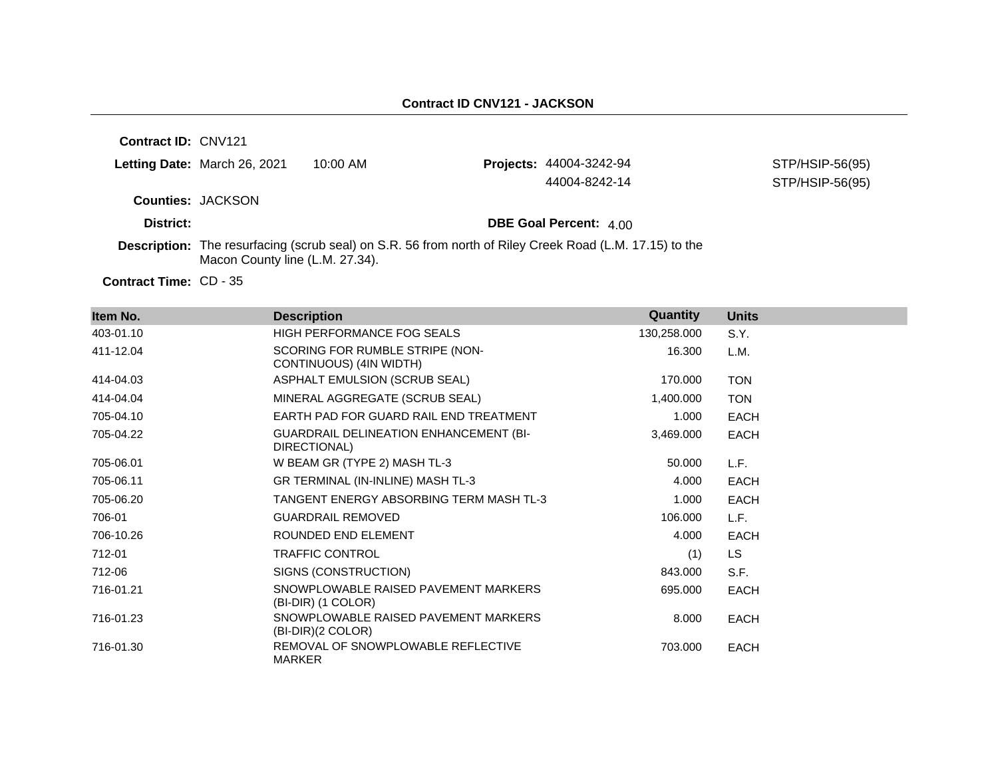| Contract ID: CNV121           |                                 |            |                                                                                                                |                 |
|-------------------------------|---------------------------------|------------|----------------------------------------------------------------------------------------------------------------|-----------------|
|                               | Letting Date: March 26, 2021    | $10:00$ AM | <b>Projects: 44004-3242-94</b>                                                                                 | STP/HSIP-56(95) |
|                               |                                 |            | 44004-8242-14                                                                                                  | STP/HSIP-56(95) |
| <b>Counties: JACKSON</b>      |                                 |            |                                                                                                                |                 |
| District:                     |                                 |            | <b>DBE Goal Percent: 4.00</b>                                                                                  |                 |
|                               | Macon County line (L.M. 27.34). |            | <b>Description:</b> The resurfacing (scrub seal) on S.R. 56 from north of Riley Creek Road (L.M. 17.15) to the |                 |
| <b>Contract Time: CD - 35</b> |                                 |            |                                                                                                                |                 |

| Item No.  | <b>Description</b>                                            | Quantity    | <b>Units</b> |
|-----------|---------------------------------------------------------------|-------------|--------------|
| 403-01.10 | <b>HIGH PERFORMANCE FOG SEALS</b>                             | 130,258.000 | S.Y.         |
| 411-12.04 | SCORING FOR RUMBLE STRIPE (NON-<br>CONTINUOUS) (4IN WIDTH)    | 16.300      | L.M.         |
| 414-04.03 | ASPHALT EMULSION (SCRUB SEAL)                                 | 170,000     | <b>TON</b>   |
| 414-04.04 | MINERAL AGGREGATE (SCRUB SEAL)                                | 1,400.000   | <b>TON</b>   |
| 705-04.10 | EARTH PAD FOR GUARD RAIL END TREATMENT                        | 1.000       | EACH         |
| 705-04.22 | <b>GUARDRAIL DELINEATION ENHANCEMENT (BI-</b><br>DIRECTIONAL) | 3,469.000   | <b>EACH</b>  |
| 705-06.01 | W BEAM GR (TYPE 2) MASH TL-3                                  | 50.000      | L.F.         |
| 705-06.11 | GR TERMINAL (IN-INLINE) MASH TL-3                             | 4.000       | EACH         |
| 705-06.20 | TANGENT ENERGY ABSORBING TERM MASH TL-3                       | 1.000       | <b>EACH</b>  |
| 706-01    | <b>GUARDRAIL REMOVED</b>                                      | 106.000     | L.F.         |
| 706-10.26 | ROUNDED END ELEMENT                                           | 4.000       | <b>EACH</b>  |
| 712-01    | <b>TRAFFIC CONTROL</b>                                        | (1)         | LS.          |
| 712-06    | SIGNS (CONSTRUCTION)                                          | 843,000     | S.F.         |
| 716-01.21 | SNOWPLOWABLE RAISED PAVEMENT MARKERS<br>(BI-DIR) (1 COLOR)    | 695.000     | <b>EACH</b>  |
| 716-01.23 | SNOWPLOWABLE RAISED PAVEMENT MARKERS<br>(BI-DIR)(2 COLOR)     | 8.000       | <b>EACH</b>  |
| 716-01.30 | REMOVAL OF SNOWPLOWABLE REFLECTIVE<br><b>MARKER</b>           | 703.000     | <b>EACH</b>  |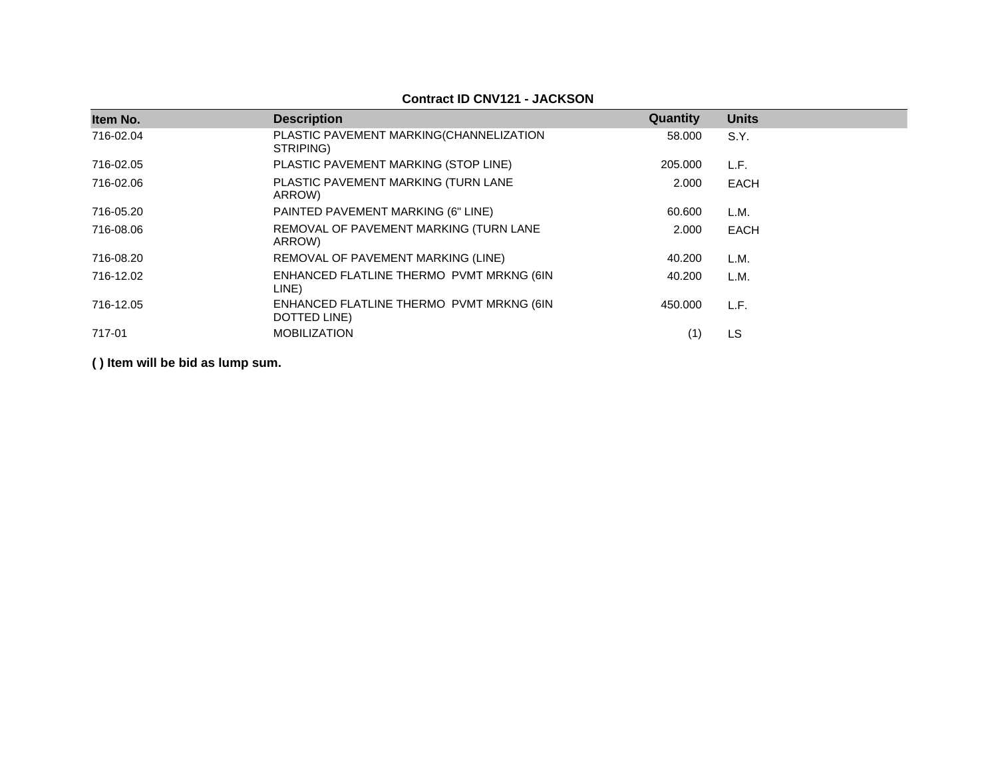| Item No.  | <b>Description</b>                                       | Quantity | <b>Units</b> |
|-----------|----------------------------------------------------------|----------|--------------|
| 716-02.04 | PLASTIC PAVEMENT MARKING(CHANNELIZATION<br>STRIPING)     | 58,000   | S.Y.         |
| 716-02.05 | PLASTIC PAVEMENT MARKING (STOP LINE)                     | 205.000  | L.F.         |
| 716-02.06 | PLASTIC PAVEMENT MARKING (TURN LANE<br>ARROW)            | 2.000    | <b>EACH</b>  |
| 716-05.20 | PAINTED PAVEMENT MARKING (6" LINE)                       | 60.600   | L.M.         |
| 716-08.06 | REMOVAL OF PAVEMENT MARKING (TURN LANE<br>ARROW)         | 2.000    | <b>EACH</b>  |
| 716-08.20 | REMOVAL OF PAVEMENT MARKING (LINE)                       | 40.200   | L.M.         |
| 716-12.02 | ENHANCED FLATLINE THERMO PVMT MRKNG (6IN<br>LINE)        | 40.200   | L.M.         |
| 716-12.05 | ENHANCED FLATLINE THERMO PVMT MRKNG (6IN<br>DOTTED LINE) | 450.000  | L.F.         |
| 717-01    | <b>MOBILIZATION</b>                                      | (1)      | LS           |

## **Contract ID CNV121 - JACKSON**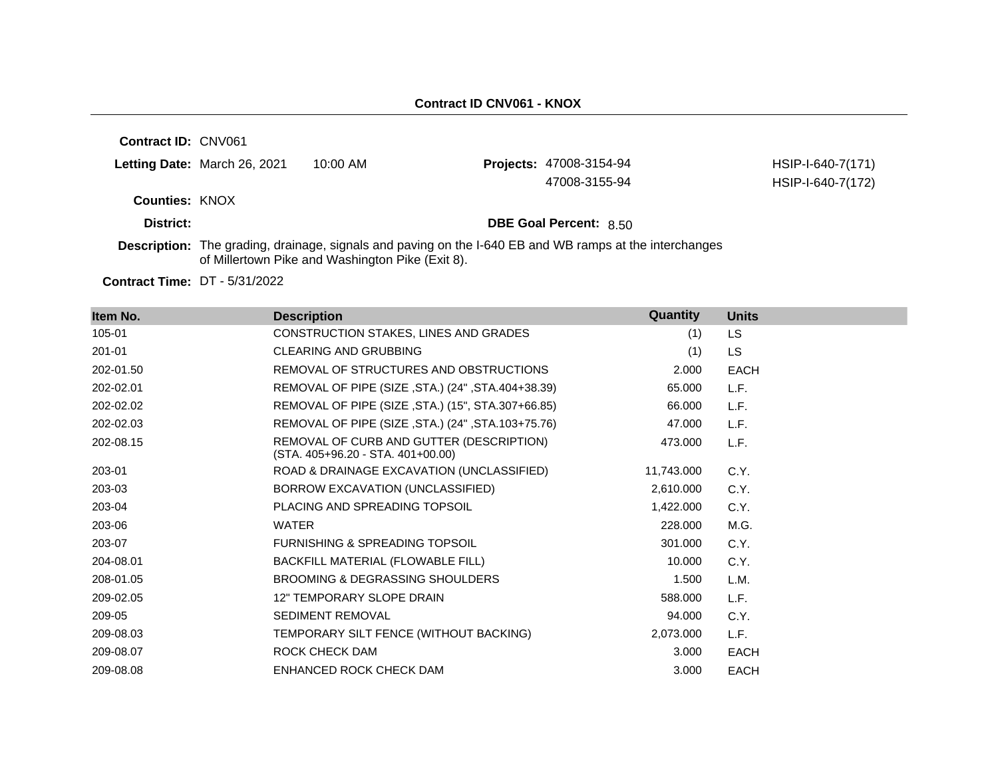HSIP-I-640-7(171)

**Contract ID:** CNV061 **Letting Date:** March 26, 2021 10:00 AM **Projects: Counties:** KNOX **District: District: DBE Goal Percent:** 8.50 47008-3155-94 HSIP-I-640-7(172)

**Description:** The grading, drainage, signals and paving on the I-640 EB and WB ramps at the interchanges of Millertown Pike and Washington Pike (Exit 8).

**Contract Time:** DT - 5/31/2022

| Item No.  | <b>Description</b>                                                            | Quantity   | <b>Units</b> |
|-----------|-------------------------------------------------------------------------------|------------|--------------|
| 105-01    | CONSTRUCTION STAKES, LINES AND GRADES                                         | (1)        | <b>LS</b>    |
| 201-01    | <b>CLEARING AND GRUBBING</b>                                                  | (1)        | <b>LS</b>    |
| 202-01.50 | REMOVAL OF STRUCTURES AND OBSTRUCTIONS                                        | 2.000      | <b>EACH</b>  |
| 202-02.01 | REMOVAL OF PIPE (SIZE, STA.) (24", STA.404+38.39)                             | 65.000     | L.F.         |
| 202-02.02 | REMOVAL OF PIPE (SIZE, STA.) (15", STA.307+66.85)                             | 66.000     | L.F.         |
| 202-02.03 | REMOVAL OF PIPE (SIZE, STA.) (24", STA.103+75.76)                             | 47.000     | L.F.         |
| 202-08.15 | REMOVAL OF CURB AND GUTTER (DESCRIPTION)<br>(STA. 405+96.20 - STA. 401+00.00) | 473.000    | L.F.         |
| 203-01    | ROAD & DRAINAGE EXCAVATION (UNCLASSIFIED)                                     | 11,743.000 | C.Y.         |
| 203-03    | BORROW EXCAVATION (UNCLASSIFIED)                                              | 2,610.000  | C.Y.         |
| 203-04    | PLACING AND SPREADING TOPSOIL                                                 | 1,422.000  | C.Y.         |
| 203-06    | <b>WATER</b>                                                                  | 228,000    | M.G.         |
| 203-07    | <b>FURNISHING &amp; SPREADING TOPSOIL</b>                                     | 301.000    | C.Y.         |
| 204-08.01 | BACKFILL MATERIAL (FLOWABLE FILL)                                             | 10.000     | C.Y.         |
| 208-01.05 | BROOMING & DEGRASSING SHOULDERS                                               | 1.500      | L.M.         |
| 209-02.05 | 12" TEMPORARY SLOPE DRAIN                                                     | 588.000    | L.F.         |
| 209-05    | SEDIMENT REMOVAL                                                              | 94.000     | C.Y.         |
| 209-08.03 | TEMPORARY SILT FENCE (WITHOUT BACKING)                                        | 2,073.000  | L.F.         |
| 209-08.07 | <b>ROCK CHECK DAM</b>                                                         | 3.000      | <b>EACH</b>  |
| 209-08.08 | ENHANCED ROCK CHECK DAM                                                       | 3.000      | <b>EACH</b>  |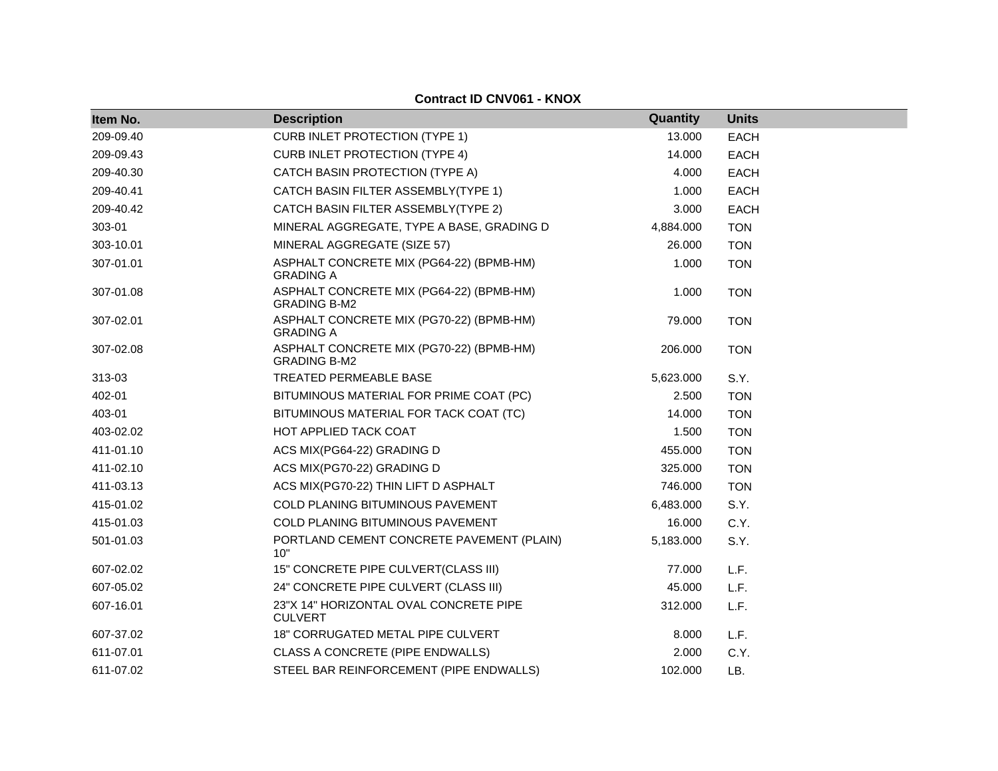| <b>Contract ID CNV061 - KNOX</b> |                                                                 |           |              |  |  |
|----------------------------------|-----------------------------------------------------------------|-----------|--------------|--|--|
| Item No.                         | <b>Description</b>                                              | Quantity  | <b>Units</b> |  |  |
| 209-09.40                        | <b>CURB INLET PROTECTION (TYPE 1)</b>                           | 13.000    | <b>EACH</b>  |  |  |
| 209-09.43                        | <b>CURB INLET PROTECTION (TYPE 4)</b>                           | 14.000    | <b>EACH</b>  |  |  |
| 209-40.30                        | CATCH BASIN PROTECTION (TYPE A)                                 | 4.000     | <b>EACH</b>  |  |  |
| 209-40.41                        | CATCH BASIN FILTER ASSEMBLY(TYPE 1)                             | 1.000     | <b>EACH</b>  |  |  |
| 209-40.42                        | CATCH BASIN FILTER ASSEMBLY(TYPE 2)                             | 3.000     | <b>EACH</b>  |  |  |
| 303-01                           | MINERAL AGGREGATE, TYPE A BASE, GRADING D                       | 4,884.000 | <b>TON</b>   |  |  |
| 303-10.01                        | MINERAL AGGREGATE (SIZE 57)                                     | 26,000    | <b>TON</b>   |  |  |
| 307-01.01                        | ASPHALT CONCRETE MIX (PG64-22) (BPMB-HM)<br><b>GRADING A</b>    | 1.000     | <b>TON</b>   |  |  |
| 307-01.08                        | ASPHALT CONCRETE MIX (PG64-22) (BPMB-HM)<br><b>GRADING B-M2</b> | 1.000     | <b>TON</b>   |  |  |
| 307-02.01                        | ASPHALT CONCRETE MIX (PG70-22) (BPMB-HM)<br><b>GRADING A</b>    | 79.000    | <b>TON</b>   |  |  |
| 307-02.08                        | ASPHALT CONCRETE MIX (PG70-22) (BPMB-HM)<br><b>GRADING B-M2</b> | 206.000   | <b>TON</b>   |  |  |
| 313-03                           | <b>TREATED PERMEABLE BASE</b>                                   | 5,623.000 | S.Y.         |  |  |
| 402-01                           | BITUMINOUS MATERIAL FOR PRIME COAT (PC)                         | 2.500     | <b>TON</b>   |  |  |
| 403-01                           | BITUMINOUS MATERIAL FOR TACK COAT (TC)                          | 14.000    | <b>TON</b>   |  |  |
| 403-02.02                        | HOT APPLIED TACK COAT                                           | 1.500     | <b>TON</b>   |  |  |
| 411-01.10                        | ACS MIX(PG64-22) GRADING D                                      | 455.000   | <b>TON</b>   |  |  |
| 411-02.10                        | ACS MIX(PG70-22) GRADING D                                      | 325.000   | <b>TON</b>   |  |  |
| 411-03.13                        | ACS MIX(PG70-22) THIN LIFT D ASPHALT                            | 746.000   | <b>TON</b>   |  |  |
| 415-01.02                        | COLD PLANING BITUMINOUS PAVEMENT                                | 6,483.000 | S.Y.         |  |  |
| 415-01.03                        | COLD PLANING BITUMINOUS PAVEMENT                                | 16.000    | C.Y.         |  |  |
| 501-01.03                        | PORTLAND CEMENT CONCRETE PAVEMENT (PLAIN)<br>10"                | 5,183.000 | S.Y.         |  |  |
| 607-02.02                        | 15" CONCRETE PIPE CULVERT(CLASS III)                            | 77.000    | L.F.         |  |  |
| 607-05.02                        | 24" CONCRETE PIPE CULVERT (CLASS III)                           | 45.000    | L.F.         |  |  |
| 607-16.01                        | 23"X 14" HORIZONTAL OVAL CONCRETE PIPE<br><b>CULVERT</b>        | 312.000   | L.F.         |  |  |
| 607-37.02                        | 18" CORRUGATED METAL PIPE CULVERT                               | 8.000     | L.F.         |  |  |
| 611-07.01                        | CLASS A CONCRETE (PIPE ENDWALLS)                                | 2.000     | C.Y.         |  |  |
| 611-07.02                        | STEEL BAR REINFORCEMENT (PIPE ENDWALLS)                         | 102.000   | LB.          |  |  |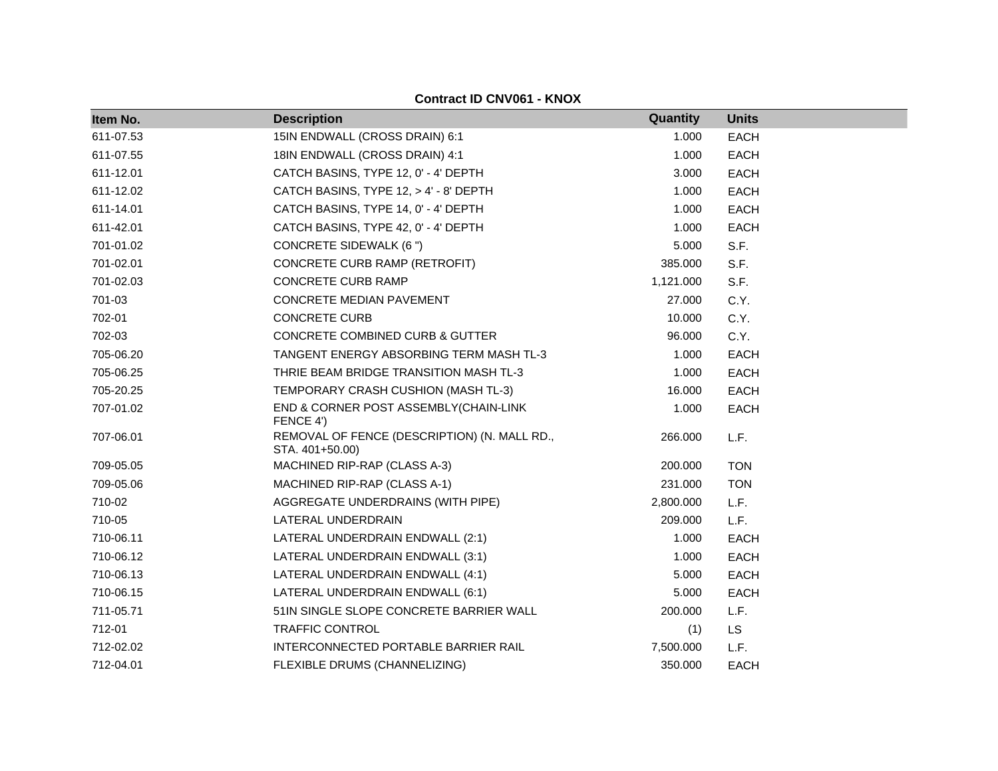| Item No.  | <b>Description</b>                                              | Quantity  | <b>Units</b> |
|-----------|-----------------------------------------------------------------|-----------|--------------|
| 611-07.53 | 15IN ENDWALL (CROSS DRAIN) 6:1                                  | 1.000     | <b>EACH</b>  |
| 611-07.55 | 18IN ENDWALL (CROSS DRAIN) 4:1                                  | 1.000     | <b>EACH</b>  |
| 611-12.01 | CATCH BASINS, TYPE 12, 0' - 4' DEPTH                            | 3.000     | <b>EACH</b>  |
| 611-12.02 | CATCH BASINS, TYPE 12, > 4' - 8' DEPTH                          | 1.000     | <b>EACH</b>  |
| 611-14.01 | CATCH BASINS, TYPE 14, 0' - 4' DEPTH                            | 1.000     | <b>EACH</b>  |
| 611-42.01 | CATCH BASINS, TYPE 42, 0' - 4' DEPTH                            | 1.000     | <b>EACH</b>  |
| 701-01.02 | <b>CONCRETE SIDEWALK (6 ")</b>                                  | 5.000     | S.F.         |
| 701-02.01 | CONCRETE CURB RAMP (RETROFIT)                                   | 385.000   | S.F.         |
| 701-02.03 | <b>CONCRETE CURB RAMP</b>                                       | 1,121.000 | S.F.         |
| 701-03    | <b>CONCRETE MEDIAN PAVEMENT</b>                                 | 27.000    | C.Y.         |
| 702-01    | <b>CONCRETE CURB</b>                                            | 10.000    | C.Y.         |
| 702-03    | CONCRETE COMBINED CURB & GUTTER                                 | 96.000    | C.Y.         |
| 705-06.20 | TANGENT ENERGY ABSORBING TERM MASH TL-3                         | 1.000     | <b>EACH</b>  |
| 705-06.25 | THRIE BEAM BRIDGE TRANSITION MASH TL-3                          | 1.000     | <b>EACH</b>  |
| 705-20.25 | TEMPORARY CRASH CUSHION (MASH TL-3)                             | 16.000    | <b>EACH</b>  |
| 707-01.02 | END & CORNER POST ASSEMBLY(CHAIN-LINK<br>FENCE 4')              | 1.000     | <b>EACH</b>  |
| 707-06.01 | REMOVAL OF FENCE (DESCRIPTION) (N. MALL RD.,<br>STA. 401+50.00) | 266.000   | L.F.         |
| 709-05.05 | MACHINED RIP-RAP (CLASS A-3)                                    | 200.000   | <b>TON</b>   |
| 709-05.06 | MACHINED RIP-RAP (CLASS A-1)                                    | 231.000   | <b>TON</b>   |
| 710-02    | AGGREGATE UNDERDRAINS (WITH PIPE)                               | 2,800.000 | L.F.         |
| 710-05    | LATERAL UNDERDRAIN                                              | 209.000   | L.F.         |
| 710-06.11 | LATERAL UNDERDRAIN ENDWALL (2:1)                                | 1.000     | <b>EACH</b>  |
| 710-06.12 | LATERAL UNDERDRAIN ENDWALL (3:1)                                | 1.000     | <b>EACH</b>  |
| 710-06.13 | LATERAL UNDERDRAIN ENDWALL (4:1)                                | 5.000     | <b>EACH</b>  |
| 710-06.15 | LATERAL UNDERDRAIN ENDWALL (6:1)                                | 5.000     | <b>EACH</b>  |
| 711-05.71 | 51IN SINGLE SLOPE CONCRETE BARRIER WALL                         | 200.000   | L.F.         |
| 712-01    | TRAFFIC CONTROL                                                 | (1)       | <b>LS</b>    |
| 712-02.02 | INTERCONNECTED PORTABLE BARRIER RAIL                            | 7,500.000 | L.F.         |
| 712-04.01 | FLEXIBLE DRUMS (CHANNELIZING)                                   | 350.000   | <b>EACH</b>  |

**Contract ID CNV061 - KNOX**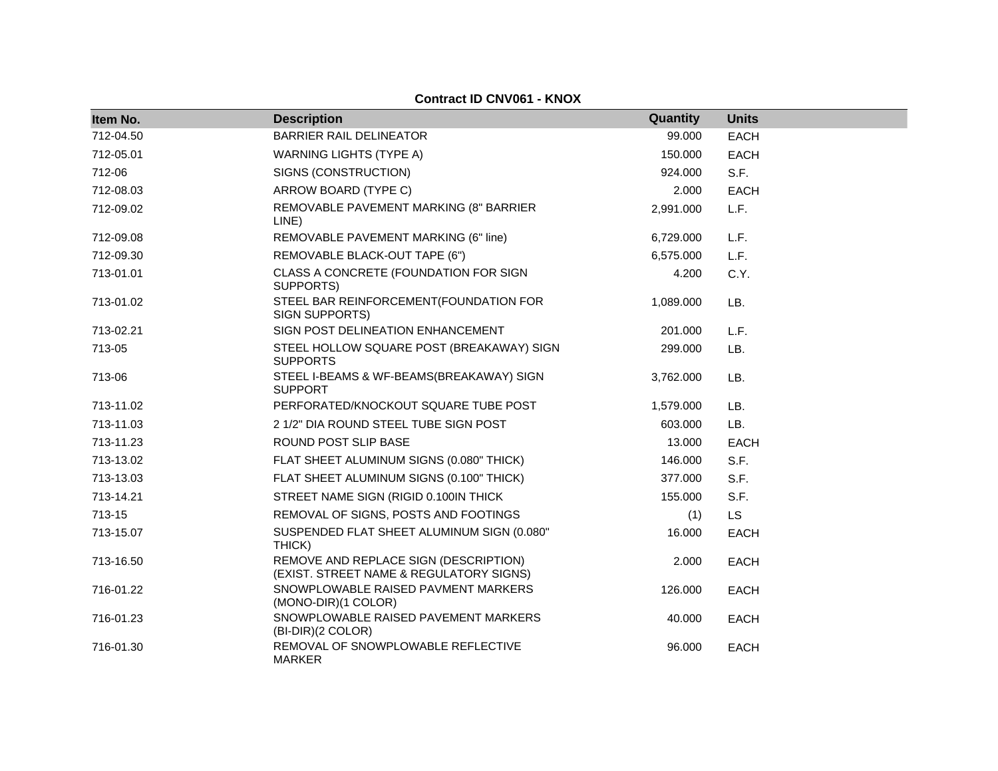| Item No.  | <b>Description</b>                                                               | Quantity  | <b>Units</b> |
|-----------|----------------------------------------------------------------------------------|-----------|--------------|
| 712-04.50 | <b>BARRIER RAIL DELINEATOR</b>                                                   | 99.000    | <b>EACH</b>  |
| 712-05.01 | <b>WARNING LIGHTS (TYPE A)</b>                                                   | 150.000   | EACH         |
| 712-06    | SIGNS (CONSTRUCTION)                                                             | 924.000   | S.F.         |
| 712-08.03 | ARROW BOARD (TYPE C)                                                             | 2.000     | <b>EACH</b>  |
| 712-09.02 | REMOVABLE PAVEMENT MARKING (8" BARRIER<br>LINE)                                  | 2,991.000 | L.F.         |
| 712-09.08 | REMOVABLE PAVEMENT MARKING (6" line)                                             | 6,729.000 | L.F.         |
| 712-09.30 | REMOVABLE BLACK-OUT TAPE (6")                                                    | 6,575.000 | L.F.         |
| 713-01.01 | CLASS A CONCRETE (FOUNDATION FOR SIGN<br>SUPPORTS)                               | 4.200     | C.Y.         |
| 713-01.02 | STEEL BAR REINFORCEMENT(FOUNDATION FOR<br>SIGN SUPPORTS)                         | 1,089.000 | LB.          |
| 713-02.21 | SIGN POST DELINEATION ENHANCEMENT                                                | 201.000   | L.F.         |
| 713-05    | STEEL HOLLOW SQUARE POST (BREAKAWAY) SIGN<br><b>SUPPORTS</b>                     | 299.000   | LB.          |
| 713-06    | STEEL I-BEAMS & WF-BEAMS(BREAKAWAY) SIGN<br><b>SUPPORT</b>                       | 3,762.000 | LB.          |
| 713-11.02 | PERFORATED/KNOCKOUT SQUARE TUBE POST                                             | 1,579.000 | LB.          |
| 713-11.03 | 2 1/2" DIA ROUND STEEL TUBE SIGN POST                                            | 603.000   | LB.          |
| 713-11.23 | ROUND POST SLIP BASE                                                             | 13.000    | <b>EACH</b>  |
| 713-13.02 | FLAT SHEET ALUMINUM SIGNS (0.080" THICK)                                         | 146.000   | S.F.         |
| 713-13.03 | FLAT SHEET ALUMINUM SIGNS (0.100" THICK)                                         | 377.000   | S.F.         |
| 713-14.21 | STREET NAME SIGN (RIGID 0.100IN THICK                                            | 155.000   | S.F.         |
| 713-15    | REMOVAL OF SIGNS, POSTS AND FOOTINGS                                             | (1)       | <b>LS</b>    |
| 713-15.07 | SUSPENDED FLAT SHEET ALUMINUM SIGN (0.080"<br>THICK)                             | 16.000    | <b>EACH</b>  |
| 713-16.50 | REMOVE AND REPLACE SIGN (DESCRIPTION)<br>(EXIST. STREET NAME & REGULATORY SIGNS) | 2.000     | <b>EACH</b>  |
| 716-01.22 | SNOWPLOWABLE RAISED PAVMENT MARKERS<br>(MONO-DIR)(1 COLOR)                       | 126.000   | <b>EACH</b>  |
| 716-01.23 | SNOWPLOWABLE RAISED PAVEMENT MARKERS<br>(BI-DIR)(2 COLOR)                        | 40.000    | <b>EACH</b>  |
| 716-01.30 | REMOVAL OF SNOWPLOWABLE REFLECTIVE<br><b>MARKER</b>                              | 96.000    | <b>EACH</b>  |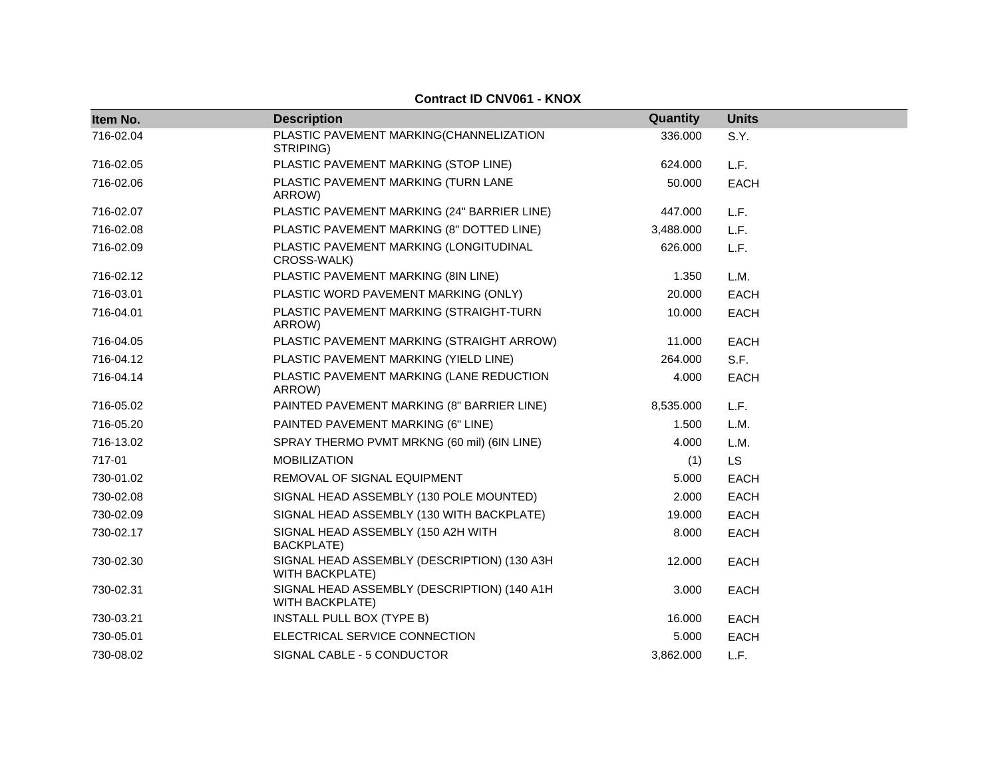| Item No.  | <b>Description</b>                                                    | Quantity  | <b>Units</b> |
|-----------|-----------------------------------------------------------------------|-----------|--------------|
| 716-02.04 | PLASTIC PAVEMENT MARKING(CHANNELIZATION                               | 336,000   | S.Y.         |
|           | STRIPING)                                                             |           |              |
| 716-02.05 | PLASTIC PAVEMENT MARKING (STOP LINE)                                  | 624.000   | L.F.         |
| 716-02.06 | PLASTIC PAVEMENT MARKING (TURN LANE<br>ARROW)                         | 50.000    | <b>EACH</b>  |
| 716-02.07 | PLASTIC PAVEMENT MARKING (24" BARRIER LINE)                           | 447.000   | L.F.         |
| 716-02.08 | PLASTIC PAVEMENT MARKING (8" DOTTED LINE)                             | 3,488.000 | L.F.         |
| 716-02.09 | PLASTIC PAVEMENT MARKING (LONGITUDINAL<br>CROSS-WALK)                 | 626,000   | L.F.         |
| 716-02.12 | PLASTIC PAVEMENT MARKING (8IN LINE)                                   | 1.350     | L.M.         |
| 716-03.01 | PLASTIC WORD PAVEMENT MARKING (ONLY)                                  | 20.000    | <b>EACH</b>  |
| 716-04.01 | PLASTIC PAVEMENT MARKING (STRAIGHT-TURN<br>ARROW)                     | 10.000    | <b>EACH</b>  |
| 716-04.05 | PLASTIC PAVEMENT MARKING (STRAIGHT ARROW)                             | 11.000    | <b>EACH</b>  |
| 716-04.12 | PLASTIC PAVEMENT MARKING (YIELD LINE)                                 | 264.000   | S.F.         |
| 716-04.14 | PLASTIC PAVEMENT MARKING (LANE REDUCTION<br>ARROW)                    | 4.000     | <b>EACH</b>  |
| 716-05.02 | PAINTED PAVEMENT MARKING (8" BARRIER LINE)                            | 8,535.000 | L.F.         |
| 716-05.20 | PAINTED PAVEMENT MARKING (6" LINE)                                    | 1.500     | L.M.         |
| 716-13.02 | SPRAY THERMO PVMT MRKNG (60 mil) (6IN LINE)                           | 4.000     | L.M.         |
| 717-01    | <b>MOBILIZATION</b>                                                   | (1)       | <b>LS</b>    |
| 730-01.02 | REMOVAL OF SIGNAL EQUIPMENT                                           | 5.000     | <b>EACH</b>  |
| 730-02.08 | SIGNAL HEAD ASSEMBLY (130 POLE MOUNTED)                               | 2.000     | <b>EACH</b>  |
| 730-02.09 | SIGNAL HEAD ASSEMBLY (130 WITH BACKPLATE)                             | 19.000    | <b>EACH</b>  |
| 730-02.17 | SIGNAL HEAD ASSEMBLY (150 A2H WITH<br><b>BACKPLATE)</b>               | 8.000     | <b>EACH</b>  |
| 730-02.30 | SIGNAL HEAD ASSEMBLY (DESCRIPTION) (130 A3H<br><b>WITH BACKPLATE)</b> | 12.000    | <b>EACH</b>  |
| 730-02.31 | SIGNAL HEAD ASSEMBLY (DESCRIPTION) (140 A1H<br><b>WITH BACKPLATE)</b> | 3.000     | <b>EACH</b>  |
| 730-03.21 | INSTALL PULL BOX (TYPE B)                                             | 16.000    | <b>EACH</b>  |
| 730-05.01 | ELECTRICAL SERVICE CONNECTION                                         | 5.000     | <b>EACH</b>  |
| 730-08.02 | SIGNAL CABLE - 5 CONDUCTOR                                            | 3,862.000 | L.F.         |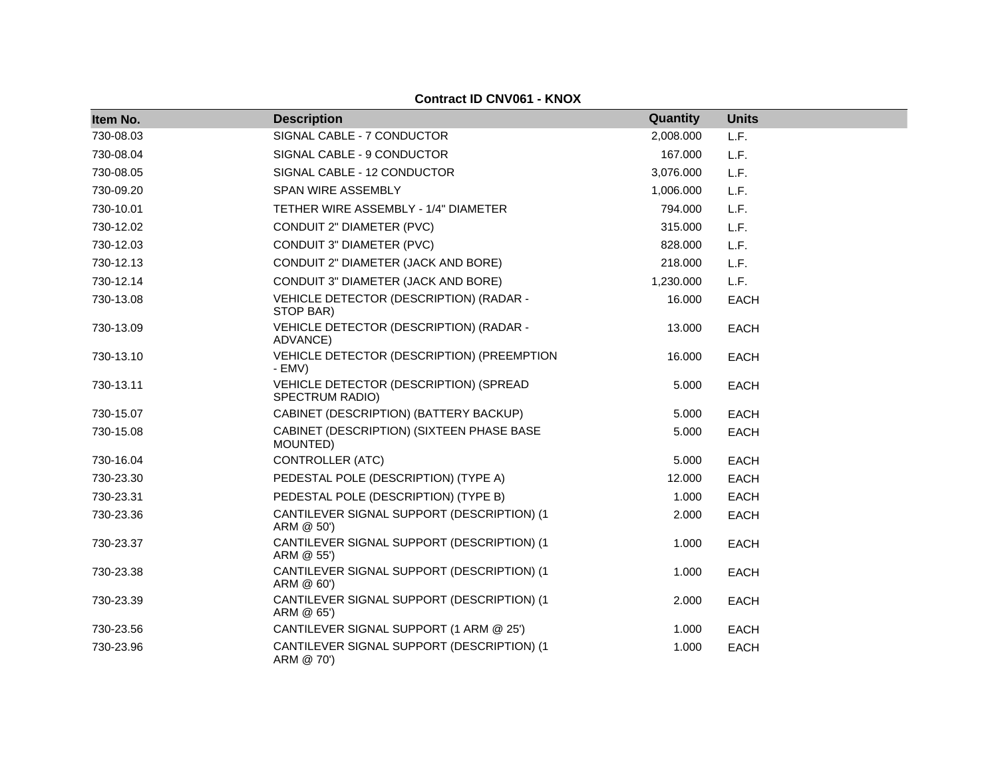| Item No.  | <b>Description</b>                                        | Quantity  | <b>Units</b> |
|-----------|-----------------------------------------------------------|-----------|--------------|
| 730-08.03 | SIGNAL CABLE - 7 CONDUCTOR                                | 2,008.000 | L.F.         |
| 730-08.04 | SIGNAL CABLE - 9 CONDUCTOR                                | 167.000   | L.F.         |
| 730-08.05 | SIGNAL CABLE - 12 CONDUCTOR                               | 3,076.000 | L.F.         |
| 730-09.20 | SPAN WIRE ASSEMBLY                                        | 1,006.000 | L.F.         |
| 730-10.01 | TETHER WIRE ASSEMBLY - 1/4" DIAMETER                      | 794.000   | L.F.         |
| 730-12.02 | CONDUIT 2" DIAMETER (PVC)                                 | 315.000   | L.F.         |
| 730-12.03 | <b>CONDUIT 3" DIAMETER (PVC)</b>                          | 828,000   | L.F.         |
| 730-12.13 | CONDUIT 2" DIAMETER (JACK AND BORE)                       | 218.000   | L.F.         |
| 730-12.14 | CONDUIT 3" DIAMETER (JACK AND BORE)                       | 1,230.000 | L.F.         |
| 730-13.08 | VEHICLE DETECTOR (DESCRIPTION) (RADAR -<br>STOP BAR)      | 16.000    | EACH         |
| 730-13.09 | VEHICLE DETECTOR (DESCRIPTION) (RADAR -<br>ADVANCE)       | 13.000    | <b>EACH</b>  |
| 730-13.10 | VEHICLE DETECTOR (DESCRIPTION) (PREEMPTION<br>$-$ EMV)    | 16.000    | <b>EACH</b>  |
| 730-13.11 | VEHICLE DETECTOR (DESCRIPTION) (SPREAD<br>SPECTRUM RADIO) | 5.000     | <b>EACH</b>  |
| 730-15.07 | CABINET (DESCRIPTION) (BATTERY BACKUP)                    | 5.000     | <b>EACH</b>  |
| 730-15.08 | CABINET (DESCRIPTION) (SIXTEEN PHASE BASE<br>MOUNTED)     | 5.000     | EACH         |
| 730-16.04 | <b>CONTROLLER (ATC)</b>                                   | 5.000     | <b>EACH</b>  |
| 730-23.30 | PEDESTAL POLE (DESCRIPTION) (TYPE A)                      | 12.000    | <b>EACH</b>  |
| 730-23.31 | PEDESTAL POLE (DESCRIPTION) (TYPE B)                      | 1.000     | <b>EACH</b>  |
| 730-23.36 | CANTILEVER SIGNAL SUPPORT (DESCRIPTION) (1<br>ARM @ 50')  | 2.000     | <b>EACH</b>  |
| 730-23.37 | CANTILEVER SIGNAL SUPPORT (DESCRIPTION) (1<br>ARM @ 55')  | 1.000     | <b>EACH</b>  |
| 730-23.38 | CANTILEVER SIGNAL SUPPORT (DESCRIPTION) (1<br>ARM @ 60')  | 1.000     | <b>EACH</b>  |
| 730-23.39 | CANTILEVER SIGNAL SUPPORT (DESCRIPTION) (1<br>ARM @ 65')  | 2.000     | <b>EACH</b>  |
| 730-23.56 | CANTILEVER SIGNAL SUPPORT (1 ARM @ 25')                   | 1.000     | <b>EACH</b>  |
| 730-23.96 | CANTILEVER SIGNAL SUPPORT (DESCRIPTION) (1<br>ARM @ 70')  | 1.000     | <b>EACH</b>  |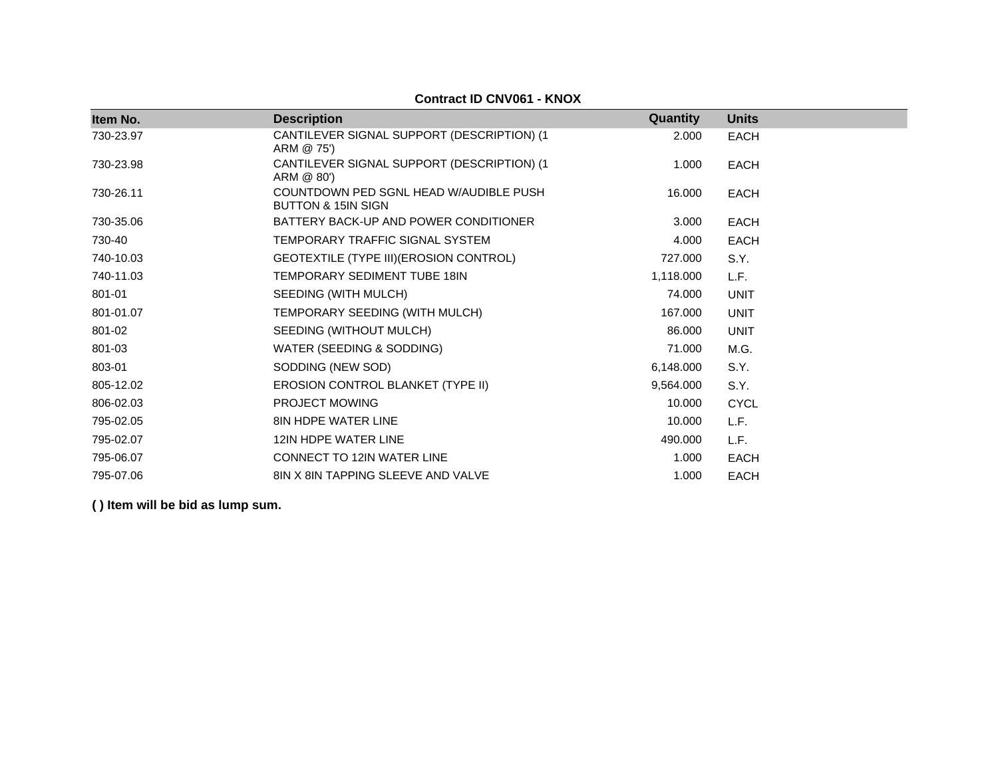| Item No.  | <b>Description</b>                                                      | <b>Quantity</b> | <b>Units</b> |
|-----------|-------------------------------------------------------------------------|-----------------|--------------|
| 730-23.97 | CANTILEVER SIGNAL SUPPORT (DESCRIPTION) (1<br>ARM @ 75')                | 2.000           | <b>EACH</b>  |
| 730-23.98 | CANTILEVER SIGNAL SUPPORT (DESCRIPTION) (1)<br>ARM @ 80')               | 1.000           | <b>EACH</b>  |
| 730-26.11 | COUNTDOWN PED SGNL HEAD W/AUDIBLE PUSH<br><b>BUTTON &amp; 15IN SIGN</b> | 16.000          | <b>EACH</b>  |
| 730-35.06 | BATTERY BACK-UP AND POWER CONDITIONER                                   | 3.000           | <b>EACH</b>  |
| 730-40    | TEMPORARY TRAFFIC SIGNAL SYSTEM                                         | 4.000           | <b>EACH</b>  |
| 740-10.03 | GEOTEXTILE (TYPE III) (EROSION CONTROL)                                 | 727.000         | S.Y.         |
| 740-11.03 | TEMPORARY SEDIMENT TUBE 18IN                                            | 1,118.000       | L.F.         |
| 801-01    | SEEDING (WITH MULCH)                                                    | 74.000          | <b>UNIT</b>  |
| 801-01.07 | TEMPORARY SEEDING (WITH MULCH)                                          | 167.000         | <b>UNIT</b>  |
| 801-02    | SEEDING (WITHOUT MULCH)                                                 | 86.000          | <b>UNIT</b>  |
| 801-03    | WATER (SEEDING & SODDING)                                               | 71.000          | M.G.         |
| 803-01    | SODDING (NEW SOD)                                                       | 6,148.000       | S.Y.         |
| 805-12.02 | EROSION CONTROL BLANKET (TYPE II)                                       | 9,564.000       | S.Y.         |
| 806-02.03 | PROJECT MOWING                                                          | 10.000          | <b>CYCL</b>  |
| 795-02.05 | 8IN HDPE WATER LINE                                                     | 10.000          | L.F.         |
| 795-02.07 | 12IN HDPE WATER LINE                                                    | 490.000         | L.F.         |
| 795-06.07 | <b>CONNECT TO 12IN WATER LINE</b>                                       | 1.000           | EACH         |
| 795-07.06 | <b>8IN X 8IN TAPPING SLEEVE AND VALVE</b>                               | 1.000           | <b>EACH</b>  |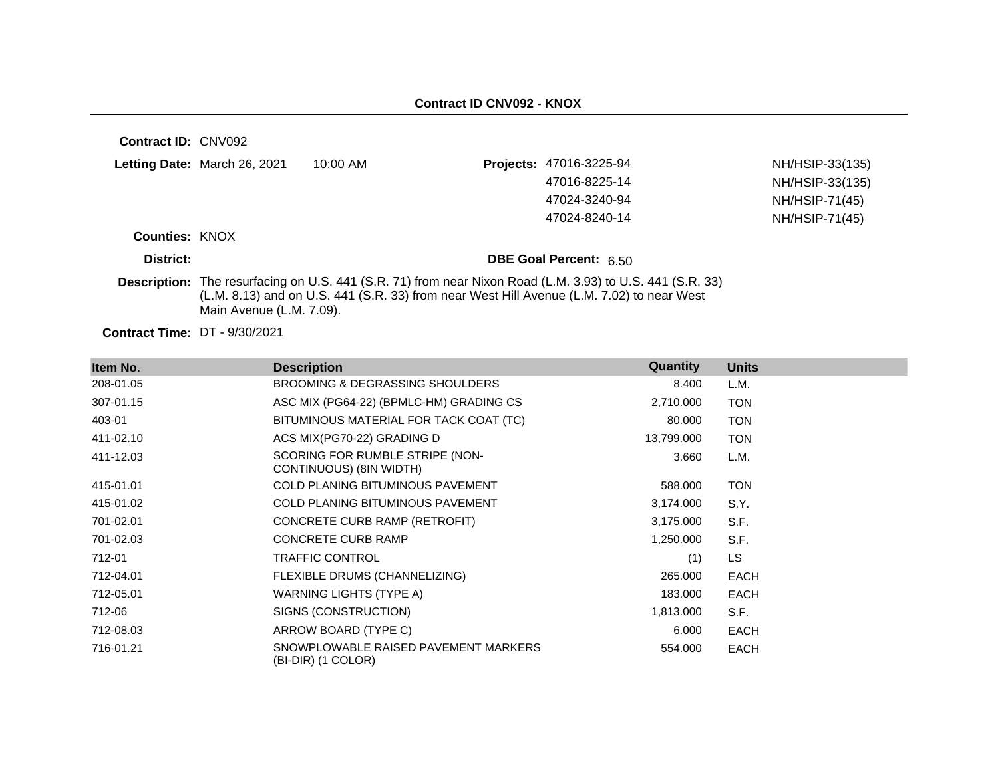| Contract ID: CNV092                  |                              |                                                                                           |                                                                                                           |                 |
|--------------------------------------|------------------------------|-------------------------------------------------------------------------------------------|-----------------------------------------------------------------------------------------------------------|-----------------|
|                                      | Letting Date: March 26, 2021 | $10:00$ AM                                                                                | Projects: 47016-3225-94                                                                                   | NH/HSIP-33(135) |
|                                      |                              |                                                                                           | 47016-8225-14                                                                                             | NH/HSIP-33(135) |
|                                      |                              |                                                                                           | 47024-3240-94                                                                                             | NH/HSIP-71(45)  |
|                                      |                              |                                                                                           | 47024-8240-14                                                                                             | NH/HSIP-71(45)  |
| <b>Counties: KNOX</b>                |                              |                                                                                           |                                                                                                           |                 |
| District:                            |                              |                                                                                           | <b>DBE Goal Percent: 6.50</b>                                                                             |                 |
|                                      | Main Avenue (L.M. 7.09).     | (L.M. 8.13) and on U.S. 441 (S.R. 33) from near West Hill Avenue (L.M. 7.02) to near West | Description: The resurfacing on U.S. 441 (S.R. 71) from near Nixon Road (L.M. 3.93) to U.S. 441 (S.R. 33) |                 |
| <b>Contract Time: DT - 9/30/2021</b> |                              |                                                                                           |                                                                                                           |                 |

| Item No.  | <b>Description</b>                                         | Quantity   | <b>Units</b> |
|-----------|------------------------------------------------------------|------------|--------------|
| 208-01.05 | BROOMING & DEGRASSING SHOULDERS                            | 8.400      | L.M.         |
| 307-01.15 | ASC MIX (PG64-22) (BPMLC-HM) GRADING CS                    | 2,710.000  | <b>TON</b>   |
| 403-01    | BITUMINOUS MATERIAL FOR TACK COAT (TC)                     | 80.000     | <b>TON</b>   |
| 411-02.10 | ACS MIX(PG70-22) GRADING D                                 | 13,799.000 | <b>TON</b>   |
| 411-12.03 | SCORING FOR RUMBLE STRIPE (NON-<br>CONTINUOUS) (8IN WIDTH) | 3.660      | L.M.         |
| 415-01.01 | <b>COLD PLANING BITUMINOUS PAVEMENT</b>                    | 588.000    | <b>TON</b>   |
| 415-01.02 | <b>COLD PLANING BITUMINOUS PAVEMENT</b>                    | 3,174.000  | S.Y.         |
| 701-02.01 | CONCRETE CURB RAMP (RETROFIT)                              | 3,175.000  | S.F.         |
| 701-02.03 | <b>CONCRETE CURB RAMP</b>                                  | 1,250.000  | S.F.         |
| 712-01    | <b>TRAFFIC CONTROL</b>                                     | (1)        | <b>LS</b>    |
| 712-04.01 | FLEXIBLE DRUMS (CHANNELIZING)                              | 265.000    | <b>EACH</b>  |
| 712-05.01 | WARNING LIGHTS (TYPE A)                                    | 183.000    | <b>EACH</b>  |
| 712-06    | SIGNS (CONSTRUCTION)                                       | 1,813.000  | S.F.         |
| 712-08.03 | ARROW BOARD (TYPE C)                                       | 6.000      | <b>EACH</b>  |
| 716-01.21 | SNOWPLOWABLE RAISED PAVEMENT MARKERS<br>(BI-DIR) (1 COLOR) | 554.000    | <b>EACH</b>  |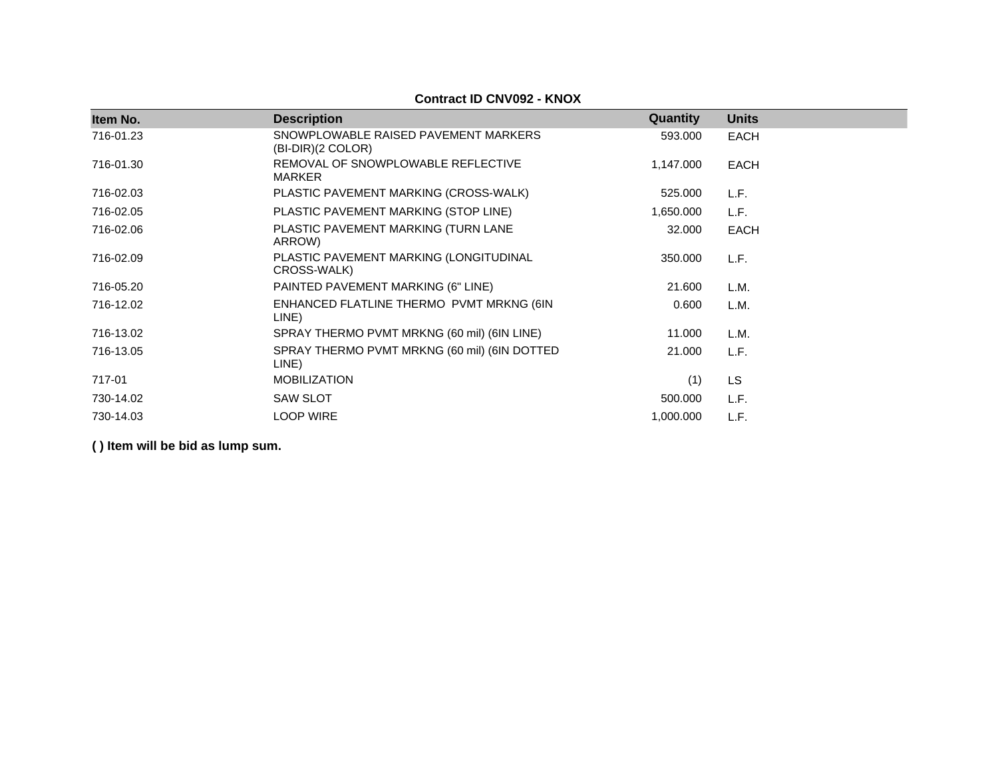| Item No.  | <b>Description</b>                                          | Quantity  | <b>Units</b> |  |
|-----------|-------------------------------------------------------------|-----------|--------------|--|
| 716-01.23 | SNOWPLOWABLE RAISED PAVEMENT MARKERS<br>$(BI-DIR)(2 COLOR)$ | 593.000   | <b>EACH</b>  |  |
| 716-01.30 | REMOVAL OF SNOWPLOWABLE REFLECTIVE<br><b>MARKER</b>         | 1,147.000 | <b>EACH</b>  |  |
| 716-02.03 | PLASTIC PAVEMENT MARKING (CROSS-WALK)                       | 525.000   | L.F.         |  |
| 716-02.05 | PLASTIC PAVEMENT MARKING (STOP LINE)                        | 1,650.000 | L.F.         |  |
| 716-02.06 | PLASTIC PAVEMENT MARKING (TURN LANE<br>ARROW)               | 32.000    | <b>EACH</b>  |  |
| 716-02.09 | PLASTIC PAVEMENT MARKING (LONGITUDINAL<br>CROSS-WALK)       | 350.000   | L.F.         |  |
| 716-05.20 | PAINTED PAVEMENT MARKING (6" LINE)                          | 21.600    | L.M.         |  |
| 716-12.02 | ENHANCED FLATLINE THERMO PVMT MRKNG (6IN<br>LINE)           | 0.600     | L.M.         |  |
| 716-13.02 | SPRAY THERMO PVMT MRKNG (60 mil) (6IN LINE)                 | 11.000    | L.M.         |  |
| 716-13.05 | SPRAY THERMO PVMT MRKNG (60 mil) (6IN DOTTED<br>LINE)       | 21.000    | L.F.         |  |
| 717-01    | <b>MOBILIZATION</b>                                         | (1)       | LS           |  |
| 730-14.02 | <b>SAW SLOT</b>                                             | 500.000   | L.F.         |  |
| 730-14.03 | <b>LOOP WIRE</b>                                            | 1,000.000 | L.F.         |  |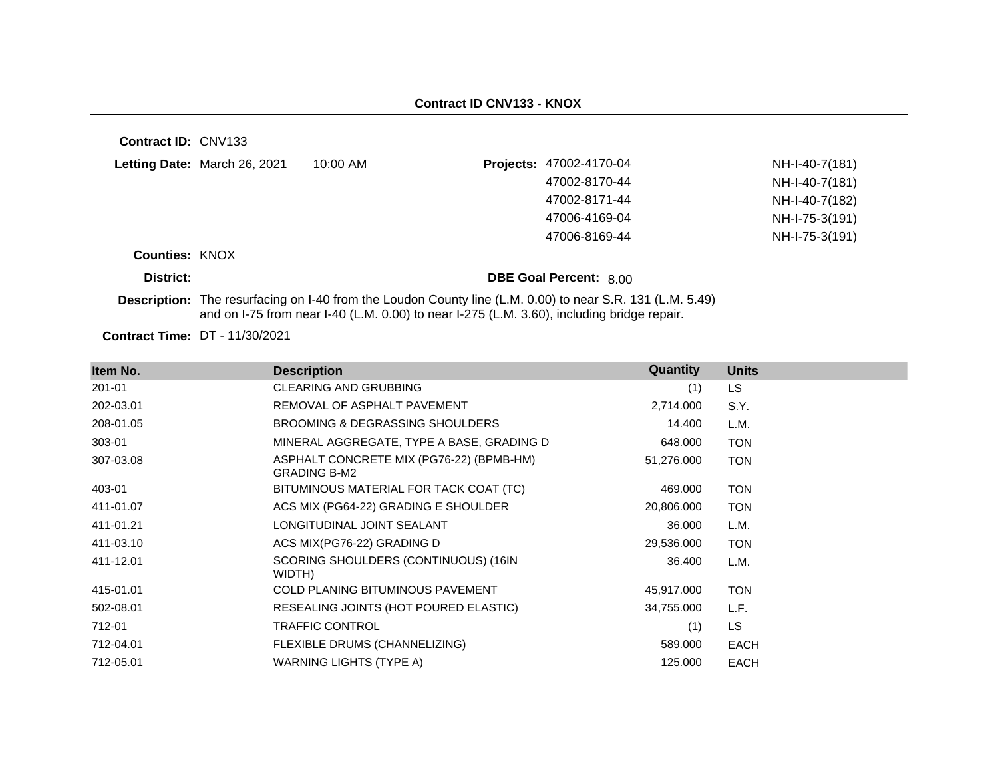| <b>Contract ID: CNV133</b> |                                       |                                                                                            |                                                                                                           |                |
|----------------------------|---------------------------------------|--------------------------------------------------------------------------------------------|-----------------------------------------------------------------------------------------------------------|----------------|
|                            | Letting Date: March 26, 2021          | $10:00$ AM                                                                                 | Projects: 47002-4170-04                                                                                   | NH-I-40-7(181) |
|                            |                                       |                                                                                            | 47002-8170-44                                                                                             | NH-I-40-7(181) |
|                            |                                       |                                                                                            | 47002-8171-44                                                                                             | NH-I-40-7(182) |
|                            |                                       |                                                                                            | 47006-4169-04                                                                                             | NH-I-75-3(191) |
|                            |                                       |                                                                                            | 47006-8169-44                                                                                             | NH-I-75-3(191) |
| <b>Counties: KNOX</b>      |                                       |                                                                                            |                                                                                                           |                |
| District:                  |                                       |                                                                                            | <b>DBE Goal Percent: 8.00</b>                                                                             |                |
|                            |                                       | and on I-75 from near I-40 (L.M. 0.00) to near I-275 (L.M. 3.60), including bridge repair. | Description: The resurfacing on I-40 from the Loudon County line (L.M. 0.00) to near S.R. 131 (L.M. 5.49) |                |
|                            | <b>Contract Time: DT - 11/30/2021</b> |                                                                                            |                                                                                                           |                |

**Item No. Description Quantity Units** 201-01 CLEARING AND GRUBBING (1) LS 202-03.01 REMOVAL OF ASPHALT PAVEMENT 2,714.000 S.Y. 208-01.05 BROOMING & DEGRASSING SHOULDERS 14.400 L.M. 303-01 MINERAL AGGREGATE, TYPE A BASE, GRADING D 648.000 TON 307-03.08 ASPHALT CONCRETE MIX (PG76-22) (BPMB-HM) GRADING B-M2 51,276.000 TON 403-01 BITUMINOUS MATERIAL FOR TACK COAT (TC) 469.000 TON 411-01.07 ACS MIX (PG64-22) GRADING E SHOULDER 20,806.000 TON 411-01.21 LONGITUDINAL JOINT SEALANT 36.000 L.M. 411-03.10 ACS MIX(PG76-22) GRADING D 29,536.000 TON 411-12.01 SCORING SHOULDERS (CONTINUOUS) (16IN WIDTH) 36.400 L.M. 415-01.01 COLD PLANING BITUMINOUS PAVEMENT 45,917.000 TON 502-08.01 RESEALING JOINTS (HOT POURED ELASTIC) 34,755.000 L.F. 712-01 TRAFFIC CONTROL (1) LS 712-04.01 FLEXIBLE DRUMS (CHANNELIZING) 589.000 EACH 712-05.01 WARNING LIGHTS (TYPE A) 125.000 EACH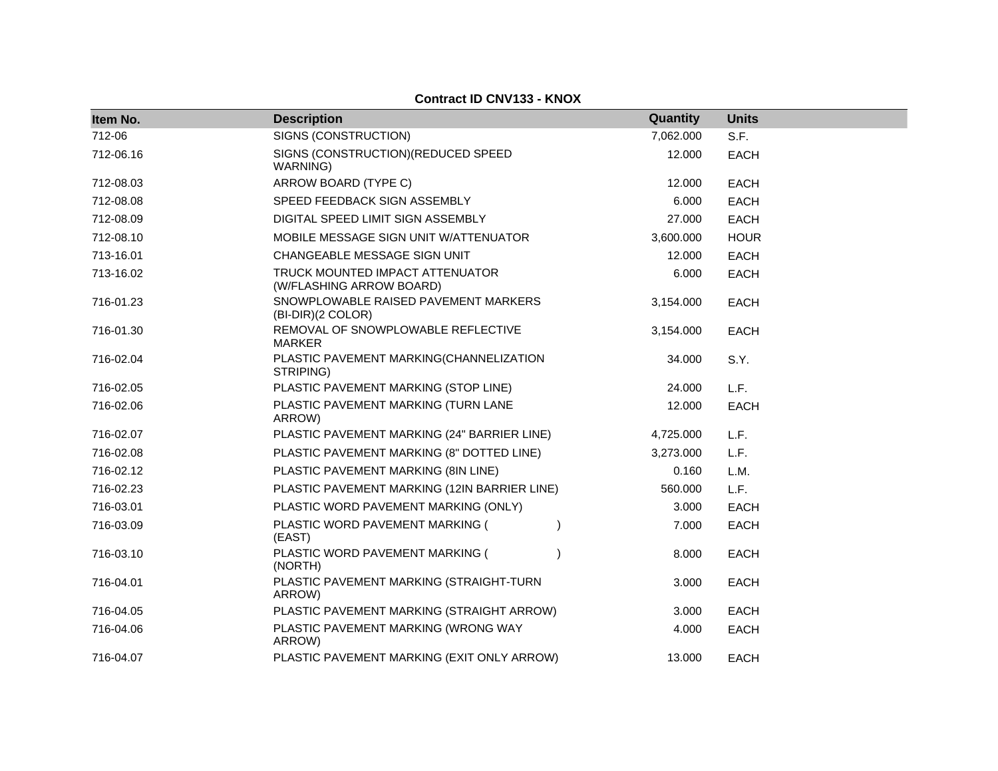| Item No.  | <b>Description</b>                                          | Quantity  | <b>Units</b> |
|-----------|-------------------------------------------------------------|-----------|--------------|
| 712-06    | SIGNS (CONSTRUCTION)                                        | 7,062.000 | S.F.         |
| 712-06.16 | SIGNS (CONSTRUCTION) (REDUCED SPEED<br>WARNING)             | 12.000    | <b>EACH</b>  |
| 712-08.03 | ARROW BOARD (TYPE C)                                        | 12.000    | <b>EACH</b>  |
| 712-08.08 | SPEED FEEDBACK SIGN ASSEMBLY                                | 6.000     | <b>EACH</b>  |
| 712-08.09 | DIGITAL SPEED LIMIT SIGN ASSEMBLY                           | 27.000    | <b>EACH</b>  |
| 712-08.10 | MOBILE MESSAGE SIGN UNIT W/ATTENUATOR                       | 3,600.000 | <b>HOUR</b>  |
| 713-16.01 | CHANGEABLE MESSAGE SIGN UNIT                                | 12.000    | <b>EACH</b>  |
| 713-16.02 | TRUCK MOUNTED IMPACT ATTENUATOR<br>(W/FLASHING ARROW BOARD) | 6.000     | <b>EACH</b>  |
| 716-01.23 | SNOWPLOWABLE RAISED PAVEMENT MARKERS<br>(BI-DIR)(2 COLOR)   | 3,154.000 | <b>EACH</b>  |
| 716-01.30 | REMOVAL OF SNOWPLOWABLE REFLECTIVE<br>MARKER                | 3,154.000 | <b>EACH</b>  |
| 716-02.04 | PLASTIC PAVEMENT MARKING(CHANNELIZATION<br>STRIPING)        | 34.000    | S.Y.         |
| 716-02.05 | PLASTIC PAVEMENT MARKING (STOP LINE)                        | 24.000    | L.F.         |
| 716-02.06 | PLASTIC PAVEMENT MARKING (TURN LANE<br>ARROW)               | 12.000    | <b>EACH</b>  |
| 716-02.07 | PLASTIC PAVEMENT MARKING (24" BARRIER LINE)                 | 4,725.000 | L.F.         |
| 716-02.08 | PLASTIC PAVEMENT MARKING (8" DOTTED LINE)                   | 3,273.000 | L.F.         |
| 716-02.12 | PLASTIC PAVEMENT MARKING (8IN LINE)                         | 0.160     | L.M.         |
| 716-02.23 | PLASTIC PAVEMENT MARKING (12IN BARRIER LINE)                | 560.000   | L.F.         |
| 716-03.01 | PLASTIC WORD PAVEMENT MARKING (ONLY)                        | 3.000     | <b>EACH</b>  |
| 716-03.09 | PLASTIC WORD PAVEMENT MARKING (<br>(EAST)                   | 7.000     | <b>EACH</b>  |
| 716-03.10 | PLASTIC WORD PAVEMENT MARKING (<br>(NORTH)                  | 8.000     | <b>EACH</b>  |
| 716-04.01 | PLASTIC PAVEMENT MARKING (STRAIGHT-TURN<br>ARROW)           | 3.000     | <b>EACH</b>  |
| 716-04.05 | PLASTIC PAVEMENT MARKING (STRAIGHT ARROW)                   | 3.000     | <b>EACH</b>  |
| 716-04.06 | PLASTIC PAVEMENT MARKING (WRONG WAY<br>ARROW)               | 4.000     | EACH         |
| 716-04.07 | PLASTIC PAVEMENT MARKING (EXIT ONLY ARROW)                  | 13.000    | <b>EACH</b>  |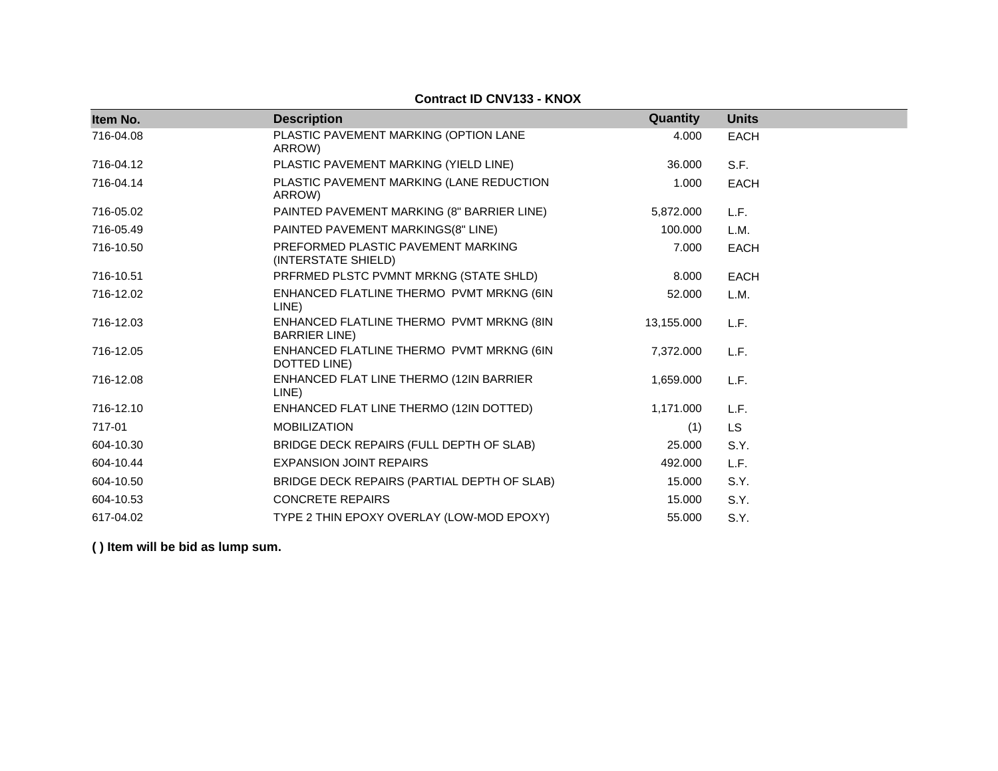| Item No.  | <b>Description</b>                                               | Quantity   | <b>Units</b> |
|-----------|------------------------------------------------------------------|------------|--------------|
|           |                                                                  |            |              |
| 716-04.08 | PLASTIC PAVEMENT MARKING (OPTION LANE<br>ARROW)                  | 4.000      | <b>EACH</b>  |
| 716-04.12 | PLASTIC PAVEMENT MARKING (YIELD LINE)                            | 36.000     | S.F.         |
| 716-04.14 | PLASTIC PAVEMENT MARKING (LANE REDUCTION<br>ARROW)               | 1.000      | <b>EACH</b>  |
| 716-05.02 | PAINTED PAVEMENT MARKING (8" BARRIER LINE)                       | 5,872.000  | L.F.         |
| 716-05.49 | PAINTED PAVEMENT MARKINGS(8" LINE)                               | 100.000    | L.M.         |
| 716-10.50 | PREFORMED PLASTIC PAVEMENT MARKING<br>(INTERSTATE SHIELD)        | 7.000      | <b>EACH</b>  |
| 716-10.51 | PRFRMED PLSTC PVMNT MRKNG (STATE SHLD)                           | 8.000      | <b>EACH</b>  |
| 716-12.02 | ENHANCED FLATLINE THERMO PVMT MRKNG (6IN<br>LINE)                | 52,000     | L.M.         |
| 716-12.03 | ENHANCED FLATLINE THERMO PVMT MRKNG (8IN<br><b>BARRIER LINE)</b> | 13,155.000 | L.F.         |
| 716-12.05 | ENHANCED FLATLINE THERMO PVMT MRKNG (6IN<br>DOTTED LINE)         | 7,372.000  | L.F.         |
| 716-12.08 | ENHANCED FLAT LINE THERMO (12IN BARRIER<br>LINE)                 | 1,659.000  | L.F.         |
| 716-12.10 | ENHANCED FLAT LINE THERMO (12IN DOTTED)                          | 1,171.000  | L.F.         |
| 717-01    | <b>MOBILIZATION</b>                                              | (1)        | <b>LS</b>    |
| 604-10.30 | BRIDGE DECK REPAIRS (FULL DEPTH OF SLAB)                         | 25.000     | S.Y.         |
| 604-10.44 | <b>EXPANSION JOINT REPAIRS</b>                                   | 492.000    | L.F.         |
| 604-10.50 | BRIDGE DECK REPAIRS (PARTIAL DEPTH OF SLAB)                      | 15.000     | S.Y.         |
| 604-10.53 | <b>CONCRETE REPAIRS</b>                                          | 15.000     | S.Y.         |
| 617-04.02 | TYPE 2 THIN EPOXY OVERLAY (LOW-MOD EPOXY)                        | 55,000     | S.Y.         |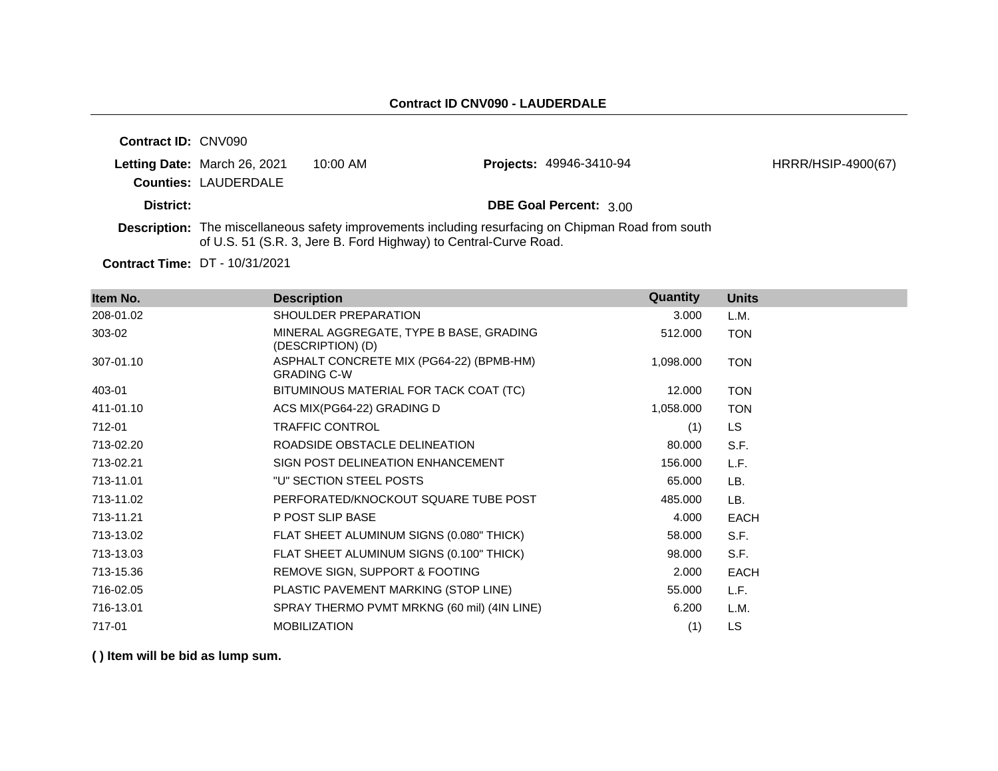| <b>Contract ID: CNV090</b> |                              |                                                                  |                                                                                                            |                    |
|----------------------------|------------------------------|------------------------------------------------------------------|------------------------------------------------------------------------------------------------------------|--------------------|
|                            | Letting Date: March 26, 2021 | $10:00$ AM                                                       | <b>Projects: 49946-3410-94</b>                                                                             | HRRR/HSIP-4900(67) |
|                            | <b>Counties: LAUDERDALE</b>  |                                                                  |                                                                                                            |                    |
| District:                  |                              |                                                                  | <b>DBE Goal Percent: 3.00</b>                                                                              |                    |
|                            |                              | of U.S. 51 (S.R. 3, Jere B. Ford Highway) to Central-Curve Road. | <b>Description:</b> The miscellaneous safety improvements including resurfacing on Chipman Road from south |                    |

**Contract Time:** DT - 10/31/2021

| Item No.  | <b>Description</b>                                             | Quantity  | <b>Units</b> |
|-----------|----------------------------------------------------------------|-----------|--------------|
| 208-01.02 | SHOULDER PREPARATION                                           | 3.000     | L.M.         |
| 303-02    | MINERAL AGGREGATE, TYPE B BASE, GRADING<br>(DESCRIPTION) (D)   | 512.000   | <b>TON</b>   |
| 307-01.10 | ASPHALT CONCRETE MIX (PG64-22) (BPMB-HM)<br><b>GRADING C-W</b> | 1,098.000 | <b>TON</b>   |
| 403-01    | BITUMINOUS MATERIAL FOR TACK COAT (TC)                         | 12.000    | <b>TON</b>   |
| 411-01.10 | ACS MIX(PG64-22) GRADING D                                     | 1,058.000 | <b>TON</b>   |
| 712-01    | <b>TRAFFIC CONTROL</b>                                         | (1)       | <b>LS</b>    |
| 713-02.20 | ROADSIDE OBSTACLE DELINEATION                                  | 80.000    | S.F.         |
| 713-02.21 | SIGN POST DELINEATION ENHANCEMENT                              | 156.000   | L.F.         |
| 713-11.01 | "U" SECTION STEEL POSTS                                        | 65.000    | LB.          |
| 713-11.02 | PERFORATED/KNOCKOUT SQUARE TUBE POST                           | 485.000   | LB.          |
| 713-11.21 | P POST SLIP BASE                                               | 4.000     | <b>EACH</b>  |
| 713-13.02 | FLAT SHEET ALUMINUM SIGNS (0.080" THICK)                       | 58.000    | S.F.         |
| 713-13.03 | FLAT SHEET ALUMINUM SIGNS (0.100" THICK)                       | 98.000    | S.F.         |
| 713-15.36 | REMOVE SIGN, SUPPORT & FOOTING                                 | 2.000     | <b>EACH</b>  |
| 716-02.05 | PLASTIC PAVEMENT MARKING (STOP LINE)                           | 55.000    | L.F.         |
| 716-13.01 | SPRAY THERMO PVMT MRKNG (60 mil) (4IN LINE)                    | 6.200     | L.M.         |
| 717-01    | <b>MOBILIZATION</b>                                            | (1)       | LS.          |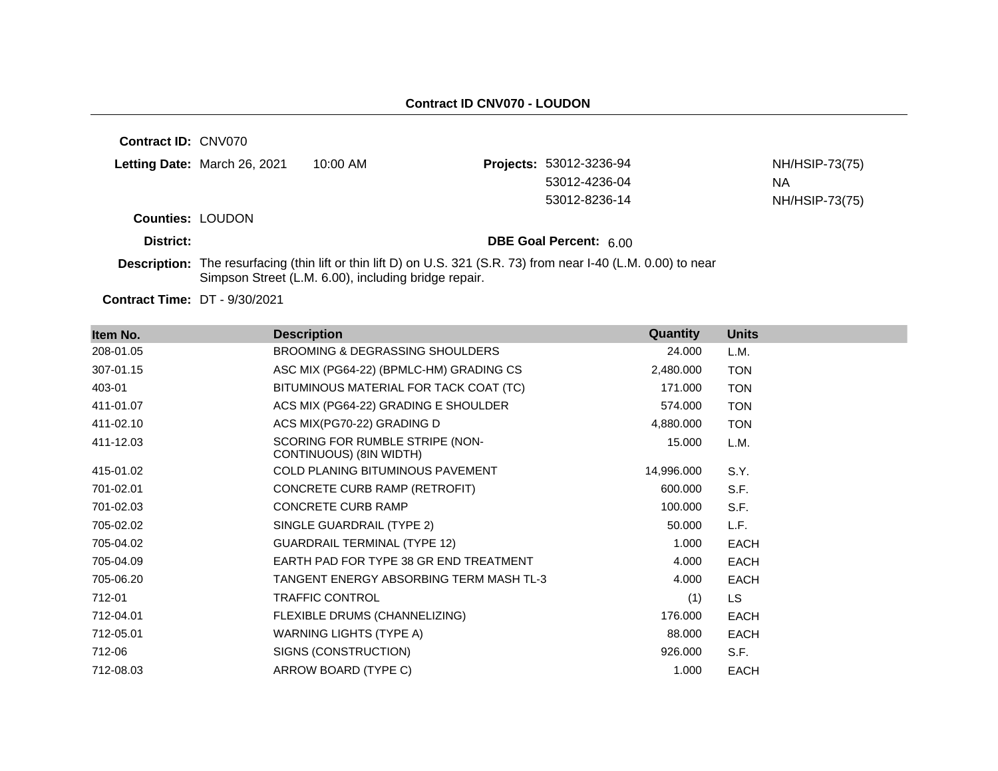**Contract ID:** CNV070

|                                        | Letting Date: March 26, 2021 | 10:00 AM | <b>Projects: 53012-3236-94</b> | NH/HSIP-73(75) |
|----------------------------------------|------------------------------|----------|--------------------------------|----------------|
|                                        |                              |          | 53012-4236-04                  | <b>NA</b>      |
|                                        |                              |          | 53012-8236-14                  | NH/HSIP-73(75) |
| $P_{\text{Quintilae}}$ , $\cap$ $\cap$ |                              |          |                                |                |

**Counties:** LOUDON

**District: District: DBE Goal Percent:** 6.00

**Description:** The resurfacing (thin lift or thin lift D) on U.S. 321 (S.R. 73) from near I-40 (L.M. 0.00) to near Simpson Street (L.M. 6.00), including bridge repair.

**Contract Time:** DT - 9/30/2021

| Item No.  | <b>Description</b>                                         | Quantity   | <b>Units</b> |
|-----------|------------------------------------------------------------|------------|--------------|
| 208-01.05 | <b>BROOMING &amp; DEGRASSING SHOULDERS</b>                 | 24.000     | L.M.         |
| 307-01.15 | ASC MIX (PG64-22) (BPMLC-HM) GRADING CS                    | 2,480.000  | <b>TON</b>   |
| 403-01    | BITUMINOUS MATERIAL FOR TACK COAT (TC)                     | 171.000    | <b>TON</b>   |
| 411-01.07 | ACS MIX (PG64-22) GRADING E SHOULDER                       | 574.000    | <b>TON</b>   |
| 411-02.10 | ACS MIX(PG70-22) GRADING D                                 | 4,880.000  | <b>TON</b>   |
| 411-12.03 | SCORING FOR RUMBLE STRIPE (NON-<br>CONTINUOUS) (8IN WIDTH) | 15.000     | L.M.         |
| 415-01.02 | <b>COLD PLANING BITUMINOUS PAVEMENT</b>                    | 14,996.000 | S.Y.         |
| 701-02.01 | CONCRETE CURB RAMP (RETROFIT)                              | 600.000    | S.F.         |
| 701-02.03 | <b>CONCRETE CURB RAMP</b>                                  | 100.000    | S.F.         |
| 705-02.02 | SINGLE GUARDRAIL (TYPE 2)                                  | 50.000     | L.F.         |
| 705-04.02 | <b>GUARDRAIL TERMINAL (TYPE 12)</b>                        | 1.000      | <b>EACH</b>  |
| 705-04.09 | EARTH PAD FOR TYPE 38 GR END TREATMENT                     | 4.000      | <b>EACH</b>  |
| 705-06.20 | TANGENT ENERGY ABSORBING TERM MASH TL-3                    | 4.000      | <b>EACH</b>  |
| 712-01    | <b>TRAFFIC CONTROL</b>                                     | (1)        | LS.          |
| 712-04.01 | FLEXIBLE DRUMS (CHANNELIZING)                              | 176.000    | <b>EACH</b>  |
| 712-05.01 | WARNING LIGHTS (TYPE A)                                    | 88.000     | <b>EACH</b>  |
| 712-06    | SIGNS (CONSTRUCTION)                                       | 926.000    | S.F.         |
| 712-08.03 | ARROW BOARD (TYPE C)                                       | 1.000      | <b>EACH</b>  |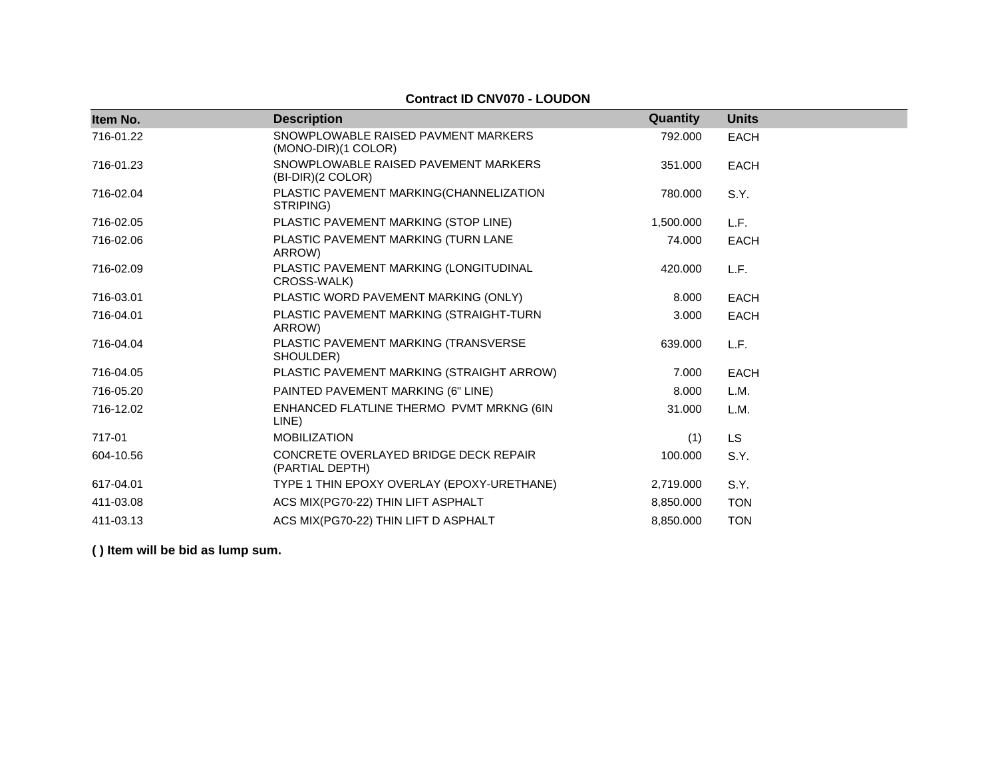### **Contract ID CNV070 - LOUDON**

| Item No.  | <b>Description</b>                                         | Quantity  | <b>Units</b> |
|-----------|------------------------------------------------------------|-----------|--------------|
| 716-01.22 | SNOWPLOWABLE RAISED PAVMENT MARKERS<br>(MONO-DIR)(1 COLOR) | 792.000   | <b>EACH</b>  |
| 716-01.23 | SNOWPLOWABLE RAISED PAVEMENT MARKERS<br>(BI-DIR)(2 COLOR)  | 351.000   | <b>EACH</b>  |
| 716-02.04 | PLASTIC PAVEMENT MARKING(CHANNELIZATION<br>STRIPING)       | 780.000   | S.Y.         |
| 716-02.05 | PLASTIC PAVEMENT MARKING (STOP LINE)                       | 1,500.000 | L.F.         |
| 716-02.06 | PLASTIC PAVEMENT MARKING (TURN LANE<br>ARROW)              | 74.000    | <b>EACH</b>  |
| 716-02.09 | PLASTIC PAVEMENT MARKING (LONGITUDINAL<br>CROSS-WALK)      | 420.000   | L.F.         |
| 716-03.01 | PLASTIC WORD PAVEMENT MARKING (ONLY)                       | 8.000     | <b>EACH</b>  |
| 716-04.01 | PLASTIC PAVEMENT MARKING (STRAIGHT-TURN<br>ARROW)          | 3.000     | <b>EACH</b>  |
| 716-04.04 | PLASTIC PAVEMENT MARKING (TRANSVERSE<br>SHOULDER)          | 639,000   | L.F.         |
| 716-04.05 | PLASTIC PAVEMENT MARKING (STRAIGHT ARROW)                  | 7.000     | <b>EACH</b>  |
| 716-05.20 | PAINTED PAVEMENT MARKING (6" LINE)                         | 8.000     | L.M.         |
| 716-12.02 | ENHANCED FLATLINE THERMO PVMT MRKNG (6IN<br>LINE)          | 31.000    | L.M.         |
| 717-01    | <b>MOBILIZATION</b>                                        | (1)       | <b>LS</b>    |
| 604-10.56 | CONCRETE OVERLAYED BRIDGE DECK REPAIR<br>(PARTIAL DEPTH)   | 100.000   | S.Y.         |
| 617-04.01 | TYPE 1 THIN EPOXY OVERLAY (EPOXY-URETHANE)                 | 2,719.000 | S.Y.         |
| 411-03.08 | ACS MIX(PG70-22) THIN LIFT ASPHALT                         | 8,850.000 | <b>TON</b>   |
| 411-03.13 | ACS MIX(PG70-22) THIN LIFT D ASPHALT                       | 8,850.000 | <b>TON</b>   |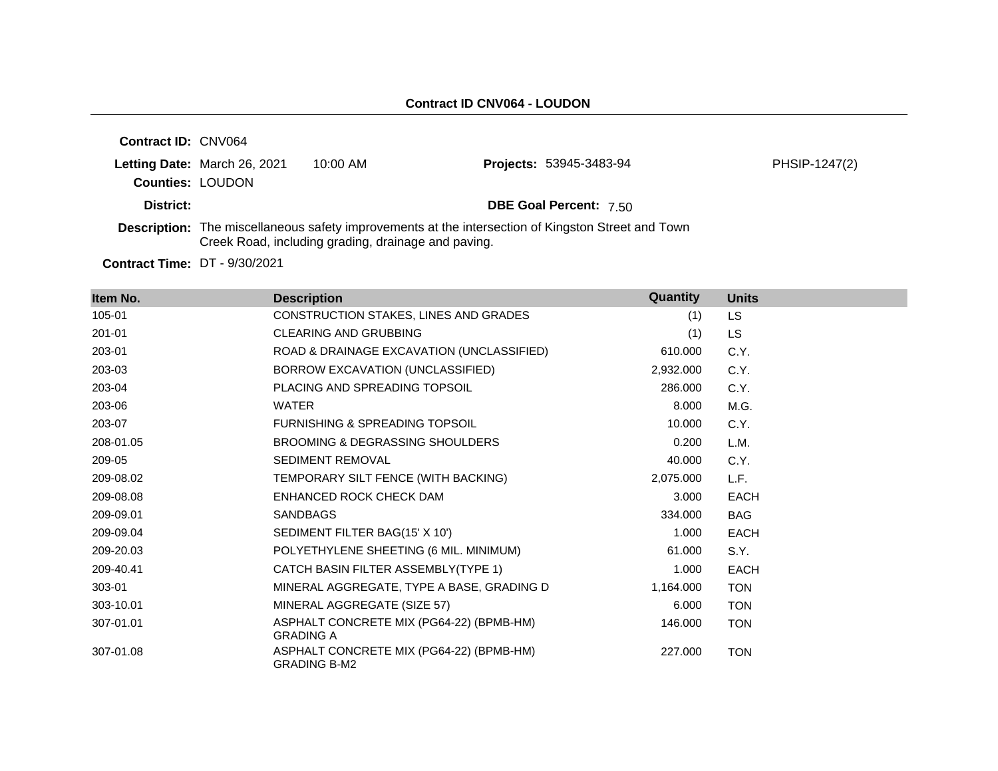| <b>Contract ID: CNV064</b> |                              |                                                     |                                                                                                           |               |
|----------------------------|------------------------------|-----------------------------------------------------|-----------------------------------------------------------------------------------------------------------|---------------|
|                            | Letting Date: March 26, 2021 | $10:00$ AM                                          | <b>Projects: 53945-3483-94</b>                                                                            | PHSIP-1247(2) |
| <b>Counties: LOUDON</b>    |                              |                                                     |                                                                                                           |               |
| District:                  |                              |                                                     | <b>DBE Goal Percent: 7.50</b>                                                                             |               |
|                            |                              | Creek Road, including grading, drainage and paving. | <b>Description:</b> The miscellaneous safety improvements at the intersection of Kingston Street and Town |               |

**Contract Time:** DT - 9/30/2021

| Item No.  | <b>Description</b>                                              | Quantity  | <b>Units</b> |
|-----------|-----------------------------------------------------------------|-----------|--------------|
| 105-01    | CONSTRUCTION STAKES, LINES AND GRADES                           | (1)       | <b>LS</b>    |
| 201-01    | <b>CLEARING AND GRUBBING</b>                                    | (1)       | <b>LS</b>    |
| 203-01    | ROAD & DRAINAGE EXCAVATION (UNCLASSIFIED)                       | 610.000   | C.Y.         |
| 203-03    | BORROW EXCAVATION (UNCLASSIFIED)                                | 2,932.000 | C.Y.         |
| 203-04    | PLACING AND SPREADING TOPSOIL                                   | 286.000   | C.Y.         |
| 203-06    | <b>WATER</b>                                                    | 8.000     | M.G.         |
| 203-07    | <b>FURNISHING &amp; SPREADING TOPSOIL</b>                       | 10.000    | C.Y.         |
| 208-01.05 | BROOMING & DEGRASSING SHOULDERS                                 | 0.200     | L.M.         |
| 209-05    | <b>SEDIMENT REMOVAL</b>                                         | 40.000    | C.Y.         |
| 209-08.02 | TEMPORARY SILT FENCE (WITH BACKING)                             | 2,075.000 | L.F.         |
| 209-08.08 | ENHANCED ROCK CHECK DAM                                         | 3.000     | <b>EACH</b>  |
| 209-09.01 | <b>SANDBAGS</b>                                                 | 334.000   | BAG          |
| 209-09.04 | SEDIMENT FILTER BAG(15' X 10')                                  | 1.000     | <b>EACH</b>  |
| 209-20.03 | POLYETHYLENE SHEETING (6 MIL. MINIMUM)                          | 61.000    | S.Y.         |
| 209-40.41 | CATCH BASIN FILTER ASSEMBLY(TYPE 1)                             | 1.000     | <b>EACH</b>  |
| 303-01    | MINERAL AGGREGATE, TYPE A BASE, GRADING D                       | 1,164.000 | <b>TON</b>   |
| 303-10.01 | MINERAL AGGREGATE (SIZE 57)                                     | 6.000     | <b>TON</b>   |
| 307-01.01 | ASPHALT CONCRETE MIX (PG64-22) (BPMB-HM)<br><b>GRADING A</b>    | 146.000   | <b>TON</b>   |
| 307-01.08 | ASPHALT CONCRETE MIX (PG64-22) (BPMB-HM)<br><b>GRADING B-M2</b> | 227.000   | <b>TON</b>   |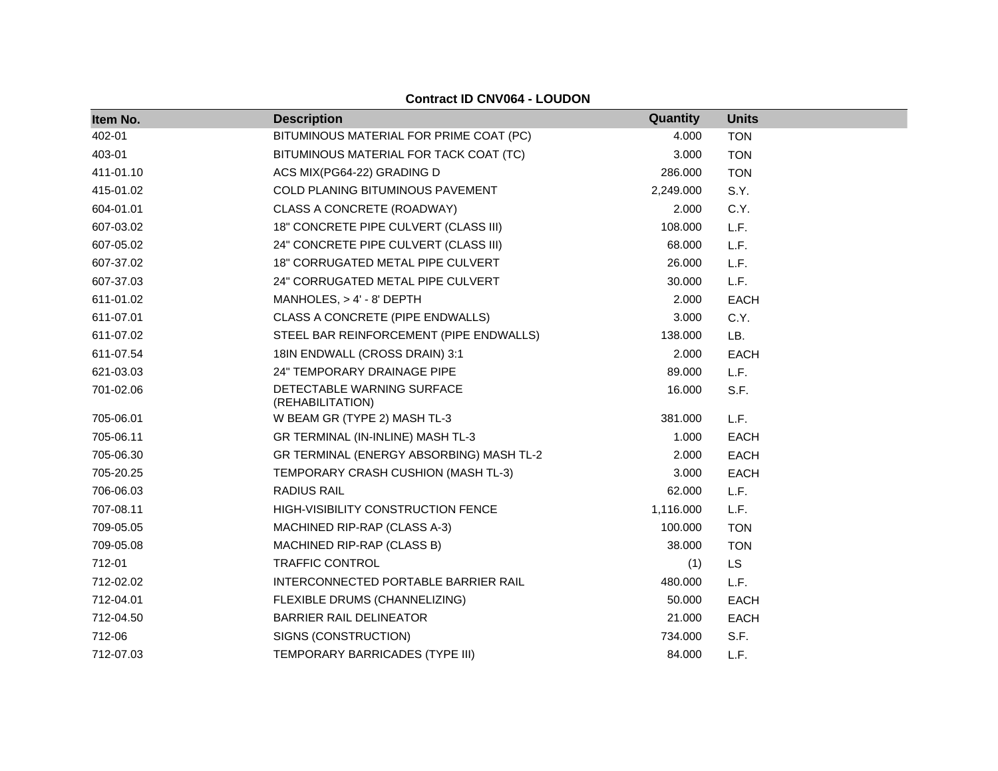| Item No.  | <b>Description</b>                             | Quantity  | <b>Units</b> |
|-----------|------------------------------------------------|-----------|--------------|
| 402-01    | BITUMINOUS MATERIAL FOR PRIME COAT (PC)        | 4.000     | <b>TON</b>   |
| 403-01    | BITUMINOUS MATERIAL FOR TACK COAT (TC)         | 3.000     | <b>TON</b>   |
| 411-01.10 | ACS MIX(PG64-22) GRADING D                     | 286.000   | <b>TON</b>   |
| 415-01.02 | COLD PLANING BITUMINOUS PAVEMENT               | 2,249.000 | S.Y.         |
| 604-01.01 | CLASS A CONCRETE (ROADWAY)                     | 2.000     | C.Y.         |
| 607-03.02 | 18" CONCRETE PIPE CULVERT (CLASS III)          | 108.000   | L.F.         |
| 607-05.02 | 24" CONCRETE PIPE CULVERT (CLASS III)          | 68.000    | L.F.         |
| 607-37.02 | 18" CORRUGATED METAL PIPE CULVERT              | 26.000    | L.F.         |
| 607-37.03 | 24" CORRUGATED METAL PIPE CULVERT              | 30.000    | L.F.         |
| 611-01.02 | MANHOLES, $> 4' - 8'$ DEPTH                    | 2.000     | <b>EACH</b>  |
| 611-07.01 | CLASS A CONCRETE (PIPE ENDWALLS)               | 3.000     | C.Y.         |
| 611-07.02 | STEEL BAR REINFORCEMENT (PIPE ENDWALLS)        | 138.000   | LB.          |
| 611-07.54 | 18IN ENDWALL (CROSS DRAIN) 3:1                 | 2.000     | <b>EACH</b>  |
| 621-03.03 | 24" TEMPORARY DRAINAGE PIPE                    | 89.000    | L.F.         |
| 701-02.06 | DETECTABLE WARNING SURFACE<br>(REHABILITATION) | 16.000    | S.F.         |
| 705-06.01 | W BEAM GR (TYPE 2) MASH TL-3                   | 381.000   | L.F.         |
| 705-06.11 | GR TERMINAL (IN-INLINE) MASH TL-3              | 1.000     | <b>EACH</b>  |
| 705-06.30 | GR TERMINAL (ENERGY ABSORBING) MASH TL-2       | 2.000     | <b>EACH</b>  |
| 705-20.25 | TEMPORARY CRASH CUSHION (MASH TL-3)            | 3.000     | <b>EACH</b>  |
| 706-06.03 | <b>RADIUS RAIL</b>                             | 62.000    | L.F.         |
| 707-08.11 | HIGH-VISIBILITY CONSTRUCTION FENCE             | 1,116.000 | L.F.         |
| 709-05.05 | MACHINED RIP-RAP (CLASS A-3)                   | 100.000   | <b>TON</b>   |
| 709-05.08 | MACHINED RIP-RAP (CLASS B)                     | 38.000    | <b>TON</b>   |
| 712-01    | TRAFFIC CONTROL                                | (1)       | <b>LS</b>    |
| 712-02.02 | INTERCONNECTED PORTABLE BARRIER RAIL           | 480.000   | L.F.         |
| 712-04.01 | FLEXIBLE DRUMS (CHANNELIZING)                  | 50.000    | <b>EACH</b>  |
| 712-04.50 | <b>BARRIER RAIL DELINEATOR</b>                 | 21.000    | <b>EACH</b>  |
| 712-06    | SIGNS (CONSTRUCTION)                           | 734.000   | S.F.         |
| 712-07.03 | TEMPORARY BARRICADES (TYPE III)                | 84.000    | L.F.         |

## **Contract ID CNV064 - LOUDON**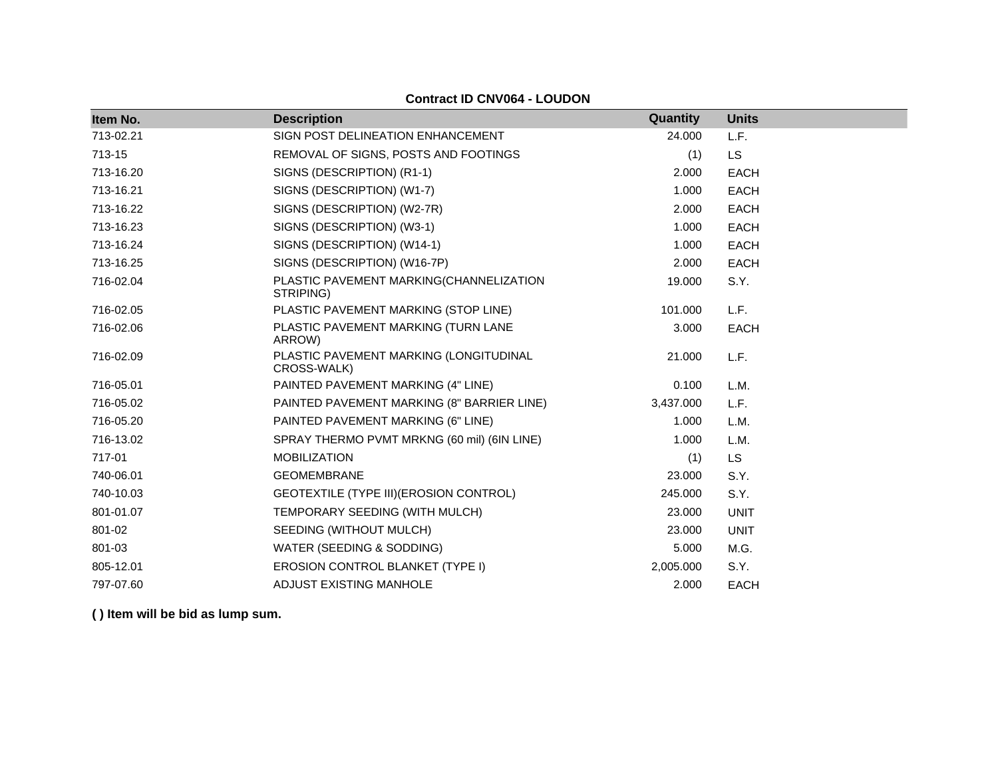|  | <b>Contract ID CNV064 - LOUDON</b> |  |
|--|------------------------------------|--|

| Item No.  | <b>Description</b>                                    | Quantity  | <b>Units</b> |
|-----------|-------------------------------------------------------|-----------|--------------|
| 713-02.21 | SIGN POST DELINEATION ENHANCEMENT                     | 24.000    | L.F.         |
| 713-15    | REMOVAL OF SIGNS, POSTS AND FOOTINGS                  | (1)       | <b>LS</b>    |
| 713-16.20 | SIGNS (DESCRIPTION) (R1-1)                            | 2.000     | <b>EACH</b>  |
| 713-16.21 | SIGNS (DESCRIPTION) (W1-7)                            | 1.000     | <b>EACH</b>  |
| 713-16.22 | SIGNS (DESCRIPTION) (W2-7R)                           | 2.000     | <b>EACH</b>  |
| 713-16.23 | SIGNS (DESCRIPTION) (W3-1)                            | 1.000     | EACH         |
| 713-16.24 | SIGNS (DESCRIPTION) (W14-1)                           | 1.000     | <b>EACH</b>  |
| 713-16.25 | SIGNS (DESCRIPTION) (W16-7P)                          | 2.000     | <b>EACH</b>  |
| 716-02.04 | PLASTIC PAVEMENT MARKING(CHANNELIZATION<br>STRIPING)  | 19.000    | S.Y.         |
| 716-02.05 | PLASTIC PAVEMENT MARKING (STOP LINE)                  | 101.000   | L.F.         |
| 716-02.06 | PLASTIC PAVEMENT MARKING (TURN LANE<br>ARROW)         | 3.000     | <b>EACH</b>  |
| 716-02.09 | PLASTIC PAVEMENT MARKING (LONGITUDINAL<br>CROSS-WALK) | 21.000    | L.F.         |
| 716-05.01 | PAINTED PAVEMENT MARKING (4" LINE)                    | 0.100     | L.M.         |
| 716-05.02 | PAINTED PAVEMENT MARKING (8" BARRIER LINE)            | 3,437.000 | L.F.         |
| 716-05.20 | PAINTED PAVEMENT MARKING (6" LINE)                    | 1.000     | L.M.         |
| 716-13.02 | SPRAY THERMO PVMT MRKNG (60 mil) (6IN LINE)           | 1.000     | L.M.         |
| 717-01    | <b>MOBILIZATION</b>                                   | (1)       | <b>LS</b>    |
| 740-06.01 | <b>GEOMEMBRANE</b>                                    | 23,000    | S.Y.         |
| 740-10.03 | GEOTEXTILE (TYPE III) (EROSION CONTROL)               | 245.000   | S.Y.         |
| 801-01.07 | TEMPORARY SEEDING (WITH MULCH)                        | 23,000    | <b>UNIT</b>  |
| 801-02    | SEEDING (WITHOUT MULCH)                               | 23,000    | <b>UNIT</b>  |
| 801-03    | WATER (SEEDING & SODDING)                             | 5.000     | M.G.         |
| 805-12.01 | EROSION CONTROL BLANKET (TYPE I)                      | 2,005.000 | S.Y.         |
| 797-07.60 | ADJUST EXISTING MANHOLE                               | 2.000     | <b>EACH</b>  |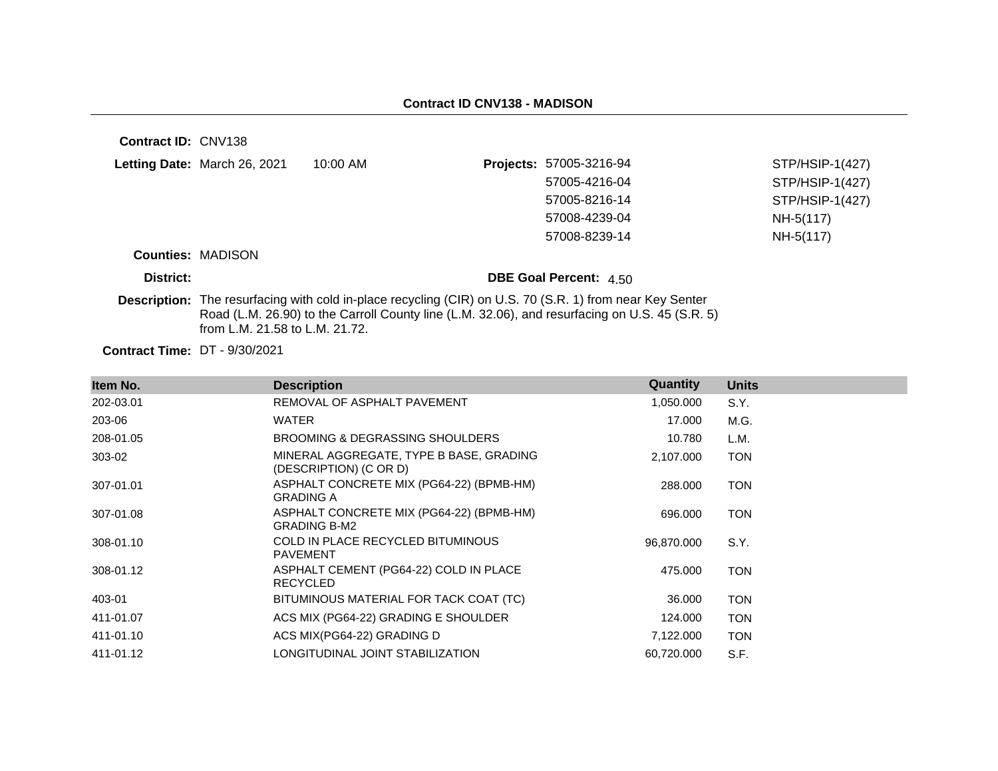| Contract ID: CNV138                  |                                |                                                                                                                 |                                                                                                |                 |
|--------------------------------------|--------------------------------|-----------------------------------------------------------------------------------------------------------------|------------------------------------------------------------------------------------------------|-----------------|
|                                      | Letting Date: March 26, 2021   | $10:00$ AM                                                                                                      | <b>Projects: 57005-3216-94</b>                                                                 | STP/HSIP-1(427) |
|                                      |                                |                                                                                                                 | 57005-4216-04                                                                                  | STP/HSIP-1(427) |
|                                      |                                |                                                                                                                 | 57005-8216-14                                                                                  | STP/HSIP-1(427) |
|                                      |                                |                                                                                                                 | 57008-4239-04                                                                                  | NH-5(117)       |
|                                      |                                |                                                                                                                 | 57008-8239-14                                                                                  | NH-5(117)       |
|                                      | <b>Counties: MADISON</b>       |                                                                                                                 |                                                                                                |                 |
| District:                            |                                |                                                                                                                 | <b>DBE Goal Percent: 4.50</b>                                                                  |                 |
|                                      | from L.M. 21.58 to L.M. 21.72. | <b>Description:</b> The resurfacing with cold in-place recycling (CIR) on U.S. 70 (S.R. 1) from near Key Senter | Road (L.M. 26.90) to the Carroll County line (L.M. 32.06), and resurfacing on U.S. 45 (S.R. 5) |                 |
| <b>Contract Time: DT - 9/30/2021</b> |                                |                                                                                                                 |                                                                                                |                 |

| Item No.  | <b>Description</b>                                                | Quantity   | <b>Units</b> |
|-----------|-------------------------------------------------------------------|------------|--------------|
| 202-03.01 | REMOVAL OF ASPHALT PAVEMENT                                       | 1,050.000  | S.Y.         |
| 203-06    | WATER                                                             | 17.000     | M.G.         |
| 208-01.05 | BROOMING & DEGRASSING SHOULDERS                                   | 10.780     | L.M.         |
| 303-02    | MINERAL AGGREGATE, TYPE B BASE, GRADING<br>(DESCRIPTION) (C OR D) | 2,107.000  | <b>TON</b>   |
| 307-01.01 | ASPHALT CONCRETE MIX (PG64-22) (BPMB-HM)<br><b>GRADING A</b>      | 288.000    | <b>TON</b>   |
| 307-01.08 | ASPHALT CONCRETE MIX (PG64-22) (BPMB-HM)<br><b>GRADING B-M2</b>   | 696.000    | <b>TON</b>   |
| 308-01.10 | COLD IN PLACE RECYCLED BITUMINOUS<br><b>PAVEMENT</b>              | 96,870.000 | S.Y.         |
| 308-01.12 | ASPHALT CEMENT (PG64-22) COLD IN PLACE<br><b>RECYCLED</b>         | 475.000    | <b>TON</b>   |
| 403-01    | BITUMINOUS MATERIAL FOR TACK COAT (TC)                            | 36.000     | <b>TON</b>   |
| 411-01.07 | ACS MIX (PG64-22) GRADING E SHOULDER                              | 124.000    | <b>TON</b>   |
| 411-01.10 | ACS MIX(PG64-22) GRADING D                                        | 7,122.000  | <b>TON</b>   |
| 411-01.12 | LONGITUDINAL JOINT STABILIZATION                                  | 60,720.000 | S.F.         |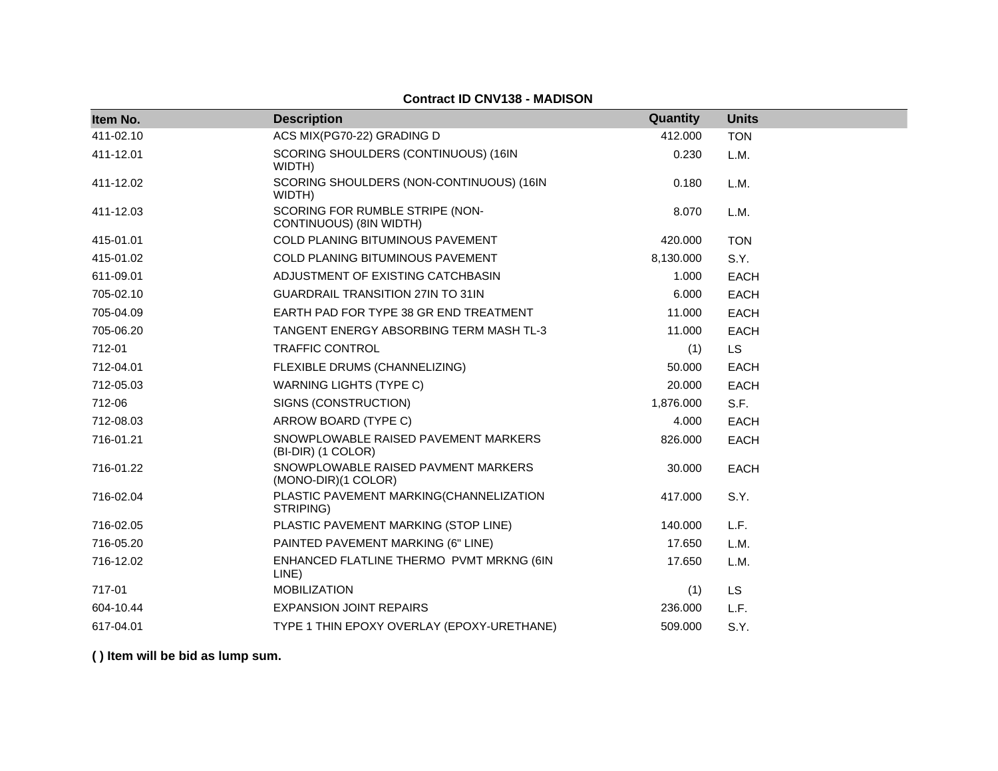| Item No.  | <b>Description</b>                                         | Quantity  | <b>Units</b> |
|-----------|------------------------------------------------------------|-----------|--------------|
| 411-02.10 | ACS MIX(PG70-22) GRADING D                                 | 412,000   | <b>TON</b>   |
| 411-12.01 | SCORING SHOULDERS (CONTINUOUS) (16IN<br>WIDTH)             | 0.230     | L.M.         |
| 411-12.02 | SCORING SHOULDERS (NON-CONTINUOUS) (16IN<br>WIDTH)         | 0.180     | L.M.         |
| 411-12.03 | SCORING FOR RUMBLE STRIPE (NON-<br>CONTINUOUS) (8IN WIDTH) | 8.070     | L.M.         |
| 415-01.01 | <b>COLD PLANING BITUMINOUS PAVEMENT</b>                    | 420.000   | <b>TON</b>   |
| 415-01.02 | COLD PLANING BITUMINOUS PAVEMENT                           | 8,130.000 | S.Y.         |
| 611-09.01 | ADJUSTMENT OF EXISTING CATCHBASIN                          | 1.000     | <b>EACH</b>  |
| 705-02.10 | <b>GUARDRAIL TRANSITION 27IN TO 31IN</b>                   | 6.000     | <b>EACH</b>  |
| 705-04.09 | EARTH PAD FOR TYPE 38 GR END TREATMENT                     | 11.000    | <b>EACH</b>  |
| 705-06.20 | <b>TANGENT ENERGY ABSORBING TERM MASH TL-3</b>             | 11.000    | <b>EACH</b>  |
| 712-01    | <b>TRAFFIC CONTROL</b>                                     | (1)       | <b>LS</b>    |
| 712-04.01 | FLEXIBLE DRUMS (CHANNELIZING)                              | 50,000    | <b>EACH</b>  |
| 712-05.03 | <b>WARNING LIGHTS (TYPE C)</b>                             | 20.000    | <b>EACH</b>  |
| 712-06    | SIGNS (CONSTRUCTION)                                       | 1,876.000 | S.F.         |
| 712-08.03 | ARROW BOARD (TYPE C)                                       | 4.000     | <b>EACH</b>  |
| 716-01.21 | SNOWPLOWABLE RAISED PAVEMENT MARKERS<br>(BI-DIR) (1 COLOR) | 826.000   | <b>EACH</b>  |
| 716-01.22 | SNOWPLOWABLE RAISED PAVMENT MARKERS<br>(MONO-DIR)(1 COLOR) | 30.000    | <b>EACH</b>  |
| 716-02.04 | PLASTIC PAVEMENT MARKING(CHANNELIZATION<br>STRIPING)       | 417.000   | S.Y.         |
| 716-02.05 | PLASTIC PAVEMENT MARKING (STOP LINE)                       | 140.000   | L.F.         |
| 716-05.20 | PAINTED PAVEMENT MARKING (6" LINE)                         | 17.650    | L.M.         |
| 716-12.02 | ENHANCED FLATLINE THERMO PVMT MRKNG (6IN<br>LINE)          | 17.650    | L.M.         |
| 717-01    | <b>MOBILIZATION</b>                                        | (1)       | <b>LS</b>    |
| 604-10.44 | <b>EXPANSION JOINT REPAIRS</b>                             | 236.000   | L.F.         |
| 617-04.01 | TYPE 1 THIN EPOXY OVERLAY (EPOXY-URETHANE)                 | 509.000   | S.Y.         |

### **Contract ID CNV138 - MADISON**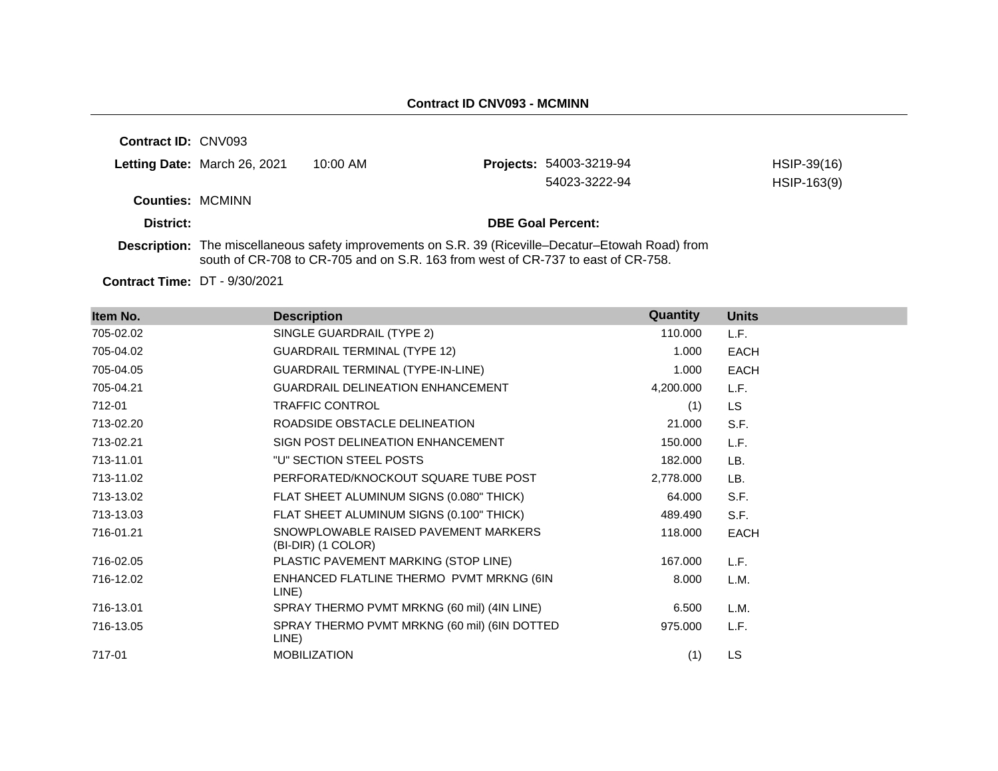**Contract ID:** CNV093 **Letting Date: March 26, 2021 10:00 AM Counties:** MCMINN **District: DBE Goal Percent: Description:** The miscellaneous safety improvements on S.R. 39 (Riceville–Decatur–Etowah Road) from south of CR-708 to CR-705 and on S.R. 163 from west of CR-737 to east of CR-758. **Projects:** 54003-3219-94 HSIP-39(16) 54023-3222-94 HSIP-163(9)

**Contract Time:** DT - 9/30/2021

| Item No.  | <b>Description</b>                                         | Quantity  | <b>Units</b> |
|-----------|------------------------------------------------------------|-----------|--------------|
| 705-02.02 | SINGLE GUARDRAIL (TYPE 2)                                  | 110.000   | L.F.         |
| 705-04.02 | <b>GUARDRAIL TERMINAL (TYPE 12)</b>                        | 1.000     | <b>EACH</b>  |
| 705-04.05 | GUARDRAIL TERMINAL (TYPE-IN-LINE)                          | 1.000     | <b>EACH</b>  |
| 705-04.21 | <b>GUARDRAIL DELINEATION ENHANCEMENT</b>                   | 4,200.000 | L.F.         |
| 712-01    | <b>TRAFFIC CONTROL</b>                                     | (1)       | LS.          |
| 713-02.20 | ROADSIDE OBSTACLE DELINEATION                              | 21.000    | S.F.         |
| 713-02.21 | SIGN POST DELINEATION ENHANCEMENT                          | 150.000   | L.F.         |
| 713-11.01 | "U" SECTION STEEL POSTS                                    | 182.000   | LB.          |
| 713-11.02 | PERFORATED/KNOCKOUT SQUARE TUBE POST                       | 2,778.000 | LB.          |
| 713-13.02 | FLAT SHEET ALUMINUM SIGNS (0.080" THICK)                   | 64.000    | S.F.         |
| 713-13.03 | FLAT SHEET ALUMINUM SIGNS (0.100" THICK)                   | 489.490   | S.F.         |
| 716-01.21 | SNOWPLOWABLE RAISED PAVEMENT MARKERS<br>(BI-DIR) (1 COLOR) | 118.000   | <b>EACH</b>  |
| 716-02.05 | PLASTIC PAVEMENT MARKING (STOP LINE)                       | 167.000   | L.F.         |
| 716-12.02 | ENHANCED FLATLINE THERMO PVMT MRKNG (6IN<br>LINE)          | 8.000     | L.M.         |
| 716-13.01 | SPRAY THERMO PVMT MRKNG (60 mil) (4IN LINE)                | 6.500     | L.M.         |
| 716-13.05 | SPRAY THERMO PVMT MRKNG (60 mil) (6IN DOTTED<br>LINE)      | 975.000   | L.F.         |
| 717-01    | <b>MOBILIZATION</b>                                        | (1)       | LS           |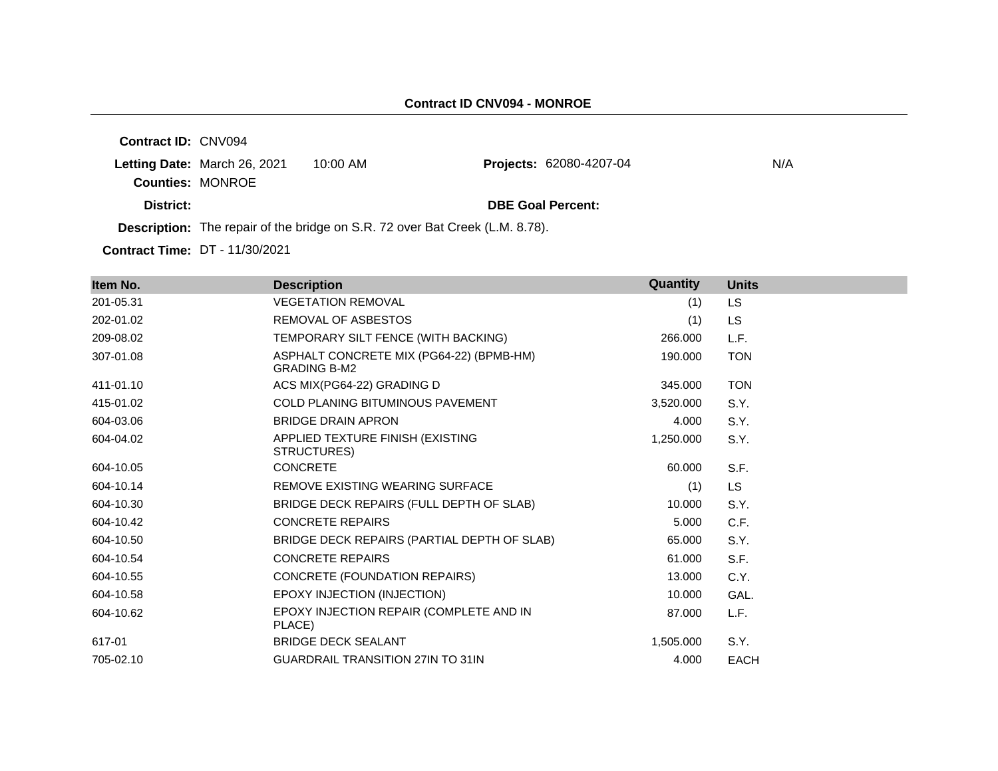**Contract ID:** CNV094 **Letting Date: March 26, 2021 10:00 AM Counties:** MONROE **District: DBE Goal Percent: Description:** The repair of the bridge on S.R. 72 over Bat Creek (L.M. 8.78). Projects: 62080-4207-04 N/A

**Contract Time:** DT - 11/30/2021

| Item No.  | <b>Description</b>                                              | Quantity  | <b>Units</b> |
|-----------|-----------------------------------------------------------------|-----------|--------------|
| 201-05.31 | <b>VEGETATION REMOVAL</b>                                       | (1)       | <b>LS</b>    |
| 202-01.02 | REMOVAL OF ASBESTOS                                             | (1)       | <b>LS</b>    |
| 209-08.02 | TEMPORARY SILT FENCE (WITH BACKING)                             | 266.000   | L.F.         |
| 307-01.08 | ASPHALT CONCRETE MIX (PG64-22) (BPMB-HM)<br><b>GRADING B-M2</b> | 190.000   | <b>TON</b>   |
| 411-01.10 | ACS MIX(PG64-22) GRADING D                                      | 345.000   | <b>TON</b>   |
| 415-01.02 | <b>COLD PLANING BITUMINOUS PAVEMENT</b>                         | 3,520.000 | S.Y.         |
| 604-03.06 | <b>BRIDGE DRAIN APRON</b>                                       | 4.000     | S.Y.         |
| 604-04.02 | APPLIED TEXTURE FINISH (EXISTING<br>STRUCTURES)                 | 1,250.000 | S.Y.         |
| 604-10.05 | <b>CONCRETE</b>                                                 | 60.000    | S.F.         |
| 604-10.14 | REMOVE EXISTING WEARING SURFACE                                 | (1)       | <b>LS</b>    |
| 604-10.30 | BRIDGE DECK REPAIRS (FULL DEPTH OF SLAB)                        | 10.000    | S.Y.         |
| 604-10.42 | <b>CONCRETE REPAIRS</b>                                         | 5.000     | C.F.         |
| 604-10.50 | BRIDGE DECK REPAIRS (PARTIAL DEPTH OF SLAB)                     | 65.000    | S.Y.         |
| 604-10.54 | <b>CONCRETE REPAIRS</b>                                         | 61.000    | S.F.         |
| 604-10.55 | CONCRETE (FOUNDATION REPAIRS)                                   | 13.000    | C.Y.         |
| 604-10.58 | EPOXY INJECTION (INJECTION)                                     | 10.000    | GAL.         |
| 604-10.62 | EPOXY INJECTION REPAIR (COMPLETE AND IN<br>PLACE)               | 87.000    | L.F.         |
| 617-01    | <b>BRIDGE DECK SEALANT</b>                                      | 1,505.000 | S.Y.         |
| 705-02.10 | <b>GUARDRAIL TRANSITION 27IN TO 31IN</b>                        | 4.000     | <b>EACH</b>  |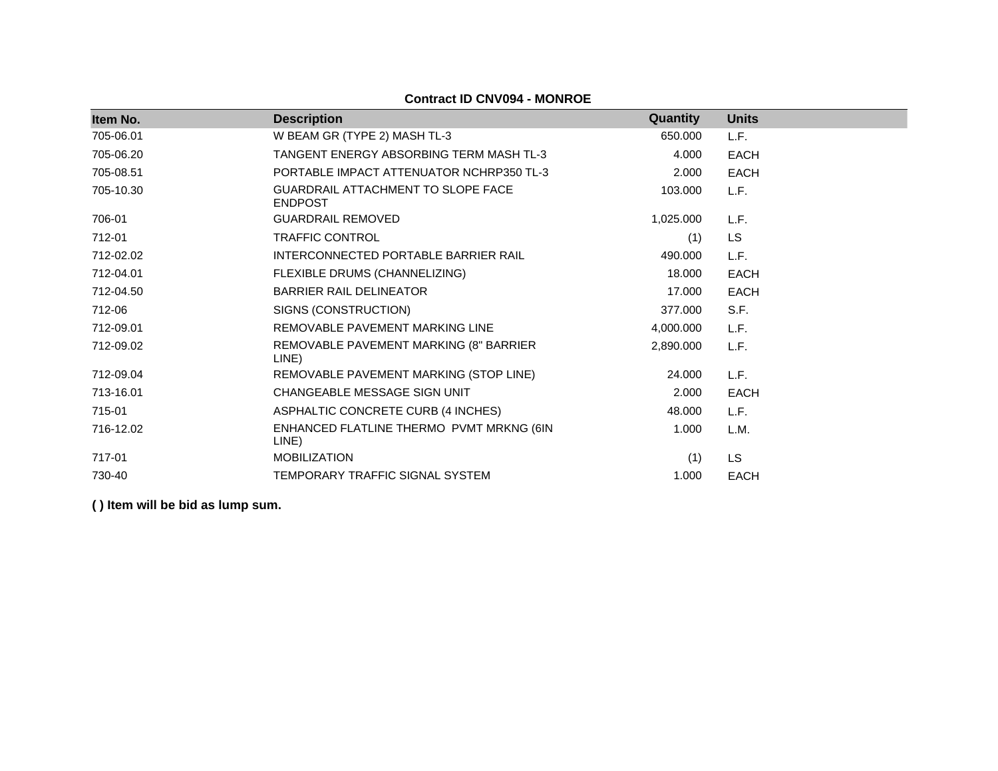| Item No.  | <b>Description</b>                                   | Quantity  | <b>Units</b> |
|-----------|------------------------------------------------------|-----------|--------------|
| 705-06.01 | W BEAM GR (TYPE 2) MASH TL-3                         | 650.000   | L.F.         |
| 705-06.20 | TANGENT ENERGY ABSORBING TERM MASH TL-3              | 4.000     | <b>EACH</b>  |
| 705-08.51 | PORTABLE IMPACT ATTENUATOR NCHRP350 TL-3             | 2.000     | <b>EACH</b>  |
| 705-10.30 | GUARDRAIL ATTACHMENT TO SLOPE FACE<br><b>ENDPOST</b> | 103.000   | L.F.         |
| 706-01    | <b>GUARDRAIL REMOVED</b>                             | 1,025.000 | L.F.         |
| 712-01    | <b>TRAFFIC CONTROL</b>                               | (1)       | LS.          |
| 712-02.02 | INTERCONNECTED PORTABLE BARRIER RAIL                 | 490.000   | L.F.         |
| 712-04.01 | FLEXIBLE DRUMS (CHANNELIZING)                        | 18.000    | <b>EACH</b>  |
| 712-04.50 | <b>BARRIER RAIL DELINEATOR</b>                       | 17.000    | <b>EACH</b>  |
| 712-06    | SIGNS (CONSTRUCTION)                                 | 377.000   | S.F.         |
| 712-09.01 | REMOVABLE PAVEMENT MARKING LINE                      | 4,000.000 | L.F.         |
| 712-09.02 | REMOVABLE PAVEMENT MARKING (8" BARRIER<br>LINE)      | 2,890.000 | L.F.         |
| 712-09.04 | REMOVABLE PAVEMENT MARKING (STOP LINE)               | 24.000    | L.F.         |
| 713-16.01 | CHANGEABLE MESSAGE SIGN UNIT                         | 2.000     | <b>EACH</b>  |
| 715-01    | ASPHALTIC CONCRETE CURB (4 INCHES)                   | 48.000    | L.F.         |
| 716-12.02 | ENHANCED FLATLINE THERMO PVMT MRKNG (6IN<br>LINE)    | 1.000     | L.M.         |
| 717-01    | <b>MOBILIZATION</b>                                  | (1)       | LS           |
| 730-40    | TEMPORARY TRAFFIC SIGNAL SYSTEM                      | 1.000     | <b>EACH</b>  |

**Contract ID CNV094 - MONROE**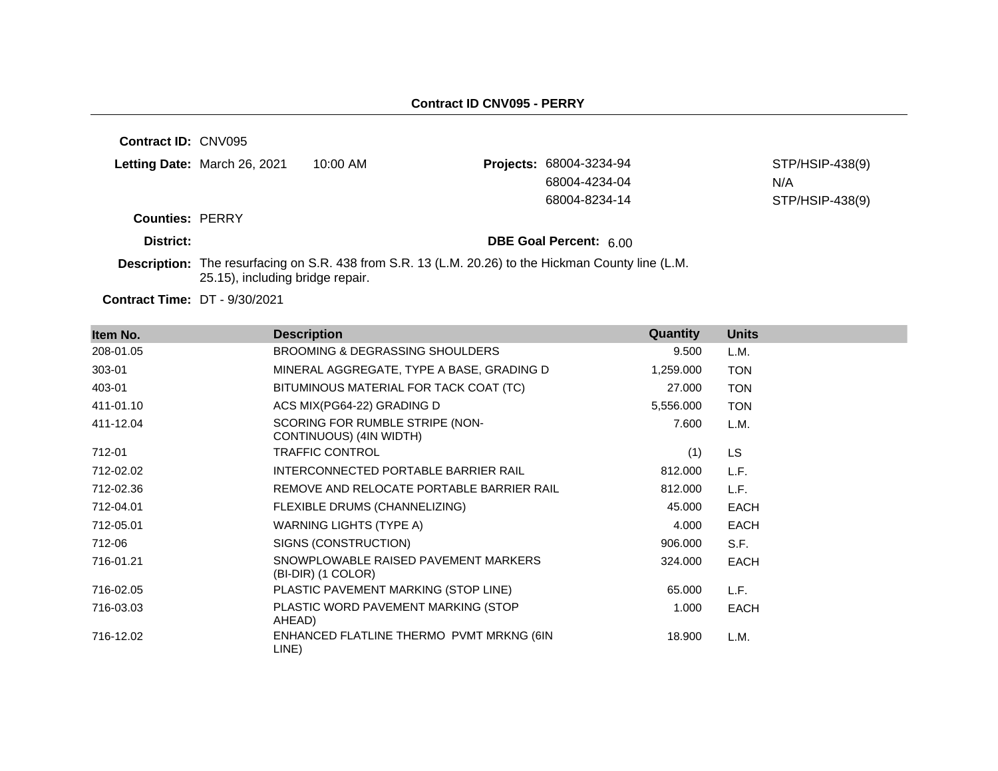**Contract ID:** CNV095

|         | Letting Date: March 26, 2021 | 10:00 AM | <b>Projects: 68004-3234-94</b> | STP/HSIP-438(9) |
|---------|------------------------------|----------|--------------------------------|-----------------|
|         |                              |          | 68004-4234-04                  | N/A             |
|         |                              |          | 68004-8234-14                  | STP/HSIP-438(9) |
| A DEDDV |                              |          |                                |                 |

**Counties:** PERRY

**District: District: DBE Goal Percent:** 6.00

**Description:** The resurfacing on S.R. 438 from S.R. 13 (L.M. 20.26) to the Hickman County line (L.M. 25.15), including bridge repair.

**Contract Time:** DT - 9/30/2021

| Item No.  | <b>Description</b>                                         | Quantity  | <b>Units</b> |
|-----------|------------------------------------------------------------|-----------|--------------|
| 208-01.05 | <b>BROOMING &amp; DEGRASSING SHOULDERS</b>                 | 9.500     | L.M.         |
| 303-01    | MINERAL AGGREGATE, TYPE A BASE, GRADING D                  | 1,259.000 | <b>TON</b>   |
| 403-01    | BITUMINOUS MATERIAL FOR TACK COAT (TC)                     | 27.000    | <b>TON</b>   |
| 411-01.10 | ACS MIX(PG64-22) GRADING D                                 | 5,556.000 | <b>TON</b>   |
| 411-12.04 | SCORING FOR RUMBLE STRIPE (NON-<br>CONTINUOUS) (4IN WIDTH) | 7.600     | L.M.         |
| 712-01    | <b>TRAFFIC CONTROL</b>                                     | (1)       | LS.          |
| 712-02.02 | INTERCONNECTED PORTABLE BARRIER RAIL                       | 812.000   | L.F.         |
| 712-02.36 | REMOVE AND RELOCATE PORTABLE BARRIER RAIL                  | 812.000   | L.F.         |
| 712-04.01 | FLEXIBLE DRUMS (CHANNELIZING)                              | 45.000    | <b>EACH</b>  |
| 712-05.01 | WARNING LIGHTS (TYPE A)                                    | 4.000     | <b>EACH</b>  |
| 712-06    | SIGNS (CONSTRUCTION)                                       | 906.000   | S.F.         |
| 716-01.21 | SNOWPLOWABLE RAISED PAVEMENT MARKERS<br>(BI-DIR) (1 COLOR) | 324.000   | <b>EACH</b>  |
| 716-02.05 | PLASTIC PAVEMENT MARKING (STOP LINE)                       | 65.000    | L.F.         |
| 716-03.03 | PLASTIC WORD PAVEMENT MARKING (STOP<br>AHEAD)              | 1.000     | <b>EACH</b>  |
| 716-12.02 | ENHANCED FLATLINE THERMO PVMT MRKNG (6IN<br>LINE)          | 18.900    | L.M.         |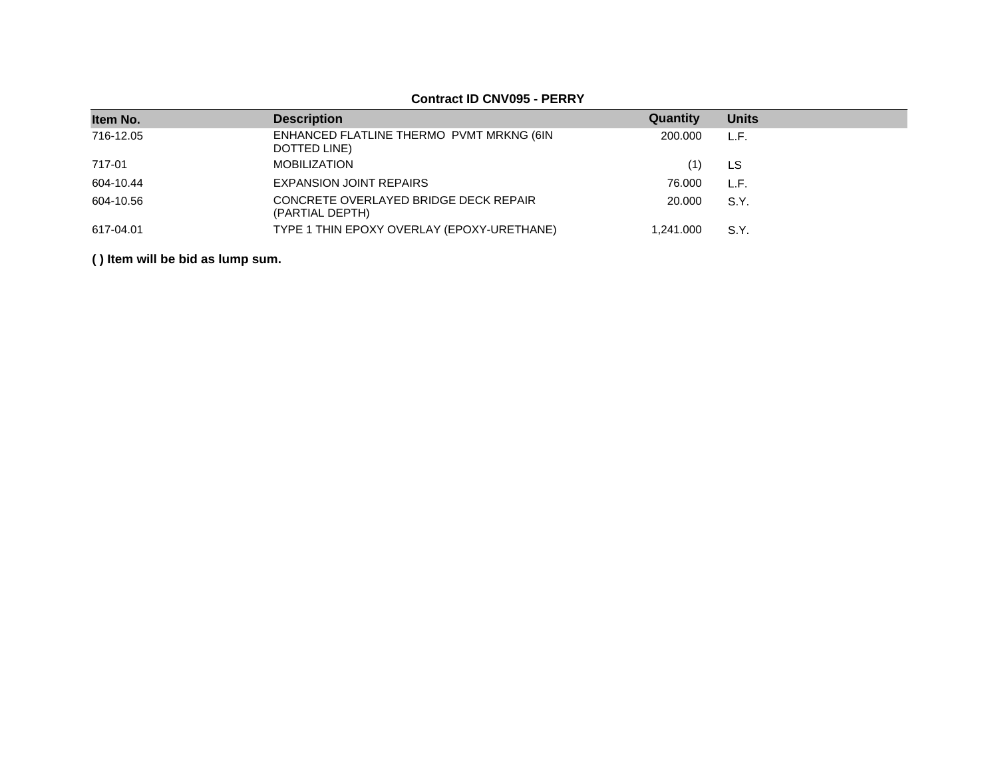### **Contract ID CNV095 - PERRY**

| Item No.  | <b>Description</b>                                       | Quantity  | <b>Units</b> |
|-----------|----------------------------------------------------------|-----------|--------------|
| 716-12.05 | ENHANCED FLATLINE THERMO PVMT MRKNG (6IN<br>DOTTED LINE) | 200,000   | L.F.         |
| 717-01    | <b>MOBILIZATION</b>                                      | (1)       | LS           |
| 604-10.44 | <b>EXPANSION JOINT REPAIRS</b>                           | 76.000    | L.F.         |
| 604-10.56 | CONCRETE OVERLAYED BRIDGE DECK REPAIR<br>(PARTIAL DEPTH) | 20,000    | S.Y.         |
| 617-04.01 | TYPE 1 THIN EPOXY OVERLAY (EPOXY-URETHANE)               | 1.241.000 | S.Y.         |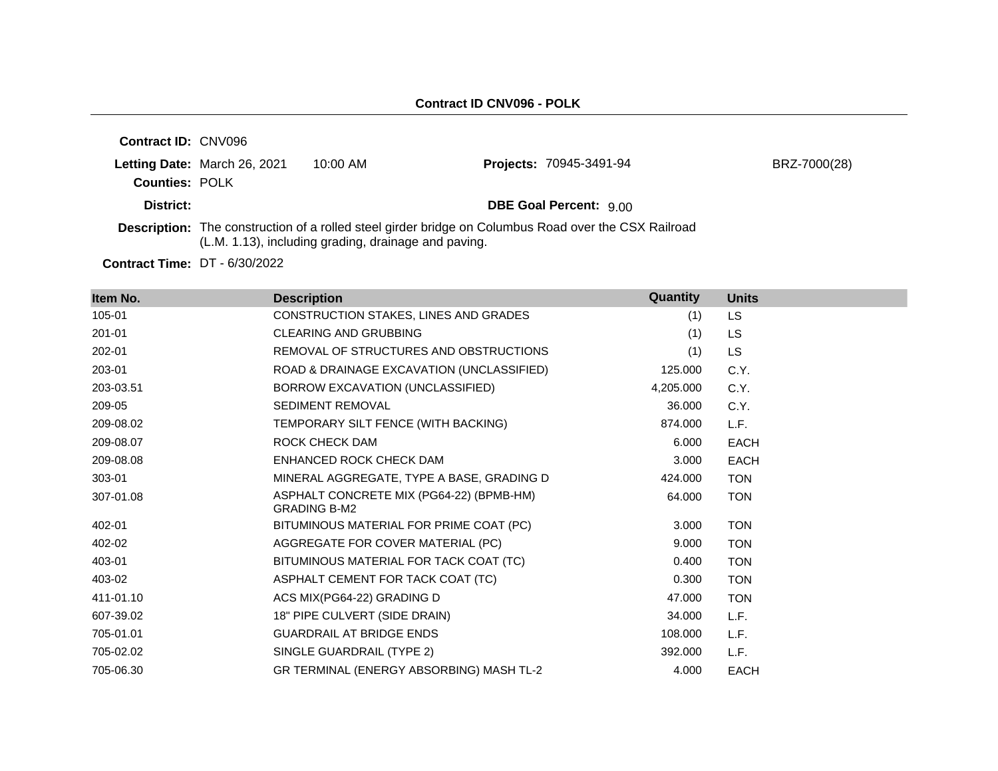| <b>Contract ID: CNV096</b> |                              |                                                      |                                                                                                      |              |
|----------------------------|------------------------------|------------------------------------------------------|------------------------------------------------------------------------------------------------------|--------------|
| <b>Counties: POLK</b>      | Letting Date: March 26, 2021 | $10:00$ AM                                           | <b>Projects: 70945-3491-94</b>                                                                       | BRZ-7000(28) |
| District:                  |                              |                                                      | <b>DBE Goal Percent: 900</b>                                                                         |              |
|                            |                              | (L.M. 1.13), including grading, drainage and paving. | Description: The construction of a rolled steel girder bridge on Columbus Road over the CSX Railroad |              |

**Contract Time:** DT - 6/30/2022

| Item No.  | <b>Description</b>                                              | Quantity  | <b>Units</b> |
|-----------|-----------------------------------------------------------------|-----------|--------------|
| 105-01    | <b>CONSTRUCTION STAKES, LINES AND GRADES</b>                    | (1)       | <b>LS</b>    |
| 201-01    | <b>CLEARING AND GRUBBING</b>                                    | (1)       | <b>LS</b>    |
| 202-01    | REMOVAL OF STRUCTURES AND OBSTRUCTIONS                          | (1)       | LS.          |
| 203-01    | ROAD & DRAINAGE EXCAVATION (UNCLASSIFIED)                       | 125.000   | C.Y.         |
| 203-03.51 | BORROW EXCAVATION (UNCLASSIFIED)                                | 4,205.000 | C.Y.         |
| 209-05    | <b>SEDIMENT REMOVAL</b>                                         | 36,000    | C.Y.         |
| 209-08.02 | TEMPORARY SILT FENCE (WITH BACKING)                             | 874.000   | L.F.         |
| 209-08.07 | ROCK CHECK DAM                                                  | 6.000     | <b>EACH</b>  |
| 209-08.08 | ENHANCED ROCK CHECK DAM                                         | 3.000     | <b>EACH</b>  |
| 303-01    | MINERAL AGGREGATE, TYPE A BASE, GRADING D                       | 424.000   | <b>TON</b>   |
| 307-01.08 | ASPHALT CONCRETE MIX (PG64-22) (BPMB-HM)<br><b>GRADING B-M2</b> | 64.000    | <b>TON</b>   |
| 402-01    | BITUMINOUS MATERIAL FOR PRIME COAT (PC)                         | 3.000     | <b>TON</b>   |
| 402-02    | AGGREGATE FOR COVER MATERIAL (PC)                               | 9.000     | <b>TON</b>   |
| 403-01    | BITUMINOUS MATERIAL FOR TACK COAT (TC)                          | 0.400     | <b>TON</b>   |
| 403-02    | ASPHALT CEMENT FOR TACK COAT (TC)                               | 0.300     | <b>TON</b>   |
| 411-01.10 | ACS MIX(PG64-22) GRADING D                                      | 47.000    | <b>TON</b>   |
| 607-39.02 | 18" PIPE CULVERT (SIDE DRAIN)                                   | 34.000    | L.F.         |
| 705-01.01 | <b>GUARDRAIL AT BRIDGE ENDS</b>                                 | 108.000   | L.F.         |
| 705-02.02 | SINGLE GUARDRAIL (TYPE 2)                                       | 392.000   | L.F.         |
| 705-06.30 | GR TERMINAL (ENERGY ABSORBING) MASH TL-2                        | 4.000     | <b>EACH</b>  |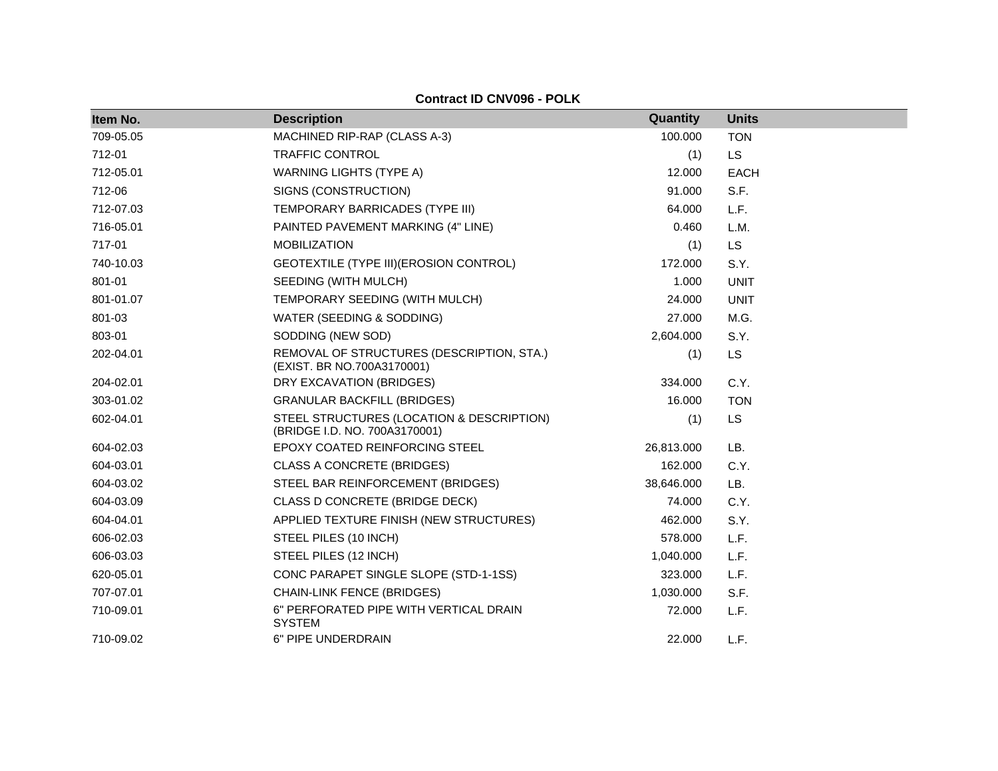**Contract ID CNV096 - POLK**

| Item No.  | <b>Description</b>                                                         | Quantity   | <b>Units</b> |
|-----------|----------------------------------------------------------------------------|------------|--------------|
| 709-05.05 | MACHINED RIP-RAP (CLASS A-3)                                               | 100.000    | <b>TON</b>   |
| 712-01    | <b>TRAFFIC CONTROL</b>                                                     | (1)        | <b>LS</b>    |
| 712-05.01 | <b>WARNING LIGHTS (TYPE A)</b>                                             | 12.000     | <b>EACH</b>  |
| 712-06    | SIGNS (CONSTRUCTION)                                                       | 91.000     | S.F.         |
| 712-07.03 | TEMPORARY BARRICADES (TYPE III)                                            | 64.000     | L.F.         |
| 716-05.01 | PAINTED PAVEMENT MARKING (4" LINE)                                         | 0.460      | L.M.         |
| 717-01    | <b>MOBILIZATION</b>                                                        | (1)        | <b>LS</b>    |
| 740-10.03 | GEOTEXTILE (TYPE III) (EROSION CONTROL)                                    | 172.000    | S.Y.         |
| 801-01    | SEEDING (WITH MULCH)                                                       | 1.000      | <b>UNIT</b>  |
| 801-01.07 | TEMPORARY SEEDING (WITH MULCH)                                             | 24.000     | <b>UNIT</b>  |
| 801-03    | WATER (SEEDING & SODDING)                                                  | 27,000     | M.G.         |
| 803-01    | SODDING (NEW SOD)                                                          | 2,604.000  | S.Y.         |
| 202-04.01 | REMOVAL OF STRUCTURES (DESCRIPTION, STA.)<br>(EXIST. BR NO.700A3170001)    | (1)        | LS           |
| 204-02.01 | DRY EXCAVATION (BRIDGES)                                                   | 334.000    | C.Y.         |
| 303-01.02 | <b>GRANULAR BACKFILL (BRIDGES)</b>                                         | 16.000     | <b>TON</b>   |
| 602-04.01 | STEEL STRUCTURES (LOCATION & DESCRIPTION)<br>(BRIDGE I.D. NO. 700A3170001) | (1)        | <b>LS</b>    |
| 604-02.03 | EPOXY COATED REINFORCING STEEL                                             | 26,813.000 | LB.          |
| 604-03.01 | <b>CLASS A CONCRETE (BRIDGES)</b>                                          | 162.000    | C.Y.         |
| 604-03.02 | STEEL BAR REINFORCEMENT (BRIDGES)                                          | 38,646.000 | LB.          |
| 604-03.09 | CLASS D CONCRETE (BRIDGE DECK)                                             | 74.000     | C.Y.         |
| 604-04.01 | APPLIED TEXTURE FINISH (NEW STRUCTURES)                                    | 462.000    | S.Y.         |
| 606-02.03 | STEEL PILES (10 INCH)                                                      | 578.000    | L.F.         |
| 606-03.03 | STEEL PILES (12 INCH)                                                      | 1,040.000  | L.F.         |
| 620-05.01 | CONC PARAPET SINGLE SLOPE (STD-1-1SS)                                      | 323.000    | L.F.         |
| 707-07.01 | <b>CHAIN-LINK FENCE (BRIDGES)</b>                                          | 1,030.000  | S.F.         |
| 710-09.01 | 6" PERFORATED PIPE WITH VERTICAL DRAIN<br><b>SYSTEM</b>                    | 72.000     | L.F.         |
| 710-09.02 | 6" PIPE UNDERDRAIN                                                         | 22.000     | L.F.         |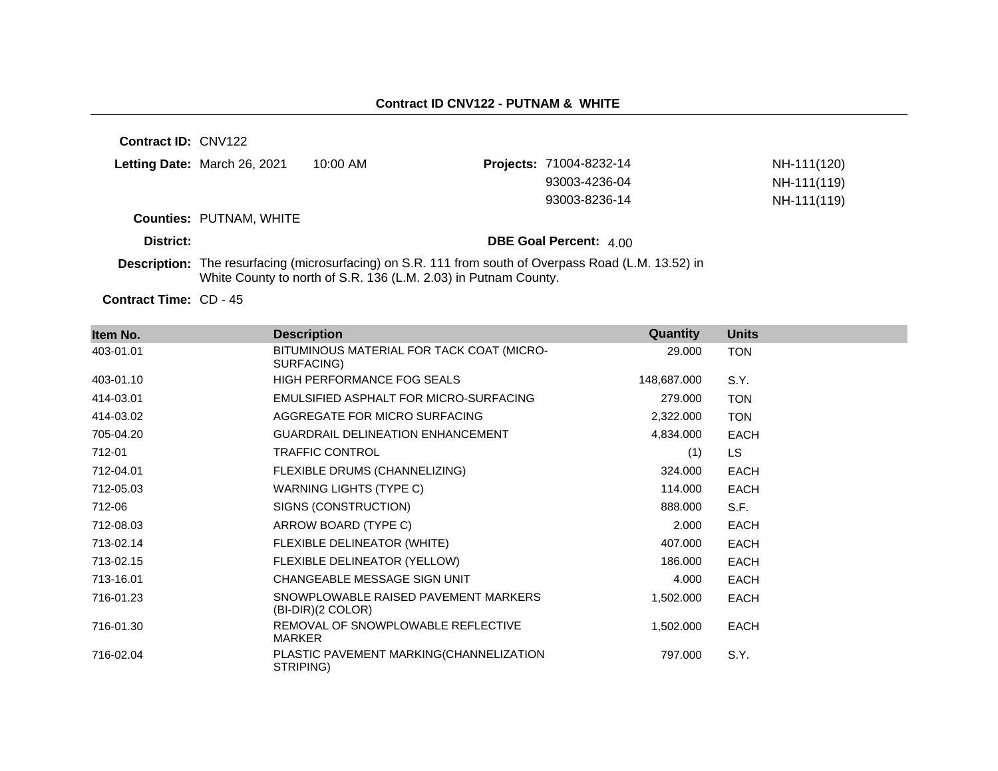**Contract ID:** CNV122 **Letting Date:** March 26, 2021 10:00 AM **Counties:** PUTNAM, WHITE **District: District: DBE Goal Percent:**  $4.00$ **Description:** The resurfacing (microsurfacing) on S.R. 111 from south of Overpass Road (L.M. 13.52) in White County to north of S.R. 136 (L.M. 2.03) in Putnam County. **Projects:** 71004-8232-14 **NH-111(120)** 93003-4236-04 NH-111(119) 93003-8236-14 NH-111(119)

Contract Time: CD - 45

| Item No.  | <b>Description</b>                                        | Quantity    | <b>Units</b> |
|-----------|-----------------------------------------------------------|-------------|--------------|
| 403-01.01 | BITUMINOUS MATERIAL FOR TACK COAT (MICRO-<br>SURFACING)   | 29.000      | <b>TON</b>   |
| 403-01.10 | <b>HIGH PERFORMANCE FOG SEALS</b>                         | 148,687.000 | S.Y.         |
| 414-03.01 | EMULSIFIED ASPHALT FOR MICRO-SURFACING                    | 279.000     | <b>TON</b>   |
| 414-03.02 | AGGREGATE FOR MICRO SURFACING                             | 2,322.000   | <b>TON</b>   |
| 705-04.20 | <b>GUARDRAIL DELINEATION ENHANCEMENT</b>                  | 4,834.000   | <b>EACH</b>  |
| 712-01    | <b>TRAFFIC CONTROL</b>                                    | (1)         | <b>LS</b>    |
| 712-04.01 | FLEXIBLE DRUMS (CHANNELIZING)                             | 324.000     | <b>EACH</b>  |
| 712-05.03 | WARNING LIGHTS (TYPE C)                                   | 114.000     | <b>EACH</b>  |
| 712-06    | SIGNS (CONSTRUCTION)                                      | 888.000     | S.F.         |
| 712-08.03 | ARROW BOARD (TYPE C)                                      | 2.000       | <b>EACH</b>  |
| 713-02.14 | FLEXIBLE DELINEATOR (WHITE)                               | 407.000     | <b>EACH</b>  |
| 713-02.15 | FLEXIBLE DELINEATOR (YELLOW)                              | 186.000     | <b>EACH</b>  |
| 713-16.01 | CHANGEABLE MESSAGE SIGN UNIT                              | 4.000       | <b>EACH</b>  |
| 716-01.23 | SNOWPLOWABLE RAISED PAVEMENT MARKERS<br>(BI-DIR)(2 COLOR) | 1,502.000   | <b>EACH</b>  |
| 716-01.30 | REMOVAL OF SNOWPLOWABLE REFLECTIVE<br>MARKER              | 1,502.000   | <b>EACH</b>  |
| 716-02.04 | PLASTIC PAVEMENT MARKING(CHANNELIZATION<br>STRIPING)      | 797.000     | S.Y.         |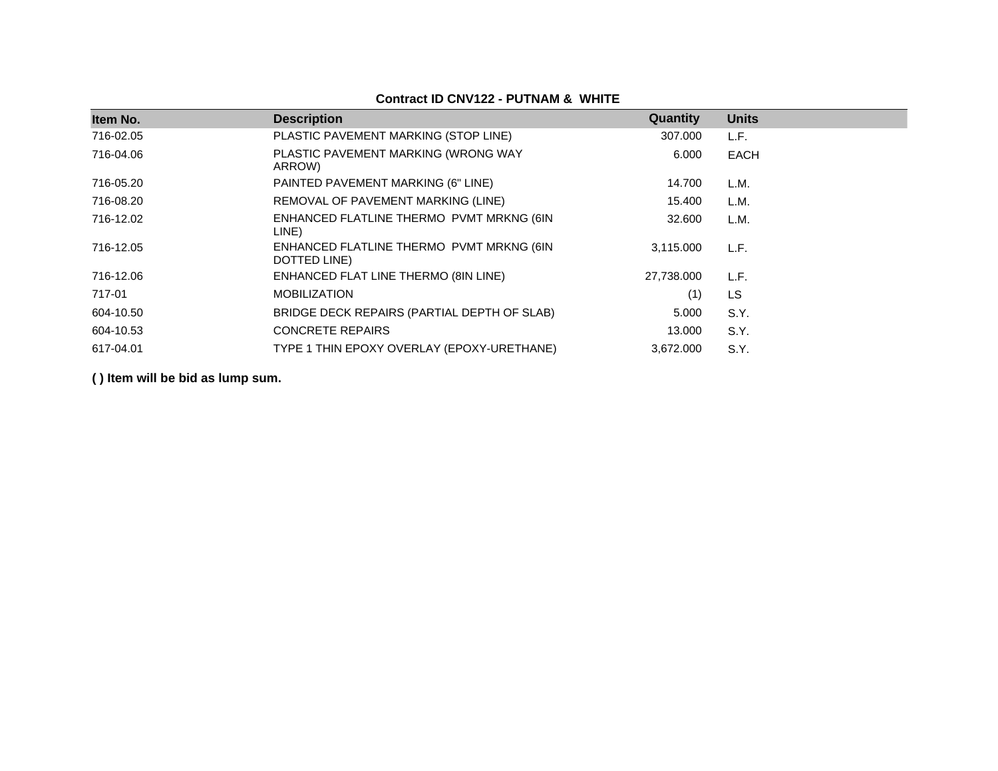## **Contract ID CNV122 - PUTNAM & WHITE**

| Item No.  | <b>Description</b>                                       | Quantity   | <b>Units</b> |
|-----------|----------------------------------------------------------|------------|--------------|
| 716-02.05 | PLASTIC PAVEMENT MARKING (STOP LINE)                     | 307.000    | L.F.         |
| 716-04.06 | PLASTIC PAVEMENT MARKING (WRONG WAY<br>ARROW)            | 6.000      | EACH         |
| 716-05.20 | PAINTED PAVEMENT MARKING (6" LINE)                       | 14.700     | L.M.         |
| 716-08.20 | REMOVAL OF PAVEMENT MARKING (LINE)                       | 15.400     | L.M.         |
| 716-12.02 | ENHANCED FLATLINE THERMO PVMT MRKNG (6IN<br>LINE)        | 32.600     | L.M.         |
| 716-12.05 | ENHANCED FLATLINE THERMO PVMT MRKNG (6IN<br>DOTTED LINE) | 3,115.000  | L.F.         |
| 716-12.06 | ENHANCED FLAT LINE THERMO (8IN LINE)                     | 27,738.000 | L.F.         |
| 717-01    | <b>MOBILIZATION</b>                                      | (1)        | LS           |
| 604-10.50 | BRIDGE DECK REPAIRS (PARTIAL DEPTH OF SLAB)              | 5.000      | S.Y.         |
| 604-10.53 | <b>CONCRETE REPAIRS</b>                                  | 13.000     | S.Y.         |
| 617-04.01 | TYPE 1 THIN EPOXY OVERLAY (EPOXY-URETHANE)               | 3,672.000  | S.Y.         |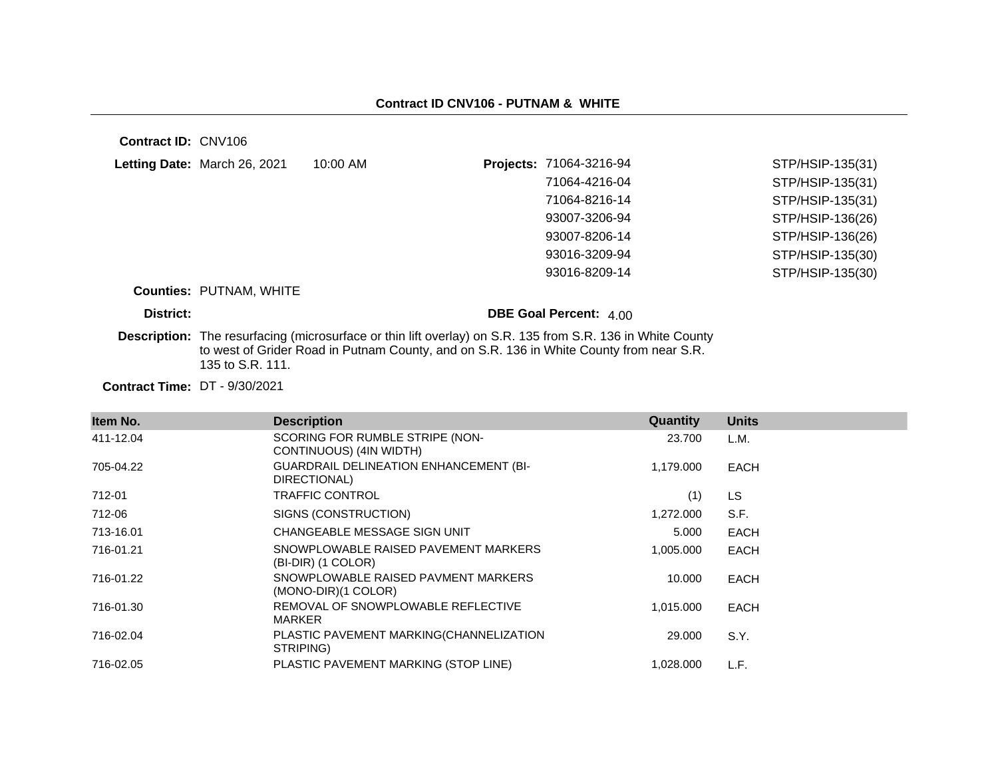**Contract ID:** CNV106

|           | Letting Date: March 26, 2021   | 10:00 AM                                                                                | <b>Projects: 71064-3216-94</b>                                                                                    | STP/HSIP-135(31) |
|-----------|--------------------------------|-----------------------------------------------------------------------------------------|-------------------------------------------------------------------------------------------------------------------|------------------|
|           |                                |                                                                                         | 71064-4216-04                                                                                                     | STP/HSIP-135(31) |
|           |                                |                                                                                         | 71064-8216-14                                                                                                     | STP/HSIP-135(31) |
|           |                                |                                                                                         | 93007-3206-94                                                                                                     | STP/HSIP-136(26) |
|           |                                |                                                                                         | 93007-8206-14                                                                                                     | STP/HSIP-136(26) |
|           |                                |                                                                                         | 93016-3209-94                                                                                                     | STP/HSIP-135(30) |
|           |                                |                                                                                         | 93016-8209-14                                                                                                     | STP/HSIP-135(30) |
|           | <b>Counties: PUTNAM, WHITE</b> |                                                                                         |                                                                                                                   |                  |
| District: |                                |                                                                                         | <b>DBE Goal Percent: 4.00</b>                                                                                     |                  |
|           |                                | to west of Grider Road in Putnam County, and on S.R. 136 in White County from near S.R. | <b>Description:</b> The resurfacing (microsurface or thin lift overlay) on S.R. 135 from S.R. 136 in White County |                  |

**Contract Time:** DT - 9/30/2021 135 to S.R. 111.

| Item No.  | <b>Description</b>                                            | <b>Quantity</b> | <b>Units</b> |
|-----------|---------------------------------------------------------------|-----------------|--------------|
| 411-12.04 | SCORING FOR RUMBLE STRIPE (NON-<br>CONTINUOUS) (4IN WIDTH)    | 23.700          | L.M.         |
| 705-04.22 | <b>GUARDRAIL DELINEATION ENHANCEMENT (BI-</b><br>DIRECTIONAL) | 1,179.000       | <b>EACH</b>  |
| 712-01    | <b>TRAFFIC CONTROL</b>                                        | (1)             | LS.          |
| 712-06    | SIGNS (CONSTRUCTION)                                          | 1,272.000       | S.F.         |
| 713-16.01 | CHANGEABLE MESSAGE SIGN UNIT                                  | 5.000           | <b>EACH</b>  |
| 716-01.21 | SNOWPLOWABLE RAISED PAVEMENT MARKERS<br>(BI-DIR) (1 COLOR)    | 1.005.000       | <b>EACH</b>  |
| 716-01.22 | SNOWPLOWABLE RAISED PAVMENT MARKERS<br>$(MONO-DIR)(1 COLOR)$  | 10.000          | <b>EACH</b>  |
| 716-01.30 | REMOVAL OF SNOWPLOWABLE REFLECTIVE<br>MARKER                  | 1.015.000       | <b>EACH</b>  |
| 716-02.04 | PLASTIC PAVEMENT MARKING(CHANNELIZATION<br>STRIPING)          | 29.000          | S.Y.         |
| 716-02.05 | PLASTIC PAVEMENT MARKING (STOP LINE)                          | 1,028.000       | L.F.         |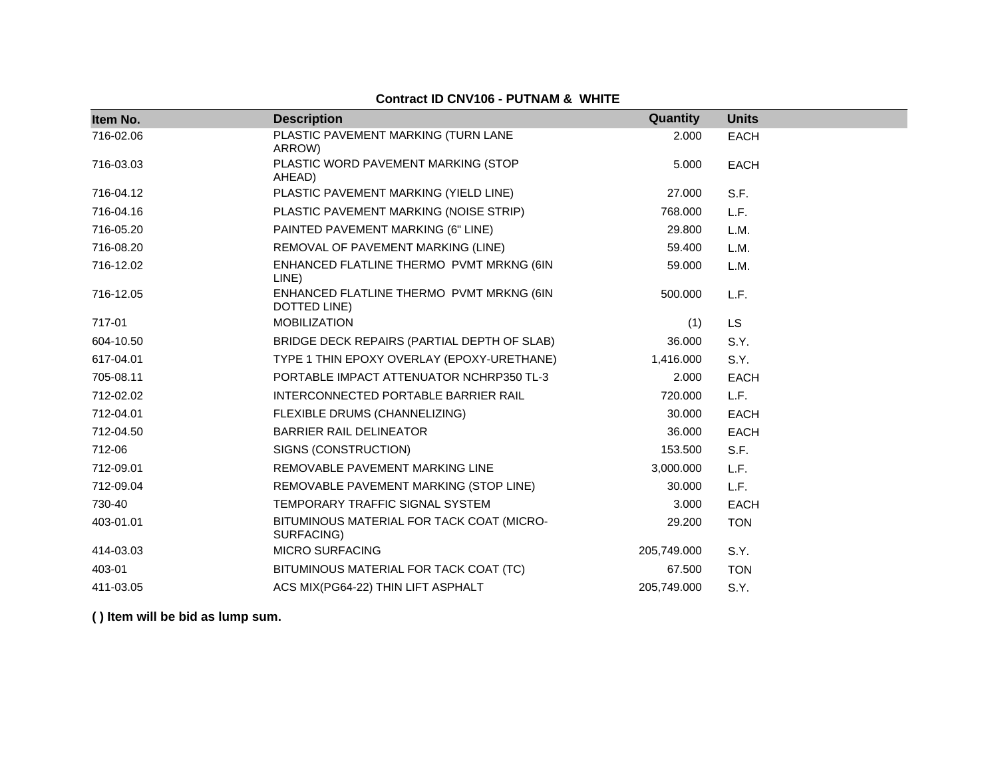## **Contract ID CNV106 - PUTNAM & WHITE**

| Item No.  | <b>Description</b>                                       | Quantity    | <b>Units</b> |
|-----------|----------------------------------------------------------|-------------|--------------|
| 716-02.06 | PLASTIC PAVEMENT MARKING (TURN LANE<br>ARROW)            | 2.000       | <b>EACH</b>  |
| 716-03.03 | PLASTIC WORD PAVEMENT MARKING (STOP<br>AHEAD)            | 5.000       | <b>EACH</b>  |
| 716-04.12 | PLASTIC PAVEMENT MARKING (YIELD LINE)                    | 27.000      | S.F.         |
| 716-04.16 | PLASTIC PAVEMENT MARKING (NOISE STRIP)                   | 768,000     | L.F.         |
| 716-05.20 | PAINTED PAVEMENT MARKING (6" LINE)                       | 29.800      | L.M.         |
| 716-08.20 | REMOVAL OF PAVEMENT MARKING (LINE)                       | 59.400      | L.M.         |
| 716-12.02 | ENHANCED FLATLINE THERMO PVMT MRKNG (6IN<br>LINE)        | 59.000      | L.M.         |
| 716-12.05 | ENHANCED FLATLINE THERMO PVMT MRKNG (6IN<br>DOTTED LINE) | 500.000     | L.F.         |
| 717-01    | <b>MOBILIZATION</b>                                      | (1)         | LS           |
| 604-10.50 | BRIDGE DECK REPAIRS (PARTIAL DEPTH OF SLAB)              | 36.000      | S.Y.         |
| 617-04.01 | TYPE 1 THIN EPOXY OVERLAY (EPOXY-URETHANE)               | 1,416.000   | S.Y.         |
| 705-08.11 | PORTABLE IMPACT ATTENUATOR NCHRP350 TL-3                 | 2.000       | EACH         |
| 712-02.02 | INTERCONNECTED PORTABLE BARRIER RAIL                     | 720.000     | L.F.         |
| 712-04.01 | FLEXIBLE DRUMS (CHANNELIZING)                            | 30.000      | <b>EACH</b>  |
| 712-04.50 | <b>BARRIER RAIL DELINEATOR</b>                           | 36.000      | <b>EACH</b>  |
| 712-06    | SIGNS (CONSTRUCTION)                                     | 153.500     | S.F.         |
| 712-09.01 | REMOVABLE PAVEMENT MARKING LINE                          | 3,000.000   | L.F.         |
| 712-09.04 | REMOVABLE PAVEMENT MARKING (STOP LINE)                   | 30.000      | L.F.         |
| 730-40    | TEMPORARY TRAFFIC SIGNAL SYSTEM                          | 3.000       | <b>EACH</b>  |
| 403-01.01 | BITUMINOUS MATERIAL FOR TACK COAT (MICRO-<br>SURFACING)  | 29.200      | <b>TON</b>   |
| 414-03.03 | <b>MICRO SURFACING</b>                                   | 205,749.000 | S.Y.         |
| 403-01    | BITUMINOUS MATERIAL FOR TACK COAT (TC)                   | 67.500      | <b>TON</b>   |
| 411-03.05 | ACS MIX(PG64-22) THIN LIFT ASPHALT                       | 205,749.000 | S.Y.         |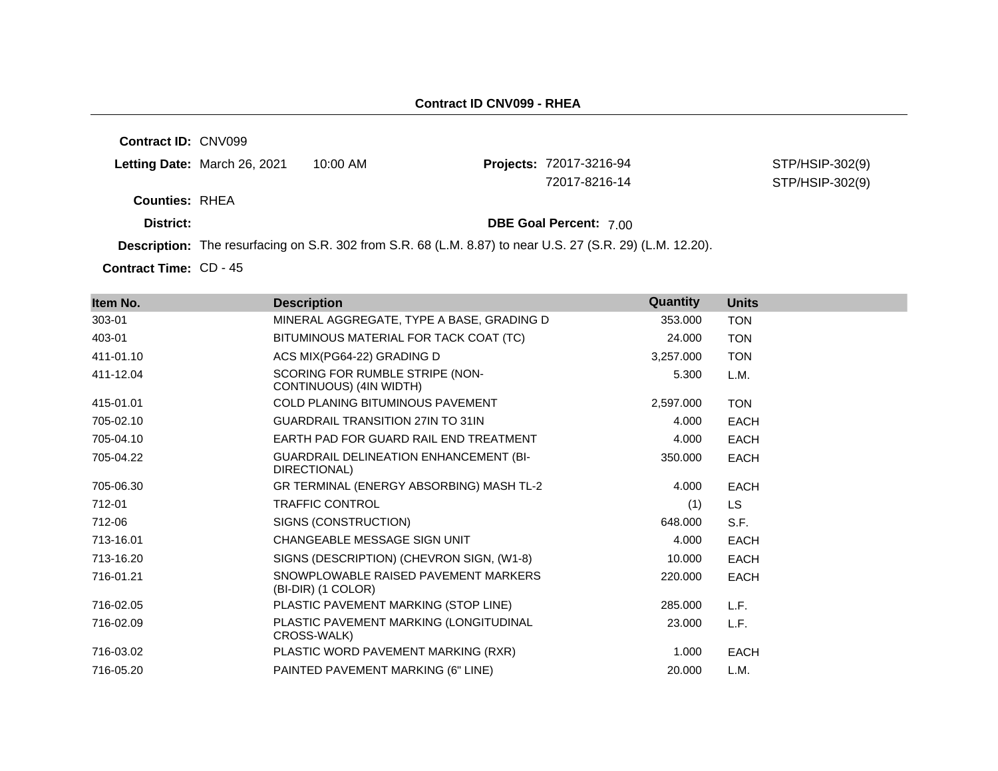**Contract ID:** CNV099

**Projects: 72017-3216-94** 

STP/HSIP-302(9) 72017-8216-14 STP/HSIP-302(9)

**Counties:** RHEA

**District: District: DBE Goal Percent:** 7.00

**Description:** The resurfacing on S.R. 302 from S.R. 68 (L.M. 8.87) to near U.S. 27 (S.R. 29) (L.M. 12.20).

Contract Time: CD - 45

| Item No.  | <b>Description</b>                                            | Quantity  | <b>Units</b> |
|-----------|---------------------------------------------------------------|-----------|--------------|
| 303-01    | MINERAL AGGREGATE, TYPE A BASE, GRADING D                     | 353.000   | <b>TON</b>   |
| 403-01    | BITUMINOUS MATERIAL FOR TACK COAT (TC)                        | 24.000    | <b>TON</b>   |
| 411-01.10 | ACS MIX(PG64-22) GRADING D                                    | 3,257.000 | <b>TON</b>   |
| 411-12.04 | SCORING FOR RUMBLE STRIPE (NON-<br>CONTINUOUS) (4IN WIDTH)    | 5.300     | L.M.         |
| 415-01.01 | <b>COLD PLANING BITUMINOUS PAVEMENT</b>                       | 2,597.000 | <b>TON</b>   |
| 705-02.10 | <b>GUARDRAIL TRANSITION 27IN TO 31IN</b>                      | 4.000     | <b>EACH</b>  |
| 705-04.10 | EARTH PAD FOR GUARD RAIL END TREATMENT                        | 4.000     | <b>EACH</b>  |
| 705-04.22 | <b>GUARDRAIL DELINEATION ENHANCEMENT (BI-</b><br>DIRECTIONAL) | 350.000   | <b>EACH</b>  |
| 705-06.30 | GR TERMINAL (ENERGY ABSORBING) MASH TL-2                      | 4.000     | EACH         |
| 712-01    | <b>TRAFFIC CONTROL</b>                                        | (1)       | LS.          |
| 712-06    | SIGNS (CONSTRUCTION)                                          | 648,000   | S.F.         |
| 713-16.01 | CHANGEABLE MESSAGE SIGN UNIT                                  | 4.000     | <b>EACH</b>  |
| 713-16.20 | SIGNS (DESCRIPTION) (CHEVRON SIGN, (W1-8)                     | 10.000    | EACH         |
| 716-01.21 | SNOWPLOWABLE RAISED PAVEMENT MARKERS<br>(BI-DIR) (1 COLOR)    | 220.000   | <b>EACH</b>  |
| 716-02.05 | PLASTIC PAVEMENT MARKING (STOP LINE)                          | 285.000   | L.F.         |
| 716-02.09 | PLASTIC PAVEMENT MARKING (LONGITUDINAL<br>CROSS-WALK)         | 23,000    | L.F.         |
| 716-03.02 | PLASTIC WORD PAVEMENT MARKING (RXR)                           | 1.000     | EACH         |
| 716-05.20 | PAINTED PAVEMENT MARKING (6" LINE)                            | 20,000    | L.M.         |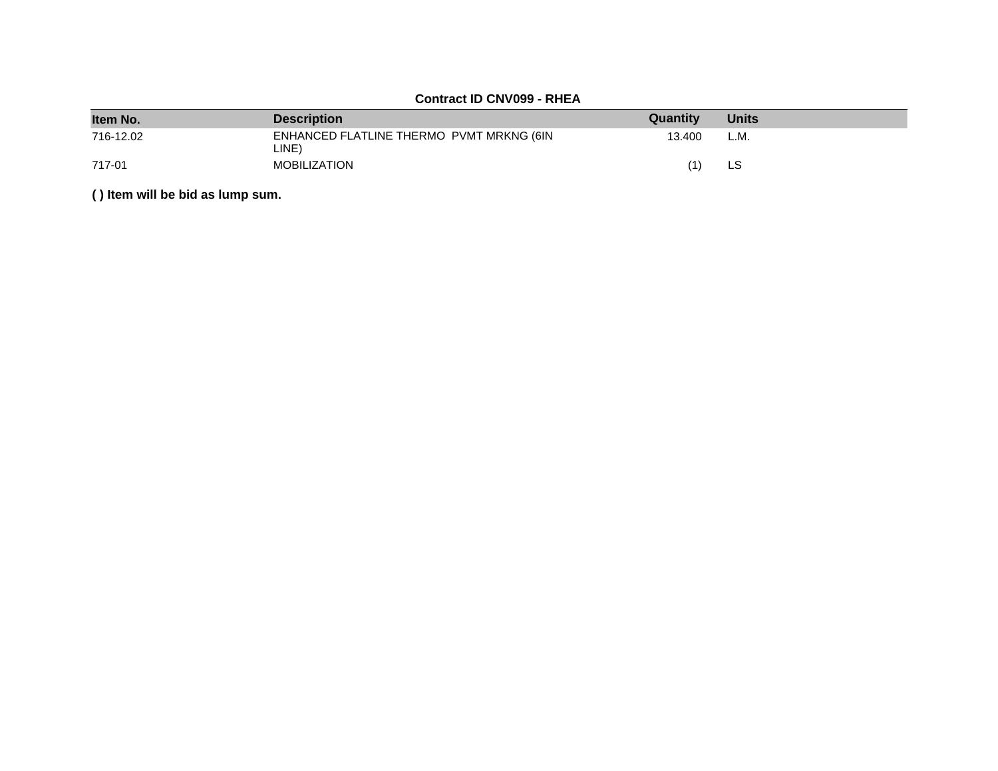## **Contract ID CNV099 - RHEA**

| Item No.  | <b>Description</b>                                | Quantity | <b>Units</b> |
|-----------|---------------------------------------------------|----------|--------------|
| 716-12.02 | ENHANCED FLATLINE THERMO PVMT MRKNG (6IN<br>LINE) | 13.400   | L.M.         |
| 717-01    | <b>MOBILIZATION</b>                               |          | LS           |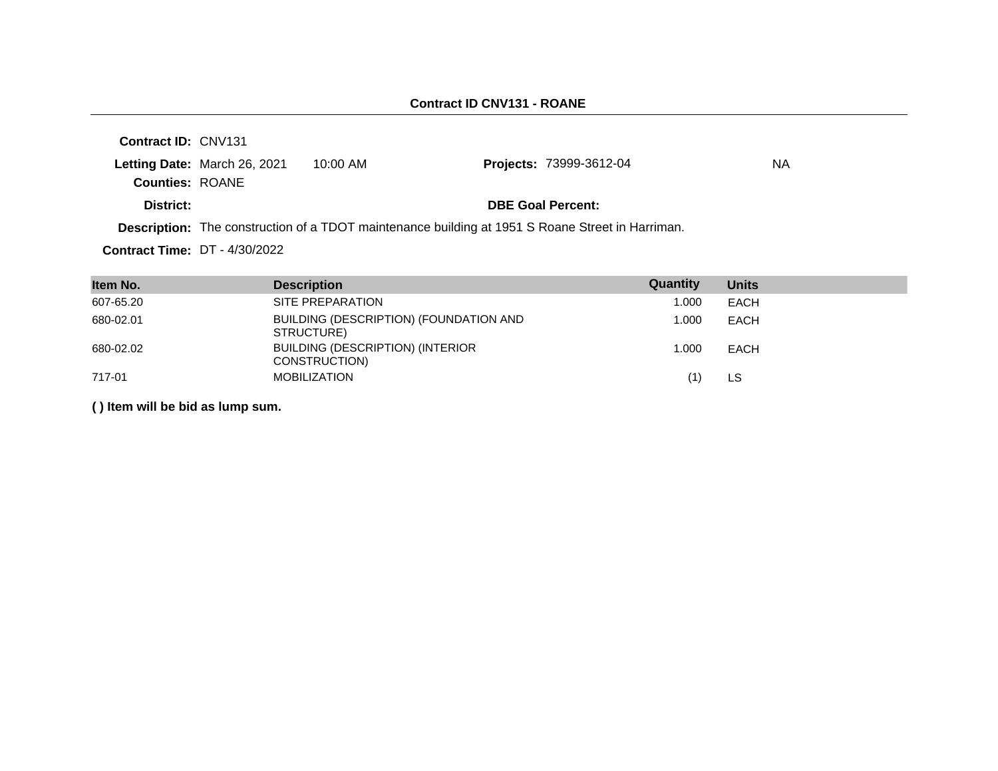| Contract ID: CNV131                  |                              |                                                                                                         |                                |    |
|--------------------------------------|------------------------------|---------------------------------------------------------------------------------------------------------|--------------------------------|----|
|                                      | Letting Date: March 26, 2021 | 10:00 AM                                                                                                | <b>Projects: 73999-3612-04</b> | NА |
| <b>Counties: ROANE</b>               |                              |                                                                                                         |                                |    |
| District:                            |                              |                                                                                                         | <b>DBE Goal Percent:</b>       |    |
|                                      |                              | <b>Description:</b> The construction of a TDOT maintenance building at 1951 S Roane Street in Harriman. |                                |    |
| <b>Contract Time: DT - 4/30/2022</b> |                              |                                                                                                         |                                |    |

| Item No.  | <b>Description</b>                                       | Quantity | <b>Units</b> |
|-----------|----------------------------------------------------------|----------|--------------|
| 607-65.20 | SITE PREPARATION                                         | 1.000    | <b>EACH</b>  |
| 680-02.01 | BUILDING (DESCRIPTION) (FOUNDATION AND<br>STRUCTURE)     | 1.000    | EACH         |
| 680-02.02 | <b>BUILDING (DESCRIPTION) (INTERIOR</b><br>CONSTRUCTION) | 1.000    | EACH         |
| 717-01    | <b>MOBILIZATION</b>                                      | (1)      | LS           |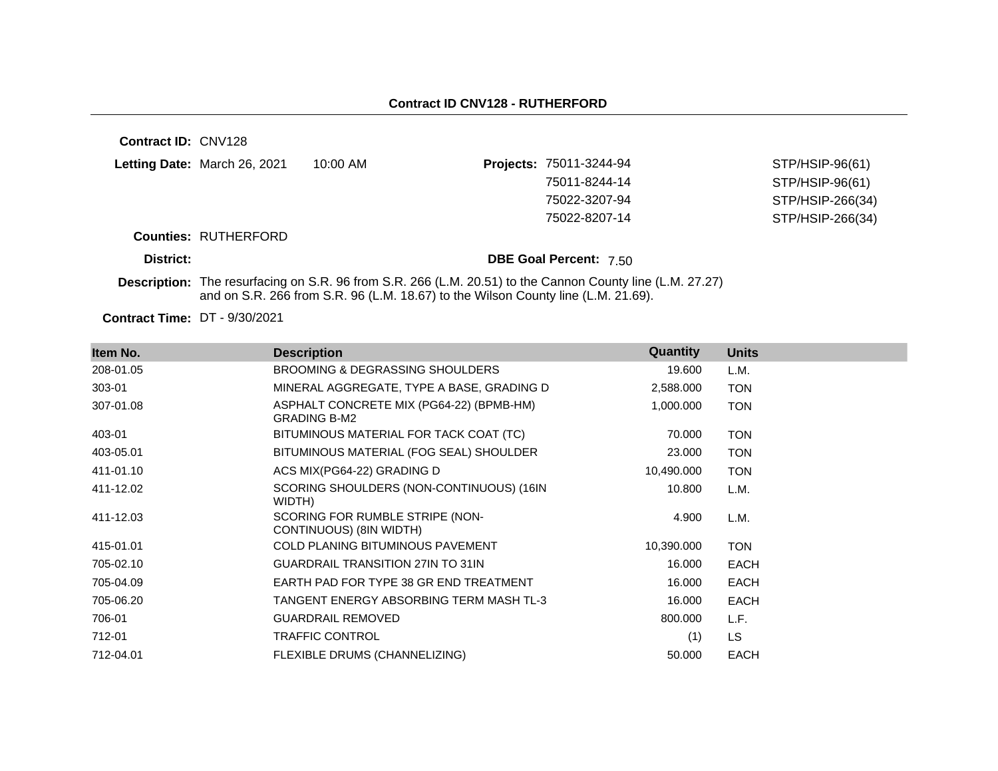| <b>Contract ID: CNV128</b> |                              |                                                                                   |                                                                                                           |                  |
|----------------------------|------------------------------|-----------------------------------------------------------------------------------|-----------------------------------------------------------------------------------------------------------|------------------|
|                            | Letting Date: March 26, 2021 | $10:00$ AM                                                                        | Projects: 75011-3244-94                                                                                   | STP/HSIP-96(61)  |
|                            |                              |                                                                                   | 75011-8244-14                                                                                             | STP/HSIP-96(61)  |
|                            |                              |                                                                                   | 75022-3207-94                                                                                             | STP/HSIP-266(34) |
|                            |                              |                                                                                   | 75022-8207-14                                                                                             | STP/HSIP-266(34) |
|                            | <b>Counties: RUTHERFORD</b>  |                                                                                   |                                                                                                           |                  |
| District:                  |                              |                                                                                   | <b>DBE Goal Percent: 7.50</b>                                                                             |                  |
|                            |                              | and on S.R. 266 from S.R. 96 (L.M. 18.67) to the Wilson County line (L.M. 21.69). | Description: The resurfacing on S.R. 96 from S.R. 266 (L.M. 20.51) to the Cannon County line (L.M. 27.27) |                  |
|                            |                              |                                                                                   |                                                                                                           |                  |

**Contract Time:** DT - 9/30/2021

| Item No.  | <b>Description</b>                                              | Quantity   | <b>Units</b> |
|-----------|-----------------------------------------------------------------|------------|--------------|
| 208-01.05 | <b>BROOMING &amp; DEGRASSING SHOULDERS</b>                      | 19.600     | L.M.         |
| 303-01    | MINERAL AGGREGATE, TYPE A BASE, GRADING D                       | 2,588.000  | <b>TON</b>   |
| 307-01.08 | ASPHALT CONCRETE MIX (PG64-22) (BPMB-HM)<br><b>GRADING B-M2</b> | 1,000.000  | <b>TON</b>   |
| 403-01    | BITUMINOUS MATERIAL FOR TACK COAT (TC)                          | 70.000     | <b>TON</b>   |
| 403-05.01 | BITUMINOUS MATERIAL (FOG SEAL) SHOULDER                         | 23.000     | <b>TON</b>   |
| 411-01.10 | ACS MIX(PG64-22) GRADING D                                      | 10,490.000 | <b>TON</b>   |
| 411-12.02 | SCORING SHOULDERS (NON-CONTINUOUS) (16IN<br>WIDTH)              | 10.800     | L.M.         |
| 411-12.03 | SCORING FOR RUMBLE STRIPE (NON-<br>CONTINUOUS) (8IN WIDTH)      | 4.900      | L.M.         |
| 415-01.01 | <b>COLD PLANING BITUMINOUS PAVEMENT</b>                         | 10,390.000 | <b>TON</b>   |
| 705-02.10 | <b>GUARDRAIL TRANSITION 27IN TO 31IN</b>                        | 16.000     | <b>EACH</b>  |
| 705-04.09 | EARTH PAD FOR TYPE 38 GR END TREATMENT                          | 16.000     | <b>EACH</b>  |
| 705-06.20 | TANGENT ENERGY ABSORBING TERM MASH TL-3                         | 16.000     | <b>EACH</b>  |
| 706-01    | <b>GUARDRAIL REMOVED</b>                                        | 800.000    | L.F.         |
| 712-01    | <b>TRAFFIC CONTROL</b>                                          | (1)        | LS.          |
| 712-04.01 | FLEXIBLE DRUMS (CHANNELIZING)                                   | 50.000     | <b>EACH</b>  |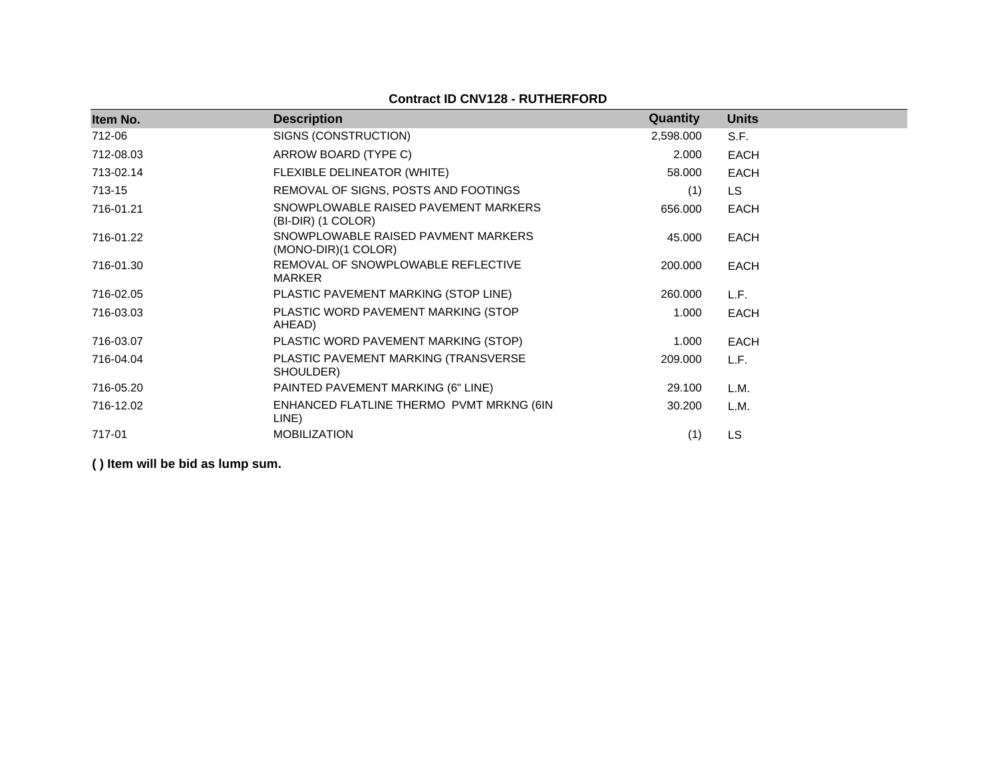## **Contract ID CNV128 - RUTHERFORD**

| Item No.  | <b>Description</b>                                         | Quantity  | <b>Units</b> |
|-----------|------------------------------------------------------------|-----------|--------------|
| 712-06    | SIGNS (CONSTRUCTION)                                       | 2,598.000 | S.F.         |
| 712-08.03 | ARROW BOARD (TYPE C)                                       | 2.000     | <b>EACH</b>  |
| 713-02.14 | FLEXIBLE DELINEATOR (WHITE)                                | 58.000    | <b>EACH</b>  |
| 713-15    | REMOVAL OF SIGNS, POSTS AND FOOTINGS                       | (1)       | <b>LS</b>    |
| 716-01.21 | SNOWPLOWABLE RAISED PAVEMENT MARKERS<br>(BI-DIR) (1 COLOR) | 656.000   | <b>EACH</b>  |
| 716-01.22 | SNOWPLOWABLE RAISED PAVMENT MARKERS<br>(MONO-DIR)(1 COLOR) | 45.000    | <b>EACH</b>  |
| 716-01.30 | REMOVAL OF SNOWPLOWABLE REFLECTIVE<br><b>MARKER</b>        | 200.000   | <b>EACH</b>  |
| 716-02.05 | PLASTIC PAVEMENT MARKING (STOP LINE)                       | 260,000   | L.F.         |
| 716-03.03 | PLASTIC WORD PAVEMENT MARKING (STOP<br>AHEAD)              | 1.000     | <b>EACH</b>  |
| 716-03.07 | PLASTIC WORD PAVEMENT MARKING (STOP)                       | 1.000     | <b>EACH</b>  |
| 716-04.04 | PLASTIC PAVEMENT MARKING (TRANSVERSE<br>SHOULDER)          | 209.000   | L.F.         |
| 716-05.20 | PAINTED PAVEMENT MARKING (6" LINE)                         | 29.100    | L.M.         |
| 716-12.02 | ENHANCED FLATLINE THERMO PVMT MRKNG (6IN<br>LINE)          | 30.200    | L.M.         |
| 717-01    | <b>MOBILIZATION</b>                                        | (1)       | <b>LS</b>    |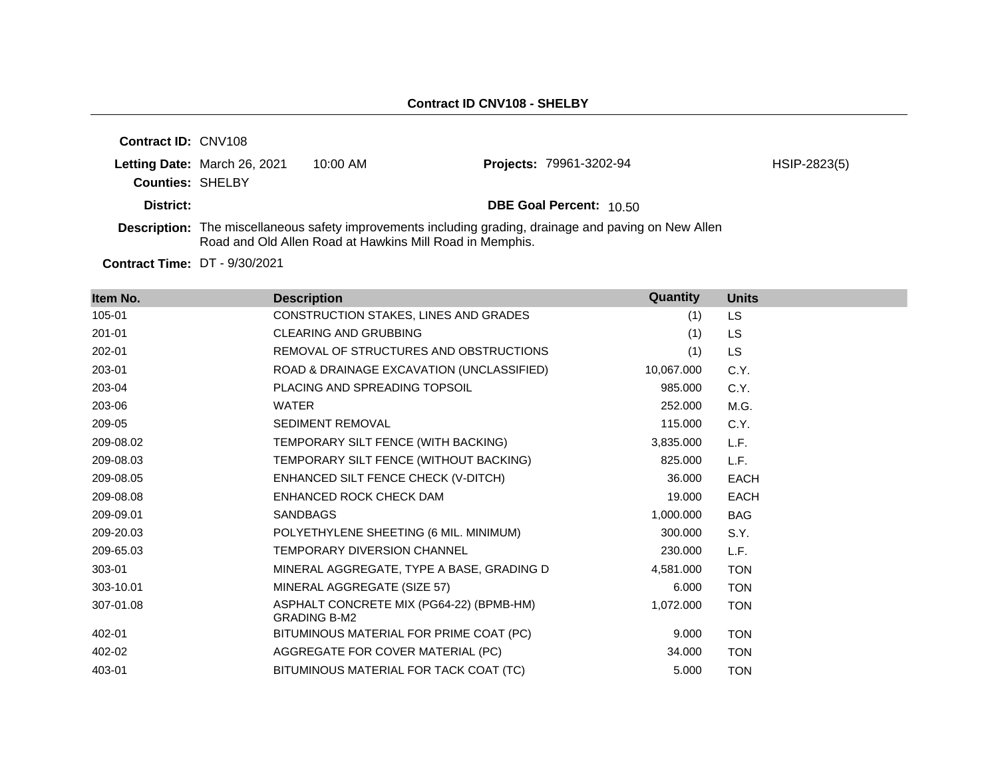| <b>Contract ID: CNV108</b> |                              |          |                                                                                                               |              |
|----------------------------|------------------------------|----------|---------------------------------------------------------------------------------------------------------------|--------------|
|                            | Letting Date: March 26, 2021 | 10:00 AM | Projects: 79961-3202-94                                                                                       | HSIP-2823(5) |
| <b>Counties: SHELBY</b>    |                              |          |                                                                                                               |              |
| District:                  |                              |          | <b>DBE Goal Percent: 10.50</b>                                                                                |              |
|                            |                              |          | <b>Description:</b> The miscellaneous safety improvements including grading, drainage and paving on New Allen |              |

Road and Old Allen Road at Hawkins Mill Road in Memphis.

**Contract Time:** DT - 9/30/2021

| Item No.  | <b>Description</b>                                              | Quantity   | <b>Units</b> |
|-----------|-----------------------------------------------------------------|------------|--------------|
| 105-01    | CONSTRUCTION STAKES, LINES AND GRADES                           | (1)        | <b>LS</b>    |
| 201-01    | <b>CLEARING AND GRUBBING</b>                                    | (1)        | <b>LS</b>    |
| 202-01    | REMOVAL OF STRUCTURES AND OBSTRUCTIONS                          | (1)        | <b>LS</b>    |
| 203-01    | ROAD & DRAINAGE EXCAVATION (UNCLASSIFIED)                       | 10,067.000 | C.Y.         |
| 203-04    | PLACING AND SPREADING TOPSOIL                                   | 985.000    | C.Y.         |
| 203-06    | <b>WATER</b>                                                    | 252.000    | M.G.         |
| 209-05    | <b>SEDIMENT REMOVAL</b>                                         | 115.000    | C.Y.         |
| 209-08.02 | TEMPORARY SILT FENCE (WITH BACKING)                             | 3,835.000  | L.F.         |
| 209-08.03 | TEMPORARY SILT FENCE (WITHOUT BACKING)                          | 825.000    | L.F.         |
| 209-08.05 | ENHANCED SILT FENCE CHECK (V-DITCH)                             | 36.000     | <b>EACH</b>  |
| 209-08.08 | ENHANCED ROCK CHECK DAM                                         | 19.000     | <b>EACH</b>  |
| 209-09.01 | <b>SANDBAGS</b>                                                 | 1,000.000  | <b>BAG</b>   |
| 209-20.03 | POLYETHYLENE SHEETING (6 MIL. MINIMUM)                          | 300.000    | S.Y.         |
| 209-65.03 | TEMPORARY DIVERSION CHANNEL                                     | 230,000    | L.F.         |
| 303-01    | MINERAL AGGREGATE, TYPE A BASE, GRADING D                       | 4.581.000  | <b>TON</b>   |
| 303-10.01 | MINERAL AGGREGATE (SIZE 57)                                     | 6.000      | <b>TON</b>   |
| 307-01.08 | ASPHALT CONCRETE MIX (PG64-22) (BPMB-HM)<br><b>GRADING B-M2</b> | 1,072.000  | <b>TON</b>   |
| 402-01    | BITUMINOUS MATERIAL FOR PRIME COAT (PC)                         | 9.000      | <b>TON</b>   |
| 402-02    | AGGREGATE FOR COVER MATERIAL (PC)                               | 34.000     | <b>TON</b>   |
| 403-01    | BITUMINOUS MATERIAL FOR TACK COAT (TC)                          | 5.000      | <b>TON</b>   |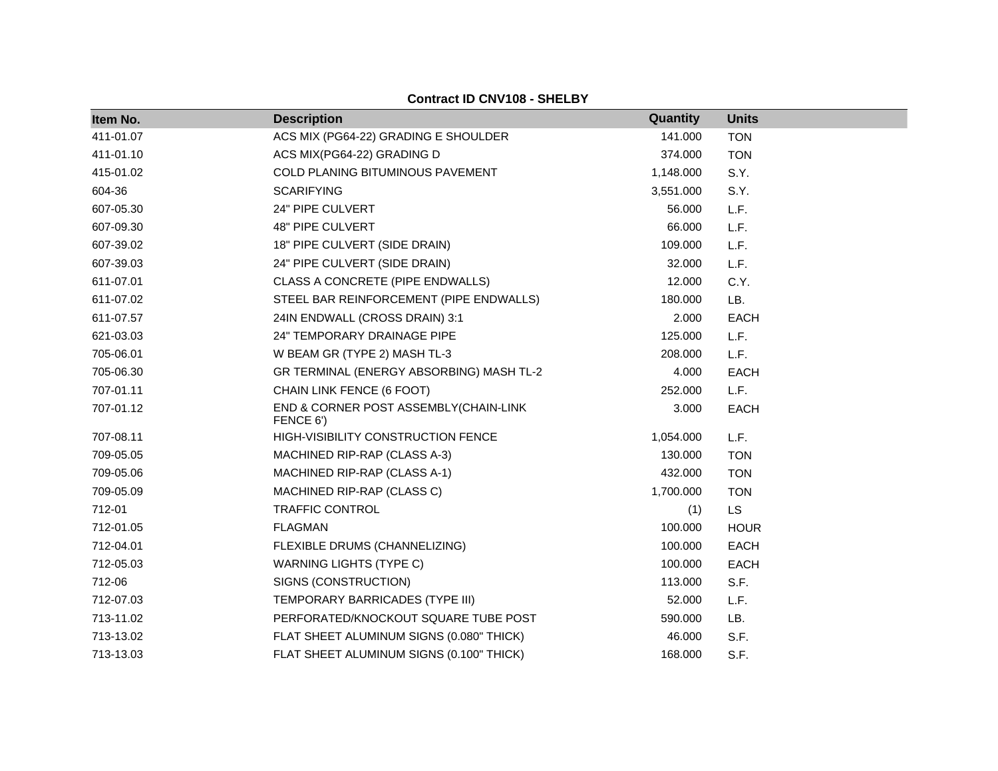**Contract ID CNV108 - SHELBY**

| Item No.  | <b>Description</b>                                 | Quantity  | <b>Units</b> |
|-----------|----------------------------------------------------|-----------|--------------|
| 411-01.07 | ACS MIX (PG64-22) GRADING E SHOULDER               | 141.000   | <b>TON</b>   |
| 411-01.10 | ACS MIX(PG64-22) GRADING D                         | 374.000   | <b>TON</b>   |
| 415-01.02 | COLD PLANING BITUMINOUS PAVEMENT                   | 1,148.000 | S.Y.         |
| 604-36    | <b>SCARIFYING</b>                                  | 3,551.000 | S.Y.         |
| 607-05.30 | 24" PIPE CULVERT                                   | 56.000    | L.F.         |
| 607-09.30 | 48" PIPE CULVERT                                   | 66.000    | L.F.         |
| 607-39.02 | 18" PIPE CULVERT (SIDE DRAIN)                      | 109.000   | L.F.         |
| 607-39.03 | 24" PIPE CULVERT (SIDE DRAIN)                      | 32.000    | L.F.         |
| 611-07.01 | CLASS A CONCRETE (PIPE ENDWALLS)                   | 12.000    | C.Y.         |
| 611-07.02 | STEEL BAR REINFORCEMENT (PIPE ENDWALLS)            | 180.000   | LB.          |
| 611-07.57 | 24IN ENDWALL (CROSS DRAIN) 3:1                     | 2.000     | <b>EACH</b>  |
| 621-03.03 | 24" TEMPORARY DRAINAGE PIPE                        | 125.000   | L.F.         |
| 705-06.01 | W BEAM GR (TYPE 2) MASH TL-3                       | 208.000   | L.F.         |
| 705-06.30 | GR TERMINAL (ENERGY ABSORBING) MASH TL-2           | 4.000     | <b>EACH</b>  |
| 707-01.11 | CHAIN LINK FENCE (6 FOOT)                          | 252.000   | L.F.         |
| 707-01.12 | END & CORNER POST ASSEMBLY(CHAIN-LINK<br>FENCE 6') | 3.000     | <b>EACH</b>  |
| 707-08.11 | HIGH-VISIBILITY CONSTRUCTION FENCE                 | 1,054.000 | L.F.         |
| 709-05.05 | MACHINED RIP-RAP (CLASS A-3)                       | 130.000   | <b>TON</b>   |
| 709-05.06 | MACHINED RIP-RAP (CLASS A-1)                       | 432.000   | <b>TON</b>   |
| 709-05.09 | MACHINED RIP-RAP (CLASS C)                         | 1,700.000 | <b>TON</b>   |
| 712-01    | <b>TRAFFIC CONTROL</b>                             | (1)       | <b>LS</b>    |
| 712-01.05 | <b>FLAGMAN</b>                                     | 100.000   | <b>HOUR</b>  |
| 712-04.01 | FLEXIBLE DRUMS (CHANNELIZING)                      | 100.000   | <b>EACH</b>  |
| 712-05.03 | <b>WARNING LIGHTS (TYPE C)</b>                     | 100.000   | <b>EACH</b>  |
| 712-06    | SIGNS (CONSTRUCTION)                               | 113.000   | S.F.         |
| 712-07.03 | TEMPORARY BARRICADES (TYPE III)                    | 52.000    | L.F.         |
| 713-11.02 | PERFORATED/KNOCKOUT SQUARE TUBE POST               | 590.000   | LB.          |
| 713-13.02 | FLAT SHEET ALUMINUM SIGNS (0.080" THICK)           | 46.000    | S.F.         |
| 713-13.03 | FLAT SHEET ALUMINUM SIGNS (0.100" THICK)           | 168.000   | S.F.         |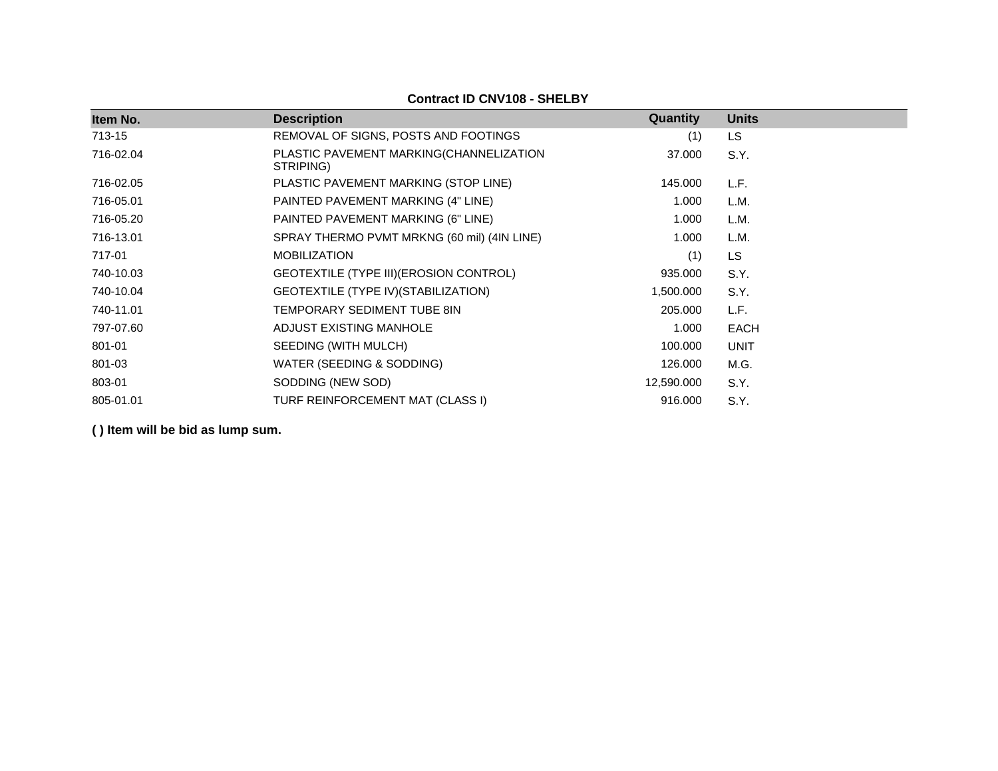| Item No.  | <b>Description</b>                                   | Quantity   | <b>Units</b> |
|-----------|------------------------------------------------------|------------|--------------|
| 713-15    | REMOVAL OF SIGNS, POSTS AND FOOTINGS                 | (1)        | LS           |
| 716-02.04 | PLASTIC PAVEMENT MARKING(CHANNELIZATION<br>STRIPING) | 37.000     | S.Y.         |
| 716-02.05 | PLASTIC PAVEMENT MARKING (STOP LINE)                 | 145.000    | L.F.         |
| 716-05.01 | PAINTED PAVEMENT MARKING (4" LINE)                   | 1.000      | L.M.         |
| 716-05.20 | PAINTED PAVEMENT MARKING (6" LINE)                   | 1.000      | L.M.         |
| 716-13.01 | SPRAY THERMO PVMT MRKNG (60 mil) (4IN LINE)          | 1.000      | L.M.         |
| 717-01    | <b>MOBILIZATION</b>                                  | (1)        | LS           |
| 740-10.03 | GEOTEXTILE (TYPE III) (EROSION CONTROL)              | 935.000    | S.Y.         |
| 740-10.04 | GEOTEXTILE (TYPE IV) (STABILIZATION)                 | 1,500.000  | S.Y.         |
| 740-11.01 | TEMPORARY SEDIMENT TUBE 8IN                          | 205.000    | L.F.         |
| 797-07.60 | ADJUST EXISTING MANHOLE                              | 1.000      | <b>EACH</b>  |
| 801-01    | SEEDING (WITH MULCH)                                 | 100.000    | <b>UNIT</b>  |
| 801-03    | WATER (SEEDING & SODDING)                            | 126.000    | M.G.         |
| 803-01    | SODDING (NEW SOD)                                    | 12,590.000 | S.Y.         |
| 805-01.01 | TURF REINFORCEMENT MAT (CLASS I)                     | 916.000    | S.Y.         |

**Contract ID CNV108 - SHELBY**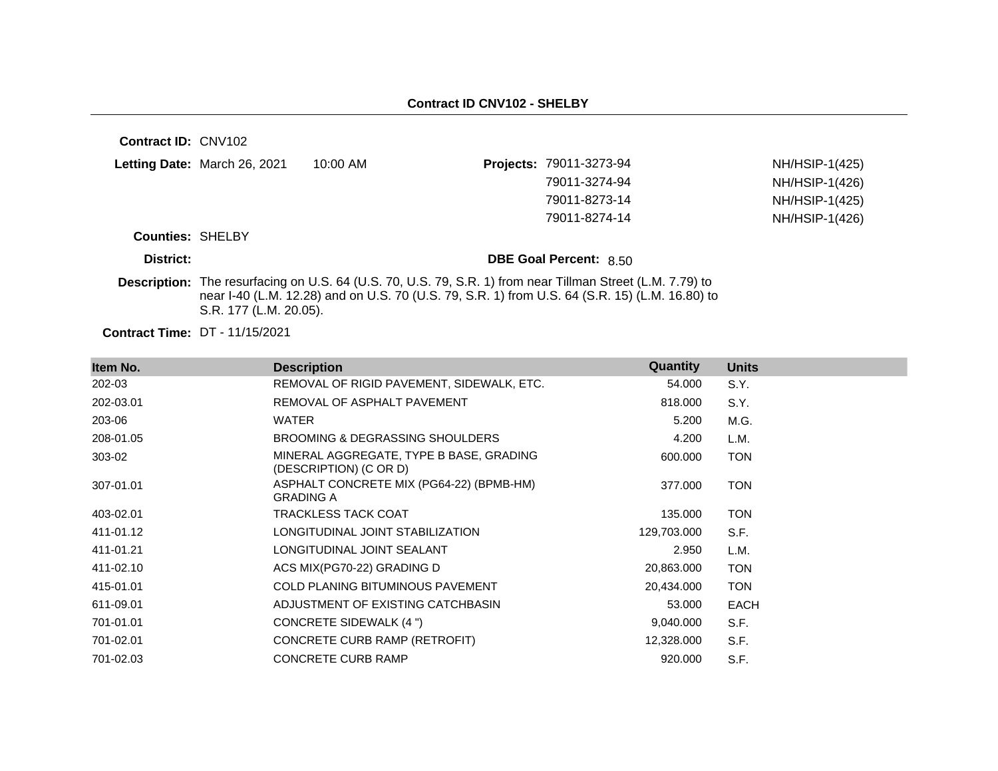**Contract ID:** CNV102 **Letting Date:** March 26, 2021 10:00 AM **Projects:** 79011-3273-94 **Counties:** SHELBY **District: District: DBE Goal Percent:** 8.50 **Contract Time:** DT - 11/15/2021 **Description:** The resurfacing on U.S. 64 (U.S. 70, U.S. 79, S.R. 1) from near Tillman Street (L.M. 7.79) to near I-40 (L.M. 12.28) and on U.S. 70 (U.S. 79, S.R. 1) from U.S. 64 (S.R. 15) (L.M. 16.80) to S.R. 177 (L.M. 20.05). NH/HSIP-1(425) 79011-3274-94 NH/HSIP-1(426) 79011-8273-14 NH/HSIP-1(425) 79011-8274-14 NH/HSIP-1(426)

| Item No.  | <b>Description</b>                                                | Quantity    | <b>Units</b> |
|-----------|-------------------------------------------------------------------|-------------|--------------|
| 202-03    | REMOVAL OF RIGID PAVEMENT, SIDEWALK, ETC.                         | 54.000      | S.Y.         |
| 202-03.01 | REMOVAL OF ASPHALT PAVEMENT                                       | 818.000     | S.Y.         |
| 203-06    | <b>WATER</b>                                                      | 5.200       | M.G.         |
| 208-01.05 | <b>BROOMING &amp; DEGRASSING SHOULDERS</b>                        | 4.200       | L.M.         |
| 303-02    | MINERAL AGGREGATE, TYPE B BASE, GRADING<br>(DESCRIPTION) (C OR D) | 600.000     | <b>TON</b>   |
| 307-01.01 | ASPHALT CONCRETE MIX (PG64-22) (BPMB-HM)<br><b>GRADING A</b>      | 377.000     | <b>TON</b>   |
| 403-02.01 | <b>TRACKLESS TACK COAT</b>                                        | 135.000     | <b>TON</b>   |
| 411-01.12 | LONGITUDINAL JOINT STABILIZATION                                  | 129,703.000 | S.F.         |
| 411-01.21 | LONGITUDINAL JOINT SEALANT                                        | 2.950       | L.M.         |
| 411-02.10 | ACS MIX(PG70-22) GRADING D                                        | 20,863.000  | <b>TON</b>   |
| 415-01.01 | COLD PLANING BITUMINOUS PAVEMENT                                  | 20,434.000  | <b>TON</b>   |
| 611-09.01 | ADJUSTMENT OF EXISTING CATCHBASIN                                 | 53.000      | <b>EACH</b>  |
| 701-01.01 | CONCRETE SIDEWALK (4 ")                                           | 9,040.000   | S.F.         |
| 701-02.01 | CONCRETE CURB RAMP (RETROFIT)                                     | 12,328.000  | S.F.         |
| 701-02.03 | <b>CONCRETE CURB RAMP</b>                                         | 920.000     | S.F.         |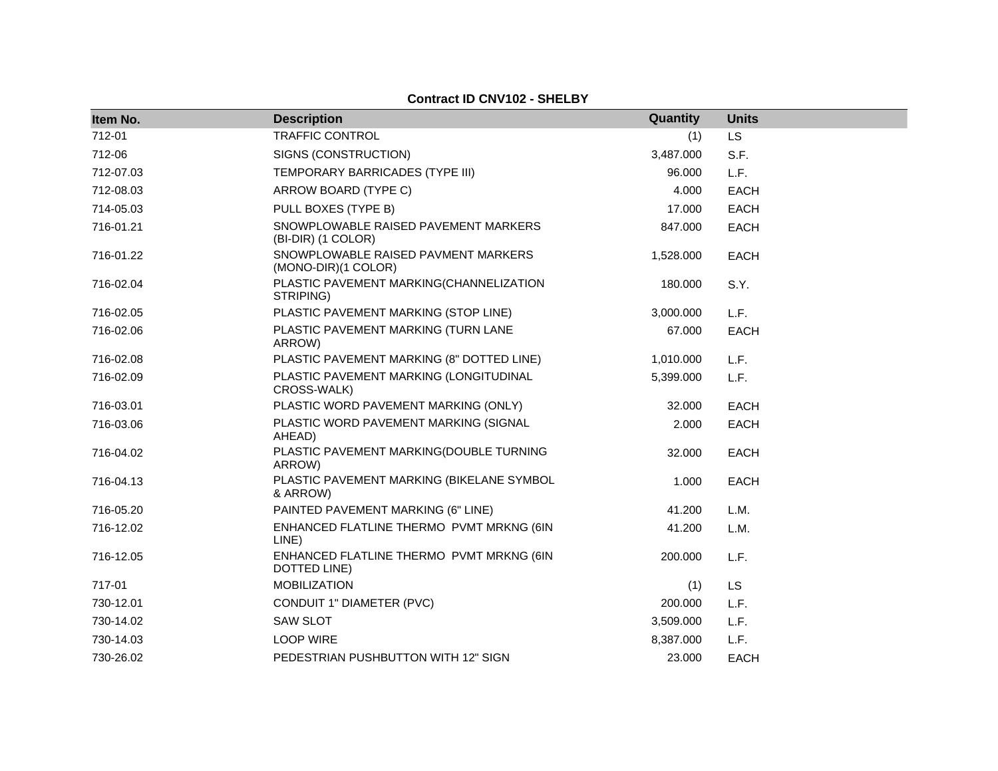#### **Contract ID CNV102 - SHELBY**

| Item No.  | <b>Description</b>                                         | Quantity  | <b>Units</b> |
|-----------|------------------------------------------------------------|-----------|--------------|
| 712-01    | <b>TRAFFIC CONTROL</b>                                     | (1)       | <b>LS</b>    |
| 712-06    | SIGNS (CONSTRUCTION)                                       | 3,487.000 | S.F.         |
| 712-07.03 | TEMPORARY BARRICADES (TYPE III)                            | 96.000    | L.F.         |
| 712-08.03 | ARROW BOARD (TYPE C)                                       | 4.000     | <b>EACH</b>  |
| 714-05.03 | PULL BOXES (TYPE B)                                        | 17.000    | EACH         |
| 716-01.21 | SNOWPLOWABLE RAISED PAVEMENT MARKERS<br>(BI-DIR) (1 COLOR) | 847.000   | <b>EACH</b>  |
| 716-01.22 | SNOWPLOWABLE RAISED PAVMENT MARKERS<br>(MONO-DIR)(1 COLOR) | 1,528.000 | EACH         |
| 716-02.04 | PLASTIC PAVEMENT MARKING(CHANNELIZATION<br>STRIPING)       | 180.000   | S.Y.         |
| 716-02.05 | PLASTIC PAVEMENT MARKING (STOP LINE)                       | 3,000.000 | L.F.         |
| 716-02.06 | PLASTIC PAVEMENT MARKING (TURN LANE<br>ARROW)              | 67.000    | EACH         |
| 716-02.08 | PLASTIC PAVEMENT MARKING (8" DOTTED LINE)                  | 1,010.000 | L.F.         |
| 716-02.09 | PLASTIC PAVEMENT MARKING (LONGITUDINAL<br>CROSS-WALK)      | 5,399.000 | L.F.         |
| 716-03.01 | PLASTIC WORD PAVEMENT MARKING (ONLY)                       | 32.000    | <b>EACH</b>  |
| 716-03.06 | PLASTIC WORD PAVEMENT MARKING (SIGNAL<br>AHEAD)            | 2.000     | EACH         |
| 716-04.02 | PLASTIC PAVEMENT MARKING(DOUBLE TURNING<br>ARROW)          | 32.000    | <b>EACH</b>  |
| 716-04.13 | PLASTIC PAVEMENT MARKING (BIKELANE SYMBOL<br>& ARROW)      | 1.000     | EACH         |
| 716-05.20 | PAINTED PAVEMENT MARKING (6" LINE)                         | 41.200    | L.M.         |
| 716-12.02 | ENHANCED FLATLINE THERMO PVMT MRKNG (6IN<br>LINE)          | 41.200    | L.M.         |
| 716-12.05 | ENHANCED FLATLINE THERMO PVMT MRKNG (6IN<br>DOTTED LINE)   | 200.000   | L.F.         |
| 717-01    | <b>MOBILIZATION</b>                                        | (1)       | <b>LS</b>    |
| 730-12.01 | CONDUIT 1" DIAMETER (PVC)                                  | 200.000   | L.F.         |
| 730-14.02 | <b>SAW SLOT</b>                                            | 3,509.000 | L.F.         |
| 730-14.03 | <b>LOOP WIRE</b>                                           | 8,387.000 | L.F.         |
| 730-26.02 | PEDESTRIAN PUSHBUTTON WITH 12" SIGN                        | 23.000    | <b>EACH</b>  |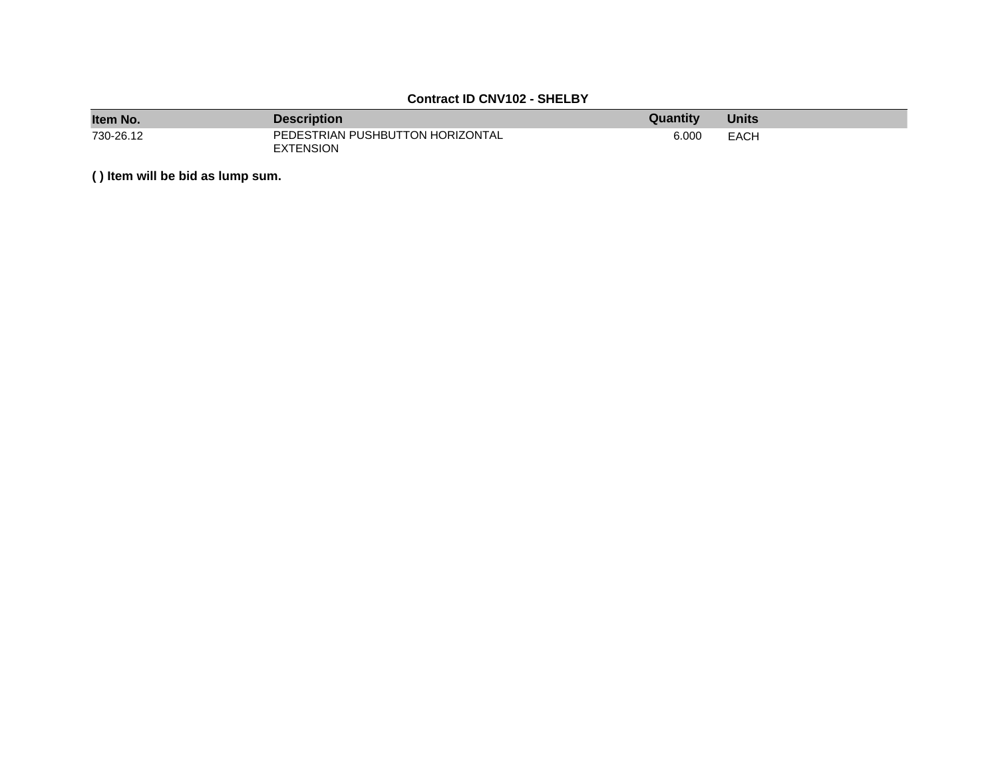### **Contract ID CNV102 - SHELBY**

| Item No.  | <b>Description</b>                                   | Quantity | <b>Units</b> |
|-----------|------------------------------------------------------|----------|--------------|
| 730-26.12 | PEDESTRIAN PUSHBUTTON HORIZONTAL<br><b>EXTENSION</b> | 6.000    | EACH         |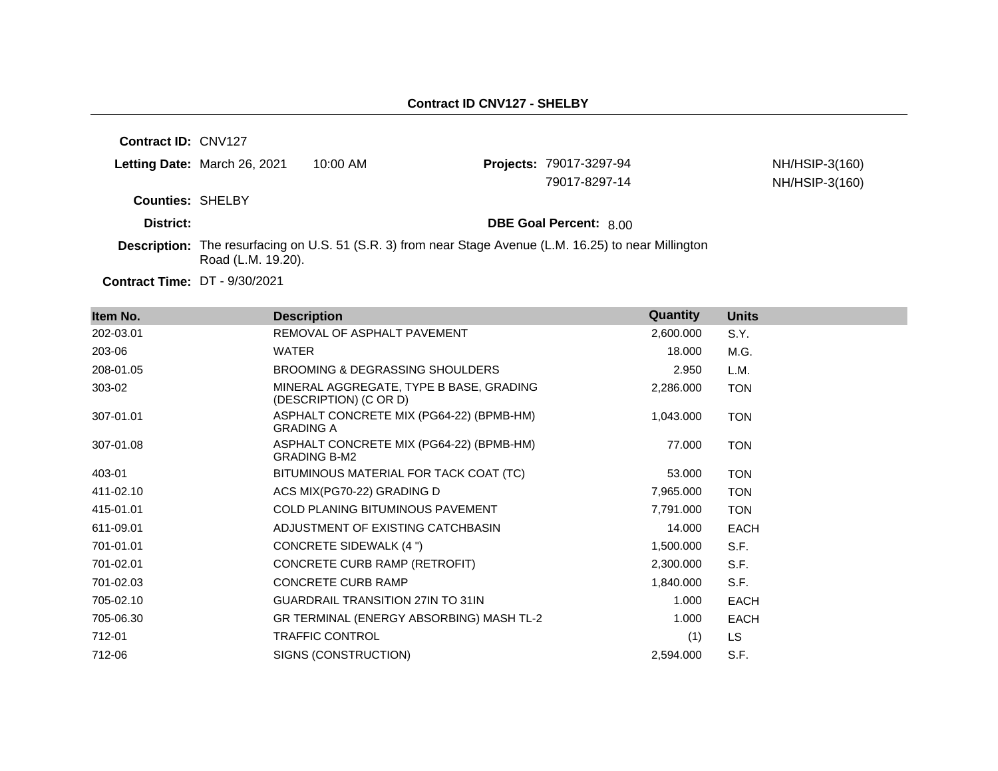**Contract ID:** CNV127

|                         | <b>Letting Date: March 26, 2021</b> | 10:00 AM | <b>Projects: 79017-3297-94</b> | NH/HSIP-3(160) |
|-------------------------|-------------------------------------|----------|--------------------------------|----------------|
|                         |                                     |          | 79017-8297-14                  | NH/HSIP-3(160) |
| <b>Counties: SHELBY</b> |                                     |          |                                |                |
| District:               |                                     |          | <b>DBE Goal Percent: 8.00</b>  |                |

**Description:** The resurfacing on U.S. 51 (S.R. 3) from near Stage Avenue (L.M. 16.25) to near Millington Road (L.M. 19.20).

**Contract Time:** DT - 9/30/2021

| Item No.  | <b>Description</b>                                                | Quantity  | <b>Units</b> |
|-----------|-------------------------------------------------------------------|-----------|--------------|
| 202-03.01 | REMOVAL OF ASPHALT PAVEMENT                                       | 2,600.000 | S.Y.         |
| 203-06    | <b>WATER</b>                                                      | 18.000    | M.G.         |
| 208-01.05 | BROOMING & DEGRASSING SHOULDERS                                   | 2.950     | L.M.         |
| 303-02    | MINERAL AGGREGATE, TYPE B BASE, GRADING<br>(DESCRIPTION) (C OR D) | 2,286.000 | <b>TON</b>   |
| 307-01.01 | ASPHALT CONCRETE MIX (PG64-22) (BPMB-HM)<br><b>GRADING A</b>      | 1,043.000 | <b>TON</b>   |
| 307-01.08 | ASPHALT CONCRETE MIX (PG64-22) (BPMB-HM)<br><b>GRADING B-M2</b>   | 77.000    | <b>TON</b>   |
| 403-01    | BITUMINOUS MATERIAL FOR TACK COAT (TC)                            | 53.000    | <b>TON</b>   |
| 411-02.10 | ACS MIX(PG70-22) GRADING D                                        | 7,965.000 | <b>TON</b>   |
| 415-01.01 | <b>COLD PLANING BITUMINOUS PAVEMENT</b>                           | 7,791.000 | <b>TON</b>   |
| 611-09.01 | ADJUSTMENT OF EXISTING CATCHBASIN                                 | 14.000    | EACH         |
| 701-01.01 | CONCRETE SIDEWALK (4 ")                                           | 1,500.000 | S.F.         |
| 701-02.01 | CONCRETE CURB RAMP (RETROFIT)                                     | 2,300.000 | S.F.         |
| 701-02.03 | <b>CONCRETE CURB RAMP</b>                                         | 1,840.000 | S.F.         |
| 705-02.10 | <b>GUARDRAIL TRANSITION 27IN TO 31IN</b>                          | 1.000     | <b>EACH</b>  |
| 705-06.30 | GR TERMINAL (ENERGY ABSORBING) MASH TL-2                          | 1.000     | <b>EACH</b>  |
| 712-01    | <b>TRAFFIC CONTROL</b>                                            | (1)       | <b>LS</b>    |
| 712-06    | SIGNS (CONSTRUCTION)                                              | 2,594.000 | S.F.         |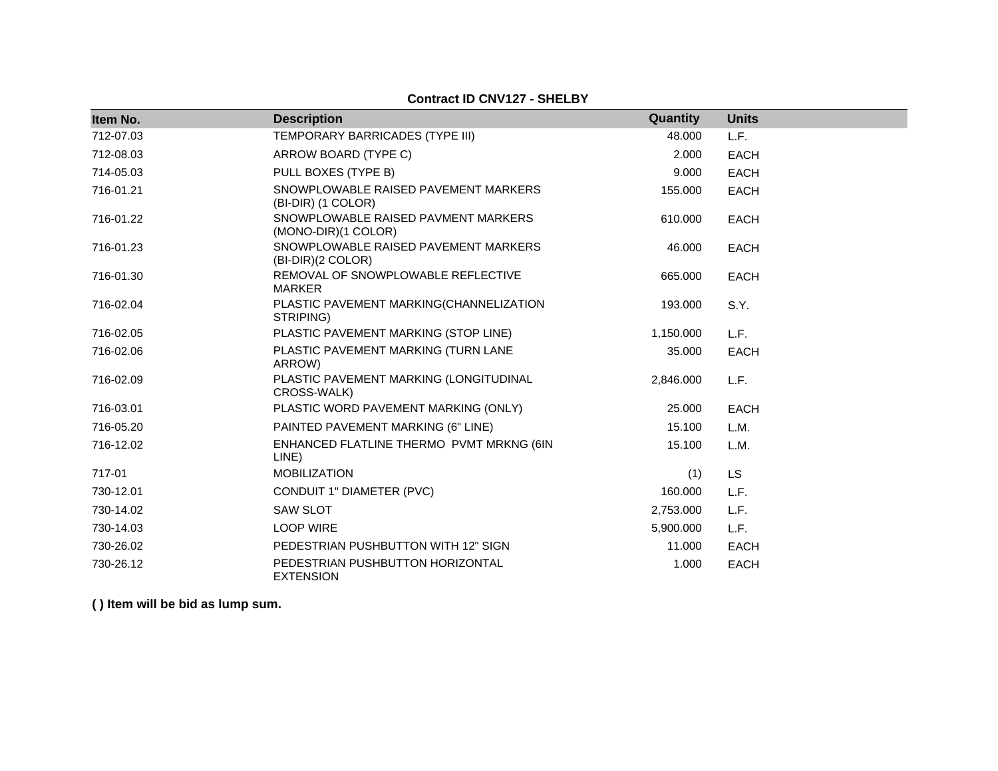| Item No.  | <b>Description</b>                                         | Quantity  | <b>Units</b> |
|-----------|------------------------------------------------------------|-----------|--------------|
| 712-07.03 | TEMPORARY BARRICADES (TYPE III)                            | 48.000    | L.F.         |
| 712-08.03 | ARROW BOARD (TYPE C)                                       | 2.000     | <b>EACH</b>  |
| 714-05.03 | PULL BOXES (TYPE B)                                        | 9.000     | <b>EACH</b>  |
| 716-01.21 | SNOWPLOWABLE RAISED PAVEMENT MARKERS<br>(BI-DIR) (1 COLOR) | 155.000   | <b>EACH</b>  |
| 716-01.22 | SNOWPLOWABLE RAISED PAVMENT MARKERS<br>(MONO-DIR)(1 COLOR) | 610.000   | <b>EACH</b>  |
| 716-01.23 | SNOWPLOWABLE RAISED PAVEMENT MARKERS<br>(BI-DIR)(2 COLOR)  | 46.000    | <b>EACH</b>  |
| 716-01.30 | REMOVAL OF SNOWPLOWABLE REFLECTIVE<br><b>MARKER</b>        | 665.000   | <b>EACH</b>  |
| 716-02.04 | PLASTIC PAVEMENT MARKING(CHANNELIZATION<br>STRIPING)       | 193.000   | S.Y.         |
| 716-02.05 | PLASTIC PAVEMENT MARKING (STOP LINE)                       | 1,150.000 | L.F.         |
| 716-02.06 | PLASTIC PAVEMENT MARKING (TURN LANE<br>ARROW)              | 35.000    | <b>EACH</b>  |
| 716-02.09 | PLASTIC PAVEMENT MARKING (LONGITUDINAL<br>CROSS-WALK)      | 2,846.000 | L.F.         |
| 716-03.01 | PLASTIC WORD PAVEMENT MARKING (ONLY)                       | 25.000    | EACH         |
| 716-05.20 | PAINTED PAVEMENT MARKING (6" LINE)                         | 15.100    | L.M.         |
| 716-12.02 | ENHANCED FLATLINE THERMO PVMT MRKNG (6IN<br>LINE)          | 15.100    | L.M.         |
| 717-01    | <b>MOBILIZATION</b>                                        | (1)       | <b>LS</b>    |
| 730-12.01 | CONDUIT 1" DIAMETER (PVC)                                  | 160.000   | L.F.         |
| 730-14.02 | <b>SAW SLOT</b>                                            | 2,753.000 | L.F.         |
| 730-14.03 | <b>LOOP WIRE</b>                                           | 5,900.000 | L.F.         |
| 730-26.02 | PEDESTRIAN PUSHBUTTON WITH 12" SIGN                        | 11.000    | <b>EACH</b>  |
| 730-26.12 | PEDESTRIAN PUSHBUTTON HORIZONTAL<br><b>EXTENSION</b>       | 1.000     | <b>EACH</b>  |

**Contract ID CNV127 - SHELBY**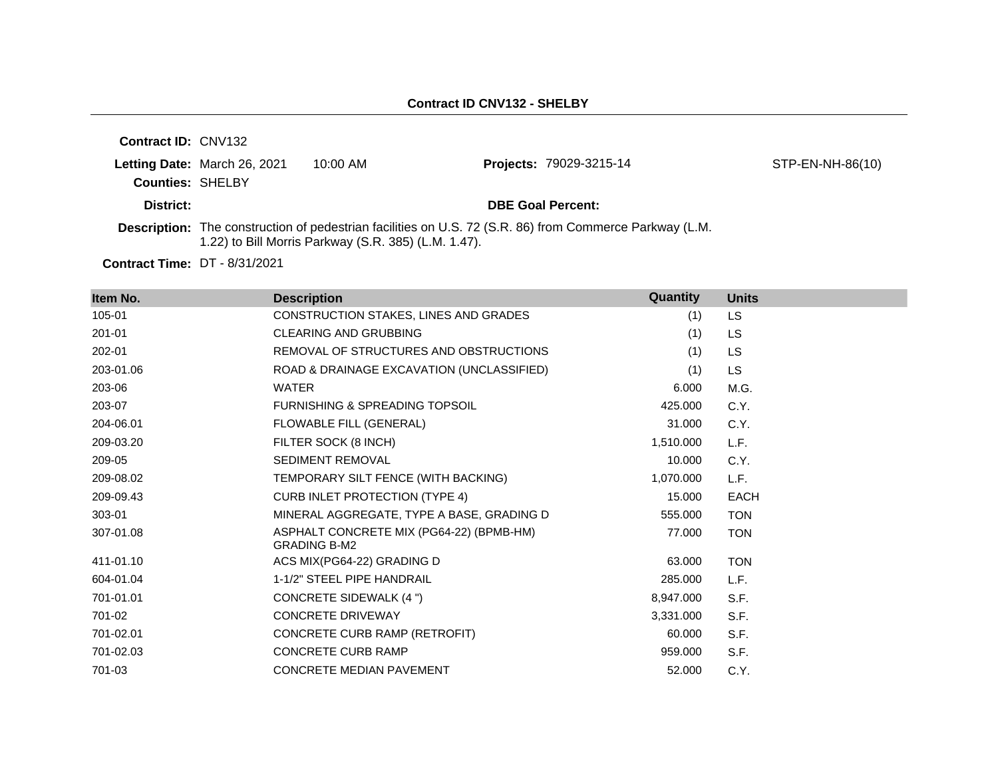| <b>Contract ID: CNV132</b> |                              |                                                      |                                                                                                                |                  |
|----------------------------|------------------------------|------------------------------------------------------|----------------------------------------------------------------------------------------------------------------|------------------|
| <b>Counties: SHELBY</b>    | Letting Date: March 26, 2021 | $10:00$ AM                                           | <b>Projects: 79029-3215-14</b>                                                                                 | STP-EN-NH-86(10) |
| District:                  |                              |                                                      | <b>DBE Goal Percent:</b>                                                                                       |                  |
|                            |                              | 1.22) to Bill Morris Parkway (S.R. 385) (L.M. 1.47). | <b>Description:</b> The construction of pedestrian facilities on U.S. 72 (S.R. 86) from Commerce Parkway (L.M. |                  |

**Contract Time:** DT - 8/31/2021

| Item No.   | <b>Description</b>                                              | Quantity  | <b>Units</b> |
|------------|-----------------------------------------------------------------|-----------|--------------|
| 105-01     | CONSTRUCTION STAKES, LINES AND GRADES                           | (1)       | LS           |
| $201 - 01$ | <b>CLEARING AND GRUBBING</b>                                    | (1)       | LS           |
| 202-01     | REMOVAL OF STRUCTURES AND OBSTRUCTIONS                          | (1)       | LS           |
| 203-01.06  | ROAD & DRAINAGE EXCAVATION (UNCLASSIFIED)                       | (1)       | LS           |
| 203-06     | <b>WATER</b>                                                    | 6.000     | M.G.         |
| 203-07     | <b>FURNISHING &amp; SPREADING TOPSOIL</b>                       | 425.000   | C.Y.         |
| 204-06.01  | FLOWABLE FILL (GENERAL)                                         | 31,000    | C.Y.         |
| 209-03.20  | FILTER SOCK (8 INCH)                                            | 1,510.000 | L.F.         |
| 209-05     | <b>SEDIMENT REMOVAL</b>                                         | 10.000    | C.Y.         |
| 209-08.02  | TEMPORARY SILT FENCE (WITH BACKING)                             | 1,070.000 | L.F.         |
| 209-09.43  | <b>CURB INLET PROTECTION (TYPE 4)</b>                           | 15.000    | <b>EACH</b>  |
| 303-01     | MINERAL AGGREGATE, TYPE A BASE, GRADING D                       | 555.000   | <b>TON</b>   |
| 307-01.08  | ASPHALT CONCRETE MIX (PG64-22) (BPMB-HM)<br><b>GRADING B-M2</b> | 77.000    | <b>TON</b>   |
| 411-01.10  | ACS MIX(PG64-22) GRADING D                                      | 63.000    | <b>TON</b>   |
| 604-01.04  | 1-1/2" STEEL PIPE HANDRAIL                                      | 285,000   | L.F.         |
| 701-01.01  | CONCRETE SIDEWALK (4 ")                                         | 8,947.000 | S.F.         |
| 701-02     | <b>CONCRETE DRIVEWAY</b>                                        | 3,331.000 | S.F.         |
| 701-02.01  | CONCRETE CURB RAMP (RETROFIT)                                   | 60.000    | S.F.         |
| 701-02.03  | <b>CONCRETE CURB RAMP</b>                                       | 959.000   | S.F.         |
| 701-03     | CONCRETE MEDIAN PAVEMENT                                        | 52.000    | C.Y.         |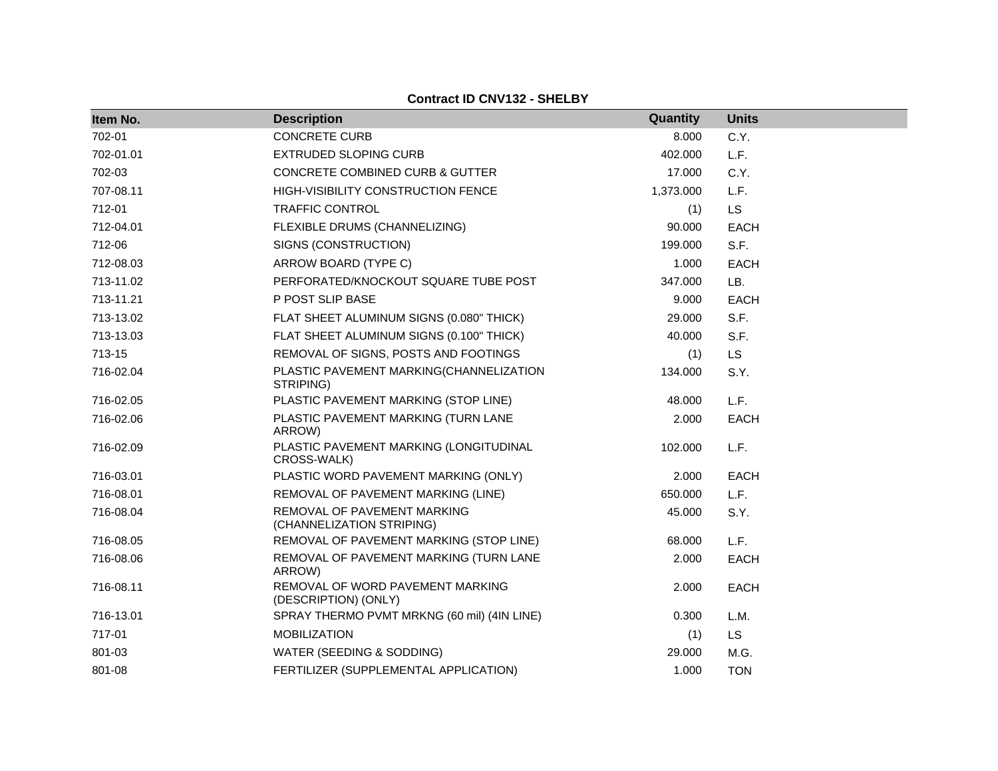#### **Contract ID CNV132 - SHELBY**

| Item No.  | <b>Description</b>                                       | Quantity  | <b>Units</b> |
|-----------|----------------------------------------------------------|-----------|--------------|
| 702-01    | <b>CONCRETE CURB</b>                                     | 8.000     | C.Y.         |
| 702-01.01 | <b>EXTRUDED SLOPING CURB</b>                             | 402.000   | L.F.         |
| 702-03    | CONCRETE COMBINED CURB & GUTTER                          | 17.000    | C.Y.         |
| 707-08.11 | <b>HIGH-VISIBILITY CONSTRUCTION FENCE</b>                | 1,373.000 | L.F.         |
| 712-01    | <b>TRAFFIC CONTROL</b>                                   | (1)       | LS           |
| 712-04.01 | FLEXIBLE DRUMS (CHANNELIZING)                            | 90.000    | <b>EACH</b>  |
| 712-06    | SIGNS (CONSTRUCTION)                                     | 199.000   | S.F.         |
| 712-08.03 | ARROW BOARD (TYPE C)                                     | 1.000     | <b>EACH</b>  |
| 713-11.02 | PERFORATED/KNOCKOUT SQUARE TUBE POST                     | 347.000   | LB.          |
| 713-11.21 | P POST SLIP BASE                                         | 9.000     | <b>EACH</b>  |
| 713-13.02 | FLAT SHEET ALUMINUM SIGNS (0.080" THICK)                 | 29.000    | S.F.         |
| 713-13.03 | FLAT SHEET ALUMINUM SIGNS (0.100" THICK)                 | 40.000    | S.F.         |
| 713-15    | REMOVAL OF SIGNS, POSTS AND FOOTINGS                     | (1)       | <b>LS</b>    |
| 716-02.04 | PLASTIC PAVEMENT MARKING(CHANNELIZATION<br>STRIPING)     | 134.000   | S.Y.         |
| 716-02.05 | PLASTIC PAVEMENT MARKING (STOP LINE)                     | 48.000    | L.F.         |
| 716-02.06 | PLASTIC PAVEMENT MARKING (TURN LANE<br>ARROW)            | 2.000     | <b>EACH</b>  |
| 716-02.09 | PLASTIC PAVEMENT MARKING (LONGITUDINAL<br>CROSS-WALK)    | 102.000   | L.F.         |
| 716-03.01 | PLASTIC WORD PAVEMENT MARKING (ONLY)                     | 2.000     | <b>EACH</b>  |
| 716-08.01 | REMOVAL OF PAVEMENT MARKING (LINE)                       | 650.000   | L.F.         |
| 716-08.04 | REMOVAL OF PAVEMENT MARKING<br>(CHANNELIZATION STRIPING) | 45.000    | S.Y.         |
| 716-08.05 | REMOVAL OF PAVEMENT MARKING (STOP LINE)                  | 68.000    | L.F.         |
| 716-08.06 | REMOVAL OF PAVEMENT MARKING (TURN LANE<br>ARROW)         | 2.000     | <b>EACH</b>  |
| 716-08.11 | REMOVAL OF WORD PAVEMENT MARKING<br>(DESCRIPTION) (ONLY) | 2.000     | <b>EACH</b>  |
| 716-13.01 | SPRAY THERMO PVMT MRKNG (60 mil) (4IN LINE)              | 0.300     | L.M.         |
| 717-01    | <b>MOBILIZATION</b>                                      | (1)       | <b>LS</b>    |
| 801-03    | WATER (SEEDING & SODDING)                                | 29,000    | M.G.         |
| 801-08    | FERTILIZER (SUPPLEMENTAL APPLICATION)                    | 1.000     | <b>TON</b>   |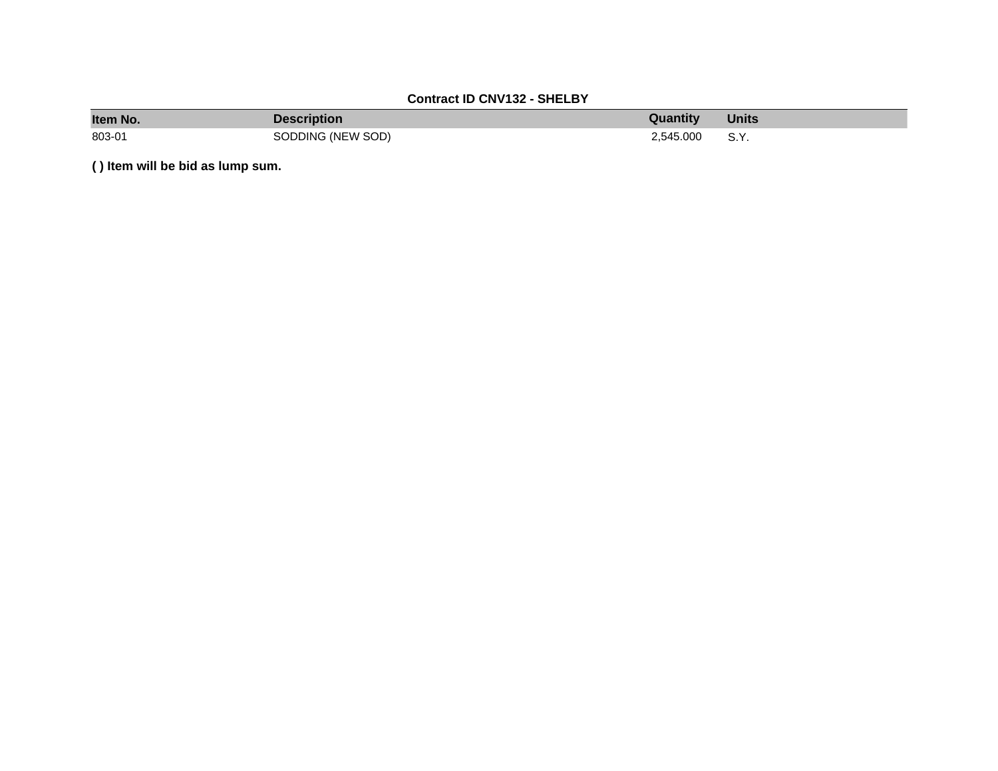# **Contract ID CNV132 - SHELBY**

| Item No. | Description       | Quantity  | <b>Units</b> |
|----------|-------------------|-----------|--------------|
| 803-01   | SODDING (NEW SOD) | 2.545.000 | S.Y.         |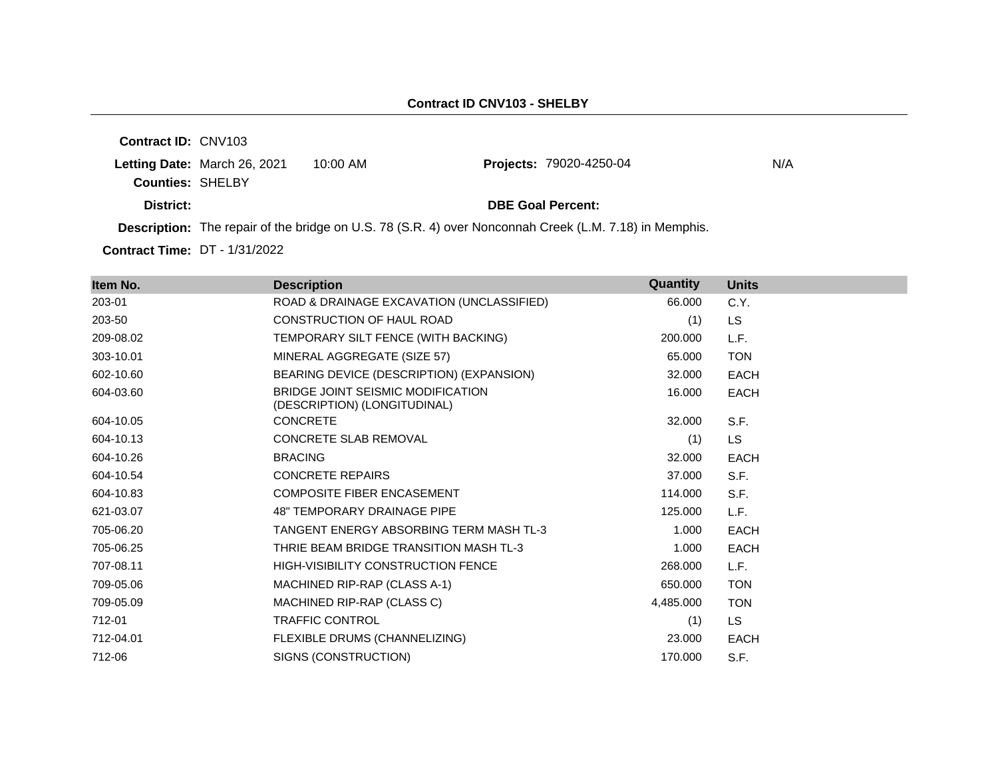**Contract ID:** CNV103 **Letting Date: March 26, 2021 10:00 AM Counties:** SHELBY **District: District: DBE Goal Percent: Contract Time:** DT - 1/31/2022 **Description:** The repair of the bridge on U.S. 78 (S.R. 4) over Nonconnah Creek (L.M. 7.18) in Memphis. **Projects: 79020-4250-04 N/A** 

| Item No.  | <b>Description</b>                                                | Quantity  | <b>Units</b> |
|-----------|-------------------------------------------------------------------|-----------|--------------|
| 203-01    | ROAD & DRAINAGE EXCAVATION (UNCLASSIFIED)                         | 66.000    | C.Y.         |
| 203-50    | <b>CONSTRUCTION OF HAUL ROAD</b>                                  | (1)       | <b>LS</b>    |
| 209-08.02 | TEMPORARY SILT FENCE (WITH BACKING)                               | 200.000   | L.F.         |
| 303-10.01 | MINERAL AGGREGATE (SIZE 57)                                       | 65.000    | <b>TON</b>   |
| 602-10.60 | BEARING DEVICE (DESCRIPTION) (EXPANSION)                          | 32.000    | <b>EACH</b>  |
| 604-03.60 | BRIDGE JOINT SEISMIC MODIFICATION<br>(DESCRIPTION) (LONGITUDINAL) | 16.000    | <b>EACH</b>  |
| 604-10.05 | <b>CONCRETE</b>                                                   | 32,000    | S.F.         |
| 604-10.13 | <b>CONCRETE SLAB REMOVAL</b>                                      | (1)       | <b>LS</b>    |
| 604-10.26 | <b>BRACING</b>                                                    | 32.000    | <b>EACH</b>  |
| 604-10.54 | <b>CONCRETE REPAIRS</b>                                           | 37.000    | S.F.         |
| 604-10.83 | <b>COMPOSITE FIBER ENCASEMENT</b>                                 | 114.000   | S.F.         |
| 621-03.07 | <b>48" TEMPORARY DRAINAGE PIPE</b>                                | 125.000   | L.F.         |
| 705-06.20 | TANGENT ENERGY ABSORBING TERM MASH TL-3                           | 1.000     | EACH         |
| 705-06.25 | THRIE BEAM BRIDGE TRANSITION MASH TL-3                            | 1.000     | <b>EACH</b>  |
| 707-08.11 | <b>HIGH-VISIBILITY CONSTRUCTION FENCE</b>                         | 268,000   | L.F.         |
| 709-05.06 | MACHINED RIP-RAP (CLASS A-1)                                      | 650,000   | <b>TON</b>   |
| 709-05.09 | MACHINED RIP-RAP (CLASS C)                                        | 4,485.000 | <b>TON</b>   |
| 712-01    | <b>TRAFFIC CONTROL</b>                                            | (1)       | LS.          |
| 712-04.01 | FLEXIBLE DRUMS (CHANNELIZING)                                     | 23.000    | <b>EACH</b>  |
| 712-06    | SIGNS (CONSTRUCTION)                                              | 170.000   | S.F.         |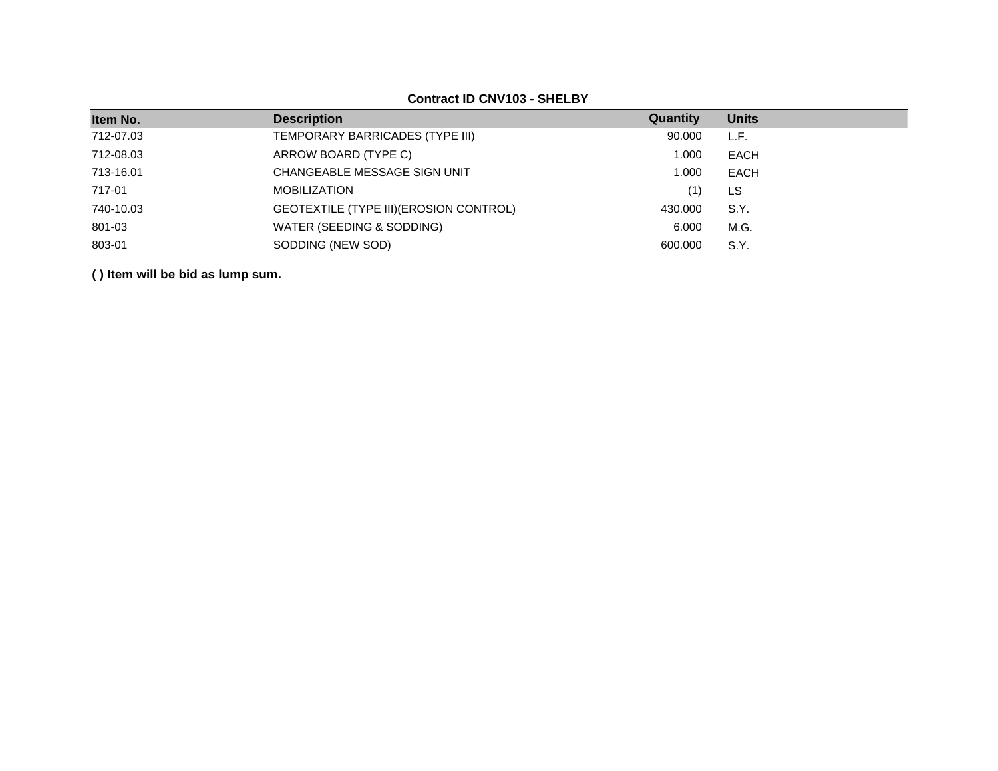## **Contract ID CNV103 - SHELBY**

| Item No.  | <b>Description</b>                      | Quantity | <b>Units</b> |
|-----------|-----------------------------------------|----------|--------------|
| 712-07.03 | TEMPORARY BARRICADES (TYPE III)         | 90.000   | L.F.         |
| 712-08.03 | ARROW BOARD (TYPE C)                    | 1.000    | EACH         |
| 713-16.01 | CHANGEABLE MESSAGE SIGN UNIT            | 1.000    | EACH         |
| 717-01    | <b>MOBILIZATION</b>                     | (1)      | LS           |
| 740-10.03 | GEOTEXTILE (TYPE III) (EROSION CONTROL) | 430.000  | S.Y.         |
| 801-03    | WATER (SEEDING & SODDING)               | 6.000    | M.G.         |
| 803-01    | SODDING (NEW SOD)                       | 600,000  | S.Y.         |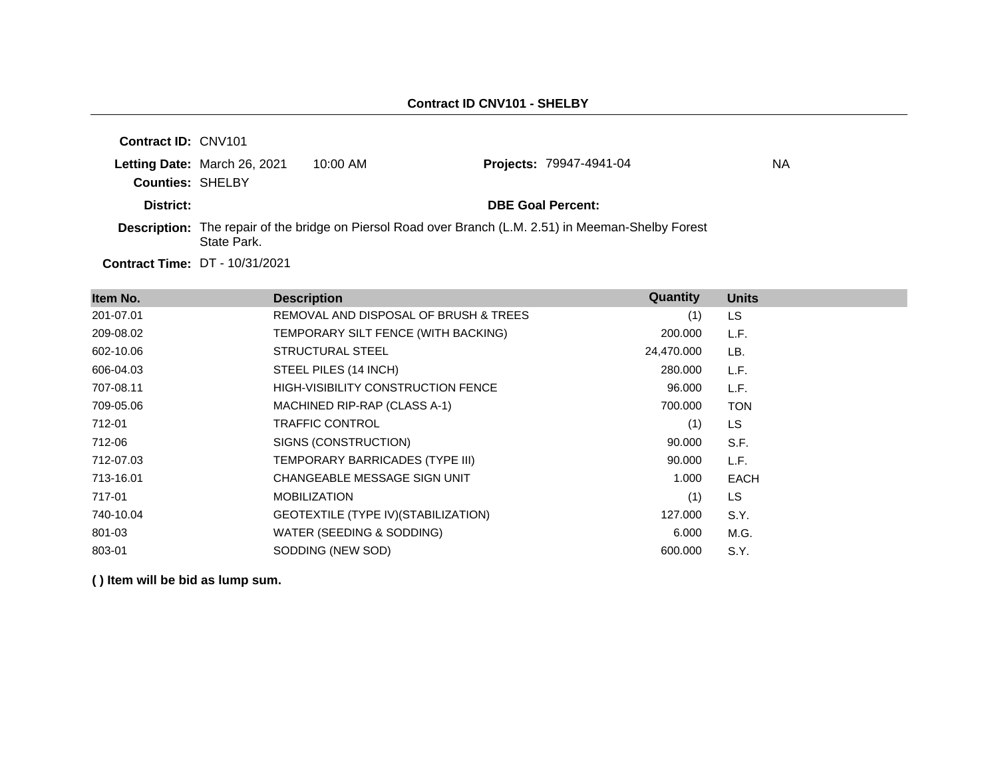| <b>Contract ID: CNV101</b> |                              |            |                                                                                                              |    |
|----------------------------|------------------------------|------------|--------------------------------------------------------------------------------------------------------------|----|
|                            | Letting Date: March 26, 2021 | $10:00$ AM | <b>Projects: 79947-4941-04</b>                                                                               | ΝA |
| <b>Counties: SHELBY</b>    |                              |            |                                                                                                              |    |
| District:                  |                              |            | <b>DBE Goal Percent:</b>                                                                                     |    |
|                            | State Park.                  |            | <b>Description:</b> The repair of the bridge on Piersol Road over Branch (L.M. 2.51) in Meeman-Shelby Forest |    |
|                            | .                            |            |                                                                                                              |    |

**Contract Time:** DT - 10/31/2021

| Item No.  | <b>Description</b>                        | Quantity   | <b>Units</b> |
|-----------|-------------------------------------------|------------|--------------|
| 201-07.01 | REMOVAL AND DISPOSAL OF BRUSH & TREES     | (1)        | <b>LS</b>    |
| 209-08.02 | TEMPORARY SILT FENCE (WITH BACKING)       | 200.000    | L.F.         |
| 602-10.06 | STRUCTURAL STEEL                          | 24,470.000 | LB.          |
| 606-04.03 | STEEL PILES (14 INCH)                     | 280.000    | L.F.         |
| 707-08.11 | <b>HIGH-VISIBILITY CONSTRUCTION FENCE</b> | 96.000     | L.F.         |
| 709-05.06 | MACHINED RIP-RAP (CLASS A-1)              | 700.000    | <b>TON</b>   |
| 712-01    | <b>TRAFFIC CONTROL</b>                    | (1)        | <b>LS</b>    |
| 712-06    | SIGNS (CONSTRUCTION)                      | 90.000     | S.F.         |
| 712-07.03 | TEMPORARY BARRICADES (TYPE III)           | 90.000     | L.F.         |
| 713-16.01 | CHANGEABLE MESSAGE SIGN UNIT              | 1.000      | <b>EACH</b>  |
| 717-01    | <b>MOBILIZATION</b>                       | (1)        | LS.          |
| 740-10.04 | GEOTEXTILE (TYPE IV) (STABILIZATION)      | 127.000    | S.Y.         |
| 801-03    | WATER (SEEDING & SODDING)                 | 6.000      | M.G.         |
| 803-01    | SODDING (NEW SOD)                         | 600,000    | S.Y.         |
|           |                                           |            |              |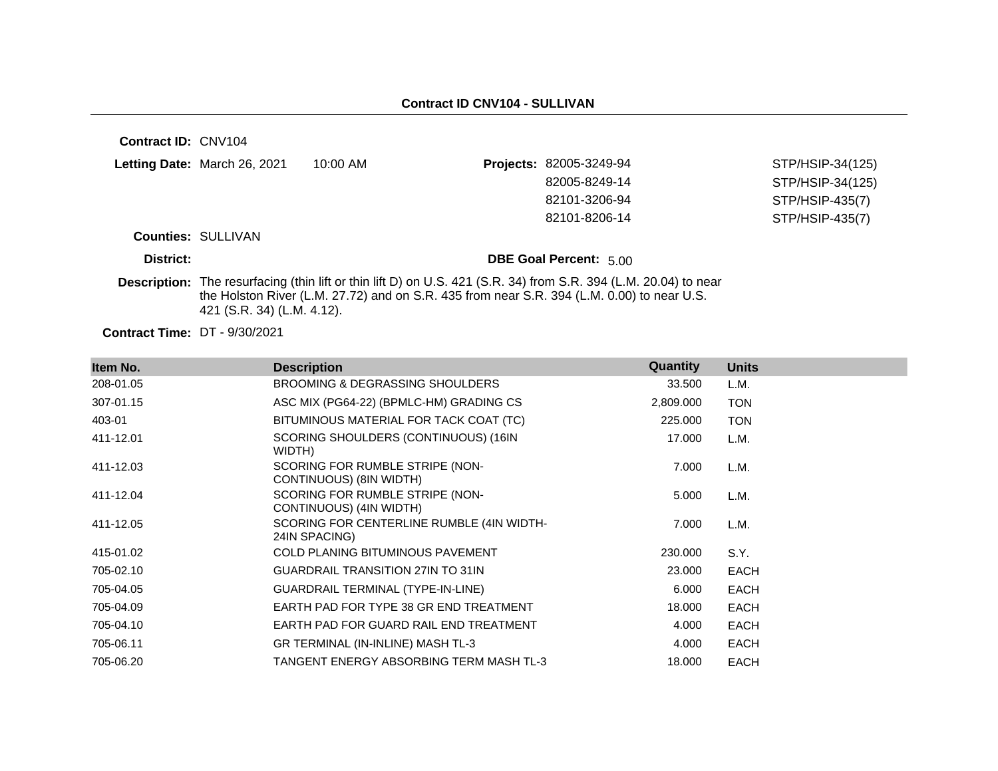| Contract ID: CNV104                  |                              |                                                                                            |                                                                                                     |                  |
|--------------------------------------|------------------------------|--------------------------------------------------------------------------------------------|-----------------------------------------------------------------------------------------------------|------------------|
|                                      | Letting Date: March 26, 2021 | $10:00$ AM                                                                                 | Projects: 82005-3249-94                                                                             | STP/HSIP-34(125) |
|                                      |                              |                                                                                            | 82005-8249-14                                                                                       | STP/HSIP-34(125) |
|                                      |                              |                                                                                            | 82101-3206-94                                                                                       | STP/HSIP-435(7)  |
|                                      |                              |                                                                                            | 82101-8206-14                                                                                       | STP/HSIP-435(7)  |
|                                      | <b>Counties: SULLIVAN</b>    |                                                                                            |                                                                                                     |                  |
| District:                            |                              |                                                                                            | <b>DBE Goal Percent: 5.00</b>                                                                       |                  |
| <b>Description:</b>                  | 421 (S.R. 34) (L.M. 4.12).   | the Holston River (L.M. 27.72) and on S.R. 435 from near S.R. 394 (L.M. 0.00) to near U.S. | The resurfacing (thin lift or thin lift D) on U.S. 421 (S.R. 34) from S.R. 394 (L.M. 20.04) to near |                  |
| <b>Contract Time: DT - 9/30/2021</b> |                              |                                                                                            |                                                                                                     |                  |

| Item No.  | <b>Description</b>                                         | Quantity  | <b>Units</b> |  |
|-----------|------------------------------------------------------------|-----------|--------------|--|
| 208-01.05 | BROOMING & DEGRASSING SHOULDERS                            | 33.500    | L.M.         |  |
| 307-01.15 | ASC MIX (PG64-22) (BPMLC-HM) GRADING CS                    | 2,809.000 | <b>TON</b>   |  |
| 403-01    | BITUMINOUS MATERIAL FOR TACK COAT (TC)                     | 225,000   | <b>TON</b>   |  |
| 411-12.01 | SCORING SHOULDERS (CONTINUOUS) (16IN<br>WIDTH)             | 17.000    | L.M.         |  |
| 411-12.03 | SCORING FOR RUMBLE STRIPE (NON-<br>CONTINUOUS) (8IN WIDTH) | 7.000     | L.M.         |  |
| 411-12.04 | SCORING FOR RUMBLE STRIPE (NON-<br>CONTINUOUS) (4IN WIDTH) | 5.000     | L.M.         |  |
| 411-12.05 | SCORING FOR CENTERLINE RUMBLE (4IN WIDTH-<br>24IN SPACING) | 7.000     | L.M.         |  |
| 415-01.02 | <b>COLD PLANING BITUMINOUS PAVEMENT</b>                    | 230.000   | S.Y.         |  |
| 705-02.10 | <b>GUARDRAIL TRANSITION 27IN TO 31IN</b>                   | 23.000    | EACH         |  |
| 705-04.05 | <b>GUARDRAIL TERMINAL (TYPE-IN-LINE)</b>                   | 6.000     | EACH         |  |
| 705-04.09 | EARTH PAD FOR TYPE 38 GR END TREATMENT                     | 18.000    | EACH         |  |
| 705-04.10 | EARTH PAD FOR GUARD RAIL END TREATMENT                     | 4.000     | EACH         |  |
| 705-06.11 | GR TERMINAL (IN-INLINE) MASH TL-3                          | 4.000     | EACH         |  |
| 705-06.20 | TANGENT ENERGY ABSORBING TERM MASH TL-3                    | 18.000    | EACH         |  |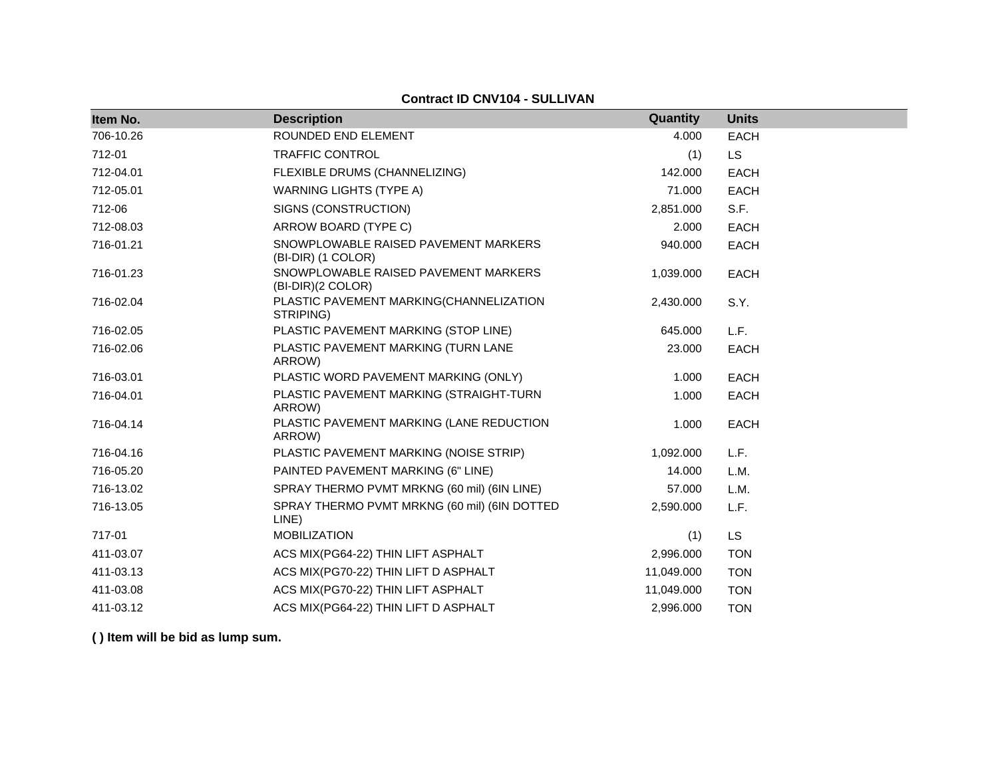**Contract ID CNV104 - SULLIVAN**

| Item No.  | <b>Description</b>                                         | Quantity   | <b>Units</b> |
|-----------|------------------------------------------------------------|------------|--------------|
| 706-10.26 | ROUNDED END ELEMENT                                        | 4.000      | <b>EACH</b>  |
| 712-01    | <b>TRAFFIC CONTROL</b>                                     | (1)        | <b>LS</b>    |
| 712-04.01 | FLEXIBLE DRUMS (CHANNELIZING)                              | 142,000    | <b>EACH</b>  |
| 712-05.01 | <b>WARNING LIGHTS (TYPE A)</b>                             | 71.000     | <b>EACH</b>  |
| 712-06    | SIGNS (CONSTRUCTION)                                       | 2,851.000  | S.F.         |
| 712-08.03 | ARROW BOARD (TYPE C)                                       | 2.000      | <b>EACH</b>  |
| 716-01.21 | SNOWPLOWABLE RAISED PAVEMENT MARKERS<br>(BI-DIR) (1 COLOR) | 940.000    | <b>EACH</b>  |
| 716-01.23 | SNOWPLOWABLE RAISED PAVEMENT MARKERS<br>(BI-DIR)(2 COLOR)  | 1,039.000  | <b>EACH</b>  |
| 716-02.04 | PLASTIC PAVEMENT MARKING(CHANNELIZATION<br>STRIPING)       | 2,430.000  | S.Y.         |
| 716-02.05 | PLASTIC PAVEMENT MARKING (STOP LINE)                       | 645.000    | L.F.         |
| 716-02.06 | PLASTIC PAVEMENT MARKING (TURN LANE<br>ARROW)              | 23.000     | <b>EACH</b>  |
| 716-03.01 | PLASTIC WORD PAVEMENT MARKING (ONLY)                       | 1.000      | EACH         |
| 716-04.01 | PLASTIC PAVEMENT MARKING (STRAIGHT-TURN<br>ARROW)          | 1.000      | <b>EACH</b>  |
| 716-04.14 | PLASTIC PAVEMENT MARKING (LANE REDUCTION<br>ARROW)         | 1.000      | <b>EACH</b>  |
| 716-04.16 | PLASTIC PAVEMENT MARKING (NOISE STRIP)                     | 1,092.000  | L.F.         |
| 716-05.20 | PAINTED PAVEMENT MARKING (6" LINE)                         | 14.000     | L.M.         |
| 716-13.02 | SPRAY THERMO PVMT MRKNG (60 mil) (6IN LINE)                | 57.000     | L.M.         |
| 716-13.05 | SPRAY THERMO PVMT MRKNG (60 mil) (6IN DOTTED<br>LINE)      | 2,590.000  | L.F.         |
| 717-01    | <b>MOBILIZATION</b>                                        | (1)        | <b>LS</b>    |
| 411-03.07 | ACS MIX(PG64-22) THIN LIFT ASPHALT                         | 2,996.000  | <b>TON</b>   |
| 411-03.13 | ACS MIX(PG70-22) THIN LIFT D ASPHALT                       | 11,049.000 | <b>TON</b>   |
| 411-03.08 | ACS MIX(PG70-22) THIN LIFT ASPHALT                         | 11,049.000 | <b>TON</b>   |
| 411-03.12 | ACS MIX(PG64-22) THIN LIFT D ASPHALT                       | 2,996.000  | <b>TON</b>   |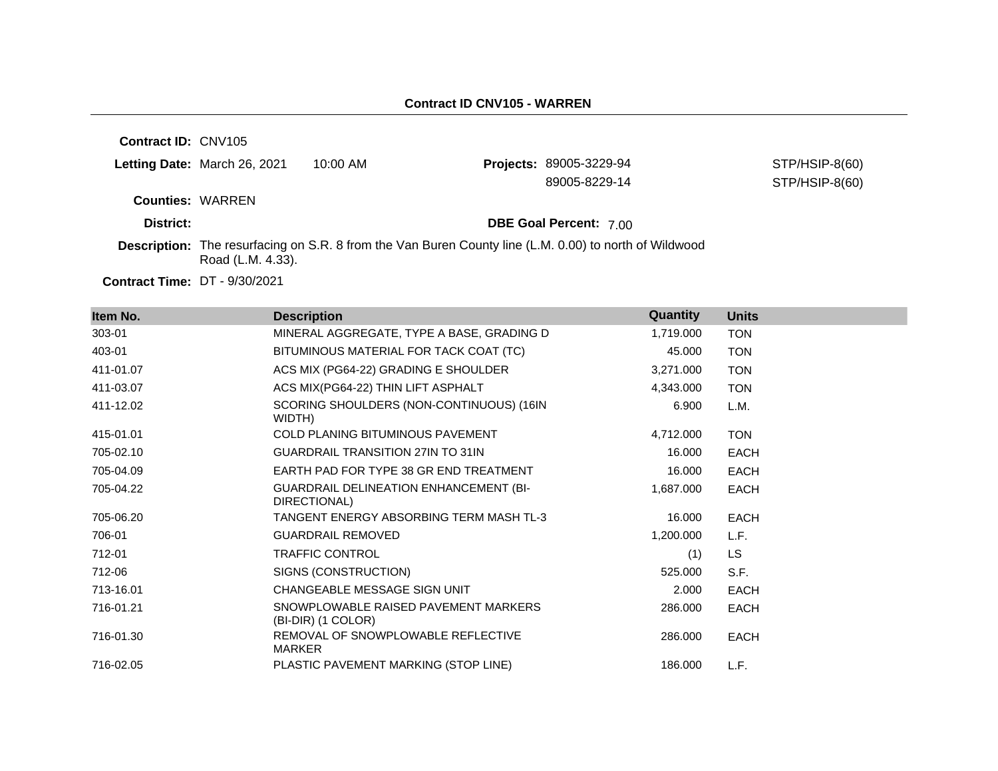**Contract ID:** CNV105 **Letting Date:** March 26, 2021 10:00 AM **Projects: Counties:** WARREN **District: District: DBE Goal Percent:** 7.00 **Description:** The resurfacing on S.R. 8 from the Van Buren County line (L.M. 0.00) to north of Wildwood Road (L.M. 4.33). STP/HSIP-8(60) 89005-8229-14 STP/HSIP-8(60)

**Contract Time:** DT - 9/30/2021

| Item No.  | <b>Description</b>                                            | Quantity  | <b>Units</b> |
|-----------|---------------------------------------------------------------|-----------|--------------|
| 303-01    | MINERAL AGGREGATE, TYPE A BASE, GRADING D                     | 1,719.000 | <b>TON</b>   |
| 403-01    | BITUMINOUS MATERIAL FOR TACK COAT (TC)                        | 45.000    | <b>TON</b>   |
| 411-01.07 | ACS MIX (PG64-22) GRADING E SHOULDER                          | 3,271.000 | <b>TON</b>   |
| 411-03.07 | ACS MIX(PG64-22) THIN LIFT ASPHALT                            | 4,343.000 | <b>TON</b>   |
| 411-12.02 | SCORING SHOULDERS (NON-CONTINUOUS) (16IN<br>WIDTH)            | 6.900     | L.M.         |
| 415-01.01 | COLD PLANING BITUMINOUS PAVEMENT                              | 4,712.000 | <b>TON</b>   |
| 705-02.10 | <b>GUARDRAIL TRANSITION 27IN TO 31IN</b>                      | 16.000    | <b>EACH</b>  |
| 705-04.09 | EARTH PAD FOR TYPE 38 GR END TREATMENT                        | 16.000    | <b>EACH</b>  |
| 705-04.22 | <b>GUARDRAIL DELINEATION ENHANCEMENT (BI-</b><br>DIRECTIONAL) | 1,687.000 | <b>EACH</b>  |
| 705-06.20 | TANGENT ENERGY ABSORBING TERM MASH TL-3                       | 16.000    | EACH         |
| 706-01    | <b>GUARDRAIL REMOVED</b>                                      | 1,200.000 | L.F.         |
| 712-01    | <b>TRAFFIC CONTROL</b>                                        | (1)       | LS.          |
| 712-06    | SIGNS (CONSTRUCTION)                                          | 525.000   | S.F.         |
| 713-16.01 | CHANGEABLE MESSAGE SIGN UNIT                                  | 2.000     | <b>EACH</b>  |
| 716-01.21 | SNOWPLOWABLE RAISED PAVEMENT MARKERS<br>(BI-DIR) (1 COLOR)    | 286.000   | EACH         |
| 716-01.30 | REMOVAL OF SNOWPLOWABLE REFLECTIVE<br><b>MARKER</b>           | 286.000   | EACH         |
| 716-02.05 | PLASTIC PAVEMENT MARKING (STOP LINE)                          | 186.000   | L.F.         |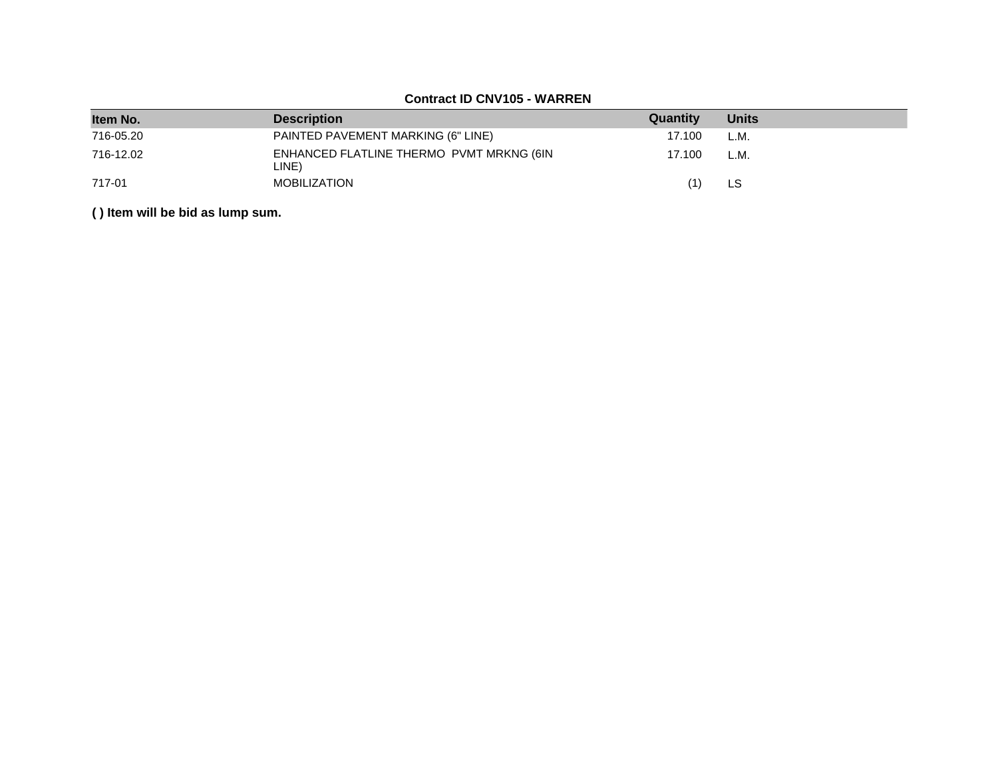## **Contract ID CNV105 - WARREN**

| Item No.  | <b>Description</b>                                | Quantity | <b>Units</b> |
|-----------|---------------------------------------------------|----------|--------------|
| 716-05.20 | PAINTED PAVEMENT MARKING (6" LINE)                | 17.100   | L.M.         |
| 716-12.02 | ENHANCED FLATLINE THERMO PVMT MRKNG (6IN<br>LINE) | 17.100   | L.M.         |
| 717-01    | <b>MOBILIZATION</b>                               | (1)      | LS           |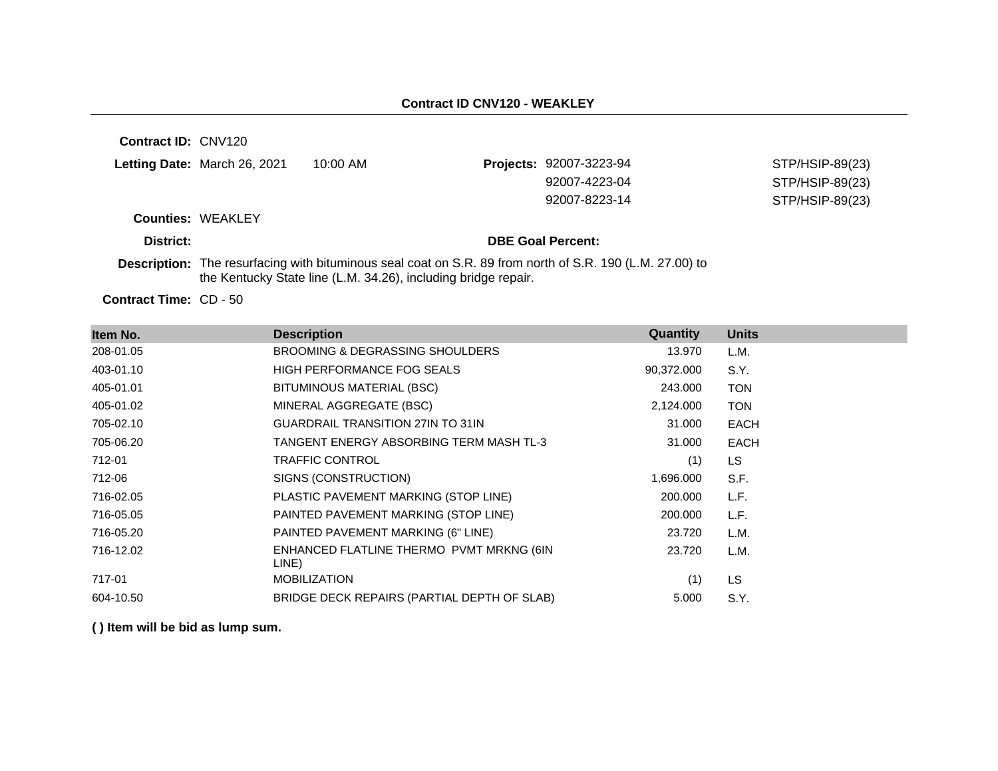**Contract ID:** CNV120 **Letting Date:** March 26, 2021 10:00 AM **Projects:** 92007-3223-94 **Counties:** WEAKLEY **District: DBE Goal Percent:** STP/HSIP-89(23) 92007-4223-04 STP/HSIP-89(23) 92007-8223-14 STP/HSIP-89(23)

**Description:** The resurfacing with bituminous seal coat on S.R. 89 from north of S.R. 190 (L.M. 27.00) to the Kentucky State line (L.M. 34.26), including bridge repair.

Contract Time: CD - 50

| Item No.  | <b>Description</b>                                | Quantity   | <b>Units</b> |
|-----------|---------------------------------------------------|------------|--------------|
| 208-01.05 | <b>BROOMING &amp; DEGRASSING SHOULDERS</b>        | 13.970     | L.M.         |
| 403-01.10 | <b>HIGH PERFORMANCE FOG SEALS</b>                 | 90,372.000 | S.Y.         |
| 405-01.01 | BITUMINOUS MATERIAL (BSC)                         | 243.000    | <b>TON</b>   |
| 405-01.02 | MINERAL AGGREGATE (BSC)                           | 2,124.000  | <b>TON</b>   |
| 705-02.10 | <b>GUARDRAIL TRANSITION 27IN TO 31IN</b>          | 31.000     | <b>EACH</b>  |
| 705-06.20 | TANGENT ENERGY ABSORBING TERM MASH TL-3           | 31.000     | <b>EACH</b>  |
| 712-01    | <b>TRAFFIC CONTROL</b>                            | (1)        | LS           |
| 712-06    | SIGNS (CONSTRUCTION)                              | 1,696.000  | S.F.         |
| 716-02.05 | PLASTIC PAVEMENT MARKING (STOP LINE)              | 200.000    | L.F.         |
| 716-05.05 | PAINTED PAVEMENT MARKING (STOP LINE)              | 200.000    | L.F.         |
| 716-05.20 | PAINTED PAVEMENT MARKING (6" LINE)                | 23.720     | L.M.         |
| 716-12.02 | ENHANCED FLATLINE THERMO PVMT MRKNG (6IN<br>LINE) | 23.720     | L.M.         |
| 717-01    | <b>MOBILIZATION</b>                               | (1)        | LS           |
| 604-10.50 | BRIDGE DECK REPAIRS (PARTIAL DEPTH OF SLAB)       | 5.000      | S.Y.         |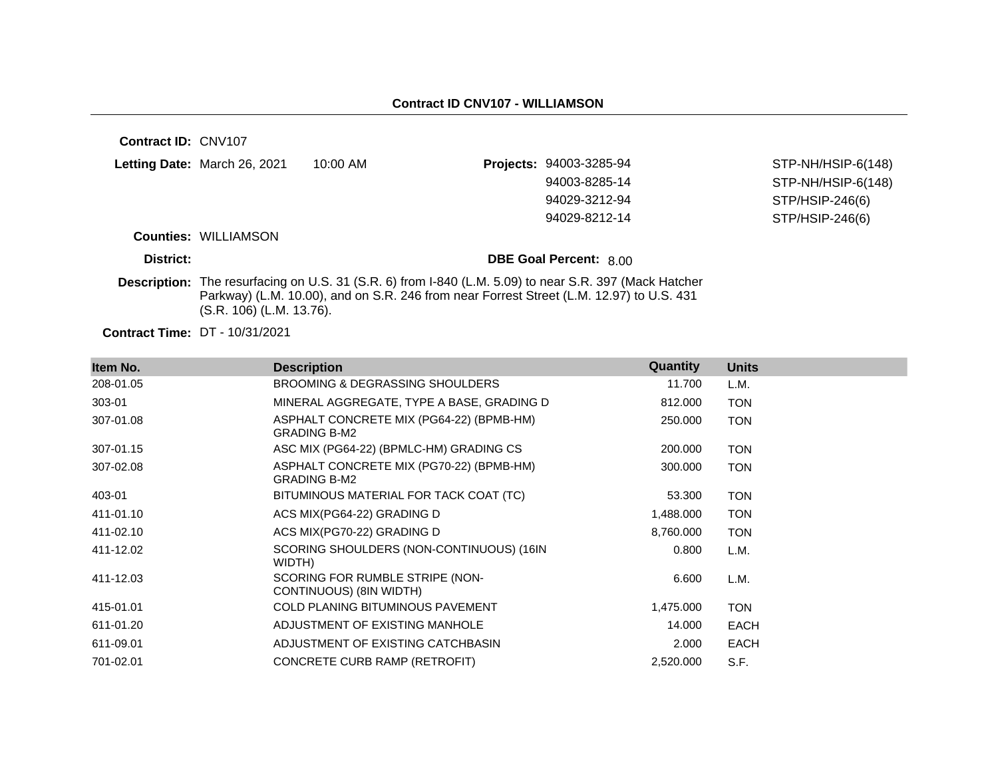| Contract ID: CNV107 |                              |                                                                                                                                                                                                           |                               |                    |
|---------------------|------------------------------|-----------------------------------------------------------------------------------------------------------------------------------------------------------------------------------------------------------|-------------------------------|--------------------|
|                     | Letting Date: March 26, 2021 | $10:00$ AM                                                                                                                                                                                                | Projects: 94003-3285-94       | STP-NH/HSIP-6(148) |
|                     |                              |                                                                                                                                                                                                           | 94003-8285-14                 | STP-NH/HSIP-6(148) |
|                     |                              |                                                                                                                                                                                                           | 94029-3212-94                 | STP/HSIP-246(6)    |
|                     |                              |                                                                                                                                                                                                           | 94029-8212-14                 | STP/HSIP-246(6)    |
|                     | <b>Counties: WILLIAMSON</b>  |                                                                                                                                                                                                           |                               |                    |
| District:           |                              |                                                                                                                                                                                                           | <b>DBE Goal Percent: 8.00</b> |                    |
|                     | (S.R. 106) (L.M. 13.76).     | <b>Description:</b> The resurfacing on U.S. 31 (S.R. 6) from I-840 (L.M. 5.09) to near S.R. 397 (Mack Hatcher<br>Parkway) (L.M. 10.00), and on S.R. 246 from near Forrest Street (L.M. 12.97) to U.S. 431 |                               |                    |
|                     |                              |                                                                                                                                                                                                           |                               |                    |

**Contract Time:** DT - 10/31/2021

| Item No.  | <b>Description</b>                                              | Quantity  | <b>Units</b> |
|-----------|-----------------------------------------------------------------|-----------|--------------|
| 208-01.05 | BROOMING & DEGRASSING SHOULDERS                                 | 11.700    | L.M.         |
| 303-01    | MINERAL AGGREGATE, TYPE A BASE, GRADING D                       | 812.000   | <b>TON</b>   |
| 307-01.08 | ASPHALT CONCRETE MIX (PG64-22) (BPMB-HM)<br><b>GRADING B-M2</b> | 250.000   | <b>TON</b>   |
| 307-01.15 | ASC MIX (PG64-22) (BPMLC-HM) GRADING CS                         | 200.000   | <b>TON</b>   |
| 307-02.08 | ASPHALT CONCRETE MIX (PG70-22) (BPMB-HM)<br><b>GRADING B-M2</b> | 300.000   | <b>TON</b>   |
| 403-01    | BITUMINOUS MATERIAL FOR TACK COAT (TC)                          | 53.300    | <b>TON</b>   |
| 411-01.10 | ACS MIX(PG64-22) GRADING D                                      | 1,488.000 | <b>TON</b>   |
| 411-02.10 | ACS MIX(PG70-22) GRADING D                                      | 8,760.000 | <b>TON</b>   |
| 411-12.02 | SCORING SHOULDERS (NON-CONTINUOUS) (16IN<br>WIDTH)              | 0.800     | L.M.         |
| 411-12.03 | SCORING FOR RUMBLE STRIPE (NON-<br>CONTINUOUS) (8IN WIDTH)      | 6.600     | L.M.         |
| 415-01.01 | <b>COLD PLANING BITUMINOUS PAVEMENT</b>                         | 1,475.000 | <b>TON</b>   |
| 611-01.20 | ADJUSTMENT OF EXISTING MANHOLE                                  | 14.000    | <b>EACH</b>  |
| 611-09.01 | ADJUSTMENT OF EXISTING CATCHBASIN                               | 2.000     | <b>EACH</b>  |
| 701-02.01 | CONCRETE CURB RAMP (RETROFIT)                                   | 2,520.000 | S.F.         |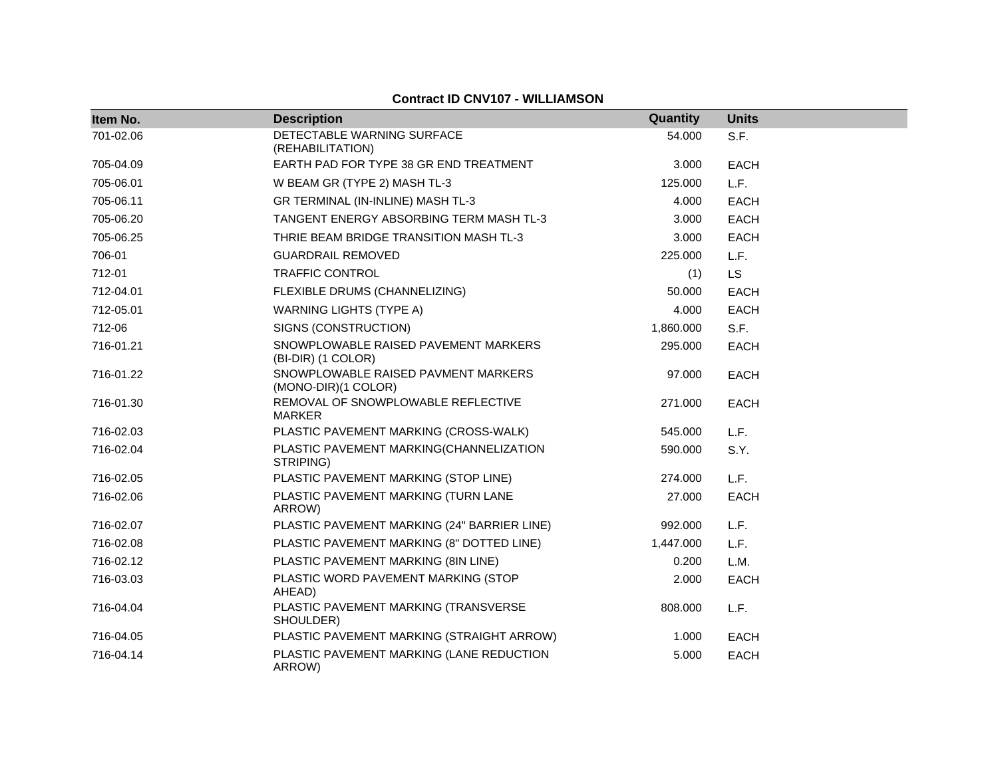## **Contract ID CNV107 - WILLIAMSON**

| Item No.  | <b>Description</b>                                         | Quantity  | <b>Units</b> |
|-----------|------------------------------------------------------------|-----------|--------------|
| 701-02.06 | DETECTABLE WARNING SURFACE<br>(REHABILITATION)             | 54.000    | S.F.         |
| 705-04.09 | EARTH PAD FOR TYPE 38 GR END TREATMENT                     | 3.000     | <b>EACH</b>  |
| 705-06.01 | W BEAM GR (TYPE 2) MASH TL-3                               | 125.000   | L.F.         |
| 705-06.11 | GR TERMINAL (IN-INLINE) MASH TL-3                          | 4.000     | EACH         |
| 705-06.20 | TANGENT ENERGY ABSORBING TERM MASH TL-3                    | 3.000     | <b>EACH</b>  |
| 705-06.25 | THRIE BEAM BRIDGE TRANSITION MASH TL-3                     | 3.000     | <b>EACH</b>  |
| 706-01    | <b>GUARDRAIL REMOVED</b>                                   | 225.000   | L.F.         |
| 712-01    | <b>TRAFFIC CONTROL</b>                                     | (1)       | <b>LS</b>    |
| 712-04.01 | FLEXIBLE DRUMS (CHANNELIZING)                              | 50.000    | <b>EACH</b>  |
| 712-05.01 | <b>WARNING LIGHTS (TYPE A)</b>                             | 4.000     | <b>EACH</b>  |
| 712-06    | SIGNS (CONSTRUCTION)                                       | 1,860.000 | S.F.         |
| 716-01.21 | SNOWPLOWABLE RAISED PAVEMENT MARKERS<br>(BI-DIR) (1 COLOR) | 295.000   | EACH         |
| 716-01.22 | SNOWPLOWABLE RAISED PAVMENT MARKERS<br>(MONO-DIR)(1 COLOR) | 97.000    | <b>EACH</b>  |
| 716-01.30 | REMOVAL OF SNOWPLOWABLE REFLECTIVE<br><b>MARKER</b>        | 271.000   | <b>EACH</b>  |
| 716-02.03 | PLASTIC PAVEMENT MARKING (CROSS-WALK)                      | 545.000   | L.F.         |
| 716-02.04 | PLASTIC PAVEMENT MARKING(CHANNELIZATION<br>STRIPING)       | 590.000   | S.Y.         |
| 716-02.05 | PLASTIC PAVEMENT MARKING (STOP LINE)                       | 274.000   | L.F.         |
| 716-02.06 | PLASTIC PAVEMENT MARKING (TURN LANE<br>ARROW)              | 27.000    | <b>EACH</b>  |
| 716-02.07 | PLASTIC PAVEMENT MARKING (24" BARRIER LINE)                | 992.000   | L.F.         |
| 716-02.08 | PLASTIC PAVEMENT MARKING (8" DOTTED LINE)                  | 1,447.000 | L.F.         |
| 716-02.12 | PLASTIC PAVEMENT MARKING (8IN LINE)                        | 0.200     | L.M.         |
| 716-03.03 | PLASTIC WORD PAVEMENT MARKING (STOP<br>AHEAD)              | 2.000     | <b>EACH</b>  |
| 716-04.04 | PLASTIC PAVEMENT MARKING (TRANSVERSE<br>SHOULDER)          | 808.000   | L.F.         |
| 716-04.05 | PLASTIC PAVEMENT MARKING (STRAIGHT ARROW)                  | 1.000     | EACH         |
| 716-04.14 | PLASTIC PAVEMENT MARKING (LANE REDUCTION<br>ARROW)         | 5.000     | <b>EACH</b>  |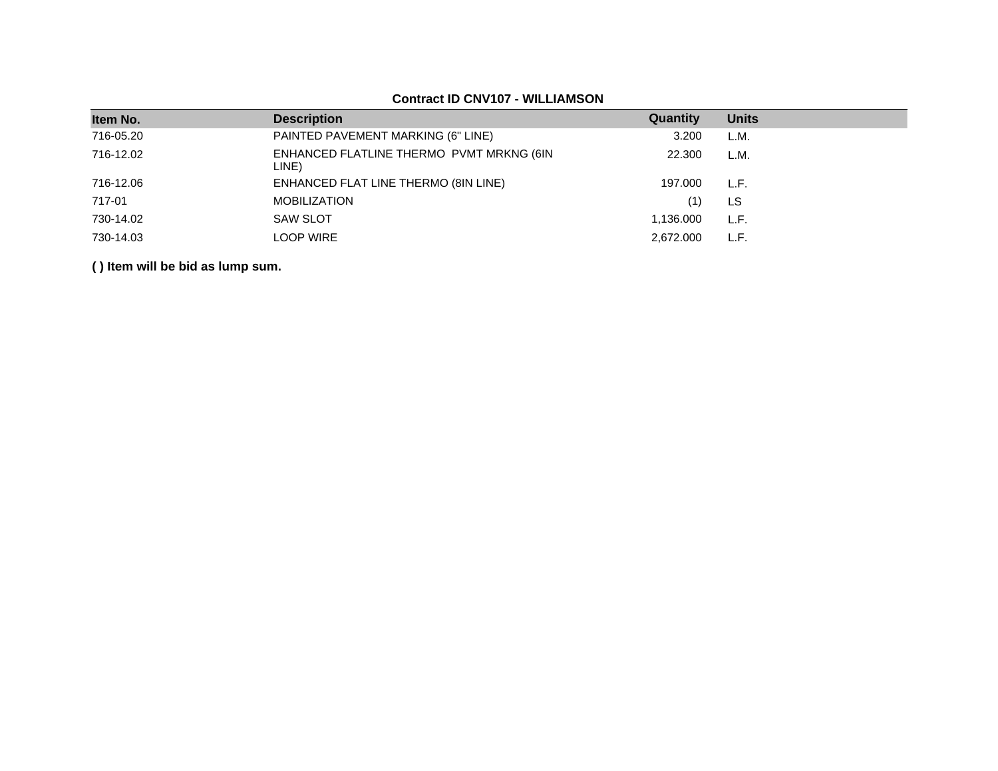| Item No.  | <b>Description</b>                                | Quantity  | <b>Units</b> |
|-----------|---------------------------------------------------|-----------|--------------|
| 716-05.20 | PAINTED PAVEMENT MARKING (6" LINE)                | 3.200     | L.M.         |
| 716-12.02 | ENHANCED FLATLINE THERMO PVMT MRKNG (6IN<br>LINE) | 22.300    | L.M.         |
| 716-12.06 | ENHANCED FLAT LINE THERMO (8IN LINE)              | 197.000   | L.F.         |
| 717-01    | <b>MOBILIZATION</b>                               | (1)       | LS           |
| 730-14.02 | <b>SAW SLOT</b>                                   | 1,136.000 | L.F.         |
| 730-14.03 | LOOP WIRE                                         | 2,672.000 | L.F.         |
|           |                                                   |           |              |

## **Contract ID CNV107 - WILLIAMSON**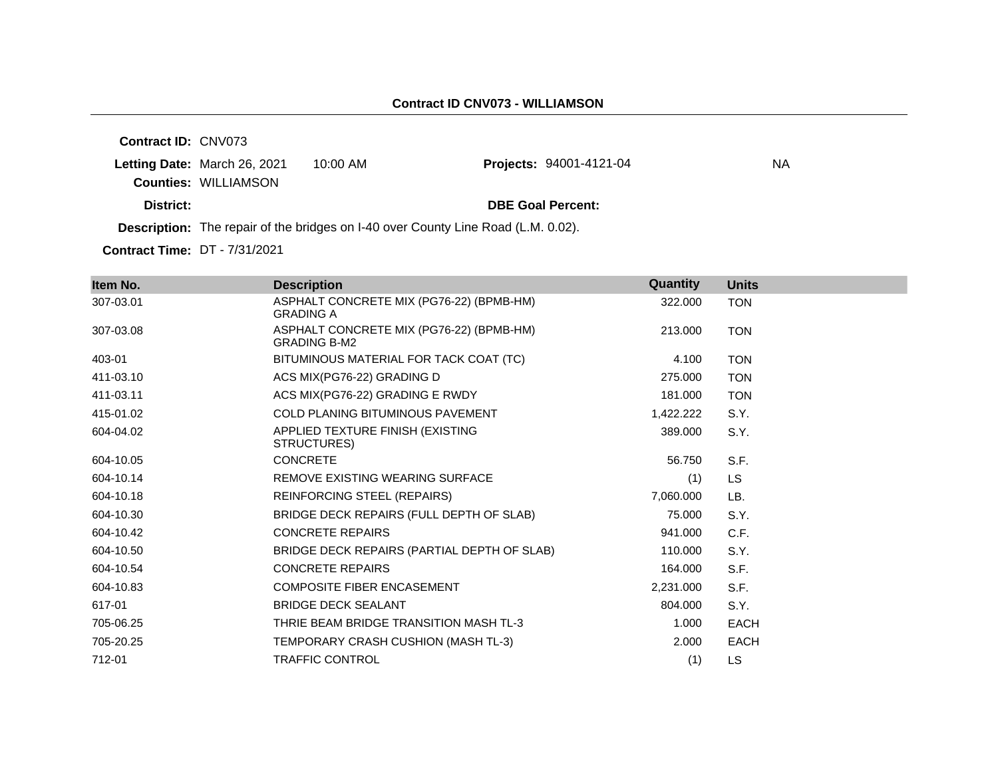**Contract ID:** CNV073

**Letting Date: March 26, 2021 10:00 AM Counties:** WILLIAMSON

**District: District: DBE Goal Percent:** 

**Projects: 94001-4121-04 NA** 

**Description:** The repair of the bridges on I-40 over County Line Road (L.M. 0.02).

**Contract Time:** DT - 7/31/2021

| Item No.  | <b>Description</b>                                              | Quantity  | <b>Units</b> |
|-----------|-----------------------------------------------------------------|-----------|--------------|
| 307-03.01 | ASPHALT CONCRETE MIX (PG76-22) (BPMB-HM)<br><b>GRADING A</b>    | 322.000   | <b>TON</b>   |
| 307-03.08 | ASPHALT CONCRETE MIX (PG76-22) (BPMB-HM)<br><b>GRADING B-M2</b> | 213.000   | <b>TON</b>   |
| 403-01    | BITUMINOUS MATERIAL FOR TACK COAT (TC)                          | 4.100     | <b>TON</b>   |
| 411-03.10 | ACS MIX(PG76-22) GRADING D                                      | 275,000   | <b>TON</b>   |
| 411-03.11 | ACS MIX(PG76-22) GRADING E RWDY                                 | 181.000   | <b>TON</b>   |
| 415-01.02 | <b>COLD PLANING BITUMINOUS PAVEMENT</b>                         | 1,422.222 | S.Y.         |
| 604-04.02 | APPLIED TEXTURE FINISH (EXISTING<br>STRUCTURES)                 | 389,000   | S.Y.         |
| 604-10.05 | <b>CONCRETE</b>                                                 | 56.750    | S.F.         |
| 604-10.14 | REMOVE EXISTING WEARING SURFACE                                 | (1)       | LS.          |
| 604-10.18 | <b>REINFORCING STEEL (REPAIRS)</b>                              | 7,060.000 | LB.          |
| 604-10.30 | BRIDGE DECK REPAIRS (FULL DEPTH OF SLAB)                        | 75,000    | S.Y.         |
| 604-10.42 | <b>CONCRETE REPAIRS</b>                                         | 941.000   | C.F.         |
| 604-10.50 | BRIDGE DECK REPAIRS (PARTIAL DEPTH OF SLAB)                     | 110.000   | S.Y.         |
| 604-10.54 | <b>CONCRETE REPAIRS</b>                                         | 164.000   | S.F.         |
| 604-10.83 | <b>COMPOSITE FIBER ENCASEMENT</b>                               | 2,231.000 | S.F.         |
| 617-01    | <b>BRIDGE DECK SEALANT</b>                                      | 804.000   | S.Y.         |
| 705-06.25 | THRIE BEAM BRIDGE TRANSITION MASH TL-3                          | 1.000     | <b>EACH</b>  |
| 705-20.25 | TEMPORARY CRASH CUSHION (MASH TL-3)                             | 2.000     | <b>EACH</b>  |
| 712-01    | <b>TRAFFIC CONTROL</b>                                          | (1)       | LS           |